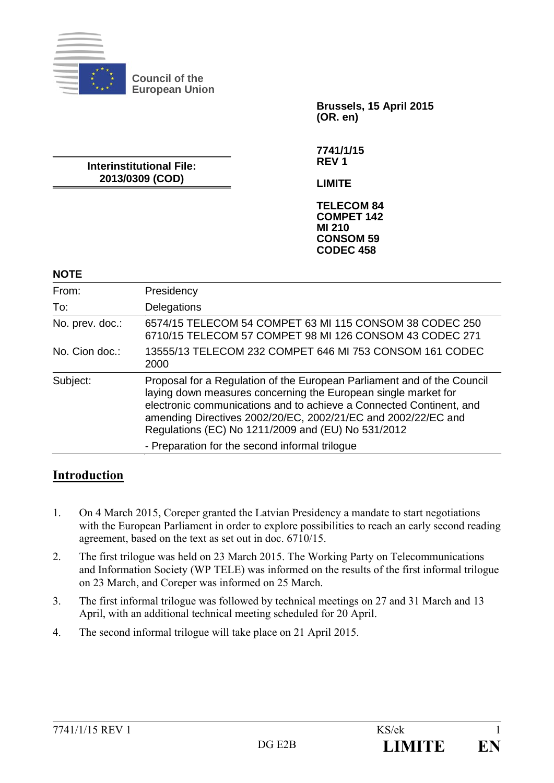

**Council of the European Union** 

**Interinstitutional File: 2013/0309 (COD)** 

**Brussels, 15 April 2015 (OR. en)** 

**7741/1/15 REV 1** 

**LIMITE** 

**TELECOM 84 COMPET 142 MI 210 CONSOM 59 CODEC 458** 

| <b>NOTE</b>     |                                                                                                                                                                                                                                                                                                                                         |
|-----------------|-----------------------------------------------------------------------------------------------------------------------------------------------------------------------------------------------------------------------------------------------------------------------------------------------------------------------------------------|
| From:           | Presidency                                                                                                                                                                                                                                                                                                                              |
| To:             | Delegations                                                                                                                                                                                                                                                                                                                             |
| No. prev. doc.: | 6574/15 TELECOM 54 COMPET 63 MI 115 CONSOM 38 CODEC 250<br>6710/15 TELECOM 57 COMPET 98 MI 126 CONSOM 43 CODEC 271                                                                                                                                                                                                                      |
| No. Cion doc.:  | 13555/13 TELECOM 232 COMPET 646 MI 753 CONSOM 161 CODEC<br>2000                                                                                                                                                                                                                                                                         |
| Subject:        | Proposal for a Regulation of the European Parliament and of the Council<br>laying down measures concerning the European single market for<br>electronic communications and to achieve a Connected Continent, and<br>amending Directives 2002/20/EC, 2002/21/EC and 2002/22/EC and<br>Regulations (EC) No 1211/2009 and (EU) No 531/2012 |
|                 | - Preparation for the second informal trilogue                                                                                                                                                                                                                                                                                          |

# **Introduction**

- 1. On 4 March 2015, Coreper granted the Latvian Presidency a mandate to start negotiations with the European Parliament in order to explore possibilities to reach an early second reading agreement, based on the text as set out in doc. 6710/15.
- 2. The first trilogue was held on 23 March 2015. The Working Party on Telecommunications and Information Society (WP TELE) was informed on the results of the first informal trilogue on 23 March, and Coreper was informed on 25 March.
- 3. The first informal trilogue was followed by technical meetings on 27 and 31 March and 13 April, with an additional technical meeting scheduled for 20 April.
- 4. The second informal trilogue will take place on 21 April 2015.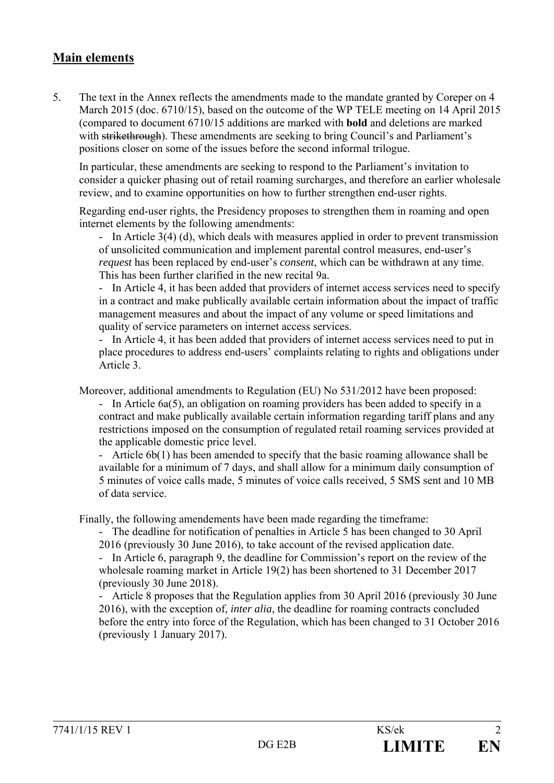## **Main elements**

5. The text in the Annex reflects the amendments made to the mandate granted by Coreper on 4 March 2015 (doc. 6710/15), based on the outcome of the WP TELE meeting on 14 April 2015 (compared to document 6710/15 additions are marked with **bold** and deletions are marked with strikethrough). These amendments are seeking to bring Council's and Parliament's positions closer on some of the issues before the second informal trilogue.

In particular, these amendments are seeking to respond to the Parliament's invitation to consider a quicker phasing out of retail roaming surcharges, and therefore an earlier wholesale review, and to examine opportunities on how to further strengthen end-user rights.

Regarding end-user rights, the Presidency proposes to strengthen them in roaming and open internet elements by the following amendments:

- In Article 3(4) (d), which deals with measures applied in order to prevent transmission of unsolicited communication and implement parental control measures, end-user's *request* has been replaced by end-user's *consent*, which can be withdrawn at any time. This has been further clarified in the new recital 9a.

- In Article 4, it has been added that providers of internet access services need to specify in a contract and make publically available certain information about the impact of traffic management measures and about the impact of any volume or speed limitations and quality of service parameters on internet access services.

- In Article 4, it has been added that providers of internet access services need to put in place procedures to address end-users' complaints relating to rights and obligations under Article 3.

Moreover, additional amendments to Regulation (EU) No 531/2012 have been proposed:

- In Article 6a(5), an obligation on roaming providers has been added to specify in a contract and make publically available certain information regarding tariff plans and any restrictions imposed on the consumption of regulated retail roaming services provided at the applicable domestic price level.

- Article 6b(1) has been amended to specify that the basic roaming allowance shall be available for a minimum of 7 days, and shall allow for a minimum daily consumption of 5 minutes of voice calls made, 5 minutes of voice calls received, 5 SMS sent and 10 MB of data service.

Finally, the following amendements have been made regarding the timeframe:

- The deadline for notification of penalties in Article 5 has been changed to 30 April 2016 (previously 30 June 2016), to take account of the revised application date.

- In Article 6, paragraph 9, the deadline for Commission's report on the review of the wholesale roaming market in Article 19(2) has been shortened to 31 December 2017 (previously 30 June 2018).

- Article 8 proposes that the Regulation applies from 30 April 2016 (previously 30 June 2016), with the exception of, *inter alia*, the deadline for roaming contracts concluded before the entry into force of the Regulation, which has been changed to 31 October 2016 (previously 1 January 2017).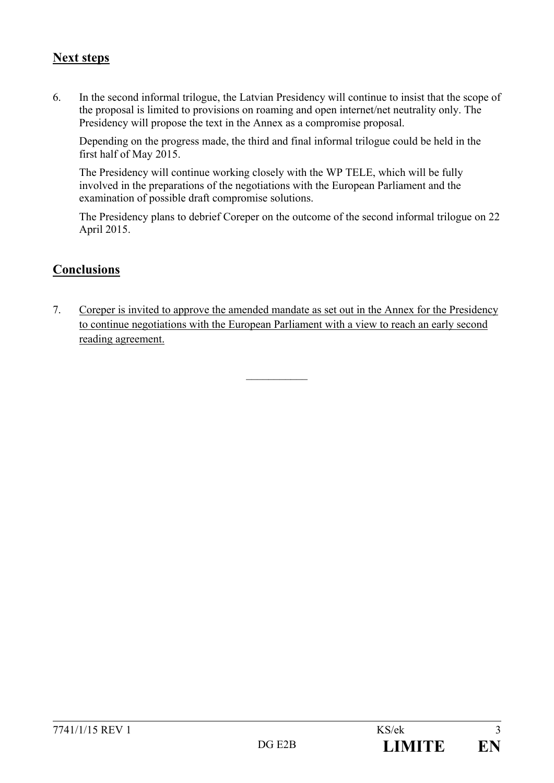## **Next steps**

6. In the second informal trilogue, the Latvian Presidency will continue to insist that the scope of the proposal is limited to provisions on roaming and open internet/net neutrality only. The Presidency will propose the text in the Annex as a compromise proposal.

Depending on the progress made, the third and final informal trilogue could be held in the first half of May 2015.

The Presidency will continue working closely with the WP TELE, which will be fully involved in the preparations of the negotiations with the European Parliament and the examination of possible draft compromise solutions.

The Presidency plans to debrief Coreper on the outcome of the second informal trilogue on 22 April 2015.

# **Conclusions**

7. Coreper is invited to approve the amended mandate as set out in the Annex for the Presidency to continue negotiations with the European Parliament with a view to reach an early second reading agreement.

 $\frac{1}{2}$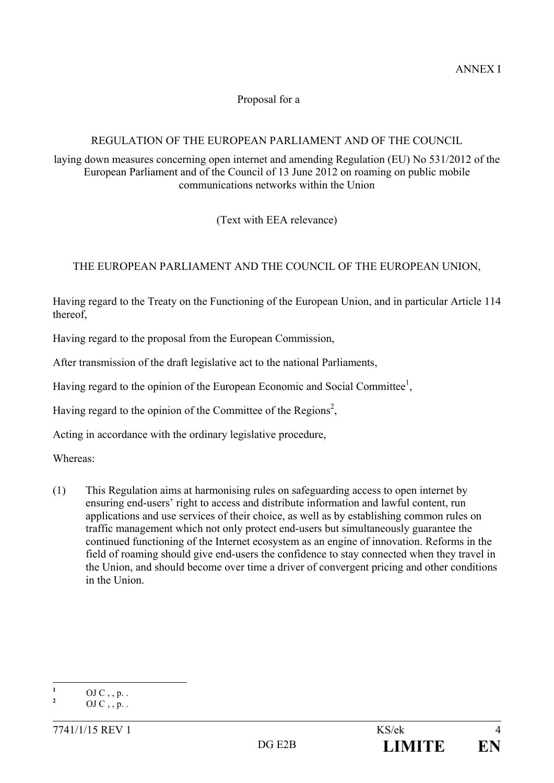#### Proposal for a

## REGULATION OF THE EUROPEAN PARLIAMENT AND OF THE COUNCIL

laying down measures concerning open internet and amending Regulation (EU) No 531/2012 of the European Parliament and of the Council of 13 June 2012 on roaming on public mobile communications networks within the Union

(Text with EEA relevance)

## THE EUROPEAN PARLIAMENT AND THE COUNCIL OF THE EUROPEAN UNION,

Having regard to the Treaty on the Functioning of the European Union, and in particular Article 114 thereof,

Having regard to the proposal from the European Commission,

After transmission of the draft legislative act to the national Parliaments,

Having regard to the opinion of the European Economic and Social Committee<sup>1</sup>,

Having regard to the opinion of the Committee of the Regions<sup>2</sup>,

Acting in accordance with the ordinary legislative procedure,

Whereas:

(1) This Regulation aims at harmonising rules on safeguarding access to open internet by ensuring end-users' right to access and distribute information and lawful content, run applications and use services of their choice, as well as by establishing common rules on traffic management which not only protect end-users but simultaneously guarantee the continued functioning of the Internet ecosystem as an engine of innovation. Reforms in the field of roaming should give end-users the confidence to stay connected when they travel in the Union, and should become over time a driver of convergent pricing and other conditions in the Union.

 **1** OJ  $C$ , , p. . **2**

OJ  $C$ , , p. .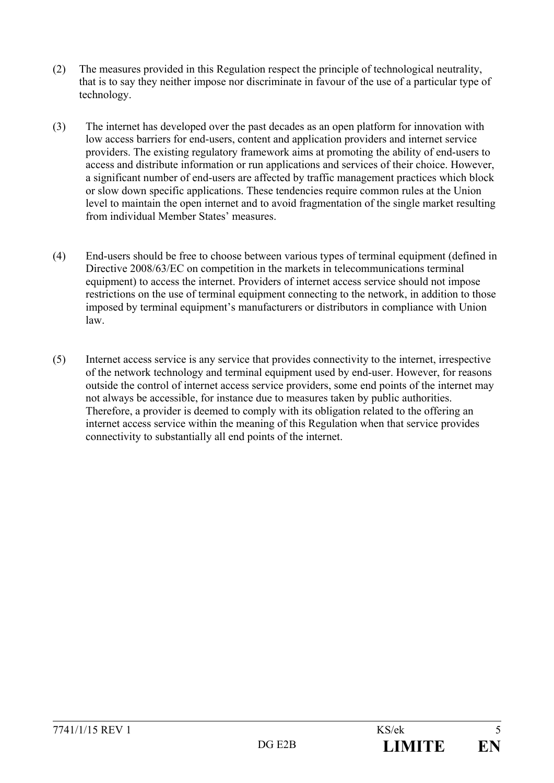- (2) The measures provided in this Regulation respect the principle of technological neutrality, that is to say they neither impose nor discriminate in favour of the use of a particular type of technology.
- (3) The internet has developed over the past decades as an open platform for innovation with low access barriers for end-users, content and application providers and internet service providers. The existing regulatory framework aims at promoting the ability of end-users to access and distribute information or run applications and services of their choice. However, a significant number of end-users are affected by traffic management practices which block or slow down specific applications. These tendencies require common rules at the Union level to maintain the open internet and to avoid fragmentation of the single market resulting from individual Member States' measures.
- (4) End-users should be free to choose between various types of terminal equipment (defined in Directive 2008/63/EC on competition in the markets in telecommunications terminal equipment) to access the internet. Providers of internet access service should not impose restrictions on the use of terminal equipment connecting to the network, in addition to those imposed by terminal equipment's manufacturers or distributors in compliance with Union law.
- (5) Internet access service is any service that provides connectivity to the internet, irrespective of the network technology and terminal equipment used by end-user. However, for reasons outside the control of internet access service providers, some end points of the internet may not always be accessible, for instance due to measures taken by public authorities. Therefore, a provider is deemed to comply with its obligation related to the offering an internet access service within the meaning of this Regulation when that service provides connectivity to substantially all end points of the internet.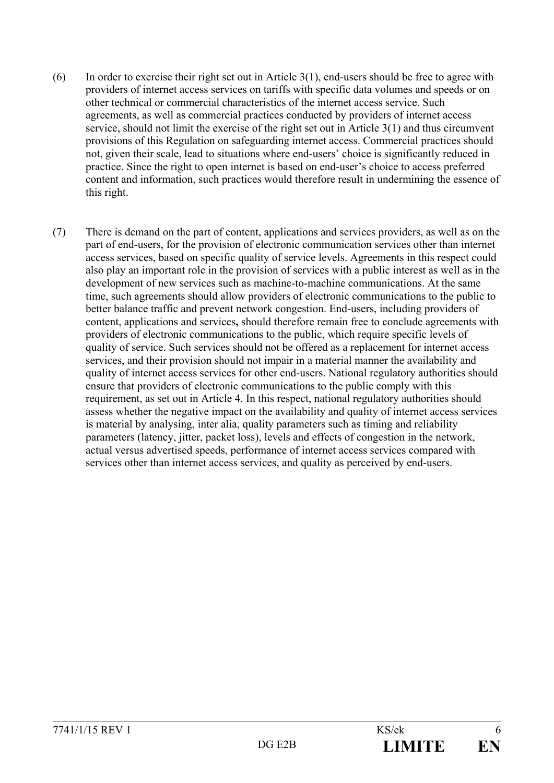- $(6)$  In order to exercise their right set out in Article 3(1), end-users should be free to agree with providers of internet access services on tariffs with specific data volumes and speeds or on other technical or commercial characteristics of the internet access service. Such agreements, as well as commercial practices conducted by providers of internet access service, should not limit the exercise of the right set out in Article 3(1) and thus circumvent provisions of this Regulation on safeguarding internet access. Commercial practices should not, given their scale, lead to situations where end-users' choice is significantly reduced in practice. Since the right to open internet is based on end-user's choice to access preferred content and information, such practices would therefore result in undermining the essence of this right.
- (7) There is demand on the part of content, applications and services providers, as well as on the part of end-users, for the provision of electronic communication services other than internet access services, based on specific quality of service levels. Agreements in this respect could also play an important role in the provision of services with a public interest as well as in the development of new services such as machine-to-machine communications. At the same time, such agreements should allow providers of electronic communications to the public to better balance traffic and prevent network congestion. End-users, including providers of content, applications and services**,** should therefore remain free to conclude agreements with providers of electronic communications to the public, which require specific levels of quality of service. Such services should not be offered as a replacement for internet access services, and their provision should not impair in a material manner the availability and quality of internet access services for other end-users. National regulatory authorities should ensure that providers of electronic communications to the public comply with this requirement, as set out in Article 4. In this respect, national regulatory authorities should assess whether the negative impact on the availability and quality of internet access services is material by analysing, inter alia, quality parameters such as timing and reliability parameters (latency, jitter, packet loss), levels and effects of congestion in the network, actual versus advertised speeds, performance of internet access services compared with services other than internet access services, and quality as perceived by end-users.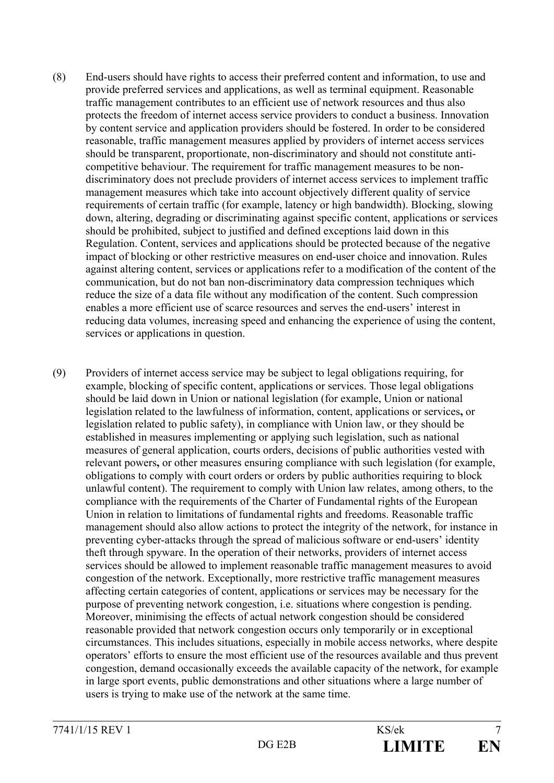- (8) End-users should have rights to access their preferred content and information, to use and provide preferred services and applications, as well as terminal equipment. Reasonable traffic management contributes to an efficient use of network resources and thus also protects the freedom of internet access service providers to conduct a business. Innovation by content service and application providers should be fostered. In order to be considered reasonable, traffic management measures applied by providers of internet access services should be transparent, proportionate, non-discriminatory and should not constitute anticompetitive behaviour. The requirement for traffic management measures to be nondiscriminatory does not preclude providers of internet access services to implement traffic management measures which take into account objectively different quality of service requirements of certain traffic (for example, latency or high bandwidth). Blocking, slowing down, altering, degrading or discriminating against specific content, applications or services should be prohibited, subject to justified and defined exceptions laid down in this Regulation. Content, services and applications should be protected because of the negative impact of blocking or other restrictive measures on end-user choice and innovation. Rules against altering content, services or applications refer to a modification of the content of the communication, but do not ban non-discriminatory data compression techniques which reduce the size of a data file without any modification of the content. Such compression enables a more efficient use of scarce resources and serves the end-users' interest in reducing data volumes, increasing speed and enhancing the experience of using the content, services or applications in question.
- (9) Providers of internet access service may be subject to legal obligations requiring, for example, blocking of specific content, applications or services. Those legal obligations should be laid down in Union or national legislation (for example, Union or national legislation related to the lawfulness of information, content, applications or services**,** or legislation related to public safety), in compliance with Union law, or they should be established in measures implementing or applying such legislation, such as national measures of general application, courts orders, decisions of public authorities vested with relevant powers**,** or other measures ensuring compliance with such legislation (for example, obligations to comply with court orders or orders by public authorities requiring to block unlawful content). The requirement to comply with Union law relates, among others, to the compliance with the requirements of the Charter of Fundamental rights of the European Union in relation to limitations of fundamental rights and freedoms. Reasonable traffic management should also allow actions to protect the integrity of the network, for instance in preventing cyber-attacks through the spread of malicious software or end-users' identity theft through spyware. In the operation of their networks, providers of internet access services should be allowed to implement reasonable traffic management measures to avoid congestion of the network. Exceptionally, more restrictive traffic management measures affecting certain categories of content, applications or services may be necessary for the purpose of preventing network congestion, i.e. situations where congestion is pending. Moreover, minimising the effects of actual network congestion should be considered reasonable provided that network congestion occurs only temporarily or in exceptional circumstances. This includes situations, especially in mobile access networks, where despite operators' efforts to ensure the most efficient use of the resources available and thus prevent congestion, demand occasionally exceeds the available capacity of the network, for example in large sport events, public demonstrations and other situations where a large number of users is trying to make use of the network at the same time.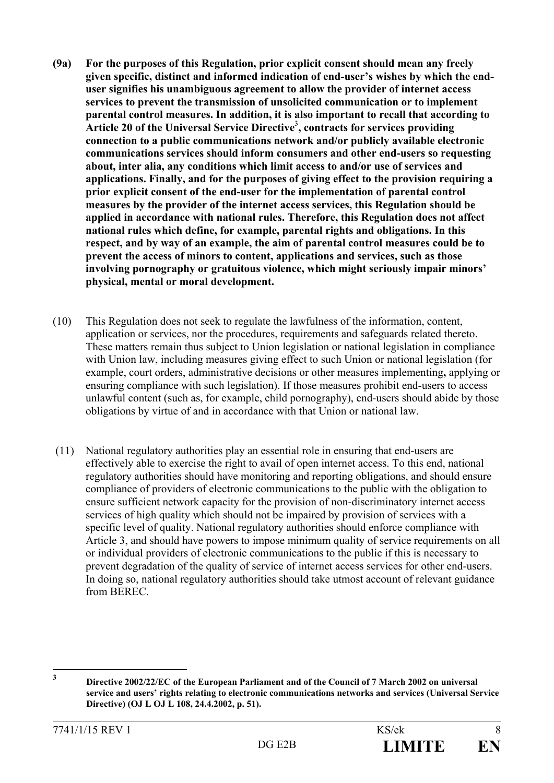- **(9a) For the purposes of this Regulation, prior explicit consent should mean any freely given specific, distinct and informed indication of end-user's wishes by which the enduser signifies his unambiguous agreement to allow the provider of internet access services to prevent the transmission of unsolicited communication or to implement parental control measures. In addition, it is also important to recall that according to Article 20 of the Universal Service Directive**<sup>3</sup> **, contracts for services providing connection to a public communications network and/or publicly available electronic communications services should inform consumers and other end-users so requesting about, inter alia, any conditions which limit access to and/or use of services and applications. Finally, and for the purposes of giving effect to the provision requiring a prior explicit consent of the end-user for the implementation of parental control measures by the provider of the internet access services, this Regulation should be applied in accordance with national rules. Therefore, this Regulation does not affect national rules which define, for example, parental rights and obligations. In this respect, and by way of an example, the aim of parental control measures could be to prevent the access of minors to content, applications and services, such as those involving pornography or gratuitous violence, which might seriously impair minors' physical, mental or moral development.**
- (10) This Regulation does not seek to regulate the lawfulness of the information, content, application or services, nor the procedures, requirements and safeguards related thereto. These matters remain thus subject to Union legislation or national legislation in compliance with Union law, including measures giving effect to such Union or national legislation (for example, court orders, administrative decisions or other measures implementing**,** applying or ensuring compliance with such legislation). If those measures prohibit end-users to access unlawful content (such as, for example, child pornography), end-users should abide by those obligations by virtue of and in accordance with that Union or national law.
- (11) National regulatory authorities play an essential role in ensuring that end-users are effectively able to exercise the right to avail of open internet access. To this end, national regulatory authorities should have monitoring and reporting obligations, and should ensure compliance of providers of electronic communications to the public with the obligation to ensure sufficient network capacity for the provision of non-discriminatory internet access services of high quality which should not be impaired by provision of services with a specific level of quality. National regulatory authorities should enforce compliance with Article 3, and should have powers to impose minimum quality of service requirements on all or individual providers of electronic communications to the public if this is necessary to prevent degradation of the quality of service of internet access services for other end-users. In doing so, national regulatory authorities should take utmost account of relevant guidance from BEREC.

 **3 Directive 2002/22/EC of the European Parliament and of the Council of 7 March 2002 on universal service and users' rights relating to electronic communications networks and services (Universal Service Directive) (OJ L OJ L 108, 24.4.2002, p. 51).**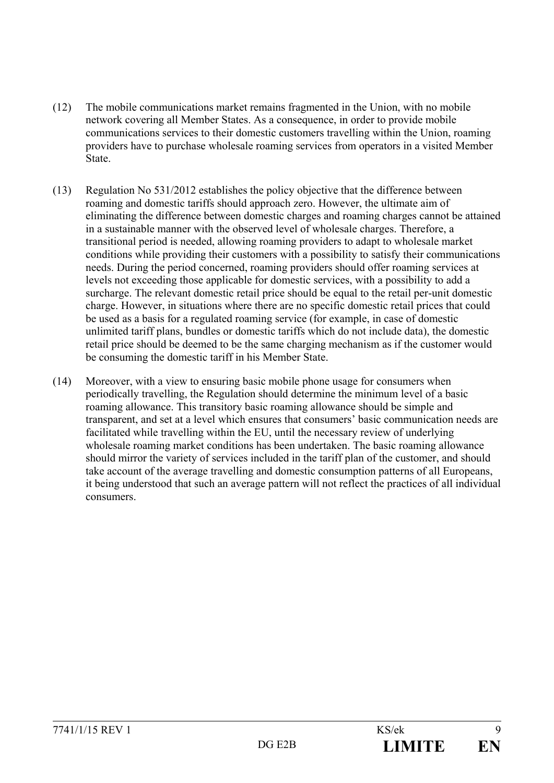- (12) The mobile communications market remains fragmented in the Union, with no mobile network covering all Member States. As a consequence, in order to provide mobile communications services to their domestic customers travelling within the Union, roaming providers have to purchase wholesale roaming services from operators in a visited Member State.
- (13) Regulation No 531/2012 establishes the policy objective that the difference between roaming and domestic tariffs should approach zero. However, the ultimate aim of eliminating the difference between domestic charges and roaming charges cannot be attained in a sustainable manner with the observed level of wholesale charges. Therefore, a transitional period is needed, allowing roaming providers to adapt to wholesale market conditions while providing their customers with a possibility to satisfy their communications needs. During the period concerned, roaming providers should offer roaming services at levels not exceeding those applicable for domestic services, with a possibility to add a surcharge. The relevant domestic retail price should be equal to the retail per-unit domestic charge. However, in situations where there are no specific domestic retail prices that could be used as a basis for a regulated roaming service (for example, in case of domestic unlimited tariff plans, bundles or domestic tariffs which do not include data), the domestic retail price should be deemed to be the same charging mechanism as if the customer would be consuming the domestic tariff in his Member State.
- (14) Moreover, with a view to ensuring basic mobile phone usage for consumers when periodically travelling, the Regulation should determine the minimum level of a basic roaming allowance. This transitory basic roaming allowance should be simple and transparent, and set at a level which ensures that consumers' basic communication needs are facilitated while travelling within the EU, until the necessary review of underlying wholesale roaming market conditions has been undertaken. The basic roaming allowance should mirror the variety of services included in the tariff plan of the customer, and should take account of the average travelling and domestic consumption patterns of all Europeans, it being understood that such an average pattern will not reflect the practices of all individual consumers.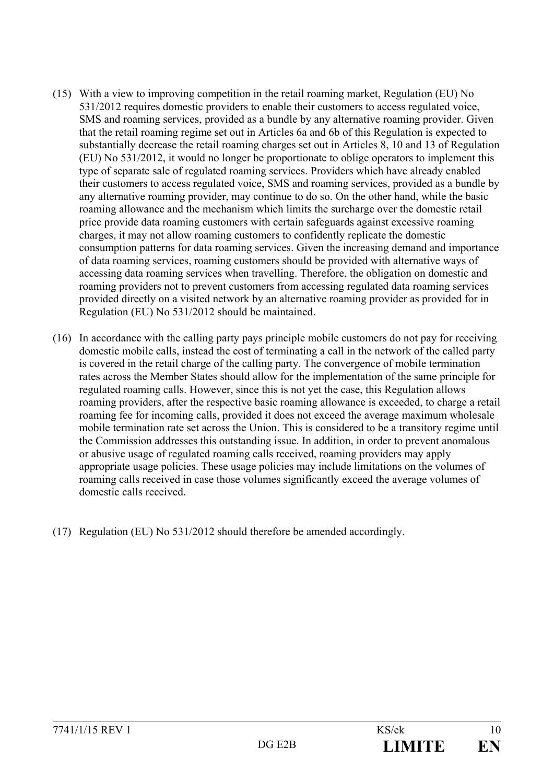- (15) With a view to improving competition in the retail roaming market, Regulation (EU) No 531/2012 requires domestic providers to enable their customers to access regulated voice, SMS and roaming services, provided as a bundle by any alternative roaming provider. Given that the retail roaming regime set out in Articles 6a and 6b of this Regulation is expected to substantially decrease the retail roaming charges set out in Articles 8, 10 and 13 of Regulation (EU) No 531/2012, it would no longer be proportionate to oblige operators to implement this type of separate sale of regulated roaming services. Providers which have already enabled their customers to access regulated voice, SMS and roaming services, provided as a bundle by any alternative roaming provider, may continue to do so. On the other hand, while the basic roaming allowance and the mechanism which limits the surcharge over the domestic retail price provide data roaming customers with certain safeguards against excessive roaming charges, it may not allow roaming customers to confidently replicate the domestic consumption patterns for data roaming services. Given the increasing demand and importance of data roaming services, roaming customers should be provided with alternative ways of accessing data roaming services when travelling. Therefore, the obligation on domestic and roaming providers not to prevent customers from accessing regulated data roaming services provided directly on a visited network by an alternative roaming provider as provided for in Regulation (EU) No 531/2012 should be maintained.
- (16) In accordance with the calling party pays principle mobile customers do not pay for receiving domestic mobile calls, instead the cost of terminating a call in the network of the called party is covered in the retail charge of the calling party. The convergence of mobile termination rates across the Member States should allow for the implementation of the same principle for regulated roaming calls. However, since this is not yet the case, this Regulation allows roaming providers, after the respective basic roaming allowance is exceeded, to charge a retail roaming fee for incoming calls, provided it does not exceed the average maximum wholesale mobile termination rate set across the Union. This is considered to be a transitory regime until the Commission addresses this outstanding issue. In addition, in order to prevent anomalous or abusive usage of regulated roaming calls received, roaming providers may apply appropriate usage policies. These usage policies may include limitations on the volumes of roaming calls received in case those volumes significantly exceed the average volumes of domestic calls received.
- (17) Regulation (EU) No 531/2012 should therefore be amended accordingly.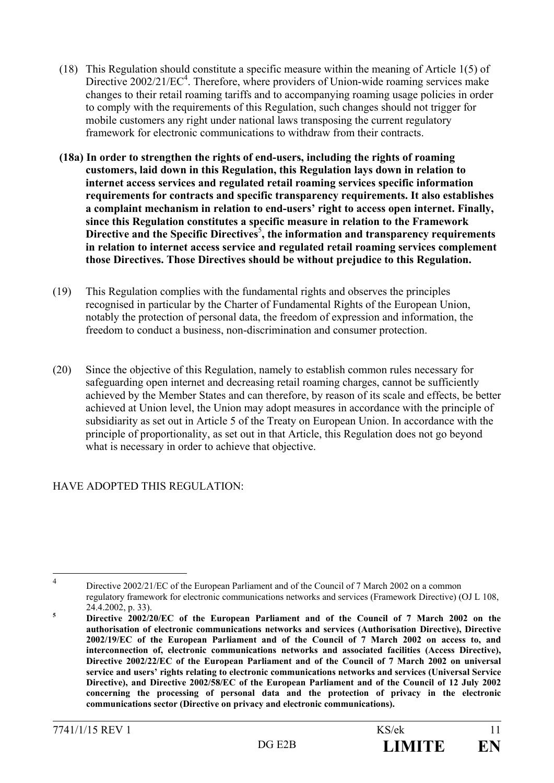- (18) This Regulation should constitute a specific measure within the meaning of Article 1(5) of Directive 2002/21/EC<sup>4</sup>. Therefore, where providers of Union-wide roaming services make changes to their retail roaming tariffs and to accompanying roaming usage policies in order to comply with the requirements of this Regulation, such changes should not trigger for mobile customers any right under national laws transposing the current regulatory framework for electronic communications to withdraw from their contracts.
- **(18a) In order to strengthen the rights of end-users, including the rights of roaming customers, laid down in this Regulation, this Regulation lays down in relation to internet access services and regulated retail roaming services specific information requirements for contracts and specific transparency requirements. It also establishes a complaint mechanism in relation to end-users' right to access open internet. Finally, since this Regulation constitutes a specific measure in relation to the Framework**  Directive and the Specific Directives<sup>5</sup>, the information and transparency requirements **in relation to internet access service and regulated retail roaming services complement those Directives. Those Directives should be without prejudice to this Regulation.**
- (19) This Regulation complies with the fundamental rights and observes the principles recognised in particular by the Charter of Fundamental Rights of the European Union, notably the protection of personal data, the freedom of expression and information, the freedom to conduct a business, non-discrimination and consumer protection.
- (20) Since the objective of this Regulation, namely to establish common rules necessary for safeguarding open internet and decreasing retail roaming charges, cannot be sufficiently achieved by the Member States and can therefore, by reason of its scale and effects, be better achieved at Union level, the Union may adopt measures in accordance with the principle of subsidiarity as set out in Article 5 of the Treaty on European Union. In accordance with the principle of proportionality, as set out in that Article, this Regulation does not go beyond what is necessary in order to achieve that objective.

## HAVE ADOPTED THIS REGULATION:

 $\overline{4}$ 

Directive 2002/21/EC of the European Parliament and of the Council of 7 March 2002 on a common regulatory framework for electronic communications networks and services (Framework Directive) (OJ L 108, 24.4.2002, p. 33).<br>**5** Directive 2002/3

**Directive 2002/20/EC of the European Parliament and of the Council of 7 March 2002 on the authorisation of electronic communications networks and services (Authorisation Directive), Directive 2002/19/EC of the European Parliament and of the Council of 7 March 2002 on access to, and interconnection of, electronic communications networks and associated facilities (Access Directive), Directive 2002/22/EC of the European Parliament and of the Council of 7 March 2002 on universal service and users' rights relating to electronic communications networks and services (Universal Service Directive), and Directive 2002/58/EC of the European Parliament and of the Council of 12 July 2002 concerning the processing of personal data and the protection of privacy in the electronic communications sector (Directive on privacy and electronic communications).**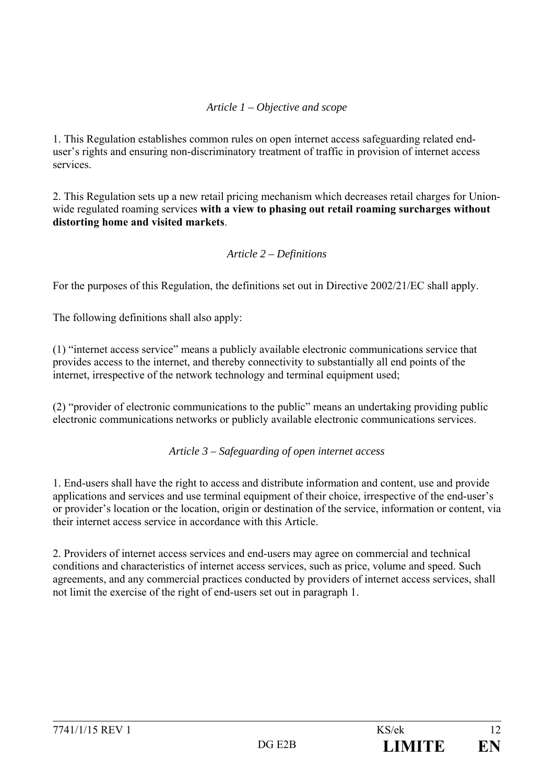### *Article 1 – Objective and scope*

1. This Regulation establishes common rules on open internet access safeguarding related enduser's rights and ensuring non-discriminatory treatment of traffic in provision of internet access services.

2. This Regulation sets up a new retail pricing mechanism which decreases retail charges for Unionwide regulated roaming services **with a view to phasing out retail roaming surcharges without distorting home and visited markets**.

#### *Article 2 – Definitions*

For the purposes of this Regulation, the definitions set out in Directive 2002/21/EC shall apply.

The following definitions shall also apply:

(1) "internet access service" means a publicly available electronic communications service that provides access to the internet, and thereby connectivity to substantially all end points of the internet, irrespective of the network technology and terminal equipment used;

(2) "provider of electronic communications to the public" means an undertaking providing public electronic communications networks or publicly available electronic communications services.

*Article 3 – Safeguarding of open internet access* 

1. End-users shall have the right to access and distribute information and content, use and provide applications and services and use terminal equipment of their choice, irrespective of the end-user's or provider's location or the location, origin or destination of the service, information or content, via their internet access service in accordance with this Article.

2. Providers of internet access services and end-users may agree on commercial and technical conditions and characteristics of internet access services, such as price, volume and speed. Such agreements, and any commercial practices conducted by providers of internet access services, shall not limit the exercise of the right of end-users set out in paragraph 1.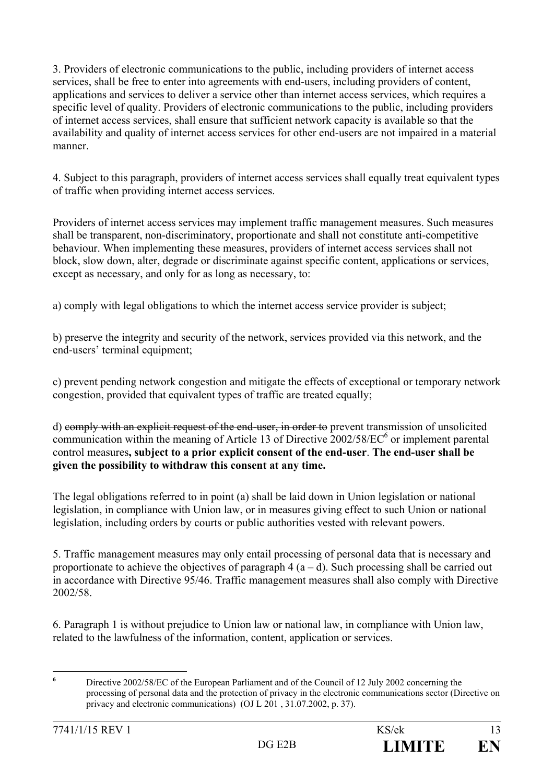3. Providers of electronic communications to the public, including providers of internet access services, shall be free to enter into agreements with end-users, including providers of content, applications and services to deliver a service other than internet access services, which requires a specific level of quality. Providers of electronic communications to the public, including providers of internet access services, shall ensure that sufficient network capacity is available so that the availability and quality of internet access services for other end-users are not impaired in a material manner.

4. Subject to this paragraph, providers of internet access services shall equally treat equivalent types of traffic when providing internet access services.

Providers of internet access services may implement traffic management measures. Such measures shall be transparent, non-discriminatory, proportionate and shall not constitute anti-competitive behaviour. When implementing these measures, providers of internet access services shall not block, slow down, alter, degrade or discriminate against specific content, applications or services, except as necessary, and only for as long as necessary, to:

a) comply with legal obligations to which the internet access service provider is subject;

b) preserve the integrity and security of the network, services provided via this network, and the end-users' terminal equipment;

c) prevent pending network congestion and mitigate the effects of exceptional or temporary network congestion, provided that equivalent types of traffic are treated equally;

d) comply with an explicit request of the end-user, in order to prevent transmission of unsolicited communication within the meaning of Article 13 of Directive  $2002/58/EC^6$  or implement parental control measures**, subject to a prior explicit consent of the end-user**. **The end-user shall be given the possibility to withdraw this consent at any time.**

The legal obligations referred to in point (a) shall be laid down in Union legislation or national legislation, in compliance with Union law, or in measures giving effect to such Union or national legislation, including orders by courts or public authorities vested with relevant powers.

5. Traffic management measures may only entail processing of personal data that is necessary and proportionate to achieve the objectives of paragraph  $4(a-d)$ . Such processing shall be carried out in accordance with Directive 95/46. Traffic management measures shall also comply with Directive 2002/58.

6. Paragraph 1 is without prejudice to Union law or national law, in compliance with Union law, related to the lawfulness of the information, content, application or services.

**6**

Directive 2002/58/EC of the European Parliament and of the Council of 12 July 2002 concerning the processing of personal data and the protection of privacy in the electronic communications sector (Directive on privacy and electronic communications) (OJ L 201 , 31.07.2002, p. 37).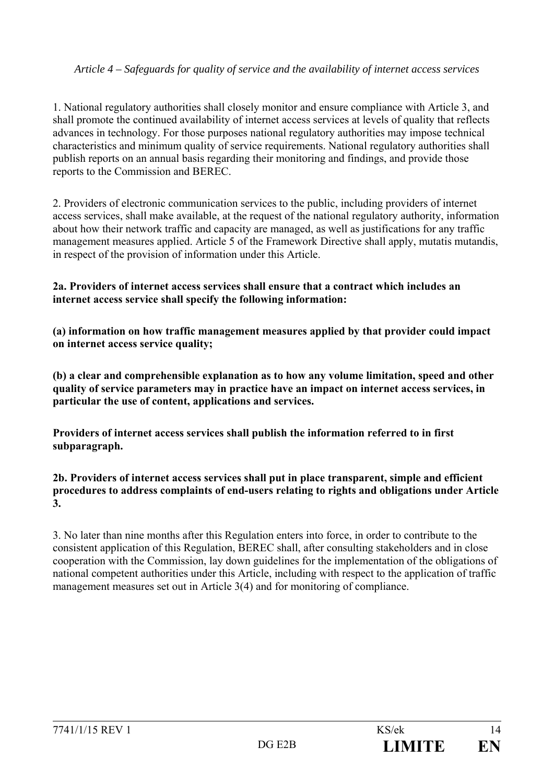#### *Article 4 – Safeguards for quality of service and the availability of internet access services*

1. National regulatory authorities shall closely monitor and ensure compliance with Article 3, and shall promote the continued availability of internet access services at levels of quality that reflects advances in technology. For those purposes national regulatory authorities may impose technical characteristics and minimum quality of service requirements. National regulatory authorities shall publish reports on an annual basis regarding their monitoring and findings, and provide those reports to the Commission and BEREC.

2. Providers of electronic communication services to the public, including providers of internet access services, shall make available, at the request of the national regulatory authority, information about how their network traffic and capacity are managed, as well as justifications for any traffic management measures applied. Article 5 of the Framework Directive shall apply, mutatis mutandis, in respect of the provision of information under this Article.

#### **2a. Providers of internet access services shall ensure that a contract which includes an internet access service shall specify the following information:**

**(a) information on how traffic management measures applied by that provider could impact on internet access service quality;** 

**(b) a clear and comprehensible explanation as to how any volume limitation, speed and other quality of service parameters may in practice have an impact on internet access services, in particular the use of content, applications and services.** 

**Providers of internet access services shall publish the information referred to in first subparagraph.** 

#### **2b. Providers of internet access services shall put in place transparent, simple and efficient procedures to address complaints of end-users relating to rights and obligations under Article 3.**

3. No later than nine months after this Regulation enters into force, in order to contribute to the consistent application of this Regulation, BEREC shall, after consulting stakeholders and in close cooperation with the Commission, lay down guidelines for the implementation of the obligations of national competent authorities under this Article, including with respect to the application of traffic management measures set out in Article 3(4) and for monitoring of compliance.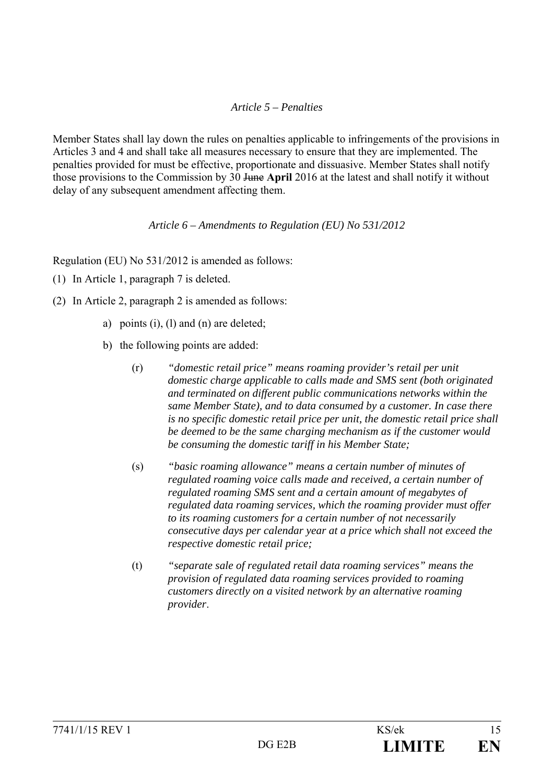#### *Article 5 – Penalties*

Member States shall lay down the rules on penalties applicable to infringements of the provisions in Articles 3 and 4 and shall take all measures necessary to ensure that they are implemented. The penalties provided for must be effective, proportionate and dissuasive. Member States shall notify those provisions to the Commission by 30 June **April** 2016 at the latest and shall notify it without delay of any subsequent amendment affecting them.

#### *Article 6 – Amendments to Regulation (EU) No 531/2012*

Regulation (EU) No 531/2012 is amended as follows:

- (1) In Article 1, paragraph 7 is deleted.
- (2) In Article 2, paragraph 2 is amended as follows:
	- a) points (i), (l) and (n) are deleted;
	- b) the following points are added:
		- (r) *"domestic retail price" means roaming provider's retail per unit domestic charge applicable to calls made and SMS sent (both originated and terminated on different public communications networks within the same Member State), and to data consumed by a customer. In case there is no specific domestic retail price per unit, the domestic retail price shall be deemed to be the same charging mechanism as if the customer would be consuming the domestic tariff in his Member State;*
		- (s) *"basic roaming allowance" means a certain number of minutes of regulated roaming voice calls made and received, a certain number of regulated roaming SMS sent and a certain amount of megabytes of regulated data roaming services, which the roaming provider must offer to its roaming customers for a certain number of not necessarily consecutive days per calendar year at a price which shall not exceed the respective domestic retail price;*
		- (t) *"separate sale of regulated retail data roaming services" means the provision of regulated data roaming services provided to roaming customers directly on a visited network by an alternative roaming provider*.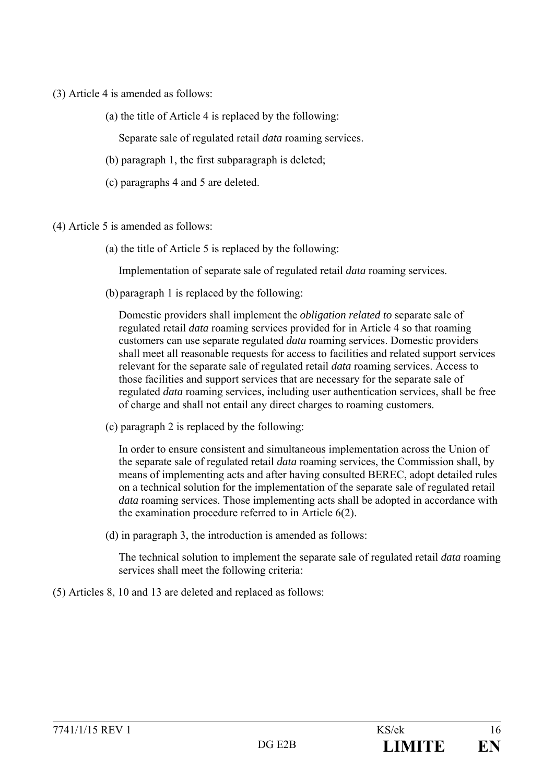- (3) Article 4 is amended as follows:
	- (a) the title of Article 4 is replaced by the following:

Separate sale of regulated retail *data* roaming services.

- (b) paragraph 1, the first subparagraph is deleted;
- (c) paragraphs 4 and 5 are deleted.
- (4) Article 5 is amended as follows:
	- (a) the title of Article 5 is replaced by the following:

Implementation of separate sale of regulated retail *data* roaming services.

(b)paragraph 1 is replaced by the following:

Domestic providers shall implement the *obligation related to* separate sale of regulated retail *data* roaming services provided for in Article 4 so that roaming customers can use separate regulated *data* roaming services. Domestic providers shall meet all reasonable requests for access to facilities and related support services relevant for the separate sale of regulated retail *data* roaming services. Access to those facilities and support services that are necessary for the separate sale of regulated *data* roaming services, including user authentication services, shall be free of charge and shall not entail any direct charges to roaming customers.

(c) paragraph 2 is replaced by the following:

In order to ensure consistent and simultaneous implementation across the Union of the separate sale of regulated retail *data* roaming services, the Commission shall, by means of implementing acts and after having consulted BEREC, adopt detailed rules on a technical solution for the implementation of the separate sale of regulated retail *data* roaming services. Those implementing acts shall be adopted in accordance with the examination procedure referred to in Article 6(2).

(d) in paragraph 3, the introduction is amended as follows:

The technical solution to implement the separate sale of regulated retail *data* roaming services shall meet the following criteria:

(5) Articles 8, 10 and 13 are deleted and replaced as follows: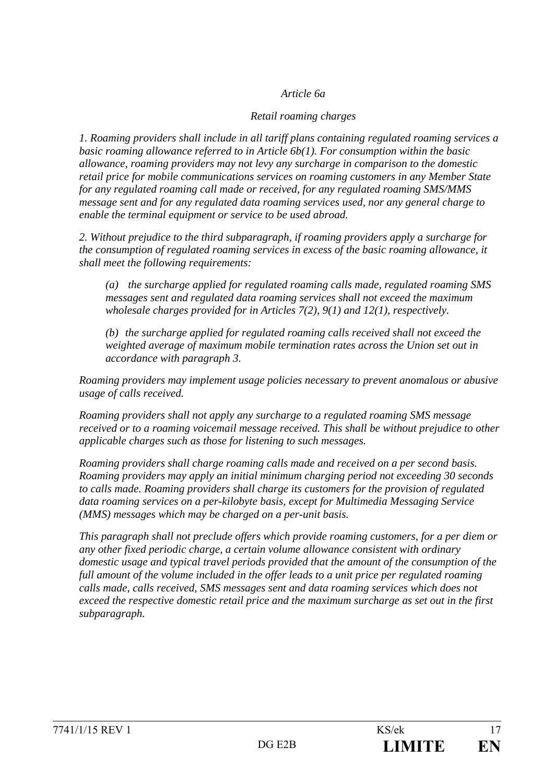#### *Article 6a*

#### *Retail roaming charges*

*1. Roaming providers shall include in all tariff plans containing regulated roaming services a basic roaming allowance referred to in Article 6b(1). For consumption within the basic allowance, roaming providers may not levy any surcharge in comparison to the domestic retail price for mobile communications services on roaming customers in any Member State for any regulated roaming call made or received, for any regulated roaming SMS/MMS message sent and for any regulated data roaming services used, nor any general charge to enable the terminal equipment or service to be used abroad.* 

*2. Without prejudice to the third subparagraph, if roaming providers apply a surcharge for the consumption of regulated roaming services in excess of the basic roaming allowance, it shall meet the following requirements:* 

*(a) the surcharge applied for regulated roaming calls made, regulated roaming SMS messages sent and regulated data roaming services shall not exceed the maximum wholesale charges provided for in Articles 7(2), 9(1) and 12(1), respectively.* 

*(b) the surcharge applied for regulated roaming calls received shall not exceed the weighted average of maximum mobile termination rates across the Union set out in accordance with paragraph 3.* 

*Roaming providers may implement usage policies necessary to prevent anomalous or abusive usage of calls received.* 

*Roaming providers shall not apply any surcharge to a regulated roaming SMS message received or to a roaming voicemail message received. This shall be without prejudice to other applicable charges such as those for listening to such messages.* 

*Roaming providers shall charge roaming calls made and received on a per second basis. Roaming providers may apply an initial minimum charging period not exceeding 30 seconds to calls made. Roaming providers shall charge its customers for the provision of regulated data roaming services on a per-kilobyte basis, except for Multimedia Messaging Service (MMS) messages which may be charged on a per-unit basis.* 

*This paragraph shall not preclude offers which provide roaming customers, for a per diem or any other fixed periodic charge, a certain volume allowance consistent with ordinary domestic usage and typical travel periods provided that the amount of the consumption of the full amount of the volume included in the offer leads to a unit price per regulated roaming calls made, calls received, SMS messages sent and data roaming services which does not exceed the respective domestic retail price and the maximum surcharge as set out in the first subparagraph.*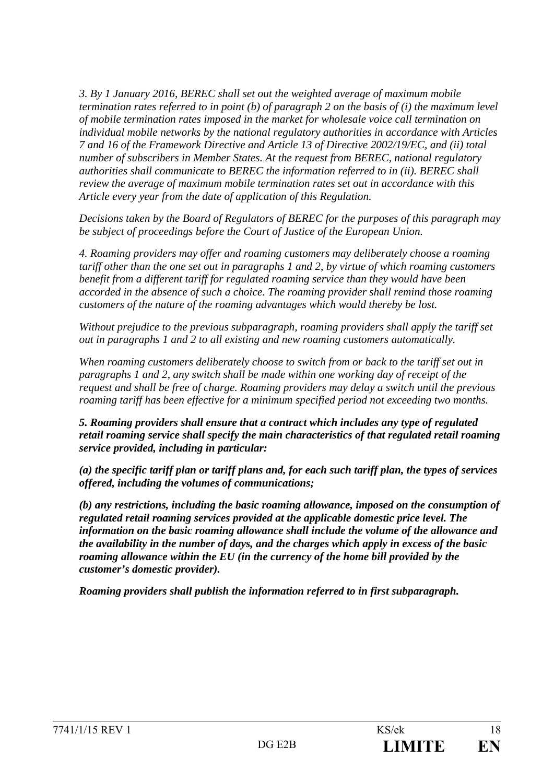*3. By 1 January 2016, BEREC shall set out the weighted average of maximum mobile termination rates referred to in point (b) of paragraph 2 on the basis of (i) the maximum level of mobile termination rates imposed in the market for wholesale voice call termination on individual mobile networks by the national regulatory authorities in accordance with Articles 7 and 16 of the Framework Directive and Article 13 of Directive 2002/19/EC, and (ii) total number of subscribers in Member States. At the request from BEREC, national regulatory authorities shall communicate to BEREC the information referred to in (ii). BEREC shall review the average of maximum mobile termination rates set out in accordance with this Article every year from the date of application of this Regulation.*

*Decisions taken by the Board of Regulators of BEREC for the purposes of this paragraph may be subject of proceedings before the Court of Justice of the European Union.* 

*4. Roaming providers may offer and roaming customers may deliberately choose a roaming tariff other than the one set out in paragraphs 1 and 2, by virtue of which roaming customers benefit from a different tariff for regulated roaming service than they would have been accorded in the absence of such a choice. The roaming provider shall remind those roaming customers of the nature of the roaming advantages which would thereby be lost.* 

*Without prejudice to the previous subparagraph, roaming providers shall apply the tariff set out in paragraphs 1 and 2 to all existing and new roaming customers automatically.* 

*When roaming customers deliberately choose to switch from or back to the tariff set out in paragraphs 1 and 2, any switch shall be made within one working day of receipt of the request and shall be free of charge. Roaming providers may delay a switch until the previous roaming tariff has been effective for a minimum specified period not exceeding two months.* 

*5. Roaming providers shall ensure that a contract which includes any type of regulated retail roaming service shall specify the main characteristics of that regulated retail roaming service provided, including in particular:* 

*(a) the specific tariff plan or tariff plans and, for each such tariff plan, the types of services offered, including the volumes of communications;* 

*(b) any restrictions, including the basic roaming allowance, imposed on the consumption of regulated retail roaming services provided at the applicable domestic price level. The information on the basic roaming allowance shall include the volume of the allowance and the availability in the number of days, and the charges which apply in excess of the basic roaming allowance within the EU (in the currency of the home bill provided by the customer's domestic provider).* 

*Roaming providers shall publish the information referred to in first subparagraph.*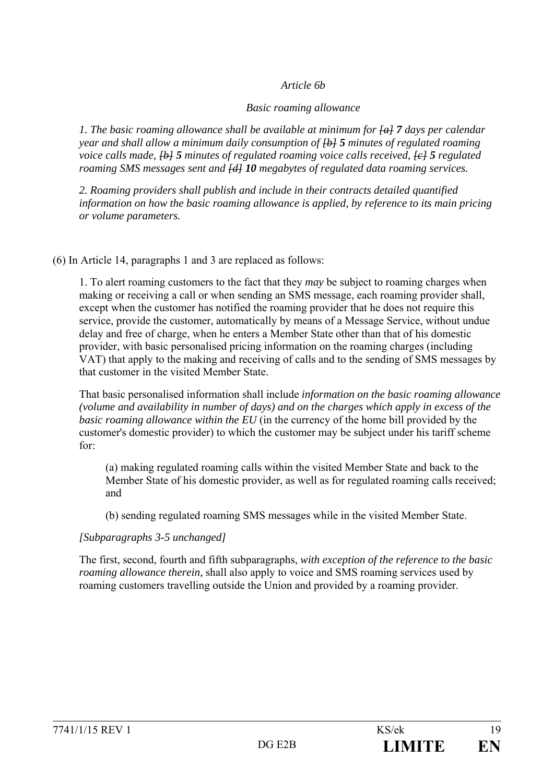#### *Article 6b*

#### *Basic roaming allowance*

*1. The basic roaming allowance shall be available at minimum for [a] 7 days per calendar year and shall allow a minimum daily consumption of [b] 5 minutes of regulated roaming voice calls made,*  $\overline{\text{+b+5}}$  *minutes of regulated roaming voice calls received,*  $\overline{\text{+c+5}}$  *regulated roaming SMS messages sent and [d] 10 megabytes of regulated data roaming services.* 

*2. Roaming providers shall publish and include in their contracts detailed quantified information on how the basic roaming allowance is applied, by reference to its main pricing or volume parameters.* 

(6) In Article 14, paragraphs 1 and 3 are replaced as follows:

1. To alert roaming customers to the fact that they *may* be subject to roaming charges when making or receiving a call or when sending an SMS message, each roaming provider shall, except when the customer has notified the roaming provider that he does not require this service, provide the customer, automatically by means of a Message Service, without undue delay and free of charge, when he enters a Member State other than that of his domestic provider, with basic personalised pricing information on the roaming charges (including VAT) that apply to the making and receiving of calls and to the sending of SMS messages by that customer in the visited Member State.

That basic personalised information shall include *information on the basic roaming allowance (volume and availability in number of days) and on the charges which apply in excess of the basic roaming allowance within the EU* (in the currency of the home bill provided by the customer's domestic provider) to which the customer may be subject under his tariff scheme for:

(a) making regulated roaming calls within the visited Member State and back to the Member State of his domestic provider, as well as for regulated roaming calls received; and

(b) sending regulated roaming SMS messages while in the visited Member State.

### *[Subparagraphs 3-5 unchanged]*

The first, second, fourth and fifth subparagraphs, *with exception of the reference to the basic roaming allowance therein,* shall also apply to voice and SMS roaming services used by roaming customers travelling outside the Union and provided by a roaming provider.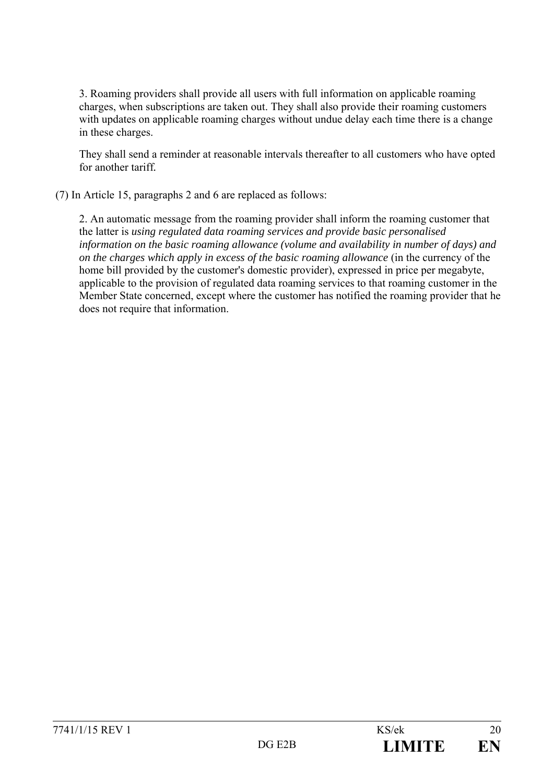3. Roaming providers shall provide all users with full information on applicable roaming charges, when subscriptions are taken out. They shall also provide their roaming customers with updates on applicable roaming charges without undue delay each time there is a change in these charges.

They shall send a reminder at reasonable intervals thereafter to all customers who have opted for another tariff*.*

(7) In Article 15, paragraphs 2 and 6 are replaced as follows:

2. An automatic message from the roaming provider shall inform the roaming customer that the latter is *using regulated data roaming services and provide basic personalised information on the basic roaming allowance (volume and availability in number of days) and on the charges which apply in excess of the basic roaming allowance* (in the currency of the home bill provided by the customer's domestic provider), expressed in price per megabyte, applicable to the provision of regulated data roaming services to that roaming customer in the Member State concerned, except where the customer has notified the roaming provider that he does not require that information.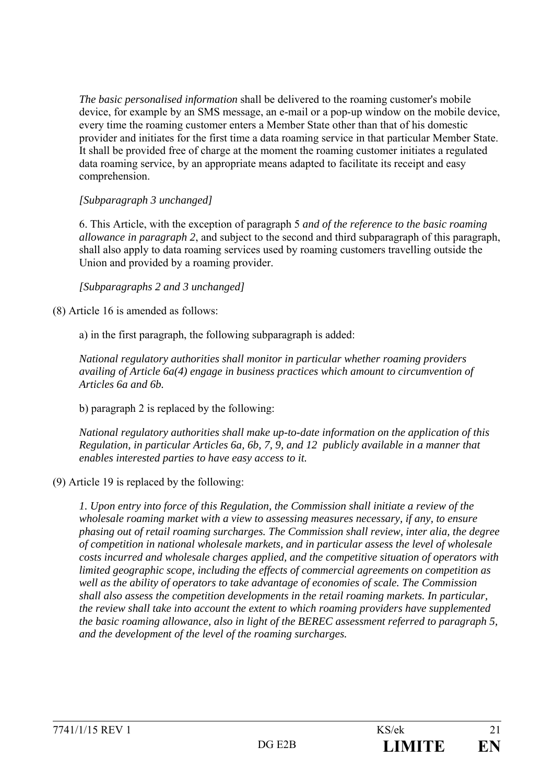*The basic personalised information* shall be delivered to the roaming customer's mobile device, for example by an SMS message, an e-mail or a pop-up window on the mobile device, every time the roaming customer enters a Member State other than that of his domestic provider and initiates for the first time a data roaming service in that particular Member State. It shall be provided free of charge at the moment the roaming customer initiates a regulated data roaming service, by an appropriate means adapted to facilitate its receipt and easy comprehension.

#### *[Subparagraph 3 unchanged]*

6. This Article, with the exception of paragraph 5 *and of the reference to the basic roaming allowance in paragraph 2*, and subject to the second and third subparagraph of this paragraph, shall also apply to data roaming services used by roaming customers travelling outside the Union and provided by a roaming provider.

*[Subparagraphs 2 and 3 unchanged]*

(8) Article 16 is amended as follows:

a) in the first paragraph, the following subparagraph is added:

*National regulatory authorities shall monitor in particular whether roaming providers availing of Article 6a(4) engage in business practices which amount to circumvention of Articles 6a and 6b.* 

b) paragraph 2 is replaced by the following:

*National regulatory authorities shall make up-to-date information on the application of this Regulation, in particular Articles 6a, 6b, 7, 9, and 12 publicly available in a manner that enables interested parties to have easy access to it.* 

(9) Article 19 is replaced by the following:

*1. Upon entry into force of this Regulation, the Commission shall initiate a review of the wholesale roaming market with a view to assessing measures necessary, if any, to ensure phasing out of retail roaming surcharges. The Commission shall review, inter alia, the degree of competition in national wholesale markets, and in particular assess the level of wholesale costs incurred and wholesale charges applied, and the competitive situation of operators with limited geographic scope, including the effects of commercial agreements on competition as well as the ability of operators to take advantage of economies of scale. The Commission shall also assess the competition developments in the retail roaming markets. In particular, the review shall take into account the extent to which roaming providers have supplemented the basic roaming allowance, also in light of the BEREC assessment referred to paragraph 5, and the development of the level of the roaming surcharges.*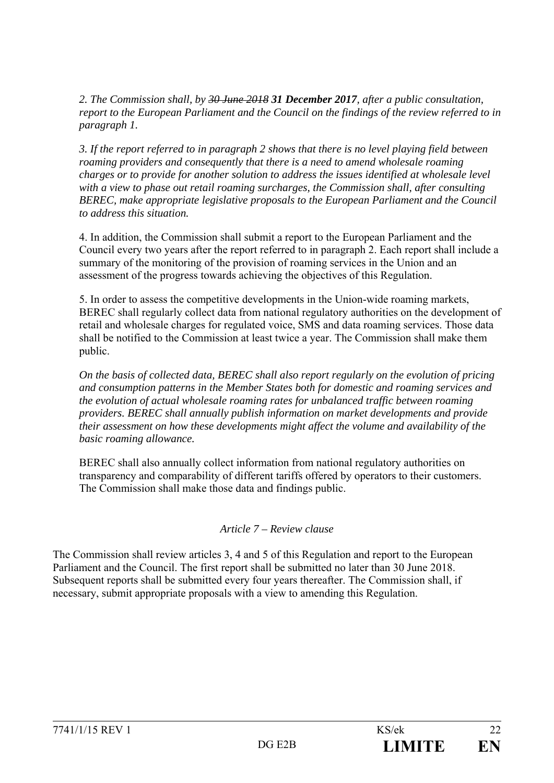*2. The Commission shall, by 30 June 2018 31 December 2017, after a public consultation, report to the European Parliament and the Council on the findings of the review referred to in paragraph 1.* 

*3. If the report referred to in paragraph 2 shows that there is no level playing field between roaming providers and consequently that there is a need to amend wholesale roaming charges or to provide for another solution to address the issues identified at wholesale level with a view to phase out retail roaming surcharges, the Commission shall, after consulting BEREC, make appropriate legislative proposals to the European Parliament and the Council to address this situation.* 

4. In addition, the Commission shall submit a report to the European Parliament and the Council every two years after the report referred to in paragraph 2. Each report shall include a summary of the monitoring of the provision of roaming services in the Union and an assessment of the progress towards achieving the objectives of this Regulation.

5. In order to assess the competitive developments in the Union-wide roaming markets, BEREC shall regularly collect data from national regulatory authorities on the development of retail and wholesale charges for regulated voice, SMS and data roaming services. Those data shall be notified to the Commission at least twice a year. The Commission shall make them public.

*On the basis of collected data, BEREC shall also report regularly on the evolution of pricing and consumption patterns in the Member States both for domestic and roaming services and the evolution of actual wholesale roaming rates for unbalanced traffic between roaming providers. BEREC shall annually publish information on market developments and provide their assessment on how these developments might affect the volume and availability of the basic roaming allowance.* 

BEREC shall also annually collect information from national regulatory authorities on transparency and comparability of different tariffs offered by operators to their customers. The Commission shall make those data and findings public.

### *Article 7 – Review clause*

The Commission shall review articles 3, 4 and 5 of this Regulation and report to the European Parliament and the Council. The first report shall be submitted no later than 30 June 2018. Subsequent reports shall be submitted every four years thereafter. The Commission shall, if necessary, submit appropriate proposals with a view to amending this Regulation.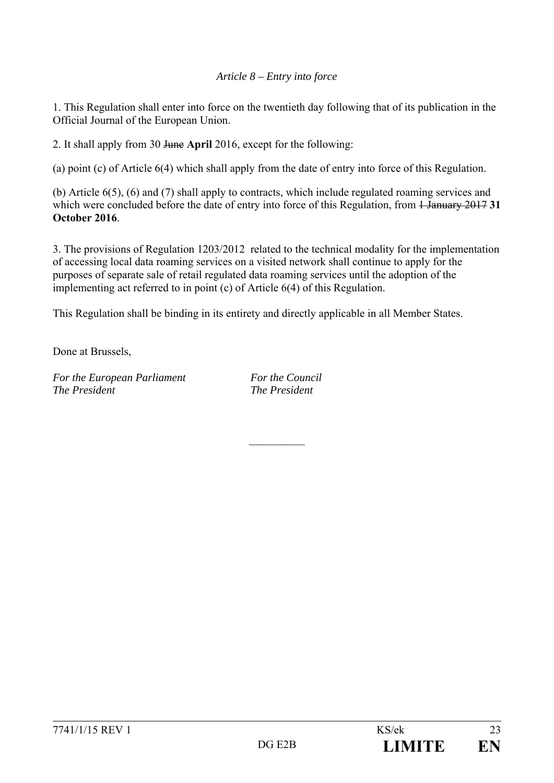#### *Article 8 – Entry into force*

1. This Regulation shall enter into force on the twentieth day following that of its publication in the Official Journal of the European Union.

2. It shall apply from 30 June **April** 2016, except for the following:

(a) point (c) of Article 6(4) which shall apply from the date of entry into force of this Regulation.

(b) Article 6(5), (6) and (7) shall apply to contracts, which include regulated roaming services and which were concluded before the date of entry into force of this Regulation, from <del>1 January 2017</del> 31 **October 2016**.

3. The provisions of Regulation 1203/2012 related to the technical modality for the implementation of accessing local data roaming services on a visited network shall continue to apply for the purposes of separate sale of retail regulated data roaming services until the adoption of the implementing act referred to in point (c) of Article 6(4) of this Regulation.

This Regulation shall be binding in its entirety and directly applicable in all Member States.

Done at Brussels,

*For the European Parliament For the Council The President The President* 

 $\frac{1}{2}$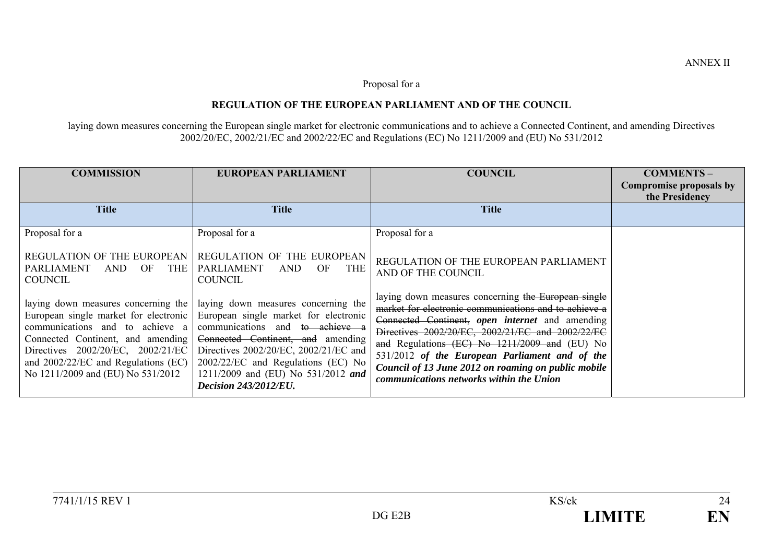#### Proposal for a

#### **REGULATION OF THE EUROPEAN PARLIAMENT AND OF THE COUNCIL**

laying down measures concerning the European single market for electronic communications and to achieve a Connected Continent, and amending Directives 2002/20/EC, 2002/21/EC and 2002/22/EC and Regulations (EC) No 1211/2009 and (EU) No 531/2012

| <b>COMMISSION</b>                                                                                                                                                                                                            | <b>EUROPEAN PARLIAMENT</b>                                                                                                                                                                                                                                                                                                                      | <b>COUNCIL</b>                                                                                                                                                                                                                                                                                                                                                                                                            | <b>COMMENTS-</b><br>Compromise proposals by<br>the Presidency |
|------------------------------------------------------------------------------------------------------------------------------------------------------------------------------------------------------------------------------|-------------------------------------------------------------------------------------------------------------------------------------------------------------------------------------------------------------------------------------------------------------------------------------------------------------------------------------------------|---------------------------------------------------------------------------------------------------------------------------------------------------------------------------------------------------------------------------------------------------------------------------------------------------------------------------------------------------------------------------------------------------------------------------|---------------------------------------------------------------|
| <b>Title</b>                                                                                                                                                                                                                 | <b>Title</b>                                                                                                                                                                                                                                                                                                                                    | <b>Title</b>                                                                                                                                                                                                                                                                                                                                                                                                              |                                                               |
| Proposal for a                                                                                                                                                                                                               | Proposal for a                                                                                                                                                                                                                                                                                                                                  | Proposal for a                                                                                                                                                                                                                                                                                                                                                                                                            |                                                               |
| REGULATION OF THE EUROPEAN<br><b>PARLIAMENT</b><br>OF<br><b>THE</b><br>AND<br><b>COUNCIL</b>                                                                                                                                 | REGULATION OF THE EUROPEAN<br><b>PARLIAMENT</b><br><b>THE</b><br><b>AND</b><br>OF<br><b>COUNCIL</b>                                                                                                                                                                                                                                             | REGULATION OF THE EUROPEAN PARLIAMENT<br>AND OF THE COUNCIL                                                                                                                                                                                                                                                                                                                                                               |                                                               |
| laying down measures concerning the<br>communications and to achieve a<br>Connected Continent, and amending<br>Directives 2002/20/EC, 2002/21/EC<br>and 2002/22/EC and Regulations (EC)<br>No 1211/2009 and (EU) No 531/2012 | laying down measures concerning the<br>European single market for electronic European single market for electronic<br>communications and to achieve a<br>Connected Continent, and amending<br>Directives 2002/20/EC, 2002/21/EC and<br>2002/22/EC and Regulations (EC) No<br>1211/2009 and (EU) No 531/2012 and<br><b>Decision 243/2012/EU.</b> | laying down measures concerning the European single<br>market for electronic communications and to achieve a<br>Connected Continent, open internet and amending<br>Directives 2002/20/EC, 2002/21/EC and 2002/22/EC<br>and Regulations (EC) No 1211/2009 and (EU) No<br>531/2012 of the European Parliament and of the<br>Council of 13 June 2012 on roaming on public mobile<br>communications networks within the Union |                                                               |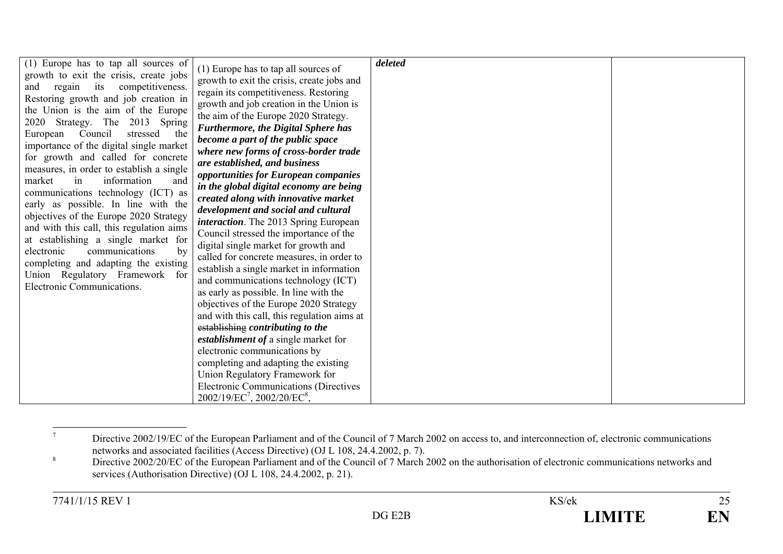| (1) Europe has to tap all sources of                                              |                                               | deleted |  |
|-----------------------------------------------------------------------------------|-----------------------------------------------|---------|--|
| growth to exit the crisis, create jobs                                            | (1) Europe has to tap all sources of          |         |  |
| regain its competitiveness.<br>and                                                | growth to exit the crisis, create jobs and    |         |  |
| Restoring growth and job creation in                                              | regain its competitiveness. Restoring         |         |  |
| the Union is the aim of the Europe                                                | growth and job creation in the Union is       |         |  |
|                                                                                   | the aim of the Europe 2020 Strategy.          |         |  |
| 2020 Strategy. The 2013 Spring                                                    | Furthermore, the Digital Sphere has           |         |  |
| Council<br>European<br>stressed<br>the<br>importance of the digital single market | become a part of the public space             |         |  |
|                                                                                   | where new forms of cross-border trade         |         |  |
| for growth and called for concrete                                                | are established, and business                 |         |  |
| measures, in order to establish a single                                          | opportunities for European companies          |         |  |
| market<br>information<br>and<br>in                                                | in the global digital economy are being       |         |  |
| communications technology (ICT) as                                                | created along with innovative market          |         |  |
| early as possible. In line with the                                               | development and social and cultural           |         |  |
| objectives of the Europe 2020 Strategy                                            | <i>interaction</i> . The 2013 Spring European |         |  |
| and with this call, this regulation aims                                          | Council stressed the importance of the        |         |  |
| at establishing a single market for                                               | digital single market for growth and          |         |  |
| electronic<br>communications<br>by                                                | called for concrete measures, in order to     |         |  |
| completing and adapting the existing                                              | establish a single market in information      |         |  |
| Union Regulatory Framework for                                                    | and communications technology (ICT)           |         |  |
| Electronic Communications.                                                        | as early as possible. In line with the        |         |  |
|                                                                                   | objectives of the Europe 2020 Strategy        |         |  |
|                                                                                   | and with this call, this regulation aims at   |         |  |
|                                                                                   | establishing contributing to the              |         |  |
|                                                                                   | <i>establishment of a single market for</i>   |         |  |
|                                                                                   | electronic communications by                  |         |  |
|                                                                                   | completing and adapting the existing          |         |  |
|                                                                                   | Union Regulatory Framework for                |         |  |
|                                                                                   | <b>Electronic Communications (Directives</b>  |         |  |
|                                                                                   | $2002/19/EC^7$ , $2002/20/EC^8$ ,             |         |  |

<sup>7</sup>Directive 2002/19/EC of the European Parliament and of the Council of 7 March 2002 on access to, and interconnection of, electronic communications networks and associated facilities (Access Directive) (OJ L 108, 24.4.2002,

<sup>&</sup>lt;sup>8</sup> Directive 2002/20/EC of the European Parliament and of the Council of 7 March 2002 on the authorisation of electronic communications networks and services (Authorisation Directive) (OJ L 108, 24.4.2002, p. 21).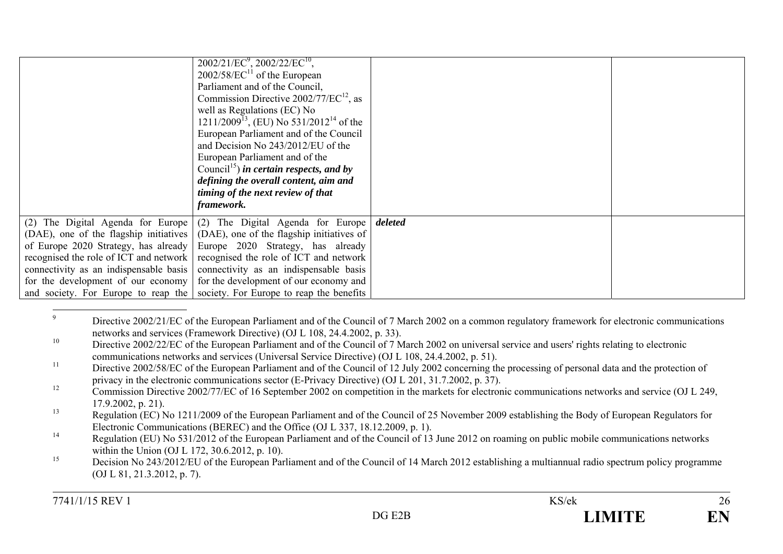|                                        | $2002/21/EC^9$ , $2002/22/EC^{10}$ ,<br>$2002/58/EC^{11}$ of the European<br>Parliament and of the Council,<br>Commission Directive $2002/77/EC^{12}$ , as<br>well as Regulations (EC) No<br>$1211/2009^{13}$ , (EU) No 531/2012 <sup>14</sup> of the<br>European Parliament and of the Council<br>and Decision No 243/2012/EU of the<br>European Parliament and of the<br>Council <sup>15</sup> ) in certain respects, and by<br>defining the overall content, aim and<br>timing of the next review of that<br>framework. |         |  |
|----------------------------------------|----------------------------------------------------------------------------------------------------------------------------------------------------------------------------------------------------------------------------------------------------------------------------------------------------------------------------------------------------------------------------------------------------------------------------------------------------------------------------------------------------------------------------|---------|--|
|                                        | (2) The Digital Agenda for Europe $(2)$ The Digital Agenda for Europe                                                                                                                                                                                                                                                                                                                                                                                                                                                      | deleted |  |
|                                        | (DAE), one of the flagship initiatives $(DAE)$ , one of the flagship initiatives of                                                                                                                                                                                                                                                                                                                                                                                                                                        |         |  |
|                                        | of Europe 2020 Strategy, has already Europe 2020 Strategy, has already                                                                                                                                                                                                                                                                                                                                                                                                                                                     |         |  |
| recognised the role of ICT and network | recognised the role of ICT and network                                                                                                                                                                                                                                                                                                                                                                                                                                                                                     |         |  |
| connectivity as an indispensable basis | connectivity as an indispensable basis                                                                                                                                                                                                                                                                                                                                                                                                                                                                                     |         |  |
|                                        | for the development of our economy for the development of our economy and                                                                                                                                                                                                                                                                                                                                                                                                                                                  |         |  |
|                                        | and society. For Europe to reap the society. For Europe to reap the benefits                                                                                                                                                                                                                                                                                                                                                                                                                                               |         |  |

<sup>&</sup>lt;sup>9</sup> Directive 2002/21/EC of the European Parliament and of the Council of 7 March 2002 on a common regulatory framework for electronic communications networks and services (Framework Directive) (OJ L 108, 24.4.2002, p. 33).

<sup>&</sup>lt;sup>10</sup> Directive 2002/22/EC of the European Parliament and of the Council of 7 March 2002 on universal service and users' rights relating to electronic communications networks and services (Universal Service Directive) (OJ L 108, 24.4.2002, p. 51).

<sup>&</sup>lt;sup>11</sup> Directive 2002/58/EC of the European Parliament and of the Council of 12 July 2002 concerning the processing of personal data and the protection of privacy in the electronic communications sector (E-Privacy Directive) (OJ L 201, 31.7.2002, p. 37).

<sup>&</sup>lt;sup>12</sup> Commission Directive 2002/77/EC of 16 September 2002 on competition in the markets for electronic communications networks and service (OJ L 249, 17.9.2002, p. 21).

<sup>&</sup>lt;sup>13</sup> Regulation (EC) No 1211/2009 of the European Parliament and of the Council of 25 November 2009 establishing the Body of European Regulators for Electronic Communications (BEREC) and the Office (OJ L 337, 18.12.2009, p. 1).

<sup>&</sup>lt;sup>14</sup> Regulation (EU) No 531/2012 of the European Parliament and of the Council of 13 June 2012 on roaming on public mobile communications networks within the Union (OJ L 172, 30.6.2012, p. 10).

<sup>&</sup>lt;sup>15</sup> Decision No 243/2012/EU of the European Parliament and of the Council of 14 March 2012 establishing a multiannual radio spectrum policy programme (OJ L 81, 21.3.2012, p. 7).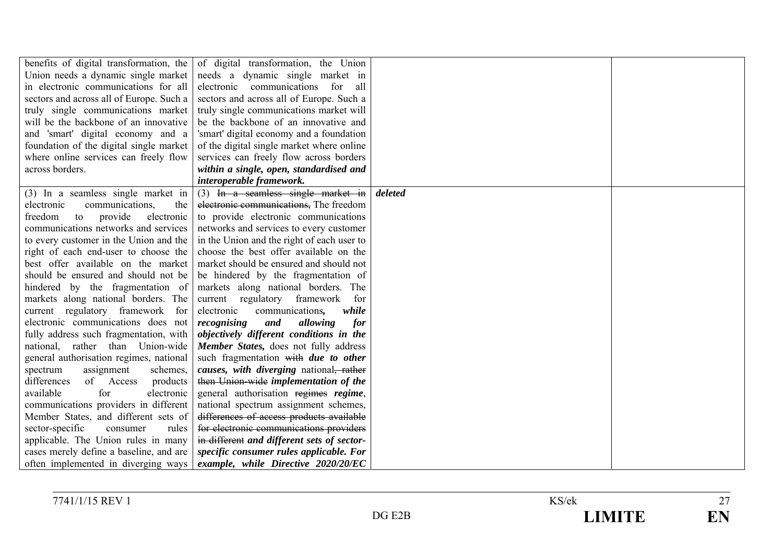| benefits of digital transformation, the  | of digital transformation, the Union                      |         |  |
|------------------------------------------|-----------------------------------------------------------|---------|--|
| Union needs a dynamic single market      | needs a dynamic single market in                          |         |  |
| in electronic communications for all     | electronic communications for<br>all                      |         |  |
| sectors and across all of Europe. Such a | sectors and across all of Europe. Such a                  |         |  |
| truly single communications market       | truly single communications market will                   |         |  |
| will be the backbone of an innovative    | be the backbone of an innovative and                      |         |  |
| and 'smart' digital economy and a        | 'smart' digital economy and a foundation                  |         |  |
| foundation of the digital single market  | of the digital single market where online                 |         |  |
| where online services can freely flow    | services can freely flow across borders                   |         |  |
| across borders.                          | within a single, open, standardised and                   |         |  |
|                                          | interoperable framework.                                  |         |  |
| (3) In a seamless single market in       | $(3)$ In a seamless single market in                      | deleted |  |
| communications,<br>the<br>electronic     | electronic communications, The freedom                    |         |  |
| freedom<br>to<br>provide<br>electronic   | to provide electronic communications                      |         |  |
| communications networks and services     | networks and services to every customer                   |         |  |
| to every customer in the Union and the   | in the Union and the right of each user to                |         |  |
| right of each end-user to choose the     | choose the best offer available on the                    |         |  |
| best offer available on the market       | market should be ensured and should not                   |         |  |
| should be ensured and should not be      | be hindered by the fragmentation of                       |         |  |
| hindered by the fragmentation of         | markets along national borders. The                       |         |  |
| markets along national borders. The      | current regulatory framework<br>for                       |         |  |
| current regulatory framework for         | electronic<br>communications,<br>while                    |         |  |
| electronic communications does not       | recognising<br>and<br>allowing<br>for                     |         |  |
| fully address such fragmentation, with   | objectively different conditions in the                   |         |  |
| national, rather than Union-wide         | Member States, does not fully address                     |         |  |
| general authorisation regimes, national  | such fragmentation with <i>due to other</i>               |         |  |
| spectrum<br>assignment<br>schemes,       | <i>causes, with diverging national<del>, rather</del></i> |         |  |
| differences<br>of Access<br>products     | then Union-wide implementation of the                     |         |  |
| available<br>for<br>electronic           | general authorisation regimes regime,                     |         |  |
| communications providers in different    | national spectrum assignment schemes,                     |         |  |
| Member States, and different sets of     | differences of access products available                  |         |  |
| sector-specific<br>consumer<br>rules     | for electronic communications providers                   |         |  |
| applicable. The Union rules in many      | in different and different sets of sector-                |         |  |
| cases merely define a baseline, and are  | specific consumer rules applicable. For                   |         |  |
| often implemented in diverging ways      | example, while Directive 2020/20/EC                       |         |  |

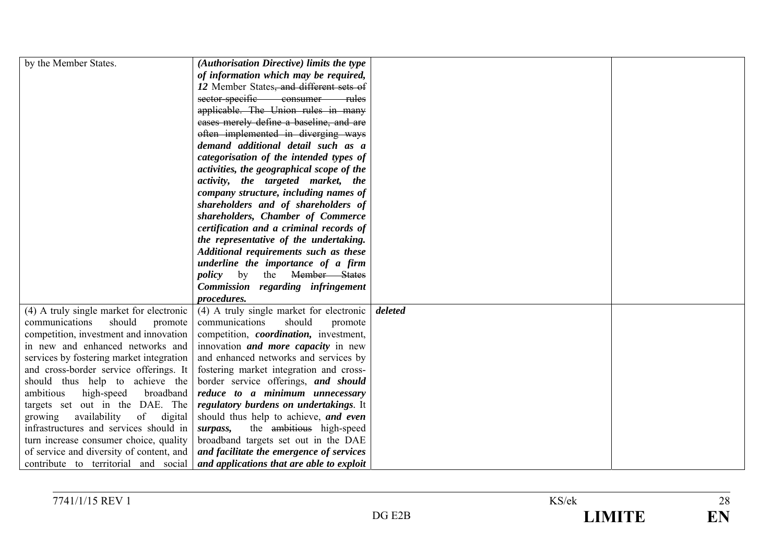| by the Member States.                    | (Authorisation Directive) limits the type      |         |  |
|------------------------------------------|------------------------------------------------|---------|--|
|                                          | of information which may be required,          |         |  |
|                                          | 12 Member States, and different sets of        |         |  |
|                                          | sector-specific consumer<br>— rules            |         |  |
|                                          | applicable. The Union rules in many            |         |  |
|                                          | eases merely define a baseline, and are        |         |  |
|                                          | often implemented in diverging ways            |         |  |
|                                          | demand additional detail such as a             |         |  |
|                                          | categorisation of the intended types of        |         |  |
|                                          | activities, the geographical scope of the      |         |  |
|                                          | activity, the targeted market, the             |         |  |
|                                          | company structure, including names of          |         |  |
|                                          | shareholders and of shareholders of            |         |  |
|                                          | shareholders, Chamber of Commerce              |         |  |
|                                          | certification and a criminal records of        |         |  |
|                                          | the representative of the undertaking.         |         |  |
|                                          | Additional requirements such as these          |         |  |
|                                          | underline the importance of a firm             |         |  |
|                                          | <i>policy</i> by the Member States             |         |  |
|                                          | Commission regarding infringement              |         |  |
|                                          | procedures.                                    |         |  |
| (4) A truly single market for electronic | (4) A truly single market for electronic       | deleted |  |
| should<br>communications<br>promote      | should<br>communications<br>promote            |         |  |
| competition, investment and innovation   | competition, <i>coordination</i> , investment, |         |  |
| in new and enhanced networks and         | innovation <i>and more capacity</i> in new     |         |  |
| services by fostering market integration | and enhanced networks and services by          |         |  |
| and cross-border service offerings. It   | fostering market integration and cross-        |         |  |
| should thus help to achieve the          | border service offerings, and should           |         |  |
| ambitious<br>broadband<br>high-speed     | reduce to a minimum unnecessary                |         |  |
| targets set out in the DAE. The          | regulatory burdens on undertakings. It         |         |  |
| availability<br>of<br>digital<br>growing | should thus help to achieve, and even          |         |  |
| infrastructures and services should in   | the ambitious high-speed<br>surpass,           |         |  |
| turn increase consumer choice, quality   | broadband targets set out in the DAE           |         |  |
| of service and diversity of content, and | and facilitate the emergence of services       |         |  |
| contribute to territorial and social     | and applications that are able to exploit      |         |  |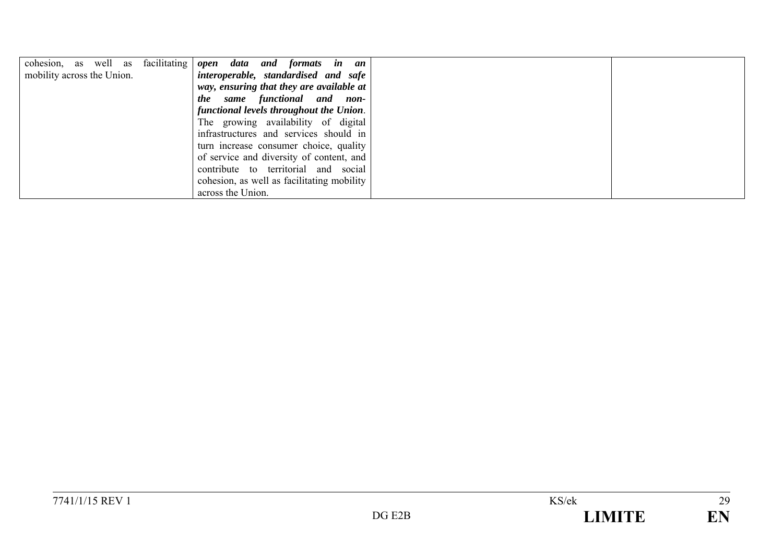| cohesion, as well as facilitating | open data and formats in an                |
|-----------------------------------|--------------------------------------------|
| mobility across the Union.        | interoperable, standardised and safe       |
|                                   | way, ensuring that they are available at   |
|                                   | same functional and non-<br><i>the</i>     |
|                                   | functional levels throughout the Union.    |
|                                   | The growing availability of digital        |
|                                   | infrastructures and services should in     |
|                                   | turn increase consumer choice, quality     |
|                                   | of service and diversity of content, and   |
|                                   | contribute to territorial and social       |
|                                   | cohesion, as well as facilitating mobility |
|                                   | across the Union.                          |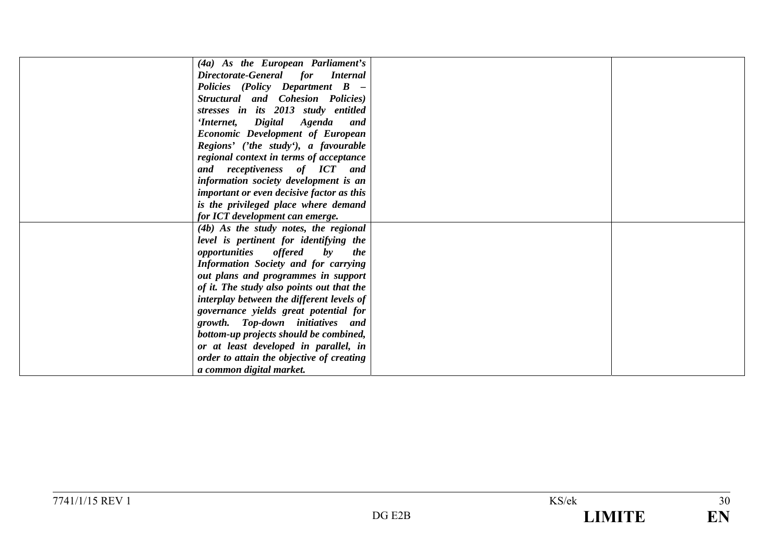| (4a) As the European Parliament's                |  |
|--------------------------------------------------|--|
| Directorate-General for Internal                 |  |
| Policies (Policy Department B -                  |  |
| Structural and Cohesion Policies)                |  |
| stresses in its 2013 study entitled              |  |
| 'Internet, Digital Agenda and                    |  |
| <b>Economic Development of European</b>          |  |
| Regions' ('the study'), a favourable             |  |
| regional context in terms of acceptance          |  |
| and receptiveness of ICT and                     |  |
| information society development is an            |  |
| <i>important or even decisive factor as this</i> |  |
| is the privileged place where demand             |  |
| for ICT development can emerge.                  |  |
| (4b) As the study notes, the regional            |  |
| level is pertinent for identifying the           |  |
| <i>opportunities offered</i> by<br><i>the</i>    |  |
| <b>Information Society and for carrying</b>      |  |
| out plans and programmes in support              |  |
| of it. The study also points out that the        |  |
| interplay between the different levels of        |  |
| governance yields great potential for            |  |
| growth. Top-down initiatives and                 |  |
| bottom-up projects should be combined,           |  |
| or at least developed in parallel, in            |  |
| order to attain the objective of creating        |  |
| a common digital market.                         |  |
|                                                  |  |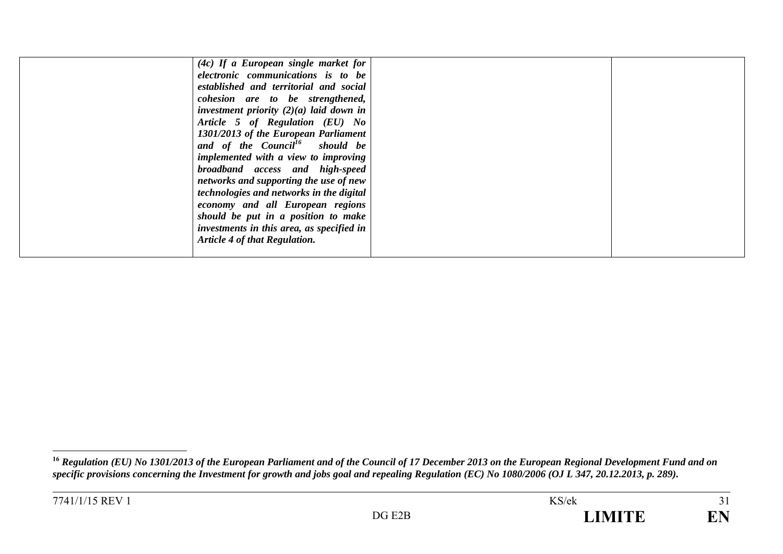| $(4c)$ If a European single market for     |  |
|--------------------------------------------|--|
| electronic communications is to be         |  |
| established and territorial and social     |  |
| cohesion are to be strengthened,           |  |
| investment priority $(2)(a)$ laid down in  |  |
| Article 5 of Regulation (EU) No            |  |
| 1301/2013 of the European Parliament       |  |
| and of the Council <sup>16</sup> should be |  |
| implemented with a view to improving       |  |
| broadband access and high-speed            |  |
| networks and supporting the use of new     |  |
| technologies and networks in the digital   |  |
| economy and all European regions           |  |
| should be put in a position to make        |  |
| investments in this area, as specified in  |  |
| Article 4 of that Regulation.              |  |
|                                            |  |
|                                            |  |

**<sup>16</sup>** *Regulation (EU) No 1301/2013 of the European Parliament and of the Council of 17 December 2013 on the European Regional Development Fund and on specific provisions concerning the Investment for growth and jobs goal and repealing Regulation (EC) No 1080/2006 (OJ L 347, 20.12.2013, p. 289).*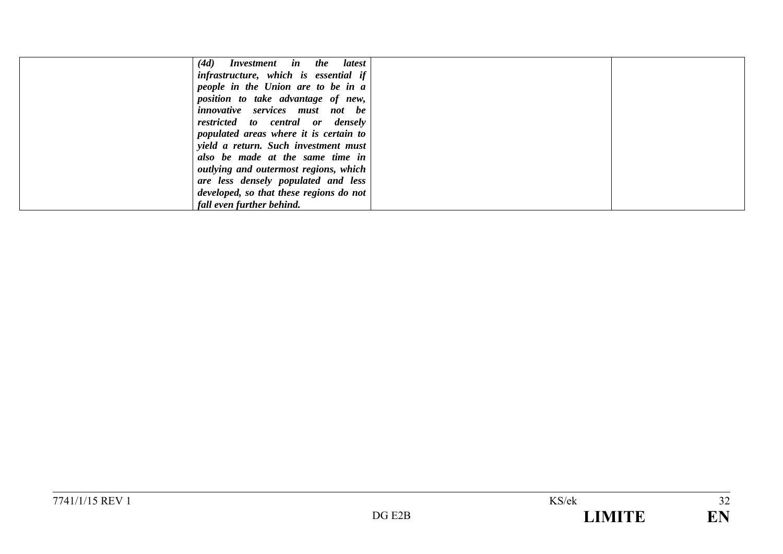| (4d)<br>Investment in the latest        |  |
|-----------------------------------------|--|
| infrastructure, which is essential if   |  |
| people in the Union are to be in a      |  |
| position to take advantage of new,      |  |
| <i>innovative</i> services must not be  |  |
| restricted to central or densely        |  |
| populated areas where it is certain to  |  |
| yield a return. Such investment must    |  |
| also be made at the same time in        |  |
| outlying and outermost regions, which   |  |
| are less densely populated and less     |  |
| developed, so that these regions do not |  |
| fall even further behind.               |  |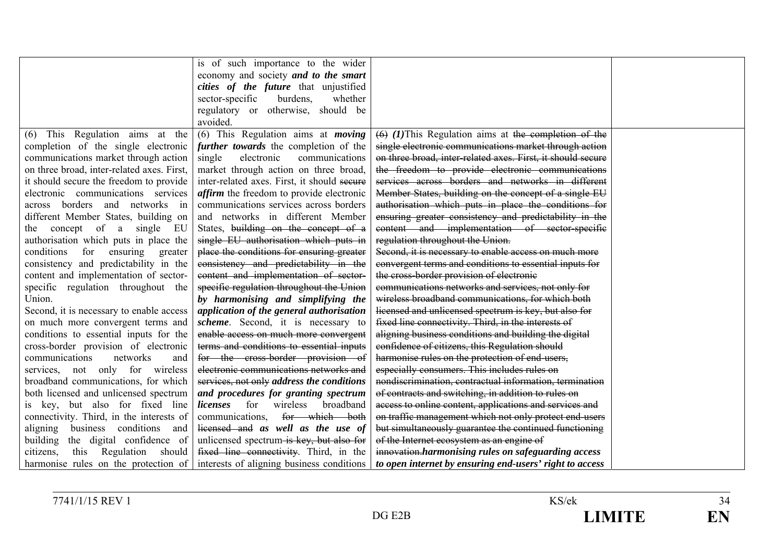|                                            | is of such importance to the wider              |                                                             |  |
|--------------------------------------------|-------------------------------------------------|-------------------------------------------------------------|--|
|                                            | economy and society and to the smart            |                                                             |  |
|                                            | cities of the future that unjustified           |                                                             |  |
|                                            | burdens,<br>sector-specific<br>whether          |                                                             |  |
|                                            | regulatory or otherwise, should be              |                                                             |  |
|                                            | avoided.                                        |                                                             |  |
| This Regulation aims at the<br>(6)         | $(6)$ This Regulation aims at <i>moving</i>     | $(6)$ (1) This Regulation aims at the completion of the     |  |
| completion of the single electronic        | further towards the completion of the           | single electronic communications market through action      |  |
| communications market through action       | electronic<br>communications<br>single          | on three broad, inter-related axes. First, it should secure |  |
| on three broad, inter-related axes. First, | market through action on three broad,           | the freedom to provide electronic communications            |  |
| it should secure the freedom to provide    | inter-related axes. First, it should seeure     | services across borders and networks in different           |  |
| electronic communications services         | <i>affirm</i> the freedom to provide electronic | Member States, building on the concept of a single EU       |  |
| across borders and networks in             | communications services across borders          | authorisation which puts in place the conditions for        |  |
| different Member States, building on       | and networks in different Member                | ensuring greater consistency and predictability in the      |  |
| the concept of a single<br>– EU            | States, building on the concept of a            | content and implementation of sector-specific               |  |
| authorisation which puts in place the      | single EU authorisation which puts in           | regulation throughout the Union.                            |  |
| conditions<br>for ensuring<br>greater      | place the conditions for ensuring greater       | Second, it is necessary to enable access on much more       |  |
| consistency and predictability in the      | consistency and predictability in the           | convergent terms and conditions to essential inputs for     |  |
| content and implementation of sector-      | content and implementation of sector-           | the cross-border provision of electronic                    |  |
| specific regulation throughout the         | specific regulation throughout the Union        | communications networks and services, not only for          |  |
| Union.                                     | by harmonising and simplifying the              | wireless broadband communications, for which both           |  |
| Second, it is necessary to enable access   | application of the general authorisation        | licensed and unlicensed spectrum is key, but also for       |  |
| on much more convergent terms and          | scheme. Second, it is necessary to              | fixed line connectivity. Third, in the interests of         |  |
| conditions to essential inputs for the     | enable access on much more convergent           | aligning business conditions and building the digital       |  |
| cross-border provision of electronic       | terms and conditions to essential inputs        | confidence of citizens, this Regulation should              |  |
| communications<br>networks<br>and          | for the cross-border provision of               | harmonise rules on the protection of end-users,             |  |
| services, not only for wireless            | electronic communications networks and          | especially consumers. This includes rules on                |  |
| broadband communications, for which        | services, not only address the conditions       | nondiscrimination, contractual information, termination     |  |
| both licensed and unlicensed spectrum      | and procedures for granting spectrum            | of contracts and switching, in addition to rules on         |  |
| is key, but also for fixed line            | for wireless<br>broadband<br>licenses           | access to online content, applications and services and     |  |
| connectivity. Third, in the interests of   | communications, for which both                  | on traffic management which not only protect end-users      |  |
| business conditions<br>aligning<br>and     | licensed and as well as the use of              | but simultaneously guarantee the continued functioning      |  |
| building<br>the digital confidence of      | unlicensed spectrum is key, but also for        | of the Internet ecosystem as an engine of                   |  |
| Regulation should<br>citizens,<br>this     | fixed line connectivity. Third, in the          | innovation.harmonising rules on safeguarding access         |  |
| harmonise rules on the protection of       | interests of aligning business conditions       | to open internet by ensuring end-users' right to access     |  |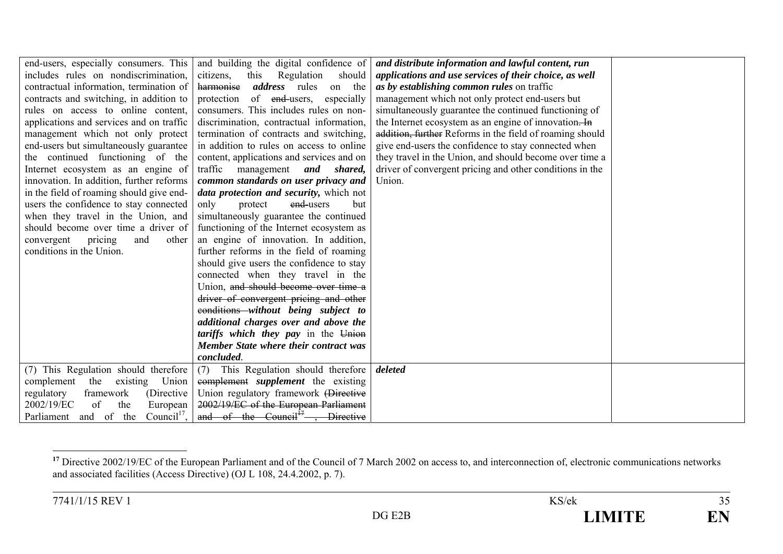| end-users, especially consumers. This            | and building the digital confidence of       | and distribute information and lawful content, run       |  |
|--------------------------------------------------|----------------------------------------------|----------------------------------------------------------|--|
| includes rules on nondiscrimination,             | this<br>Regulation<br>should<br>citizens,    | applications and use services of their choice, as well   |  |
| contractual information, termination of          | harmonise<br><i>address</i> rules<br>on the  | as by establishing common rules on traffic               |  |
| contracts and switching, in addition to          | of end-users,<br>protection<br>especially    | management which not only protect end-users but          |  |
| rules on access to online content,               | consumers. This includes rules on non-       | simultaneously guarantee the continued functioning of    |  |
| applications and services and on traffic         | discrimination, contractual information,     | the Internet ecosystem as an engine of innovation. In    |  |
| management which not only protect                | termination of contracts and switching,      | addition, further Reforms in the field of roaming should |  |
| end-users but simultaneously guarantee           | in addition to rules on access to online     | give end-users the confidence to stay connected when     |  |
| the continued functioning of the                 | content, applications and services and on    | they travel in the Union, and should become over time a  |  |
| Internet ecosystem as an engine of               | traffic management and shared,               | driver of convergent pricing and other conditions in the |  |
| innovation. In addition, further reforms         | common standards on user privacy and         | Union.                                                   |  |
| in the field of roaming should give end-         | data protection and security, which not      |                                                          |  |
| users the confidence to stay connected           | only<br>end-users<br>protect<br>but          |                                                          |  |
| when they travel in the Union, and               | simultaneously guarantee the continued       |                                                          |  |
| should become over time a driver of              | functioning of the Internet ecosystem as     |                                                          |  |
| convergent<br>pricing<br>other<br>and            | an engine of innovation. In addition,        |                                                          |  |
| conditions in the Union.                         | further reforms in the field of roaming      |                                                          |  |
|                                                  | should give users the confidence to stay     |                                                          |  |
|                                                  | connected when they travel in the            |                                                          |  |
|                                                  | Union, and should become over time a         |                                                          |  |
|                                                  | driver of convergent pricing and other       |                                                          |  |
|                                                  | eonditions without being subject to          |                                                          |  |
|                                                  | additional charges over and above the        |                                                          |  |
|                                                  | tariffs which they pay in the Union          |                                                          |  |
|                                                  | Member State where their contract was        |                                                          |  |
|                                                  | concluded.                                   |                                                          |  |
| (7) This Regulation should therefore             | This Regulation should therefore<br>(7)      | deleted                                                  |  |
| complement<br>the<br>Union<br>existing           | complement <i>supplement</i> the existing    |                                                          |  |
| regulatory<br>framework<br>(Directive)           | Union regulatory framework (Directive        |                                                          |  |
| of<br>2002/19/EC<br>the<br>European              | 2002/19/EC of the European Parliament        |                                                          |  |
| Council <sup>17</sup> ,<br>Parliament and of the | and of the Council <sup>17</sup> , Directive |                                                          |  |

<sup>&</sup>lt;sup>17</sup> Directive 2002/19/EC of the European Parliament and of the Council of 7 March 2002 on access to, and interconnection of, electronic communications networks and associated facilities (Access Directive) (OJ L 108, 24.4.2002, p. 7).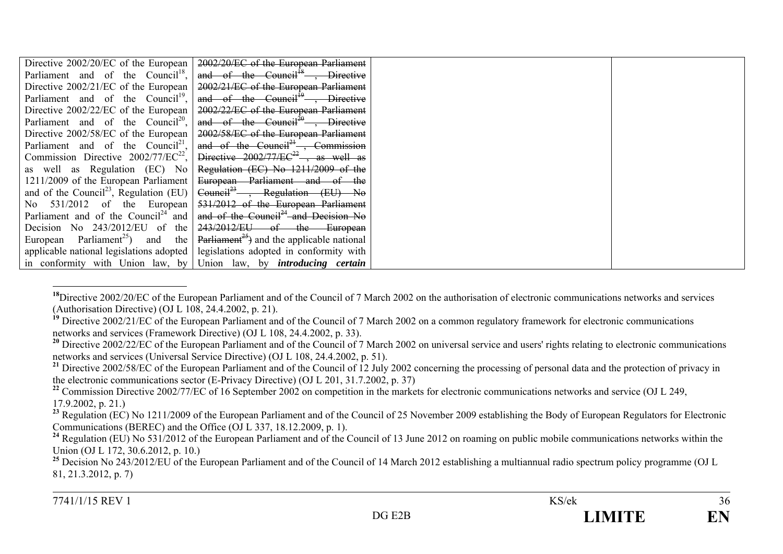| Directive 2002/20/EC of the European                    | 2002/20/EC of the European Parliament                                              |
|---------------------------------------------------------|------------------------------------------------------------------------------------|
| Parliament and of the Council <sup>18</sup> ,           | and of the Council <sup>18</sup> , Directive                                       |
| Directive $2002/21/EC$ of the European                  | 2002/21/EC of the European Parliament                                              |
| Parliament and of the Council <sup>19</sup> ,           | and of the Council <sup>19</sup> , Directive                                       |
| Directive 2002/22/EC of the European                    | 2002/22/EC of the European Parliament                                              |
| Parliament and of the Council <sup>20</sup> ,           | and of the Council <sup>20</sup> , Directive                                       |
| Directive 2002/58/EC of the European                    | 2002/58/EC of the European Parliament                                              |
| Parliament and of the Council <sup>21</sup> ,           | and of the Council <sup>21</sup> , Commission                                      |
| Commission Directive $2002/77/EC^{22}$ ,                | Directive $2002/77/EC^{22}$ , as well as                                           |
| as well as Regulation (EC) No                           | Regulation (EC) No 1211/2009 of the                                                |
| 1211/2009 of the European Parliament                    | European Parliament and of the                                                     |
| and of the Council <sup>23</sup> , Regulation (EU)      | $Count23$ , Regulation (EU) No                                                     |
| No $531/2012$ of the European                           | 531/2012 of the European Parliament                                                |
| Parliament and of the Council <sup>24</sup> and $\vert$ | and of the Council <sup>24</sup> and Decision No                                   |
| Decision No $243/2012/EU$ of the                        | $243/2012/EU$ of the European                                                      |
| European Parliament <sup>25</sup> ) and the             | $Partiament25$ and the applicable national                                         |
|                                                         | applicable national legislations adopted   legislations adopted in conformity with |
|                                                         | in conformity with Union law, by Union law, by <i>introducing certain</i>          |

<sup>&</sup>lt;sup>18</sup>Directive 2002/20/EC of the European Parliament and of the Council of 7 March 2002 on the authorisation of electronic communications networks and services (Authorisation Directive) (OJ L  $108$ , 24.4.2002, p. 21).

<sup>&</sup>lt;sup>19</sup> Directive 2002/21/EC of the European Parliament and of the Council of 7 March 2002 on a common regulatory framework for electronic communications networks and services (Framework Directive) (OJ L 108, 24.4.2002, p. 33).

<sup>&</sup>lt;sup>20</sup> Directive 2002/22/EC of the European Parliament and of the Council of 7 March 2002 on universal service and users' rights relating to electronic communications networks and services (Universal Service Directive) (OJ L 108, 24.4.2002, p. 51).

<sup>&</sup>lt;sup>21</sup> Directive 2002/58/EC of the European Parliament and of the Council of 12 July 2002 concerning the processing of personal data and the protection of privacy in the electronic communications sector (E-Privacy Directive) (OJ L 201, 31.7.2002, p. 37)

<sup>&</sup>lt;sup>22</sup> Commission Directive 2002/77/EC of 16 September 2002 on competition in the markets for electronic communications networks and service (OJ L 249, 17.9.2002, p. 21.)

<sup>&</sup>lt;sup>23</sup> Regulation (EC) No 1211/2009 of the European Parliament and of the Council of 25 November 2009 establishing the Body of European Regulators for Electronic Communications (BEREC) and the Office (OJ L 337, 18.12.2009, p. 1).

<sup>&</sup>lt;sup>24</sup> Regulation (EU) No 531/2012 of the European Parliament and of the Council of 13 June 2012 on roaming on public mobile communications networks within the Union (OJ L 172, 30.6.2012, p. 10.)

<sup>&</sup>lt;sup>25</sup> Decision No 243/2012/EU of the European Parliament and of the Council of 14 March 2012 establishing a multiannual radio spectrum policy programme (OJ L) 81, 21.3.2012, p. 7)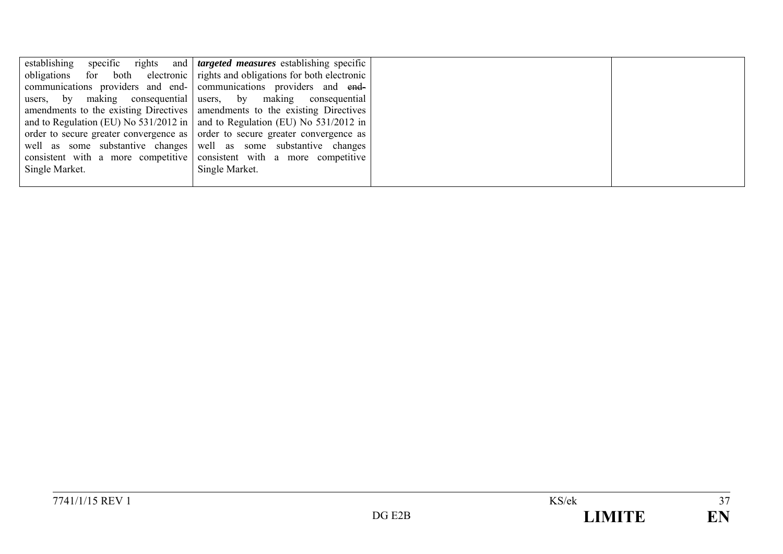| establishing   | specific rights and <i>targeted measures</i> establishing specific                |  |
|----------------|-----------------------------------------------------------------------------------|--|
|                | obligations for both electronic rights and obligations for both electronic        |  |
|                | communications providers and end- communications providers and end-               |  |
|                | users, by making consequential users, by making consequential                     |  |
|                | amendments to the existing Directives   amendments to the existing Directives     |  |
|                | and to Regulation (EU) No $531/2012$ in   and to Regulation (EU) No $531/2012$ in |  |
|                | order to secure greater convergence as order to secure greater convergence as     |  |
|                | well as some substantive changes well as some substantive changes                 |  |
|                | consistent with a more competitive consistent with a more competitive             |  |
| Single Market. | Single Market.                                                                    |  |
|                |                                                                                   |  |

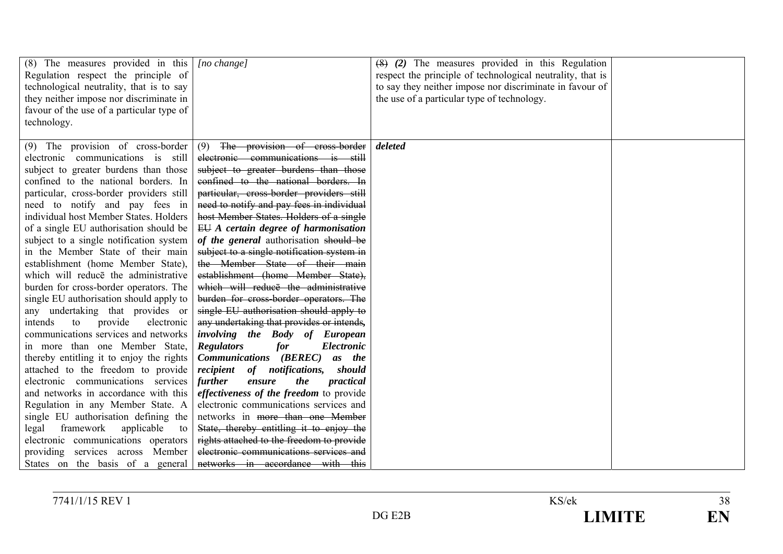| $(8)$ The measures provided in this<br>Regulation respect the principle of<br>technological neutrality, that is to say<br>they neither impose nor discriminate in<br>favour of the use of a particular type of<br>technology.                                                                                                                                                                                                                                                                                                                                                                                                                                                                                                                                                                                                                                                                                                                                                                                                                                                                           | $[no \ change]$                                                                                                                                                                                                                                                                                                                                                                                                                                                                                                                                                                                                                                                                                                                                                                                                                                                                                                                                                                                                                                                                                                                                                             | $(8)$ (2) The measures provided in this Regulation<br>respect the principle of technological neutrality, that is<br>to say they neither impose nor discriminate in favour of<br>the use of a particular type of technology. |  |
|---------------------------------------------------------------------------------------------------------------------------------------------------------------------------------------------------------------------------------------------------------------------------------------------------------------------------------------------------------------------------------------------------------------------------------------------------------------------------------------------------------------------------------------------------------------------------------------------------------------------------------------------------------------------------------------------------------------------------------------------------------------------------------------------------------------------------------------------------------------------------------------------------------------------------------------------------------------------------------------------------------------------------------------------------------------------------------------------------------|-----------------------------------------------------------------------------------------------------------------------------------------------------------------------------------------------------------------------------------------------------------------------------------------------------------------------------------------------------------------------------------------------------------------------------------------------------------------------------------------------------------------------------------------------------------------------------------------------------------------------------------------------------------------------------------------------------------------------------------------------------------------------------------------------------------------------------------------------------------------------------------------------------------------------------------------------------------------------------------------------------------------------------------------------------------------------------------------------------------------------------------------------------------------------------|-----------------------------------------------------------------------------------------------------------------------------------------------------------------------------------------------------------------------------|--|
| (9) The provision of cross-border<br>electronic communications is still<br>subject to greater burdens than those<br>confined to the national borders. In<br>particular, cross-border providers still<br>need to notify and pay fees in<br>individual host Member States. Holders<br>of a single EU authorisation should be<br>subject to a single notification system<br>in the Member State of their main<br>establishment (home Member State),<br>which will reduce the administrative<br>burden for cross-border operators. The<br>single EU authorisation should apply to<br>any undertaking that provides or<br>provide<br>electronic<br>intends<br>to<br>communications services and networks<br>in more than one Member State,<br>thereby entitling it to enjoy the rights<br>attached to the freedom to provide<br>electronic communications services<br>and networks in accordance with this<br>Regulation in any Member State. A<br>single EU authorisation defining the<br>framework<br>applicable<br>legal<br>to<br>electronic communications operators<br>providing services across Member | The provision of cross-border<br>(9)<br>electronic communications is still<br>subject to greater burdens than those<br>confined to the national borders. In<br>particular, cross-border providers still<br>need to notify and pay fees in individual<br>host Member States. Holders of a single<br>$EU$ A certain degree of harmonisation<br>of the general authorisation should be<br>subject to a single notification system in<br>the Member State of their main<br>establishment (home Member State),<br>which will reduce the administrative<br>burden for cross-border operators. The<br>single EU authorisation should apply to<br>any undertaking that provides or intends,<br>involving the Body of European<br><b>Regulators</b><br>for<br>Electronic<br><b>Communications</b> ( <b>BEREC</b> )<br>as the<br>recipient<br>of notifications,<br>should<br>further<br>the<br>practical<br>ensure<br><i>effectiveness of the freedom to provide</i><br>electronic communications services and<br>networks in more than one Member<br>State, thereby entitling it to enjoy the<br>rights attached to the freedom to provide<br>electronic communications services and | deleted                                                                                                                                                                                                                     |  |
| States on the basis of a general                                                                                                                                                                                                                                                                                                                                                                                                                                                                                                                                                                                                                                                                                                                                                                                                                                                                                                                                                                                                                                                                        | networks in accordance with this                                                                                                                                                                                                                                                                                                                                                                                                                                                                                                                                                                                                                                                                                                                                                                                                                                                                                                                                                                                                                                                                                                                                            |                                                                                                                                                                                                                             |  |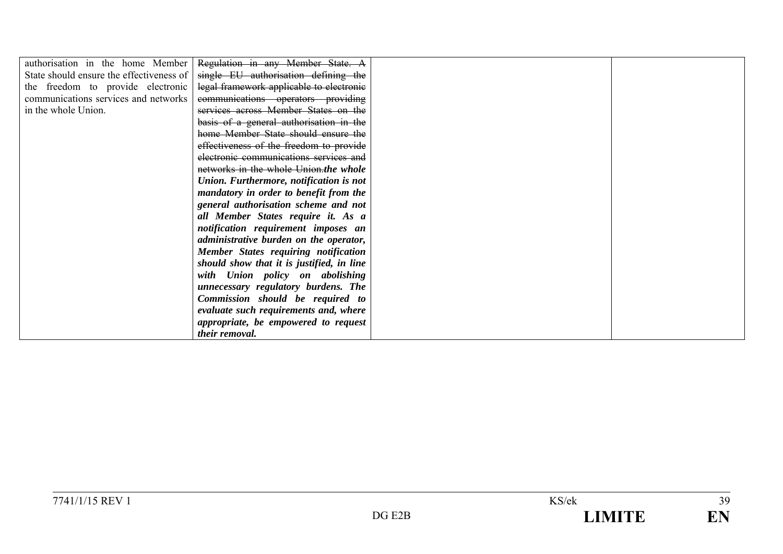| authorisation in the home Member         | Regulation in any Member State. A         |  |
|------------------------------------------|-------------------------------------------|--|
| State should ensure the effectiveness of | single EU authorisation defining the      |  |
| the freedom to provide electronic        | legal framework applicable to electronic  |  |
| communications services and networks     | communications operators providing        |  |
| in the whole Union.                      | services across Member States on the      |  |
|                                          | basis of a general authorisation in the   |  |
|                                          | home Member State should ensure the       |  |
|                                          | effectiveness of the freedom to provide   |  |
|                                          | electronic communications services and    |  |
|                                          | networks in the whole Union, the whole    |  |
|                                          | Union. Furthermore, notification is not   |  |
|                                          | mandatory in order to benefit from the    |  |
|                                          | general authorisation scheme and not      |  |
|                                          | all Member States require it. As a        |  |
|                                          | notification requirement imposes an       |  |
|                                          | administrative burden on the operator,    |  |
|                                          | Member States requiring notification      |  |
|                                          | should show that it is justified, in line |  |
|                                          | with Union policy on abolishing           |  |
|                                          | unnecessary regulatory burdens. The       |  |
|                                          | Commission should be required to          |  |
|                                          | evaluate such requirements and, where     |  |
|                                          | appropriate, be empowered to request      |  |
|                                          | their removal.                            |  |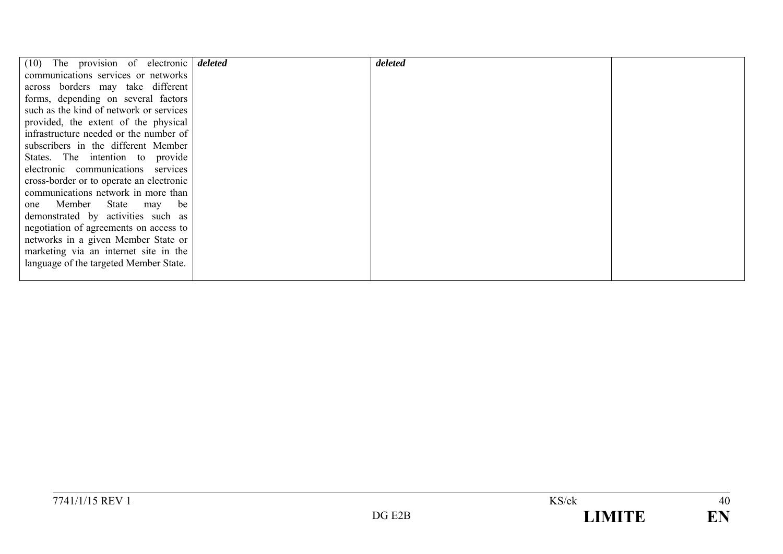| $(10)$ The provision of electronic deleted | deleted |  |
|--------------------------------------------|---------|--|
| communications services or networks        |         |  |
| across borders may take different          |         |  |
| forms, depending on several factors        |         |  |
| such as the kind of network or services    |         |  |
| provided, the extent of the physical       |         |  |
| infrastructure needed or the number of     |         |  |
| subscribers in the different Member        |         |  |
| States. The intention to provide           |         |  |
| electronic communications services         |         |  |
| cross-border or to operate an electronic   |         |  |
| communications network in more than        |         |  |
| one Member State may<br>be                 |         |  |
| demonstrated by activities such as         |         |  |
| negotiation of agreements on access to     |         |  |
| networks in a given Member State or        |         |  |
| marketing via an internet site in the      |         |  |
| language of the targeted Member State.     |         |  |
|                                            |         |  |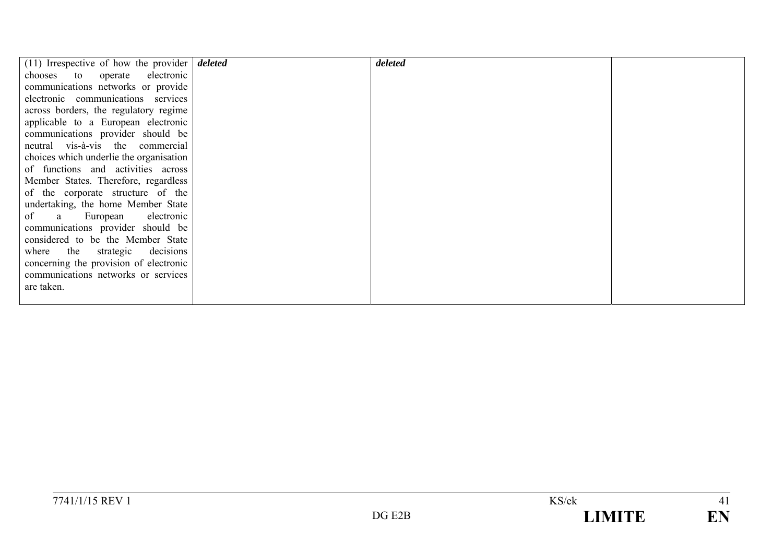| $(11)$ Irrespective of how the provider deleted | deleted |  |
|-------------------------------------------------|---------|--|
| chooses to operate electronic                   |         |  |
| communications networks or provide              |         |  |
| electronic communications services              |         |  |
| across borders, the regulatory regime           |         |  |
| applicable to a European electronic             |         |  |
| communications provider should be               |         |  |
| neutral vis-à-vis the commercial                |         |  |
| choices which underlie the organisation         |         |  |
| of functions and activities across              |         |  |
| Member States. Therefore, regardless            |         |  |
| of the corporate structure of the               |         |  |
| undertaking, the home Member State              |         |  |
| of a European electronic                        |         |  |
| communications provider should be               |         |  |
| considered to be the Member State               |         |  |
| where the strategic decisions                   |         |  |
| concerning the provision of electronic          |         |  |
| communications networks or services             |         |  |
| are taken.                                      |         |  |
|                                                 |         |  |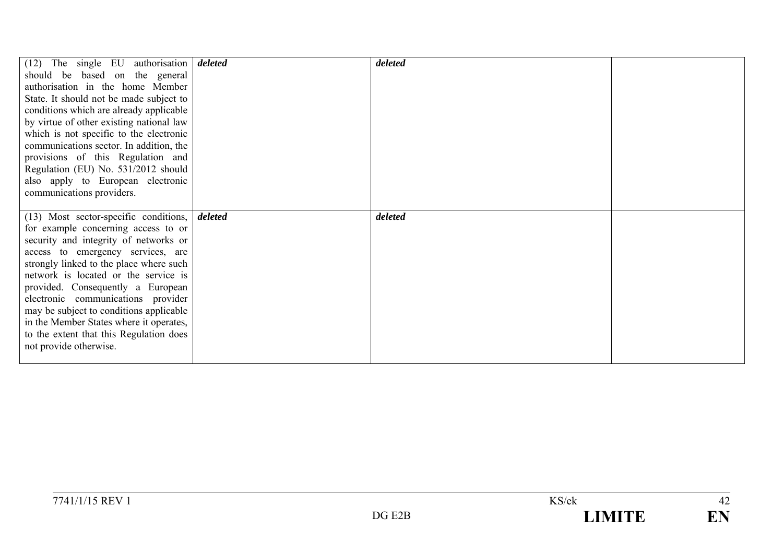| $(12)$ The single EU authorisation <i>deleted</i> |         | deleted |  |
|---------------------------------------------------|---------|---------|--|
| should be based on the general                    |         |         |  |
| authorisation in the home Member                  |         |         |  |
| State. It should not be made subject to           |         |         |  |
| conditions which are already applicable           |         |         |  |
| by virtue of other existing national law          |         |         |  |
| which is not specific to the electronic           |         |         |  |
| communications sector. In addition, the           |         |         |  |
| provisions of this Regulation and                 |         |         |  |
| Regulation (EU) No. 531/2012 should               |         |         |  |
| also apply to European electronic                 |         |         |  |
| communications providers.                         |         |         |  |
|                                                   |         |         |  |
|                                                   |         |         |  |
|                                                   |         |         |  |
| $(13)$ Most sector-specific conditions,           | deleted | deleted |  |
| for example concerning access to or               |         |         |  |
| security and integrity of networks or             |         |         |  |
| access to emergency services, are                 |         |         |  |
| strongly linked to the place where such           |         |         |  |
| network is located or the service is              |         |         |  |
| provided. Consequently a European                 |         |         |  |
| electronic communications provider                |         |         |  |
| may be subject to conditions applicable           |         |         |  |
| in the Member States where it operates,           |         |         |  |
| to the extent that this Regulation does           |         |         |  |
| not provide otherwise.                            |         |         |  |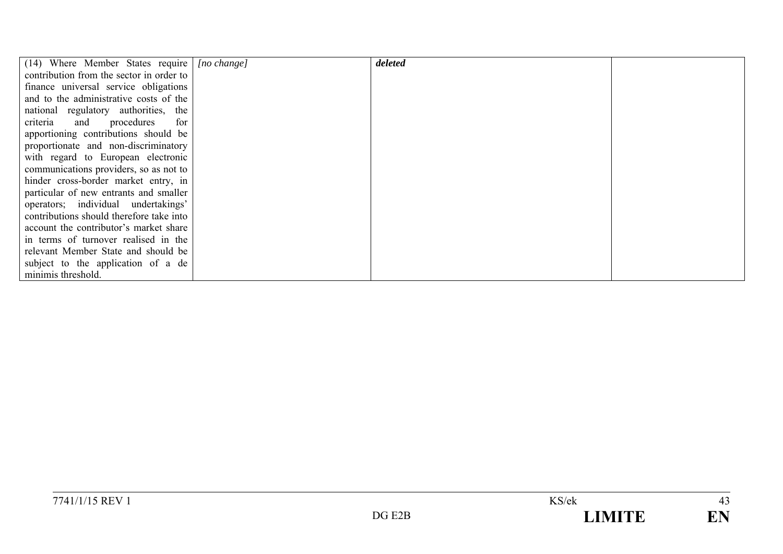| (14) Where Member States require         | $[no \ change]$ | deleted |  |
|------------------------------------------|-----------------|---------|--|
| contribution from the sector in order to |                 |         |  |
| finance universal service obligations    |                 |         |  |
| and to the administrative costs of the   |                 |         |  |
| national regulatory authorities, the     |                 |         |  |
| criteria<br>and procedures<br>for        |                 |         |  |
| apportioning contributions should be     |                 |         |  |
| proportionate and non-discriminatory     |                 |         |  |
| with regard to European electronic       |                 |         |  |
| communications providers, so as not to   |                 |         |  |
| hinder cross-border market entry, in     |                 |         |  |
| particular of new entrants and smaller   |                 |         |  |
| operators; individual undertakings'      |                 |         |  |
| contributions should therefore take into |                 |         |  |
| account the contributor's market share   |                 |         |  |
| in terms of turnover realised in the     |                 |         |  |
| relevant Member State and should be      |                 |         |  |
| subject to the application of a de       |                 |         |  |
| minimis threshold.                       |                 |         |  |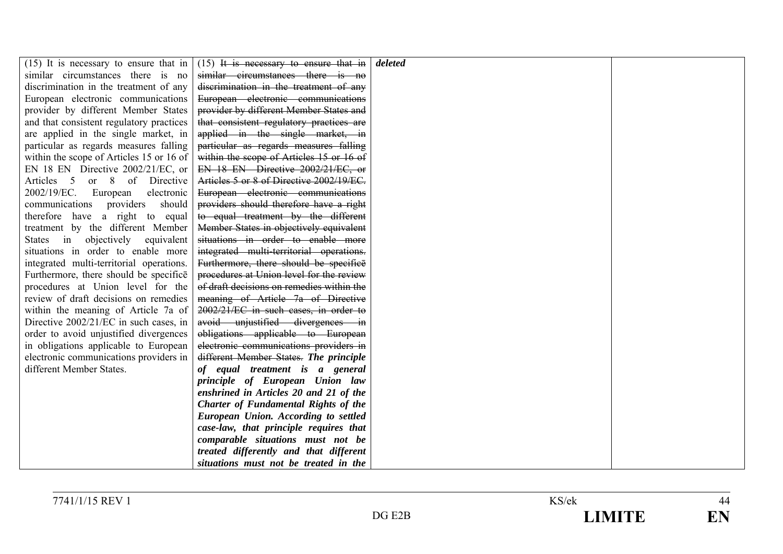| $(15)$ It is necessary to ensure that in | $(15)$ It is necessary to ensure that in    | deleted |  |
|------------------------------------------|---------------------------------------------|---------|--|
| similar circumstances there is no        | similar circumstances there is no           |         |  |
| discrimination in the treatment of any   | discrimination in the treatment of any      |         |  |
| European electronic communications       | European electronic communications          |         |  |
| provider by different Member States      | provider by different Member States and     |         |  |
| and that consistent regulatory practices | that consistent regulatory practices are    |         |  |
| are applied in the single market, in     | applied in the single market, in            |         |  |
| particular as regards measures falling   | particular as regards measures falling      |         |  |
| within the scope of Articles 15 or 16 of | within the scope of Articles 15 or 16 of    |         |  |
| EN 18 EN Directive 2002/21/EC, or        | EN 18 EN Directive 2002/21/EC, or           |         |  |
| Articles 5 or 8 of Directive             | Articles 5 or 8 of Directive 2002/19/EC.    |         |  |
| 2002/19/EC. European<br>electronic       | European electronic communications          |         |  |
| communications providers<br>should       | providers should therefore have a right     |         |  |
| therefore have a right to equal          | to equal treatment by the different         |         |  |
| treatment by the different Member        | Member States in objectively equivalent     |         |  |
| States in objectively equivalent         | situations in order to enable more          |         |  |
| situations in order to enable more       | integrated multi-territorial operations.    |         |  |
| integrated multi-territorial operations. | Furthermore, there should be specifice      |         |  |
| Furthermore, there should be specifice   | procedures at Union level for the review    |         |  |
| procedures at Union level for the        | of draft decisions on remedies within the   |         |  |
| review of draft decisions on remedies    | meaning of Article 7a of Directive          |         |  |
| within the meaning of Article 7a of      | 2002/21/EC in such cases, in order to       |         |  |
| Directive 2002/21/EC in such cases, in   | avoid unjustified divergences in            |         |  |
| order to avoid unjustified divergences   | obligations applicable to European          |         |  |
| in obligations applicable to European    | electronic communications providers in      |         |  |
| electronic communications providers in   | different Member States. The principle      |         |  |
| different Member States.                 | of equal treatment is a general             |         |  |
|                                          | principle of European Union law             |         |  |
|                                          | enshrined in Articles 20 and 21 of the      |         |  |
|                                          | <b>Charter of Fundamental Rights of the</b> |         |  |
|                                          | European Union. According to settled        |         |  |
|                                          | case-law, that principle requires that      |         |  |
|                                          | comparable situations must not be           |         |  |
|                                          | treated differently and that different      |         |  |
|                                          | situations must not be treated in the       |         |  |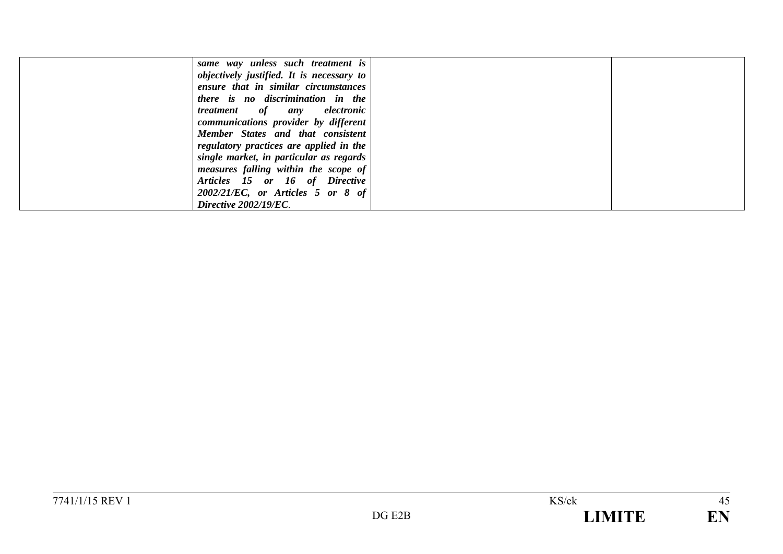| same way unless such treatment is         |  |
|-------------------------------------------|--|
| objectively justified. It is necessary to |  |
| ensure that in similar circumstances      |  |
| there is no discrimination in the         |  |
| <i>treatment</i> of any electronic        |  |
| communications provider by different      |  |
| Member States and that consistent         |  |
| regulatory practices are applied in the   |  |
| single market, in particular as regards   |  |
| measures falling within the scope of      |  |
| Articles 15 or 16 of Directive            |  |
| $2002/21/EC$ , or Articles 5 or 8 of      |  |
| Directive 2002/19/EC.                     |  |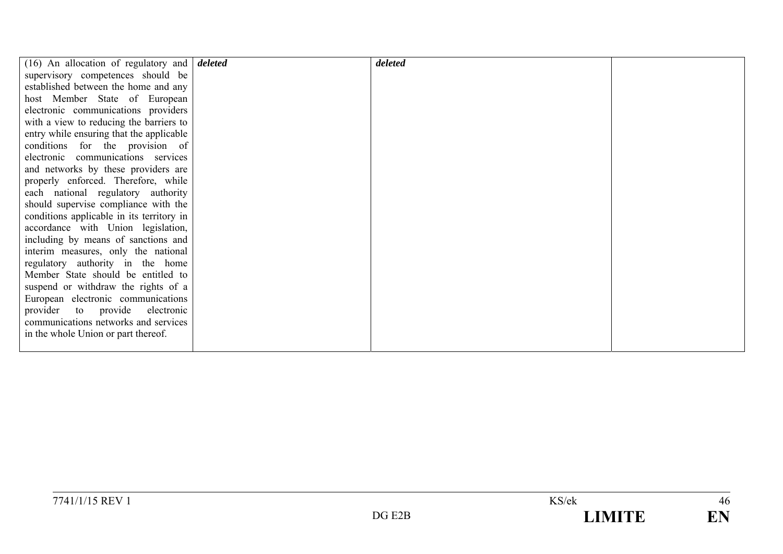| $(16)$ An allocation of regulatory and $\theta$ deleted | deleted |  |
|---------------------------------------------------------|---------|--|
| supervisory competences should be                       |         |  |
| established between the home and any                    |         |  |
| host Member State of European                           |         |  |
| electronic communications providers                     |         |  |
| with a view to reducing the barriers to                 |         |  |
| entry while ensuring that the applicable                |         |  |
| conditions for the provision of                         |         |  |
| electronic communications services                      |         |  |
| and networks by these providers are                     |         |  |
| properly enforced. Therefore, while                     |         |  |
| each national regulatory authority                      |         |  |
| should supervise compliance with the                    |         |  |
| conditions applicable in its territory in               |         |  |
| accordance with Union legislation,                      |         |  |
| including by means of sanctions and                     |         |  |
| interim measures, only the national                     |         |  |
| regulatory authority in the home                        |         |  |
| Member State should be entitled to                      |         |  |
| suspend or withdraw the rights of a                     |         |  |
| European electronic communications                      |         |  |
| provider to provide electronic                          |         |  |
| communications networks and services                    |         |  |
| in the whole Union or part thereof.                     |         |  |
|                                                         |         |  |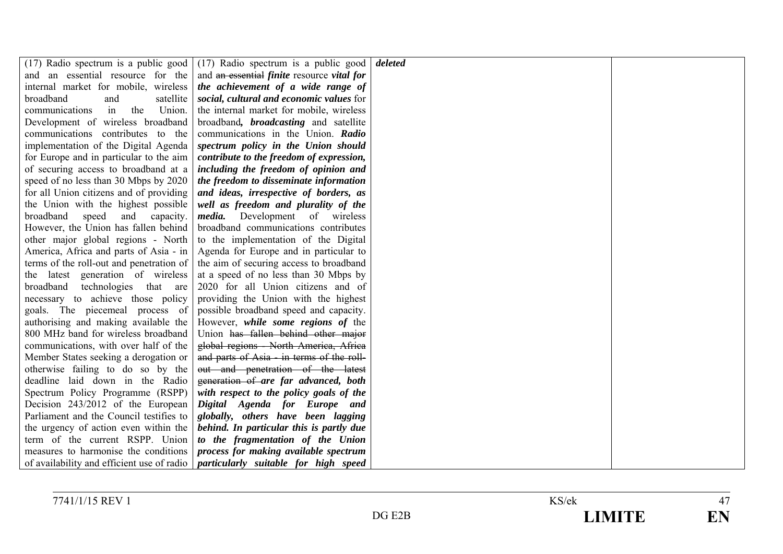|                                            | $(17)$ Radio spectrum is a public good $(17)$ Radio spectrum is a public good | deleted |  |
|--------------------------------------------|-------------------------------------------------------------------------------|---------|--|
| and an essential resource for the          | and an essential <i>finite</i> resource <i>vital for</i>                      |         |  |
| internal market for mobile, wireless       | the achievement of a wide range of                                            |         |  |
| broadband<br>and<br>satellite              | social, cultural and economic values for                                      |         |  |
| in<br>Union.<br>communications<br>the      | the internal market for mobile, wireless                                      |         |  |
| Development of wireless broadband          | broadband, <i>broadcasting</i> and satellite                                  |         |  |
| communications contributes to the          | communications in the Union. Radio                                            |         |  |
| implementation of the Digital Agenda       | spectrum policy in the Union should                                           |         |  |
| for Europe and in particular to the aim    | contribute to the freedom of expression,                                      |         |  |
| of securing access to broadband at a       | including the freedom of opinion and                                          |         |  |
| speed of no less than 30 Mbps by 2020      | the freedom to disseminate information                                        |         |  |
| for all Union citizens and of providing    | and ideas, irrespective of borders, as                                        |         |  |
| the Union with the highest possible        | well as freedom and plurality of the                                          |         |  |
| broadband<br>speed<br>and capacity.        | <i>media</i> . Development of wireless                                        |         |  |
| However, the Union has fallen behind       | broadband communications contributes                                          |         |  |
| other major global regions - North         | to the implementation of the Digital                                          |         |  |
| America, Africa and parts of Asia - in     | Agenda for Europe and in particular to                                        |         |  |
| terms of the roll-out and penetration of   | the aim of securing access to broadband                                       |         |  |
| the latest generation of wireless          | at a speed of no less than 30 Mbps by                                         |         |  |
| broadband<br>technologies that are         | 2020 for all Union citizens and of                                            |         |  |
| necessary to achieve those policy          | providing the Union with the highest                                          |         |  |
| goals. The piecemeal process of            | possible broadband speed and capacity.                                        |         |  |
| authorising and making available the       | However, while some regions of the                                            |         |  |
| 800 MHz band for wireless broadband        | Union has fallen behind other major                                           |         |  |
| communications, with over half of the      | global regions - North America, Africa                                        |         |  |
| Member States seeking a derogation or      | and parts of Asia - in terms of the roll-                                     |         |  |
| otherwise failing to do so by the          | out and penetration of the latest                                             |         |  |
| deadline laid down in the Radio            | generation of are far advanced, both                                          |         |  |
| Spectrum Policy Programme (RSPP)           | with respect to the policy goals of the                                       |         |  |
| Decision 243/2012 of the European          | Digital Agenda for Europe and                                                 |         |  |
| Parliament and the Council testifies to    | globally, others have been lagging                                            |         |  |
| the urgency of action even within the      | behind. In particular this is partly due                                      |         |  |
| term of the current RSPP. Union            | to the fragmentation of the Union                                             |         |  |
| measures to harmonise the conditions       | process for making available spectrum                                         |         |  |
| of availability and efficient use of radio | particularly suitable for high speed                                          |         |  |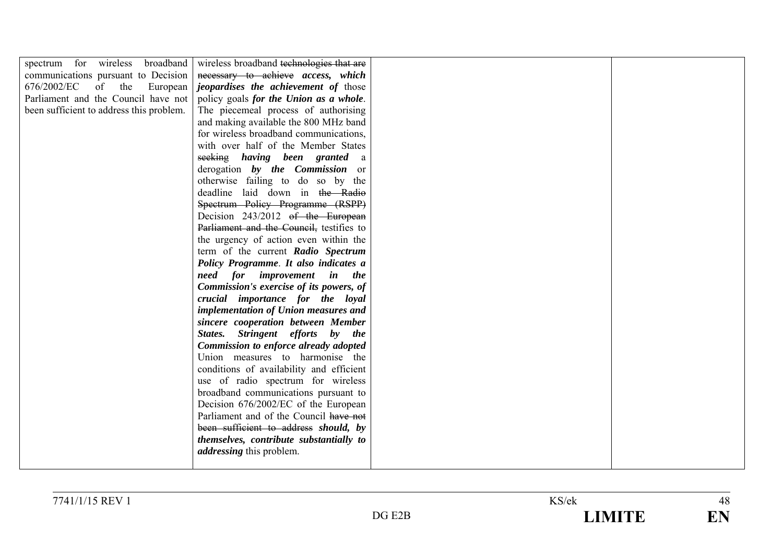| spectrum for wireless<br>broadband       | wireless broadband technologies that are    |  |
|------------------------------------------|---------------------------------------------|--|
| communications pursuant to Decision      | necessary to achieve access, which          |  |
| 676/2002/EC of the<br>European           | <i>jeopardises the achievement of those</i> |  |
| Parliament and the Council have not      | policy goals for the Union as a whole.      |  |
| been sufficient to address this problem. | The piecemeal process of authorising        |  |
|                                          | and making available the 800 MHz band       |  |
|                                          | for wireless broadband communications,      |  |
|                                          | with over half of the Member States         |  |
|                                          | seeking having been granted a               |  |
|                                          | derogation by the Commission or             |  |
|                                          | otherwise failing to do so by the           |  |
|                                          | deadline laid down in the Radio             |  |
|                                          | Spectrum Policy Programme (RSPP)            |  |
|                                          | Decision 243/2012 of the European           |  |
|                                          | Parliament and the Council, testifies to    |  |
|                                          | the urgency of action even within the       |  |
|                                          | term of the current Radio Spectrum          |  |
|                                          | Policy Programme. It also indicates a       |  |
|                                          | need for improvement in the                 |  |
|                                          | Commission's exercise of its powers, of     |  |
|                                          | crucial importance for the loyal            |  |
|                                          | implementation of Union measures and        |  |
|                                          | sincere cooperation between Member          |  |
|                                          | States. Stringent efforts by the            |  |
|                                          | Commission to enforce already adopted       |  |
|                                          | Union measures to harmonise the             |  |
|                                          | conditions of availability and efficient    |  |
|                                          | use of radio spectrum for wireless          |  |
|                                          | broadband communications pursuant to        |  |
|                                          | Decision 676/2002/EC of the European        |  |
|                                          | Parliament and of the Council have not      |  |
|                                          | been sufficient to address should, by       |  |
|                                          | themselves, contribute substantially to     |  |
|                                          | <i>addressing</i> this problem.             |  |
|                                          |                                             |  |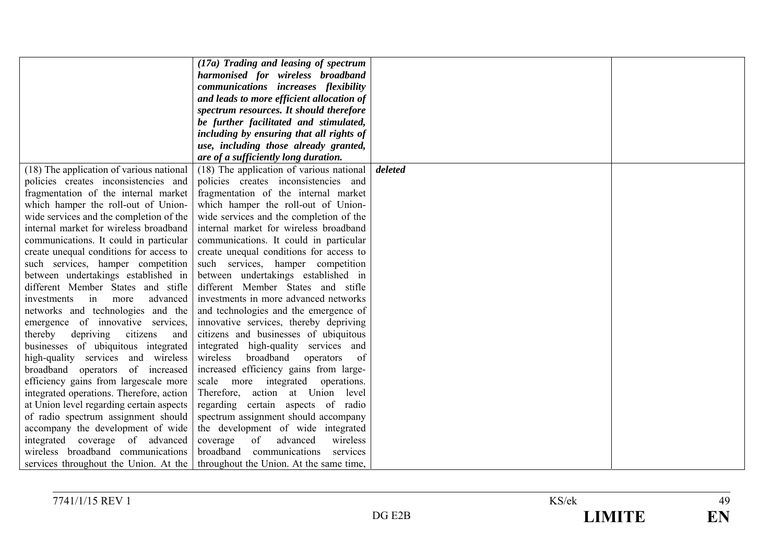|                                          | (17a) Trading and leasing of spectrum     |         |
|------------------------------------------|-------------------------------------------|---------|
|                                          | harmonised for wireless broadband         |         |
|                                          | communications increases flexibility      |         |
|                                          | and leads to more efficient allocation of |         |
|                                          | spectrum resources. It should therefore   |         |
|                                          | be further facilitated and stimulated,    |         |
|                                          | including by ensuring that all rights of  |         |
|                                          | use, including those already granted,     |         |
|                                          | are of a sufficiently long duration.      |         |
| (18) The application of various national | (18) The application of various national  | deleted |
| policies creates inconsistencies and     | policies creates inconsistencies and      |         |
| fragmentation of the internal market     | fragmentation of the internal market      |         |
| which hamper the roll-out of Union-      | which hamper the roll-out of Union-       |         |
| wide services and the completion of the  | wide services and the completion of the   |         |
| internal market for wireless broadband   | internal market for wireless broadband    |         |
| communications. It could in particular   | communications. It could in particular    |         |
| create unequal conditions for access to  | create unequal conditions for access to   |         |
| such services, hamper competition        | such services, hamper competition         |         |
| between undertakings established in      | between undertakings established in       |         |
| different Member States and stifle       | different Member States and stifle        |         |
| in<br>advanced<br>investments<br>more    | investments in more advanced networks     |         |
| networks and technologies and the        | and technologies and the emergence of     |         |
| emergence of innovative services,        | innovative services, thereby depriving    |         |
| thereby<br>citizens<br>depriving<br>and  | citizens and businesses of ubiquitous     |         |
| businesses of ubiquitous integrated      | integrated high-quality services and      |         |
| high-quality services and wireless       | broadband<br>wireless<br>operators<br>of  |         |
| broadband operators<br>of<br>increased   | increased efficiency gains from large-    |         |
| efficiency gains from largescale more    | scale more integrated<br>operations.      |         |
| integrated operations. Therefore, action | Therefore, action at Union level          |         |
| at Union level regarding certain aspects | regarding certain aspects of radio        |         |
| of radio spectrum assignment should      | spectrum assignment should accompany      |         |
| accompany the development of wide        | the development of wide integrated        |         |
| integrated coverage of advanced          | of<br>coverage<br>advanced<br>wireless    |         |
| wireless broadband communications        | broadband<br>communications<br>services   |         |
| services throughout the Union. At the    | throughout the Union. At the same time,   |         |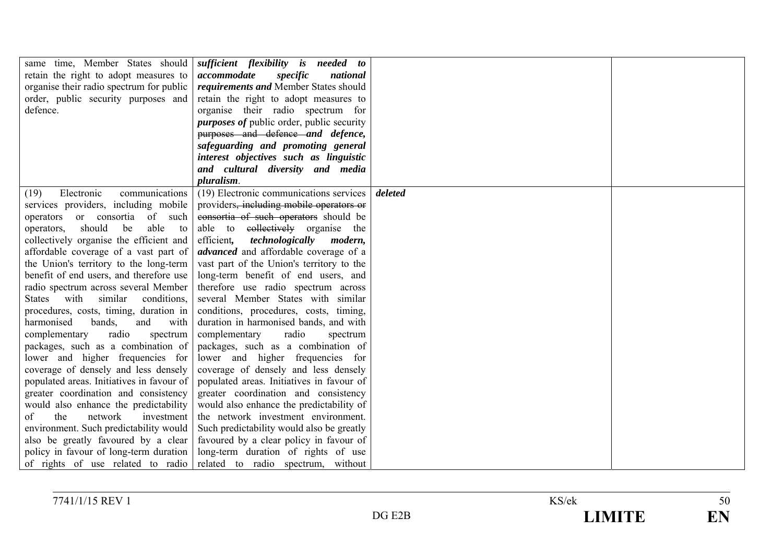|                                           | same time, Member States should <i>sufficient flexibility is needed to</i> |         |  |
|-------------------------------------------|----------------------------------------------------------------------------|---------|--|
| retain the right to adopt measures to     | accommodate<br>specific<br>national                                        |         |  |
| organise their radio spectrum for public  | requirements and Member States should                                      |         |  |
| order, public security purposes and       | retain the right to adopt measures to                                      |         |  |
| defence.                                  | organise their radio spectrum for                                          |         |  |
|                                           | <i>purposes of public order, public security</i>                           |         |  |
|                                           | purposes and defence and defence,                                          |         |  |
|                                           | safeguarding and promoting general                                         |         |  |
|                                           | interest objectives such as linguistic                                     |         |  |
|                                           | and cultural diversity and media                                           |         |  |
|                                           | pluralism.                                                                 |         |  |
| Electronic<br>(19)<br>communications      | (19) Electronic communications services                                    | deleted |  |
| services providers, including mobile      | providers, including mobile operators or                                   |         |  |
| operators or consortia of such            | consortia of such operators should be                                      |         |  |
| should<br>be<br>able<br>operators,<br>to  | able to e <del>ollectively</del> organise the                              |         |  |
| collectively organise the efficient and   | efficient,<br>technologically<br>modern,                                   |         |  |
| affordable coverage of a vast part of     | <i>advanced</i> and affordable coverage of a                               |         |  |
| the Union's territory to the long-term    | vast part of the Union's territory to the                                  |         |  |
| benefit of end users, and therefore use   | long-term benefit of end users, and                                        |         |  |
| radio spectrum across several Member      | therefore use radio spectrum across                                        |         |  |
| States with similar<br>conditions,        | several Member States with similar                                         |         |  |
| procedures, costs, timing, duration in    | conditions, procedures, costs, timing,                                     |         |  |
| harmonised<br>bands,<br>and<br>with       | duration in harmonised bands, and with                                     |         |  |
| radio<br>complementary<br>spectrum        | complementary<br>radio<br>spectrum                                         |         |  |
| packages, such as a combination of        | packages, such as a combination of                                         |         |  |
| lower and higher frequencies for          | lower and higher frequencies for                                           |         |  |
| coverage of densely and less densely      | coverage of densely and less densely                                       |         |  |
| populated areas. Initiatives in favour of | populated areas. Initiatives in favour of                                  |         |  |
| greater coordination and consistency      | greater coordination and consistency                                       |         |  |
| would also enhance the predictability     | would also enhance the predictability of                                   |         |  |
| the<br>of<br>network<br>investment        | the network investment environment.                                        |         |  |
| environment. Such predictability would    | Such predictability would also be greatly                                  |         |  |
| also be greatly favoured by a clear       | favoured by a clear policy in favour of                                    |         |  |
| policy in favour of long-term duration    | long-term duration of rights of use                                        |         |  |
| of rights of use related to radio         | related to radio spectrum, without                                         |         |  |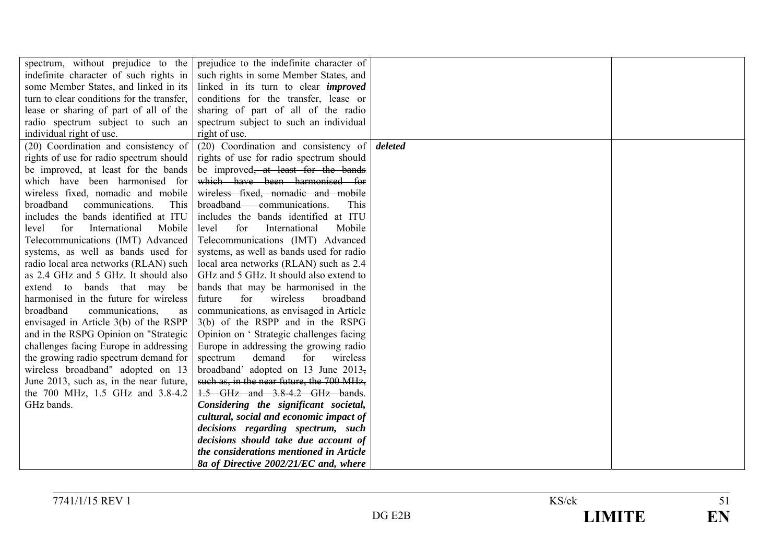| spectrum, without prejudice to the         | prejudice to the indefinite character of        |         |  |
|--------------------------------------------|-------------------------------------------------|---------|--|
| indefinite character of such rights in     | such rights in some Member States, and          |         |  |
| some Member States, and linked in its      | linked in its turn to elear <i>improved</i>     |         |  |
| turn to clear conditions for the transfer, | conditions for the transfer, lease or           |         |  |
| lease or sharing of part of all of the     | sharing of part of all of the radio             |         |  |
| radio spectrum subject to such an          | spectrum subject to such an individual          |         |  |
| individual right of use.                   | right of use.                                   |         |  |
| (20) Coordination and consistency of       | (20) Coordination and consistency of            | deleted |  |
| rights of use for radio spectrum should    | rights of use for radio spectrum should         |         |  |
| be improved, at least for the bands        | be improved <del>, at least for the bands</del> |         |  |
| which have been harmonised for             | which have been harmonised for                  |         |  |
| wireless fixed, nomadic and mobile         | wireless fixed, nomadic and mobile              |         |  |
| broadband<br>communications.<br>This       | broadband communications.<br>This               |         |  |
| includes the bands identified at ITU       | includes the bands identified at ITU            |         |  |
| for<br>International<br>level<br>Mobile    | for<br>level<br>International<br>Mobile         |         |  |
| Telecommunications (IMT) Advanced          | Telecommunications (IMT) Advanced               |         |  |
| systems, as well as bands used for         | systems, as well as bands used for radio        |         |  |
| radio local area networks (RLAN) such      | local area networks (RLAN) such as 2.4          |         |  |
| as 2.4 GHz and 5 GHz. It should also       | GHz and 5 GHz. It should also extend to         |         |  |
| extend to bands that may be                | bands that may be harmonised in the             |         |  |
| harmonised in the future for wireless      | for<br>wireless<br>future<br>broadband          |         |  |
| broadband<br>communications,<br>as         | communications, as envisaged in Article         |         |  |
| envisaged in Article 3(b) of the RSPP      | 3(b) of the RSPP and in the RSPG                |         |  |
| and in the RSPG Opinion on "Strategic      | Opinion on 'Strategic challenges facing         |         |  |
| challenges facing Europe in addressing     | Europe in addressing the growing radio          |         |  |
| the growing radio spectrum demand for      | spectrum<br>demand<br>for<br>wireless           |         |  |
| wireless broadband" adopted on 13          | broadband' adopted on 13 June 2013,             |         |  |
| June 2013, such as, in the near future,    | such as, in the near future, the 700 MHz,       |         |  |
| the 700 MHz, 1.5 GHz and 3.8-4.2           | 1.5 GHz and 3.8-4.2 GHz bands.                  |         |  |
| GHz bands.                                 | Considering the significant societal,           |         |  |
|                                            | cultural, social and economic impact of         |         |  |
|                                            | decisions regarding spectrum, such              |         |  |
|                                            | decisions should take due account of            |         |  |
|                                            | the considerations mentioned in Article         |         |  |
|                                            | 8a of Directive 2002/21/EC and, where           |         |  |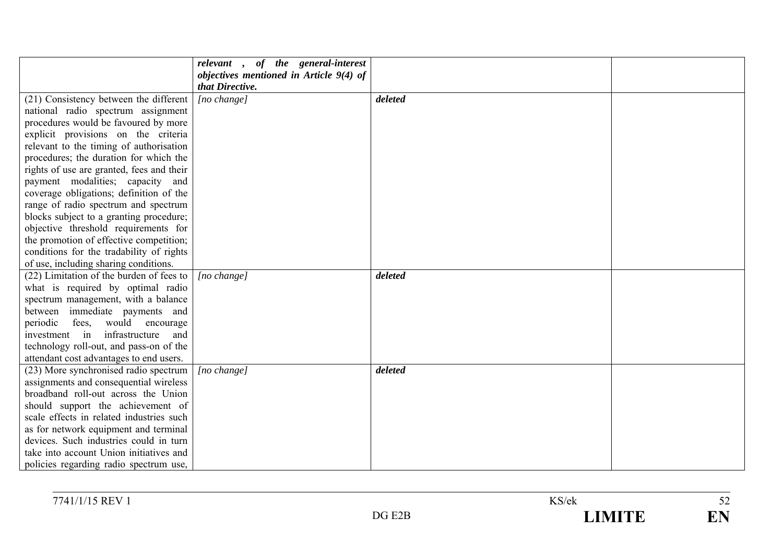|                                           | relevant, of the general-interest<br>objectives mentioned in Article 9(4) of |         |  |
|-------------------------------------------|------------------------------------------------------------------------------|---------|--|
|                                           | that Directive.                                                              |         |  |
| (21) Consistency between the different    | [no change]                                                                  | deleted |  |
| national radio spectrum assignment        |                                                                              |         |  |
| procedures would be favoured by more      |                                                                              |         |  |
| explicit provisions on the criteria       |                                                                              |         |  |
| relevant to the timing of authorisation   |                                                                              |         |  |
| procedures; the duration for which the    |                                                                              |         |  |
| rights of use are granted, fees and their |                                                                              |         |  |
| payment modalities; capacity and          |                                                                              |         |  |
| coverage obligations; definition of the   |                                                                              |         |  |
| range of radio spectrum and spectrum      |                                                                              |         |  |
| blocks subject to a granting procedure;   |                                                                              |         |  |
| objective threshold requirements for      |                                                                              |         |  |
| the promotion of effective competition;   |                                                                              |         |  |
| conditions for the tradability of rights  |                                                                              |         |  |
| of use, including sharing conditions.     |                                                                              |         |  |
| (22) Limitation of the burden of fees to  | $[no \space change]$                                                         | deleted |  |
| what is required by optimal radio         |                                                                              |         |  |
| spectrum management, with a balance       |                                                                              |         |  |
| between immediate payments and            |                                                                              |         |  |
| fees, would encourage<br>periodic         |                                                                              |         |  |
| infrastructure<br>investment in<br>and    |                                                                              |         |  |
| technology roll-out, and pass-on of the   |                                                                              |         |  |
| attendant cost advantages to end users.   |                                                                              |         |  |
| (23) More synchronised radio spectrum     | $[no \space change]$                                                         | deleted |  |
| assignments and consequential wireless    |                                                                              |         |  |
| broadband roll-out across the Union       |                                                                              |         |  |
| should support the achievement of         |                                                                              |         |  |
| scale effects in related industries such  |                                                                              |         |  |
| as for network equipment and terminal     |                                                                              |         |  |
| devices. Such industries could in turn    |                                                                              |         |  |
| take into account Union initiatives and   |                                                                              |         |  |
| policies regarding radio spectrum use,    |                                                                              |         |  |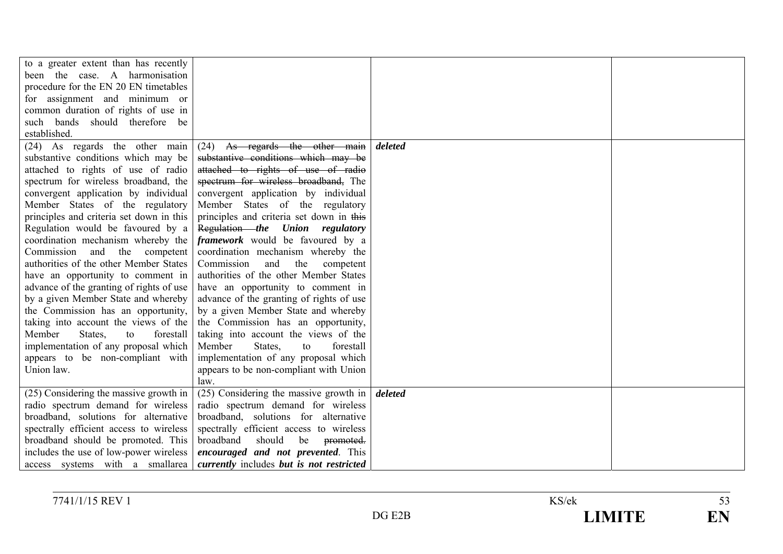| to a greater extent than has recently    |                                           |         |  |
|------------------------------------------|-------------------------------------------|---------|--|
| been the case. A harmonisation           |                                           |         |  |
| procedure for the EN 20 EN timetables    |                                           |         |  |
| for assignment and minimum or            |                                           |         |  |
| common duration of rights of use in      |                                           |         |  |
| such bands should therefore be           |                                           |         |  |
| established.                             |                                           |         |  |
| (24) As regards the other main           | $(24)$ As regards the other main          | deleted |  |
| substantive conditions which may be      | substantive conditions which may be       |         |  |
| attached to rights of use of radio       | attached to rights of use of radio        |         |  |
| spectrum for wireless broadband, the     | spectrum for wireless broadband, The      |         |  |
| convergent application by individual     | convergent application by individual      |         |  |
| Member States of the regulatory          | Member States of the regulatory           |         |  |
| principles and criteria set down in this | principles and criteria set down in this  |         |  |
| Regulation would be favoured by a        | Regulation the Union regulatory           |         |  |
| coordination mechanism whereby the       | framework would be favoured by a          |         |  |
| Commission and the competent             | coordination mechanism whereby the        |         |  |
| authorities of the other Member States   | Commission<br>and<br>the<br>competent     |         |  |
| have an opportunity to comment in        | authorities of the other Member States    |         |  |
| advance of the granting of rights of use | have an opportunity to comment in         |         |  |
| by a given Member State and whereby      | advance of the granting of rights of use  |         |  |
| the Commission has an opportunity,       | by a given Member State and whereby       |         |  |
| taking into account the views of the     | the Commission has an opportunity,        |         |  |
| Member<br>States,<br>forestall<br>to     | taking into account the views of the      |         |  |
| implementation of any proposal which     | Member<br>States,<br>forestall<br>to      |         |  |
| appears to be non-compliant with         | implementation of any proposal which      |         |  |
| Union law.                               | appears to be non-compliant with Union    |         |  |
|                                          | law.                                      |         |  |
| (25) Considering the massive growth in   | (25) Considering the massive growth in    | deleted |  |
| radio spectrum demand for wireless       | radio spectrum demand for wireless        |         |  |
| broadband, solutions for alternative     | broadband, solutions for alternative      |         |  |
| spectrally efficient access to wireless  | spectrally efficient access to wireless   |         |  |
| broadband should be promoted. This       | broadband<br>should<br>be<br>promoted.    |         |  |
| includes the use of low-power wireless   | <i>encouraged and not prevented.</i> This |         |  |
| access systems with a smallarea          | currently includes but is not restricted  |         |  |

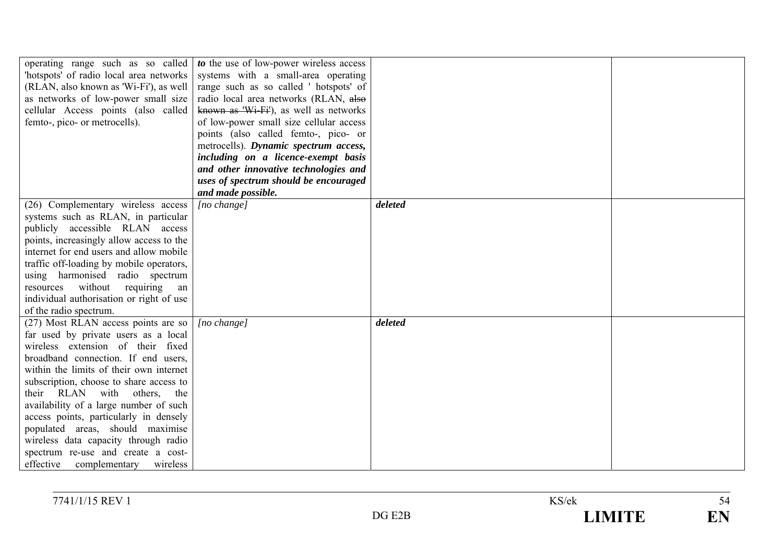| 'hotspots' of radio local area networks<br>(RLAN, also known as 'Wi-Fi'), as well<br>as networks of low-power small size<br>cellular Access points (also called<br>femto-, pico- or metrocells).                                                                                                                                                                                                                                                                                                                             | operating range such as so called $\frac{1}{10}$ to the use of low-power wireless access<br>systems with a small-area operating<br>range such as so called 'hotspots' of<br>radio local area networks (RLAN, also<br>known as 'Wi-Fi'), as well as networks<br>of low-power small size cellular access<br>points (also called femto-, pico- or<br>metrocells). Dynamic spectrum access,<br>including on a licence-exempt basis<br>and other innovative technologies and |         |  |
|------------------------------------------------------------------------------------------------------------------------------------------------------------------------------------------------------------------------------------------------------------------------------------------------------------------------------------------------------------------------------------------------------------------------------------------------------------------------------------------------------------------------------|-------------------------------------------------------------------------------------------------------------------------------------------------------------------------------------------------------------------------------------------------------------------------------------------------------------------------------------------------------------------------------------------------------------------------------------------------------------------------|---------|--|
|                                                                                                                                                                                                                                                                                                                                                                                                                                                                                                                              | uses of spectrum should be encouraged<br>and made possible.                                                                                                                                                                                                                                                                                                                                                                                                             |         |  |
| (26) Complementary wireless access<br>systems such as RLAN, in particular<br>publicly accessible RLAN access<br>points, increasingly allow access to the<br>internet for end users and allow mobile<br>traffic off-loading by mobile operators,<br>using harmonised radio spectrum<br>resources without requiring<br>an<br>individual authorisation or right of use<br>of the radio spectrum.                                                                                                                                | [no change]                                                                                                                                                                                                                                                                                                                                                                                                                                                             | deleted |  |
| (27) Most RLAN access points are so<br>far used by private users as a local<br>wireless extension of their fixed<br>broadband connection. If end users,<br>within the limits of their own internet<br>subscription, choose to share access to<br>their RLAN with others, the<br>availability of a large number of such<br>access points, particularly in densely<br>populated areas, should maximise<br>wireless data capacity through radio<br>spectrum re-use and create a cost-<br>effective<br>complementary<br>wireless | $[no \space change]$                                                                                                                                                                                                                                                                                                                                                                                                                                                    | deleted |  |

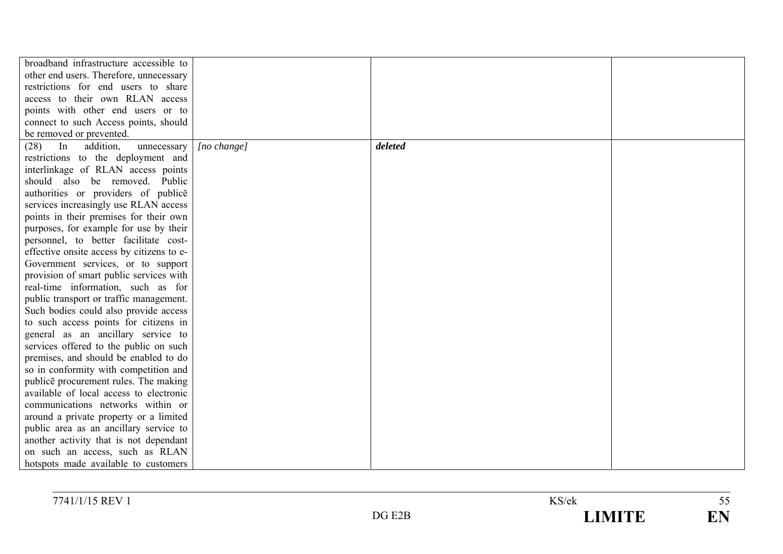| broadband infrastructure accessible to    |             |         |  |
|-------------------------------------------|-------------|---------|--|
| other end users. Therefore, unnecessary   |             |         |  |
| restrictions for end users to share       |             |         |  |
| access to their own RLAN access           |             |         |  |
| points with other end users or to         |             |         |  |
| connect to such Access points, should     |             |         |  |
| be removed or prevented.                  |             |         |  |
| addition,<br>(28)<br>In<br>unnecessary    | [no change] | deleted |  |
| restrictions to the deployment and        |             |         |  |
| interlinkage of RLAN access points        |             |         |  |
| should also be removed. Public            |             |         |  |
| authorities or providers of publice       |             |         |  |
| services increasingly use RLAN access     |             |         |  |
| points in their premises for their own    |             |         |  |
| purposes, for example for use by their    |             |         |  |
| personnel, to better facilitate cost-     |             |         |  |
| effective onsite access by citizens to e- |             |         |  |
| Government services, or to support        |             |         |  |
| provision of smart public services with   |             |         |  |
| real-time information, such as for        |             |         |  |
| public transport or traffic management.   |             |         |  |
| Such bodies could also provide access     |             |         |  |
| to such access points for citizens in     |             |         |  |
| general as an ancillary service to        |             |         |  |
| services offered to the public on such    |             |         |  |
| premises, and should be enabled to do     |             |         |  |
| so in conformity with competition and     |             |         |  |
| publice procurement rules. The making     |             |         |  |
| available of local access to electronic   |             |         |  |
| communications networks within or         |             |         |  |
| around a private property or a limited    |             |         |  |
| public area as an ancillary service to    |             |         |  |
| another activity that is not dependant    |             |         |  |
| on such an access, such as RLAN           |             |         |  |
| hotspots made available to customers      |             |         |  |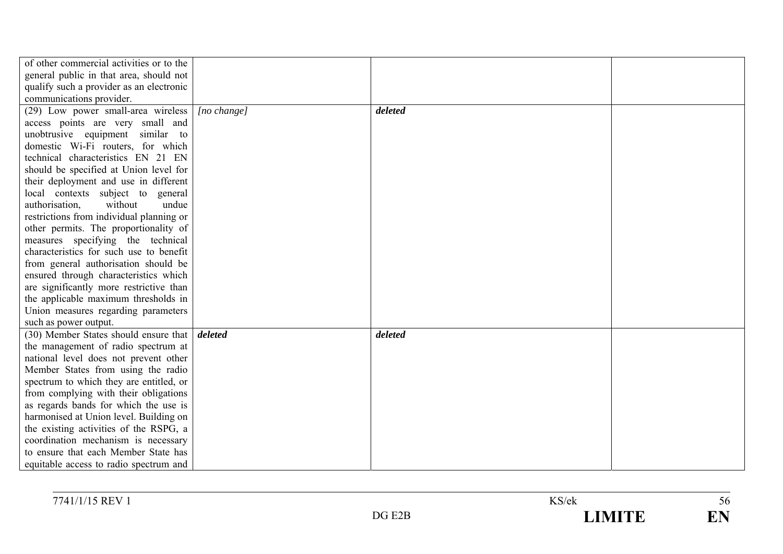| of other commercial activities or to the             |                      |         |  |
|------------------------------------------------------|----------------------|---------|--|
| general public in that area, should not              |                      |         |  |
| qualify such a provider as an electronic             |                      |         |  |
| communications provider.                             |                      |         |  |
| (29) Low power small-area wireless                   | $[no \space change]$ | deleted |  |
| access points are very small and                     |                      |         |  |
| unobtrusive equipment similar to                     |                      |         |  |
| domestic Wi-Fi routers, for which                    |                      |         |  |
| technical characteristics EN 21 EN                   |                      |         |  |
| should be specified at Union level for               |                      |         |  |
| their deployment and use in different                |                      |         |  |
| local contexts subject to general                    |                      |         |  |
| without<br>authorisation,<br>undue                   |                      |         |  |
| restrictions from individual planning or             |                      |         |  |
| other permits. The proportionality of                |                      |         |  |
| measures specifying the technical                    |                      |         |  |
| characteristics for such use to benefit              |                      |         |  |
| from general authorisation should be                 |                      |         |  |
| ensured through characteristics which                |                      |         |  |
| are significantly more restrictive than              |                      |         |  |
| the applicable maximum thresholds in                 |                      |         |  |
| Union measures regarding parameters                  |                      |         |  |
| such as power output.                                |                      |         |  |
| (30) Member States should ensure that <i>deleted</i> |                      | deleted |  |
| the management of radio spectrum at                  |                      |         |  |
| national level does not prevent other                |                      |         |  |
| Member States from using the radio                   |                      |         |  |
| spectrum to which they are entitled, or              |                      |         |  |
| from complying with their obligations                |                      |         |  |
| as regards bands for which the use is                |                      |         |  |
| harmonised at Union level. Building on               |                      |         |  |
| the existing activities of the RSPG, a               |                      |         |  |
| coordination mechanism is necessary                  |                      |         |  |
| to ensure that each Member State has                 |                      |         |  |
| equitable access to radio spectrum and               |                      |         |  |

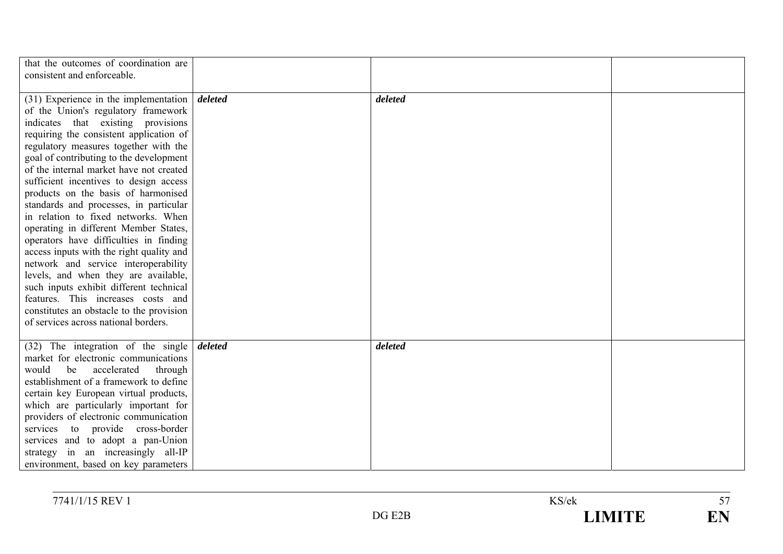| that the outcomes of coordination are<br>consistent and enforceable. |         |         |  |
|----------------------------------------------------------------------|---------|---------|--|
|                                                                      |         |         |  |
| $(31)$ Experience in the implementation                              | deleted | deleted |  |
| of the Union's regulatory framework                                  |         |         |  |
| indicates that existing provisions                                   |         |         |  |
| requiring the consistent application of                              |         |         |  |
| regulatory measures together with the                                |         |         |  |
| goal of contributing to the development                              |         |         |  |
| of the internal market have not created                              |         |         |  |
| sufficient incentives to design access                               |         |         |  |
| products on the basis of harmonised                                  |         |         |  |
| standards and processes, in particular                               |         |         |  |
| in relation to fixed networks. When                                  |         |         |  |
| operating in different Member States,                                |         |         |  |
| operators have difficulties in finding                               |         |         |  |
| access inputs with the right quality and                             |         |         |  |
| network and service interoperability                                 |         |         |  |
| levels, and when they are available,                                 |         |         |  |
| such inputs exhibit different technical                              |         |         |  |
| features. This increases costs and                                   |         |         |  |
| constitutes an obstacle to the provision                             |         |         |  |
| of services across national borders.                                 |         |         |  |
|                                                                      |         |         |  |
| $(32)$ The integration of the single                                 | deleted | deleted |  |
| market for electronic communications                                 |         |         |  |
| accelerated<br>through<br>would<br>be                                |         |         |  |
| establishment of a framework to define                               |         |         |  |
| certain key European virtual products,                               |         |         |  |
| which are particularly important for                                 |         |         |  |
| providers of electronic communication                                |         |         |  |
| services to provide cross-border                                     |         |         |  |
| services and to adopt a pan-Union                                    |         |         |  |
| strategy in an increasingly all-IP                                   |         |         |  |
| environment, based on key parameters                                 |         |         |  |

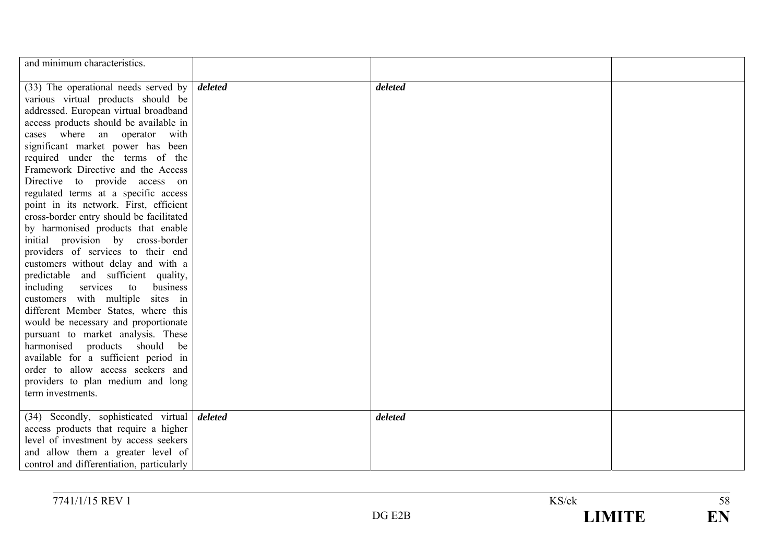| and minimum characteristics.                          |         |  |
|-------------------------------------------------------|---------|--|
| $(33)$ The operational needs served by <i>deleted</i> | deleted |  |
| various virtual products should be                    |         |  |
| addressed. European virtual broadband                 |         |  |
| access products should be available in                |         |  |
| cases where an operator with                          |         |  |
| significant market power has been                     |         |  |
| required under the terms of the                       |         |  |
| Framework Directive and the Access                    |         |  |
| Directive to provide access on                        |         |  |
| regulated terms at a specific access                  |         |  |
| point in its network. First, efficient                |         |  |
| cross-border entry should be facilitated              |         |  |
| by harmonised products that enable                    |         |  |
| initial provision by cross-border                     |         |  |
| providers of services to their end                    |         |  |
| customers without delay and with a                    |         |  |
| predictable and sufficient quality,                   |         |  |
| including services to<br>business                     |         |  |
| customers with multiple sites in                      |         |  |
| different Member States, where this                   |         |  |
| would be necessary and proportionate                  |         |  |
| pursuant to market analysis. These                    |         |  |
| harmonised products should<br>be                      |         |  |
| available for a sufficient period in                  |         |  |
| order to allow access seekers and                     |         |  |
| providers to plan medium and long                     |         |  |
| term investments.                                     |         |  |
|                                                       |         |  |
| (34) Secondly, sophisticated virtual <i>deleted</i>   | deleted |  |
| access products that require a higher                 |         |  |
| level of investment by access seekers                 |         |  |
| and allow them a greater level of                     |         |  |
| control and differentiation, particularly             |         |  |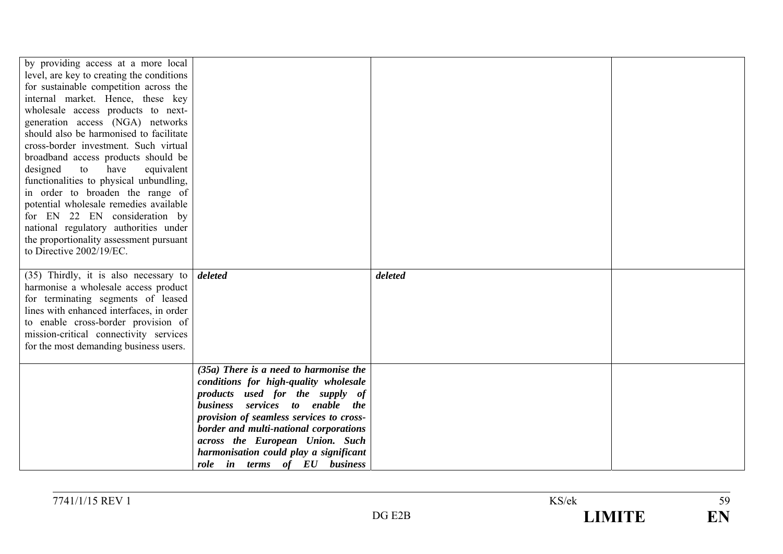| by providing access at a more local<br>level, are key to creating the conditions<br>for sustainable competition across the<br>internal market. Hence, these key<br>wholesale access products to next-<br>generation access (NGA) networks<br>should also be harmonised to facilitate<br>cross-border investment. Such virtual<br>broadband access products should be<br>designed<br>to<br>have<br>equivalent<br>functionalities to physical unbundling,<br>in order to broaden the range of<br>potential wholesale remedies available<br>for EN 22 EN consideration by<br>national regulatory authorities under<br>the proportionality assessment pursuant<br>to Directive 2002/19/EC. |                                                                                                                                                                                                                                                                                                                                                            |         |  |
|----------------------------------------------------------------------------------------------------------------------------------------------------------------------------------------------------------------------------------------------------------------------------------------------------------------------------------------------------------------------------------------------------------------------------------------------------------------------------------------------------------------------------------------------------------------------------------------------------------------------------------------------------------------------------------------|------------------------------------------------------------------------------------------------------------------------------------------------------------------------------------------------------------------------------------------------------------------------------------------------------------------------------------------------------------|---------|--|
| (35) Thirdly, it is also necessary to $\delta$ deleted<br>harmonise a wholesale access product<br>for terminating segments of leased<br>lines with enhanced interfaces, in order<br>to enable cross-border provision of<br>mission-critical connectivity services<br>for the most demanding business users.                                                                                                                                                                                                                                                                                                                                                                            |                                                                                                                                                                                                                                                                                                                                                            | deleted |  |
|                                                                                                                                                                                                                                                                                                                                                                                                                                                                                                                                                                                                                                                                                        | $(35a)$ There is a need to harmonise the<br>conditions for high-quality wholesale<br>products used for the supply of<br>business services to enable the<br>provision of seamless services to cross-<br>border and multi-national corporations<br>across the European Union. Such<br>harmonisation could play a significant<br>role in terms of EU business |         |  |

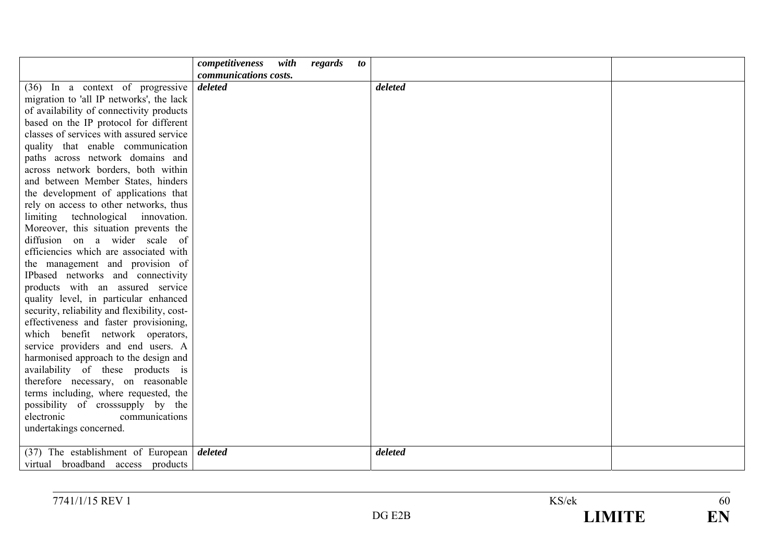|                                              | competitiveness       | with | regards | <i>to</i> |         |  |
|----------------------------------------------|-----------------------|------|---------|-----------|---------|--|
|                                              | communications costs. |      |         |           |         |  |
| $(36)$ In a context of progressive           | deleted               |      |         |           | deleted |  |
| migration to 'all IP networks', the lack     |                       |      |         |           |         |  |
| of availability of connectivity products     |                       |      |         |           |         |  |
| based on the IP protocol for different       |                       |      |         |           |         |  |
| classes of services with assured service     |                       |      |         |           |         |  |
| quality that enable communication            |                       |      |         |           |         |  |
| paths across network domains and             |                       |      |         |           |         |  |
| across network borders, both within          |                       |      |         |           |         |  |
| and between Member States, hinders           |                       |      |         |           |         |  |
| the development of applications that         |                       |      |         |           |         |  |
| rely on access to other networks, thus       |                       |      |         |           |         |  |
| limiting technological innovation.           |                       |      |         |           |         |  |
| Moreover, this situation prevents the        |                       |      |         |           |         |  |
| diffusion on a wider scale of                |                       |      |         |           |         |  |
| efficiencies which are associated with       |                       |      |         |           |         |  |
| the management and provision of              |                       |      |         |           |         |  |
| IPbased networks and connectivity            |                       |      |         |           |         |  |
| products with an assured service             |                       |      |         |           |         |  |
| quality level, in particular enhanced        |                       |      |         |           |         |  |
| security, reliability and flexibility, cost- |                       |      |         |           |         |  |
| effectiveness and faster provisioning,       |                       |      |         |           |         |  |
| which benefit network operators,             |                       |      |         |           |         |  |
| service providers and end users. A           |                       |      |         |           |         |  |
| harmonised approach to the design and        |                       |      |         |           |         |  |
| availability of these products is            |                       |      |         |           |         |  |
| therefore necessary, on reasonable           |                       |      |         |           |         |  |
| terms including, where requested, the        |                       |      |         |           |         |  |
| possibility of crosssupply by the            |                       |      |         |           |         |  |
| electronic<br>communications                 |                       |      |         |           |         |  |
| undertakings concerned.                      |                       |      |         |           |         |  |
| (37) The establishment of European   deleted |                       |      |         |           | deleted |  |
| virtual broadband access products            |                       |      |         |           |         |  |
|                                              |                       |      |         |           |         |  |

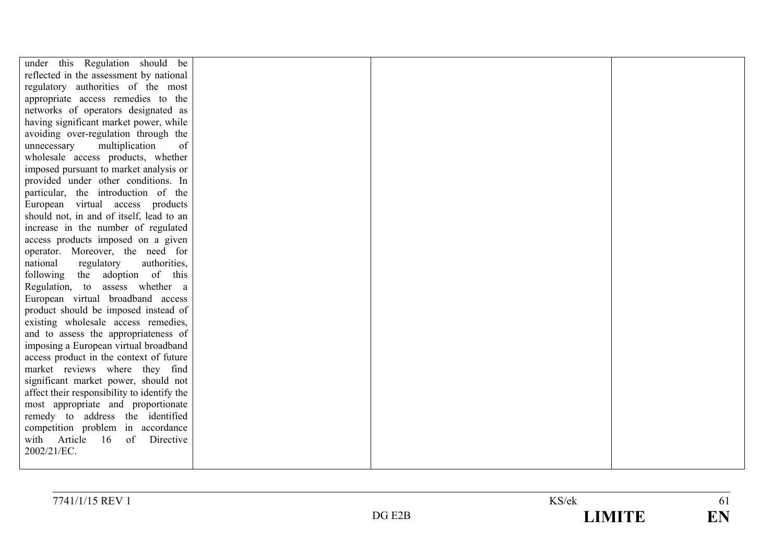| under this Regulation should be             |  |  |
|---------------------------------------------|--|--|
| reflected in the assessment by national     |  |  |
| regulatory authorities of the most          |  |  |
| appropriate access remedies to the          |  |  |
| networks of operators designated as         |  |  |
| having significant market power, while      |  |  |
| avoiding over-regulation through the        |  |  |
| multiplication<br>of<br>unnecessary         |  |  |
| wholesale access products, whether          |  |  |
| imposed pursuant to market analysis or      |  |  |
| provided under other conditions. In         |  |  |
| particular, the introduction of the         |  |  |
| European virtual access products            |  |  |
| should not, in and of itself, lead to an    |  |  |
| increase in the number of regulated         |  |  |
| access products imposed on a given          |  |  |
| operator. Moreover, the need for            |  |  |
| regulatory<br>national<br>authorities,      |  |  |
| following the adoption of this              |  |  |
| Regulation, to assess whether a             |  |  |
| European virtual broadband access           |  |  |
| product should be imposed instead of        |  |  |
| existing wholesale access remedies,         |  |  |
| and to assess the appropriateness of        |  |  |
| imposing a European virtual broadband       |  |  |
| access product in the context of future     |  |  |
| market reviews where they find              |  |  |
| significant market power, should not        |  |  |
| affect their responsibility to identify the |  |  |
| most appropriate and proportionate          |  |  |
| remedy to address the identified            |  |  |
| competition problem in accordance           |  |  |
| Directive<br>with Article 16<br>of          |  |  |
| 2002/21/EC.                                 |  |  |
|                                             |  |  |

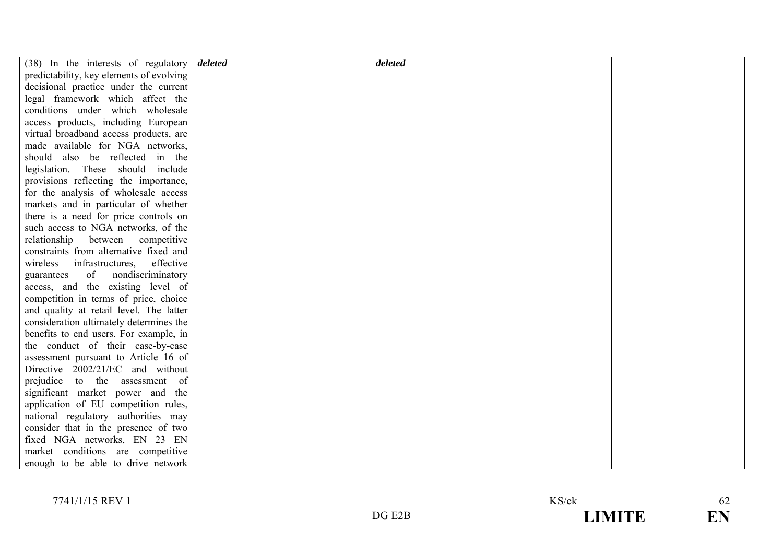| $(38)$ In the interests of regulatory    | deleted | deleted |  |
|------------------------------------------|---------|---------|--|
| predictability, key elements of evolving |         |         |  |
| decisional practice under the current    |         |         |  |
| legal framework which affect the         |         |         |  |
| conditions under which wholesale         |         |         |  |
| access products, including European      |         |         |  |
| virtual broadband access products, are   |         |         |  |
| made available for NGA networks,         |         |         |  |
| should also be reflected in the          |         |         |  |
| legislation. These should include        |         |         |  |
| provisions reflecting the importance,    |         |         |  |
| for the analysis of wholesale access     |         |         |  |
| markets and in particular of whether     |         |         |  |
| there is a need for price controls on    |         |         |  |
| such access to NGA networks, of the      |         |         |  |
| relationship between competitive         |         |         |  |
| constraints from alternative fixed and   |         |         |  |
| wireless infrastructures,<br>effective   |         |         |  |
| of<br>nondiscriminatory<br>guarantees    |         |         |  |
| access, and the existing level of        |         |         |  |
| competition in terms of price, choice    |         |         |  |
| and quality at retail level. The latter  |         |         |  |
| consideration ultimately determines the  |         |         |  |
| benefits to end users. For example, in   |         |         |  |
| the conduct of their case-by-case        |         |         |  |
| assessment pursuant to Article 16 of     |         |         |  |
| Directive 2002/21/EC and without         |         |         |  |
| prejudice to the assessment of           |         |         |  |
| significant market power and the         |         |         |  |
| application of EU competition rules,     |         |         |  |
| national regulatory authorities may      |         |         |  |
| consider that in the presence of two     |         |         |  |
| fixed NGA networks, EN 23 EN             |         |         |  |
| market conditions are competitive        |         |         |  |
| enough to be able to drive network       |         |         |  |

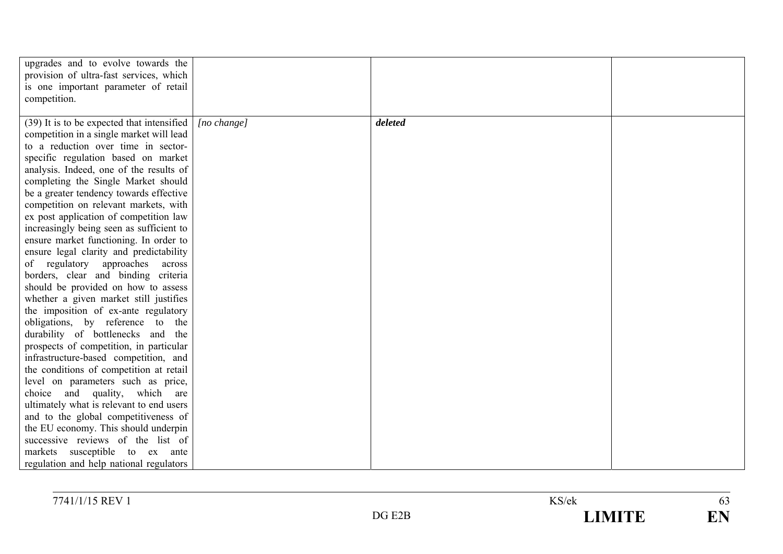| upgrades and to evolve towards the         |             |         |  |
|--------------------------------------------|-------------|---------|--|
| provision of ultra-fast services, which    |             |         |  |
| is one important parameter of retail       |             |         |  |
| competition.                               |             |         |  |
|                                            |             |         |  |
| (39) It is to be expected that intensified | [no change] | deleted |  |
| competition in a single market will lead   |             |         |  |
| to a reduction over time in sector-        |             |         |  |
| specific regulation based on market        |             |         |  |
| analysis. Indeed, one of the results of    |             |         |  |
| completing the Single Market should        |             |         |  |
| be a greater tendency towards effective    |             |         |  |
| competition on relevant markets, with      |             |         |  |
| ex post application of competition law     |             |         |  |
| increasingly being seen as sufficient to   |             |         |  |
| ensure market functioning. In order to     |             |         |  |
| ensure legal clarity and predictability    |             |         |  |
| of regulatory approaches<br>across         |             |         |  |
| borders, clear and binding criteria        |             |         |  |
| should be provided on how to assess        |             |         |  |
| whether a given market still justifies     |             |         |  |
| the imposition of ex-ante regulatory       |             |         |  |
| obligations, by reference to the           |             |         |  |
| durability of bottlenecks and the          |             |         |  |
| prospects of competition, in particular    |             |         |  |
| infrastructure-based competition, and      |             |         |  |
| the conditions of competition at retail    |             |         |  |
| level on parameters such as price,         |             |         |  |
| choice and quality, which are              |             |         |  |
| ultimately what is relevant to end users   |             |         |  |
| and to the global competitiveness of       |             |         |  |
| the EU economy. This should underpin       |             |         |  |
| successive reviews of the list of          |             |         |  |
| markets susceptible to ex ante             |             |         |  |
| regulation and help national regulators    |             |         |  |

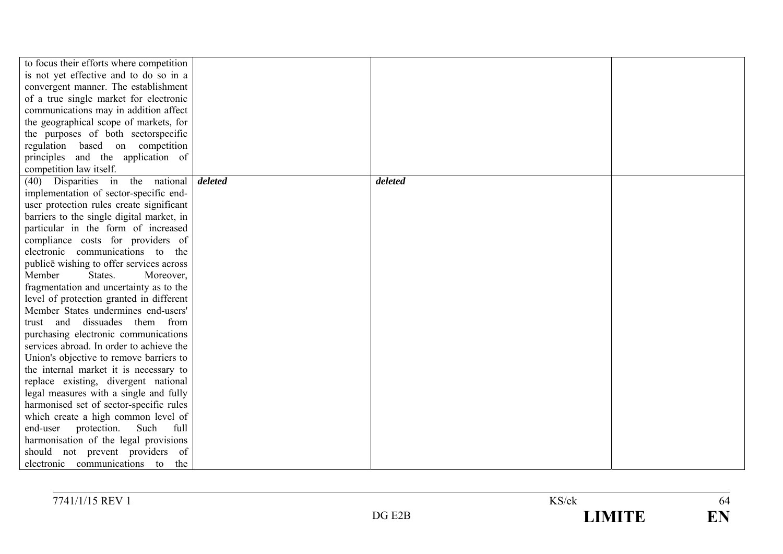| to focus their efforts where competition  |         |         |  |
|-------------------------------------------|---------|---------|--|
| is not yet effective and to do so in a    |         |         |  |
| convergent manner. The establishment      |         |         |  |
| of a true single market for electronic    |         |         |  |
| communications may in addition affect     |         |         |  |
| the geographical scope of markets, for    |         |         |  |
| the purposes of both sectorspecific       |         |         |  |
| regulation based on competition           |         |         |  |
| principles and the application of         |         |         |  |
| competition law itself.                   |         |         |  |
| (40) Disparities in the national          | deleted | deleted |  |
| implementation of sector-specific end-    |         |         |  |
| user protection rules create significant  |         |         |  |
| barriers to the single digital market, in |         |         |  |
| particular in the form of increased       |         |         |  |
| compliance costs for providers of         |         |         |  |
| electronic communications to<br>the       |         |         |  |
| publice wishing to offer services across  |         |         |  |
| Member<br>States.<br>Moreover,            |         |         |  |
| fragmentation and uncertainty as to the   |         |         |  |
| level of protection granted in different  |         |         |  |
| Member States undermines end-users'       |         |         |  |
| and dissuades them from<br>trust          |         |         |  |
| purchasing electronic communications      |         |         |  |
| services abroad. In order to achieve the  |         |         |  |
| Union's objective to remove barriers to   |         |         |  |
| the internal market it is necessary to    |         |         |  |
| replace existing, divergent national      |         |         |  |
| legal measures with a single and fully    |         |         |  |
| harmonised set of sector-specific rules   |         |         |  |
| which create a high common level of       |         |         |  |
| end-user protection.<br>Such<br>full      |         |         |  |
| harmonisation of the legal provisions     |         |         |  |
| should not prevent providers of           |         |         |  |
| electronic communications to<br>the       |         |         |  |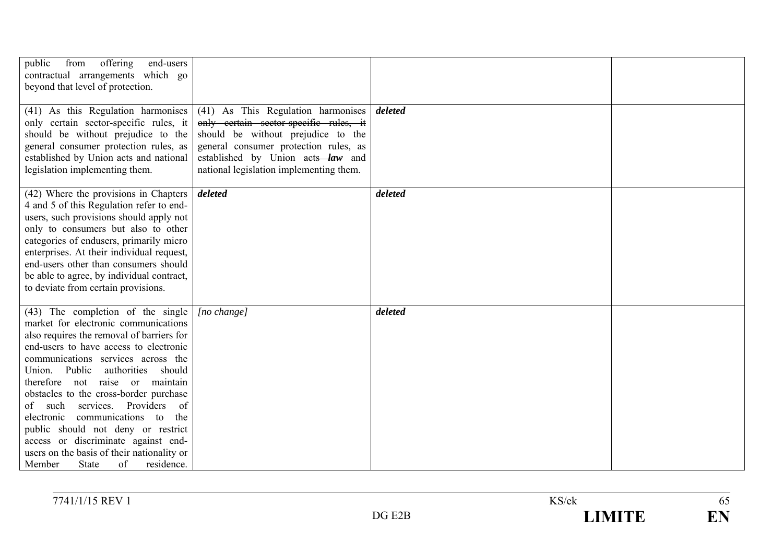| offering<br>public<br>from<br>end-users<br>contractual arrangements which go<br>beyond that level of protection.                                                                                                                                                                                                                                                                                                                                                                                                                                                                  |                                                                                                                                                                                                                                             |         |  |
|-----------------------------------------------------------------------------------------------------------------------------------------------------------------------------------------------------------------------------------------------------------------------------------------------------------------------------------------------------------------------------------------------------------------------------------------------------------------------------------------------------------------------------------------------------------------------------------|---------------------------------------------------------------------------------------------------------------------------------------------------------------------------------------------------------------------------------------------|---------|--|
| (41) As this Regulation harmonises<br>only certain sector-specific rules, it<br>should be without prejudice to the<br>general consumer protection rules, as<br>established by Union acts and national<br>legislation implementing them.                                                                                                                                                                                                                                                                                                                                           | (41) As This Regulation harmonises<br>only certain sector-specific rules, it<br>should be without prejudice to the<br>general consumer protection rules, as<br>established by Union acts law and<br>national legislation implementing them. | deleted |  |
| (42) Where the provisions in Chapters<br>4 and 5 of this Regulation refer to end-<br>users, such provisions should apply not<br>only to consumers but also to other<br>categories of endusers, primarily micro<br>enterprises. At their individual request,<br>end-users other than consumers should<br>be able to agree, by individual contract,<br>to deviate from certain provisions.                                                                                                                                                                                          | deleted                                                                                                                                                                                                                                     | deleted |  |
| (43) The completion of the single<br>market for electronic communications<br>also requires the removal of barriers for<br>end-users to have access to electronic<br>communications services across the<br>Union. Public<br>authorities<br>should<br>therefore not raise or maintain<br>obstacles to the cross-border purchase<br>services. Providers<br>of such<br>of<br>communications to<br>the<br>electronic<br>public should not deny or restrict<br>access or discriminate against end-<br>users on the basis of their nationality or<br>Member<br>State<br>of<br>residence. | [no change]                                                                                                                                                                                                                                 | deleted |  |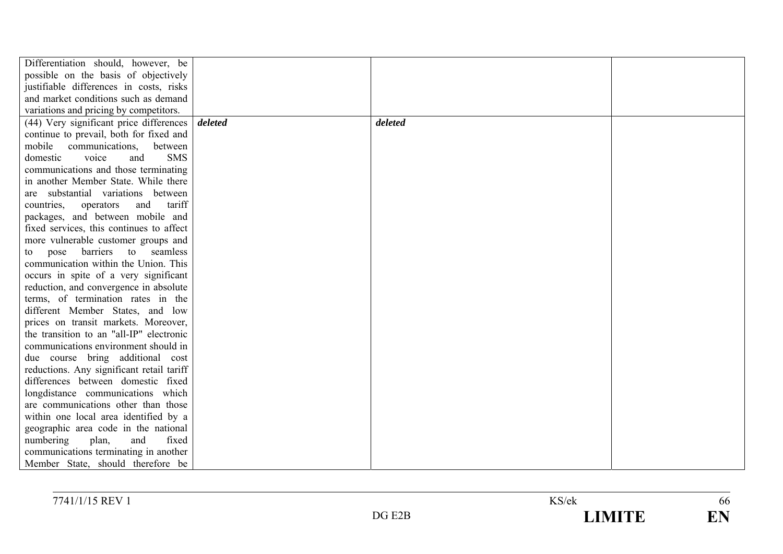| Differentiation should, however, be       |         |         |  |
|-------------------------------------------|---------|---------|--|
| possible on the basis of objectively      |         |         |  |
| justifiable differences in costs, risks   |         |         |  |
| and market conditions such as demand      |         |         |  |
| variations and pricing by competitors.    |         |         |  |
| (44) Very significant price differences   | deleted | deleted |  |
| continue to prevail, both for fixed and   |         |         |  |
| mobile communications,<br>between         |         |         |  |
| voice<br><b>SMS</b><br>domestic<br>and    |         |         |  |
| communications and those terminating      |         |         |  |
| in another Member State. While there      |         |         |  |
| are substantial variations between        |         |         |  |
| and<br>tariff<br>countries.<br>operators  |         |         |  |
| packages, and between mobile and          |         |         |  |
| fixed services, this continues to affect  |         |         |  |
| more vulnerable customer groups and       |         |         |  |
| pose barriers to seamless<br>to           |         |         |  |
| communication within the Union. This      |         |         |  |
| occurs in spite of a very significant     |         |         |  |
| reduction, and convergence in absolute    |         |         |  |
| terms, of termination rates in the        |         |         |  |
| different Member States, and low          |         |         |  |
| prices on transit markets. Moreover,      |         |         |  |
| the transition to an "all-IP" electronic  |         |         |  |
| communications environment should in      |         |         |  |
| due course bring additional cost          |         |         |  |
| reductions. Any significant retail tariff |         |         |  |
| differences between domestic fixed        |         |         |  |
| longdistance communications which         |         |         |  |
| are communications other than those       |         |         |  |
| within one local area identified by a     |         |         |  |
| geographic area code in the national      |         |         |  |
| numbering<br>fixed<br>plan,<br>and        |         |         |  |
| communications terminating in another     |         |         |  |
| Member State, should therefore be         |         |         |  |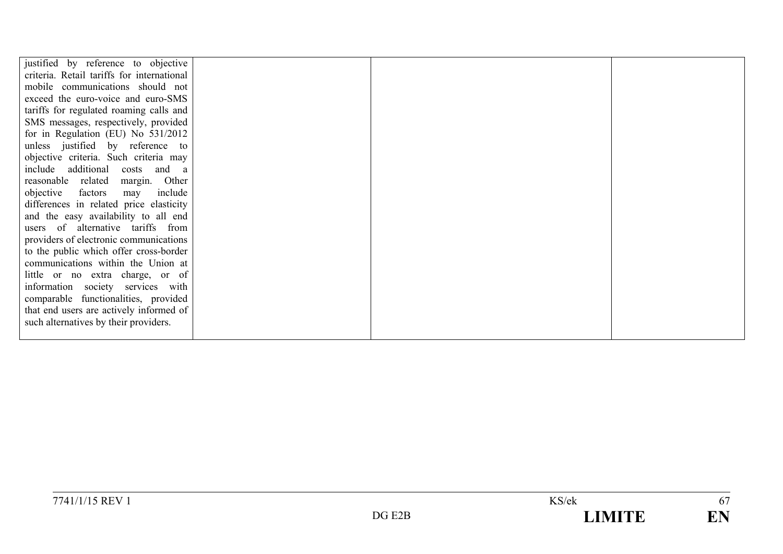| justified by reference to objective        |  |  |
|--------------------------------------------|--|--|
| criteria. Retail tariffs for international |  |  |
| mobile communications should not           |  |  |
| exceed the euro-voice and euro-SMS         |  |  |
| tariffs for regulated roaming calls and    |  |  |
| SMS messages, respectively, provided       |  |  |
| for in Regulation (EU) No 531/2012         |  |  |
| unless justified by reference to           |  |  |
| objective criteria. Such criteria may      |  |  |
| include additional<br>costs and a          |  |  |
| reasonable related<br>Other<br>margin.     |  |  |
| objective<br>include<br>factors<br>may     |  |  |
| differences in related price elasticity    |  |  |
| and the easy availability to all end       |  |  |
| users of alternative tariffs from          |  |  |
| providers of electronic communications     |  |  |
| to the public which offer cross-border     |  |  |
| communications within the Union at         |  |  |
| little or no extra charge, or of           |  |  |
| information society services with          |  |  |
| comparable functionalities, provided       |  |  |
| that end users are actively informed of    |  |  |
| such alternatives by their providers.      |  |  |
|                                            |  |  |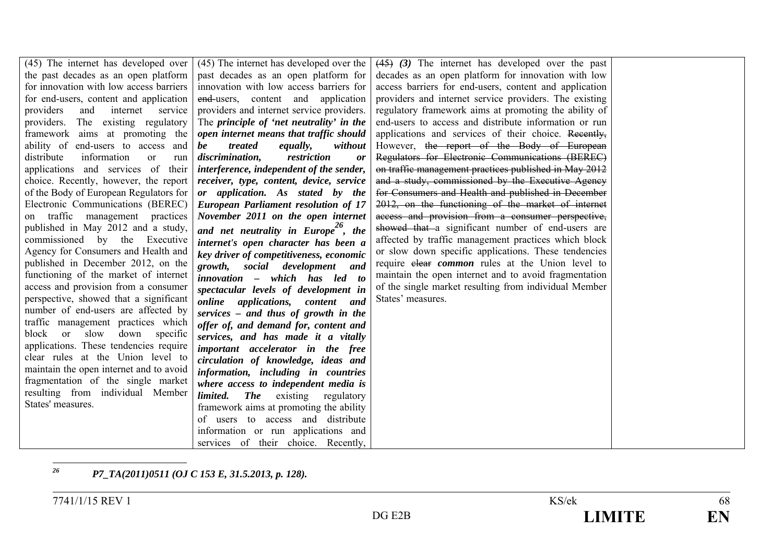| (45) The internet has developed over              | (45) The internet has developed over the         | $(45)$ (3) The internet has developed over the past     |  |
|---------------------------------------------------|--------------------------------------------------|---------------------------------------------------------|--|
| the past decades as an open platform              | past decades as an open platform for             | decades as an open platform for innovation with low     |  |
| for innovation with low access barriers           | innovation with low access barriers for          | access barriers for end-users, content and application  |  |
| for end-users, content and application            | end-users, content and application               | providers and internet service providers. The existing  |  |
| providers<br>internet<br>and<br>service           | providers and internet service providers.        | regulatory framework aims at promoting the ability of   |  |
| providers. The existing regulatory                | The <i>principle of 'net neutrality' in the</i>  | end-users to access and distribute information or run   |  |
| framework aims at promoting the                   | open internet means that traffic should          | applications and services of their choice. Recently,    |  |
| ability of end-users to access and                | treated<br><i>equally,</i><br>without<br>be      | However, the report of the Body of European             |  |
| distribute<br>information<br><sub>or</sub><br>run | discrimination,<br>restriction<br>or             | Regulators for Electronic Communications (BEREC)        |  |
| applications and services of their                | interference, independent of the sender,         | on traffic management practices published in May 2012   |  |
| choice. Recently, however, the report             | receiver, type, content, device, service         | and a study, commissioned by the Executive Agency       |  |
| of the Body of European Regulators for            | or application. As stated by the                 | for Consumers and Health and published in December      |  |
| Electronic Communications (BEREC)                 | <b>European Parliament resolution of 17</b>      | 2012, on the functioning of the market of internet      |  |
| on traffic management practices                   | November 2011 on the open internet               | access and provision from a consumer perspective,       |  |
| published in May 2012 and a study,                | and net neutrality in Europe <sup>20</sup> , the | showed that a significant number of end-users are       |  |
| commissioned by the Executive                     | internet's open character has been a             | affected by traffic management practices which block    |  |
| Agency for Consumers and Health and               | key driver of competitiveness, economic          | or slow down specific applications. These tendencies    |  |
| published in December 2012, on the                | growth, social development and                   | require elear <i>common</i> rules at the Union level to |  |
| functioning of the market of internet             | innovation - which has led to                    | maintain the open internet and to avoid fragmentation   |  |
| access and provision from a consumer              | spectacular levels of development in             | of the single market resulting from individual Member   |  |
| perspective, showed that a significant            | online applications, content and                 | States' measures.                                       |  |
| number of end-users are affected by               | services – and thus of growth in the             |                                                         |  |
| traffic management practices which                | offer of, and demand for, content and            |                                                         |  |
| block or slow<br>down specific                    | services, and has made it a vitally              |                                                         |  |
| applications. These tendencies require            | important accelerator in the free                |                                                         |  |
| clear rules at the Union level to                 | circulation of knowledge, ideas and              |                                                         |  |
| maintain the open internet and to avoid           | information, including in countries              |                                                         |  |
| fragmentation of the single market                | where access to independent media is             |                                                         |  |
| resulting from individual Member                  | limited.<br><b>The</b><br>existing<br>regulatory |                                                         |  |
| States' measures.                                 | framework aims at promoting the ability          |                                                         |  |
|                                                   | of users to access and distribute                |                                                         |  |
|                                                   | information or run applications and              |                                                         |  |
|                                                   | services of their choice. Recently,              |                                                         |  |
|                                                   |                                                  |                                                         |  |

*26P7\_TA(2011)0511 (OJ C 153 E, 31.5.2013, p. 128).*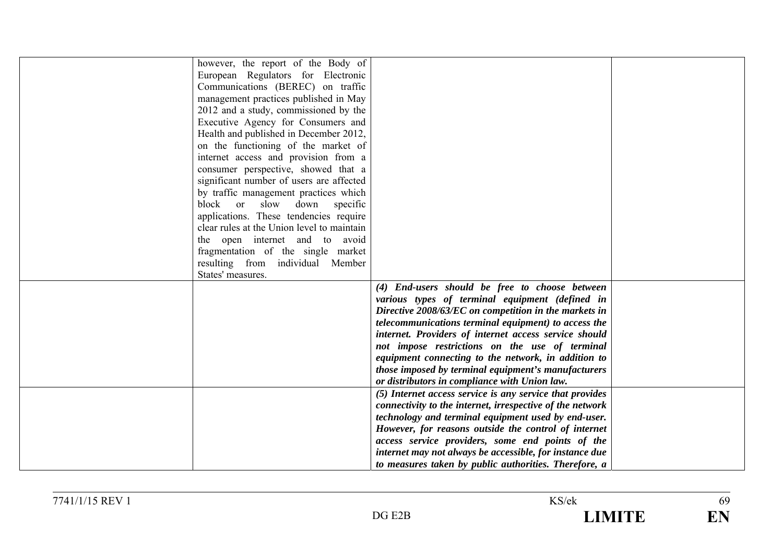|                   | however, the report of the Body of                        |  |
|-------------------|-----------------------------------------------------------|--|
|                   |                                                           |  |
|                   | European Regulators for Electronic                        |  |
|                   | Communications (BEREC) on traffic                         |  |
|                   | management practices published in May                     |  |
|                   | 2012 and a study, commissioned by the                     |  |
|                   | Executive Agency for Consumers and                        |  |
|                   | Health and published in December 2012,                    |  |
|                   | on the functioning of the market of                       |  |
|                   | internet access and provision from a                      |  |
|                   | consumer perspective, showed that a                       |  |
|                   | significant number of users are affected                  |  |
|                   | by traffic management practices which                     |  |
| block or          | slow down<br>specific                                     |  |
|                   | applications. These tendencies require                    |  |
|                   | clear rules at the Union level to maintain                |  |
|                   | the open internet and to avoid                            |  |
|                   | fragmentation of the single market                        |  |
|                   |                                                           |  |
|                   | resulting from individual Member                          |  |
| States' measures. |                                                           |  |
|                   | (4) End-users should be free to choose between            |  |
|                   | various types of terminal equipment (defined in           |  |
|                   | Directive 2008/63/EC on competition in the markets in     |  |
|                   | telecommunications terminal equipment) to access the      |  |
|                   | internet. Providers of internet access service should     |  |
|                   | not impose restrictions on the use of terminal            |  |
|                   | equipment connecting to the network, in addition to       |  |
|                   | those imposed by terminal equipment's manufacturers       |  |
|                   | or distributors in compliance with Union law.             |  |
|                   | (5) Internet access service is any service that provides  |  |
|                   | connectivity to the internet, irrespective of the network |  |
|                   | technology and terminal equipment used by end-user.       |  |
|                   | However, for reasons outside the control of internet      |  |
|                   | access service providers, some end points of the          |  |
|                   | internet may not always be accessible, for instance due   |  |
|                   | to measures taken by public authorities. Therefore, a     |  |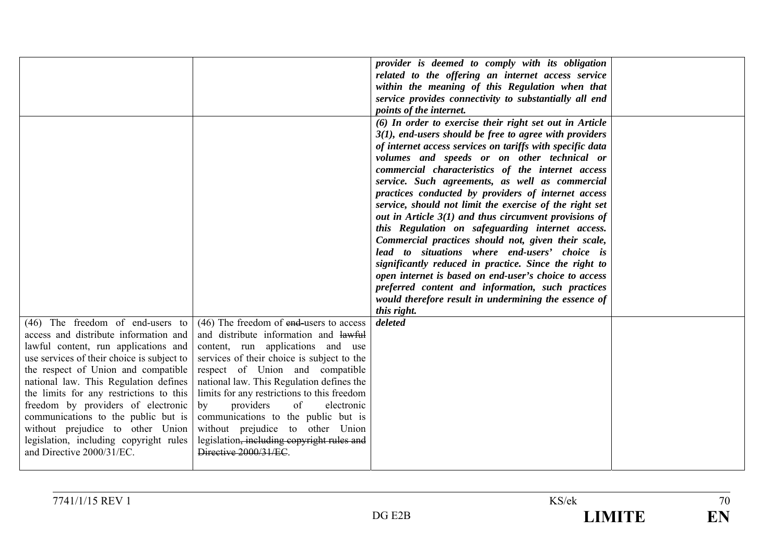|                                                                                                                                                                                                                                                                                                                                                                                                                                                                                    |                                                                                                                                                                                                                                                                                                                                                                                                                                                                                               | provider is deemed to comply with its obligation<br>related to the offering an internet access service<br>within the meaning of this Regulation when that<br>service provides connectivity to substantially all end<br><i>points of the internet.</i>                                                                                                                                                                                                                                                                                                                                                                                                                                                                                                                                                                                                                                                                           |  |
|------------------------------------------------------------------------------------------------------------------------------------------------------------------------------------------------------------------------------------------------------------------------------------------------------------------------------------------------------------------------------------------------------------------------------------------------------------------------------------|-----------------------------------------------------------------------------------------------------------------------------------------------------------------------------------------------------------------------------------------------------------------------------------------------------------------------------------------------------------------------------------------------------------------------------------------------------------------------------------------------|---------------------------------------------------------------------------------------------------------------------------------------------------------------------------------------------------------------------------------------------------------------------------------------------------------------------------------------------------------------------------------------------------------------------------------------------------------------------------------------------------------------------------------------------------------------------------------------------------------------------------------------------------------------------------------------------------------------------------------------------------------------------------------------------------------------------------------------------------------------------------------------------------------------------------------|--|
|                                                                                                                                                                                                                                                                                                                                                                                                                                                                                    |                                                                                                                                                                                                                                                                                                                                                                                                                                                                                               | (6) In order to exercise their right set out in Article<br>$3(1)$ , end-users should be free to agree with providers<br>of internet access services on tariffs with specific data<br>volumes and speeds or on other technical or<br>commercial characteristics of the internet access<br>service. Such agreements, as well as commercial<br>practices conducted by providers of internet access<br>service, should not limit the exercise of the right set<br>out in Article $3(1)$ and thus circumvent provisions of<br>this Regulation on safeguarding internet access.<br>Commercial practices should not, given their scale,<br>lead to situations where end-users' choice is<br>significantly reduced in practice. Since the right to<br>open internet is based on end-user's choice to access<br>preferred content and information, such practices<br>would therefore result in undermining the essence of<br>this right. |  |
| (46) The freedom of end-users to<br>access and distribute information and<br>lawful content, run applications and<br>use services of their choice is subject to<br>the respect of Union and compatible<br>national law. This Regulation defines<br>the limits for any restrictions to this<br>freedom by providers of electronic<br>communications to the public but is<br>without prejudice to other Union<br>legislation, including copyright rules<br>and Directive 2000/31/EC. | $(46)$ The freedom of end-users to access<br>and distribute information and lawful<br>content, run applications and use<br>services of their choice is subject to the<br>respect of Union and compatible<br>national law. This Regulation defines the<br>limits for any restrictions to this freedom<br>providers<br>of<br>electronic<br>by<br>communications to the public but is<br>without prejudice to other Union<br>legislation, including copyright rules and<br>Directive 2000/31/EC. | deleted                                                                                                                                                                                                                                                                                                                                                                                                                                                                                                                                                                                                                                                                                                                                                                                                                                                                                                                         |  |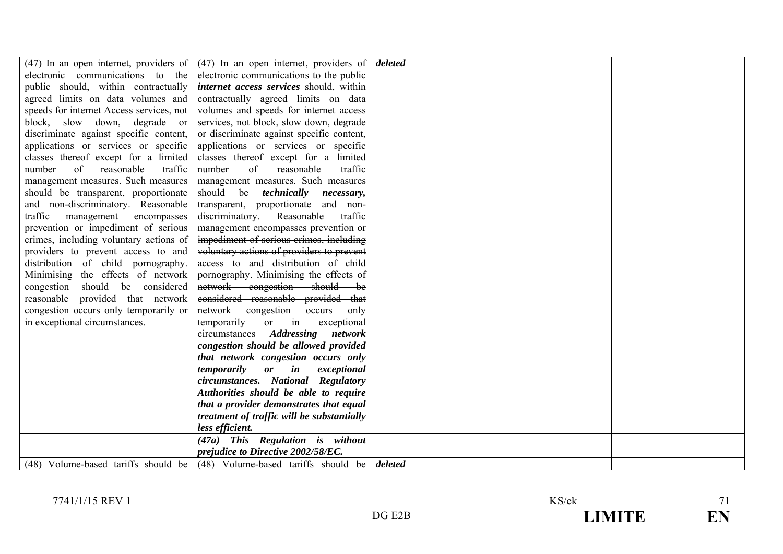| $(47)$ In an open internet, providers of | (47) In an open internet, providers of                                           | deleted |  |
|------------------------------------------|----------------------------------------------------------------------------------|---------|--|
| electronic communications to the         | electronic communications to the public                                          |         |  |
| public should, within contractually      | <i>internet access services should, within</i>                                   |         |  |
| agreed limits on data volumes and        | contractually agreed limits on data                                              |         |  |
| speeds for internet Access services, not | volumes and speeds for internet access                                           |         |  |
| block, slow down, degrade or             | services, not block, slow down, degrade                                          |         |  |
| discriminate against specific content,   | or discriminate against specific content,                                        |         |  |
| applications or services or specific     | applications or services or specific                                             |         |  |
| classes thereof except for a limited     | classes thereof except for a limited                                             |         |  |
| number<br>of<br>reasonable<br>traffic    | number<br>of<br>reasonable<br>traffic                                            |         |  |
| management measures. Such measures       | management measures. Such measures                                               |         |  |
| should be transparent, proportionate     | should be <i>technically necessary</i> ,                                         |         |  |
| and non-discriminatory. Reasonable       | transparent, proportionate and non-                                              |         |  |
| traffic<br>management<br>encompasses     | discriminatory.<br>Reasonable traffie                                            |         |  |
| prevention or impediment of serious      | management encompasses prevention or                                             |         |  |
| crimes, including voluntary actions of   | impediment of serious crimes, including                                          |         |  |
| providers to prevent access to and       | voluntary actions of providers to prevent                                        |         |  |
| distribution of child pornography.       | access to and distribution of child                                              |         |  |
| Minimising the effects of network        | pornography. Minimising the effects of                                           |         |  |
| congestion should be considered          | network congestion should be                                                     |         |  |
| reasonable provided that network         | considered reasonable provided that                                              |         |  |
| congestion occurs only temporarily or    | network congestion occurs only                                                   |         |  |
| in exceptional circumstances.            | temporarily or in exceptional                                                    |         |  |
|                                          | eireumstances Addressing<br>network                                              |         |  |
|                                          | congestion should be allowed provided                                            |         |  |
|                                          | that network congestion occurs only                                              |         |  |
|                                          | temporarily<br>$\boldsymbol{or}$<br>$\boldsymbol{i}$ n<br>exceptional            |         |  |
|                                          | circumstances. National Regulatory                                               |         |  |
|                                          | Authorities should be able to require<br>that a provider demonstrates that equal |         |  |
|                                          |                                                                                  |         |  |
|                                          | treatment of traffic will be substantially<br>less efficient.                    |         |  |
|                                          | (47a) This Regulation is without                                                 |         |  |
|                                          | prejudice to Directive 2002/58/EC.                                               |         |  |
| (48) Volume-based tariffs should be      | (48) Volume-based tariffs should be                                              |         |  |
|                                          |                                                                                  | deleted |  |

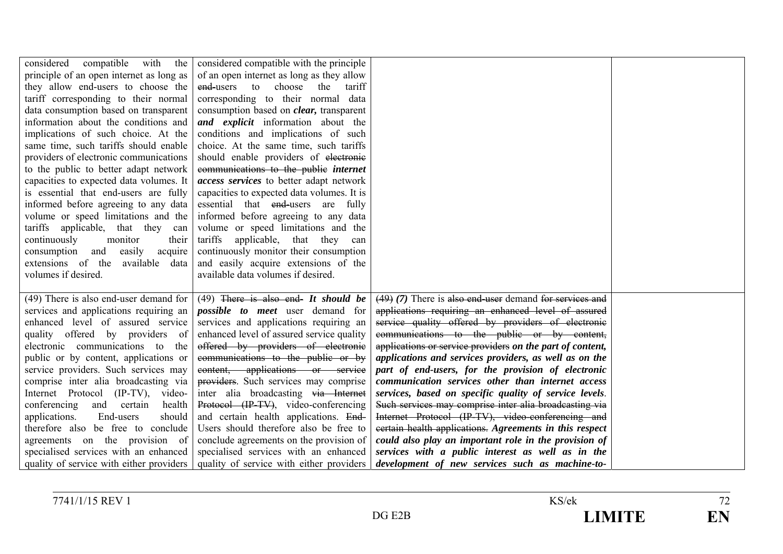| with<br>considered<br>compatible<br>the  | considered compatible with the principle        |                                                           |  |
|------------------------------------------|-------------------------------------------------|-----------------------------------------------------------|--|
| principle of an open internet as long as | of an open internet as long as they allow       |                                                           |  |
| they allow end-users to choose the       | end-users to<br>choose<br>the<br>tariff         |                                                           |  |
| tariff corresponding to their normal     | corresponding to their normal data              |                                                           |  |
| data consumption based on transparent    | consumption based on <i>clear</i> , transparent |                                                           |  |
| information about the conditions and     | <i>and explicit</i> information about the       |                                                           |  |
| implications of such choice. At the      | conditions and implications of such             |                                                           |  |
| same time, such tariffs should enable    | choice. At the same time, such tariffs          |                                                           |  |
| providers of electronic communications   | should enable providers of electronic           |                                                           |  |
| to the public to better adapt network    | communications to the public internet           |                                                           |  |
| capacities to expected data volumes. It  | access services to better adapt network         |                                                           |  |
| is essential that end-users are fully    | capacities to expected data volumes. It is      |                                                           |  |
| informed before agreeing to any data     | essential that end-users are fully              |                                                           |  |
| volume or speed limitations and the      | informed before agreeing to any data            |                                                           |  |
| tariffs applicable, that they<br>can     | volume or speed limitations and the             |                                                           |  |
| continuously<br>monitor<br>their         | tariffs<br>applicable, that they<br>can         |                                                           |  |
| consumption<br>and<br>easily<br>acquire  | continuously monitor their consumption          |                                                           |  |
| extensions of the available data         | and easily acquire extensions of the            |                                                           |  |
| volumes if desired.                      | available data volumes if desired.              |                                                           |  |
|                                          |                                                 |                                                           |  |
| (49) There is also end-user demand for   | $(49)$ There is also end- It should be          | $(49)$ (7) There is also end-user demand for services and |  |
| services and applications requiring an   | <i>possible to meet</i> user demand for         | applications requiring an enhanced level of assured       |  |
| enhanced level of assured service        | services and applications requiring an          | service quality offered by providers of electronic        |  |
| quality offered by providers of          | enhanced level of assured service quality       | communications to the public or by content,               |  |
| electronic communications to<br>the      | offered by providers of electronic              | applications or service providers on the part of content, |  |
| public or by content, applications or    | communications to the public or by              | applications and services providers, as well as on the    |  |
| service providers. Such services may     | content, applications or service                | part of end-users, for the provision of electronic        |  |
| comprise inter alia broadcasting via     | providers. Such services may comprise           | communication services other than internet access         |  |
| Internet Protocol (IP-TV), video-        | inter alia broadcasting via Internet            | services, based on specific quality of service levels.    |  |
| health<br>conferencing and certain       | Protocol (IP-TV), video-conferencing            | Such services may comprise inter alia broadcasting via    |  |
| End-users<br>should<br>applications.     | and certain health applications. End-           | Internet Protocol (IP-TV), video-conferencing and         |  |
| therefore also be free to conclude       | Users should therefore also be free to          | eertain health applications. Agreements in this respect   |  |
| agreements on the provision of           | conclude agreements on the provision of         | could also play an important role in the provision of     |  |
| specialised services with an enhanced    | specialised services with an enhanced           | services with a public interest as well as in the         |  |
| quality of service with either providers | quality of service with either providers        | development of new services such as machine-to-           |  |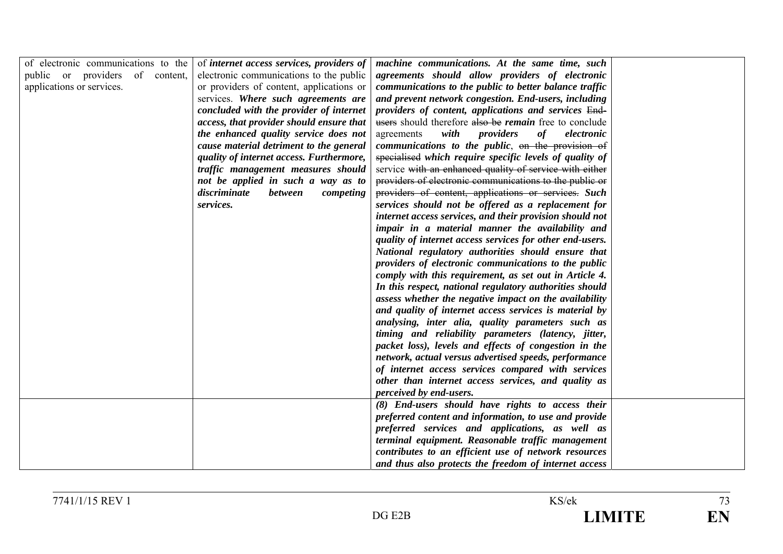| of electronic communications to the<br>public or providers of content,<br>applications or services. | of internet access services, providers of<br>electronic communications to the public<br>or providers of content, applications or<br>services. Where such agreements are<br>concluded with the provider of internet<br>access, that provider should ensure that<br>the enhanced quality service does not<br>cause material detriment to the general<br>quality of internet access. Furthermore,<br>traffic management measures should<br>not be applied in such a way as to<br>discriminate<br><i>between</i><br>competing<br>services. | machine communications. At the same time, such<br>agreements should allow providers of electronic<br>communications to the public to better balance traffic<br>and prevent network congestion. End-users, including<br>providers of content, applications and services End-<br>users should therefore also be <i>remain</i> free to conclude<br>with<br>providers<br>electronic<br>agreements<br>of<br>communications to the public, on the provision of<br>specialised which require specific levels of quality of<br>service with an enhanced quality of service with either<br>providers of electronic communications to the public or<br>providers of content, applications or services. Such<br>services should not be offered as a replacement for<br>internet access services, and their provision should not<br>impair in a material manner the availability and<br>quality of internet access services for other end-users.<br>National regulatory authorities should ensure that<br>providers of electronic communications to the public<br>comply with this requirement, as set out in Article 4.<br>In this respect, national regulatory authorities should<br>assess whether the negative impact on the availability<br>and quality of internet access services is material by<br>analysing, inter alia, quality parameters such as<br>timing and reliability parameters (latency, jitter,<br>packet loss), levels and effects of congestion in the<br>network, actual versus advertised speeds, performance |  |
|-----------------------------------------------------------------------------------------------------|----------------------------------------------------------------------------------------------------------------------------------------------------------------------------------------------------------------------------------------------------------------------------------------------------------------------------------------------------------------------------------------------------------------------------------------------------------------------------------------------------------------------------------------|---------------------------------------------------------------------------------------------------------------------------------------------------------------------------------------------------------------------------------------------------------------------------------------------------------------------------------------------------------------------------------------------------------------------------------------------------------------------------------------------------------------------------------------------------------------------------------------------------------------------------------------------------------------------------------------------------------------------------------------------------------------------------------------------------------------------------------------------------------------------------------------------------------------------------------------------------------------------------------------------------------------------------------------------------------------------------------------------------------------------------------------------------------------------------------------------------------------------------------------------------------------------------------------------------------------------------------------------------------------------------------------------------------------------------------------------------------------------------------------------------------------------------|--|
|                                                                                                     |                                                                                                                                                                                                                                                                                                                                                                                                                                                                                                                                        | of internet access services compared with services<br>other than internet access services, and quality as                                                                                                                                                                                                                                                                                                                                                                                                                                                                                                                                                                                                                                                                                                                                                                                                                                                                                                                                                                                                                                                                                                                                                                                                                                                                                                                                                                                                                 |  |
|                                                                                                     |                                                                                                                                                                                                                                                                                                                                                                                                                                                                                                                                        | perceived by end-users.                                                                                                                                                                                                                                                                                                                                                                                                                                                                                                                                                                                                                                                                                                                                                                                                                                                                                                                                                                                                                                                                                                                                                                                                                                                                                                                                                                                                                                                                                                   |  |
|                                                                                                     |                                                                                                                                                                                                                                                                                                                                                                                                                                                                                                                                        | (8) End-users should have rights to access their                                                                                                                                                                                                                                                                                                                                                                                                                                                                                                                                                                                                                                                                                                                                                                                                                                                                                                                                                                                                                                                                                                                                                                                                                                                                                                                                                                                                                                                                          |  |
|                                                                                                     |                                                                                                                                                                                                                                                                                                                                                                                                                                                                                                                                        | preferred content and information, to use and provide                                                                                                                                                                                                                                                                                                                                                                                                                                                                                                                                                                                                                                                                                                                                                                                                                                                                                                                                                                                                                                                                                                                                                                                                                                                                                                                                                                                                                                                                     |  |
|                                                                                                     |                                                                                                                                                                                                                                                                                                                                                                                                                                                                                                                                        | preferred services and applications, as well as<br>terminal equipment. Reasonable traffic management                                                                                                                                                                                                                                                                                                                                                                                                                                                                                                                                                                                                                                                                                                                                                                                                                                                                                                                                                                                                                                                                                                                                                                                                                                                                                                                                                                                                                      |  |
|                                                                                                     |                                                                                                                                                                                                                                                                                                                                                                                                                                                                                                                                        | contributes to an efficient use of network resources                                                                                                                                                                                                                                                                                                                                                                                                                                                                                                                                                                                                                                                                                                                                                                                                                                                                                                                                                                                                                                                                                                                                                                                                                                                                                                                                                                                                                                                                      |  |
|                                                                                                     |                                                                                                                                                                                                                                                                                                                                                                                                                                                                                                                                        | and thus also protects the freedom of internet access                                                                                                                                                                                                                                                                                                                                                                                                                                                                                                                                                                                                                                                                                                                                                                                                                                                                                                                                                                                                                                                                                                                                                                                                                                                                                                                                                                                                                                                                     |  |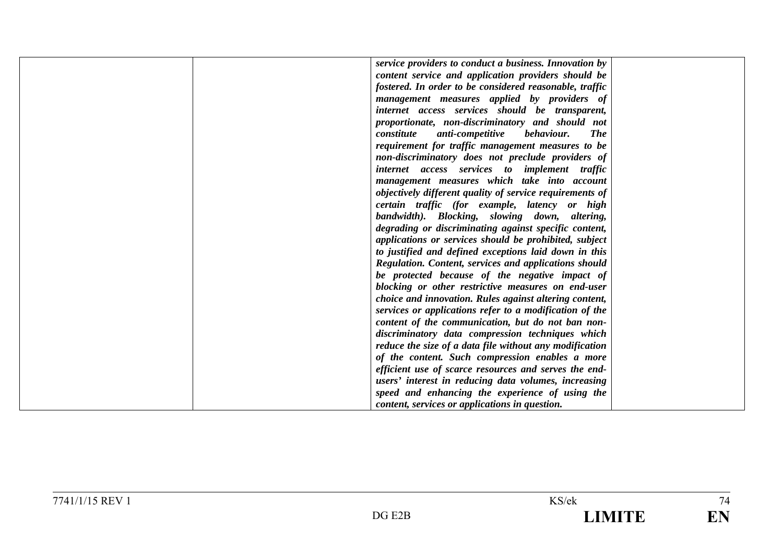|  | service providers to conduct a business. Innovation by       |  |
|--|--------------------------------------------------------------|--|
|  | content service and application providers should be          |  |
|  | fostered. In order to be considered reasonable, traffic      |  |
|  | management measures applied by providers of                  |  |
|  | internet access services should be transparent,              |  |
|  | proportionate, non-discriminatory and should not             |  |
|  | <b>The</b><br>constitute<br>anti-competitive<br>behaviour.   |  |
|  | requirement for traffic management measures to be            |  |
|  | non-discriminatory does not preclude providers of            |  |
|  | internet access services to implement traffic                |  |
|  | management measures which take into account                  |  |
|  | objectively different quality of service requirements of     |  |
|  | certain traffic (for example, latency or high                |  |
|  | bandwidth). Blocking, slowing down, altering,                |  |
|  | degrading or discriminating against specific content,        |  |
|  | applications or services should be prohibited, subject       |  |
|  | to justified and defined exceptions laid down in this        |  |
|  | <b>Regulation.</b> Content, services and applications should |  |
|  | be protected because of the negative impact of               |  |
|  | blocking or other restrictive measures on end-user           |  |
|  | choice and innovation. Rules against altering content,       |  |
|  | services or applications refer to a modification of the      |  |
|  | content of the communication, but do not ban non-            |  |
|  | discriminatory data compression techniques which             |  |
|  | reduce the size of a data file without any modification      |  |
|  | of the content. Such compression enables a more              |  |
|  | efficient use of scarce resources and serves the end-        |  |
|  | users' interest in reducing data volumes, increasing         |  |
|  | speed and enhancing the experience of using the              |  |
|  | content, services or applications in question.               |  |
|  |                                                              |  |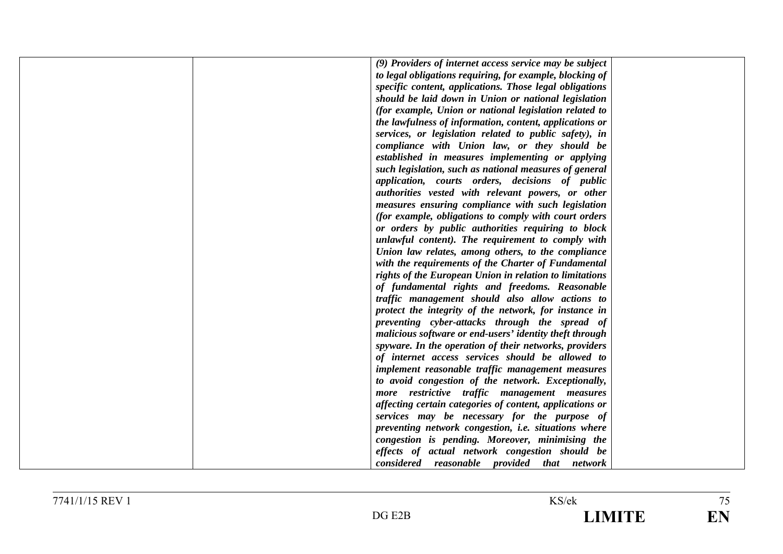|  | (9) Providers of internet access service may be subject  |  |
|--|----------------------------------------------------------|--|
|  | to legal obligations requiring, for example, blocking of |  |
|  | specific content, applications. Those legal obligations  |  |
|  | should be laid down in Union or national legislation     |  |
|  | (for example, Union or national legislation related to   |  |
|  | the lawfulness of information, content, applications or  |  |
|  | services, or legislation related to public safety), in   |  |
|  | compliance with Union law, or they should be             |  |
|  | established in measures implementing or applying         |  |
|  | such legislation, such as national measures of general   |  |
|  | application, courts orders, decisions of public          |  |
|  | authorities vested with relevant powers, or other        |  |
|  | measures ensuring compliance with such legislation       |  |
|  | (for example, obligations to comply with court orders    |  |
|  | or orders by public authorities requiring to block       |  |
|  | unlawful content). The requirement to comply with        |  |
|  | Union law relates, among others, to the compliance       |  |
|  | with the requirements of the Charter of Fundamental      |  |
|  | rights of the European Union in relation to limitations  |  |
|  | of fundamental rights and freedoms. Reasonable           |  |
|  | traffic management should also allow actions to          |  |
|  | protect the integrity of the network, for instance in    |  |
|  | preventing cyber-attacks through the spread of           |  |
|  | malicious software or end-users' identity theft through  |  |
|  | spyware. In the operation of their networks, providers   |  |
|  | of internet access services should be allowed to         |  |
|  | implement reasonable traffic management measures         |  |
|  | to avoid congestion of the network. Exceptionally,       |  |
|  | more restrictive traffic management measures             |  |
|  | affecting certain categories of content, applications or |  |
|  | services may be necessary for the purpose of             |  |
|  | preventing network congestion, i.e. situations where     |  |
|  | congestion is pending. Moreover, minimising the          |  |
|  | effects of actual network congestion should be           |  |
|  | considered reasonable provided that network              |  |
|  |                                                          |  |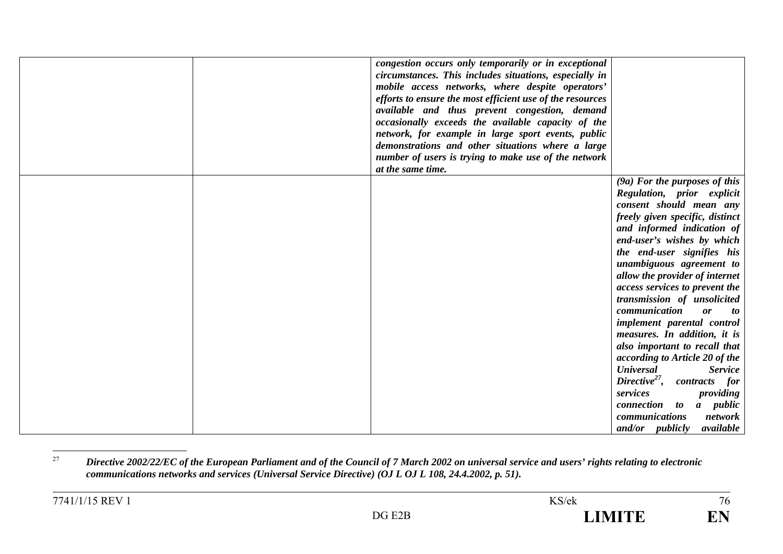|  | congestion occurs only temporarily or in exceptional<br>circumstances. This includes situations, especially in<br>mobile access networks, where despite operators'<br>efforts to ensure the most efficient use of the resources<br>available and thus prevent congestion, demand<br>occasionally exceeds the available capacity of the<br>network, for example in large sport events, public<br>demonstrations and other situations where a large<br>number of users is trying to make use of the network<br>at the same time. |                                                                                                                                                                                                                                                                                                                                                                                                                                                                                                                                                                                                                                                                                                                          |
|--|--------------------------------------------------------------------------------------------------------------------------------------------------------------------------------------------------------------------------------------------------------------------------------------------------------------------------------------------------------------------------------------------------------------------------------------------------------------------------------------------------------------------------------|--------------------------------------------------------------------------------------------------------------------------------------------------------------------------------------------------------------------------------------------------------------------------------------------------------------------------------------------------------------------------------------------------------------------------------------------------------------------------------------------------------------------------------------------------------------------------------------------------------------------------------------------------------------------------------------------------------------------------|
|  |                                                                                                                                                                                                                                                                                                                                                                                                                                                                                                                                | (9a) For the purposes of this<br>Regulation, prior explicit<br>consent should mean any<br>freely given specific, distinct<br>and informed indication of<br>end-user's wishes by which<br>the end-user signifies his<br>unambiguous agreement to<br>allow the provider of internet<br>access services to prevent the<br>transmission of unsolicited<br>communication<br>or<br>to<br>implement parental control<br>measures. In addition, it is<br>also important to recall that<br>according to Article 20 of the<br><b>Universal</b><br><b>Service</b><br>Directive <sup>27</sup> , contracts for<br>services<br>providing<br>connection to a public<br>network<br><i>communications</i><br>and/or publicly<br>available |

<sup>27</sup> *Directive 2002/22/EC of the European Parliament and of the Council of 7 March 2002 on universal service and users' rights relating to electronic communications networks and services (Universal Service Directive) (OJ L OJ L 108, 24.4.2002, p. 51).*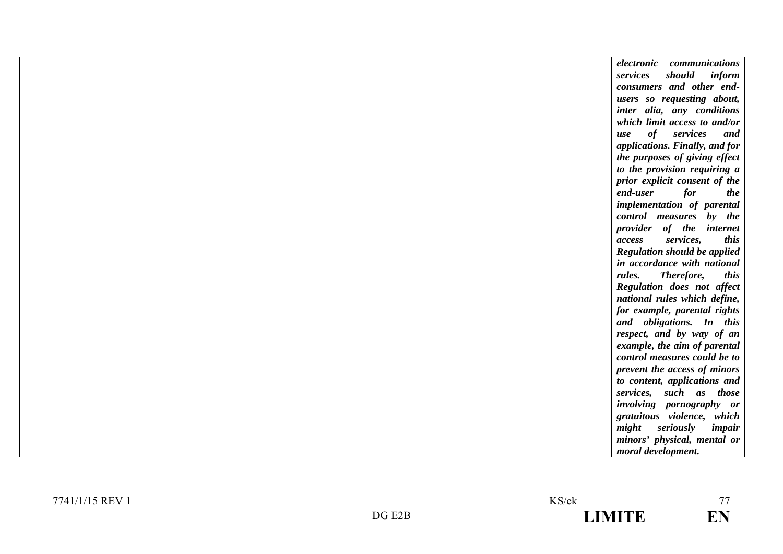|  | electronic communications           |  |
|--|-------------------------------------|--|
|  | should<br>services<br>inform        |  |
|  | consumers and other end-            |  |
|  | users so requesting about,          |  |
|  | inter alia, any conditions          |  |
|  | which limit access to and/or        |  |
|  | of services<br>and<br>use           |  |
|  | applications. Finally, and for      |  |
|  | the purposes of giving effect       |  |
|  | to the provision requiring a        |  |
|  | prior explicit consent of the       |  |
|  | end-user<br>for<br><i>the</i>       |  |
|  | implementation of parental          |  |
|  | control measures by the             |  |
|  | provider of the internet            |  |
|  | services,<br>this<br>access         |  |
|  | <b>Regulation should be applied</b> |  |
|  | in accordance with national         |  |
|  | rules.<br>Therefore,<br><i>this</i> |  |
|  | Regulation does not affect          |  |
|  | national rules which define,        |  |
|  | for example, parental rights        |  |
|  | and obligations. In this            |  |
|  | respect, and by way of an           |  |
|  | example, the aim of parental        |  |
|  | control measures could be to        |  |
|  | prevent the access of minors        |  |
|  | to content, applications and        |  |
|  | services, such as those             |  |
|  | involving pornography or            |  |
|  | gratuitous violence, which          |  |
|  | might seriously<br>impair           |  |
|  | minors' physical, mental or         |  |
|  | moral development.                  |  |

 $\frac{1}{77}$ 

EN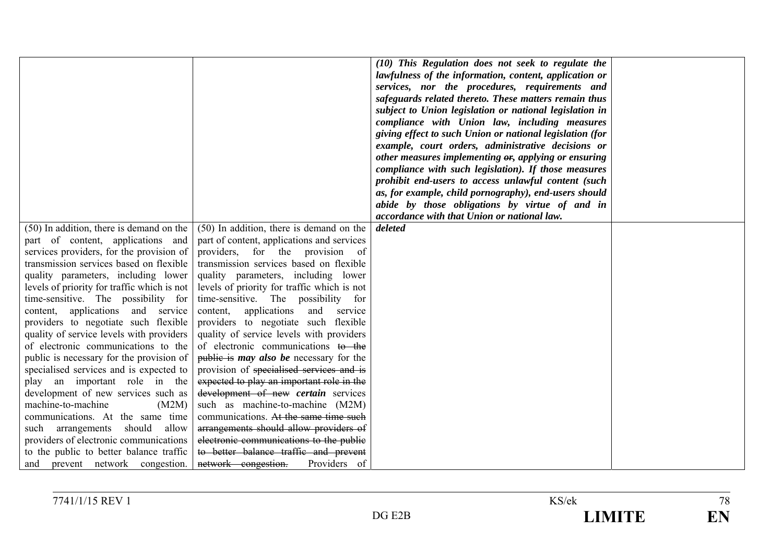|                                                                 |                                                                                   | (10) This Regulation does not seek to regulate the<br>lawfulness of the information, content, application or |  |
|-----------------------------------------------------------------|-----------------------------------------------------------------------------------|--------------------------------------------------------------------------------------------------------------|--|
|                                                                 |                                                                                   | services, nor the procedures, requirements and                                                               |  |
|                                                                 |                                                                                   | safeguards related thereto. These matters remain thus                                                        |  |
|                                                                 |                                                                                   | subject to Union legislation or national legislation in                                                      |  |
|                                                                 |                                                                                   | compliance with Union law, including measures                                                                |  |
|                                                                 |                                                                                   | giving effect to such Union or national legislation (for                                                     |  |
|                                                                 |                                                                                   | example, court orders, administrative decisions or                                                           |  |
|                                                                 |                                                                                   | other measures implementing $\theta$ , applying or ensuring                                                  |  |
|                                                                 |                                                                                   | compliance with such legislation). If those measures                                                         |  |
|                                                                 |                                                                                   | prohibit end-users to access unlawful content (such                                                          |  |
|                                                                 |                                                                                   | as, for example, child pornography), end-users should                                                        |  |
|                                                                 |                                                                                   | abide by those obligations by virtue of and in                                                               |  |
|                                                                 |                                                                                   | accordance with that Union or national law.                                                                  |  |
| (50) In addition, there is demand on the                        | (50) In addition, there is demand on the                                          | deleted                                                                                                      |  |
| part of content, applications and                               | part of content, applications and services                                        |                                                                                                              |  |
| services providers, for the provision of                        | providers, for the provision of                                                   |                                                                                                              |  |
| transmission services based on flexible                         | transmission services based on flexible                                           |                                                                                                              |  |
| quality parameters, including lower                             | quality parameters, including lower                                               |                                                                                                              |  |
| levels of priority for traffic which is not                     | levels of priority for traffic which is not                                       |                                                                                                              |  |
| time-sensitive. The possibility for<br>applications and service | time-sensitive. The possibility for<br>applications<br>content,<br>and<br>service |                                                                                                              |  |
| content,<br>providers to negotiate such flexible                | providers to negotiate such flexible                                              |                                                                                                              |  |
| quality of service levels with providers                        | quality of service levels with providers                                          |                                                                                                              |  |
| of electronic communications to the                             | of electronic communications to the                                               |                                                                                                              |  |
| public is necessary for the provision of                        | public is <i>may also be</i> necessary for the                                    |                                                                                                              |  |
| specialised services and is expected to                         | provision of specialised services and is                                          |                                                                                                              |  |
| play an important role in the                                   | expected to play an important role in the                                         |                                                                                                              |  |
| development of new services such as                             | development of new certain services                                               |                                                                                                              |  |
| machine-to-machine<br>(M2M)                                     | such as machine-to-machine (M2M)                                                  |                                                                                                              |  |
| communications. At the same time                                | communications. At the same time such                                             |                                                                                                              |  |
| should allow<br>arrangements<br>such                            | arrangements should allow providers of                                            |                                                                                                              |  |
| providers of electronic communications                          | electronic communications to the public                                           |                                                                                                              |  |
| to the public to better balance traffic                         | to better balance traffic and prevent                                             |                                                                                                              |  |
| and prevent network congestion.                                 | network congestion.<br>Providers of                                               |                                                                                                              |  |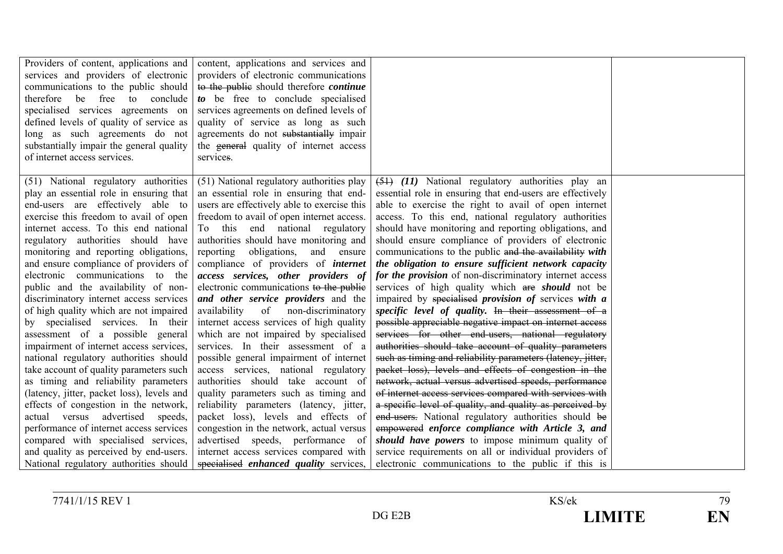| Providers of content, applications and<br>services and providers of electronic<br>communications to the public should<br>therefore be free to conclude<br>specialised services agreements on<br>defined levels of quality of service as<br>long as such agreements do not<br>substantially impair the general quality<br>of internet access services.                                                                                                                                                                                                                                                                                                                                                                                                                                                                                                                                                                                                                                                                                                | content, applications and services and<br>providers of electronic communications<br>to the public should therefore <i>continue</i><br>to be free to conclude specialised<br>services agreements on defined levels of<br>quality of service as long as such<br>agreements do not substantially impair<br>the general quality of internet access<br>services.                                                                                                                                                                                                                                                                                                                                                                                                                                                                                                                                                                                                                                                                                                                   |                                                                                                                                                                                                                                                                                                                                                                                                                                                                                                                                                                                                                                                                                                                                                                                                                                                                                                                                                                                                                                                                                                                                                                                                                                                                                                                                                                                                                                                                         |  |
|------------------------------------------------------------------------------------------------------------------------------------------------------------------------------------------------------------------------------------------------------------------------------------------------------------------------------------------------------------------------------------------------------------------------------------------------------------------------------------------------------------------------------------------------------------------------------------------------------------------------------------------------------------------------------------------------------------------------------------------------------------------------------------------------------------------------------------------------------------------------------------------------------------------------------------------------------------------------------------------------------------------------------------------------------|-------------------------------------------------------------------------------------------------------------------------------------------------------------------------------------------------------------------------------------------------------------------------------------------------------------------------------------------------------------------------------------------------------------------------------------------------------------------------------------------------------------------------------------------------------------------------------------------------------------------------------------------------------------------------------------------------------------------------------------------------------------------------------------------------------------------------------------------------------------------------------------------------------------------------------------------------------------------------------------------------------------------------------------------------------------------------------|-------------------------------------------------------------------------------------------------------------------------------------------------------------------------------------------------------------------------------------------------------------------------------------------------------------------------------------------------------------------------------------------------------------------------------------------------------------------------------------------------------------------------------------------------------------------------------------------------------------------------------------------------------------------------------------------------------------------------------------------------------------------------------------------------------------------------------------------------------------------------------------------------------------------------------------------------------------------------------------------------------------------------------------------------------------------------------------------------------------------------------------------------------------------------------------------------------------------------------------------------------------------------------------------------------------------------------------------------------------------------------------------------------------------------------------------------------------------------|--|
| (51) National regulatory authorities<br>play an essential role in ensuring that<br>end-users are effectively able to<br>exercise this freedom to avail of open<br>internet access. To this end national<br>regulatory authorities should have<br>monitoring and reporting obligations,<br>and ensure compliance of providers of<br>electronic communications to the<br>public and the availability of non-<br>discriminatory internet access services<br>of high quality which are not impaired<br>by specialised services. In their<br>assessment of a possible general<br>impairment of internet access services,<br>national regulatory authorities should<br>take account of quality parameters such<br>as timing and reliability parameters<br>(latency, jitter, packet loss), levels and<br>effects of congestion in the network,<br>actual versus advertised<br>speeds,<br>performance of internet access services<br>compared with specialised services,<br>and quality as perceived by end-users.<br>National regulatory authorities should | (51) National regulatory authorities play<br>an essential role in ensuring that end-<br>users are effectively able to exercise this<br>freedom to avail of open internet access.<br>To this end national regulatory<br>authorities should have monitoring and<br>reporting<br>obligations,<br>and ensure<br>compliance of providers of <i>internet</i><br>access services, other providers of<br>electronic communications to the public<br>and other service providers and the<br>availability<br>of non-discriminatory<br>internet access services of high quality<br>which are not impaired by specialised<br>services. In their assessment of a<br>possible general impairment of internet<br>access services, national regulatory<br>authorities should take account of<br>quality parameters such as timing and<br>reliability parameters (latency, jitter,<br>packet loss), levels and effects of<br>congestion in the network, actual versus<br>advertised speeds, performance of<br>internet access services compared with<br>specialised enhanced quality services, | $(51)$ (11) National regulatory authorities play an<br>essential role in ensuring that end-users are effectively<br>able to exercise the right to avail of open internet<br>access. To this end, national regulatory authorities<br>should have monitoring and reporting obligations, and<br>should ensure compliance of providers of electronic<br>communications to the public and the availability with<br>the obligation to ensure sufficient network capacity<br>for the provision of non-discriminatory internet access<br>services of high quality which are <i>should</i> not be<br>impaired by specialised provision of services with a<br>specific level of quality. In their assessment of a<br>possible appreciable negative impact on internet access<br>services for other end-users, national regulatory<br>authorities should take account of quality parameters<br>such as timing and reliability parameters (latency, jitter,<br>packet loss), levels and effects of congestion in the<br>network, actual versus advertised speeds, performance<br>of internet access services compared with services with<br>a specific level of quality, and quality as perceived by<br>end-users. National regulatory authorities should be<br>empowered enforce compliance with Article 3, and<br>should have powers to impose minimum quality of<br>service requirements on all or individual providers of<br>electronic communications to the public if this is |  |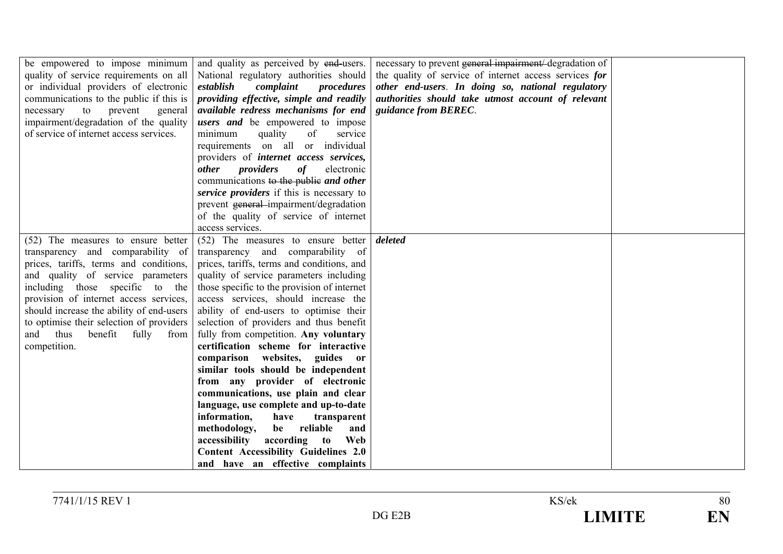| be empowered to impose minimum<br>quality of service requirements on all<br>or individual providers of electronic<br>communications to the public if this is<br>necessary<br>to<br>prevent<br>general<br>impairment/degradation of the quality<br>of service of internet access services. | and quality as perceived by end-users.<br>National regulatory authorities should<br>establish<br>complaint<br>procedures<br>providing effective, simple and readily<br>available redress mechanisms for end<br>users and be empowered to impose<br>minimum<br>service<br>quality<br>of<br>requirements on all or individual<br>providers of internet access services,<br>providers<br><i>other</i><br>of<br>electronic<br>communications to the public and other<br>service providers if this is necessary to<br>prevent general-impairment/degradation<br>of the quality of service of internet<br>access services. | necessary to prevent general impairment/degradation of<br>the quality of service of internet access services for<br>other end-users. In doing so, national regulatory<br>authorities should take utmost account of relevant<br>guidance from BEREC. |  |
|-------------------------------------------------------------------------------------------------------------------------------------------------------------------------------------------------------------------------------------------------------------------------------------------|----------------------------------------------------------------------------------------------------------------------------------------------------------------------------------------------------------------------------------------------------------------------------------------------------------------------------------------------------------------------------------------------------------------------------------------------------------------------------------------------------------------------------------------------------------------------------------------------------------------------|-----------------------------------------------------------------------------------------------------------------------------------------------------------------------------------------------------------------------------------------------------|--|
| (52) The measures to ensure better<br>transparency and comparability of                                                                                                                                                                                                                   | (52) The measures to ensure better<br>transparency and comparability of                                                                                                                                                                                                                                                                                                                                                                                                                                                                                                                                              | deleted                                                                                                                                                                                                                                             |  |
| prices, tariffs, terms and conditions,                                                                                                                                                                                                                                                    | prices, tariffs, terms and conditions, and                                                                                                                                                                                                                                                                                                                                                                                                                                                                                                                                                                           |                                                                                                                                                                                                                                                     |  |
| and quality of service parameters                                                                                                                                                                                                                                                         | quality of service parameters including                                                                                                                                                                                                                                                                                                                                                                                                                                                                                                                                                                              |                                                                                                                                                                                                                                                     |  |
| including those specific to the                                                                                                                                                                                                                                                           | those specific to the provision of internet                                                                                                                                                                                                                                                                                                                                                                                                                                                                                                                                                                          |                                                                                                                                                                                                                                                     |  |
| provision of internet access services,                                                                                                                                                                                                                                                    | access services, should increase the                                                                                                                                                                                                                                                                                                                                                                                                                                                                                                                                                                                 |                                                                                                                                                                                                                                                     |  |
| should increase the ability of end-users                                                                                                                                                                                                                                                  | ability of end-users to optimise their                                                                                                                                                                                                                                                                                                                                                                                                                                                                                                                                                                               |                                                                                                                                                                                                                                                     |  |
| to optimise their selection of providers                                                                                                                                                                                                                                                  | selection of providers and thus benefit                                                                                                                                                                                                                                                                                                                                                                                                                                                                                                                                                                              |                                                                                                                                                                                                                                                     |  |
| thus<br>benefit<br>and<br>fully<br>from                                                                                                                                                                                                                                                   | fully from competition. Any voluntary                                                                                                                                                                                                                                                                                                                                                                                                                                                                                                                                                                                |                                                                                                                                                                                                                                                     |  |
| competition.                                                                                                                                                                                                                                                                              | certification scheme for interactive                                                                                                                                                                                                                                                                                                                                                                                                                                                                                                                                                                                 |                                                                                                                                                                                                                                                     |  |
|                                                                                                                                                                                                                                                                                           | comparison websites,<br>guides or                                                                                                                                                                                                                                                                                                                                                                                                                                                                                                                                                                                    |                                                                                                                                                                                                                                                     |  |
|                                                                                                                                                                                                                                                                                           | similar tools should be independent<br>from any provider of electronic                                                                                                                                                                                                                                                                                                                                                                                                                                                                                                                                               |                                                                                                                                                                                                                                                     |  |
|                                                                                                                                                                                                                                                                                           | communications, use plain and clear                                                                                                                                                                                                                                                                                                                                                                                                                                                                                                                                                                                  |                                                                                                                                                                                                                                                     |  |
|                                                                                                                                                                                                                                                                                           | language, use complete and up-to-date                                                                                                                                                                                                                                                                                                                                                                                                                                                                                                                                                                                |                                                                                                                                                                                                                                                     |  |
|                                                                                                                                                                                                                                                                                           | information,<br>have<br>transparent                                                                                                                                                                                                                                                                                                                                                                                                                                                                                                                                                                                  |                                                                                                                                                                                                                                                     |  |
|                                                                                                                                                                                                                                                                                           | methodology,<br>reliable<br>be<br>and                                                                                                                                                                                                                                                                                                                                                                                                                                                                                                                                                                                |                                                                                                                                                                                                                                                     |  |
|                                                                                                                                                                                                                                                                                           | according<br>accessibility<br>Web<br>to                                                                                                                                                                                                                                                                                                                                                                                                                                                                                                                                                                              |                                                                                                                                                                                                                                                     |  |
|                                                                                                                                                                                                                                                                                           | <b>Content Accessibility Guidelines 2.0</b>                                                                                                                                                                                                                                                                                                                                                                                                                                                                                                                                                                          |                                                                                                                                                                                                                                                     |  |
|                                                                                                                                                                                                                                                                                           | and have an effective complaints                                                                                                                                                                                                                                                                                                                                                                                                                                                                                                                                                                                     |                                                                                                                                                                                                                                                     |  |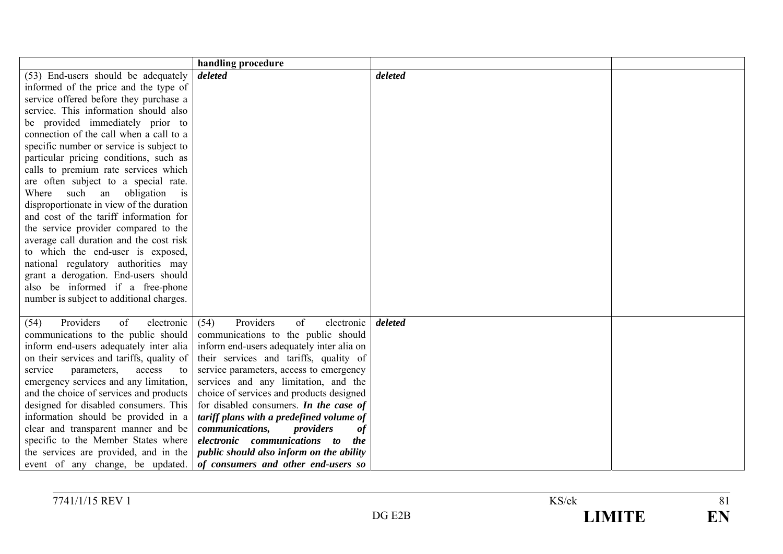|                                            | handling procedure                                                        |         |  |
|--------------------------------------------|---------------------------------------------------------------------------|---------|--|
| (53) End-users should be adequately        | deleted                                                                   | deleted |  |
| informed of the price and the type of      |                                                                           |         |  |
| service offered before they purchase a     |                                                                           |         |  |
| service. This information should also      |                                                                           |         |  |
| be provided immediately prior to           |                                                                           |         |  |
| connection of the call when a call to a    |                                                                           |         |  |
| specific number or service is subject to   |                                                                           |         |  |
| particular pricing conditions, such as     |                                                                           |         |  |
| calls to premium rate services which       |                                                                           |         |  |
| are often subject to a special rate.       |                                                                           |         |  |
| Where such an obligation<br>$\overline{1}$ |                                                                           |         |  |
| disproportionate in view of the duration   |                                                                           |         |  |
| and cost of the tariff information for     |                                                                           |         |  |
| the service provider compared to the       |                                                                           |         |  |
| average call duration and the cost risk    |                                                                           |         |  |
| to which the end-user is exposed,          |                                                                           |         |  |
| national regulatory authorities may        |                                                                           |         |  |
| grant a derogation. End-users should       |                                                                           |         |  |
| also be informed if a free-phone           |                                                                           |         |  |
| number is subject to additional charges.   |                                                                           |         |  |
|                                            |                                                                           |         |  |
| Providers<br>of<br>electronic<br>(54)      | Providers<br>of<br>(54)<br>electronic                                     | deleted |  |
| communications to the public should        | communications to the public should                                       |         |  |
| inform end-users adequately inter alia     | inform end-users adequately inter alia on                                 |         |  |
| on their services and tariffs, quality of  | their services and tariffs, quality of                                    |         |  |
| service<br>parameters,<br>access<br>to     | service parameters, access to emergency                                   |         |  |
| emergency services and any limitation,     | services and any limitation, and the                                      |         |  |
| and the choice of services and products    | choice of services and products designed                                  |         |  |
| designed for disabled consumers. This      | for disabled consumers. In the case of                                    |         |  |
| information should be provided in a        | tariff plans with a predefined volume of                                  |         |  |
| clear and transparent manner and be        | communications,<br>providers<br><b>of</b><br>electronic communications to |         |  |
| specific to the Member States where        | <i>the</i>                                                                |         |  |
| the services are provided, and in the      | public should also inform on the ability                                  |         |  |
| event of any change, be updated.           | of consumers and other end-users so                                       |         |  |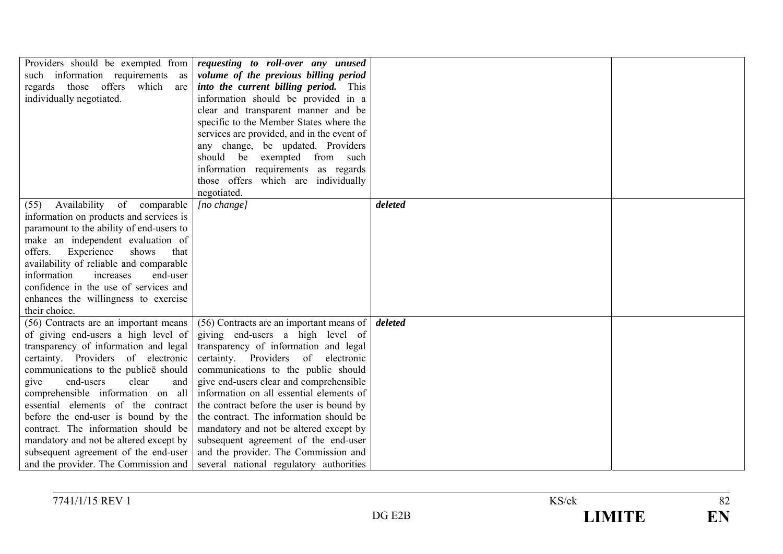| Providers should be exempted from<br>such information requirements as<br>regards those offers which<br>are<br>individually negotiated.                                                                                                                                                                                                                                                                                                                                                                                      | requesting to roll-over any unused<br>volume of the previous billing period<br><i>into the current billing period.</i> This<br>information should be provided in a<br>clear and transparent manner and be<br>specific to the Member States where the<br>services are provided, and in the event of<br>any change, be updated. Providers<br>should be<br>exempted<br>from such                                                                                                                                                                            |         |  |
|-----------------------------------------------------------------------------------------------------------------------------------------------------------------------------------------------------------------------------------------------------------------------------------------------------------------------------------------------------------------------------------------------------------------------------------------------------------------------------------------------------------------------------|----------------------------------------------------------------------------------------------------------------------------------------------------------------------------------------------------------------------------------------------------------------------------------------------------------------------------------------------------------------------------------------------------------------------------------------------------------------------------------------------------------------------------------------------------------|---------|--|
|                                                                                                                                                                                                                                                                                                                                                                                                                                                                                                                             | information requirements as regards<br>those offers which are individually<br>negotiated.                                                                                                                                                                                                                                                                                                                                                                                                                                                                |         |  |
| Availability<br>of comparable<br>(55)<br>information on products and services is<br>paramount to the ability of end-users to<br>make an independent evaluation of<br>Experience<br>shows<br>offers.<br>that<br>availability of reliable and comparable<br>increases<br>information<br>end-user<br>confidence in the use of services and<br>enhances the willingness to exercise<br>their choice.                                                                                                                            | [no change]                                                                                                                                                                                                                                                                                                                                                                                                                                                                                                                                              | deleted |  |
| (56) Contracts are an important means<br>of giving end-users a high level of<br>transparency of information and legal<br>certainty. Providers of electronic<br>communications to the publice should<br>clear<br>end-users<br>give<br>and<br>comprehensible information on all<br>essential elements of the contract<br>before the end-user is bound by the<br>contract. The information should be<br>mandatory and not be altered except by<br>subsequent agreement of the end-user<br>and the provider. The Commission and | (56) Contracts are an important means of<br>giving end-users a high level of<br>transparency of information and legal<br>certainty. Providers of<br>electronic<br>communications to the public should<br>give end-users clear and comprehensible<br>information on all essential elements of<br>the contract before the user is bound by<br>the contract. The information should be<br>mandatory and not be altered except by<br>subsequent agreement of the end-user<br>and the provider. The Commission and<br>several national regulatory authorities | deleted |  |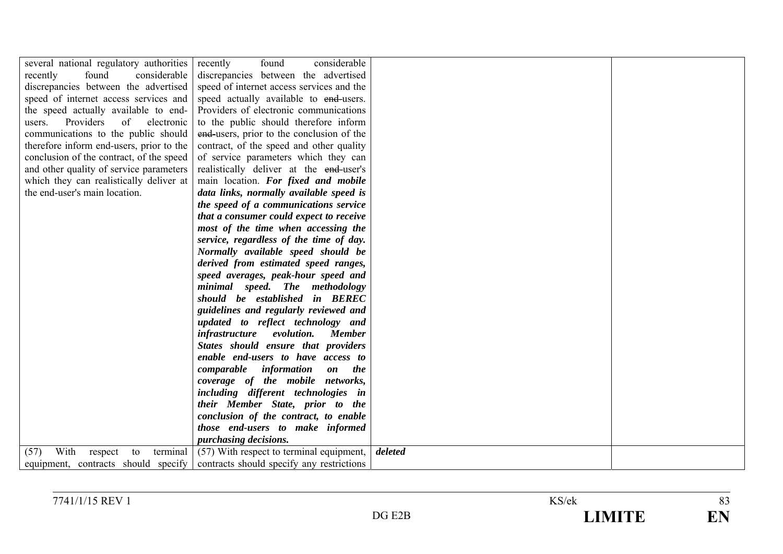| several national regulatory authorities   | considerable<br>found<br>recently                                 |         |  |
|-------------------------------------------|-------------------------------------------------------------------|---------|--|
| recently<br>found<br>considerable         | discrepancies between the advertised                              |         |  |
| discrepancies between the advertised      | speed of internet access services and the                         |         |  |
| speed of internet access services and     | speed actually available to end-users.                            |         |  |
| the speed actually available to end-      | Providers of electronic communications                            |         |  |
| Providers<br>of<br>electronic<br>users.   | to the public should therefore inform                             |         |  |
| communications to the public should       | end-users, prior to the conclusion of the                         |         |  |
| therefore inform end-users, prior to the  | contract, of the speed and other quality                          |         |  |
| conclusion of the contract, of the speed  | of service parameters which they can                              |         |  |
| and other quality of service parameters   | realistically deliver at the end-user's                           |         |  |
| which they can realistically deliver at   | main location. For fixed and mobile                               |         |  |
| the end-user's main location.             | data links, normally available speed is                           |         |  |
|                                           | the speed of a communications service                             |         |  |
|                                           | that a consumer could expect to receive                           |         |  |
|                                           | most of the time when accessing the                               |         |  |
|                                           | service, regardless of the time of day.                           |         |  |
|                                           | Normally available speed should be                                |         |  |
|                                           | derived from estimated speed ranges,                              |         |  |
|                                           | speed averages, peak-hour speed and                               |         |  |
|                                           | minimal speed. The methodology                                    |         |  |
|                                           | should be established in BEREC                                    |         |  |
|                                           | guidelines and regularly reviewed and                             |         |  |
|                                           | updated to reflect technology and                                 |         |  |
|                                           | evolution.<br>infrastructure<br><b>Member</b>                     |         |  |
|                                           | States should ensure that providers                               |         |  |
|                                           | enable end-users to have access to                                |         |  |
|                                           | comparable<br>information<br><i>the</i><br>$\mathbf{0}\mathbf{n}$ |         |  |
|                                           | coverage of the mobile networks,                                  |         |  |
|                                           | including different technologies in                               |         |  |
|                                           | their Member State, prior to the                                  |         |  |
|                                           | conclusion of the contract, to enable                             |         |  |
|                                           | those end-users to make informed                                  |         |  |
|                                           | <i>purchasing decisions.</i>                                      |         |  |
| With<br>terminal<br>(57)<br>respect<br>to | (57) With respect to terminal equipment,                          | deleted |  |
| equipment, contracts should specify       | contracts should specify any restrictions                         |         |  |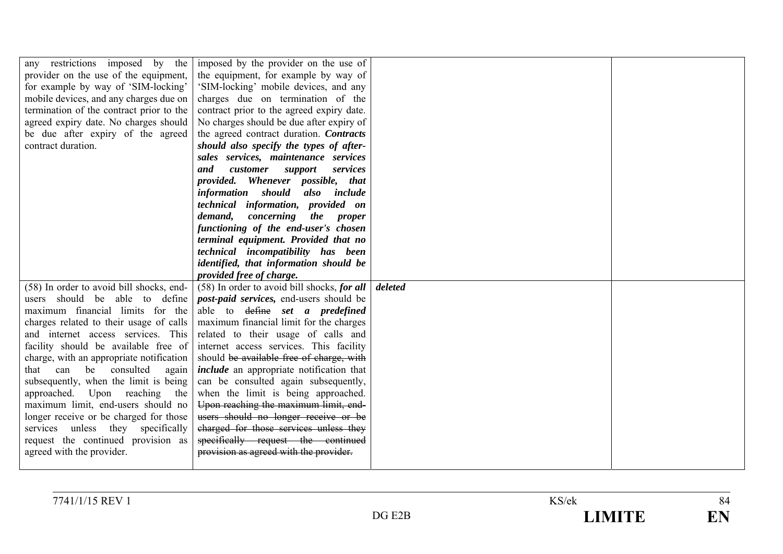| any restrictions imposed by the          | imposed by the provider on the use of           |         |  |
|------------------------------------------|-------------------------------------------------|---------|--|
| provider on the use of the equipment,    | the equipment, for example by way of            |         |  |
| for example by way of 'SIM-locking'      | 'SIM-locking' mobile devices, and any           |         |  |
| mobile devices, and any charges due on   | charges due on termination of the               |         |  |
| termination of the contract prior to the | contract prior to the agreed expiry date.       |         |  |
| agreed expiry date. No charges should    | No charges should be due after expiry of        |         |  |
| be due after expiry of the agreed        | the agreed contract duration. Contracts         |         |  |
| contract duration.                       | should also specify the types of after-         |         |  |
|                                          | sales services, maintenance services            |         |  |
|                                          | and<br>customer<br>services<br>support          |         |  |
|                                          | provided. Whenever possible, that               |         |  |
|                                          | <i>information should</i><br>also include       |         |  |
|                                          | technical information, provided on              |         |  |
|                                          | demand,<br>concerning<br>the proper             |         |  |
|                                          | functioning of the end-user's chosen            |         |  |
|                                          | terminal equipment. Provided that no            |         |  |
|                                          | technical incompatibility has been              |         |  |
|                                          | identified, that information should be          |         |  |
|                                          | provided free of charge.                        |         |  |
| (58) In order to avoid bill shocks, end- | $(58)$ In order to avoid bill shocks, for all   | deleted |  |
| users should be able to define           | <i>post-paid services</i> , end-users should be |         |  |
| maximum financial limits for the         | able to define set a predefined                 |         |  |
| charges related to their usage of calls  | maximum financial limit for the charges         |         |  |
| and internet access services. This       | related to their usage of calls and             |         |  |
| facility should be available free of     |                                                 |         |  |
|                                          | internet access services. This facility         |         |  |
| charge, with an appropriate notification | should be available free of charge, with        |         |  |
| that can be consulted<br>again           | <i>include</i> an appropriate notification that |         |  |
| subsequently, when the limit is being    | can be consulted again subsequently,            |         |  |
| approached. Upon reaching<br>the         | when the limit is being approached.             |         |  |
| maximum limit, end-users should no       | Upon reaching the maximum limit, end-           |         |  |
| longer receive or be charged for those   | users should no longer receive or be            |         |  |
| services unless they specifically        | charged for those services unless they          |         |  |
| request the continued provision as       | specifically request the continued              |         |  |
| agreed with the provider.                | provision as agreed with the provider.          |         |  |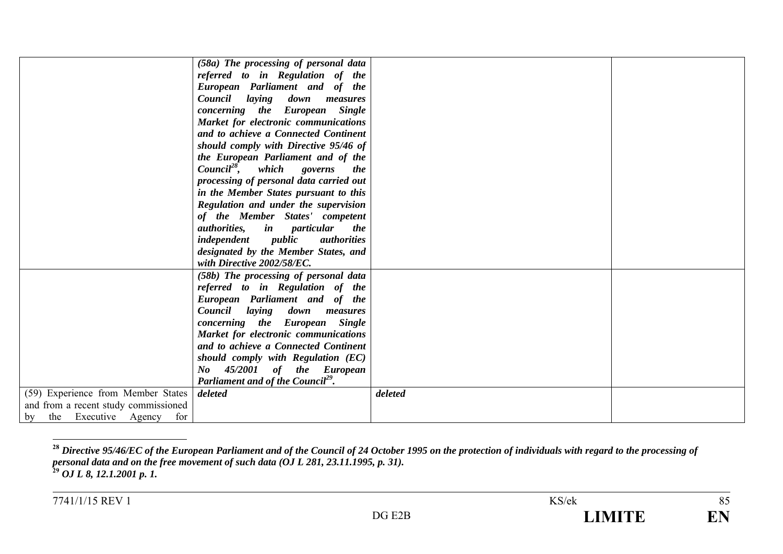|                                      | (58a) The processing of personal data                   |         |  |
|--------------------------------------|---------------------------------------------------------|---------|--|
|                                      | referred to in Regulation of the                        |         |  |
|                                      | European Parliament and of the                          |         |  |
|                                      | Council<br>laying<br>down<br>measures                   |         |  |
|                                      | concerning the European Single                          |         |  |
|                                      | Market for electronic communications                    |         |  |
|                                      | and to achieve a Connected Continent                    |         |  |
|                                      | should comply with Directive 95/46 of                   |         |  |
|                                      | the European Parliament and of the                      |         |  |
|                                      | $Count^{28}$ ,<br>which governs<br><i>the</i>           |         |  |
|                                      | processing of personal data carried out                 |         |  |
|                                      | in the Member States pursuant to this                   |         |  |
|                                      | Regulation and under the supervision                    |         |  |
|                                      | of the Member States' competent                         |         |  |
|                                      | <i>authorities</i> , <i>in particular</i><br><i>the</i> |         |  |
|                                      | <i>independent public</i><br><i>authorities</i>         |         |  |
|                                      | designated by the Member States, and                    |         |  |
|                                      | with Directive 2002/58/EC.                              |         |  |
|                                      | (58b) The processing of personal data                   |         |  |
|                                      | referred to in Regulation of the                        |         |  |
|                                      | European Parliament and of the                          |         |  |
|                                      | Council laying down measures                            |         |  |
|                                      | concerning the European Single                          |         |  |
|                                      | Market for electronic communications                    |         |  |
|                                      | and to achieve a Connected Continent                    |         |  |
|                                      | should comply with Regulation (EC)                      |         |  |
|                                      | No 45/2001 of the European                              |         |  |
|                                      | Parliament and of the Council <sup>29</sup> .           |         |  |
| (59) Experience from Member States   | deleted                                                 | deleted |  |
| and from a recent study commissioned |                                                         |         |  |
| the Executive Agency for<br>by       |                                                         |         |  |

**<sup>28</sup>** *Directive 95/46/EC of the European Parliament and of the Council of 24 October 1995 on the protection of individuals with regard to the processing of personal data and on the free movement of such data (OJ L 281, 23.11.1995, p. 31).* **29** *OJ L 8, 12.1.2001 p. 1.*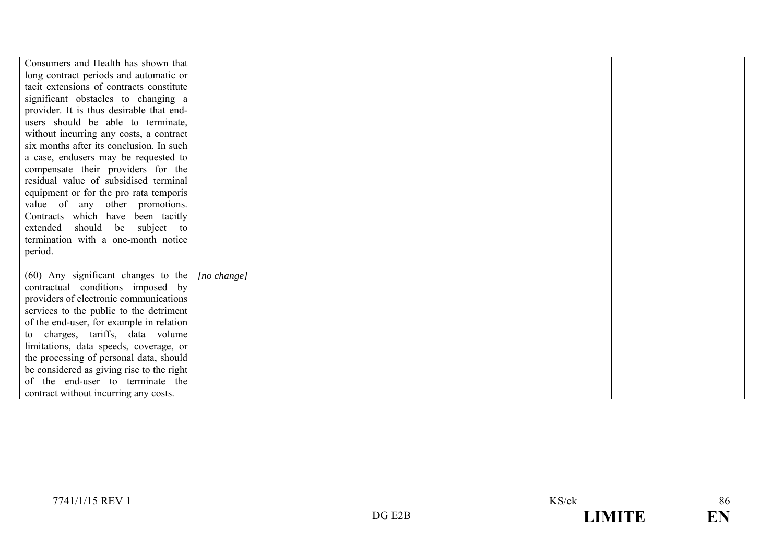| Consumers and Health has shown that       |             |  |
|-------------------------------------------|-------------|--|
| long contract periods and automatic or    |             |  |
| tacit extensions of contracts constitute  |             |  |
| significant obstacles to changing a       |             |  |
| provider. It is thus desirable that end-  |             |  |
| users should be able to terminate,        |             |  |
| without incurring any costs, a contract   |             |  |
| six months after its conclusion. In such  |             |  |
| a case, endusers may be requested to      |             |  |
| compensate their providers for the        |             |  |
| residual value of subsidised terminal     |             |  |
| equipment or for the pro rata temporis    |             |  |
| value of any other promotions.            |             |  |
| Contracts which have been tacitly         |             |  |
| extended<br>should be subject to          |             |  |
| termination with a one-month notice       |             |  |
| period.                                   |             |  |
|                                           |             |  |
| $(60)$ Any significant changes to the     | [no change] |  |
| contractual conditions imposed by         |             |  |
| providers of electronic communications    |             |  |
| services to the public to the detriment   |             |  |
| of the end-user, for example in relation  |             |  |
| to charges, tariffs, data volume          |             |  |
| limitations, data speeds, coverage, or    |             |  |
| the processing of personal data, should   |             |  |
| be considered as giving rise to the right |             |  |
| of the end-user to terminate the          |             |  |
| contract without incurring any costs.     |             |  |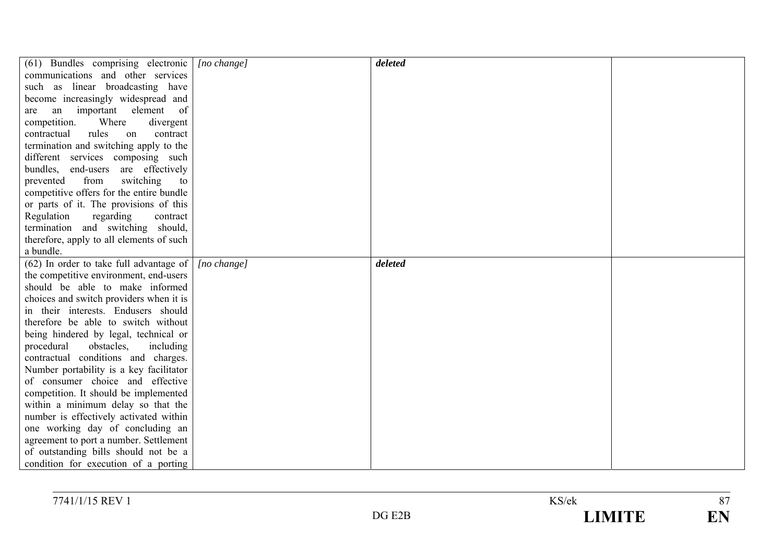| (61) Bundles comprising electronic        | $[no \space change]$ | deleted |  |
|-------------------------------------------|----------------------|---------|--|
| communications and other services         |                      |         |  |
| such as linear broadcasting have          |                      |         |  |
| become increasingly widespread and        |                      |         |  |
| an important element<br>of<br>are         |                      |         |  |
| competition.<br>Where<br>divergent        |                      |         |  |
| contractual<br>rules<br>on<br>contract    |                      |         |  |
| termination and switching apply to the    |                      |         |  |
| different services composing such         |                      |         |  |
| bundles, end-users are effectively        |                      |         |  |
| switching<br>from<br>prevented<br>to      |                      |         |  |
| competitive offers for the entire bundle  |                      |         |  |
| or parts of it. The provisions of this    |                      |         |  |
| Regulation<br>regarding<br>contract       |                      |         |  |
| termination and switching should,         |                      |         |  |
| therefore, apply to all elements of such  |                      |         |  |
| a bundle.                                 |                      |         |  |
| $(62)$ In order to take full advantage of | $[no \space change]$ | deleted |  |
| the competitive environment, end-users    |                      |         |  |
| should be able to make informed           |                      |         |  |
| choices and switch providers when it is   |                      |         |  |
| in their interests. Endusers should       |                      |         |  |
| therefore be able to switch without       |                      |         |  |
| being hindered by legal, technical or     |                      |         |  |
| obstacles,<br>procedural<br>including     |                      |         |  |
| contractual conditions and charges.       |                      |         |  |
| Number portability is a key facilitator   |                      |         |  |
| of consumer choice and effective          |                      |         |  |
| competition. It should be implemented     |                      |         |  |
| within a minimum delay so that the        |                      |         |  |
| number is effectively activated within    |                      |         |  |
| one working day of concluding an          |                      |         |  |
| agreement to port a number. Settlement    |                      |         |  |
| of outstanding bills should not be a      |                      |         |  |
| condition for execution of a porting      |                      |         |  |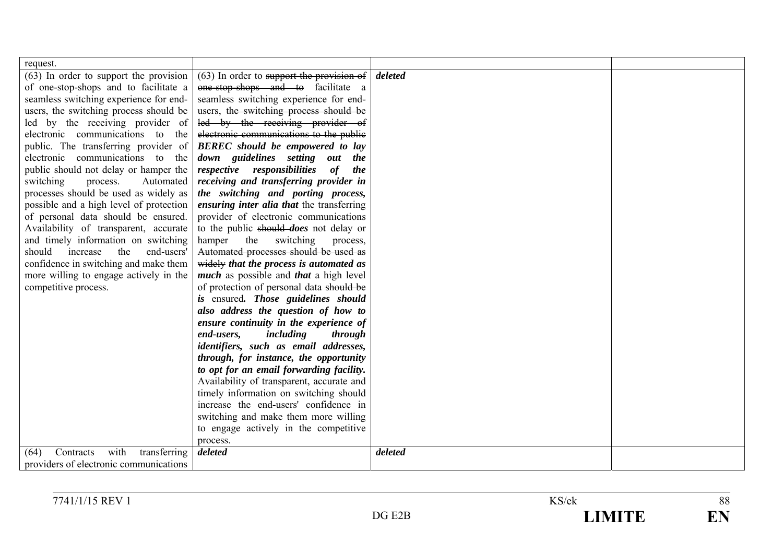| request.                                  |                                                      |         |  |
|-------------------------------------------|------------------------------------------------------|---------|--|
| (63) In order to support the provision    | $(63)$ In order to support the provision of          | deleted |  |
| of one-stop-shops and to facilitate a     | one-stop-shops and to facilitate a                   |         |  |
| seamless switching experience for end-    | seamless switching experience for end-               |         |  |
| users, the switching process should be    | users, the switching process should be               |         |  |
| led by the receiving provider of          | led by the receiving provider of                     |         |  |
| electronic communications to the          | electronic communications to the public              |         |  |
| public. The transferring provider of      | <b>BEREC</b> should be empowered to lay              |         |  |
| electronic communications to the          | down guidelines setting out the                      |         |  |
| public should not delay or hamper the     | respective responsibilities<br>of<br>the             |         |  |
| switching<br>process.<br>Automated        | receiving and transferring provider in               |         |  |
| processes should be used as widely as     | the switching and porting process,                   |         |  |
| possible and a high level of protection   | ensuring inter alia that the transferring            |         |  |
| of personal data should be ensured.       | provider of electronic communications                |         |  |
| Availability of transparent, accurate     | to the public should <i>does</i> not delay or        |         |  |
| and timely information on switching       | hamper<br>the<br>switching<br>process,               |         |  |
| increase<br>should<br>end-users'<br>the   | Automated processes should be used as                |         |  |
| confidence in switching and make them     | widely that the process is automated as              |         |  |
| more willing to engage actively in the    | <i>much</i> as possible and <i>that</i> a high level |         |  |
| competitive process.                      | of protection of personal data should be             |         |  |
|                                           | is ensured. Those guidelines should                  |         |  |
|                                           | also address the question of how to                  |         |  |
|                                           | ensure continuity in the experience of               |         |  |
|                                           | end-users,<br>including<br>through                   |         |  |
|                                           | identifiers, such as email addresses,                |         |  |
|                                           | through, for instance, the opportunity               |         |  |
|                                           | to opt for an email forwarding facility.             |         |  |
|                                           | Availability of transparent, accurate and            |         |  |
|                                           | timely information on switching should               |         |  |
|                                           | increase the end-users' confidence in                |         |  |
|                                           | switching and make them more willing                 |         |  |
|                                           | to engage actively in the competitive                |         |  |
|                                           | process.                                             |         |  |
| with<br>transferring<br>Contracts<br>(64) | deleted                                              | deleted |  |
| providers of electronic communications    |                                                      |         |  |

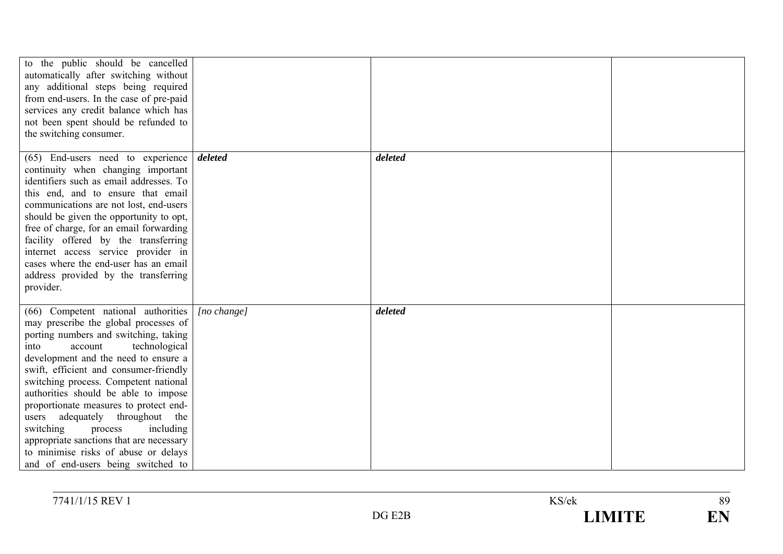| to the public should be cancelled<br>automatically after switching without<br>any additional steps being required<br>from end-users. In the case of pre-paid<br>services any credit balance which has<br>not been spent should be refunded to<br>the switching consumer.                                                                                                                                                                                                                                                                                                    |                      |         |  |
|-----------------------------------------------------------------------------------------------------------------------------------------------------------------------------------------------------------------------------------------------------------------------------------------------------------------------------------------------------------------------------------------------------------------------------------------------------------------------------------------------------------------------------------------------------------------------------|----------------------|---------|--|
| $(65)$ End-users need to experience deleted<br>continuity when changing important<br>identifiers such as email addresses. To<br>this end, and to ensure that email<br>communications are not lost, end-users<br>should be given the opportunity to opt,<br>free of charge, for an email forwarding<br>facility offered by the transferring<br>internet access service provider in<br>cases where the end-user has an email<br>address provided by the transferring<br>provider.                                                                                             |                      | deleted |  |
| (66) Competent national authorities<br>may prescribe the global processes of<br>porting numbers and switching, taking<br>technological<br>account<br>into<br>development and the need to ensure a<br>swift, efficient and consumer-friendly<br>switching process. Competent national<br>authorities should be able to impose<br>proportionate measures to protect end-<br>adequately throughout the<br>users<br>switching<br>including<br>process<br>appropriate sanctions that are necessary<br>to minimise risks of abuse or delays<br>and of end-users being switched to | $[no \space change]$ | deleted |  |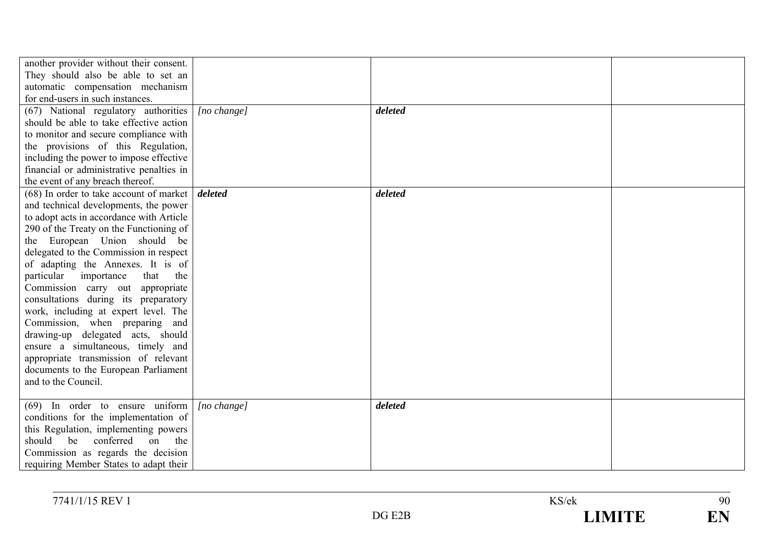| another provider without their consent.<br>They should also be able to set an<br>automatic compensation mechanism<br>for end-users in such instances.<br>(67) National regulatory authorities<br>should be able to take effective action<br>to monitor and secure compliance with                                                                                                                                                                                                                                                                                                                                                                                       | [no change] | deleted |  |
|-------------------------------------------------------------------------------------------------------------------------------------------------------------------------------------------------------------------------------------------------------------------------------------------------------------------------------------------------------------------------------------------------------------------------------------------------------------------------------------------------------------------------------------------------------------------------------------------------------------------------------------------------------------------------|-------------|---------|--|
| the provisions of this Regulation,<br>including the power to impose effective<br>financial or administrative penalties in<br>the event of any breach thereof.                                                                                                                                                                                                                                                                                                                                                                                                                                                                                                           |             |         |  |
| $(68)$ In order to take account of market<br>and technical developments, the power<br>to adopt acts in accordance with Article<br>290 of the Treaty on the Functioning of<br>the European Union should be<br>delegated to the Commission in respect<br>of adapting the Annexes. It is of<br>particular<br>importance<br>that the<br>Commission carry out appropriate<br>consultations during its preparatory<br>work, including at expert level. The<br>Commission, when preparing and<br>drawing-up delegated acts, should<br>ensure a simultaneous, timely and<br>appropriate transmission of relevant<br>documents to the European Parliament<br>and to the Council. | deleted     | deleted |  |
| $(69)$ In order to ensure uniform<br>conditions for the implementation of<br>this Regulation, implementing powers<br>should<br>be<br>conferred<br>on<br>the<br>Commission as regards the decision<br>requiring Member States to adapt their                                                                                                                                                                                                                                                                                                                                                                                                                             | [no change] | deleted |  |

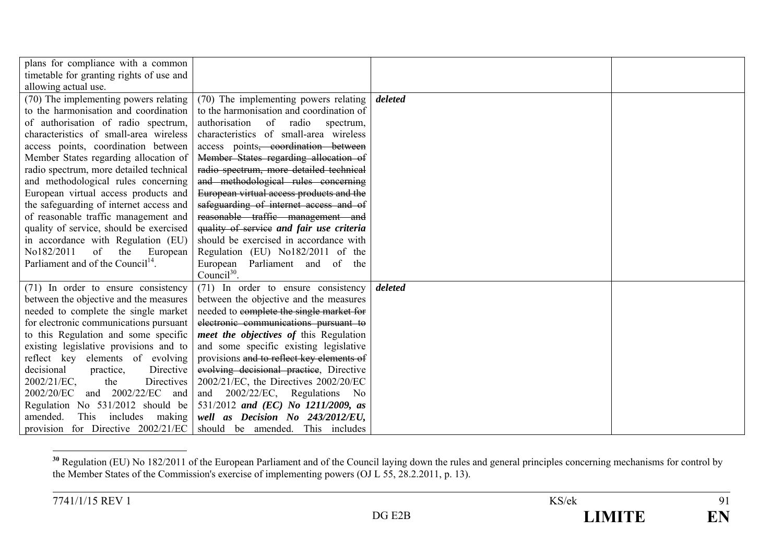| plans for compliance with a common            |                                            |         |  |
|-----------------------------------------------|--------------------------------------------|---------|--|
| timetable for granting rights of use and      |                                            |         |  |
| allowing actual use.                          |                                            |         |  |
| (70) The implementing powers relating         | (70) The implementing powers relating      | deleted |  |
| to the harmonisation and coordination         | to the harmonisation and coordination of   |         |  |
| of authorisation of radio spectrum,           | authorisation of radio<br>spectrum,        |         |  |
| characteristics of small-area wireless        | characteristics of small-area wireless     |         |  |
| access points, coordination between           | access points, coordination between        |         |  |
| Member States regarding allocation of         | Member States regarding allocation of      |         |  |
| radio spectrum, more detailed technical       | radio spectrum, more detailed technical    |         |  |
| and methodological rules concerning           | and methodological rules concerning        |         |  |
| European virtual access products and          | European virtual access products and the   |         |  |
| the safeguarding of internet access and       | safeguarding of internet access and of     |         |  |
| of reasonable traffic management and          | reasonable traffic management and          |         |  |
| quality of service, should be exercised       | quality of service and fair use criteria   |         |  |
| in accordance with Regulation (EU)            | should be exercised in accordance with     |         |  |
| No182/2011<br>of<br>the European              | Regulation (EU) No182/2011 of the          |         |  |
| Parliament and of the Council <sup>14</sup> . | European Parliament and<br>of the          |         |  |
|                                               | Council $^{30}$ .                          |         |  |
| (71) In order to ensure consistency           | (71) In order to ensure consistency        | deleted |  |
| between the objective and the measures        | between the objective and the measures     |         |  |
| needed to complete the single market          | needed to complete the single market for   |         |  |
| for electronic communications pursuant        | electronic communications pursuant to      |         |  |
| to this Regulation and some specific          | meet the objectives of this Regulation     |         |  |
| existing legislative provisions and to        | and some specific existing legislative     |         |  |
| reflect key elements of evolving              | provisions and to reflect key elements of  |         |  |
| Directive<br>decisional<br>practice,          | evolving decisional practice, Directive    |         |  |
| 2002/21/EC,<br>Directives<br>the              | $2002/21/EC$ , the Directives $2002/20/EC$ |         |  |
| 2002/20/EC<br>and 2002/22/EC<br>and           | and 2002/22/EC, Regulations No             |         |  |
| Regulation No $531/2012$ should be            | 531/2012 and (EC) No 1211/2009, as         |         |  |
| amended.<br>This includes<br>making           | well as Decision No 243/2012/EU,           |         |  |
| provision for Directive $2002/21/EC$          | should be amended. This includes           |         |  |

<sup>&</sup>lt;sup>30</sup> Regulation (EU) No 182/2011 of the European Parliament and of the Council laying down the rules and general principles concerning mechanisms for control by the Member States of the Commission's exercise of implementing powers (OJ L 55, 28.2.2011, p. 13).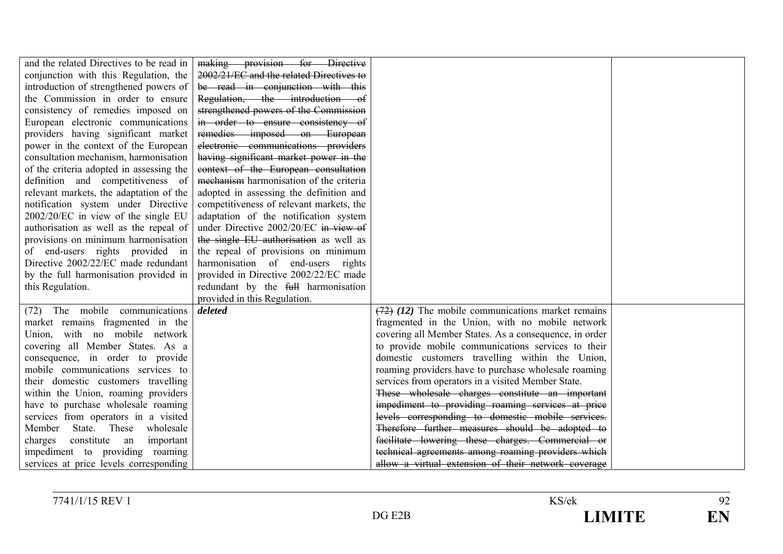| and the related Directives to be read in | making provision for Directive           |                                                        |  |
|------------------------------------------|------------------------------------------|--------------------------------------------------------|--|
| conjunction with this Regulation, the    | 2002/21/EC and the related Directives to |                                                        |  |
| introduction of strengthened powers of   | be read in conjunction with this         |                                                        |  |
| the Commission in order to ensure        | Regulation, the introduction of          |                                                        |  |
| consistency of remedies imposed on       | strengthened powers of the Commission    |                                                        |  |
| European electronic communications       | in order to ensure consistency of        |                                                        |  |
| providers having significant market      | remedies imposed on European             |                                                        |  |
| power in the context of the European     | electronic communications providers      |                                                        |  |
| consultation mechanism, harmonisation    | having significant market power in the   |                                                        |  |
| of the criteria adopted in assessing the | context of the European consultation     |                                                        |  |
| definition and competitiveness of        | mechanism harmonisation of the criteria  |                                                        |  |
| relevant markets, the adaptation of the  | adopted in assessing the definition and  |                                                        |  |
| notification system under Directive      | competitiveness of relevant markets, the |                                                        |  |
| 2002/20/EC in view of the single EU      | adaptation of the notification system    |                                                        |  |
| authorisation as well as the repeal of   | under Directive 2002/20/EC in view of    |                                                        |  |
| provisions on minimum harmonisation      | the single EU authorisation as well as   |                                                        |  |
| of end-users rights provided in          | the repeal of provisions on minimum      |                                                        |  |
| Directive 2002/22/EC made redundant      | harmonisation of end-users rights        |                                                        |  |
| by the full harmonisation provided in    | provided in Directive 2002/22/EC made    |                                                        |  |
| this Regulation.                         | redundant by the full harmonisation      |                                                        |  |
|                                          | provided in this Regulation.             |                                                        |  |
| (72) The mobile communications           | deleted                                  | $(72)$ (12) The mobile communications market remains   |  |
| market remains fragmented in the         |                                          | fragmented in the Union, with no mobile network        |  |
| Union, with no mobile network            |                                          | covering all Member States. As a consequence, in order |  |
| covering all Member States. As a         |                                          | to provide mobile communications services to their     |  |
| consequence, in order to provide         |                                          | domestic customers travelling within the Union,        |  |
| mobile communications services to        |                                          | roaming providers have to purchase wholesale roaming   |  |
| their domestic customers travelling      |                                          | services from operators in a visited Member State.     |  |
| within the Union, roaming providers      |                                          | These wholesale charges constitute an important        |  |
| have to purchase wholesale roaming       |                                          | impediment to providing roaming services at price      |  |
| services from operators in a visited     |                                          | levels corresponding to domestic mobile services.      |  |
| Member State. These wholesale            |                                          | Therefore further measures should be adopted to        |  |
| constitute an<br>important<br>charges    |                                          | facilitate lowering these charges. Commercial or       |  |
| impediment to providing roaming          |                                          | technical agreements among roaming providers which     |  |
| services at price levels corresponding   |                                          | allow a virtual extension of their network coverage    |  |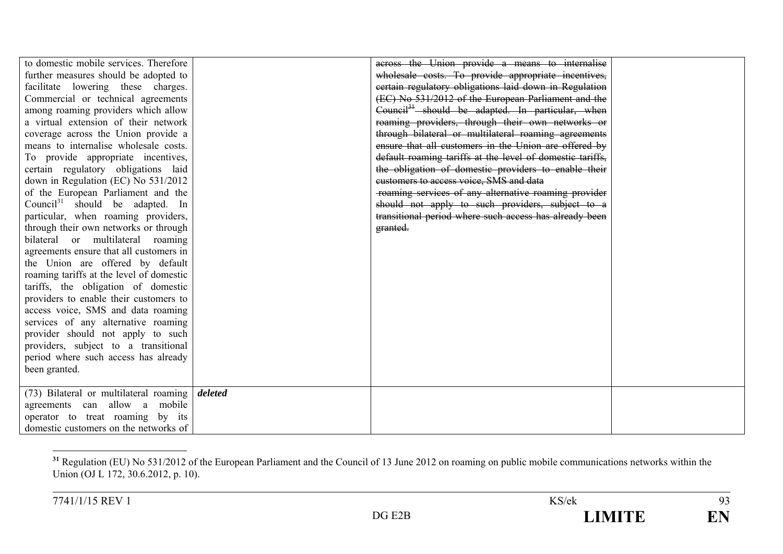| to domestic mobile services. Therefore      |         | across the Union provide a means to internalise           |  |
|---------------------------------------------|---------|-----------------------------------------------------------|--|
| further measures should be adopted to       |         | wholesale costs. To provide appropriate incentives,       |  |
| facilitate lowering these charges.          |         | certain regulatory obligations laid down in Regulation    |  |
| Commercial or technical agreements          |         | (EC) No 531/2012 of the European Parliament and the       |  |
| among roaming providers which allow         |         | $Count34$ should be adapted. In particular, when          |  |
| a virtual extension of their network        |         | roaming providers, through their own networks or          |  |
| coverage across the Union provide a         |         | through bilateral or multilateral roaming agreements      |  |
| means to internalise wholesale costs.       |         | ensure that all customers in the Union are offered by     |  |
| To provide appropriate incentives,          |         | default roaming tariffs at the level of domestic tariffs, |  |
| certain regulatory obligations laid         |         | the obligation of domestic providers to enable their      |  |
| down in Regulation (EC) No 531/2012         |         | customers to access voice. SMS and data                   |  |
| of the European Parliament and the          |         | -roaming services of any alternative roaming provider     |  |
| Council <sup>31</sup> should be adapted. In |         | should not apply to such providers, subject to a          |  |
| particular, when roaming providers,         |         | transitional period where such access has already been    |  |
| through their own networks or through       |         | granted.                                                  |  |
| bilateral or multilateral roaming           |         |                                                           |  |
| agreements ensure that all customers in     |         |                                                           |  |
| the Union are offered by default            |         |                                                           |  |
| roaming tariffs at the level of domestic    |         |                                                           |  |
| tariffs, the obligation of domestic         |         |                                                           |  |
| providers to enable their customers to      |         |                                                           |  |
| access voice, SMS and data roaming          |         |                                                           |  |
| services of any alternative roaming         |         |                                                           |  |
| provider should not apply to such           |         |                                                           |  |
| providers, subject to a transitional        |         |                                                           |  |
| period where such access has already        |         |                                                           |  |
| been granted.                               |         |                                                           |  |
|                                             |         |                                                           |  |
| (73) Bilateral or multilateral roaming      | deleted |                                                           |  |
| agreements can allow a mobile               |         |                                                           |  |
| operator to treat roaming by its            |         |                                                           |  |
| domestic customers on the networks of       |         |                                                           |  |

<sup>&</sup>lt;sup>31</sup> Regulation (EU) No 531/2012 of the European Parliament and the Council of 13 June 2012 on roaming on public mobile communications networks within the Union (OJ L 172, 30.6.2012, p. 10).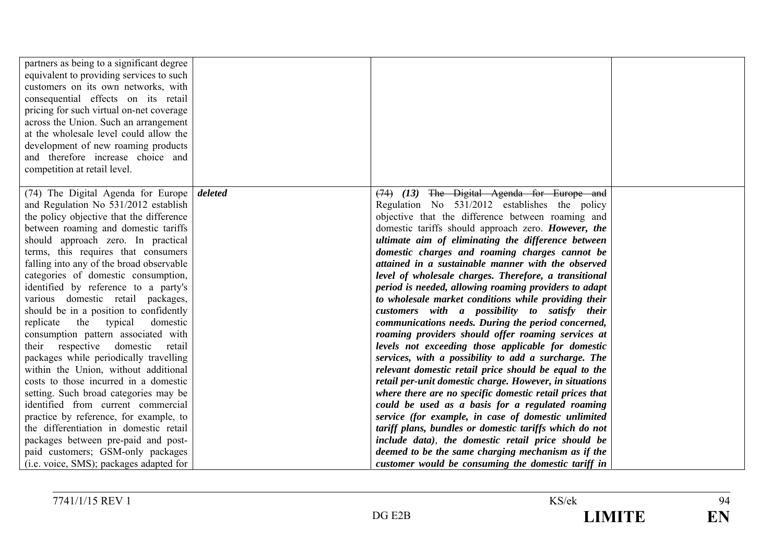| partners as being to a significant degree<br>equivalent to providing services to such<br>customers on its own networks, with<br>consequential effects on its retail<br>pricing for such virtual on-net coverage<br>across the Union. Such an arrangement<br>at the wholesale level could allow the<br>development of new roaming products<br>and therefore increase choice and<br>competition at retail level. |                                                         |  |
|----------------------------------------------------------------------------------------------------------------------------------------------------------------------------------------------------------------------------------------------------------------------------------------------------------------------------------------------------------------------------------------------------------------|---------------------------------------------------------|--|
| (74) The Digital Agenda for Europe   deleted                                                                                                                                                                                                                                                                                                                                                                   | $(74)$ $(13)$ The Digital Agenda for Europe and         |  |
| and Regulation No 531/2012 establish                                                                                                                                                                                                                                                                                                                                                                           | Regulation No 531/2012 establishes the policy           |  |
| the policy objective that the difference                                                                                                                                                                                                                                                                                                                                                                       | objective that the difference between roaming and       |  |
| between roaming and domestic tariffs                                                                                                                                                                                                                                                                                                                                                                           | domestic tariffs should approach zero. However, the     |  |
| should approach zero. In practical                                                                                                                                                                                                                                                                                                                                                                             | ultimate aim of eliminating the difference between      |  |
| terms, this requires that consumers                                                                                                                                                                                                                                                                                                                                                                            | domestic charges and roaming charges cannot be          |  |
| falling into any of the broad observable                                                                                                                                                                                                                                                                                                                                                                       | attained in a sustainable manner with the observed      |  |
| categories of domestic consumption,                                                                                                                                                                                                                                                                                                                                                                            | level of wholesale charges. Therefore, a transitional   |  |
| identified by reference to a party's                                                                                                                                                                                                                                                                                                                                                                           | period is needed, allowing roaming providers to adapt   |  |
| various domestic retail packages,                                                                                                                                                                                                                                                                                                                                                                              | to wholesale market conditions while providing their    |  |
| should be in a position to confidently                                                                                                                                                                                                                                                                                                                                                                         | customers with a possibility to satisfy their           |  |
| replicate<br>the typical<br>domestic                                                                                                                                                                                                                                                                                                                                                                           | communications needs. During the period concerned,      |  |
| consumption pattern associated with                                                                                                                                                                                                                                                                                                                                                                            | roaming providers should offer roaming services at      |  |
| their respective<br>domestic<br>retail                                                                                                                                                                                                                                                                                                                                                                         | levels not exceeding those applicable for domestic      |  |
| packages while periodically travelling                                                                                                                                                                                                                                                                                                                                                                         | services, with a possibility to add a surcharge. The    |  |
| within the Union, without additional                                                                                                                                                                                                                                                                                                                                                                           | relevant domestic retail price should be equal to the   |  |
| costs to those incurred in a domestic                                                                                                                                                                                                                                                                                                                                                                          | retail per-unit domestic charge. However, in situations |  |
| setting. Such broad categories may be                                                                                                                                                                                                                                                                                                                                                                          | where there are no specific domestic retail prices that |  |
| identified from current commercial                                                                                                                                                                                                                                                                                                                                                                             | could be used as a basis for a regulated roaming        |  |
| practice by reference, for example, to                                                                                                                                                                                                                                                                                                                                                                         | service (for example, in case of domestic unlimited     |  |
| the differentiation in domestic retail                                                                                                                                                                                                                                                                                                                                                                         | tariff plans, bundles or domestic tariffs which do not  |  |
| packages between pre-paid and post-                                                                                                                                                                                                                                                                                                                                                                            | include data), the domestic retail price should be      |  |
| paid customers; GSM-only packages                                                                                                                                                                                                                                                                                                                                                                              | deemed to be the same charging mechanism as if the      |  |
| (i.e. voice, SMS); packages adapted for                                                                                                                                                                                                                                                                                                                                                                        | customer would be consuming the domestic tariff in      |  |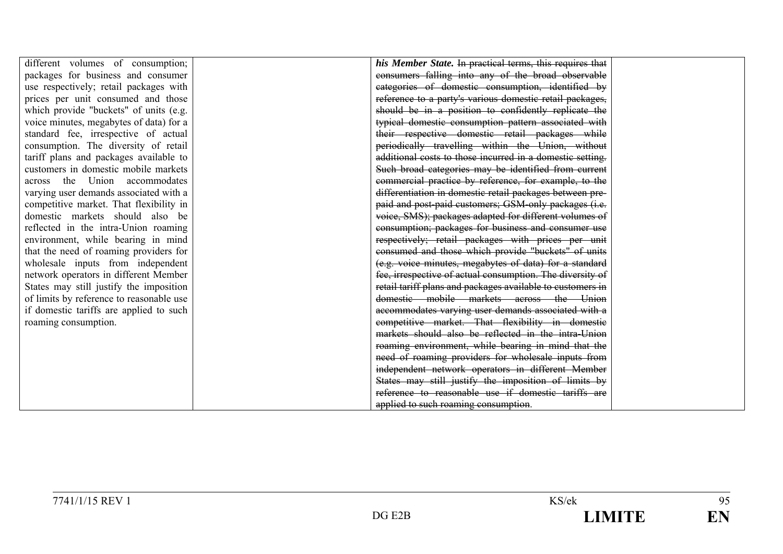| different volumes of consumption;<br>his Member State. In practical terms, this requires that<br>packages for business and consumer<br>consumers falling into any of the broad observable<br>categories of domestic consumption, identified by<br>use respectively; retail packages with<br>reference to a party's various domestic retail packages,<br>prices per unit consumed and those<br>which provide "buckets" of units (e.g.<br>should be in a position to confidently replicate the<br>typical domestic consumption pattern associated with<br>voice minutes, megabytes of data) for a<br>their respective domestic retail packages while<br>standard fee, irrespective of actual<br>periodically travelling within the Union, without<br>consumption. The diversity of retail<br>additional costs to those incurred in a domestic setting.<br>tariff plans and packages available to<br>Such broad categories may be identified from current<br>customers in domestic mobile markets<br>commercial practice by reference, for example, to the<br>across the Union accommodates<br>differentiation in domestic retail packages between pre-<br>varying user demands associated with a<br>paid and post-paid customers; GSM-only packages (i.e.<br>competitive market. That flexibility in<br>voice, SMS); packages adapted for different volumes of<br>domestic markets should also be<br>consumption; packages for business and consumer use<br>reflected in the intra-Union roaming<br>respectively; retail packages with prices per unit<br>environment, while bearing in mind<br>consumed and those which provide "buckets" of units<br>that the need of roaming providers for<br>(e.g. voice minutes, megabytes of data) for a standard<br>wholesale inputs from independent<br>network operators in different Member<br>fee, irrespective of actual consumption. The diversity of<br>retail tariff plans and packages available to customers in<br>States may still justify the imposition<br>domestic mobile markets across the Union<br>of limits by reference to reasonable use<br>accommodates varying user demands associated with a<br>if domestic tariffs are applied to such<br>competitive market. That flexibility in domestic<br>roaming consumption.<br>markets should also be reflected in the intra-Union<br>roaming environment, while bearing in mind that the<br>need of roaming providers for wholesale inputs from<br>independent network operators in different Member<br>States may still justify the imposition of limits by<br>reference to reasonable use if domestic tariffs are<br>applied to such roaming consumption. |  |  |
|------------------------------------------------------------------------------------------------------------------------------------------------------------------------------------------------------------------------------------------------------------------------------------------------------------------------------------------------------------------------------------------------------------------------------------------------------------------------------------------------------------------------------------------------------------------------------------------------------------------------------------------------------------------------------------------------------------------------------------------------------------------------------------------------------------------------------------------------------------------------------------------------------------------------------------------------------------------------------------------------------------------------------------------------------------------------------------------------------------------------------------------------------------------------------------------------------------------------------------------------------------------------------------------------------------------------------------------------------------------------------------------------------------------------------------------------------------------------------------------------------------------------------------------------------------------------------------------------------------------------------------------------------------------------------------------------------------------------------------------------------------------------------------------------------------------------------------------------------------------------------------------------------------------------------------------------------------------------------------------------------------------------------------------------------------------------------------------------------------------------------------------------------------------------------------------------------------------------------------------------------------------------------------------------------------------------------------------------------------------------------------------------------------------------------------------------------------------------------------------------------------------------------------------------------------------------------------------------------------------------------------------------------------------|--|--|
|                                                                                                                                                                                                                                                                                                                                                                                                                                                                                                                                                                                                                                                                                                                                                                                                                                                                                                                                                                                                                                                                                                                                                                                                                                                                                                                                                                                                                                                                                                                                                                                                                                                                                                                                                                                                                                                                                                                                                                                                                                                                                                                                                                                                                                                                                                                                                                                                                                                                                                                                                                                                                                                                  |  |  |
|                                                                                                                                                                                                                                                                                                                                                                                                                                                                                                                                                                                                                                                                                                                                                                                                                                                                                                                                                                                                                                                                                                                                                                                                                                                                                                                                                                                                                                                                                                                                                                                                                                                                                                                                                                                                                                                                                                                                                                                                                                                                                                                                                                                                                                                                                                                                                                                                                                                                                                                                                                                                                                                                  |  |  |
|                                                                                                                                                                                                                                                                                                                                                                                                                                                                                                                                                                                                                                                                                                                                                                                                                                                                                                                                                                                                                                                                                                                                                                                                                                                                                                                                                                                                                                                                                                                                                                                                                                                                                                                                                                                                                                                                                                                                                                                                                                                                                                                                                                                                                                                                                                                                                                                                                                                                                                                                                                                                                                                                  |  |  |
|                                                                                                                                                                                                                                                                                                                                                                                                                                                                                                                                                                                                                                                                                                                                                                                                                                                                                                                                                                                                                                                                                                                                                                                                                                                                                                                                                                                                                                                                                                                                                                                                                                                                                                                                                                                                                                                                                                                                                                                                                                                                                                                                                                                                                                                                                                                                                                                                                                                                                                                                                                                                                                                                  |  |  |
|                                                                                                                                                                                                                                                                                                                                                                                                                                                                                                                                                                                                                                                                                                                                                                                                                                                                                                                                                                                                                                                                                                                                                                                                                                                                                                                                                                                                                                                                                                                                                                                                                                                                                                                                                                                                                                                                                                                                                                                                                                                                                                                                                                                                                                                                                                                                                                                                                                                                                                                                                                                                                                                                  |  |  |
|                                                                                                                                                                                                                                                                                                                                                                                                                                                                                                                                                                                                                                                                                                                                                                                                                                                                                                                                                                                                                                                                                                                                                                                                                                                                                                                                                                                                                                                                                                                                                                                                                                                                                                                                                                                                                                                                                                                                                                                                                                                                                                                                                                                                                                                                                                                                                                                                                                                                                                                                                                                                                                                                  |  |  |
|                                                                                                                                                                                                                                                                                                                                                                                                                                                                                                                                                                                                                                                                                                                                                                                                                                                                                                                                                                                                                                                                                                                                                                                                                                                                                                                                                                                                                                                                                                                                                                                                                                                                                                                                                                                                                                                                                                                                                                                                                                                                                                                                                                                                                                                                                                                                                                                                                                                                                                                                                                                                                                                                  |  |  |
|                                                                                                                                                                                                                                                                                                                                                                                                                                                                                                                                                                                                                                                                                                                                                                                                                                                                                                                                                                                                                                                                                                                                                                                                                                                                                                                                                                                                                                                                                                                                                                                                                                                                                                                                                                                                                                                                                                                                                                                                                                                                                                                                                                                                                                                                                                                                                                                                                                                                                                                                                                                                                                                                  |  |  |
|                                                                                                                                                                                                                                                                                                                                                                                                                                                                                                                                                                                                                                                                                                                                                                                                                                                                                                                                                                                                                                                                                                                                                                                                                                                                                                                                                                                                                                                                                                                                                                                                                                                                                                                                                                                                                                                                                                                                                                                                                                                                                                                                                                                                                                                                                                                                                                                                                                                                                                                                                                                                                                                                  |  |  |
|                                                                                                                                                                                                                                                                                                                                                                                                                                                                                                                                                                                                                                                                                                                                                                                                                                                                                                                                                                                                                                                                                                                                                                                                                                                                                                                                                                                                                                                                                                                                                                                                                                                                                                                                                                                                                                                                                                                                                                                                                                                                                                                                                                                                                                                                                                                                                                                                                                                                                                                                                                                                                                                                  |  |  |
|                                                                                                                                                                                                                                                                                                                                                                                                                                                                                                                                                                                                                                                                                                                                                                                                                                                                                                                                                                                                                                                                                                                                                                                                                                                                                                                                                                                                                                                                                                                                                                                                                                                                                                                                                                                                                                                                                                                                                                                                                                                                                                                                                                                                                                                                                                                                                                                                                                                                                                                                                                                                                                                                  |  |  |
|                                                                                                                                                                                                                                                                                                                                                                                                                                                                                                                                                                                                                                                                                                                                                                                                                                                                                                                                                                                                                                                                                                                                                                                                                                                                                                                                                                                                                                                                                                                                                                                                                                                                                                                                                                                                                                                                                                                                                                                                                                                                                                                                                                                                                                                                                                                                                                                                                                                                                                                                                                                                                                                                  |  |  |
|                                                                                                                                                                                                                                                                                                                                                                                                                                                                                                                                                                                                                                                                                                                                                                                                                                                                                                                                                                                                                                                                                                                                                                                                                                                                                                                                                                                                                                                                                                                                                                                                                                                                                                                                                                                                                                                                                                                                                                                                                                                                                                                                                                                                                                                                                                                                                                                                                                                                                                                                                                                                                                                                  |  |  |
|                                                                                                                                                                                                                                                                                                                                                                                                                                                                                                                                                                                                                                                                                                                                                                                                                                                                                                                                                                                                                                                                                                                                                                                                                                                                                                                                                                                                                                                                                                                                                                                                                                                                                                                                                                                                                                                                                                                                                                                                                                                                                                                                                                                                                                                                                                                                                                                                                                                                                                                                                                                                                                                                  |  |  |
|                                                                                                                                                                                                                                                                                                                                                                                                                                                                                                                                                                                                                                                                                                                                                                                                                                                                                                                                                                                                                                                                                                                                                                                                                                                                                                                                                                                                                                                                                                                                                                                                                                                                                                                                                                                                                                                                                                                                                                                                                                                                                                                                                                                                                                                                                                                                                                                                                                                                                                                                                                                                                                                                  |  |  |
|                                                                                                                                                                                                                                                                                                                                                                                                                                                                                                                                                                                                                                                                                                                                                                                                                                                                                                                                                                                                                                                                                                                                                                                                                                                                                                                                                                                                                                                                                                                                                                                                                                                                                                                                                                                                                                                                                                                                                                                                                                                                                                                                                                                                                                                                                                                                                                                                                                                                                                                                                                                                                                                                  |  |  |
|                                                                                                                                                                                                                                                                                                                                                                                                                                                                                                                                                                                                                                                                                                                                                                                                                                                                                                                                                                                                                                                                                                                                                                                                                                                                                                                                                                                                                                                                                                                                                                                                                                                                                                                                                                                                                                                                                                                                                                                                                                                                                                                                                                                                                                                                                                                                                                                                                                                                                                                                                                                                                                                                  |  |  |
|                                                                                                                                                                                                                                                                                                                                                                                                                                                                                                                                                                                                                                                                                                                                                                                                                                                                                                                                                                                                                                                                                                                                                                                                                                                                                                                                                                                                                                                                                                                                                                                                                                                                                                                                                                                                                                                                                                                                                                                                                                                                                                                                                                                                                                                                                                                                                                                                                                                                                                                                                                                                                                                                  |  |  |
|                                                                                                                                                                                                                                                                                                                                                                                                                                                                                                                                                                                                                                                                                                                                                                                                                                                                                                                                                                                                                                                                                                                                                                                                                                                                                                                                                                                                                                                                                                                                                                                                                                                                                                                                                                                                                                                                                                                                                                                                                                                                                                                                                                                                                                                                                                                                                                                                                                                                                                                                                                                                                                                                  |  |  |
|                                                                                                                                                                                                                                                                                                                                                                                                                                                                                                                                                                                                                                                                                                                                                                                                                                                                                                                                                                                                                                                                                                                                                                                                                                                                                                                                                                                                                                                                                                                                                                                                                                                                                                                                                                                                                                                                                                                                                                                                                                                                                                                                                                                                                                                                                                                                                                                                                                                                                                                                                                                                                                                                  |  |  |
|                                                                                                                                                                                                                                                                                                                                                                                                                                                                                                                                                                                                                                                                                                                                                                                                                                                                                                                                                                                                                                                                                                                                                                                                                                                                                                                                                                                                                                                                                                                                                                                                                                                                                                                                                                                                                                                                                                                                                                                                                                                                                                                                                                                                                                                                                                                                                                                                                                                                                                                                                                                                                                                                  |  |  |
|                                                                                                                                                                                                                                                                                                                                                                                                                                                                                                                                                                                                                                                                                                                                                                                                                                                                                                                                                                                                                                                                                                                                                                                                                                                                                                                                                                                                                                                                                                                                                                                                                                                                                                                                                                                                                                                                                                                                                                                                                                                                                                                                                                                                                                                                                                                                                                                                                                                                                                                                                                                                                                                                  |  |  |
|                                                                                                                                                                                                                                                                                                                                                                                                                                                                                                                                                                                                                                                                                                                                                                                                                                                                                                                                                                                                                                                                                                                                                                                                                                                                                                                                                                                                                                                                                                                                                                                                                                                                                                                                                                                                                                                                                                                                                                                                                                                                                                                                                                                                                                                                                                                                                                                                                                                                                                                                                                                                                                                                  |  |  |
|                                                                                                                                                                                                                                                                                                                                                                                                                                                                                                                                                                                                                                                                                                                                                                                                                                                                                                                                                                                                                                                                                                                                                                                                                                                                                                                                                                                                                                                                                                                                                                                                                                                                                                                                                                                                                                                                                                                                                                                                                                                                                                                                                                                                                                                                                                                                                                                                                                                                                                                                                                                                                                                                  |  |  |
|                                                                                                                                                                                                                                                                                                                                                                                                                                                                                                                                                                                                                                                                                                                                                                                                                                                                                                                                                                                                                                                                                                                                                                                                                                                                                                                                                                                                                                                                                                                                                                                                                                                                                                                                                                                                                                                                                                                                                                                                                                                                                                                                                                                                                                                                                                                                                                                                                                                                                                                                                                                                                                                                  |  |  |
|                                                                                                                                                                                                                                                                                                                                                                                                                                                                                                                                                                                                                                                                                                                                                                                                                                                                                                                                                                                                                                                                                                                                                                                                                                                                                                                                                                                                                                                                                                                                                                                                                                                                                                                                                                                                                                                                                                                                                                                                                                                                                                                                                                                                                                                                                                                                                                                                                                                                                                                                                                                                                                                                  |  |  |
|                                                                                                                                                                                                                                                                                                                                                                                                                                                                                                                                                                                                                                                                                                                                                                                                                                                                                                                                                                                                                                                                                                                                                                                                                                                                                                                                                                                                                                                                                                                                                                                                                                                                                                                                                                                                                                                                                                                                                                                                                                                                                                                                                                                                                                                                                                                                                                                                                                                                                                                                                                                                                                                                  |  |  |
|                                                                                                                                                                                                                                                                                                                                                                                                                                                                                                                                                                                                                                                                                                                                                                                                                                                                                                                                                                                                                                                                                                                                                                                                                                                                                                                                                                                                                                                                                                                                                                                                                                                                                                                                                                                                                                                                                                                                                                                                                                                                                                                                                                                                                                                                                                                                                                                                                                                                                                                                                                                                                                                                  |  |  |
|                                                                                                                                                                                                                                                                                                                                                                                                                                                                                                                                                                                                                                                                                                                                                                                                                                                                                                                                                                                                                                                                                                                                                                                                                                                                                                                                                                                                                                                                                                                                                                                                                                                                                                                                                                                                                                                                                                                                                                                                                                                                                                                                                                                                                                                                                                                                                                                                                                                                                                                                                                                                                                                                  |  |  |
|                                                                                                                                                                                                                                                                                                                                                                                                                                                                                                                                                                                                                                                                                                                                                                                                                                                                                                                                                                                                                                                                                                                                                                                                                                                                                                                                                                                                                                                                                                                                                                                                                                                                                                                                                                                                                                                                                                                                                                                                                                                                                                                                                                                                                                                                                                                                                                                                                                                                                                                                                                                                                                                                  |  |  |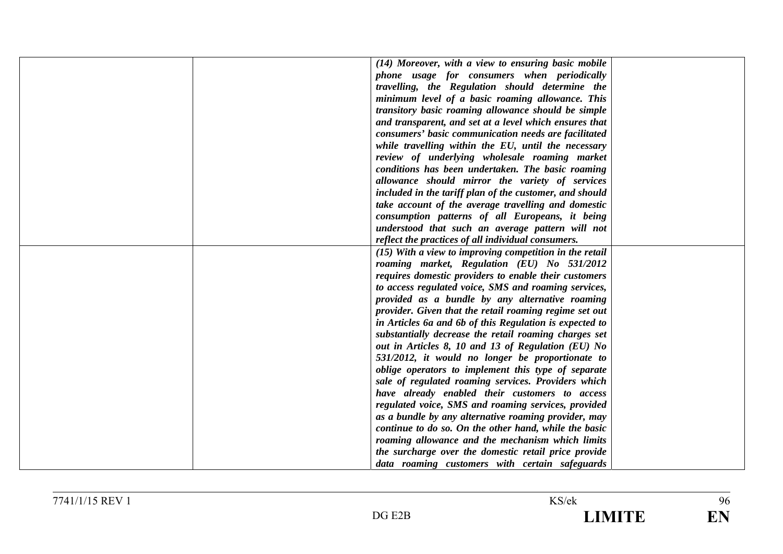| (14) Moreover, with a view to ensuring basic mobile     |
|---------------------------------------------------------|
| phone usage for consumers when periodically             |
| travelling, the Regulation should determine the         |
| minimum level of a basic roaming allowance. This        |
| transitory basic roaming allowance should be simple     |
| and transparent, and set at a level which ensures that  |
| consumers' basic communication needs are facilitated    |
| while travelling within the EU, until the necessary     |
| review of underlying wholesale roaming market           |
| conditions has been undertaken. The basic roaming       |
| allowance should mirror the variety of services         |
| included in the tariff plan of the customer, and should |
| take account of the average travelling and domestic     |
| consumption patterns of all Europeans, it being         |
| understood that such an average pattern will not        |
| reflect the practices of all individual consumers.      |
| (15) With a view to improving competition in the retail |
| roaming market, Regulation (EU) No 531/2012             |
| requires domestic providers to enable their customers   |
| to access regulated voice, SMS and roaming services,    |
| provided as a bundle by any alternative roaming         |
| provider. Given that the retail roaming regime set out  |
| in Articles 6a and 6b of this Regulation is expected to |
| substantially decrease the retail roaming charges set   |
| out in Articles 8, 10 and 13 of Regulation (EU) No      |
| 531/2012, it would no longer be proportionate to        |
| oblige operators to implement this type of separate     |
| sale of regulated roaming services. Providers which     |
| have already enabled their customers to access          |
| regulated voice, SMS and roaming services, provided     |
| as a bundle by any alternative roaming provider, may    |
| continue to do so. On the other hand, while the basic   |
| roaming allowance and the mechanism which limits        |
| the surcharge over the domestic retail price provide    |
| data roaming customers with certain safeguards          |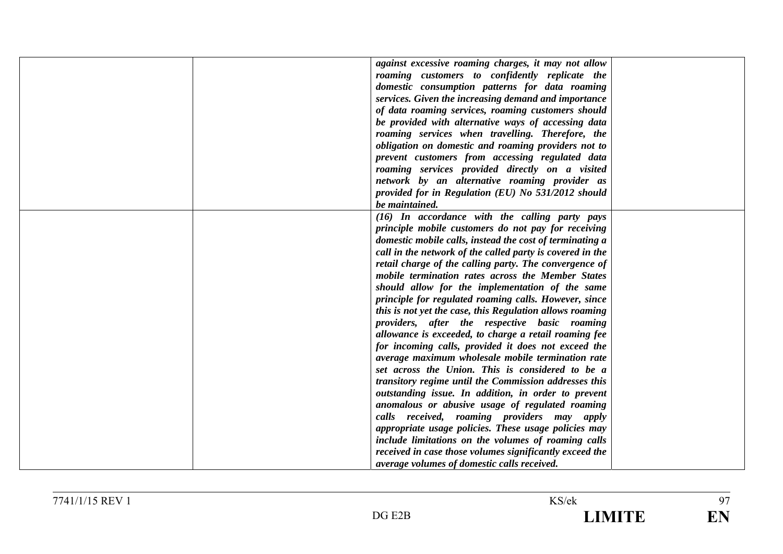|  | against excessive roaming charges, it may not allow       |  |
|--|-----------------------------------------------------------|--|
|  | roaming customers to confidently replicate the            |  |
|  | domestic consumption patterns for data roaming            |  |
|  | services. Given the increasing demand and importance      |  |
|  | of data roaming services, roaming customers should        |  |
|  | be provided with alternative ways of accessing data       |  |
|  | roaming services when travelling. Therefore, the          |  |
|  | obligation on domestic and roaming providers not to       |  |
|  | prevent customers from accessing regulated data           |  |
|  | roaming services provided directly on a visited           |  |
|  | network by an alternative roaming provider as             |  |
|  | provided for in Regulation (EU) No 531/2012 should        |  |
|  | be maintained.                                            |  |
|  | $(16)$ In accordance with the calling party pays          |  |
|  | principle mobile customers do not pay for receiving       |  |
|  | domestic mobile calls, instead the cost of terminating a  |  |
|  | call in the network of the called party is covered in the |  |
|  | retail charge of the calling party. The convergence of    |  |
|  | mobile termination rates across the Member States         |  |
|  | should allow for the implementation of the same           |  |
|  | principle for regulated roaming calls. However, since     |  |
|  | this is not yet the case, this Regulation allows roaming  |  |
|  | providers, after the respective basic roaming             |  |
|  | allowance is exceeded, to charge a retail roaming fee     |  |
|  | for incoming calls, provided it does not exceed the       |  |
|  | average maximum wholesale mobile termination rate         |  |
|  | set across the Union. This is considered to be a          |  |
|  | transitory regime until the Commission addresses this     |  |
|  | outstanding issue. In addition, in order to prevent       |  |
|  | anomalous or abusive usage of regulated roaming           |  |
|  | calls received, roaming providers may apply               |  |
|  | appropriate usage policies. These usage policies may      |  |
|  | include limitations on the volumes of roaming calls       |  |
|  | received in case those volumes significantly exceed the   |  |
|  | average volumes of domestic calls received.               |  |
|  |                                                           |  |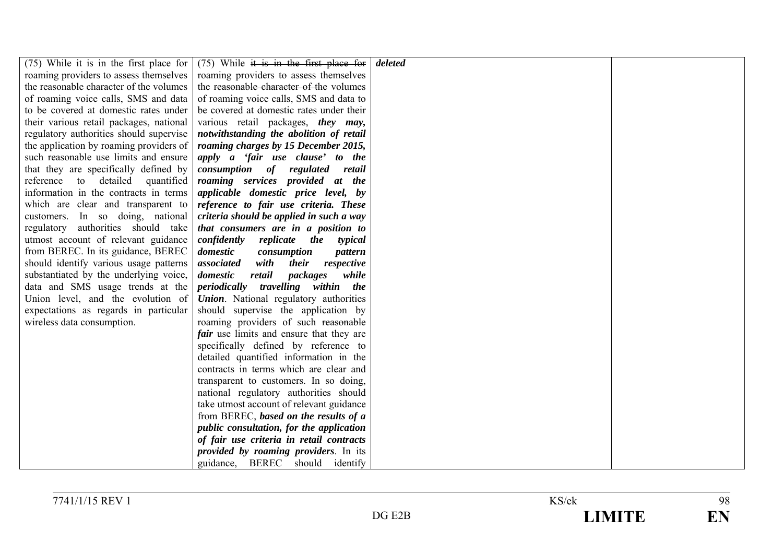| $(75)$ While it is in the first place for                           | $(75)$ While it is in the first place for                                   | deleted |  |
|---------------------------------------------------------------------|-----------------------------------------------------------------------------|---------|--|
| roaming providers to assess themselves                              | roaming providers to assess themselves                                      |         |  |
| the reasonable character of the volumes                             | the reasonable character of the volumes                                     |         |  |
| of roaming voice calls, SMS and data                                | of roaming voice calls, SMS and data to                                     |         |  |
| to be covered at domestic rates under                               | be covered at domestic rates under their                                    |         |  |
| their various retail packages, national                             | various retail packages, they may,                                          |         |  |
| regulatory authorities should supervise                             | notwithstanding the abolition of retail                                     |         |  |
| the application by roaming providers of                             | roaming charges by 15 December 2015,                                        |         |  |
| such reasonable use limits and ensure                               | apply a 'fair use clause' to the                                            |         |  |
| that they are specifically defined by                               | consumption of regulated<br>retail                                          |         |  |
| reference to detailed quantified                                    | roaming services provided at the                                            |         |  |
| information in the contracts in terms                               | applicable domestic price level, by                                         |         |  |
| which are clear and transparent to                                  | reference to fair use criteria. These                                       |         |  |
| customers. In so doing, national                                    | criteria should be applied in such a way                                    |         |  |
| regulatory authorities should take                                  | that consumers are in a position to                                         |         |  |
| utmost account of relevant guidance                                 | confidently<br>replicate the<br>typical                                     |         |  |
| from BEREC. In its guidance, BEREC                                  | domestic<br>consumption<br>pattern                                          |         |  |
| should identify various usage patterns                              | associated<br>with<br><i>their</i><br>respective                            |         |  |
| substantiated by the underlying voice,                              | domestic<br>retail<br>packages<br>while                                     |         |  |
| data and SMS usage trends at the                                    | periodically travelling within the                                          |         |  |
| Union level, and the evolution of                                   | <b>Union</b> . National regulatory authorities                              |         |  |
| expectations as regards in particular<br>wireless data consumption. | should supervise the application by<br>roaming providers of such reasonable |         |  |
|                                                                     | <i>fair</i> use limits and ensure that they are                             |         |  |
|                                                                     | specifically defined by reference to                                        |         |  |
|                                                                     | detailed quantified information in the                                      |         |  |
|                                                                     | contracts in terms which are clear and                                      |         |  |
|                                                                     | transparent to customers. In so doing,                                      |         |  |
|                                                                     | national regulatory authorities should                                      |         |  |
|                                                                     | take utmost account of relevant guidance                                    |         |  |
|                                                                     | from BEREC, based on the results of a                                       |         |  |
|                                                                     | public consultation, for the application                                    |         |  |
|                                                                     | of fair use criteria in retail contracts                                    |         |  |
|                                                                     | provided by roaming providers. In its                                       |         |  |
|                                                                     | guidance, BEREC should identify                                             |         |  |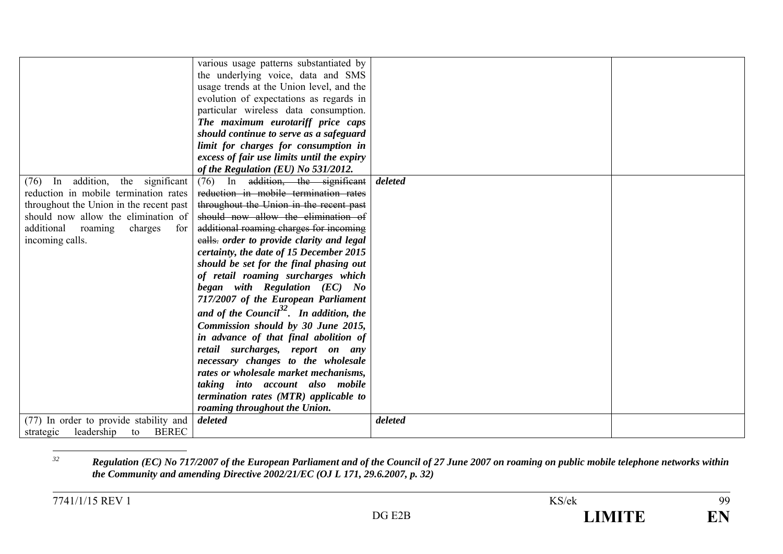|                                               | various usage patterns substantiated by             |         |  |
|-----------------------------------------------|-----------------------------------------------------|---------|--|
|                                               | the underlying voice, data and SMS                  |         |  |
|                                               | usage trends at the Union level, and the            |         |  |
|                                               | evolution of expectations as regards in             |         |  |
|                                               | particular wireless data consumption.               |         |  |
|                                               | The maximum eurotariff price caps                   |         |  |
|                                               | should continue to serve as a safeguard             |         |  |
|                                               | limit for charges for consumption in                |         |  |
|                                               | excess of fair use limits until the expiry          |         |  |
|                                               | of the Regulation (EU) No 531/2012.                 |         |  |
| In addition, the significant<br>(76)          | $(76)$ In addition, the significant                 | deleted |  |
| reduction in mobile termination rates         | reduction in mobile termination rates               |         |  |
| throughout the Union in the recent past       | throughout the Union in the recent past             |         |  |
| should now allow the elimination of           | should now allow the elimination of                 |         |  |
| additional roaming<br>charges<br>for          | additional roaming charges for incoming             |         |  |
| incoming calls.                               | ealls. order to provide clarity and legal           |         |  |
|                                               | certainty, the date of 15 December 2015             |         |  |
|                                               | should be set for the final phasing out             |         |  |
|                                               | of retail roaming surcharges which                  |         |  |
|                                               | began with Regulation (EC) No                       |         |  |
|                                               | 717/2007 of the European Parliament                 |         |  |
|                                               | and of the Council <sup>32</sup> . In addition, the |         |  |
|                                               |                                                     |         |  |
|                                               | Commission should by 30 June 2015,                  |         |  |
|                                               | in advance of that final abolition of               |         |  |
|                                               | retail surcharges, report on any                    |         |  |
|                                               | necessary changes to the wholesale                  |         |  |
|                                               | rates or wholesale market mechanisms,               |         |  |
|                                               | taking into account also mobile                     |         |  |
|                                               | termination rates (MTR) applicable to               |         |  |
|                                               | roaming throughout the Union.                       |         |  |
| (77) In order to provide stability and        | deleted                                             | deleted |  |
| leadership<br><b>BEREC</b><br>to<br>strategic |                                                     |         |  |

*<sup>32</sup> Regulation (EC) No 717/2007 of the European Parliament and of the Council of 27 June 2007 on roaming on public mobile telephone networks within the Community and amending Directive 2002/21/EC (OJ L 171, 29.6.2007, p. 32)*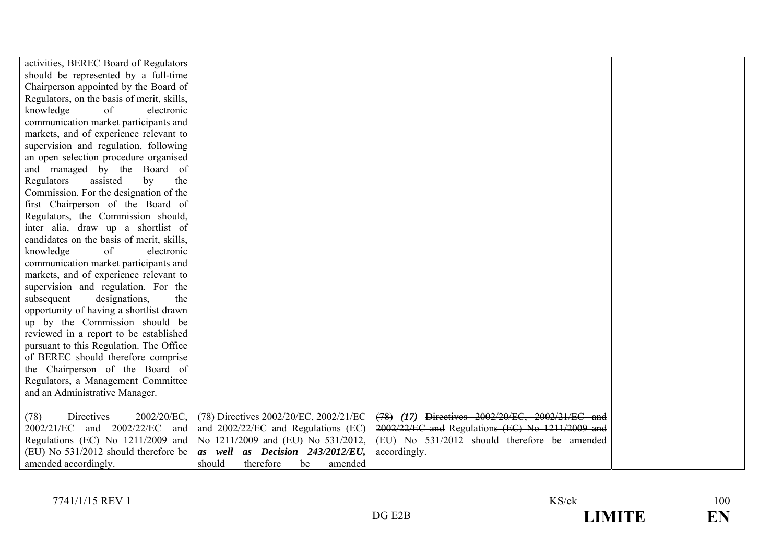| activities, BEREC Board of Regulators      |                                        |                                                  |  |
|--------------------------------------------|----------------------------------------|--------------------------------------------------|--|
| should be represented by a full-time       |                                        |                                                  |  |
| Chairperson appointed by the Board of      |                                        |                                                  |  |
| Regulators, on the basis of merit, skills, |                                        |                                                  |  |
| of<br>knowledge<br>electronic              |                                        |                                                  |  |
| communication market participants and      |                                        |                                                  |  |
| markets, and of experience relevant to     |                                        |                                                  |  |
| supervision and regulation, following      |                                        |                                                  |  |
| an open selection procedure organised      |                                        |                                                  |  |
| and managed by the Board of                |                                        |                                                  |  |
| Regulators<br>assisted<br>by<br>the        |                                        |                                                  |  |
| Commission. For the designation of the     |                                        |                                                  |  |
| first Chairperson of the Board of          |                                        |                                                  |  |
| Regulators, the Commission should,         |                                        |                                                  |  |
| inter alia, draw up a shortlist of         |                                        |                                                  |  |
| candidates on the basis of merit, skills,  |                                        |                                                  |  |
| knowledge<br>of<br>electronic              |                                        |                                                  |  |
| communication market participants and      |                                        |                                                  |  |
| markets, and of experience relevant to     |                                        |                                                  |  |
| supervision and regulation. For the        |                                        |                                                  |  |
| subsequent<br>designations,<br>the         |                                        |                                                  |  |
| opportunity of having a shortlist drawn    |                                        |                                                  |  |
| up by the Commission should be             |                                        |                                                  |  |
| reviewed in a report to be established     |                                        |                                                  |  |
| pursuant to this Regulation. The Office    |                                        |                                                  |  |
| of BEREC should therefore comprise         |                                        |                                                  |  |
| the Chairperson of the Board of            |                                        |                                                  |  |
| Regulators, a Management Committee         |                                        |                                                  |  |
| and an Administrative Manager.             |                                        |                                                  |  |
|                                            |                                        |                                                  |  |
| Directives<br>2002/20/EC,<br>(78)          | (78) Directives 2002/20/EC, 2002/21/EC | (78) (17) Directives 2002/20/EC, 2002/21/EC and  |  |
| and 2002/22/EC<br>2002/21/EC<br>and        | and 2002/22/EC and Regulations (EC)    | 2002/22/EC and Regulations (EC) No 1211/2009 and |  |
| Regulations (EC) No 1211/2009 and          | No 1211/2009 and (EU) No 531/2012,     | (EU) No 531/2012 should therefore be amended     |  |
| (EU) No 531/2012 should therefore be       | as well as Decision 243/2012/EU,       | accordingly.                                     |  |
| amended accordingly.                       | should<br>therefore<br>amended<br>be   |                                                  |  |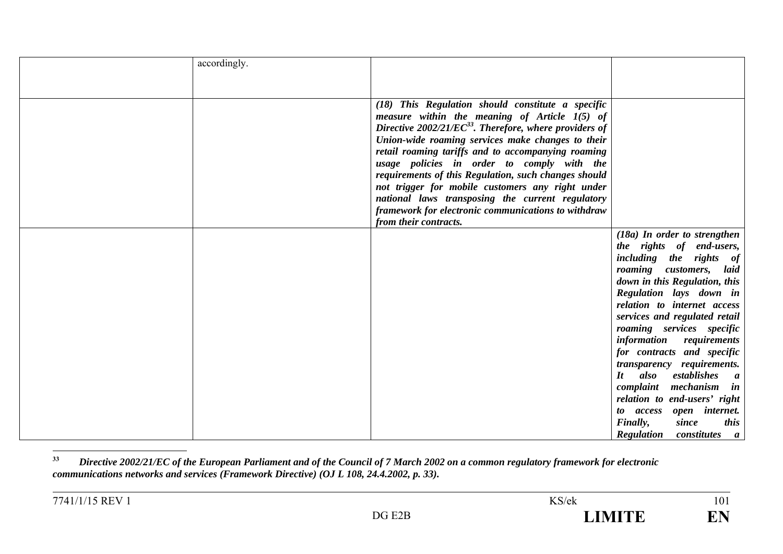| accordingly. |                                                                                                                                                                                                                                                                                                                                                                                                                                                                                                                                                     |                                                                                                                                                                                                                                              |
|--------------|-----------------------------------------------------------------------------------------------------------------------------------------------------------------------------------------------------------------------------------------------------------------------------------------------------------------------------------------------------------------------------------------------------------------------------------------------------------------------------------------------------------------------------------------------------|----------------------------------------------------------------------------------------------------------------------------------------------------------------------------------------------------------------------------------------------|
|              |                                                                                                                                                                                                                                                                                                                                                                                                                                                                                                                                                     |                                                                                                                                                                                                                                              |
|              |                                                                                                                                                                                                                                                                                                                                                                                                                                                                                                                                                     |                                                                                                                                                                                                                                              |
|              | (18) This Regulation should constitute a specific<br>measure within the meaning of Article $1(5)$ of<br>Directive $2002/21/EC^{33}$ . Therefore, where providers of<br>Union-wide roaming services make changes to their<br>retail roaming tariffs and to accompanying roaming<br>usage policies in order to comply with the<br>requirements of this Regulation, such changes should<br>not trigger for mobile customers any right under<br>national laws transposing the current regulatory<br>framework for electronic communications to withdraw |                                                                                                                                                                                                                                              |
|              | from their contracts.                                                                                                                                                                                                                                                                                                                                                                                                                                                                                                                               |                                                                                                                                                                                                                                              |
|              |                                                                                                                                                                                                                                                                                                                                                                                                                                                                                                                                                     | $(18a)$ In order to strengthen<br>the rights of end-users,<br>including the rights of<br>roaming customers, laid<br>down in this Regulation, this<br>Regulation lays down in<br>relation to internet access<br>services and regulated retail |
|              |                                                                                                                                                                                                                                                                                                                                                                                                                                                                                                                                                     | roaming services specific<br>information requirements<br>for contracts and specific<br>transparency requirements.<br>also<br>$\bm{I}$ t<br>establishes<br>$\boldsymbol{a}$<br>mechanism<br>complaint<br>in                                   |
|              |                                                                                                                                                                                                                                                                                                                                                                                                                                                                                                                                                     | relation to end-users' right<br>to access open internet.<br>Finally,<br>since<br><i>this</i><br><b>Regulation</b> constitutes<br>$\boldsymbol{a}$                                                                                            |

**<sup>33</sup>** *Directive 2002/21/EC of the European Parliament and of the Council of 7 March 2002 on a common regulatory framework for electronic communications networks and services (Framework Directive) (OJ L 108, 24.4.2002, p. 33).*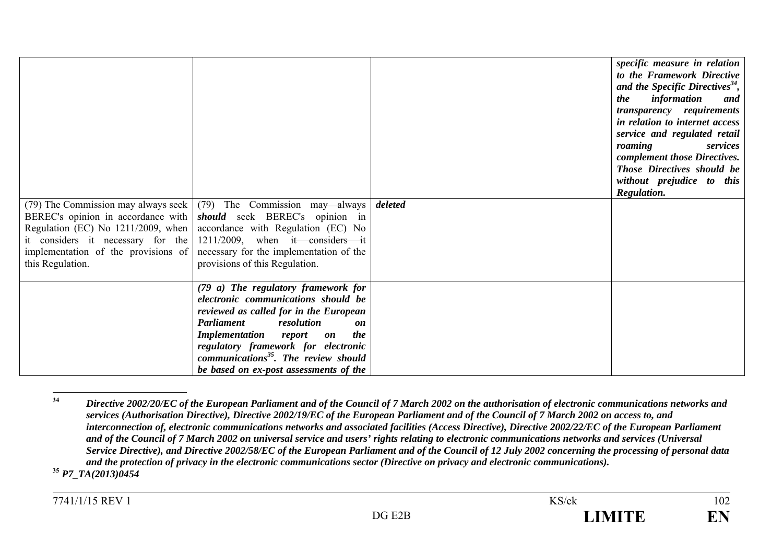| (79) The Commission may always seek<br>it considers it necessary for the<br>implementation of the provisions of<br>this Regulation. | (79) The Commission may always<br>BEREC's opinion in accordance with <i>should</i> seek BEREC's opinion in<br>Regulation (EC) No $1211/2009$ , when accordance with Regulation (EC) No<br>$1211/2009$ , when it considers it<br>necessary for the implementation of the<br>provisions of this Regulation.                                       | deleted | specific measure in relation<br>to the Framework Directive<br>and the Specific Directives <sup>34</sup> ,<br><i>the</i><br>information<br>and<br>transparency requirements<br>in relation to internet access<br>service and regulated retail<br>roaming<br>services<br>complement those Directives.<br>Those Directives should be<br>without prejudice to this<br>Regulation. |
|-------------------------------------------------------------------------------------------------------------------------------------|-------------------------------------------------------------------------------------------------------------------------------------------------------------------------------------------------------------------------------------------------------------------------------------------------------------------------------------------------|---------|-------------------------------------------------------------------------------------------------------------------------------------------------------------------------------------------------------------------------------------------------------------------------------------------------------------------------------------------------------------------------------|
|                                                                                                                                     | (79 a) The regulatory framework for<br>electronic communications should be<br>reviewed as called for in the European<br><b>Parliament</b><br>resolution<br>on<br><b>Implementation</b> report<br>the<br>on<br>regulatory framework for electronic<br>communications <sup>35</sup> . The review should<br>be based on ex-post assessments of the |         |                                                                                                                                                                                                                                                                                                                                                                               |

**<sup>34</sup>** *Directive 2002/20/EC of the European Parliament and of the Council of 7 March 2002 on the authorisation of electronic communications networks and services (Authorisation Directive), Directive 2002/19/EC of the European Parliament and of the Council of 7 March 2002 on access to, and interconnection of, electronic communications networks and associated facilities (Access Directive), Directive 2002/22/EC of the European Parliament and of the Council of 7 March 2002 on universal service and users' rights relating to electronic communications networks and services (Universal Service Directive), and Directive 2002/58/EC of the European Parliament and of the Council of 12 July 2002 concerning the processing of personal data and the protection of privacy in the electronic communications sector (Directive on privacy and electronic communications).*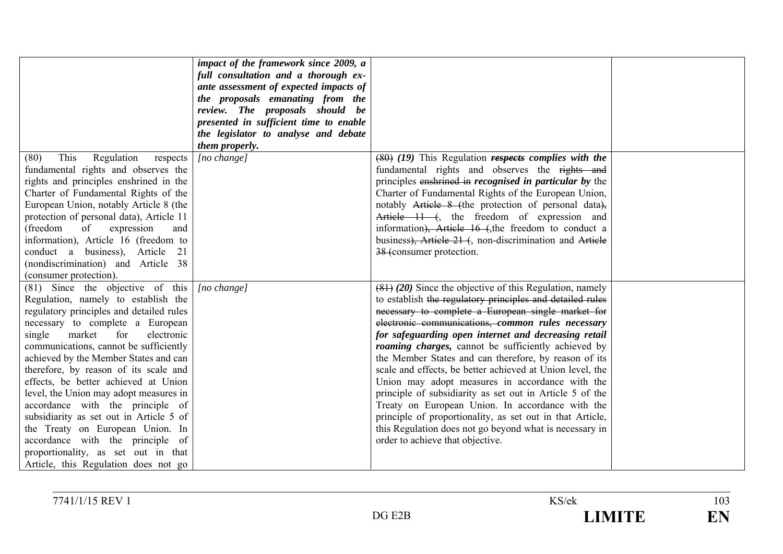|                                                                               | impact of the framework since 2009, a<br>full consultation and a thorough ex-<br>ante assessment of expected impacts of<br>the proposals emanating from the<br>review. The proposals should be<br>presented in sufficient time to enable<br>the legislator to analyse and debate<br>them properly. |                                                                                                                      |  |
|-------------------------------------------------------------------------------|----------------------------------------------------------------------------------------------------------------------------------------------------------------------------------------------------------------------------------------------------------------------------------------------------|----------------------------------------------------------------------------------------------------------------------|--|
| This<br>Regulation<br>(80)<br>respects                                        | [no change]                                                                                                                                                                                                                                                                                        | $(80)$ (19) This Regulation respects complies with the<br>fundamental rights and observes the rights and             |  |
| fundamental rights and observes the<br>rights and principles enshrined in the |                                                                                                                                                                                                                                                                                                    | principles enshrined in <i>recognised</i> in <i>particular</i> by the                                                |  |
| Charter of Fundamental Rights of the                                          |                                                                                                                                                                                                                                                                                                    | Charter of Fundamental Rights of the European Union,                                                                 |  |
| European Union, notably Article 8 (the                                        |                                                                                                                                                                                                                                                                                                    | notably Article 8 (the protection of personal data),                                                                 |  |
| protection of personal data), Article 11                                      |                                                                                                                                                                                                                                                                                                    | Article $11$ (, the freedom of expression and                                                                        |  |
| of expression<br>(freedom<br>and                                              |                                                                                                                                                                                                                                                                                                    | information), Article 16 (the freedom to conduct a                                                                   |  |
| information), Article 16 (freedom to                                          |                                                                                                                                                                                                                                                                                                    | business), Article 21 (, non-discrimination and Article                                                              |  |
| conduct a business), Article 21                                               |                                                                                                                                                                                                                                                                                                    | 38 (consumer protection.                                                                                             |  |
| (nondiscrimination) and Article 38                                            |                                                                                                                                                                                                                                                                                                    |                                                                                                                      |  |
| (consumer protection).                                                        |                                                                                                                                                                                                                                                                                                    |                                                                                                                      |  |
| (81) Since the objective of this                                              | $[no \ change]$                                                                                                                                                                                                                                                                                    | $(81)$ (20) Since the objective of this Regulation, namely                                                           |  |
| Regulation, namely to establish the                                           |                                                                                                                                                                                                                                                                                                    | to establish the regulatory principles and detailed rules                                                            |  |
| regulatory principles and detailed rules                                      |                                                                                                                                                                                                                                                                                                    | necessary to complete a European single market for                                                                   |  |
| necessary to complete a European<br>for<br>electronic                         |                                                                                                                                                                                                                                                                                                    | electronic communications, common rules necessary                                                                    |  |
| single<br>market<br>communications, cannot be sufficiently                    |                                                                                                                                                                                                                                                                                                    | for safeguarding open internet and decreasing retail                                                                 |  |
| achieved by the Member States and can                                         |                                                                                                                                                                                                                                                                                                    | <i>roaming charges</i> , cannot be sufficiently achieved by<br>the Member States and can therefore, by reason of its |  |
| therefore, by reason of its scale and                                         |                                                                                                                                                                                                                                                                                                    | scale and effects, be better achieved at Union level, the                                                            |  |
| effects, be better achieved at Union                                          |                                                                                                                                                                                                                                                                                                    | Union may adopt measures in accordance with the                                                                      |  |
| level, the Union may adopt measures in                                        |                                                                                                                                                                                                                                                                                                    | principle of subsidiarity as set out in Article 5 of the                                                             |  |
| accordance with the principle of                                              |                                                                                                                                                                                                                                                                                                    | Treaty on European Union. In accordance with the                                                                     |  |
| subsidiarity as set out in Article 5 of                                       |                                                                                                                                                                                                                                                                                                    | principle of proportionality, as set out in that Article,                                                            |  |
| the Treaty on European Union. In                                              |                                                                                                                                                                                                                                                                                                    | this Regulation does not go beyond what is necessary in                                                              |  |
| accordance with the principle of                                              |                                                                                                                                                                                                                                                                                                    | order to achieve that objective.                                                                                     |  |
| proportionality, as set out in that                                           |                                                                                                                                                                                                                                                                                                    |                                                                                                                      |  |
| Article, this Regulation does not go                                          |                                                                                                                                                                                                                                                                                                    |                                                                                                                      |  |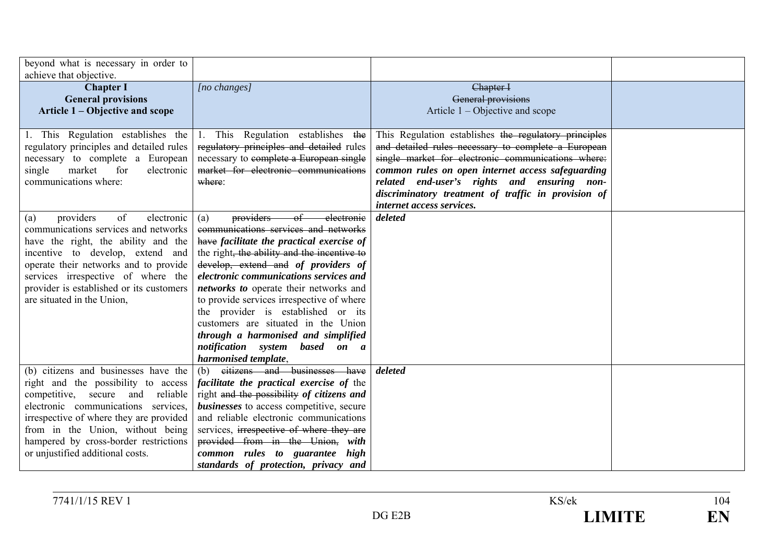| beyond what is necessary in order to<br>achieve that objective. |                                                 |                                                       |  |
|-----------------------------------------------------------------|-------------------------------------------------|-------------------------------------------------------|--|
| <b>Chapter I</b>                                                | [no changes]                                    | Chapter I                                             |  |
| <b>General provisions</b>                                       |                                                 | General provisions                                    |  |
| Article 1 – Objective and scope                                 |                                                 | Article $1 -$ Objective and scope                     |  |
|                                                                 |                                                 |                                                       |  |
| 1. This Regulation establishes the                              | 1. This Regulation establishes the              | This Regulation establishes the regulatory principles |  |
| regulatory principles and detailed rules                        | regulatory principles and detailed rules        | and detailed rules necessary to complete a European   |  |
| necessary to complete a European                                | necessary to complete a European single         | single market for electronic communications where:    |  |
| market<br>for<br>electronic<br>single                           | market for electronic communications            | common rules on open internet access safeguarding     |  |
| communications where:                                           | where:                                          | related end-user's rights and ensuring non-           |  |
|                                                                 |                                                 | discriminatory treatment of traffic in provision of   |  |
|                                                                 |                                                 | internet access services.                             |  |
| providers<br>of<br>electronic<br>(a)                            | providers of electronic<br>(a)                  | deleted                                               |  |
| communications services and networks                            | communications services and networks            |                                                       |  |
| have the right, the ability and the                             | have facilitate the practical exercise of       |                                                       |  |
| incentive to develop, extend and                                | the right, the ability and the incentive to     |                                                       |  |
| operate their networks and to provide                           | develop, extend and of providers of             |                                                       |  |
| services irrespective of where the                              | electronic communications services and          |                                                       |  |
| provider is established or its customers                        | networks to operate their networks and          |                                                       |  |
| are situated in the Union,                                      | to provide services irrespective of where       |                                                       |  |
|                                                                 | the provider is established or its              |                                                       |  |
|                                                                 | customers are situated in the Union             |                                                       |  |
|                                                                 | through a harmonised and simplified             |                                                       |  |
|                                                                 | notification system based on a                  |                                                       |  |
|                                                                 | harmonised template,                            |                                                       |  |
| (b) citizens and businesses have the                            | citizens and businesses have<br>(b)             | deleted                                               |  |
| right and the possibility to access                             | <i>facilitate the practical exercise of the</i> |                                                       |  |
| competitive, secure and reliable                                | right and the possibility of citizens and       |                                                       |  |
| electronic communications services,                             | <b>businesses</b> to access competitive, secure |                                                       |  |
| irrespective of where they are provided                         | and reliable electronic communications          |                                                       |  |
| from in the Union, without being                                | services, irrespective of where they are        |                                                       |  |
| hampered by cross-border restrictions                           | provided from in the Union, with                |                                                       |  |
| or unjustified additional costs.                                | common rules to guarantee high                  |                                                       |  |
|                                                                 | standards of protection, privacy and            |                                                       |  |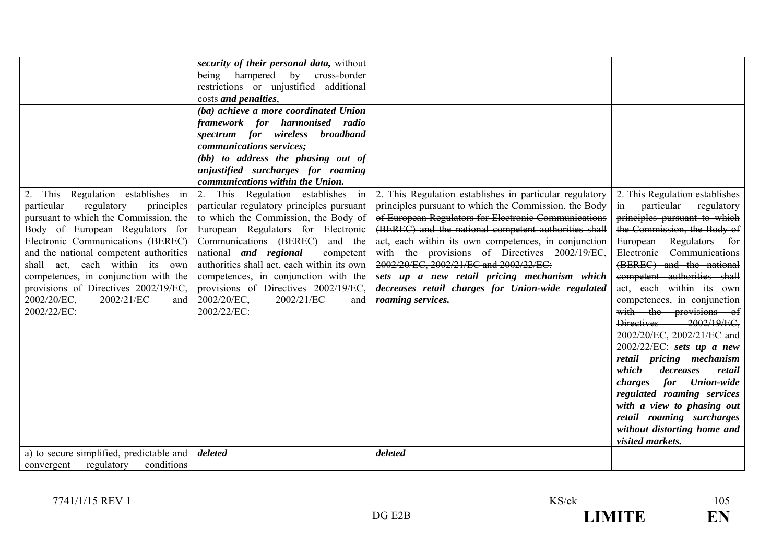|                                          | security of their personal data, without                                 |                                                         |                                                  |
|------------------------------------------|--------------------------------------------------------------------------|---------------------------------------------------------|--------------------------------------------------|
|                                          | being hampered by cross-border<br>restrictions or unjustified additional |                                                         |                                                  |
|                                          | costs and penalties,                                                     |                                                         |                                                  |
|                                          | (ba) achieve a more coordinated Union                                    |                                                         |                                                  |
|                                          | framework for harmonised radio                                           |                                                         |                                                  |
|                                          | spectrum for wireless broadband                                          |                                                         |                                                  |
|                                          | communications services;                                                 |                                                         |                                                  |
|                                          | (bb) to address the phasing out of                                       |                                                         |                                                  |
|                                          | unjustified surcharges for roaming<br>communications within the Union.   |                                                         |                                                  |
| This Regulation establishes in<br>2.     | 2. This Regulation establishes in                                        | 2. This Regulation establishes in particular regulatory | 2. This Regulation establishes                   |
| regulatory<br>particular<br>principles   | particular regulatory principles pursuant                                | principles pursuant to which the Commission, the Body   | in particular regulatory                         |
| pursuant to which the Commission, the    | to which the Commission, the Body of                                     | of European Regulators for Electronic Communications    | principles pursuant to which                     |
| Body of European Regulators for          | European Regulators for Electronic                                       | (BEREC) and the national competent authorities shall    | the Commission, the Body of                      |
| Electronic Communications (BEREC)        | Communications (BEREC)<br>and the                                        | act, each within its own competences, in conjunction    | European Regulators for                          |
| and the national competent authorities   | national <i>and regional</i><br>competent                                | with the provisions of Directives 2002/19/EC,           | Electronic Communications                        |
| shall act, each within its own           | authorities shall act, each within its own                               | 2002/20/EC, 2002/21/EC and 2002/22/EC:                  | (BEREC) and the national                         |
| competences, in conjunction with the     | competences, in conjunction with the                                     | sets up a new retail pricing mechanism which            | competent authorities shall                      |
| provisions of Directives 2002/19/EC,     | provisions of Directives 2002/19/EC,                                     | decreases retail charges for Union-wide regulated       | act, each within its own                         |
| 2002/21/EC<br>2002/20/EC,<br>and         | $2002/20/EC$ ,<br>2002/21/EC<br>and                                      | roaming services.                                       | competences, in conjunction                      |
| 2002/22/EC:                              | 2002/22/EC:                                                              |                                                         | with the provisions of<br>Directives 2002/19/EC, |
|                                          |                                                                          |                                                         | 2002/20/EC, 2002/21/EC and                       |
|                                          |                                                                          |                                                         | $2002/22/EC$ : sets up a new                     |
|                                          |                                                                          |                                                         | retail pricing mechanism                         |
|                                          |                                                                          |                                                         | which<br>decreases<br>retail                     |
|                                          |                                                                          |                                                         | for Union-wide<br>charges                        |
|                                          |                                                                          |                                                         | regulated roaming services                       |
|                                          |                                                                          |                                                         | with a view to phasing out                       |
|                                          |                                                                          |                                                         | retail roaming surcharges                        |
|                                          |                                                                          |                                                         | without distorting home and                      |
|                                          |                                                                          |                                                         | visited markets.                                 |
| a) to secure simplified, predictable and | deleted                                                                  | deleted                                                 |                                                  |
| regulatory<br>conditions<br>convergent   |                                                                          |                                                         |                                                  |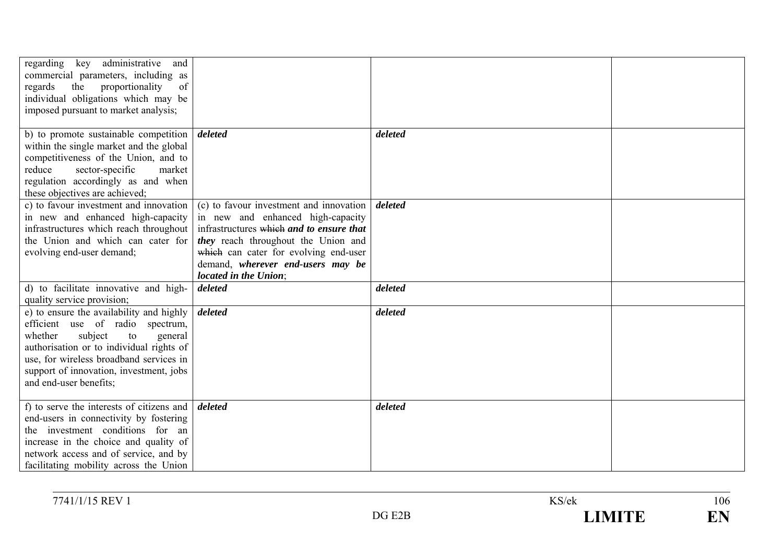| key administrative and<br>regarding<br>commercial parameters, including as<br>regards<br>the<br>proportionality<br>of<br>individual obligations which may be                                                                                                                    |                                                                                                                                                                                                                                                                        |         |  |
|---------------------------------------------------------------------------------------------------------------------------------------------------------------------------------------------------------------------------------------------------------------------------------|------------------------------------------------------------------------------------------------------------------------------------------------------------------------------------------------------------------------------------------------------------------------|---------|--|
| imposed pursuant to market analysis;                                                                                                                                                                                                                                            |                                                                                                                                                                                                                                                                        |         |  |
| b) to promote sustainable competition<br>within the single market and the global<br>competitiveness of the Union, and to<br>sector-specific<br>reduce<br>market<br>regulation accordingly as and when<br>these objectives are achieved;                                         | deleted                                                                                                                                                                                                                                                                | deleted |  |
| c) to favour investment and innovation<br>in new and enhanced high-capacity<br>infrastructures which reach throughout<br>the Union and which can cater for<br>evolving end-user demand;                                                                                         | (c) to favour investment and innovation<br>in new and enhanced high-capacity<br>infrastructures which and to ensure that<br>they reach throughout the Union and<br>which can cater for evolving end-user<br>demand, wherever end-users may be<br>located in the Union; | deleted |  |
| d) to facilitate innovative and high-<br>quality service provision;                                                                                                                                                                                                             | deleted                                                                                                                                                                                                                                                                | deleted |  |
| e) to ensure the availability and highly<br>efficient use of radio spectrum,<br>whether<br>subject<br>to<br>general<br>authorisation or to individual rights of<br>use, for wireless broadband services in<br>support of innovation, investment, jobs<br>and end-user benefits; | deleted                                                                                                                                                                                                                                                                | deleted |  |
| f) to serve the interests of citizens and<br>end-users in connectivity by fostering<br>the investment conditions for an<br>increase in the choice and quality of<br>network access and of service, and by<br>facilitating mobility across the Union                             | deleted                                                                                                                                                                                                                                                                | deleted |  |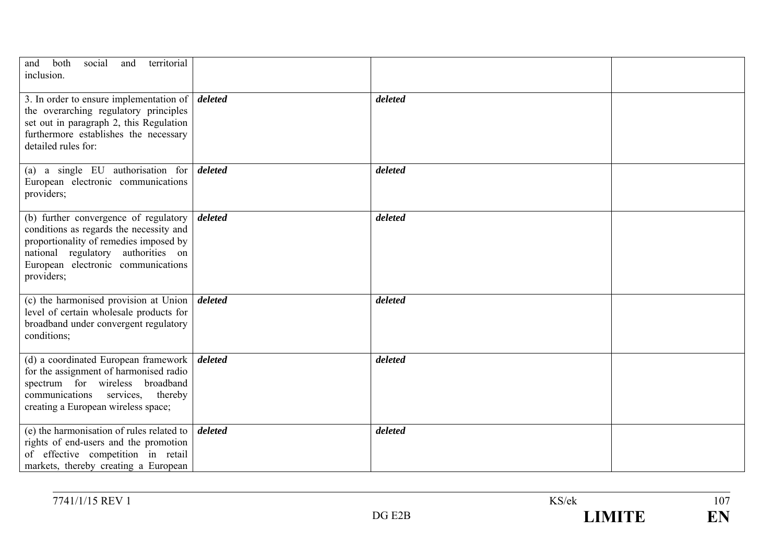| both<br>territorial<br>social<br>and<br>and<br>inclusion.                                                                                                                                                            |         |         |  |
|----------------------------------------------------------------------------------------------------------------------------------------------------------------------------------------------------------------------|---------|---------|--|
| 3. In order to ensure implementation of $\vert$ <i>deleted</i><br>the overarching regulatory principles<br>set out in paragraph 2, this Regulation<br>furthermore establishes the necessary<br>detailed rules for:   |         | deleted |  |
| (a) a single EU authorisation for $\delta$ deleted<br>European electronic communications<br>providers;                                                                                                               |         | deleted |  |
| (b) further convergence of regulatory<br>conditions as regards the necessity and<br>proportionality of remedies imposed by<br>national regulatory authorities on<br>European electronic communications<br>providers; | deleted | deleted |  |
| (c) the harmonised provision at Union<br>level of certain wholesale products for<br>broadband under convergent regulatory<br>conditions;                                                                             | deleted | deleted |  |
| (d) a coordinated European framework  <br>for the assignment of harmonised radio<br>spectrum for wireless broadband<br>communications services, thereby<br>creating a European wireless space;                       | deleted | deleted |  |
| (e) the harmonisation of rules related to<br>rights of end-users and the promotion<br>of effective competition in retail<br>markets, thereby creating a European                                                     | deleted | deleted |  |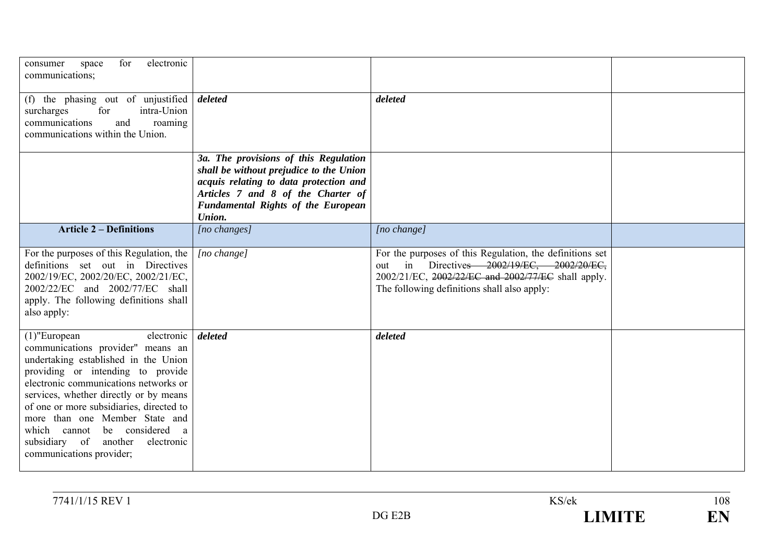| electronic<br>for<br>consumer<br>space<br>communications;                                                                                                                                                                                                                                                                                                                                                              |                                                                                                                                                                                                                         |                                                                                                                                                                                                            |  |
|------------------------------------------------------------------------------------------------------------------------------------------------------------------------------------------------------------------------------------------------------------------------------------------------------------------------------------------------------------------------------------------------------------------------|-------------------------------------------------------------------------------------------------------------------------------------------------------------------------------------------------------------------------|------------------------------------------------------------------------------------------------------------------------------------------------------------------------------------------------------------|--|
| (f) the phasing out of unjustified<br>for<br>intra-Union<br>surcharges<br>communications<br>roaming<br>and<br>communications within the Union.                                                                                                                                                                                                                                                                         | deleted                                                                                                                                                                                                                 | deleted                                                                                                                                                                                                    |  |
|                                                                                                                                                                                                                                                                                                                                                                                                                        | 3a. The provisions of this Regulation<br>shall be without prejudice to the Union<br>acquis relating to data protection and<br>Articles 7 and 8 of the Charter of<br><b>Fundamental Rights of the European</b><br>Union. |                                                                                                                                                                                                            |  |
| <b>Article 2 – Definitions</b>                                                                                                                                                                                                                                                                                                                                                                                         | [no changes]                                                                                                                                                                                                            | [no change]                                                                                                                                                                                                |  |
| For the purposes of this Regulation, the<br>definitions set out in Directives<br>2002/19/EC, 2002/20/EC, 2002/21/EC,<br>2002/22/EC and 2002/77/EC shall<br>apply. The following definitions shall<br>also apply:                                                                                                                                                                                                       | [no change]                                                                                                                                                                                                             | For the purposes of this Regulation, the definitions set<br>out in Directives 2002/19/EC, 2002/20/EC,<br>2002/21/EC, 2002/22/EC and 2002/77/EC shall apply.<br>The following definitions shall also apply: |  |
| $(1)$ "European<br>electronic<br>communications provider" means an<br>undertaking established in the Union<br>providing or intending to provide<br>electronic communications networks or<br>services, whether directly or by means<br>of one or more subsidiaries, directed to<br>more than one Member State and<br>be considered a<br>which cannot<br>subsidiary of another<br>electronic<br>communications provider; | deleted                                                                                                                                                                                                                 | deleted                                                                                                                                                                                                    |  |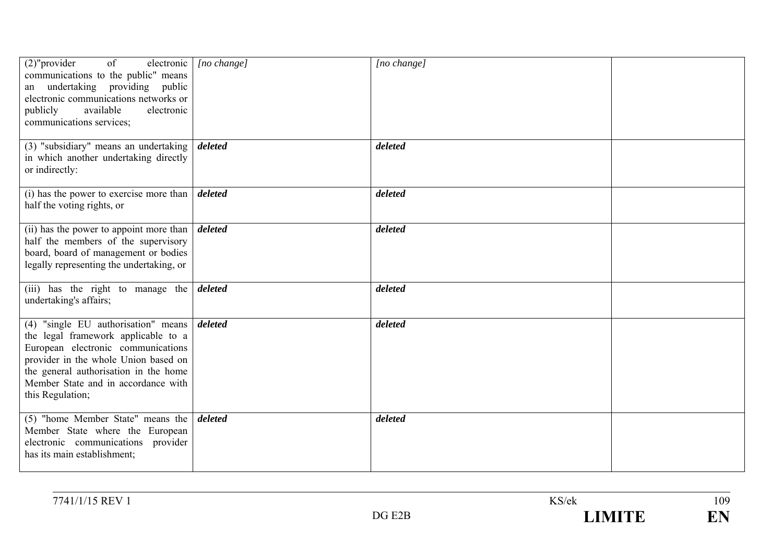| $(2)$ "provider<br>of<br>electronic  <br>communications to the public" means<br>an undertaking providing public<br>electronic communications networks or<br>available<br>electronic<br>publicly<br>communications services;                                  | $[no \space change]$ | [no change] |  |
|--------------------------------------------------------------------------------------------------------------------------------------------------------------------------------------------------------------------------------------------------------------|----------------------|-------------|--|
| (3) "subsidiary" means an undertaking<br>in which another undertaking directly<br>or indirectly:                                                                                                                                                             | deleted              | deleted     |  |
| (i) has the power to exercise more than<br>half the voting rights, or                                                                                                                                                                                        | deleted              | deleted     |  |
| (ii) has the power to appoint more than<br>half the members of the supervisory<br>board, board of management or bodies<br>legally representing the undertaking, or                                                                                           | deleted              | deleted     |  |
| (iii) has the right to manage the<br>undertaking's affairs;                                                                                                                                                                                                  | deleted              | deleted     |  |
| (4) "single EU authorisation" means<br>the legal framework applicable to a<br>European electronic communications<br>provider in the whole Union based on<br>the general authorisation in the home<br>Member State and in accordance with<br>this Regulation; | deleted              | deleted     |  |
| $(5)$ "home Member State" means the<br>Member State where the European<br>electronic communications provider<br>has its main establishment;                                                                                                                  | deleted              | deleted     |  |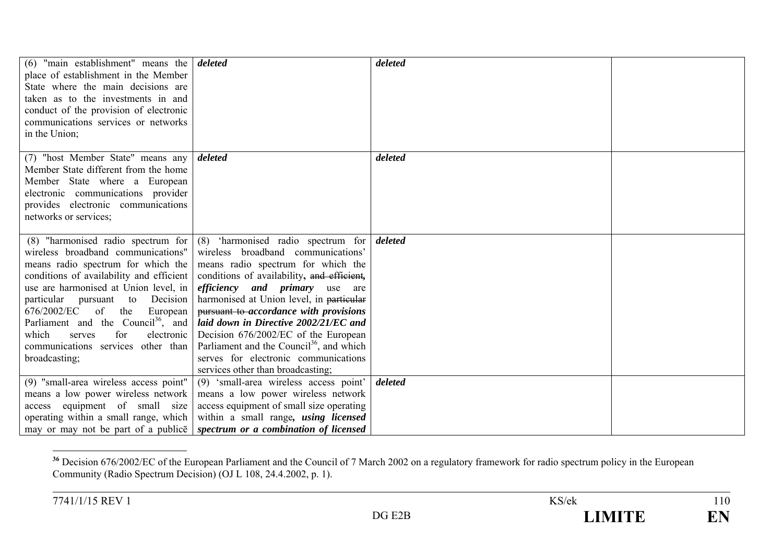| $(6)$ "main establishment" means the<br>place of establishment in the Member<br>State where the main decisions are<br>taken as to the investments in and<br>conduct of the provision of electronic<br>communications services or networks<br>in the Union;                                                                                                                                      | deleted                                                                                                                                                                                                                                                                                                                                                                                                                                                                                                                                                  | deleted |  |
|-------------------------------------------------------------------------------------------------------------------------------------------------------------------------------------------------------------------------------------------------------------------------------------------------------------------------------------------------------------------------------------------------|----------------------------------------------------------------------------------------------------------------------------------------------------------------------------------------------------------------------------------------------------------------------------------------------------------------------------------------------------------------------------------------------------------------------------------------------------------------------------------------------------------------------------------------------------------|---------|--|
| (7) "host Member State" means any<br>Member State different from the home<br>Member State where a European<br>electronic communications provider<br>provides electronic communications<br>networks or services;                                                                                                                                                                                 | deleted                                                                                                                                                                                                                                                                                                                                                                                                                                                                                                                                                  | deleted |  |
| wireless broadband communications"<br>means radio spectrum for which the<br>conditions of availability and efficient<br>use are harmonised at Union level, in<br>particular pursuant<br>Decision<br>to<br>676/2002/EC<br>of<br>European<br>the<br>Parliament and the Council <sup>36</sup> , and<br>electronic<br>which<br>for<br>serves<br>communications services other than<br>broadcasting; | $(8)$ "harmonised radio spectrum for $(8)$ 'harmonised radio spectrum for<br>wireless broadband communications'<br>means radio spectrum for which the<br>conditions of availability, and efficient,<br><i>efficiency and primary</i> use are<br>harmonised at Union level, in particular<br>pursuant to-accordance with provisions<br>laid down in Directive 2002/21/EC and<br>Decision 676/2002/EC of the European<br>Parliament and the Council <sup>36</sup> , and which<br>serves for electronic communications<br>services other than broadcasting; | deleted |  |
| (9) "small-area wireless access point"<br>means a low power wireless network<br>access equipment of small size<br>operating within a small range, which                                                                                                                                                                                                                                         | (9) 'small-area wireless access point'<br>means a low power wireless network<br>access equipment of small size operating<br>within a small range, <i>using licensed</i><br>may or may not be part of a publice spectrum or a combination of licensed                                                                                                                                                                                                                                                                                                     | deleted |  |

<sup>&</sup>lt;sup>36</sup> Decision 676/2002/EC of the European Parliament and the Council of 7 March 2002 on a regulatory framework for radio spectrum policy in the European Community (Radio Spectrum Decision) (OJ L 108, 24.4.2002, p. 1).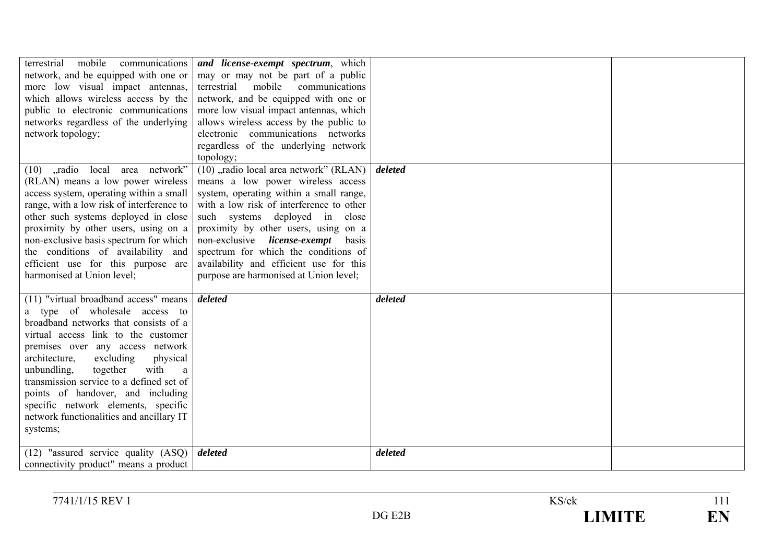| mobile<br>communications<br>terrestrial<br>network, and be equipped with one or<br>more low visual impact antennas,<br>which allows wireless access by the<br>public to electronic communications<br>networks regardless of the underlying<br>network topology;                                                                                                                                                                                              | and license-exempt spectrum, which<br>may or may not be part of a public<br>terrestrial mobile communications<br>network, and be equipped with one or<br>more low visual impact antennas, which<br>allows wireless access by the public to<br>electronic communications networks<br>regardless of the underlying network<br>topology;                                                                              |         |  |
|--------------------------------------------------------------------------------------------------------------------------------------------------------------------------------------------------------------------------------------------------------------------------------------------------------------------------------------------------------------------------------------------------------------------------------------------------------------|--------------------------------------------------------------------------------------------------------------------------------------------------------------------------------------------------------------------------------------------------------------------------------------------------------------------------------------------------------------------------------------------------------------------|---------|--|
| (10) "radio local area network"<br>(RLAN) means a low power wireless<br>access system, operating within a small<br>range, with a low risk of interference to<br>other such systems deployed in close<br>proximity by other users, using on a<br>non-exclusive basis spectrum for which<br>the conditions of availability and<br>efficient use for this purpose are<br>harmonised at Union level;                                                             | (10), radio local area network" (RLAN)<br>means a low power wireless access<br>system, operating within a small range,<br>with a low risk of interference to other<br>such systems deployed in close<br>proximity by other users, using on a<br>non-exclusive license-exempt<br>basis<br>spectrum for which the conditions of<br>availability and efficient use for this<br>purpose are harmonised at Union level; | deleted |  |
| (11) "virtual broadband access" means<br>a type of wholesale access to<br>broadband networks that consists of a<br>virtual access link to the customer<br>premises over any access network<br>excluding<br>architecture,<br>physical<br>with<br>unbundling,<br>together<br>a<br>transmission service to a defined set of<br>points of handover, and including<br>specific network elements, specific<br>network functionalities and ancillary IT<br>systems; | deleted                                                                                                                                                                                                                                                                                                                                                                                                            | deleted |  |
| (12) "assured service quality $(ASQ)$ <i>deleted</i><br>connectivity product" means a product                                                                                                                                                                                                                                                                                                                                                                |                                                                                                                                                                                                                                                                                                                                                                                                                    | deleted |  |

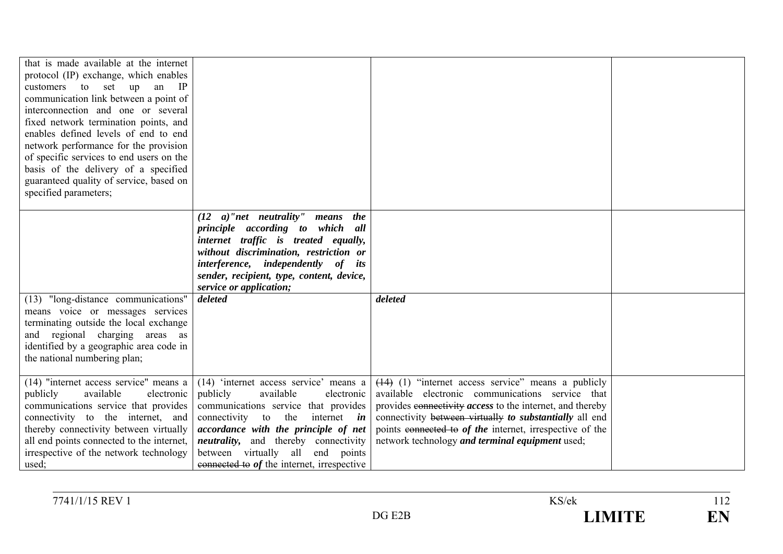| that is made available at the internet<br>protocol (IP) exchange, which enables<br>customers to set up an IP<br>communication link between a point of<br>interconnection and one or several<br>fixed network termination points, and<br>enables defined levels of end to end<br>network performance for the provision<br>of specific services to end users on the<br>basis of the delivery of a specified<br>guaranteed quality of service, based on<br>specified parameters; |                                                                                                                                                                                                                                                                                                                                                    |                                                                                                                                                                                                                                                                                                                                                         |  |
|-------------------------------------------------------------------------------------------------------------------------------------------------------------------------------------------------------------------------------------------------------------------------------------------------------------------------------------------------------------------------------------------------------------------------------------------------------------------------------|----------------------------------------------------------------------------------------------------------------------------------------------------------------------------------------------------------------------------------------------------------------------------------------------------------------------------------------------------|---------------------------------------------------------------------------------------------------------------------------------------------------------------------------------------------------------------------------------------------------------------------------------------------------------------------------------------------------------|--|
|                                                                                                                                                                                                                                                                                                                                                                                                                                                                               | $(12 \quad a)'$ net neutrality"<br>means the<br>principle according to which all<br>internet traffic is treated equally,<br>without discrimination, restriction or<br>interference, independently of its<br>sender, recipient, type, content, device,<br>service or application;                                                                   |                                                                                                                                                                                                                                                                                                                                                         |  |
| (13) "long-distance communications"<br>means voice or messages services<br>terminating outside the local exchange<br>and regional charging areas as<br>identified by a geographic area code in<br>the national numbering plan;                                                                                                                                                                                                                                                | deleted                                                                                                                                                                                                                                                                                                                                            | deleted                                                                                                                                                                                                                                                                                                                                                 |  |
| (14) "internet access service" means a<br>publicly<br>available<br>electronic<br>communications service that provides<br>connectivity to the internet, and<br>thereby connectivity between virtually<br>all end points connected to the internet,<br>irrespective of the network technology<br>used;                                                                                                                                                                          | (14) 'internet access service' means a<br>available<br>publicly<br>electronic<br>communications service that provides<br>the<br>connectivity to<br>internet <i>in</i><br>accordance with the principle of net<br><i>neutrality</i> , and thereby connectivity<br>between virtually all<br>end points<br>connected to of the internet, irrespective | $(14)$ (1) "internet access service" means a publicly<br>available electronic communications service that<br>provides connectivity <i>access</i> to the internet, and thereby<br>connectivity between virtually to substantially all end<br>points connected to of the internet, irrespective of the<br>network technology and terminal equipment used; |  |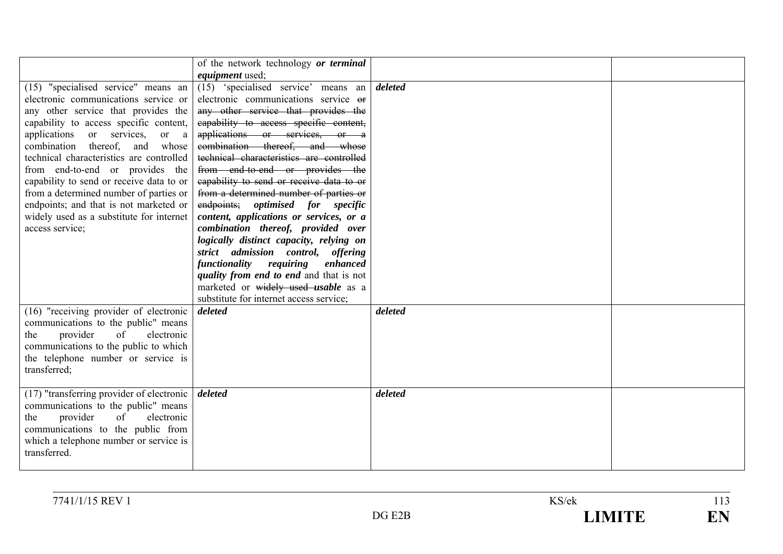|                                                                                                                                                                                                                                                                                                                                                                                                                                                                                                                      | of the network technology or terminal<br><i>equipment</i> used;                                                                                                                                                                                                                                                                                                                                                                                                                                                                                                                                                                                                                                                                                                                     |         |  |
|----------------------------------------------------------------------------------------------------------------------------------------------------------------------------------------------------------------------------------------------------------------------------------------------------------------------------------------------------------------------------------------------------------------------------------------------------------------------------------------------------------------------|-------------------------------------------------------------------------------------------------------------------------------------------------------------------------------------------------------------------------------------------------------------------------------------------------------------------------------------------------------------------------------------------------------------------------------------------------------------------------------------------------------------------------------------------------------------------------------------------------------------------------------------------------------------------------------------------------------------------------------------------------------------------------------------|---------|--|
| (15) "specialised service" means an<br>electronic communications service or<br>any other service that provides the<br>capability to access specific content,<br>applications or services,<br>or a<br>combination thereof, and<br>whose<br>technical characteristics are controlled<br>from end-to-end or provides the<br>capability to send or receive data to or<br>from a determined number of parties or<br>endpoints; and that is not marketed or<br>widely used as a substitute for internet<br>access service; | (15) 'specialised service' means an<br>electronic communications service or<br>any other service that provides the<br>eapability to access specific content,<br>applications or services, or a<br>combination thereof, and whose<br>technical characteristics are controlled<br>from end-to-end or provides the<br>capability to send or receive data to or<br>from a determined number of parties or<br>endpoints; optimised for specific<br>content, applications or services, or a<br>combination thereof, provided over<br>logically distinct capacity, relying on<br>strict admission control, offering<br>functionality<br>requiring<br>enhanced<br>quality from end to end and that is not<br>marketed or widely used usable as a<br>substitute for internet access service; | deleted |  |
| (16) "receiving provider of electronic<br>communications to the public" means<br>provider<br>of<br>electronic<br>the<br>communications to the public to which<br>the telephone number or service is<br>transferred;                                                                                                                                                                                                                                                                                                  | deleted                                                                                                                                                                                                                                                                                                                                                                                                                                                                                                                                                                                                                                                                                                                                                                             | deleted |  |
| (17) "transferring provider of electronic<br>communications to the public" means<br>of<br>provider<br>electronic<br>the<br>communications to the public from<br>which a telephone number or service is<br>transferred.                                                                                                                                                                                                                                                                                               | deleted                                                                                                                                                                                                                                                                                                                                                                                                                                                                                                                                                                                                                                                                                                                                                                             | deleted |  |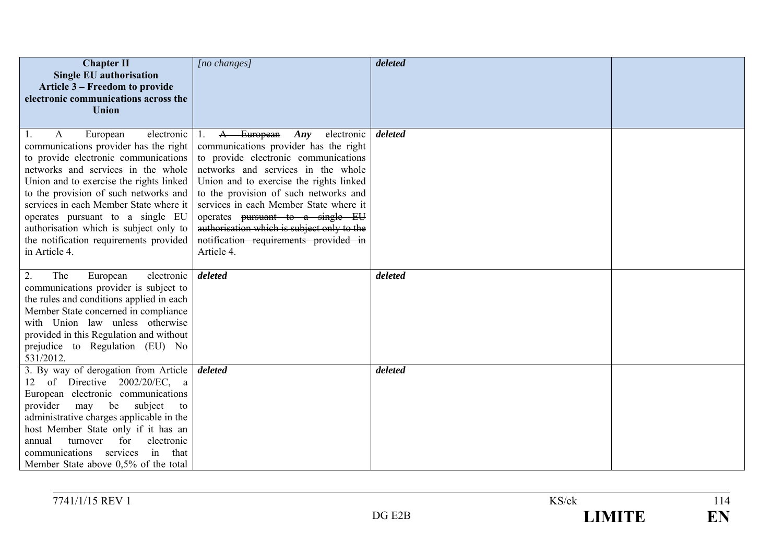| <b>Chapter II</b><br><b>Single EU authorisation</b><br>Article 3 – Freedom to provide<br>electronic communications across the<br>Union                                                                                                                                                                                                                                                                                          | [no changes]                                                                                                                                                                                                                                                                                                                                                                                                                        | deleted |  |
|---------------------------------------------------------------------------------------------------------------------------------------------------------------------------------------------------------------------------------------------------------------------------------------------------------------------------------------------------------------------------------------------------------------------------------|-------------------------------------------------------------------------------------------------------------------------------------------------------------------------------------------------------------------------------------------------------------------------------------------------------------------------------------------------------------------------------------------------------------------------------------|---------|--|
| electronic<br>European<br>A<br>1.<br>communications provider has the right<br>to provide electronic communications<br>networks and services in the whole<br>Union and to exercise the rights linked<br>to the provision of such networks and<br>services in each Member State where it<br>operates pursuant to a single EU<br>authorisation which is subject only to<br>the notification requirements provided<br>in Article 4. | A European<br>electronic<br>Any<br>1.<br>communications provider has the right<br>to provide electronic communications<br>networks and services in the whole<br>Union and to exercise the rights linked<br>to the provision of such networks and<br>services in each Member State where it<br>operates pursuant to a single EU<br>authorisation which is subject only to the<br>notification requirements provided in<br>Artiele 4. | deleted |  |
| The<br>electronic<br>2.<br>European<br>communications provider is subject to<br>the rules and conditions applied in each<br>Member State concerned in compliance<br>with Union law unless otherwise<br>provided in this Regulation and without<br>prejudice to Regulation (EU) No<br>531/2012.                                                                                                                                  | deleted                                                                                                                                                                                                                                                                                                                                                                                                                             | deleted |  |
| 3. By way of derogation from Article<br>12 of Directive 2002/20/EC, a<br>European electronic communications<br>provider<br>be<br>subject<br>may<br>to<br>administrative charges applicable in the<br>host Member State only if it has an<br>for<br>electronic<br>annual<br>turnover<br>communications<br>services<br>in<br>that<br>Member State above 0.5% of the total                                                         | deleted                                                                                                                                                                                                                                                                                                                                                                                                                             | deleted |  |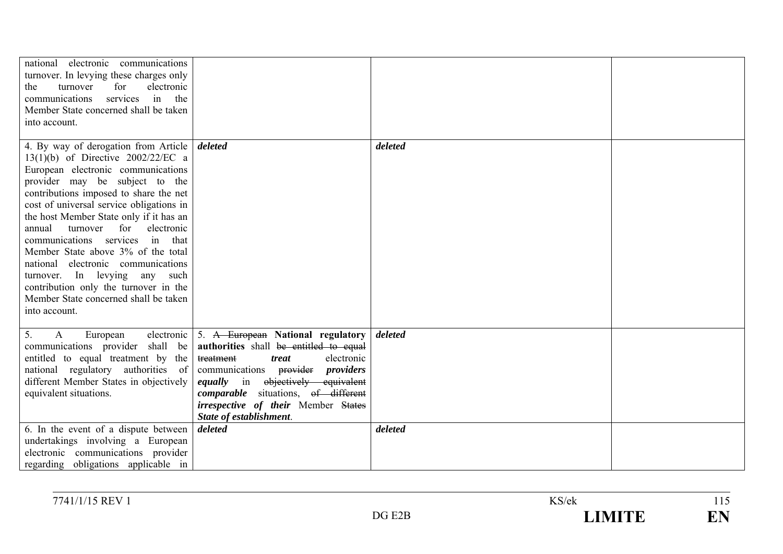| national electronic communications<br>turnover. In levying these charges only<br>electronic<br>turnover<br>for<br>the<br>communications<br>services in the<br>Member State concerned shall be taken<br>into account.                                                                                                                                                                                                                                                                                                                                                                |                                                                                                                                                                                                                                                                                                                                              |                    |  |
|-------------------------------------------------------------------------------------------------------------------------------------------------------------------------------------------------------------------------------------------------------------------------------------------------------------------------------------------------------------------------------------------------------------------------------------------------------------------------------------------------------------------------------------------------------------------------------------|----------------------------------------------------------------------------------------------------------------------------------------------------------------------------------------------------------------------------------------------------------------------------------------------------------------------------------------------|--------------------|--|
| 4. By way of derogation from Article<br>13(1)(b) of Directive $2002/22/EC$ a<br>European electronic communications<br>provider may be subject to the<br>contributions imposed to share the net<br>cost of universal service obligations in<br>the host Member State only if it has an<br>turnover for<br>annual<br>electronic<br>communications services in that<br>Member State above 3% of the total<br>electronic communications<br>national<br>turnover. In levying any such<br>contribution only the turnover in the<br>Member State concerned shall be taken<br>into account. | deleted                                                                                                                                                                                                                                                                                                                                      | deleted            |  |
| $\mathbf{A}$<br>electronic<br>5.<br>European<br>communications provider shall be<br>entitled to equal treatment by the<br>national regulatory authorities of<br>different Member States in objectively<br>equivalent situations.<br>6. In the event of a dispute between                                                                                                                                                                                                                                                                                                            | 5. A European National regulatory<br>authorities shall be entitled to equal<br>electronic<br>treatment<br>treat<br>communications provider <i>providers</i><br>objectively equivalent<br><i>equally</i> in<br><i>comparable</i> situations, of different<br><i>irrespective of their</i> Member States<br>State of establishment.<br>deleted | deleted<br>deleted |  |
| undertakings involving a European<br>electronic communications provider<br>regarding obligations applicable in                                                                                                                                                                                                                                                                                                                                                                                                                                                                      |                                                                                                                                                                                                                                                                                                                                              |                    |  |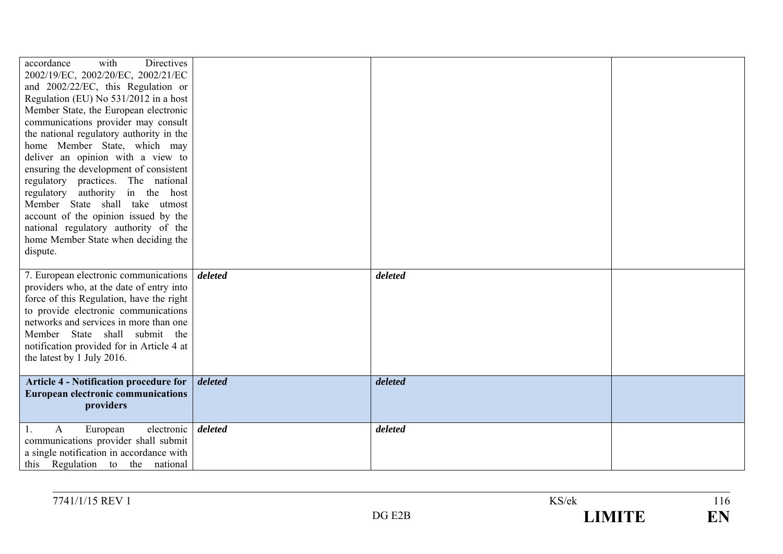| with<br>accordance<br>Directives<br>2002/19/EC, 2002/20/EC, 2002/21/EC<br>and 2002/22/EC, this Regulation or<br>Regulation (EU) No 531/2012 in a host<br>Member State, the European electronic<br>communications provider may consult<br>the national regulatory authority in the<br>home Member State, which may<br>deliver an opinion with a view to<br>ensuring the development of consistent<br>regulatory practices. The national<br>regulatory authority in the host<br>Member State shall take utmost<br>account of the opinion issued by the<br>national regulatory authority of the<br>home Member State when deciding the<br>dispute. |                 |         |  |
|-------------------------------------------------------------------------------------------------------------------------------------------------------------------------------------------------------------------------------------------------------------------------------------------------------------------------------------------------------------------------------------------------------------------------------------------------------------------------------------------------------------------------------------------------------------------------------------------------------------------------------------------------|-----------------|---------|--|
| 7. European electronic communications<br>providers who, at the date of entry into<br>force of this Regulation, have the right<br>to provide electronic communications<br>networks and services in more than one<br>Member State shall submit the<br>notification provided for in Article 4 at<br>the latest by 1 July 2016.                                                                                                                                                                                                                                                                                                                     | deleted         | deleted |  |
| <b>Article 4 - Notification procedure for</b><br><b>European electronic communications</b><br>providers                                                                                                                                                                                                                                                                                                                                                                                                                                                                                                                                         | $\vert$ deleted | deleted |  |
| European<br>electronic  <br>A<br>communications provider shall submit<br>a single notification in accordance with<br>this Regulation to the national                                                                                                                                                                                                                                                                                                                                                                                                                                                                                            | deleted         | deleted |  |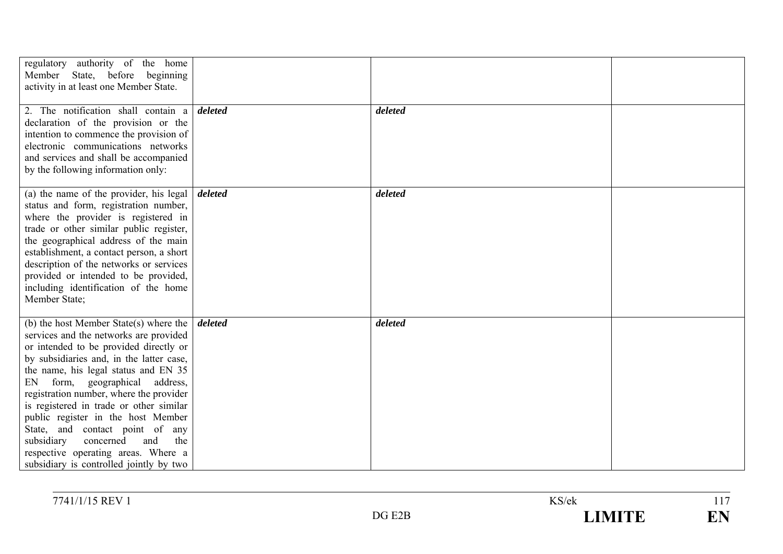| regulatory authority of the home<br>Member State, before beginning<br>activity in at least one Member State.                                                                                                                                                                                                                                                                                                                                                                                                                                  |         |         |  |
|-----------------------------------------------------------------------------------------------------------------------------------------------------------------------------------------------------------------------------------------------------------------------------------------------------------------------------------------------------------------------------------------------------------------------------------------------------------------------------------------------------------------------------------------------|---------|---------|--|
| 2. The notification shall contain a<br>declaration of the provision or the<br>intention to commence the provision of<br>electronic communications networks<br>and services and shall be accompanied<br>by the following information only:                                                                                                                                                                                                                                                                                                     | deleted | deleted |  |
| (a) the name of the provider, his legal<br>status and form, registration number,<br>where the provider is registered in<br>trade or other similar public register,<br>the geographical address of the main<br>establishment, a contact person, a short<br>description of the networks or services<br>provided or intended to be provided,<br>including identification of the home<br>Member State;                                                                                                                                            | deleted | deleted |  |
| (b) the host Member State(s) where the<br>services and the networks are provided<br>or intended to be provided directly or<br>by subsidiaries and, in the latter case,<br>the name, his legal status and EN 35<br>form, geographical address,<br>EN<br>registration number, where the provider<br>is registered in trade or other similar<br>public register in the host Member<br>State, and contact point of any<br>concerned<br>and<br>subsidiary<br>the<br>respective operating areas. Where a<br>subsidiary is controlled jointly by two | deleted | deleted |  |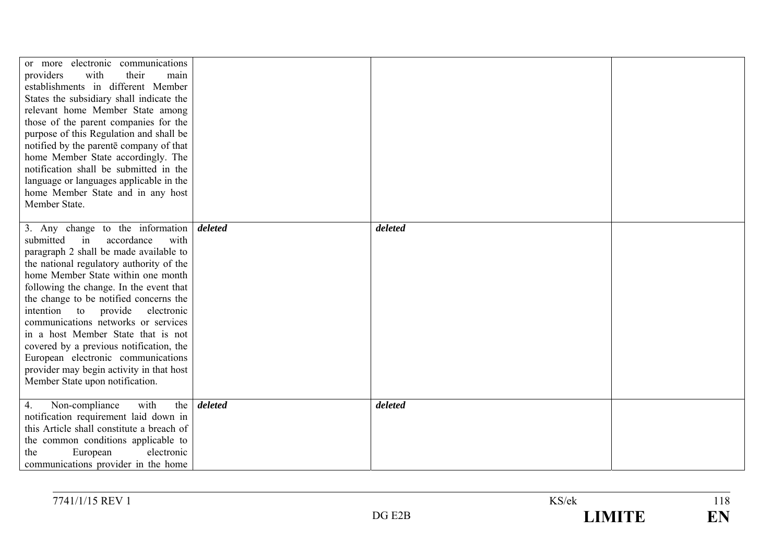| or more electronic communications<br>providers<br>with<br>their<br>main<br>establishments in different Member<br>States the subsidiary shall indicate the<br>relevant home Member State among<br>those of the parent companies for the<br>purpose of this Regulation and shall be<br>notified by the parente company of that<br>home Member State accordingly. The<br>notification shall be submitted in the<br>language or languages applicable in the<br>home Member State and in any host<br>Member State.                                                                    |         |         |  |
|----------------------------------------------------------------------------------------------------------------------------------------------------------------------------------------------------------------------------------------------------------------------------------------------------------------------------------------------------------------------------------------------------------------------------------------------------------------------------------------------------------------------------------------------------------------------------------|---------|---------|--|
| 3. Any change to the information<br>accordance<br>submitted<br>in<br>with<br>paragraph 2 shall be made available to<br>the national regulatory authority of the<br>home Member State within one month<br>following the change. In the event that<br>the change to be notified concerns the<br>provide<br>intention to<br>electronic<br>communications networks or services<br>in a host Member State that is not<br>covered by a previous notification, the<br>European electronic communications<br>provider may begin activity in that host<br>Member State upon notification. | deleted | deleted |  |
| the<br>4.<br>Non-compliance<br>with<br>notification requirement laid down in<br>this Article shall constitute a breach of<br>the common conditions applicable to<br>European<br>electronic<br>the<br>communications provider in the home                                                                                                                                                                                                                                                                                                                                         | deleted | deleted |  |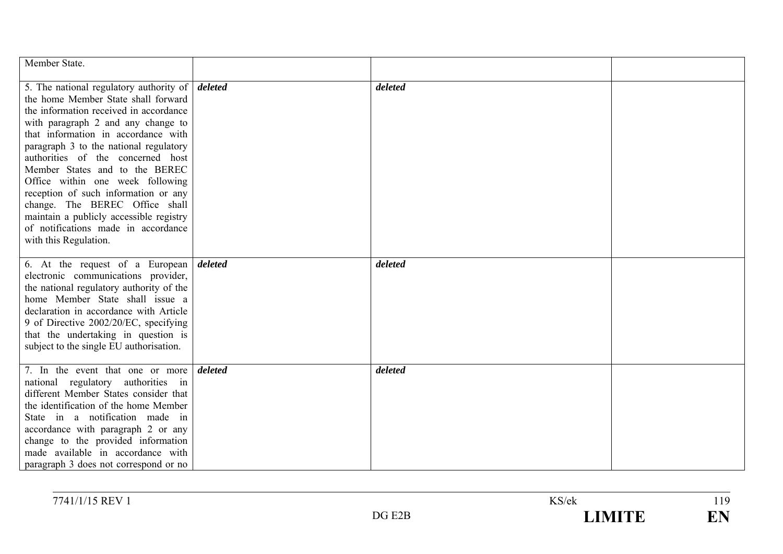| Member State.                                                                                                                                                                                                                                                                                                                                                                                                                                                                                                                                                          |         |         |  |
|------------------------------------------------------------------------------------------------------------------------------------------------------------------------------------------------------------------------------------------------------------------------------------------------------------------------------------------------------------------------------------------------------------------------------------------------------------------------------------------------------------------------------------------------------------------------|---------|---------|--|
| 5. The national regulatory authority of $\vert$ <i>deleted</i><br>the home Member State shall forward<br>the information received in accordance<br>with paragraph 2 and any change to<br>that information in accordance with<br>paragraph 3 to the national regulatory<br>authorities of the concerned host<br>Member States and to the BEREC<br>Office within one week following<br>reception of such information or any<br>change. The BEREC Office shall<br>maintain a publicly accessible registry<br>of notifications made in accordance<br>with this Regulation. |         | deleted |  |
| 6. At the request of a European <i>deleted</i><br>electronic communications provider,<br>the national regulatory authority of the<br>home Member State shall issue a<br>declaration in accordance with Article<br>9 of Directive 2002/20/EC, specifying<br>that the undertaking in question is<br>subject to the single EU authorisation.                                                                                                                                                                                                                              |         | deleted |  |
| 7. In the event that one or more<br>national regulatory authorities in<br>different Member States consider that<br>the identification of the home Member<br>State in a notification made in<br>accordance with paragraph 2 or any<br>change to the provided information<br>made available in accordance with<br>paragraph 3 does not correspond or no                                                                                                                                                                                                                  | deleted | deleted |  |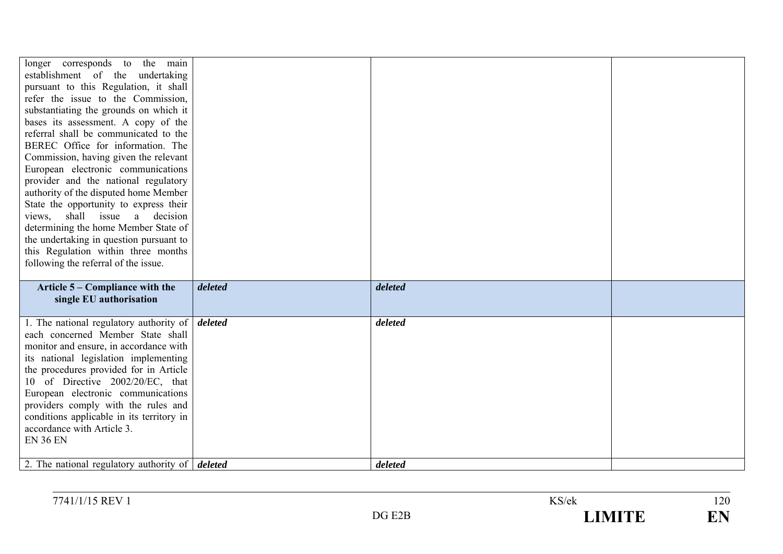| longer corresponds to the main<br>establishment of the undertaking<br>pursuant to this Regulation, it shall<br>refer the issue to the Commission,<br>substantiating the grounds on which it<br>bases its assessment. A copy of the<br>referral shall be communicated to the<br>BEREC Office for information. The<br>Commission, having given the relevant<br>European electronic communications<br>provider and the national regulatory<br>authority of the disputed home Member<br>State the opportunity to express their<br>views, shall issue a decision<br>determining the home Member State of<br>the undertaking in question pursuant to<br>this Regulation within three months<br>following the referral of the issue. |         |         |  |
|-------------------------------------------------------------------------------------------------------------------------------------------------------------------------------------------------------------------------------------------------------------------------------------------------------------------------------------------------------------------------------------------------------------------------------------------------------------------------------------------------------------------------------------------------------------------------------------------------------------------------------------------------------------------------------------------------------------------------------|---------|---------|--|
| Article 5 – Compliance with the<br>single EU authorisation                                                                                                                                                                                                                                                                                                                                                                                                                                                                                                                                                                                                                                                                    | deleted | deleted |  |
| 1. The national regulatory authority of $\vert$ <i>deleted</i><br>each concerned Member State shall<br>monitor and ensure, in accordance with<br>its national legislation implementing<br>the procedures provided for in Article<br>10 of Directive 2002/20/EC, that<br>European electronic communications<br>providers comply with the rules and<br>conditions applicable in its territory in<br>accordance with Article 3.<br><b>EN 36 EN</b>                                                                                                                                                                                                                                                                               |         | deleted |  |
| 2. The national regulatory authority of $\vert$ <i>deleted</i>                                                                                                                                                                                                                                                                                                                                                                                                                                                                                                                                                                                                                                                                |         | deleted |  |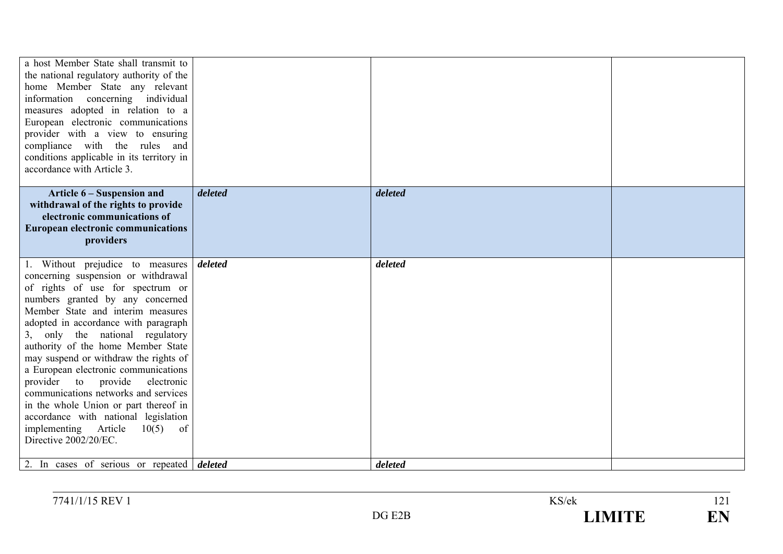| a host Member State shall transmit to<br>the national regulatory authority of the<br>home Member State any relevant<br>information concerning individual<br>measures adopted in relation to a<br>European electronic communications<br>provider with a view to ensuring<br>compliance with the rules and<br>conditions applicable in its territory in<br>accordance with Article 3.                                                                                                                                                                                                                                                                                      |         |                    |  |
|--------------------------------------------------------------------------------------------------------------------------------------------------------------------------------------------------------------------------------------------------------------------------------------------------------------------------------------------------------------------------------------------------------------------------------------------------------------------------------------------------------------------------------------------------------------------------------------------------------------------------------------------------------------------------|---------|--------------------|--|
| Article 6 – Suspension and<br>withdrawal of the rights to provide<br>electronic communications of<br><b>European electronic communications</b><br>providers                                                                                                                                                                                                                                                                                                                                                                                                                                                                                                              | deleted | deleted            |  |
| 1. Without prejudice to measures<br>concerning suspension or withdrawal<br>of rights of use for spectrum or<br>numbers granted by any concerned<br>Member State and interim measures<br>adopted in accordance with paragraph<br>3, only the national regulatory<br>authority of the home Member State<br>may suspend or withdraw the rights of<br>a European electronic communications<br>provider to provide<br>electronic<br>communications networks and services<br>in the whole Union or part thereof in<br>accordance with national legislation<br>implementing Article<br>$10(5)$ of<br>Directive 2002/20/EC.<br>2. In cases of serious or repeated <i>deleted</i> | deleted | deleted<br>deleted |  |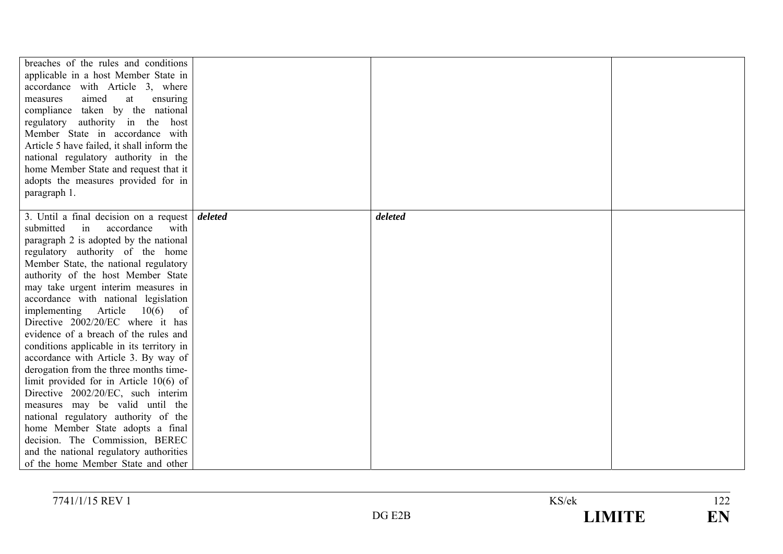| breaches of the rules and conditions<br>applicable in a host Member State in<br>accordance with Article 3, where<br>aimed<br>at<br>measures<br>ensuring<br>compliance taken by the national<br>regulatory authority in the host<br>Member State in accordance with<br>Article 5 have failed, it shall inform the<br>national regulatory authority in the<br>home Member State and request that it<br>adopts the measures provided for in<br>paragraph 1. |         |  |
|----------------------------------------------------------------------------------------------------------------------------------------------------------------------------------------------------------------------------------------------------------------------------------------------------------------------------------------------------------------------------------------------------------------------------------------------------------|---------|--|
| 3. Until a final decision on a request deleted<br>in<br>accordance<br>with<br>submitted                                                                                                                                                                                                                                                                                                                                                                  | deleted |  |
| paragraph 2 is adopted by the national                                                                                                                                                                                                                                                                                                                                                                                                                   |         |  |
| regulatory authority of the home                                                                                                                                                                                                                                                                                                                                                                                                                         |         |  |
| Member State, the national regulatory                                                                                                                                                                                                                                                                                                                                                                                                                    |         |  |
| authority of the host Member State                                                                                                                                                                                                                                                                                                                                                                                                                       |         |  |
| may take urgent interim measures in                                                                                                                                                                                                                                                                                                                                                                                                                      |         |  |
| accordance with national legislation                                                                                                                                                                                                                                                                                                                                                                                                                     |         |  |
| implementing Article<br>10(6)<br>of                                                                                                                                                                                                                                                                                                                                                                                                                      |         |  |
| Directive 2002/20/EC where it has                                                                                                                                                                                                                                                                                                                                                                                                                        |         |  |
| evidence of a breach of the rules and                                                                                                                                                                                                                                                                                                                                                                                                                    |         |  |
| conditions applicable in its territory in                                                                                                                                                                                                                                                                                                                                                                                                                |         |  |
| accordance with Article 3. By way of                                                                                                                                                                                                                                                                                                                                                                                                                     |         |  |
| derogation from the three months time-                                                                                                                                                                                                                                                                                                                                                                                                                   |         |  |
| limit provided for in Article $10(6)$ of<br>Directive 2002/20/EC, such interim                                                                                                                                                                                                                                                                                                                                                                           |         |  |
| measures may be valid until the                                                                                                                                                                                                                                                                                                                                                                                                                          |         |  |
| national regulatory authority of the                                                                                                                                                                                                                                                                                                                                                                                                                     |         |  |
| home Member State adopts a final                                                                                                                                                                                                                                                                                                                                                                                                                         |         |  |
| decision. The Commission, BEREC                                                                                                                                                                                                                                                                                                                                                                                                                          |         |  |
| and the national regulatory authorities                                                                                                                                                                                                                                                                                                                                                                                                                  |         |  |
| of the home Member State and other                                                                                                                                                                                                                                                                                                                                                                                                                       |         |  |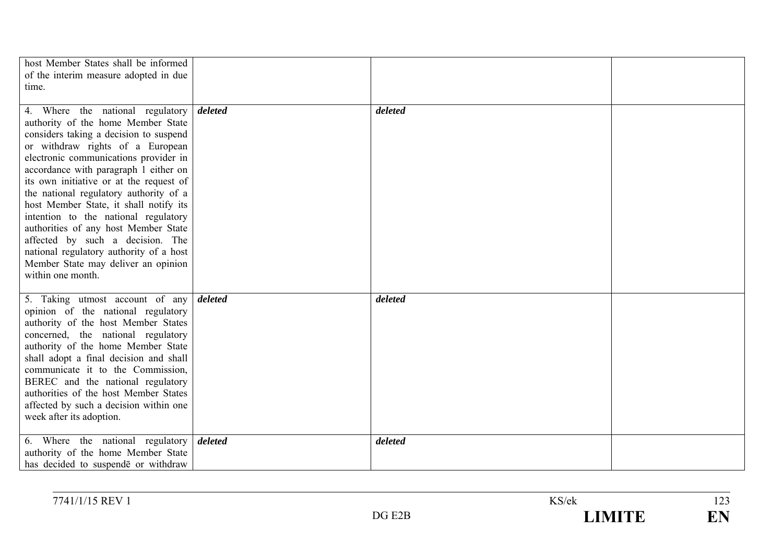| host Member States shall be informed<br>of the interim measure adopted in due<br>time.                                                                                                                                                                                                                                                                                                                                                                                                                                                                                                                   |         |  |
|----------------------------------------------------------------------------------------------------------------------------------------------------------------------------------------------------------------------------------------------------------------------------------------------------------------------------------------------------------------------------------------------------------------------------------------------------------------------------------------------------------------------------------------------------------------------------------------------------------|---------|--|
| 4. Where the national regulatory deleted<br>authority of the home Member State<br>considers taking a decision to suspend<br>or withdraw rights of a European<br>electronic communications provider in<br>accordance with paragraph 1 either on<br>its own initiative or at the request of<br>the national regulatory authority of a<br>host Member State, it shall notify its<br>intention to the national regulatory<br>authorities of any host Member State<br>affected by such a decision. The<br>national regulatory authority of a host<br>Member State may deliver an opinion<br>within one month. | deleted |  |
| 5. Taking utmost account of any <i>deleted</i><br>opinion of the national regulatory<br>authority of the host Member States<br>concerned, the national regulatory<br>authority of the home Member State<br>shall adopt a final decision and shall<br>communicate it to the Commission,<br>BEREC and the national regulatory<br>authorities of the host Member States<br>affected by such a decision within one<br>week after its adoption.                                                                                                                                                               | deleted |  |
| 6. Where the national regulatory <i>deleted</i><br>authority of the home Member State<br>has decided to suspende or withdraw                                                                                                                                                                                                                                                                                                                                                                                                                                                                             | deleted |  |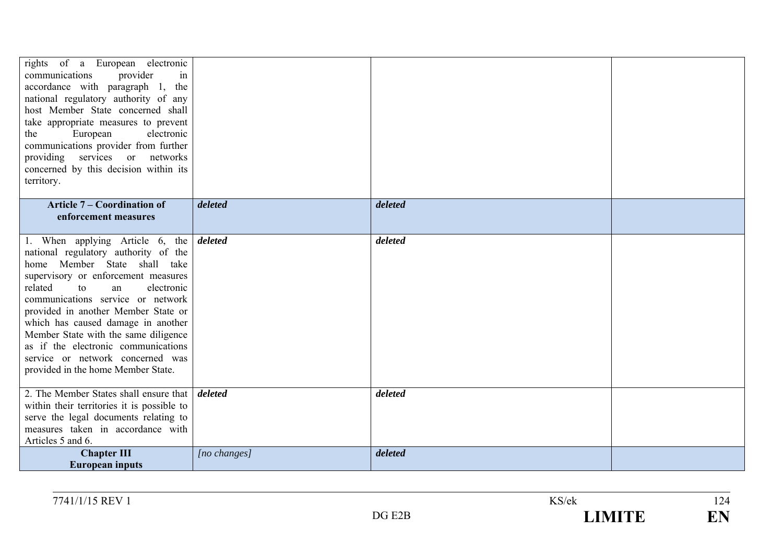| rights of a European electronic<br>provider<br>communications<br>in<br>accordance with paragraph 1, the<br>national regulatory authority of any<br>host Member State concerned shall<br>take appropriate measures to prevent<br>European<br>electronic<br>the<br>communications provider from further<br>providing services or networks<br>concerned by this decision within its<br>territory.                                                                 |              |         |  |
|----------------------------------------------------------------------------------------------------------------------------------------------------------------------------------------------------------------------------------------------------------------------------------------------------------------------------------------------------------------------------------------------------------------------------------------------------------------|--------------|---------|--|
| <b>Article 7 – Coordination of</b>                                                                                                                                                                                                                                                                                                                                                                                                                             | deleted      | deleted |  |
| enforcement measures                                                                                                                                                                                                                                                                                                                                                                                                                                           |              |         |  |
| 1. When applying Article 6, the<br>national regulatory authority of the<br>home Member State shall take<br>supervisory or enforcement measures<br>related<br>electronic<br>to<br>an<br>communications service or network<br>provided in another Member State or<br>which has caused damage in another<br>Member State with the same diligence<br>as if the electronic communications<br>service or network concerned was<br>provided in the home Member State. | deleted      | deleted |  |
| 2. The Member States shall ensure that<br>within their territories it is possible to<br>serve the legal documents relating to<br>measures taken in accordance with<br>Articles 5 and 6.                                                                                                                                                                                                                                                                        | deleted      | deleted |  |
| <b>Chapter III</b><br><b>European inputs</b>                                                                                                                                                                                                                                                                                                                                                                                                                   | [no changes] | deleted |  |

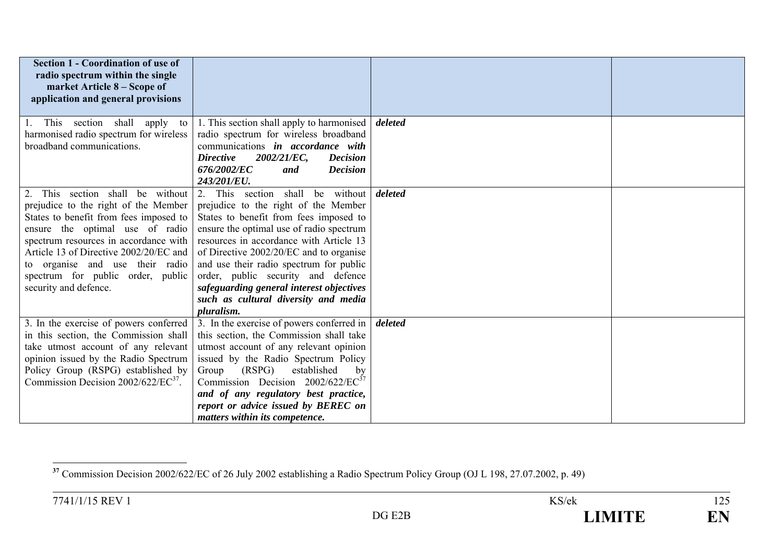| <b>Section 1 - Coordination of use of</b><br>radio spectrum within the single<br>market Article 8 – Scope of<br>application and general provisions |                                                                                                                                                                                                 |         |  |
|----------------------------------------------------------------------------------------------------------------------------------------------------|-------------------------------------------------------------------------------------------------------------------------------------------------------------------------------------------------|---------|--|
| This section shall apply to                                                                                                                        | 1. This section shall apply to harmonised                                                                                                                                                       | deleted |  |
| harmonised radio spectrum for wireless                                                                                                             | radio spectrum for wireless broadband                                                                                                                                                           |         |  |
| broadband communications.                                                                                                                          | communications in accordance with                                                                                                                                                               |         |  |
|                                                                                                                                                    | 2002/21/EC,<br><b>Directive</b><br><b>Decision</b><br>676/2002/EC<br><b>Decision</b><br>and                                                                                                     |         |  |
|                                                                                                                                                    | 243/201/EU.                                                                                                                                                                                     |         |  |
| This section shall be without                                                                                                                      | 2. This section shall be without                                                                                                                                                                | deleted |  |
| prejudice to the right of the Member                                                                                                               | prejudice to the right of the Member                                                                                                                                                            |         |  |
| States to benefit from fees imposed to                                                                                                             | States to benefit from fees imposed to                                                                                                                                                          |         |  |
| ensure the optimal use of radio                                                                                                                    | ensure the optimal use of radio spectrum                                                                                                                                                        |         |  |
| spectrum resources in accordance with                                                                                                              | resources in accordance with Article 13                                                                                                                                                         |         |  |
| Article 13 of Directive 2002/20/EC and                                                                                                             | of Directive 2002/20/EC and to organise                                                                                                                                                         |         |  |
| to organise and use their radio                                                                                                                    | and use their radio spectrum for public                                                                                                                                                         |         |  |
| spectrum for public order, public                                                                                                                  | order, public security and defence                                                                                                                                                              |         |  |
| security and defence.                                                                                                                              | safeguarding general interest objectives                                                                                                                                                        |         |  |
|                                                                                                                                                    | such as cultural diversity and media                                                                                                                                                            |         |  |
|                                                                                                                                                    | pluralism.                                                                                                                                                                                      |         |  |
| 3. In the exercise of powers conferred                                                                                                             | 3. In the exercise of powers conferred in                                                                                                                                                       | deleted |  |
| in this section, the Commission shall                                                                                                              | this section, the Commission shall take                                                                                                                                                         |         |  |
| take utmost account of any relevant                                                                                                                | utmost account of any relevant opinion                                                                                                                                                          |         |  |
| opinion issued by the Radio Spectrum                                                                                                               | issued by the Radio Spectrum Policy                                                                                                                                                             |         |  |
|                                                                                                                                                    |                                                                                                                                                                                                 |         |  |
|                                                                                                                                                    |                                                                                                                                                                                                 |         |  |
|                                                                                                                                                    |                                                                                                                                                                                                 |         |  |
|                                                                                                                                                    |                                                                                                                                                                                                 |         |  |
| Policy Group (RSPG) established by<br>Commission Decision $2002/622/EC^{37}$ .                                                                     | (RSPG)<br>established<br>Group<br>by<br>Commission Decision $2002/622/EC^{37}$<br>and of any regulatory best practice,<br>report or advice issued by BEREC on<br>matters within its competence. |         |  |

**<sup>37</sup>** Commission Decision 2002/622/EC of 26 July 2002 establishing a Radio Spectrum Policy Group (OJ L 198, 27.07.2002, p. 49)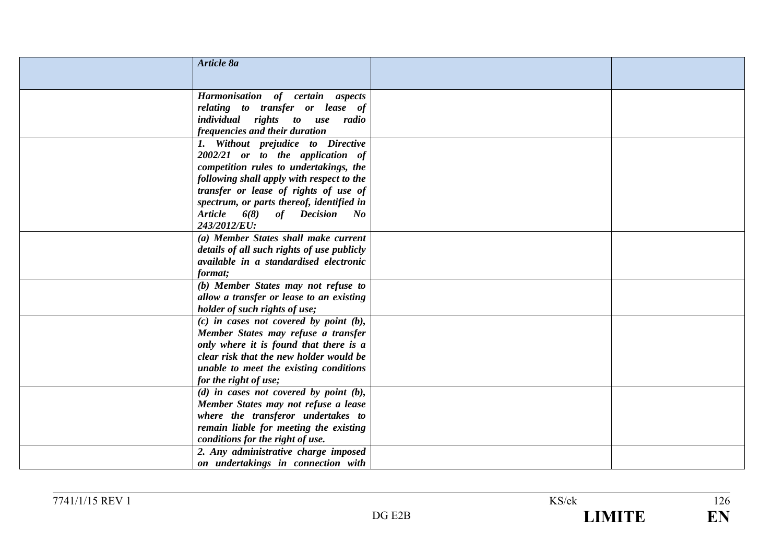| Article 8a                                  |  |
|---------------------------------------------|--|
|                                             |  |
|                                             |  |
| Harmonisation of certain aspects            |  |
| relating to transfer or lease of            |  |
| individual rights to use radio              |  |
| frequencies and their duration              |  |
| 1. Without prejudice to Directive           |  |
| 2002/21 or to the application of            |  |
| competition rules to undertakings, the      |  |
| following shall apply with respect to the   |  |
| transfer or lease of rights of use of       |  |
| spectrum, or parts thereof, identified in   |  |
| Article 6(8) of Decision No                 |  |
| 243/2012/EU:                                |  |
| (a) Member States shall make current        |  |
| details of all such rights of use publicly  |  |
| available in a standardised electronic      |  |
| format;                                     |  |
| (b) Member States may not refuse to         |  |
| allow a transfer or lease to an existing    |  |
| holder of such rights of use;               |  |
| $(c)$ in cases not covered by point $(b)$ , |  |
| Member States may refuse a transfer         |  |
| only where it is found that there is a      |  |
| clear risk that the new holder would be     |  |
| unable to meet the existing conditions      |  |
| for the right of use;                       |  |
| (d) in cases not covered by point $(b)$ ,   |  |
| Member States may not refuse a lease        |  |
| where the transferor undertakes to          |  |
| remain liable for meeting the existing      |  |
| conditions for the right of use.            |  |
| 2. Any administrative charge imposed        |  |
| on undertakings in connection with          |  |

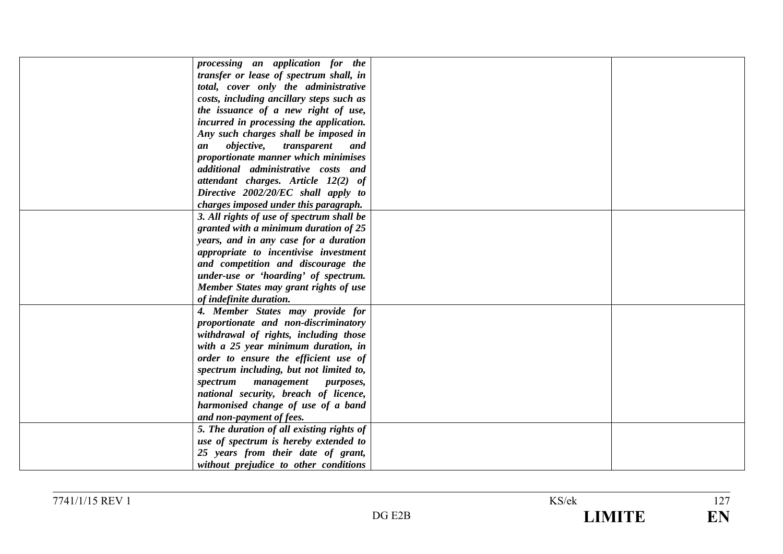| processing an application for the             |  |
|-----------------------------------------------|--|
| transfer or lease of spectrum shall, in       |  |
| total, cover only the administrative          |  |
| costs, including ancillary steps such as      |  |
| the issuance of a new right of use,           |  |
| incurred in processing the application.       |  |
| Any such charges shall be imposed in          |  |
| <i>objective,</i><br>transparent<br>an<br>and |  |
| proportionate manner which minimises          |  |
| additional administrative costs and           |  |
| attendant charges. Article 12(2) of           |  |
| Directive 2002/20/EC shall apply to           |  |
| charges imposed under this paragraph.         |  |
|                                               |  |
| 3. All rights of use of spectrum shall be     |  |
| granted with a minimum duration of 25         |  |
| years, and in any case for a duration         |  |
| appropriate to incentivise investment         |  |
| and competition and discourage the            |  |
| under-use or 'hoarding' of spectrum.          |  |
| Member States may grant rights of use         |  |
| of indefinite duration.                       |  |
| 4. Member States may provide for              |  |
| proportionate and non-discriminatory          |  |
| withdrawal of rights, including those         |  |
| with a 25 year minimum duration, in           |  |
| order to ensure the efficient use of          |  |
| spectrum including, but not limited to,       |  |
| spectrum<br>management purposes,              |  |
| national security, breach of licence,         |  |
| harmonised change of use of a band            |  |
| and non-payment of fees.                      |  |
| 5. The duration of all existing rights of     |  |
| use of spectrum is hereby extended to         |  |
| 25 years from their date of grant,            |  |
|                                               |  |
| without prejudice to other conditions         |  |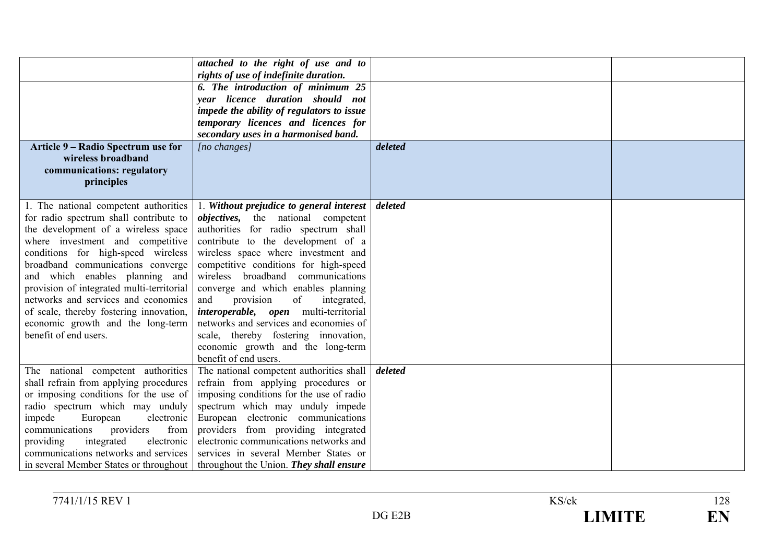| Article 9 – Radio Spectrum use for                                                                                                                                                                                                                                                                                                                                                                                                                                   | attached to the right of use and to<br>rights of use of indefinite duration.<br>6. The introduction of minimum 25<br>year licence duration should not<br>impede the ability of regulators to issue<br>temporary licences and licences for<br>secondary uses in a harmonised band.<br>[no changes]                                                                                                                                                                                                                                                                         | deleted |  |
|----------------------------------------------------------------------------------------------------------------------------------------------------------------------------------------------------------------------------------------------------------------------------------------------------------------------------------------------------------------------------------------------------------------------------------------------------------------------|---------------------------------------------------------------------------------------------------------------------------------------------------------------------------------------------------------------------------------------------------------------------------------------------------------------------------------------------------------------------------------------------------------------------------------------------------------------------------------------------------------------------------------------------------------------------------|---------|--|
| wireless broadband<br>communications: regulatory<br>principles                                                                                                                                                                                                                                                                                                                                                                                                       |                                                                                                                                                                                                                                                                                                                                                                                                                                                                                                                                                                           |         |  |
| 1. The national competent authorities<br>for radio spectrum shall contribute to<br>the development of a wireless space<br>where investment and competitive<br>conditions for high-speed wireless<br>broadband communications converge<br>and which enables planning and<br>provision of integrated multi-territorial<br>networks and services and economies<br>of scale, thereby fostering innovation,<br>economic growth and the long-term<br>benefit of end users. | 1. Without prejudice to general interest<br><i>objectives</i> , the national competent<br>authorities for radio spectrum shall<br>contribute to the development of a<br>wireless space where investment and<br>competitive conditions for high-speed<br>wireless broadband communications<br>converge and which enables planning<br>of<br>and<br>provision<br>integrated,<br><i>interoperable, open</i> multi-territorial<br>networks and services and economies of<br>scale, thereby fostering innovation,<br>economic growth and the long-term<br>benefit of end users. | deleted |  |
| The national competent authorities<br>shall refrain from applying procedures<br>or imposing conditions for the use of<br>radio spectrum which may unduly<br>impede<br>European<br>electronic<br>providers<br>from<br>communications<br>integrated<br>electronic<br>providing<br>communications networks and services                                                                                                                                                 | The national competent authorities shall<br>refrain from applying procedures or<br>imposing conditions for the use of radio<br>spectrum which may unduly impede<br>European electronic communications<br>providers from providing integrated<br>electronic communications networks and<br>services in several Member States or<br>in several Member States or throughout   throughout the Union. They shall ensure                                                                                                                                                        | deleted |  |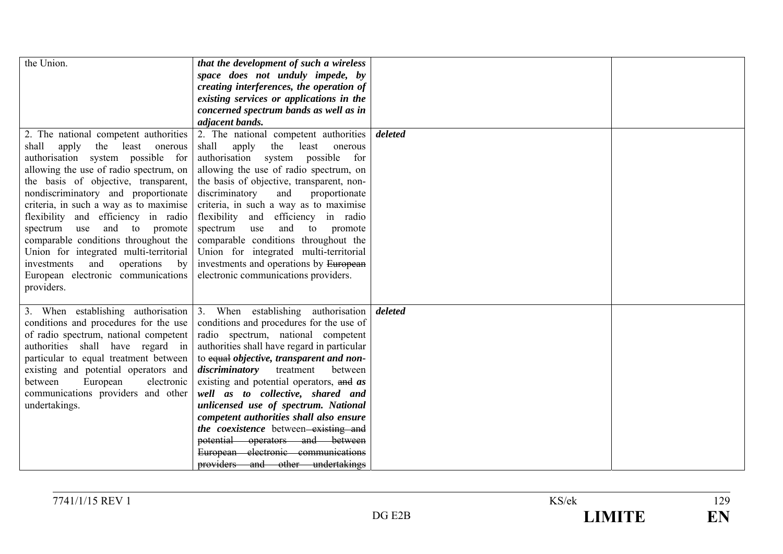| the Union.<br>2. The national competent authorities<br>shall<br>apply<br>the<br>least<br>onerous<br>authorisation system possible for<br>allowing the use of radio spectrum, on<br>the basis of objective, transparent,<br>nondiscriminatory and proportionate<br>criteria, in such a way as to maximise<br>flexibility and efficiency in radio<br>and to<br>spectrum<br>use<br>promote<br>comparable conditions throughout the<br>Union for integrated multi-territorial | that the development of such a wireless<br>space does not unduly impede, by<br>creating interferences, the operation of<br>existing services or applications in the<br>concerned spectrum bands as well as in<br>adjacent bands.<br>2. The national competent authorities<br>shall<br>apply<br>the<br>least<br>onerous<br>authorisation system possible for<br>allowing the use of radio spectrum, on<br>the basis of objective, transparent, non-<br>discriminatory<br>and<br>proportionate<br>criteria, in such a way as to maximise<br>flexibility and<br>efficiency in radio<br>and<br>spectrum<br>to promote<br>use<br>comparable conditions throughout the<br>Union for integrated multi-territorial | deleted |  |
|---------------------------------------------------------------------------------------------------------------------------------------------------------------------------------------------------------------------------------------------------------------------------------------------------------------------------------------------------------------------------------------------------------------------------------------------------------------------------|------------------------------------------------------------------------------------------------------------------------------------------------------------------------------------------------------------------------------------------------------------------------------------------------------------------------------------------------------------------------------------------------------------------------------------------------------------------------------------------------------------------------------------------------------------------------------------------------------------------------------------------------------------------------------------------------------------|---------|--|
| operations<br>investments<br>and<br>by<br>European electronic communications<br>providers.                                                                                                                                                                                                                                                                                                                                                                                | investments and operations by European<br>electronic communications providers.                                                                                                                                                                                                                                                                                                                                                                                                                                                                                                                                                                                                                             |         |  |
| 3. When establishing authorisation<br>conditions and procedures for the use<br>of radio spectrum, national competent<br>authorities shall have regard in<br>particular to equal treatment between<br>existing and potential operators and<br>electronic<br>between<br>European<br>communications providers and other<br>undertakings.                                                                                                                                     | 3. When establishing authorisation<br>conditions and procedures for the use of<br>radio spectrum, national competent<br>authorities shall have regard in particular<br>to equal objective, transparent and non-<br><i>discriminatory</i> treatment<br>between<br>existing and potential operators, and as<br>well as to collective, shared and<br>unlicensed use of spectrum. National<br>competent authorities shall also ensure<br>the coexistence between-existing and<br>potential operators and between<br>European electronic communications<br>providers and other undertakings                                                                                                                     | deleted |  |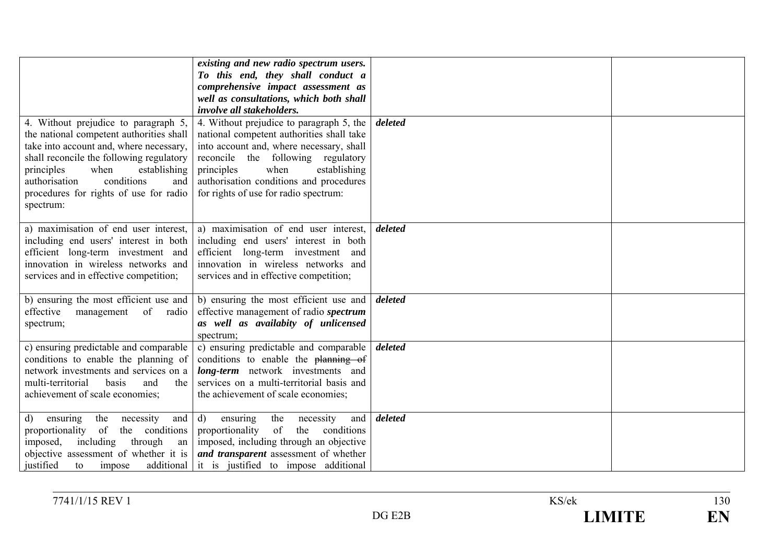| 4. Without prejudice to paragraph 5,                                                                                                                                                                                                                               | existing and new radio spectrum users.<br>To this end, they shall conduct a<br>comprehensive impact assessment as<br>well as consultations, which both shall<br><i>involve all stakeholders.</i><br>4. Without prejudice to paragraph 5, the          | deleted |  |
|--------------------------------------------------------------------------------------------------------------------------------------------------------------------------------------------------------------------------------------------------------------------|-------------------------------------------------------------------------------------------------------------------------------------------------------------------------------------------------------------------------------------------------------|---------|--|
| the national competent authorities shall<br>take into account and, where necessary,<br>shall reconcile the following regulatory<br>principles<br>when<br>establishing<br>conditions<br>authorisation<br>and<br>procedures for rights of use for radio<br>spectrum: | national competent authorities shall take<br>into account and, where necessary, shall<br>reconcile the following regulatory<br>when<br>principles<br>establishing<br>authorisation conditions and procedures<br>for rights of use for radio spectrum: |         |  |
| a) maximisation of end user interest,<br>including end users' interest in both<br>efficient long-term investment and<br>innovation in wireless networks and<br>services and in effective competition;                                                              | a) maximisation of end user interest,<br>including end users' interest in both<br>efficient long-term investment and<br>innovation in wireless networks and<br>services and in effective competition;                                                 | deleted |  |
| b) ensuring the most efficient use and<br>effective<br>of radio<br>management<br>spectrum;                                                                                                                                                                         | b) ensuring the most efficient use and<br>effective management of radio spectrum<br>as well as availabity of unlicensed<br>spectrum;                                                                                                                  | deleted |  |
| c) ensuring predictable and comparable<br>conditions to enable the planning of<br>network investments and services on a<br>multi-territorial<br>basis<br>the<br>and<br>achievement of scale economies;                                                             | c) ensuring predictable and comparable<br>conditions to enable the planning of<br>long-term network investments and<br>services on a multi-territorial basis and<br>the achievement of scale economies;                                               | deleted |  |
| the<br>and  <br>necessity<br>d)<br>ensuring<br>the conditions<br>of<br>proportionality<br>imposed,<br>including<br>through<br>an<br>objective assessment of whether it is<br>justified<br>to<br>impose                                                             | $\mathbf{d}$<br>the<br>and<br>necessity<br>ensuring<br>of<br>proportionality<br>the<br>conditions<br>imposed, including through an objective<br>and transparent assessment of whether<br>additional it is justified to impose additional              | deleted |  |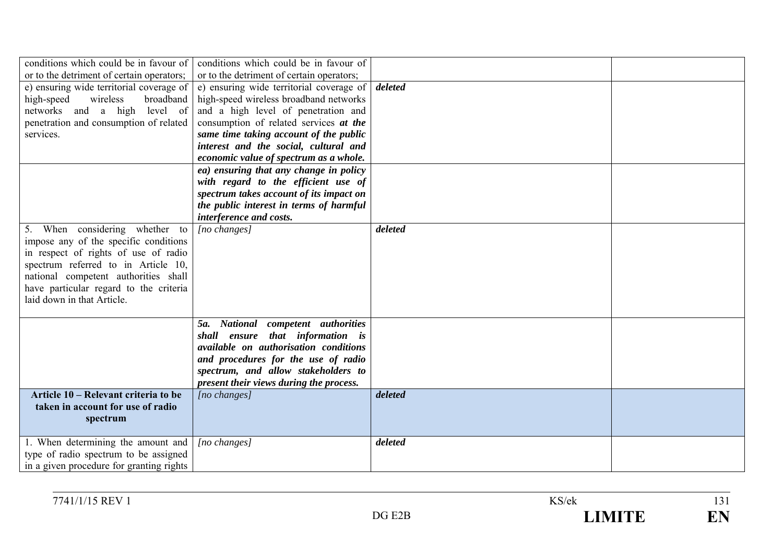| conditions which could be in favour of    | conditions which could be in favour of    |         |  |
|-------------------------------------------|-------------------------------------------|---------|--|
| or to the detriment of certain operators; | or to the detriment of certain operators; |         |  |
| e) ensuring wide territorial coverage of  | e) ensuring wide territorial coverage of  | deleted |  |
| high-speed<br>wireless<br>broadband       | high-speed wireless broadband networks    |         |  |
| networks and a high level of              | and a high level of penetration and       |         |  |
| penetration and consumption of related    | consumption of related services at the    |         |  |
| services.                                 | same time taking account of the public    |         |  |
|                                           | interest and the social, cultural and     |         |  |
|                                           | economic value of spectrum as a whole.    |         |  |
|                                           | ea) ensuring that any change in policy    |         |  |
|                                           | with regard to the efficient use of       |         |  |
|                                           | spectrum takes account of its impact on   |         |  |
|                                           | the public interest in terms of harmful   |         |  |
|                                           | interference and costs.                   |         |  |
| 5. When considering whether to            | $[no\, changes]$                          | deleted |  |
| impose any of the specific conditions     |                                           |         |  |
| in respect of rights of use of radio      |                                           |         |  |
| spectrum referred to in Article 10,       |                                           |         |  |
| national competent authorities shall      |                                           |         |  |
| have particular regard to the criteria    |                                           |         |  |
| laid down in that Article.                |                                           |         |  |
|                                           |                                           |         |  |
|                                           | National competent authorities<br>5a.     |         |  |
|                                           | shall ensure that information is          |         |  |
|                                           | available on authorisation conditions     |         |  |
|                                           | and procedures for the use of radio       |         |  |
|                                           | spectrum, and allow stakeholders to       |         |  |
|                                           | present their views during the process.   |         |  |
| Article 10 – Relevant criteria to be      | [no changes]                              | deleted |  |
| taken in account for use of radio         |                                           |         |  |
| spectrum                                  |                                           |         |  |
|                                           |                                           |         |  |
| 1. When determining the amount and        | $[no\, changes]$                          | deleted |  |
| type of radio spectrum to be assigned     |                                           |         |  |
| in a given procedure for granting rights  |                                           |         |  |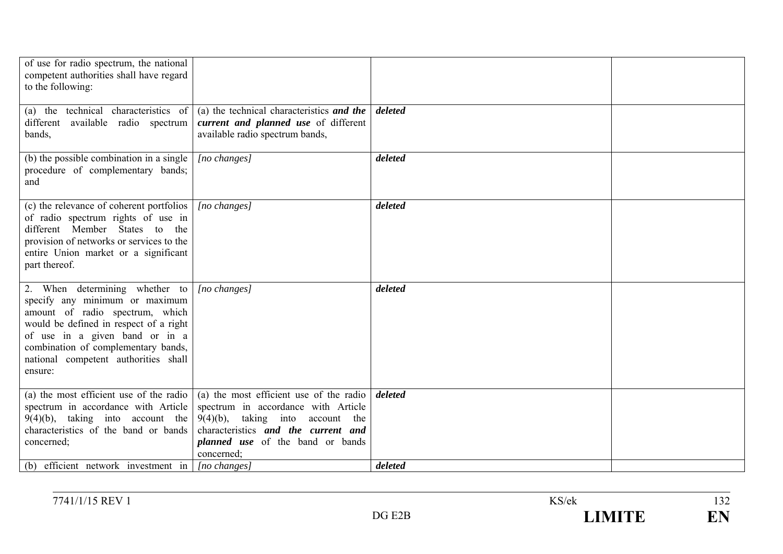| of use for radio spectrum, the national<br>competent authorities shall have regard<br>to the following:                                                                                                                                                                   |                                                                                                                                                                                                                          |         |  |
|---------------------------------------------------------------------------------------------------------------------------------------------------------------------------------------------------------------------------------------------------------------------------|--------------------------------------------------------------------------------------------------------------------------------------------------------------------------------------------------------------------------|---------|--|
| (a) the technical characteristics of<br>different available radio spectrum<br>bands,                                                                                                                                                                                      | (a) the technical characteristics and the<br>current and planned use of different<br>available radio spectrum bands,                                                                                                     | deleted |  |
| (b) the possible combination in a single<br>procedure of complementary bands;<br>and                                                                                                                                                                                      | [no changes]                                                                                                                                                                                                             | deleted |  |
| (c) the relevance of coherent portfolios<br>of radio spectrum rights of use in<br>different Member States to the<br>provision of networks or services to the<br>entire Union market or a significant<br>part thereof.                                                     | $[no\ changes]$                                                                                                                                                                                                          | deleted |  |
| 2. When determining whether to<br>specify any minimum or maximum<br>amount of radio spectrum, which<br>would be defined in respect of a right<br>of use in a given band or in a<br>combination of complementary bands,<br>national competent authorities shall<br>ensure: | $[no\ changes]$                                                                                                                                                                                                          | deleted |  |
| (a) the most efficient use of the radio<br>spectrum in accordance with Article<br>$9(4)(b)$ , taking into account the<br>characteristics of the band or bands<br>concerned;                                                                                               | (a) the most efficient use of the radio<br>spectrum in accordance with Article<br>$9(4)(b)$ , taking into<br>account the<br>characteristics and the current and<br><i>planned</i> use of the band or bands<br>concerned; | deleted |  |
| (b) efficient network investment in $ $ [no changes]                                                                                                                                                                                                                      |                                                                                                                                                                                                                          | deleted |  |

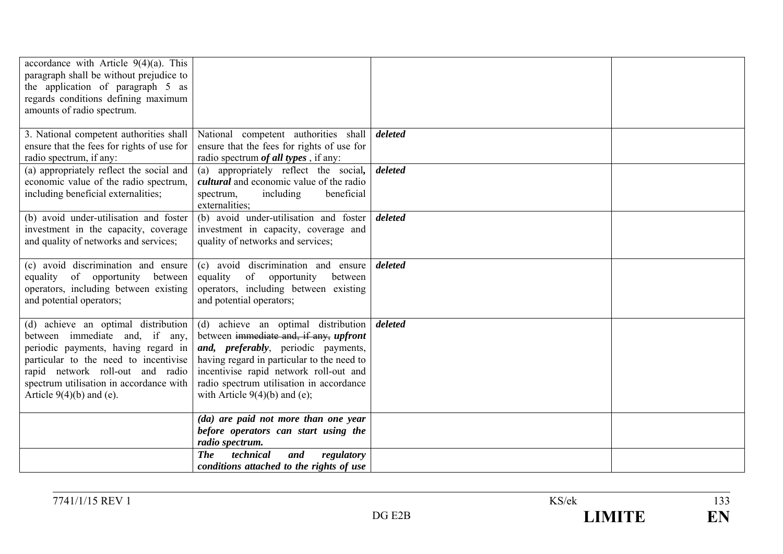| accordance with Article $9(4)(a)$ . This<br>paragraph shall be without prejudice to<br>the application of paragraph 5 as<br>regards conditions defining maximum<br>amounts of radio spectrum.                                                                      |                                                                                                                                                                                                                                                                                                     |         |  |
|--------------------------------------------------------------------------------------------------------------------------------------------------------------------------------------------------------------------------------------------------------------------|-----------------------------------------------------------------------------------------------------------------------------------------------------------------------------------------------------------------------------------------------------------------------------------------------------|---------|--|
| 3. National competent authorities shall<br>ensure that the fees for rights of use for<br>radio spectrum, if any:                                                                                                                                                   | National competent authorities shall<br>ensure that the fees for rights of use for<br>radio spectrum <i>of all types</i> , if any:                                                                                                                                                                  | deleted |  |
| (a) appropriately reflect the social and<br>economic value of the radio spectrum,<br>including beneficial externalities;                                                                                                                                           | (a) appropriately reflect the social,<br><i>cultural</i> and economic value of the radio<br>including<br>beneficial<br>spectrum,<br>externalities;                                                                                                                                                  | deleted |  |
| (b) avoid under-utilisation and foster<br>investment in the capacity, coverage<br>and quality of networks and services;                                                                                                                                            | (b) avoid under-utilisation and foster<br>investment in capacity, coverage and<br>quality of networks and services;                                                                                                                                                                                 | deleted |  |
| (c) avoid discrimination and ensure<br>equality of opportunity between<br>operators, including between existing<br>and potential operators;                                                                                                                        | (c) avoid discrimination and ensure<br>equality<br>of opportunity<br>between<br>operators, including between existing<br>and potential operators;                                                                                                                                                   | deleted |  |
| (d) achieve an optimal distribution<br>between immediate and, if any,<br>periodic payments, having regard in<br>particular to the need to incentivise<br>rapid network roll-out and radio<br>spectrum utilisation in accordance with<br>Article $9(4)(b)$ and (e). | (d) achieve an optimal distribution<br>between immediate and, if any, upfront<br><i>and, preferably</i> , periodic payments,<br>having regard in particular to the need to<br>incentivise rapid network roll-out and<br>radio spectrum utilisation in accordance<br>with Article $9(4)(b)$ and (e); | deleted |  |
|                                                                                                                                                                                                                                                                    | (da) are paid not more than one year<br>before operators can start using the<br>radio spectrum.                                                                                                                                                                                                     |         |  |
|                                                                                                                                                                                                                                                                    | <b>The</b><br>technical<br>and<br>regulatory<br>conditions attached to the rights of use                                                                                                                                                                                                            |         |  |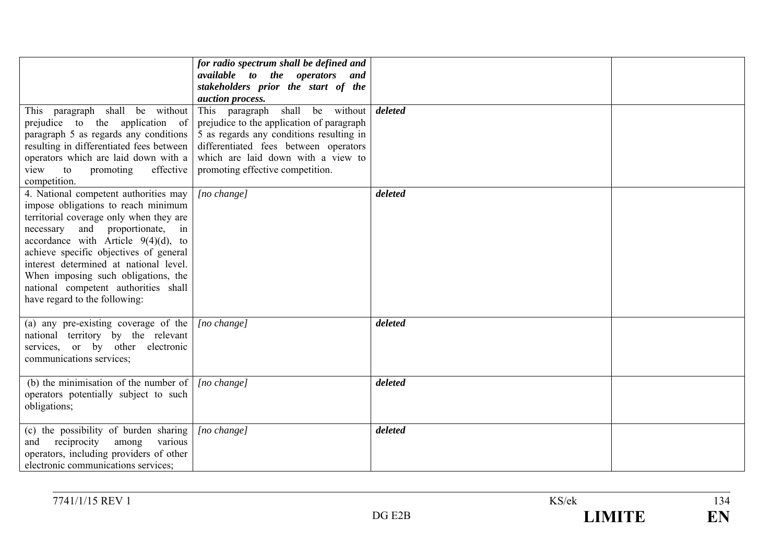| This paragraph shall be without<br>prejudice to the application of<br>paragraph 5 as regards any conditions<br>resulting in differentiated fees between<br>operators which are laid down with a<br>view to<br>promoting<br>effective<br>competition.                                                                                                                                                        | for radio spectrum shall be defined and<br>available to the operators and<br>stakeholders prior the start of the<br>auction process.<br>This paragraph shall be without<br>prejudice to the application of paragraph<br>5 as regards any conditions resulting in<br>differentiated fees between operators<br>which are laid down with a view to<br>promoting effective competition. | deleted |  |
|-------------------------------------------------------------------------------------------------------------------------------------------------------------------------------------------------------------------------------------------------------------------------------------------------------------------------------------------------------------------------------------------------------------|-------------------------------------------------------------------------------------------------------------------------------------------------------------------------------------------------------------------------------------------------------------------------------------------------------------------------------------------------------------------------------------|---------|--|
| 4. National competent authorities may<br>impose obligations to reach minimum<br>territorial coverage only when they are<br>and proportionate, in<br>necessary<br>accordance with Article $9(4)(d)$ , to<br>achieve specific objectives of general<br>interest determined at national level.<br>When imposing such obligations, the<br>national competent authorities shall<br>have regard to the following: | $[no \space change]$                                                                                                                                                                                                                                                                                                                                                                | deleted |  |
| (a) any pre-existing coverage of the<br>national territory by the relevant<br>services, or by other electronic<br>communications services;                                                                                                                                                                                                                                                                  | [no change]                                                                                                                                                                                                                                                                                                                                                                         | deleted |  |
| (b) the minimisation of the number of $ $ [no change]<br>operators potentially subject to such<br>obligations;                                                                                                                                                                                                                                                                                              |                                                                                                                                                                                                                                                                                                                                                                                     | deleted |  |
| (c) the possibility of burden sharing<br>reciprocity<br>various<br>among<br>and<br>operators, including providers of other<br>electronic communications services;                                                                                                                                                                                                                                           | [no change]                                                                                                                                                                                                                                                                                                                                                                         | deleted |  |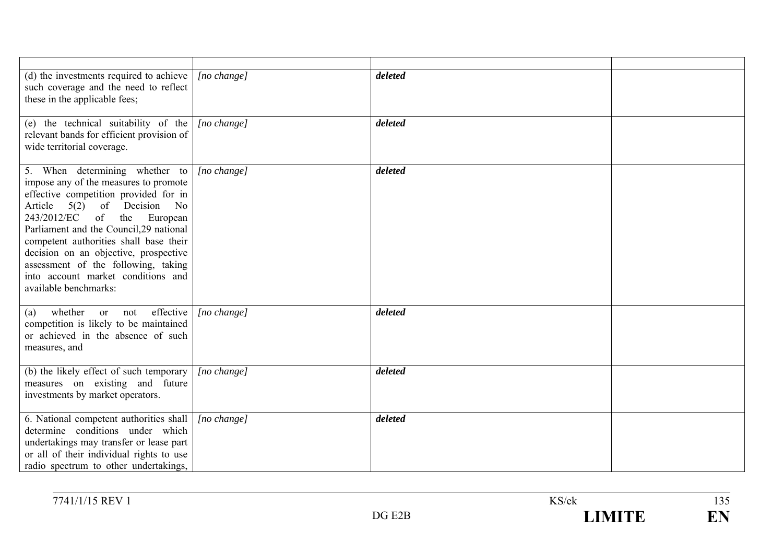| (d) the investments required to achieve<br>such coverage and the need to reflect<br>these in the applicable fees;                                                                                                                                                                                                                                                                                                     | [no change]          | deleted |  |
|-----------------------------------------------------------------------------------------------------------------------------------------------------------------------------------------------------------------------------------------------------------------------------------------------------------------------------------------------------------------------------------------------------------------------|----------------------|---------|--|
| (e) the technical suitability of the<br>relevant bands for efficient provision of<br>wide territorial coverage.                                                                                                                                                                                                                                                                                                       | $[no \space change]$ | deleted |  |
| 5. When determining whether to<br>impose any of the measures to promote<br>effective competition provided for in<br>Article 5(2) of Decision No<br>243/2012/EC of the<br>European<br>Parliament and the Council, 29 national<br>competent authorities shall base their<br>decision on an objective, prospective<br>assessment of the following, taking<br>into account market conditions and<br>available benchmarks: | $[no \space change]$ | deleted |  |
| effective<br>whether or not<br>(a)<br>competition is likely to be maintained<br>or achieved in the absence of such<br>measures, and                                                                                                                                                                                                                                                                                   | [no change]          | deleted |  |
| (b) the likely effect of such temporary<br>measures on existing and future<br>investments by market operators.                                                                                                                                                                                                                                                                                                        | $[no \space change]$ | deleted |  |
| 6. National competent authorities shall<br>determine conditions under which<br>undertakings may transfer or lease part<br>or all of their individual rights to use<br>radio spectrum to other undertakings,                                                                                                                                                                                                           | $[no \space change]$ | deleted |  |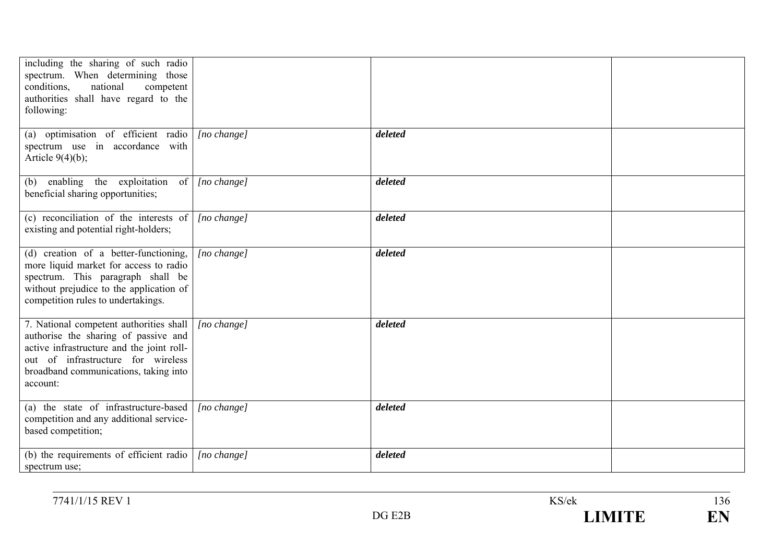| including the sharing of such radio<br>spectrum. When determining those<br>national<br>conditions,<br>competent<br>authorities shall have regard to the<br>following:                                                   |                      |         |  |
|-------------------------------------------------------------------------------------------------------------------------------------------------------------------------------------------------------------------------|----------------------|---------|--|
| (a) optimisation of efficient radio<br>spectrum use in accordance with<br>Article $9(4)(b)$ ;                                                                                                                           | [no change]          | deleted |  |
| (b) enabling the exploitation of<br>beneficial sharing opportunities;                                                                                                                                                   | [no change]          | deleted |  |
| (c) reconciliation of the interests of<br>existing and potential right-holders;                                                                                                                                         | $[no \space change]$ | deleted |  |
| (d) creation of a better-functioning,<br>more liquid market for access to radio<br>spectrum. This paragraph shall be<br>without prejudice to the application of<br>competition rules to undertakings.                   | $[no \space change]$ | deleted |  |
| 7. National competent authorities shall<br>authorise the sharing of passive and<br>active infrastructure and the joint roll-<br>out of infrastructure for wireless<br>broadband communications, taking into<br>account: | [no change]          | deleted |  |
| (a) the state of infrastructure-based<br>competition and any additional service-<br>based competition;                                                                                                                  | [no change]          | deleted |  |
| (b) the requirements of efficient radio<br>spectrum use;                                                                                                                                                                | [no change]          | deleted |  |

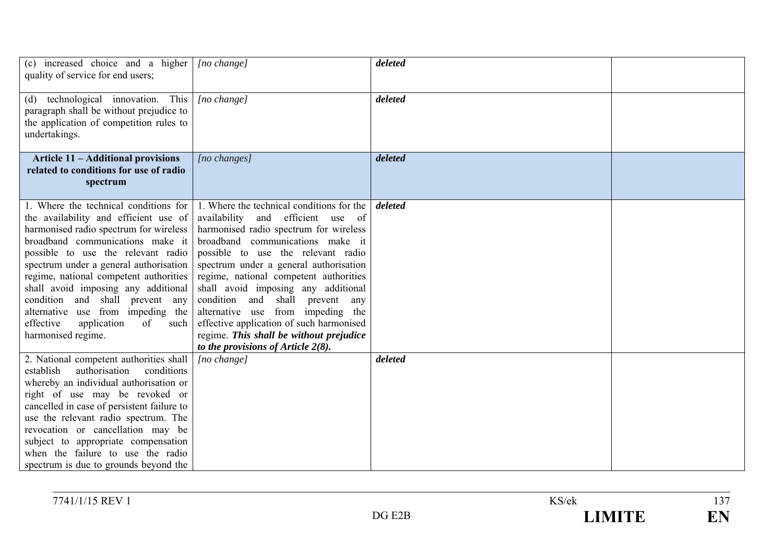| (c) increased choice and a higher<br>quality of service for end users;                                                                                                                                                                                                                                                                                                                                                                                                | [no change]                                                                                                                                                                                                                                                                                                                                                                                                                                                                                                                                 | deleted |  |
|-----------------------------------------------------------------------------------------------------------------------------------------------------------------------------------------------------------------------------------------------------------------------------------------------------------------------------------------------------------------------------------------------------------------------------------------------------------------------|---------------------------------------------------------------------------------------------------------------------------------------------------------------------------------------------------------------------------------------------------------------------------------------------------------------------------------------------------------------------------------------------------------------------------------------------------------------------------------------------------------------------------------------------|---------|--|
| (d) technological innovation. This<br>paragraph shall be without prejudice to<br>the application of competition rules to<br>undertakings.                                                                                                                                                                                                                                                                                                                             | [no change]                                                                                                                                                                                                                                                                                                                                                                                                                                                                                                                                 | deleted |  |
| <b>Article 11 - Additional provisions</b><br>related to conditions for use of radio<br>spectrum                                                                                                                                                                                                                                                                                                                                                                       | [no changes]                                                                                                                                                                                                                                                                                                                                                                                                                                                                                                                                | deleted |  |
| 1. Where the technical conditions for<br>the availability and efficient use of<br>harmonised radio spectrum for wireless<br>broadband communications make it<br>possible to use the relevant radio<br>spectrum under a general authorisation<br>regime, national competent authorities<br>shall avoid imposing any additional<br>condition and shall prevent any<br>alternative use from impeding the<br>effective<br>application<br>of<br>such<br>harmonised regime. | 1. Where the technical conditions for the<br>availability<br>and efficient use of<br>harmonised radio spectrum for wireless<br>broadband communications make it<br>possible to use the relevant radio<br>spectrum under a general authorisation<br>regime, national competent authorities<br>shall avoid imposing any additional<br>condition and shall prevent<br>any<br>alternative use from impeding the<br>effective application of such harmonised<br>regime. This shall be without prejudice<br>to the provisions of Article $2(8)$ . | deleted |  |
| 2. National competent authorities shall<br>conditions<br>establish<br>authorisation<br>whereby an individual authorisation or<br>right of use may be revoked or<br>cancelled in case of persistent failure to<br>use the relevant radio spectrum. The<br>revocation or cancellation may be<br>subject to appropriate compensation<br>when the failure to use the radio<br>spectrum is due to grounds beyond the                                                       | [no change]                                                                                                                                                                                                                                                                                                                                                                                                                                                                                                                                 | deleted |  |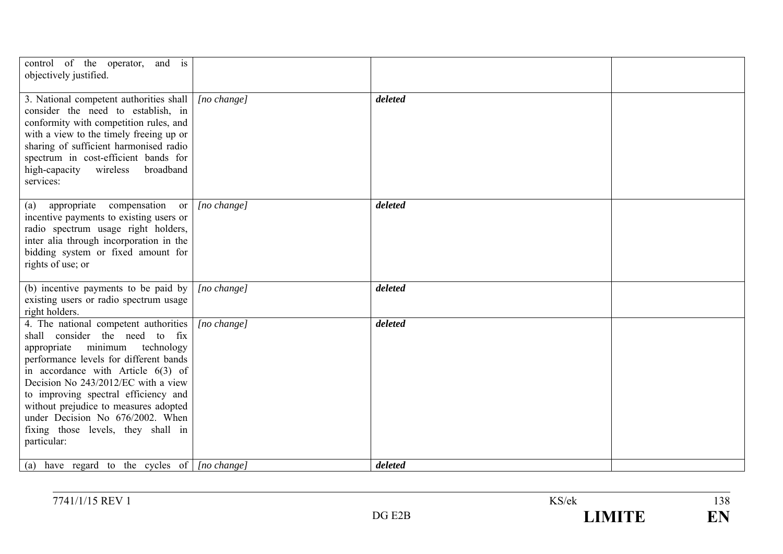| control of the operator, and is<br>objectively justified.                                                                                                                                                                                                                                                                                                                                                    |                      |         |  |
|--------------------------------------------------------------------------------------------------------------------------------------------------------------------------------------------------------------------------------------------------------------------------------------------------------------------------------------------------------------------------------------------------------------|----------------------|---------|--|
| 3. National competent authorities shall<br>consider the need to establish, in<br>conformity with competition rules, and<br>with a view to the timely freeing up or<br>sharing of sufficient harmonised radio<br>spectrum in cost-efficient bands for<br>high-capacity<br>wireless<br>broadband<br>services:                                                                                                  | [no change]          | deleted |  |
| appropriate compensation or<br>(a)<br>incentive payments to existing users or<br>radio spectrum usage right holders,<br>inter alia through incorporation in the<br>bidding system or fixed amount for<br>rights of use; or                                                                                                                                                                                   | [no change]          | deleted |  |
| (b) incentive payments to be paid by<br>existing users or radio spectrum usage<br>right holders.                                                                                                                                                                                                                                                                                                             | $[no \space change]$ | deleted |  |
| 4. The national competent authorities<br>shall consider the need to fix<br>appropriate minimum technology<br>performance levels for different bands<br>in accordance with Article $6(3)$ of<br>Decision No 243/2012/EC with a view<br>to improving spectral efficiency and<br>without prejudice to measures adopted<br>under Decision No 676/2002. When<br>fixing those levels, they shall in<br>particular: | $[no \space change]$ | deleted |  |
| (a) have regard to the cycles of $ $ [no change]                                                                                                                                                                                                                                                                                                                                                             |                      | deleted |  |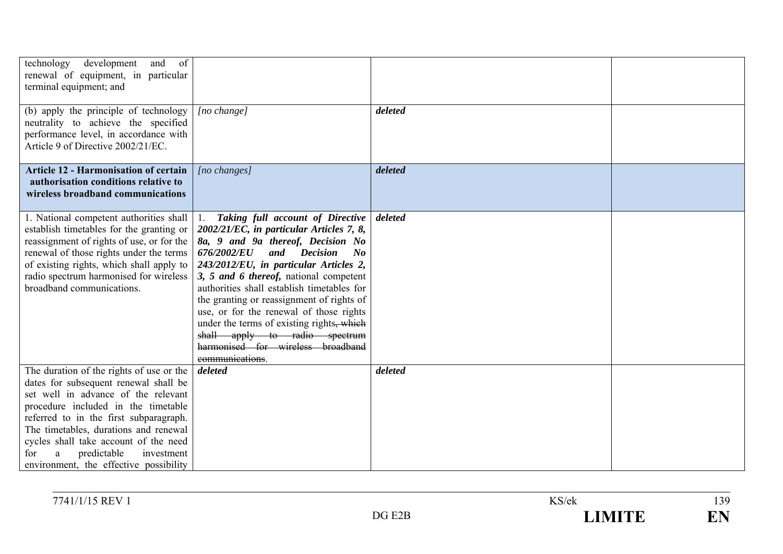| technology<br>development<br>and of<br>renewal of equipment, in particular<br>terminal equipment; and                                                                                                                                                                                                                                                                          |                                                                                                                                                                                                                                                                                                                                                                                                                                                                                                                                        |         |  |
|--------------------------------------------------------------------------------------------------------------------------------------------------------------------------------------------------------------------------------------------------------------------------------------------------------------------------------------------------------------------------------|----------------------------------------------------------------------------------------------------------------------------------------------------------------------------------------------------------------------------------------------------------------------------------------------------------------------------------------------------------------------------------------------------------------------------------------------------------------------------------------------------------------------------------------|---------|--|
| (b) apply the principle of technology<br>neutrality to achieve the specified<br>performance level, in accordance with<br>Article 9 of Directive 2002/21/EC.                                                                                                                                                                                                                    | $[no \space change]$                                                                                                                                                                                                                                                                                                                                                                                                                                                                                                                   | deleted |  |
| <b>Article 12 - Harmonisation of certain</b><br>authorisation conditions relative to<br>wireless broadband communications                                                                                                                                                                                                                                                      | [no changes]                                                                                                                                                                                                                                                                                                                                                                                                                                                                                                                           | deleted |  |
| 1. National competent authorities shall<br>establish timetables for the granting or<br>reassignment of rights of use, or for the<br>renewal of those rights under the terms<br>of existing rights, which shall apply to<br>radio spectrum harmonised for wireless<br>broadband communications.                                                                                 | 1. Taking full account of Directive<br>2002/21/EC, in particular Articles 7, 8,<br>8a, 9 and 9a thereof, Decision No<br>and Decision<br><i>676/2002/EU</i><br>$\bm{N}$<br>243/2012/EU, in particular Articles 2,<br>3, 5 and 6 thereof, national competent<br>authorities shall establish timetables for<br>the granting or reassignment of rights of<br>use, or for the renewal of those rights<br>under the terms of existing rights, which<br>shall apply to radio spectrum<br>harmonised for wireless broadband<br>communications. | deleted |  |
| The duration of the rights of use or the<br>dates for subsequent renewal shall be<br>set well in advance of the relevant<br>procedure included in the timetable<br>referred to in the first subparagraph.<br>The timetables, durations and renewal<br>cycles shall take account of the need<br>predictable<br>investment<br>for<br>a<br>environment, the effective possibility | deleted                                                                                                                                                                                                                                                                                                                                                                                                                                                                                                                                | deleted |  |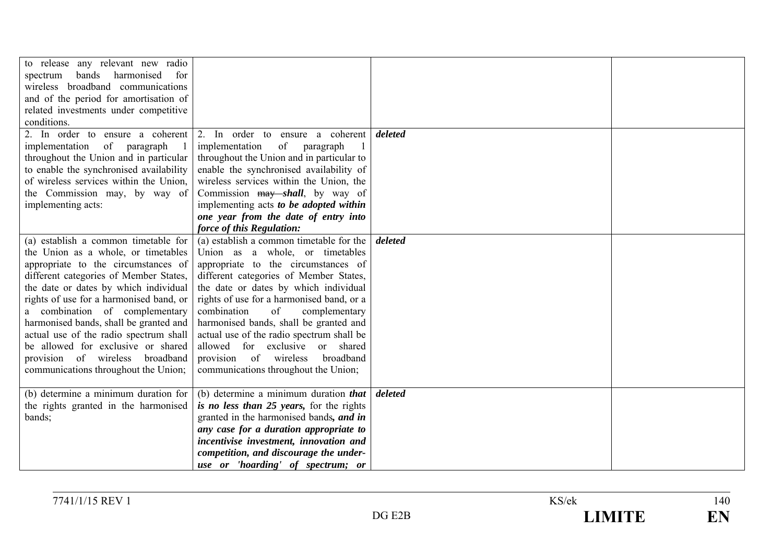| to release any relevant new radio<br>bands<br>harmonised<br>spectrum<br>for<br>wireless broadband communications<br>and of the period for amortisation of<br>related investments under competitive<br>conditions.                                                                                                                                                                                                                                                                          |                                                                                                                                                                                                                                                                                                                                                                                                                                                                                                                                  |         |  |
|--------------------------------------------------------------------------------------------------------------------------------------------------------------------------------------------------------------------------------------------------------------------------------------------------------------------------------------------------------------------------------------------------------------------------------------------------------------------------------------------|----------------------------------------------------------------------------------------------------------------------------------------------------------------------------------------------------------------------------------------------------------------------------------------------------------------------------------------------------------------------------------------------------------------------------------------------------------------------------------------------------------------------------------|---------|--|
| 2. In order to ensure a coherent<br>of paragraph<br>implementation<br>throughout the Union and in particular<br>to enable the synchronised availability<br>of wireless services within the Union,<br>the Commission may, by way of<br>implementing acts:                                                                                                                                                                                                                                   | 2. In order to ensure a coherent<br>of<br>implementation<br>paragraph<br>throughout the Union and in particular to<br>enable the synchronised availability of<br>wireless services within the Union, the<br>Commission may shall, by way of<br>implementing acts to be adopted within<br>one year from the date of entry into                                                                                                                                                                                                    | deleted |  |
| (a) establish a common timetable for<br>the Union as a whole, or timetables<br>appropriate to the circumstances of<br>different categories of Member States,<br>the date or dates by which individual<br>rights of use for a harmonised band, or<br>a combination of complementary<br>harmonised bands, shall be granted and<br>actual use of the radio spectrum shall<br>be allowed for exclusive or shared<br>provision of wireless<br>broadband<br>communications throughout the Union; | force of this Regulation:<br>(a) establish a common timetable for the<br>Union as a whole, or timetables<br>appropriate to the circumstances of<br>different categories of Member States,<br>the date or dates by which individual<br>rights of use for a harmonised band, or a<br>combination<br>of<br>complementary<br>harmonised bands, shall be granted and<br>actual use of the radio spectrum shall be<br>allowed for exclusive<br>or shared<br>provision of wireless<br>broadband<br>communications throughout the Union; | deleted |  |
| (b) determine a minimum duration for<br>the rights granted in the harmonised<br>bands;                                                                                                                                                                                                                                                                                                                                                                                                     | (b) determine a minimum duration <i>that</i><br>is no less than 25 years, for the rights<br>granted in the harmonised bands, and in<br>any case for a duration appropriate to<br>incentivise investment, innovation and<br>competition, and discourage the under-<br>use or 'hoarding' of spectrum; or                                                                                                                                                                                                                           | deleted |  |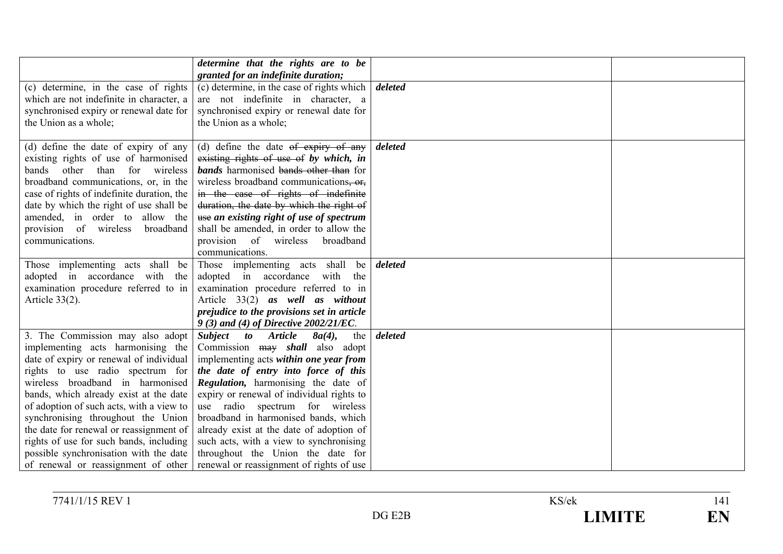|                                                                                                                                                                                                                                                                                                                                                                                                                                                                                             | determine that the rights are to be                                                                                                                                                                                                                                                                                                                                                                                                                                                                          |         |  |
|---------------------------------------------------------------------------------------------------------------------------------------------------------------------------------------------------------------------------------------------------------------------------------------------------------------------------------------------------------------------------------------------------------------------------------------------------------------------------------------------|--------------------------------------------------------------------------------------------------------------------------------------------------------------------------------------------------------------------------------------------------------------------------------------------------------------------------------------------------------------------------------------------------------------------------------------------------------------------------------------------------------------|---------|--|
|                                                                                                                                                                                                                                                                                                                                                                                                                                                                                             | granted for an indefinite duration;                                                                                                                                                                                                                                                                                                                                                                                                                                                                          |         |  |
| (c) determine, in the case of rights<br>which are not indefinite in character, a<br>synchronised expiry or renewal date for<br>the Union as a whole;                                                                                                                                                                                                                                                                                                                                        | (c) determine, in the case of rights which<br>are not indefinite in character, a<br>synchronised expiry or renewal date for<br>the Union as a whole;                                                                                                                                                                                                                                                                                                                                                         | deleted |  |
| (d) define the date of expiry of any<br>existing rights of use of harmonised<br>than<br>for wireless<br>bands other<br>broadband communications, or, in the<br>case of rights of indefinite duration, the<br>date by which the right of use shall be<br>amended, in order to allow the<br>provision of wireless<br>broadband<br>communications.                                                                                                                                             | (d) define the date $ef$ expiry of any<br>existing rights of use of by which, in<br><b>bands</b> harmonised bands other than for<br>wireless broadband communications, or,<br>in the case of rights of indefinite<br>duration, the date by which the right of<br>use an existing right of use of spectrum<br>shall be amended, in order to allow the<br>provision of wireless broadband<br>communications.                                                                                                   | deleted |  |
| Those implementing acts shall be<br>adopted in accordance with the<br>examination procedure referred to in<br>Article $33(2)$ .                                                                                                                                                                                                                                                                                                                                                             | Those implementing acts shall be<br>adopted in accordance with the<br>examination procedure referred to in<br>Article 33(2) as well as without<br>prejudice to the provisions set in article<br>9 (3) and (4) of Directive 2002/21/EC.                                                                                                                                                                                                                                                                       | deleted |  |
| 3. The Commission may also adopt<br>implementing acts harmonising the<br>date of expiry or renewal of individual<br>rights to use radio spectrum for<br>wireless broadband in harmonised<br>bands, which already exist at the date<br>of adoption of such acts, with a view to<br>synchronising throughout the Union<br>the date for renewal or reassignment of<br>rights of use for such bands, including<br>possible synchronisation with the date<br>of renewal or reassignment of other | Subject to<br><b>Article</b><br>$8a(4)$ ,<br>the<br>Commission may shall also adopt<br>implementing acts within one year from<br>the date of entry into force of this<br>Regulation, harmonising the date of<br>expiry or renewal of individual rights to<br>use radio spectrum for wireless<br>broadband in harmonised bands, which<br>already exist at the date of adoption of<br>such acts, with a view to synchronising<br>throughout the Union the date for<br>renewal or reassignment of rights of use | deleted |  |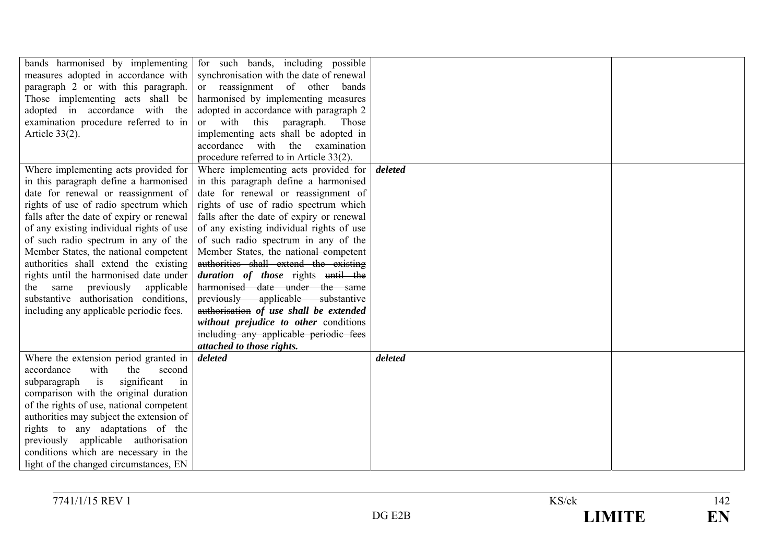| bands harmonised by implementing          | for such bands, including possible        |         |  |
|-------------------------------------------|-------------------------------------------|---------|--|
| measures adopted in accordance with       | synchronisation with the date of renewal  |         |  |
| paragraph 2 or with this paragraph.       | or reassignment of other bands            |         |  |
| Those implementing acts shall be          | harmonised by implementing measures       |         |  |
| adopted in accordance with the            | adopted in accordance with paragraph 2    |         |  |
| examination procedure referred to in      | or with this paragraph.<br>Those          |         |  |
| Article $33(2)$ .                         | implementing acts shall be adopted in     |         |  |
|                                           | accordance with the examination           |         |  |
|                                           | procedure referred to in Article 33(2).   |         |  |
| Where implementing acts provided for      | Where implementing acts provided for      | deleted |  |
| in this paragraph define a harmonised     | in this paragraph define a harmonised     |         |  |
| date for renewal or reassignment of       | date for renewal or reassignment of       |         |  |
| rights of use of radio spectrum which     | rights of use of radio spectrum which     |         |  |
| falls after the date of expiry or renewal | falls after the date of expiry or renewal |         |  |
| of any existing individual rights of use  | of any existing individual rights of use  |         |  |
| of such radio spectrum in any of the      | of such radio spectrum in any of the      |         |  |
| Member States, the national competent     | Member States, the national competent     |         |  |
| authorities shall extend the existing     | authorities shall extend the existing     |         |  |
| rights until the harmonised date under    | duration of those rights until the        |         |  |
| the same previously applicable            | harmonised date under the same            |         |  |
| substantive authorisation conditions,     | previously applicable substantive         |         |  |
| including any applicable periodic fees.   | authorisation of use shall be extended    |         |  |
|                                           | without prejudice to other conditions     |         |  |
|                                           | including any applicable periodic fees    |         |  |
|                                           | attached to those rights.                 |         |  |
| Where the extension period granted in     | deleted                                   | deleted |  |
| accordance<br>with<br>the<br>second       |                                           |         |  |
| is<br>significant<br>subparagraph<br>in   |                                           |         |  |
| comparison with the original duration     |                                           |         |  |
| of the rights of use, national competent  |                                           |         |  |
| authorities may subject the extension of  |                                           |         |  |
| rights to any adaptations of the          |                                           |         |  |
| previously applicable authorisation       |                                           |         |  |
| conditions which are necessary in the     |                                           |         |  |
| light of the changed circumstances, EN    |                                           |         |  |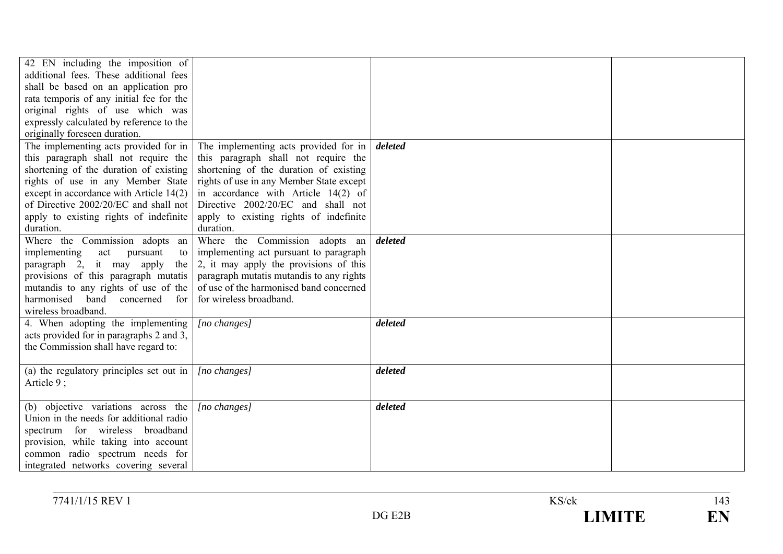| 42 EN including the imposition of<br>additional fees. These additional fees<br>shall be based on an application pro<br>rata temporis of any initial fee for the<br>original rights of use which was<br>expressly calculated by reference to the<br>originally foreseen duration. |                                                                                                                                                                                                                                                                                                                                                       |         |  |
|----------------------------------------------------------------------------------------------------------------------------------------------------------------------------------------------------------------------------------------------------------------------------------|-------------------------------------------------------------------------------------------------------------------------------------------------------------------------------------------------------------------------------------------------------------------------------------------------------------------------------------------------------|---------|--|
| this paragraph shall not require the<br>shortening of the duration of existing<br>rights of use in any Member State<br>except in accordance with Article 14(2)<br>of Directive 2002/20/EC and shall not<br>apply to existing rights of indefinite<br>duration.                   | The implementing acts provided for in $\vert$ The implementing acts provided for in<br>this paragraph shall not require the<br>shortening of the duration of existing<br>rights of use in any Member State except<br>in accordance with Article 14(2) of<br>Directive 2002/20/EC and shall not<br>apply to existing rights of indefinite<br>duration. | deleted |  |
| Where the Commission adopts an<br>implementing<br>act<br>pursuant<br>to<br>paragraph 2, it may apply<br>the 1<br>provisions of this paragraph mutatis<br>mutandis to any rights of use of the<br>harmonised band concerned<br>for<br>wireless broadband.                         | Where the Commission adopts an<br>implementing act pursuant to paragraph<br>2, it may apply the provisions of this<br>paragraph mutatis mutandis to any rights<br>of use of the harmonised band concerned<br>for wireless broadband.                                                                                                                  | deleted |  |
| 4. When adopting the implementing<br>acts provided for in paragraphs 2 and 3,<br>the Commission shall have regard to:                                                                                                                                                            | $[no\ changes]$                                                                                                                                                                                                                                                                                                                                       | deleted |  |
| (a) the regulatory principles set out in $\vert$<br>Article 9;                                                                                                                                                                                                                   | [no changes]                                                                                                                                                                                                                                                                                                                                          | deleted |  |
| (b) objective variations across the<br>Union in the needs for additional radio<br>spectrum for wireless broadband<br>provision, while taking into account<br>common radio spectrum needs for<br>integrated networks covering several                                             | $[no\ changes]$                                                                                                                                                                                                                                                                                                                                       | deleted |  |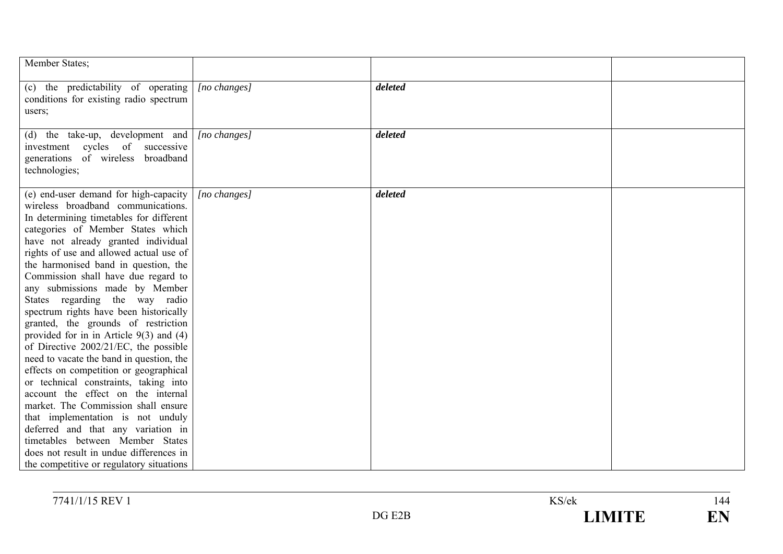| Member States;                                                                                                                                                                                                                                                                                                                                                                                                                                                                                                                                                                                                                                                                                                                                                                                                                                                                                                                                                                                 |                  |         |  |
|------------------------------------------------------------------------------------------------------------------------------------------------------------------------------------------------------------------------------------------------------------------------------------------------------------------------------------------------------------------------------------------------------------------------------------------------------------------------------------------------------------------------------------------------------------------------------------------------------------------------------------------------------------------------------------------------------------------------------------------------------------------------------------------------------------------------------------------------------------------------------------------------------------------------------------------------------------------------------------------------|------------------|---------|--|
| (c) the predictability of operating<br>conditions for existing radio spectrum<br>users;                                                                                                                                                                                                                                                                                                                                                                                                                                                                                                                                                                                                                                                                                                                                                                                                                                                                                                        | [no changes]     | deleted |  |
| (d) the take-up, development and<br>investment cycles of<br>successive<br>generations of wireless broadband<br>technologies;                                                                                                                                                                                                                                                                                                                                                                                                                                                                                                                                                                                                                                                                                                                                                                                                                                                                   | $[no\, changes]$ | deleted |  |
| (e) end-user demand for high-capacity<br>wireless broadband communications.<br>In determining timetables for different<br>categories of Member States which<br>have not already granted individual<br>rights of use and allowed actual use of<br>the harmonised band in question, the<br>Commission shall have due regard to<br>any submissions made by Member<br>States regarding the way radio<br>spectrum rights have been historically<br>granted, the grounds of restriction<br>provided for in in Article $9(3)$ and $(4)$<br>of Directive $2002/21/EC$ , the possible<br>need to vacate the band in question, the<br>effects on competition or geographical<br>or technical constraints, taking into<br>account the effect on the internal<br>market. The Commission shall ensure<br>that implementation is not unduly<br>deferred and that any variation in<br>timetables between Member States<br>does not result in undue differences in<br>the competitive or regulatory situations | $[no\ changes]$  | deleted |  |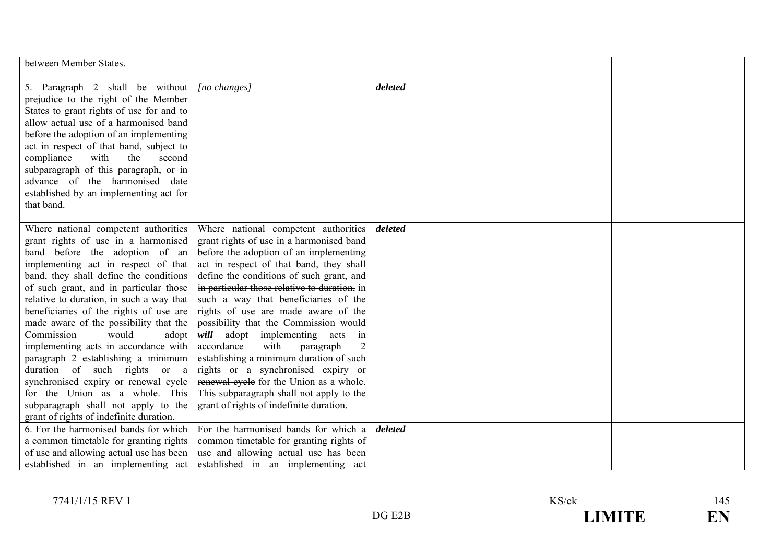| between Member States.                                                                                                                                                                                                                                                                                                                                                                                                                                                                                                                                                                                                                                                             |                                                                                                                                                                                                                                                                                                                                                                                                                                                                                                                                                                                                                                                                                    |         |  |
|------------------------------------------------------------------------------------------------------------------------------------------------------------------------------------------------------------------------------------------------------------------------------------------------------------------------------------------------------------------------------------------------------------------------------------------------------------------------------------------------------------------------------------------------------------------------------------------------------------------------------------------------------------------------------------|------------------------------------------------------------------------------------------------------------------------------------------------------------------------------------------------------------------------------------------------------------------------------------------------------------------------------------------------------------------------------------------------------------------------------------------------------------------------------------------------------------------------------------------------------------------------------------------------------------------------------------------------------------------------------------|---------|--|
| 5. Paragraph 2 shall be without<br>prejudice to the right of the Member<br>States to grant rights of use for and to<br>allow actual use of a harmonised band<br>before the adoption of an implementing<br>act in respect of that band, subject to<br>compliance<br>with<br>the<br>second<br>subparagraph of this paragraph, or in<br>advance of the harmonised date<br>established by an implementing act for<br>that band.                                                                                                                                                                                                                                                        | $[no\ changes]$                                                                                                                                                                                                                                                                                                                                                                                                                                                                                                                                                                                                                                                                    | deleted |  |
| Where national competent authorities<br>grant rights of use in a harmonised<br>band before the adoption of an<br>implementing act in respect of that<br>band, they shall define the conditions<br>of such grant, and in particular those<br>relative to duration, in such a way that<br>beneficiaries of the rights of use are<br>made aware of the possibility that the<br>Commission<br>would<br>adopt<br>implementing acts in accordance with<br>paragraph 2 establishing a minimum<br>duration of such rights or a<br>synchronised expiry or renewal cycle<br>for the Union as a whole. This<br>subparagraph shall not apply to the<br>grant of rights of indefinite duration. | Where national competent authorities<br>grant rights of use in a harmonised band<br>before the adoption of an implementing<br>act in respect of that band, they shall<br>define the conditions of such grant, and<br>in particular those relative to duration, in<br>such a way that beneficiaries of the<br>rights of use are made aware of the<br>possibility that the Commission would<br>will adopt implementing acts in<br>accordance<br>with<br>paragraph<br>establishing a minimum duration of such<br>rights or a synchronised expiry or<br>renewal cycle for the Union as a whole.<br>This subparagraph shall not apply to the<br>grant of rights of indefinite duration. | deleted |  |
| 6. For the harmonised bands for which<br>a common timetable for granting rights<br>of use and allowing actual use has been<br>established in an implementing act                                                                                                                                                                                                                                                                                                                                                                                                                                                                                                                   | For the harmonised bands for which a<br>common timetable for granting rights of<br>use and allowing actual use has been<br>established in an implementing act                                                                                                                                                                                                                                                                                                                                                                                                                                                                                                                      | deleted |  |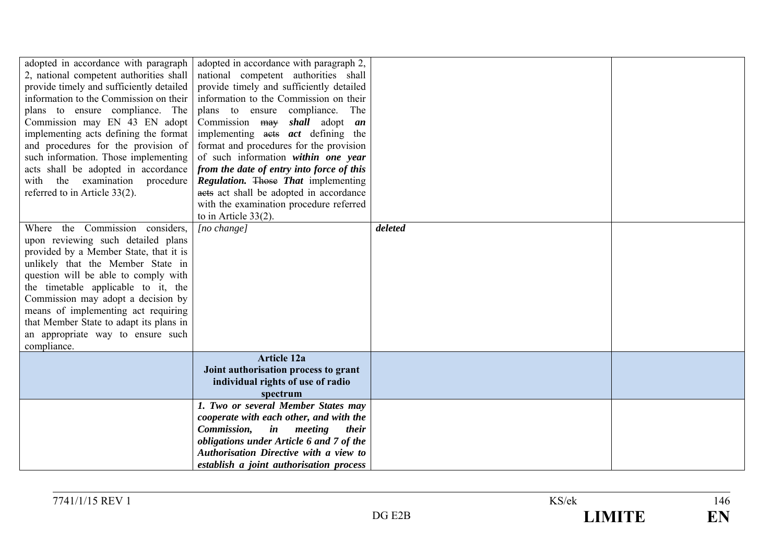| adopted in accordance with paragraph     | adopted in accordance with paragraph 2,                 |         |  |
|------------------------------------------|---------------------------------------------------------|---------|--|
| 2, national competent authorities shall  | national competent authorities shall                    |         |  |
| provide timely and sufficiently detailed | provide timely and sufficiently detailed                |         |  |
| information to the Commission on their   | information to the Commission on their                  |         |  |
| plans to ensure compliance. The          | plans to ensure compliance. The                         |         |  |
| Commission may EN 43 EN adopt            | Commission may shall adopt an                           |         |  |
| implementing acts defining the format    | implementing acts <i>act</i> defining the               |         |  |
| and procedures for the provision of      | format and procedures for the provision                 |         |  |
| such information. Those implementing     | of such information within one year                     |         |  |
| acts shall be adopted in accordance      | from the date of entry into force of this               |         |  |
| the examination procedure<br>with        | <b>Regulation.</b> Those That implementing              |         |  |
| referred to in Article 33(2).            | aets act shall be adopted in accordance                 |         |  |
|                                          | with the examination procedure referred                 |         |  |
|                                          | to in Article $33(2)$ .                                 |         |  |
| Where the Commission considers,          | [no change]                                             | deleted |  |
| upon reviewing such detailed plans       |                                                         |         |  |
| provided by a Member State, that it is   |                                                         |         |  |
| unlikely that the Member State in        |                                                         |         |  |
| question will be able to comply with     |                                                         |         |  |
| the timetable applicable to it, the      |                                                         |         |  |
| Commission may adopt a decision by       |                                                         |         |  |
| means of implementing act requiring      |                                                         |         |  |
| that Member State to adapt its plans in  |                                                         |         |  |
| an appropriate way to ensure such        |                                                         |         |  |
| compliance.                              |                                                         |         |  |
|                                          | <b>Article 12a</b>                                      |         |  |
|                                          | Joint authorisation process to grant                    |         |  |
|                                          | individual rights of use of radio                       |         |  |
|                                          | spectrum                                                |         |  |
|                                          | 1. Two or several Member States may                     |         |  |
|                                          | cooperate with each other, and with the                 |         |  |
|                                          | <i>in meeting</i><br><i>Commission,</i><br><i>their</i> |         |  |
|                                          | obligations under Article 6 and 7 of the                |         |  |
|                                          | Authorisation Directive with a view to                  |         |  |
|                                          | establish a joint authorisation process                 |         |  |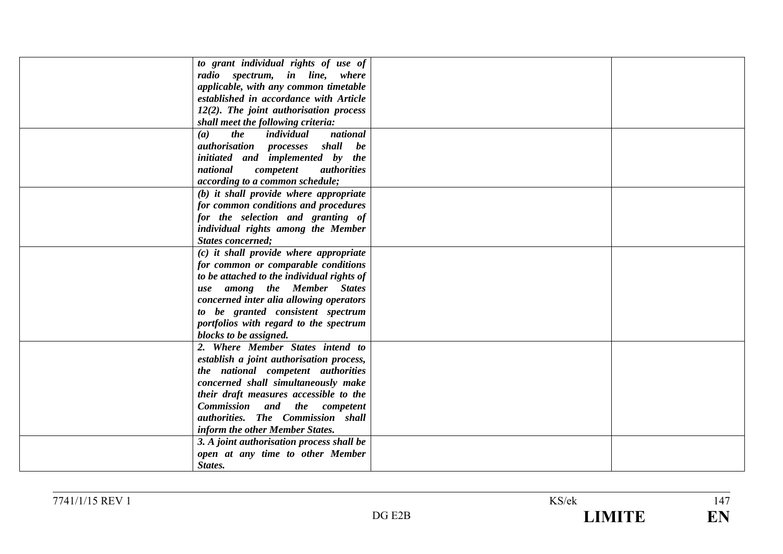| to grant individual rights of use of        |  |
|---------------------------------------------|--|
| radio spectrum, in line, where              |  |
| applicable, with any common timetable       |  |
| established in accordance with Article      |  |
| 12(2). The joint authorisation process      |  |
| shall meet the following criteria:          |  |
| the<br>national<br>individual<br>(a)        |  |
| <i>authorisation processes</i><br>shall be  |  |
| initiated and implemented by the            |  |
| national<br>competent<br><i>authorities</i> |  |
| according to a common schedule;             |  |
| (b) it shall provide where appropriate      |  |
| for common conditions and procedures        |  |
| for the selection and granting of           |  |
| individual rights among the Member          |  |
| <b>States concerned;</b>                    |  |
| $(c)$ it shall provide where appropriate    |  |
| for common or comparable conditions         |  |
| to be attached to the individual rights of  |  |
| use among the Member States                 |  |
| concerned inter alia allowing operators     |  |
| to be granted consistent spectrum           |  |
| portfolios with regard to the spectrum      |  |
| blocks to be assigned.                      |  |
| 2. Where Member States intend to            |  |
| establish a joint authorisation process,    |  |
| the national competent authorities          |  |
| concerned shall simultaneously make         |  |
| their draft measures accessible to the      |  |
| Commission and the competent                |  |
| authorities. The Commission shall           |  |
| inform the other Member States.             |  |
| 3. A joint authorisation process shall be   |  |
| open at any time to other Member            |  |
| States.                                     |  |
|                                             |  |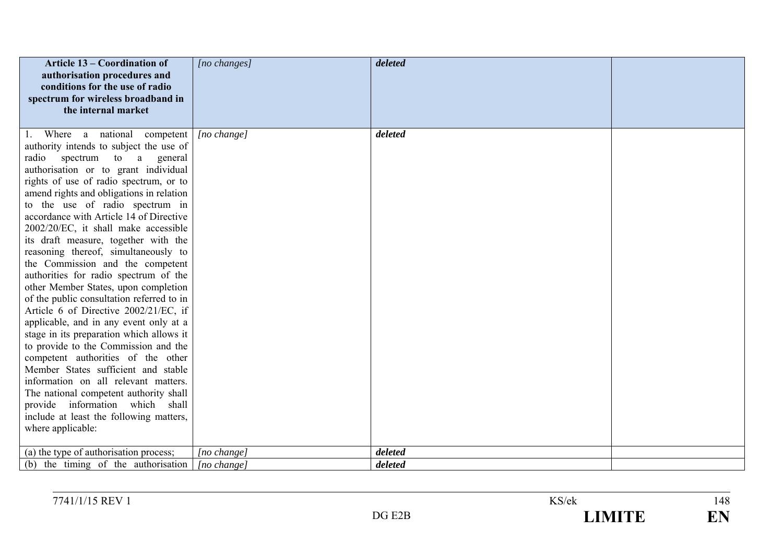| Article 13 – Coordination of<br>authorisation procedures and<br>conditions for the use of radio<br>spectrum for wireless broadband in<br>the internal market                                                                                                                                                                                                                                                                                                                                                                                                                                                                                                                                                                                                                                                                                                                                                                                                                                                                                                 | [no changes]               | deleted            |  |
|--------------------------------------------------------------------------------------------------------------------------------------------------------------------------------------------------------------------------------------------------------------------------------------------------------------------------------------------------------------------------------------------------------------------------------------------------------------------------------------------------------------------------------------------------------------------------------------------------------------------------------------------------------------------------------------------------------------------------------------------------------------------------------------------------------------------------------------------------------------------------------------------------------------------------------------------------------------------------------------------------------------------------------------------------------------|----------------------------|--------------------|--|
| 1. Where a national competent<br>authority intends to subject the use of<br>spectrum to a<br>radio<br>general<br>authorisation or to grant individual<br>rights of use of radio spectrum, or to<br>amend rights and obligations in relation<br>to the use of radio spectrum in<br>accordance with Article 14 of Directive<br>2002/20/EC, it shall make accessible<br>its draft measure, together with the<br>reasoning thereof, simultaneously to<br>the Commission and the competent<br>authorities for radio spectrum of the<br>other Member States, upon completion<br>of the public consultation referred to in<br>Article 6 of Directive 2002/21/EC, if<br>applicable, and in any event only at a<br>stage in its preparation which allows it<br>to provide to the Commission and the<br>competent authorities of the other<br>Member States sufficient and stable<br>information on all relevant matters.<br>The national competent authority shall<br>provide information which shall<br>include at least the following matters,<br>where applicable: | [no change]                | deleted            |  |
| (a) the type of authorisation process;<br>(b) the timing of the authorisation                                                                                                                                                                                                                                                                                                                                                                                                                                                                                                                                                                                                                                                                                                                                                                                                                                                                                                                                                                                | [no change]<br>[no change] | deleted<br>deleted |  |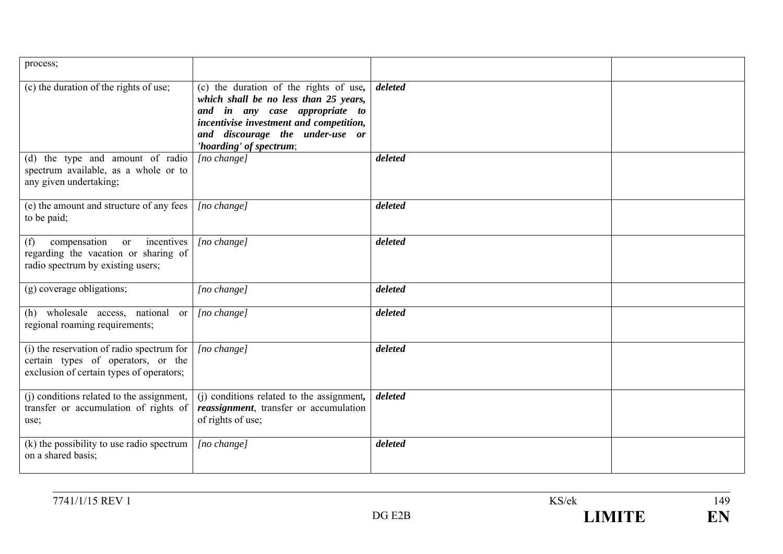| process;                                                                                                                    |                                                                                                                                                                                                                            |         |  |
|-----------------------------------------------------------------------------------------------------------------------------|----------------------------------------------------------------------------------------------------------------------------------------------------------------------------------------------------------------------------|---------|--|
| (c) the duration of the rights of use;                                                                                      | (c) the duration of the rights of use,<br>which shall be no less than 25 years,<br>and in any case appropriate to<br>incentivise investment and competition,<br>and discourage the under-use or<br>'hoarding' of spectrum; | deleted |  |
| (d) the type and amount of radio<br>spectrum available, as a whole or to<br>any given undertaking;                          | $[no \space change]$                                                                                                                                                                                                       | deleted |  |
| (e) the amount and structure of any fees<br>to be paid;                                                                     | $[no \space change]$                                                                                                                                                                                                       | deleted |  |
| compensation or<br>incentives<br>(f)<br>regarding the vacation or sharing of<br>radio spectrum by existing users;           | [no change]                                                                                                                                                                                                                | deleted |  |
| (g) coverage obligations;                                                                                                   | [no change]                                                                                                                                                                                                                | deleted |  |
| (h) wholesale access, national or<br>regional roaming requirements;                                                         | [no change]                                                                                                                                                                                                                | deleted |  |
| (i) the reservation of radio spectrum for<br>certain types of operators, or the<br>exclusion of certain types of operators; | $[no \space change]$                                                                                                                                                                                                       | deleted |  |
| (j) conditions related to the assignment,<br>transfer or accumulation of rights of<br>use;                                  | (j) conditions related to the assignment,<br>reassignment, transfer or accumulation<br>of rights of use;                                                                                                                   | deleted |  |
| (k) the possibility to use radio spectrum<br>on a shared basis;                                                             | $[no \space change]$                                                                                                                                                                                                       | deleted |  |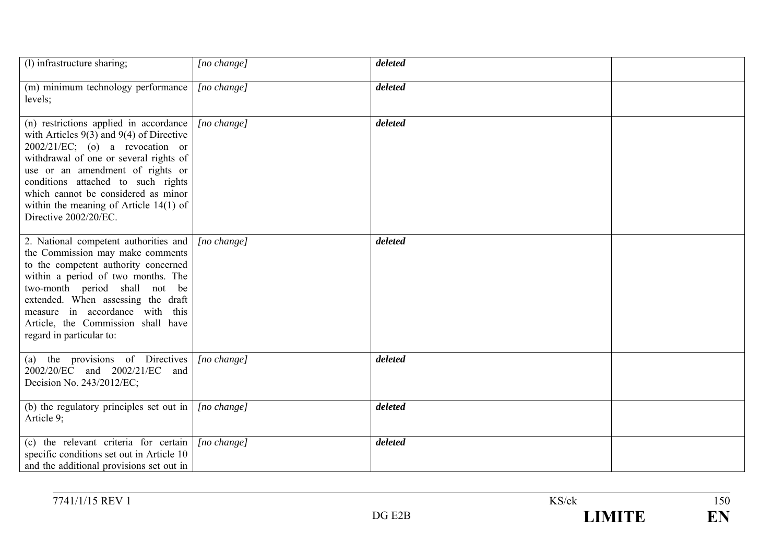| (l) infrastructure sharing;                                                                                                                                                                                                                                                                                                                                  | [no change]          | deleted |  |
|--------------------------------------------------------------------------------------------------------------------------------------------------------------------------------------------------------------------------------------------------------------------------------------------------------------------------------------------------------------|----------------------|---------|--|
| (m) minimum technology performance<br>levels;                                                                                                                                                                                                                                                                                                                | [no change]          | deleted |  |
| (n) restrictions applied in accordance<br>with Articles $9(3)$ and $9(4)$ of Directive<br>$2002/21/EC$ ; (o) a revocation or<br>withdrawal of one or several rights of<br>use or an amendment of rights or<br>conditions attached to such rights<br>which cannot be considered as minor<br>within the meaning of Article $14(1)$ of<br>Directive 2002/20/EC. | $[no \space change]$ | deleted |  |
| 2. National competent authorities and<br>the Commission may make comments<br>to the competent authority concerned<br>within a period of two months. The<br>two-month period shall not be<br>extended. When assessing the draft<br>measure in accordance with this<br>Article, the Commission shall have<br>regard in particular to:                          | $[no \ change]$      | deleted |  |
| (a) the provisions of Directives<br>2002/20/EC and 2002/21/EC and<br>Decision No. 243/2012/EC;                                                                                                                                                                                                                                                               | [no change]          | deleted |  |
| (b) the regulatory principles set out in<br>Article 9;                                                                                                                                                                                                                                                                                                       | $[no \space change]$ | deleted |  |
| (c) the relevant criteria for certain<br>specific conditions set out in Article 10<br>and the additional provisions set out in                                                                                                                                                                                                                               | $[no \space change]$ | deleted |  |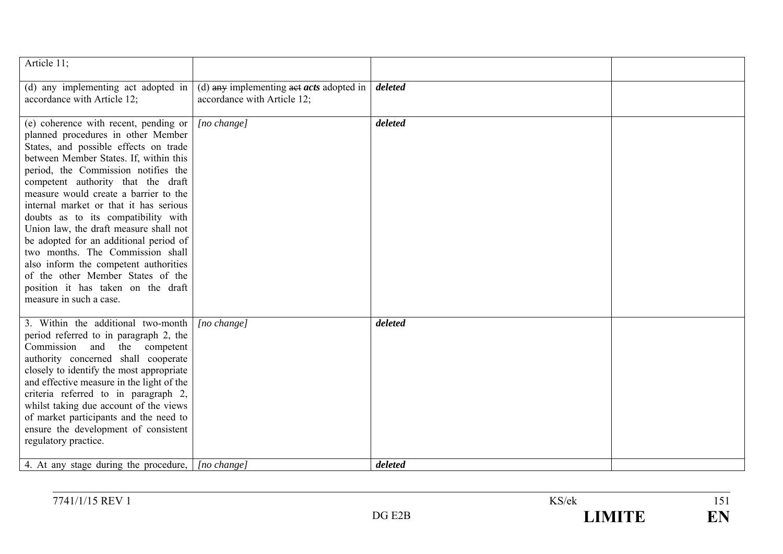| Article 11;                                                                                                                                                                                                                                                                                                                                                                                                                                                                                                                                                                                                                                  |                                                                                   |         |  |
|----------------------------------------------------------------------------------------------------------------------------------------------------------------------------------------------------------------------------------------------------------------------------------------------------------------------------------------------------------------------------------------------------------------------------------------------------------------------------------------------------------------------------------------------------------------------------------------------------------------------------------------------|-----------------------------------------------------------------------------------|---------|--|
| (d) any implementing act adopted in<br>accordance with Article 12;                                                                                                                                                                                                                                                                                                                                                                                                                                                                                                                                                                           | (d) any implementing $\frac{1}{4}$ acts adopted in<br>accordance with Article 12; | deleted |  |
| (e) coherence with recent, pending or<br>planned procedures in other Member<br>States, and possible effects on trade<br>between Member States. If, within this<br>period, the Commission notifies the<br>competent authority that the draft<br>measure would create a barrier to the<br>internal market or that it has serious<br>doubts as to its compatibility with<br>Union law, the draft measure shall not<br>be adopted for an additional period of<br>two months. The Commission shall<br>also inform the competent authorities<br>of the other Member States of the<br>position it has taken on the draft<br>measure in such a case. | [no change]                                                                       | deleted |  |
| 3. Within the additional two-month<br>period referred to in paragraph 2, the<br>Commission and<br>the competent<br>authority concerned shall cooperate<br>closely to identify the most appropriate<br>and effective measure in the light of the<br>criteria referred to in paragraph 2,<br>whilst taking due account of the views<br>of market participants and the need to<br>ensure the development of consistent<br>regulatory practice.                                                                                                                                                                                                  | [no change]                                                                       | deleted |  |
| 4. At any stage during the procedure,                                                                                                                                                                                                                                                                                                                                                                                                                                                                                                                                                                                                        | [no change]                                                                       | deleted |  |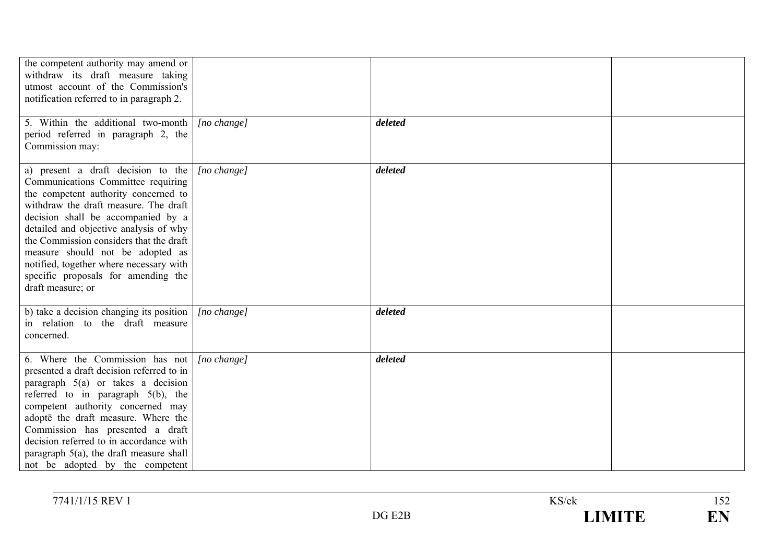| the competent authority may amend or<br>withdraw its draft measure taking<br>utmost account of the Commission's<br>notification referred to in paragraph 2.                                                                                                                                                                                                                                                                     |                      |         |  |
|---------------------------------------------------------------------------------------------------------------------------------------------------------------------------------------------------------------------------------------------------------------------------------------------------------------------------------------------------------------------------------------------------------------------------------|----------------------|---------|--|
| 5. Within the additional two-month<br>period referred in paragraph 2, the<br>Commission may:                                                                                                                                                                                                                                                                                                                                    | [no change]          | deleted |  |
| a) present a draft decision to the<br>Communications Committee requiring<br>the competent authority concerned to<br>withdraw the draft measure. The draft<br>decision shall be accompanied by a<br>detailed and objective analysis of why<br>the Commission considers that the draft<br>measure should not be adopted as<br>notified, together where necessary with<br>specific proposals for amending the<br>draft measure; or | $[no \space change]$ | deleted |  |
| b) take a decision changing its position<br>in relation to the draft measure<br>concerned.                                                                                                                                                                                                                                                                                                                                      | [no change]          | deleted |  |
| 6. Where the Commission has not<br>presented a draft decision referred to in<br>paragraph $5(a)$ or takes a decision<br>referred to in paragraph $5(b)$ , the<br>competent authority concerned may<br>adopte the draft measure. Where the<br>Commission has presented a draft<br>decision referred to in accordance with<br>paragraph $5(a)$ , the draft measure shall<br>not be adopted by the competent                       | [no change]          | deleted |  |

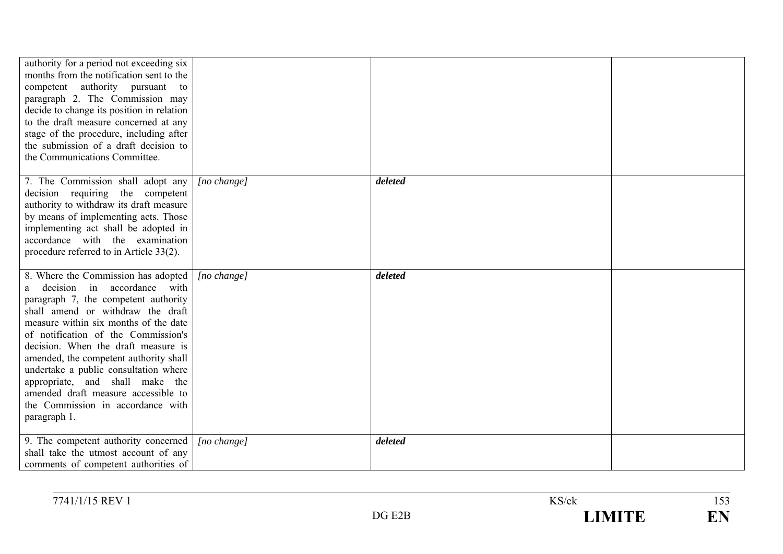| authority for a period not exceeding six<br>months from the notification sent to the<br>competent authority pursuant to<br>paragraph 2. The Commission may<br>decide to change its position in relation<br>to the draft measure concerned at any<br>stage of the procedure, including after<br>the submission of a draft decision to<br>the Communications Committee.                                                                                                                           |             |         |  |
|-------------------------------------------------------------------------------------------------------------------------------------------------------------------------------------------------------------------------------------------------------------------------------------------------------------------------------------------------------------------------------------------------------------------------------------------------------------------------------------------------|-------------|---------|--|
| 7. The Commission shall adopt any<br>decision requiring the competent<br>authority to withdraw its draft measure<br>by means of implementing acts. Those<br>implementing act shall be adopted in<br>accordance with the examination<br>procedure referred to in Article 33(2).                                                                                                                                                                                                                  | [no change] | deleted |  |
| 8. Where the Commission has adopted<br>decision in accordance with<br>a —<br>paragraph 7, the competent authority<br>shall amend or withdraw the draft<br>measure within six months of the date<br>of notification of the Commission's<br>decision. When the draft measure is<br>amended, the competent authority shall<br>undertake a public consultation where<br>appropriate, and shall make the<br>amended draft measure accessible to<br>the Commission in accordance with<br>paragraph 1. | [no change] | deleted |  |
| 9. The competent authority concerned<br>shall take the utmost account of any<br>comments of competent authorities of                                                                                                                                                                                                                                                                                                                                                                            | [no change] | deleted |  |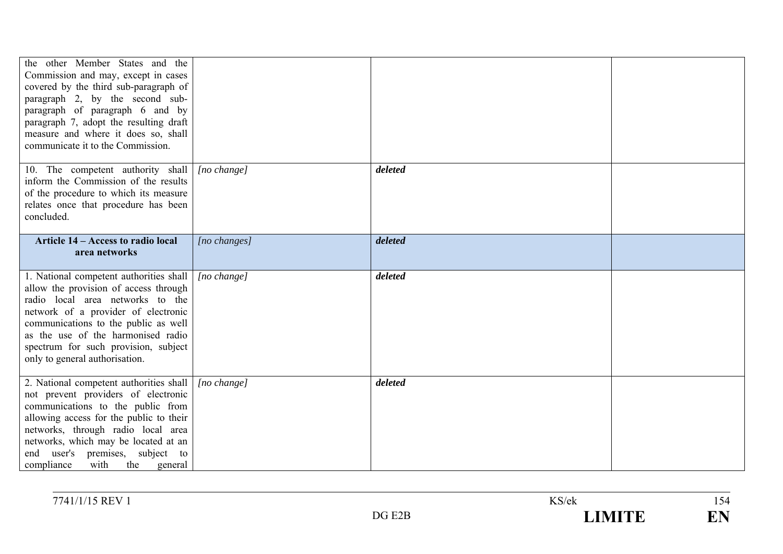| the other Member States and the<br>Commission and may, except in cases<br>covered by the third sub-paragraph of<br>paragraph 2, by the second sub-<br>paragraph of paragraph 6 and by<br>paragraph 7, adopt the resulting draft<br>measure and where it does so, shall<br>communicate it to the Commission.             |              |         |  |
|-------------------------------------------------------------------------------------------------------------------------------------------------------------------------------------------------------------------------------------------------------------------------------------------------------------------------|--------------|---------|--|
| 10. The competent authority shall<br>inform the Commission of the results<br>of the procedure to which its measure<br>relates once that procedure has been<br>concluded.                                                                                                                                                | [no change]  | deleted |  |
| Article 14 – Access to radio local<br>area networks                                                                                                                                                                                                                                                                     | [no changes] | deleted |  |
| 1. National competent authorities shall<br>allow the provision of access through<br>radio local area networks to the<br>network of a provider of electronic<br>communications to the public as well<br>as the use of the harmonised radio<br>spectrum for such provision, subject<br>only to general authorisation.     | [no change]  | deleted |  |
| 2. National competent authorities shall<br>not prevent providers of electronic<br>communications to the public from<br>allowing access for the public to their<br>networks, through radio local area<br>networks, which may be located at an<br>end user's premises, subject to<br>compliance<br>with<br>the<br>general | [no change]  | deleted |  |

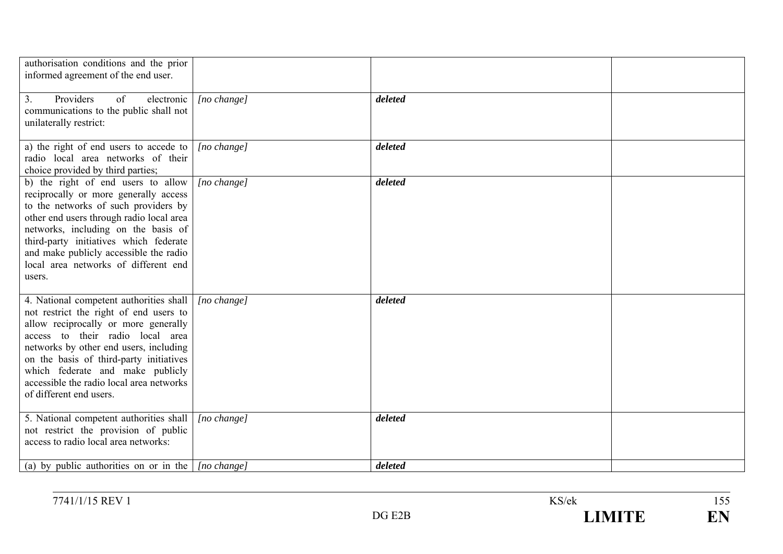| authorisation conditions and the prior<br>informed agreement of the end user.                                                                                                                                                                                                                                                                                 |                 |         |  |
|---------------------------------------------------------------------------------------------------------------------------------------------------------------------------------------------------------------------------------------------------------------------------------------------------------------------------------------------------------------|-----------------|---------|--|
| 3.<br>Providers<br>of<br>electronic<br>communications to the public shall not<br>unilaterally restrict:                                                                                                                                                                                                                                                       | [no change]     | deleted |  |
| a) the right of end users to accede to<br>radio local area networks of their<br>choice provided by third parties;                                                                                                                                                                                                                                             | $[no \ change]$ | deleted |  |
| b) the right of end users to allow<br>reciprocally or more generally access<br>to the networks of such providers by<br>other end users through radio local area<br>networks, including on the basis of<br>third-party initiatives which federate<br>and make publicly accessible the radio<br>local area networks of different end<br>users.                  | [no change]     | deleted |  |
| 4. National competent authorities shall<br>not restrict the right of end users to<br>allow reciprocally or more generally<br>access to their radio local area<br>networks by other end users, including<br>on the basis of third-party initiatives<br>which federate and make publicly<br>accessible the radio local area networks<br>of different end users. | [no change]     | deleted |  |
| 5. National competent authorities shall<br>not restrict the provision of public<br>access to radio local area networks:                                                                                                                                                                                                                                       | [no change]     | deleted |  |
| (a) by public authorities on or in the $ $ [no change]                                                                                                                                                                                                                                                                                                        |                 | deleted |  |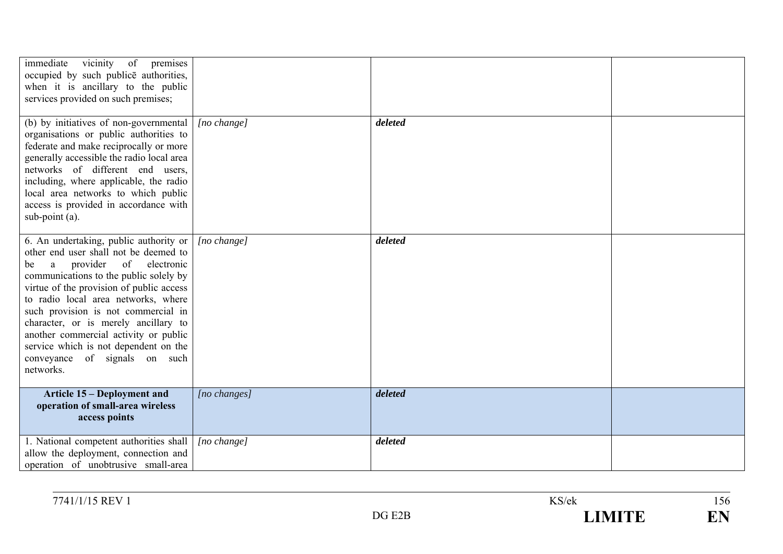| immediate<br>vicinity<br>of premises<br>occupied by such publice authorities,<br>when it is ancillary to the public<br>services provided on such premises;                                                                                                                                                                                                                                                                                                       |                      |         |  |
|------------------------------------------------------------------------------------------------------------------------------------------------------------------------------------------------------------------------------------------------------------------------------------------------------------------------------------------------------------------------------------------------------------------------------------------------------------------|----------------------|---------|--|
| (b) by initiatives of non-governmental<br>organisations or public authorities to<br>federate and make reciprocally or more<br>generally accessible the radio local area<br>networks of different end users,<br>including, where applicable, the radio<br>local area networks to which public<br>access is provided in accordance with<br>sub-point $(a)$ .                                                                                                       | [no change]          | deleted |  |
| 6. An undertaking, public authority or<br>other end user shall not be deemed to<br>provider of electronic<br>a<br>be<br>communications to the public solely by<br>virtue of the provision of public access<br>to radio local area networks, where<br>such provision is not commercial in<br>character, or is merely ancillary to<br>another commercial activity or public<br>service which is not dependent on the<br>conveyance of signals on such<br>networks. | $[no \space change]$ | deleted |  |
| Article 15 – Deployment and<br>operation of small-area wireless<br>access points                                                                                                                                                                                                                                                                                                                                                                                 | $[no \; changes]$    | deleted |  |
| 1. National competent authorities shall<br>allow the deployment, connection and<br>operation of unobtrusive small-area                                                                                                                                                                                                                                                                                                                                           | $[no \space change]$ | deleted |  |

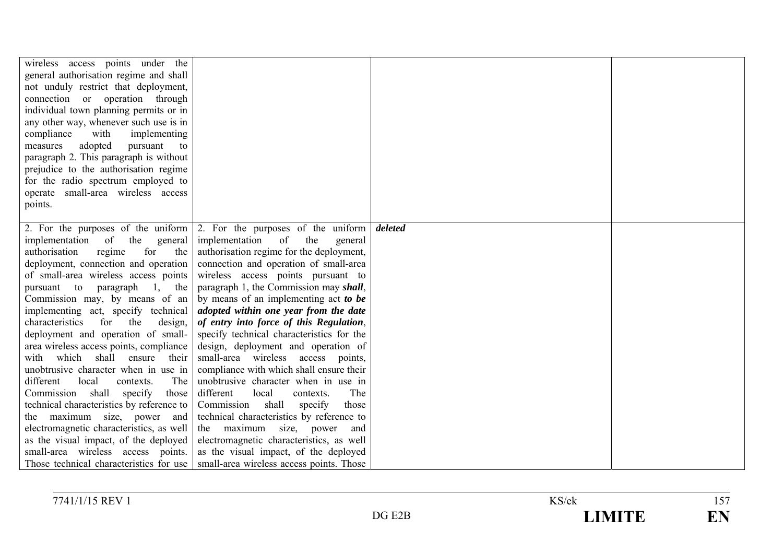| wireless access points under the<br>general authorisation regime and shall<br>not unduly restrict that deployment,<br>connection or operation through<br>individual town planning permits or in |                                                                                               |         |  |
|-------------------------------------------------------------------------------------------------------------------------------------------------------------------------------------------------|-----------------------------------------------------------------------------------------------|---------|--|
| any other way, whenever such use is in                                                                                                                                                          |                                                                                               |         |  |
| compliance<br>with<br>implementing<br>adopted<br>measures<br>pursuant<br>to                                                                                                                     |                                                                                               |         |  |
| paragraph 2. This paragraph is without                                                                                                                                                          |                                                                                               |         |  |
| prejudice to the authorisation regime                                                                                                                                                           |                                                                                               |         |  |
| for the radio spectrum employed to<br>operate small-area wireless access                                                                                                                        |                                                                                               |         |  |
| points.                                                                                                                                                                                         |                                                                                               |         |  |
|                                                                                                                                                                                                 |                                                                                               |         |  |
|                                                                                                                                                                                                 | 2. For the purposes of the uniform $\vert$ 2. For the purposes of the uniform                 | deleted |  |
| implementation<br>of<br>the<br>general<br>regime<br>authorisation<br>for<br>the                                                                                                                 | implementation<br><sub>of</sub><br>the<br>general<br>authorisation regime for the deployment, |         |  |
| deployment, connection and operation                                                                                                                                                            | connection and operation of small-area                                                        |         |  |
| of small-area wireless access points                                                                                                                                                            | wireless access points pursuant to                                                            |         |  |
| pursuant to<br>paragraph 1, the                                                                                                                                                                 | paragraph 1, the Commission may shall,                                                        |         |  |
| Commission may, by means of an                                                                                                                                                                  | by means of an implementing act to be                                                         |         |  |
| implementing act, specify technical<br>for<br>characteristics<br>the<br>design,                                                                                                                 | adopted within one year from the date<br>of entry into force of this Regulation,              |         |  |
| deployment and operation of small-                                                                                                                                                              | specify technical characteristics for the                                                     |         |  |
| area wireless access points, compliance                                                                                                                                                         | design, deployment and operation of                                                           |         |  |
| which<br>shall<br>ensure<br>their<br>with                                                                                                                                                       | small-area wireless access points,                                                            |         |  |
| unobtrusive character when in use in                                                                                                                                                            | compliance with which shall ensure their                                                      |         |  |
| different<br>local<br>The<br>contexts.<br>shall specify<br>Commission<br>those                                                                                                                  | unobtrusive character when in use in<br>different<br>The<br>local<br>contexts.                |         |  |
| technical characteristics by reference to                                                                                                                                                       | Commission shall<br>specify<br>those                                                          |         |  |
| the maximum size, power and                                                                                                                                                                     | technical characteristics by reference to                                                     |         |  |
| electromagnetic characteristics, as well                                                                                                                                                        | the maximum size, power<br>and                                                                |         |  |
| as the visual impact, of the deployed                                                                                                                                                           | electromagnetic characteristics, as well                                                      |         |  |
| small-area wireless access points.                                                                                                                                                              | as the visual impact, of the deployed                                                         |         |  |
|                                                                                                                                                                                                 | Those technical characteristics for use   small-area wireless access points. Those            |         |  |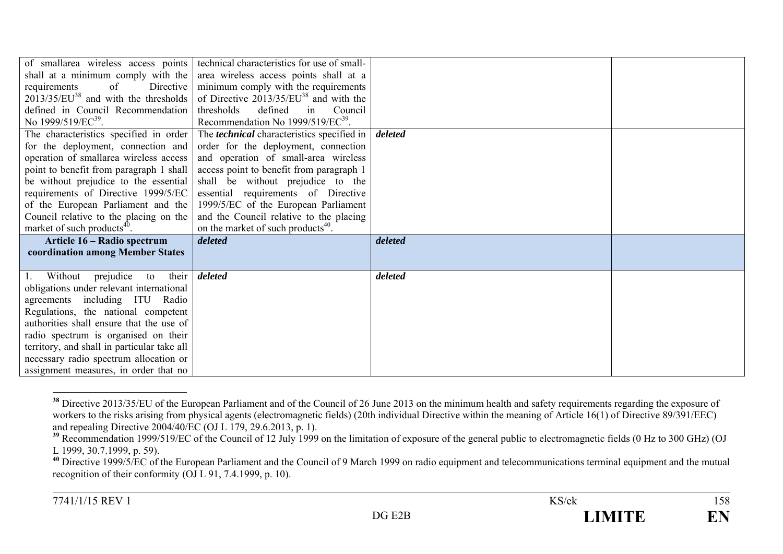| of smallarea wireless access points         | technical characteristics for use of small-       |         |  |
|---------------------------------------------|---------------------------------------------------|---------|--|
| shall at a minimum comply with the          | area wireless access points shall at a            |         |  |
| of<br>Directive  <br>requirements           | minimum comply with the requirements              |         |  |
| $2013/35/EU^{38}$ and with the thresholds   | of Directive $2013/35/EU^{38}$ and with the       |         |  |
| defined in Council Recommendation           | thresholds defined<br>Council<br>in               |         |  |
| No 1999/519/EC <sup>39</sup> .              | Recommendation No 1999/519/EC <sup>39</sup> .     |         |  |
| The characteristics specified in order      | The <i>technical</i> characteristics specified in | deleted |  |
| for the deployment, connection and          | order for the deployment, connection              |         |  |
| operation of smallarea wireless access      | and operation of small-area wireless              |         |  |
| point to benefit from paragraph 1 shall     | access point to benefit from paragraph 1          |         |  |
| be without prejudice to the essential       | shall be without prejudice to the                 |         |  |
| requirements of Directive 1999/5/EC         | essential requirements of Directive               |         |  |
| of the European Parliament and the          | 1999/5/EC of the European Parliament              |         |  |
| Council relative to the placing on the      | and the Council relative to the placing           |         |  |
| market of such products <sup>40</sup> .     | on the market of such products <sup>40</sup> .    |         |  |
| Article 16 – Radio spectrum                 | deleted                                           | deleted |  |
| coordination among Member States            |                                                   |         |  |
|                                             |                                                   |         |  |
| 1. Without prejudice<br>their<br>to         | deleted                                           | deleted |  |
| obligations under relevant international    |                                                   |         |  |
| agreements including ITU Radio              |                                                   |         |  |
| Regulations, the national competent         |                                                   |         |  |
| authorities shall ensure that the use of    |                                                   |         |  |
| radio spectrum is organised on their        |                                                   |         |  |
| territory, and shall in particular take all |                                                   |         |  |
| necessary radio spectrum allocation or      |                                                   |         |  |
| assignment measures, in order that no       |                                                   |         |  |

<sup>&</sup>lt;sup>38</sup> Directive 2013/35/EU of the European Parliament and of the Council of 26 June 2013 on the minimum health and safety requirements regarding the exposure of workers to the risks arising from physical agents (electromagnetic fields) (20th individual Directive within the meaning of Article 16(1) of Directive 89/391/EEC) and repealing Directive  $2004/40/\overline{EC}$  (OJ L 179, 29.6.2013, p. 1).

<sup>&</sup>lt;sup>39</sup> Recommendation 1999/519/EC of the Council of 12 July 1999 on the limitation of exposure of the general public to electromagnetic fields (0 Hz to 300 GHz) (OJ L 1999, 30.7.1999, p. 59).

**<sup>40</sup>** Directive 1999/5/EC of the European Parliament and the Council of 9 March 1999 on radio equipment and telecommunications terminal equipment and the mutual recognition of their conformity  $(OJ L 91, 7.4.1999, p. 10)$ .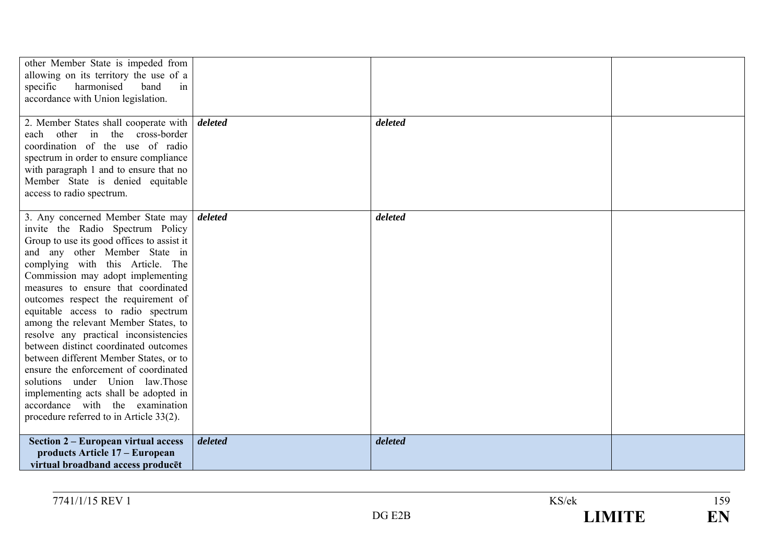| other Member State is impeded from<br>allowing on its territory the use of a<br>harmonised<br>in<br>band<br>specific<br>accordance with Union legislation.                                                                                                                                                                                                                                                                                                                                                                                                                                                                                                                                                                |         |         |  |
|---------------------------------------------------------------------------------------------------------------------------------------------------------------------------------------------------------------------------------------------------------------------------------------------------------------------------------------------------------------------------------------------------------------------------------------------------------------------------------------------------------------------------------------------------------------------------------------------------------------------------------------------------------------------------------------------------------------------------|---------|---------|--|
| 2. Member States shall cooperate with<br>each other in the cross-border<br>coordination of the use of radio<br>spectrum in order to ensure compliance<br>with paragraph 1 and to ensure that no<br>Member State is denied equitable<br>access to radio spectrum.                                                                                                                                                                                                                                                                                                                                                                                                                                                          | deleted | deleted |  |
| 3. Any concerned Member State may<br>invite the Radio Spectrum Policy<br>Group to use its good offices to assist it<br>and any other Member State in<br>complying with this Article. The<br>Commission may adopt implementing<br>measures to ensure that coordinated<br>outcomes respect the requirement of<br>equitable access to radio spectrum<br>among the relevant Member States, to<br>resolve any practical inconsistencies<br>between distinct coordinated outcomes<br>between different Member States, or to<br>ensure the enforcement of coordinated<br>solutions under Union law. Those<br>implementing acts shall be adopted in<br>accordance with the examination<br>procedure referred to in Article 33(2). | deleted | deleted |  |
| Section 2 – European virtual access<br>products Article 17 – European<br>virtual broadband access producet                                                                                                                                                                                                                                                                                                                                                                                                                                                                                                                                                                                                                | deleted | deleted |  |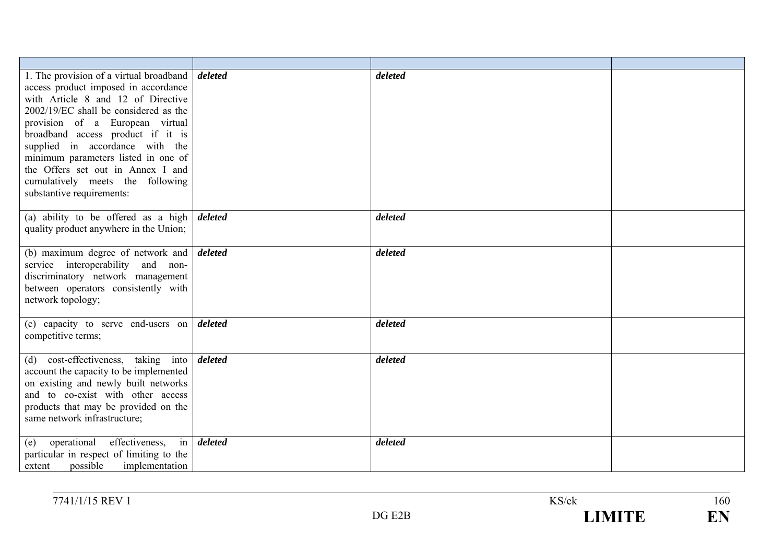| 1. The provision of a virtual broadband<br>access product imposed in accordance<br>with Article 8 and 12 of Directive<br>2002/19/EC shall be considered as the<br>provision of a European virtual<br>broadband access product if it is<br>supplied in accordance with the<br>minimum parameters listed in one of<br>the Offers set out in Annex I and<br>cumulatively meets the following<br>substantive requirements: | deleted | deleted |  |
|------------------------------------------------------------------------------------------------------------------------------------------------------------------------------------------------------------------------------------------------------------------------------------------------------------------------------------------------------------------------------------------------------------------------|---------|---------|--|
| (a) ability to be offered as a high<br>quality product anywhere in the Union;                                                                                                                                                                                                                                                                                                                                          | deleted | deleted |  |
| (b) maximum degree of network and<br>service interoperability and non-<br>discriminatory network management<br>between operators consistently with<br>network topology;                                                                                                                                                                                                                                                | deleted | deleted |  |
| (c) capacity to serve end-users on<br>competitive terms;                                                                                                                                                                                                                                                                                                                                                               | deleted | deleted |  |
| (d) cost-effectiveness, taking into<br>account the capacity to be implemented<br>on existing and newly built networks<br>and to co-exist with other access<br>products that may be provided on the<br>same network infrastructure;                                                                                                                                                                                     | deleted | deleted |  |
| operational<br>effectiveness,<br>$\overline{\text{in}}$<br>(e)<br>particular in respect of limiting to the<br>possible<br>implementation<br>extent                                                                                                                                                                                                                                                                     | deleted | deleted |  |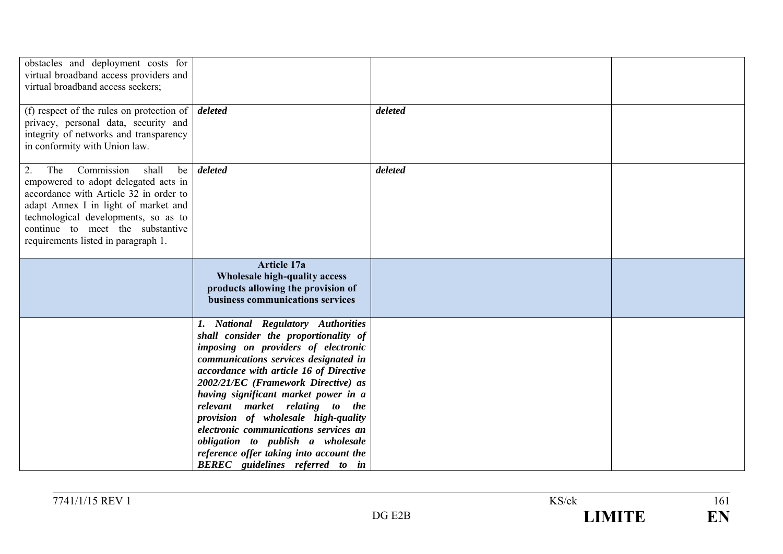| obstacles and deployment costs for<br>virtual broadband access providers and<br>virtual broadband access seekers;                                                                                                                                                                     |                                                                                                                                                                                                                                                                                                                                                                                                                                                                                                                                    |         |  |
|---------------------------------------------------------------------------------------------------------------------------------------------------------------------------------------------------------------------------------------------------------------------------------------|------------------------------------------------------------------------------------------------------------------------------------------------------------------------------------------------------------------------------------------------------------------------------------------------------------------------------------------------------------------------------------------------------------------------------------------------------------------------------------------------------------------------------------|---------|--|
| (f) respect of the rules on protection of $\vert$ deleted<br>privacy, personal data, security and<br>integrity of networks and transparency<br>in conformity with Union law.                                                                                                          |                                                                                                                                                                                                                                                                                                                                                                                                                                                                                                                                    | deleted |  |
| Commission<br>shall<br>2.<br>The<br>be  <br>empowered to adopt delegated acts in<br>accordance with Article 32 in order to<br>adapt Annex I in light of market and<br>technological developments, so as to<br>continue to meet the substantive<br>requirements listed in paragraph 1. | deleted                                                                                                                                                                                                                                                                                                                                                                                                                                                                                                                            | deleted |  |
|                                                                                                                                                                                                                                                                                       | Article 17a<br>Wholesale high-quality access<br>products allowing the provision of<br>business communications services                                                                                                                                                                                                                                                                                                                                                                                                             |         |  |
|                                                                                                                                                                                                                                                                                       | 1. National Regulatory Authorities<br>shall consider the proportionality of<br>imposing on providers of electronic<br>communications services designated in<br>accordance with article 16 of Directive<br>2002/21/EC (Framework Directive) as<br>having significant market power in a<br>relevant market relating to the<br>provision of wholesale high-quality<br>electronic communications services an<br>obligation to publish a wholesale<br>reference offer taking into account the<br><b>BEREC</b> guidelines referred to in |         |  |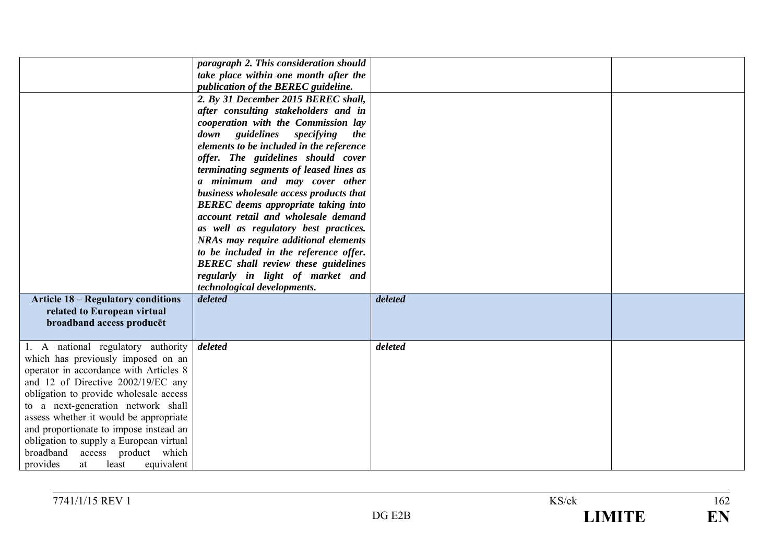|                                                                                                                                                                                                                                                                                                                                                                                                                                                       | paragraph 2. This consideration should<br>take place within one month after the<br>publication of the BEREC guideline.<br>2. By 31 December 2015 BEREC shall,<br>after consulting stakeholders and in<br>cooperation with the Commission lay<br>down guidelines<br>specifying<br>the<br>elements to be included in the reference<br>offer. The guidelines should cover<br>terminating segments of leased lines as<br>a minimum and may cover other<br>business wholesale access products that<br><b>BEREC</b> deems appropriate taking into<br>account retail and wholesale demand<br>as well as regulatory best practices.<br><b>NRAs may require additional elements</b><br>to be included in the reference offer.<br><b>BEREC</b> shall review these guidelines<br>regularly in light of market and<br>technological developments. |         |  |
|-------------------------------------------------------------------------------------------------------------------------------------------------------------------------------------------------------------------------------------------------------------------------------------------------------------------------------------------------------------------------------------------------------------------------------------------------------|---------------------------------------------------------------------------------------------------------------------------------------------------------------------------------------------------------------------------------------------------------------------------------------------------------------------------------------------------------------------------------------------------------------------------------------------------------------------------------------------------------------------------------------------------------------------------------------------------------------------------------------------------------------------------------------------------------------------------------------------------------------------------------------------------------------------------------------|---------|--|
| <b>Article 18 - Regulatory conditions</b><br>related to European virtual<br>broadband access producet                                                                                                                                                                                                                                                                                                                                                 | deleted                                                                                                                                                                                                                                                                                                                                                                                                                                                                                                                                                                                                                                                                                                                                                                                                                               | deleted |  |
| 1. A national regulatory authority<br>which has previously imposed on an<br>operator in accordance with Articles 8<br>and 12 of Directive 2002/19/EC any<br>obligation to provide wholesale access<br>to a next-generation network shall<br>assess whether it would be appropriate<br>and proportionate to impose instead an<br>obligation to supply a European virtual<br>broadband<br>access product which<br>provides<br>least<br>equivalent<br>at | deleted                                                                                                                                                                                                                                                                                                                                                                                                                                                                                                                                                                                                                                                                                                                                                                                                                               | deleted |  |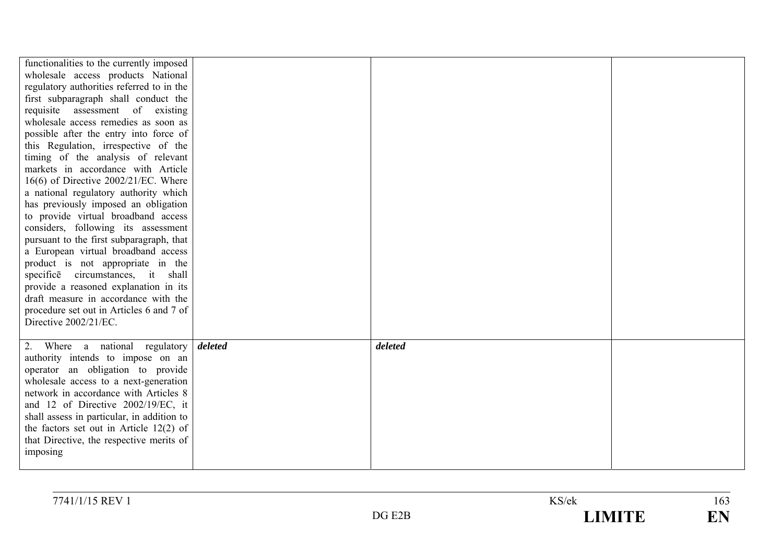| functionalities to the currently imposed<br>wholesale access products National<br>regulatory authorities referred to in the<br>first subparagraph shall conduct the<br>requisite assessment of existing<br>wholesale access remedies as soon as<br>possible after the entry into force of<br>this Regulation, irrespective of the<br>timing of the analysis of relevant<br>markets in accordance with Article<br>16(6) of Directive 2002/21/EC. Where<br>a national regulatory authority which<br>has previously imposed an obligation<br>to provide virtual broadband access<br>considers, following its assessment<br>pursuant to the first subparagraph, that<br>a European virtual broadband access<br>product is not appropriate in the<br>specifice circumstances, it shall<br>provide a reasoned explanation in its<br>draft measure in accordance with the<br>procedure set out in Articles 6 and 7 of |         |  |
|----------------------------------------------------------------------------------------------------------------------------------------------------------------------------------------------------------------------------------------------------------------------------------------------------------------------------------------------------------------------------------------------------------------------------------------------------------------------------------------------------------------------------------------------------------------------------------------------------------------------------------------------------------------------------------------------------------------------------------------------------------------------------------------------------------------------------------------------------------------------------------------------------------------|---------|--|
| Directive 2002/21/EC.                                                                                                                                                                                                                                                                                                                                                                                                                                                                                                                                                                                                                                                                                                                                                                                                                                                                                          |         |  |
| 2. Where a national regulatory <i>deleted</i><br>authority intends to impose on an<br>operator an obligation to provide<br>wholesale access to a next-generation<br>network in accordance with Articles 8<br>and 12 of Directive 2002/19/EC, it<br>shall assess in particular, in addition to<br>the factors set out in Article $12(2)$ of<br>that Directive, the respective merits of<br>imposing                                                                                                                                                                                                                                                                                                                                                                                                                                                                                                             | deleted |  |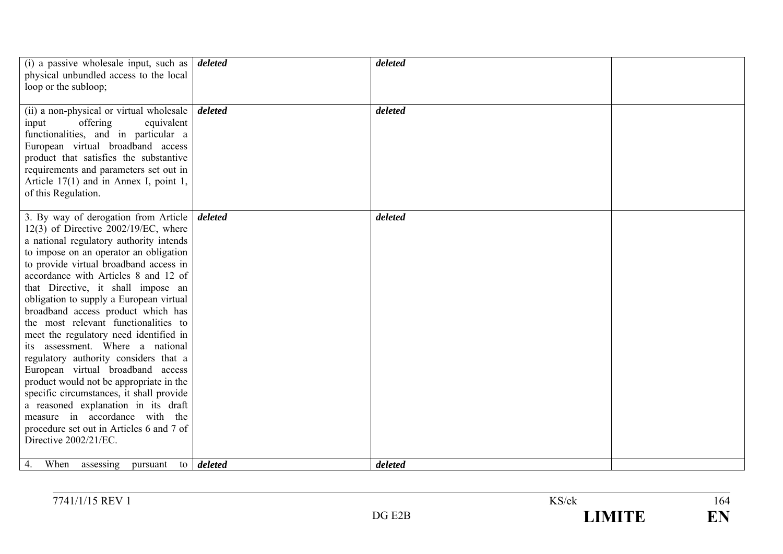| (i) a passive wholesale input, such as $\vert$ <i>deleted</i><br>physical unbundled access to the local<br>loop or the subloop;                                                                                                                                                                                                                                                                                                                                                                                                                                                                                                                                                                                                                                                                                                       |                   | deleted |  |
|---------------------------------------------------------------------------------------------------------------------------------------------------------------------------------------------------------------------------------------------------------------------------------------------------------------------------------------------------------------------------------------------------------------------------------------------------------------------------------------------------------------------------------------------------------------------------------------------------------------------------------------------------------------------------------------------------------------------------------------------------------------------------------------------------------------------------------------|-------------------|---------|--|
| (ii) a non-physical or virtual wholesale<br>offering<br>equivalent<br>input<br>functionalities, and in particular a<br>European virtual broadband access<br>product that satisfies the substantive<br>requirements and parameters set out in<br>Article $17(1)$ and in Annex I, point 1,<br>of this Regulation.                                                                                                                                                                                                                                                                                                                                                                                                                                                                                                                       | deleted           | deleted |  |
| 3. By way of derogation from Article <i>deleted</i><br>12(3) of Directive $2002/19$ /EC, where<br>a national regulatory authority intends<br>to impose on an operator an obligation<br>to provide virtual broadband access in<br>accordance with Articles 8 and 12 of<br>that Directive, it shall impose an<br>obligation to supply a European virtual<br>broadband access product which has<br>the most relevant functionalities to<br>meet the regulatory need identified in<br>its assessment. Where a national<br>regulatory authority considers that a<br>European virtual broadband access<br>product would not be appropriate in the<br>specific circumstances, it shall provide<br>a reasoned explanation in its draft<br>measure in accordance with the<br>procedure set out in Articles 6 and 7 of<br>Directive 2002/21/EC. |                   | deleted |  |
| When<br>4.<br>assessing<br>pursuant                                                                                                                                                                                                                                                                                                                                                                                                                                                                                                                                                                                                                                                                                                                                                                                                   | to <i>deleted</i> | deleted |  |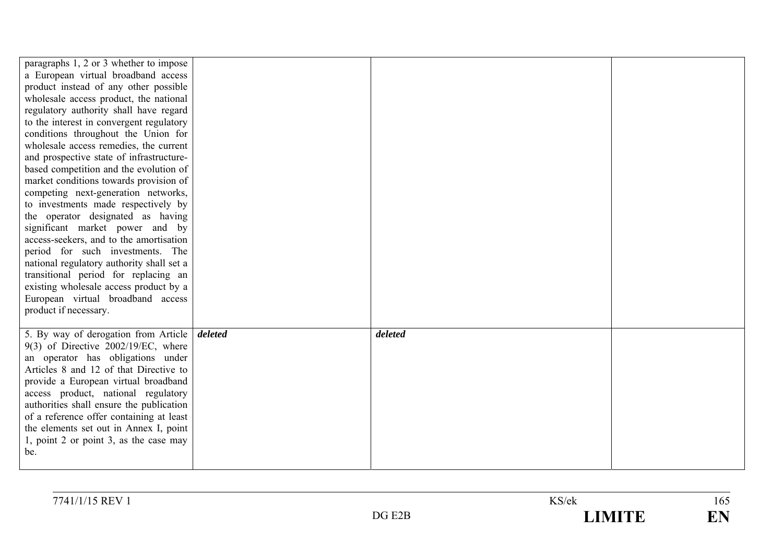| paragraphs 1, 2 or 3 whether to impose<br>a European virtual broadband access<br>product instead of any other possible<br>wholesale access product, the national<br>regulatory authority shall have regard<br>to the interest in convergent regulatory<br>conditions throughout the Union for<br>wholesale access remedies, the current<br>and prospective state of infrastructure-<br>based competition and the evolution of<br>market conditions towards provision of<br>competing next-generation networks,<br>to investments made respectively by<br>the operator designated as having<br>significant market power and by<br>access-seekers, and to the amortisation |         |  |
|--------------------------------------------------------------------------------------------------------------------------------------------------------------------------------------------------------------------------------------------------------------------------------------------------------------------------------------------------------------------------------------------------------------------------------------------------------------------------------------------------------------------------------------------------------------------------------------------------------------------------------------------------------------------------|---------|--|
| period for such investments. The<br>national regulatory authority shall set a<br>transitional period for replacing an                                                                                                                                                                                                                                                                                                                                                                                                                                                                                                                                                    |         |  |
| existing wholesale access product by a<br>European virtual broadband access<br>product if necessary.                                                                                                                                                                                                                                                                                                                                                                                                                                                                                                                                                                     |         |  |
| 5. By way of derogation from Article <i>deleted</i><br>$9(3)$ of Directive 2002/19/EC, where<br>an operator has obligations under<br>Articles 8 and 12 of that Directive to<br>provide a European virtual broadband<br>access product, national regulatory<br>authorities shall ensure the publication<br>of a reference offer containing at least<br>the elements set out in Annex I, point<br>1, point 2 or point 3, as the case may<br>be.                                                                                                                                                                                                                            | deleted |  |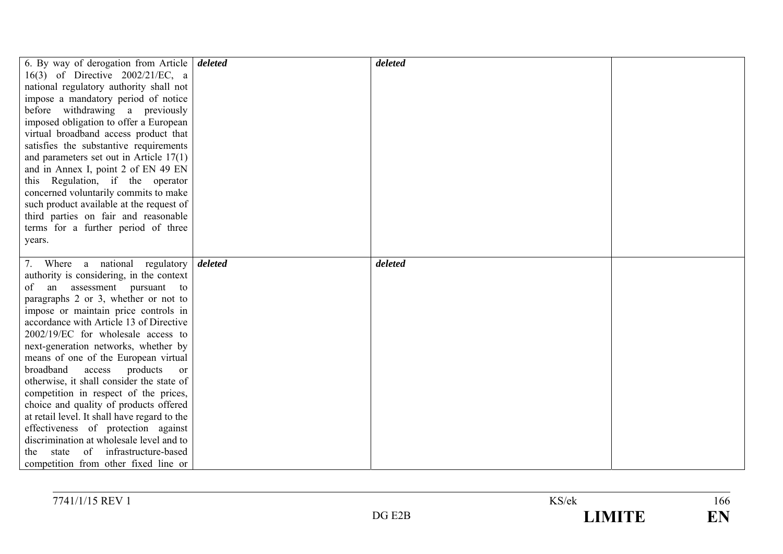| 6. By way of derogation from Article             | deleted | deleted |  |
|--------------------------------------------------|---------|---------|--|
| 16(3) of Directive 2002/21/EC, a                 |         |         |  |
| national regulatory authority shall not          |         |         |  |
| impose a mandatory period of notice              |         |         |  |
| before withdrawing a previously                  |         |         |  |
| imposed obligation to offer a European           |         |         |  |
| virtual broadband access product that            |         |         |  |
| satisfies the substantive requirements           |         |         |  |
| and parameters set out in Article $17(1)$        |         |         |  |
| and in Annex I, point 2 of EN 49 EN              |         |         |  |
| this Regulation, if the operator                 |         |         |  |
| concerned voluntarily commits to make            |         |         |  |
| such product available at the request of         |         |         |  |
| third parties on fair and reasonable             |         |         |  |
| terms for a further period of three              |         |         |  |
| years.                                           |         |         |  |
|                                                  |         |         |  |
| 7. Where a national regulatory                   | deleted | deleted |  |
| authority is considering, in the context         |         |         |  |
| of an assessment pursuant to                     |         |         |  |
| paragraphs 2 or 3, whether or not to             |         |         |  |
| impose or maintain price controls in             |         |         |  |
| accordance with Article 13 of Directive          |         |         |  |
| 2002/19/EC for wholesale access to               |         |         |  |
| next-generation networks, whether by             |         |         |  |
| means of one of the European virtual             |         |         |  |
| broadband<br>products<br>access<br><sub>or</sub> |         |         |  |
| otherwise, it shall consider the state of        |         |         |  |
| competition in respect of the prices,            |         |         |  |
| choice and quality of products offered           |         |         |  |
| at retail level. It shall have regard to the     |         |         |  |
| effectiveness of protection against              |         |         |  |
| discrimination at wholesale level and to         |         |         |  |
| infrastructure-based<br>state<br>of<br>the       |         |         |  |
| competition from other fixed line or             |         |         |  |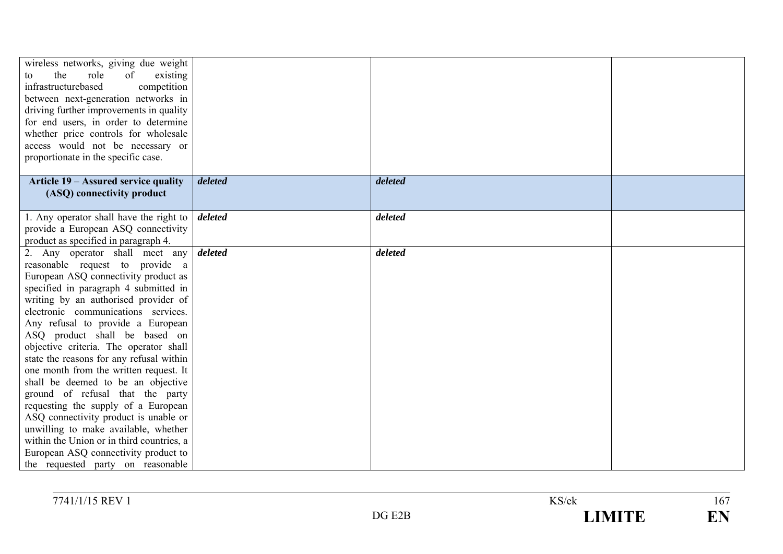| wireless networks, giving due weight<br>the<br>role<br>existing<br>of<br>to<br>infrastructurebased<br>competition<br>between next-generation networks in<br>driving further improvements in quality<br>for end users, in order to determine                                                                                                                                                                                                                                                                                                                                                                                                                                                                                                                         |         |         |  |
|---------------------------------------------------------------------------------------------------------------------------------------------------------------------------------------------------------------------------------------------------------------------------------------------------------------------------------------------------------------------------------------------------------------------------------------------------------------------------------------------------------------------------------------------------------------------------------------------------------------------------------------------------------------------------------------------------------------------------------------------------------------------|---------|---------|--|
| whether price controls for wholesale<br>access would not be necessary or<br>proportionate in the specific case.                                                                                                                                                                                                                                                                                                                                                                                                                                                                                                                                                                                                                                                     |         |         |  |
| Article 19 - Assured service quality<br>(ASQ) connectivity product                                                                                                                                                                                                                                                                                                                                                                                                                                                                                                                                                                                                                                                                                                  | deleted | deleted |  |
| 1. Any operator shall have the right to<br>provide a European ASQ connectivity<br>product as specified in paragraph 4.                                                                                                                                                                                                                                                                                                                                                                                                                                                                                                                                                                                                                                              | deleted | deleted |  |
| 2. Any operator shall meet any<br>reasonable request to provide a<br>European ASQ connectivity product as<br>specified in paragraph 4 submitted in<br>writing by an authorised provider of<br>electronic communications services.<br>Any refusal to provide a European<br>ASQ product shall be based on<br>objective criteria. The operator shall<br>state the reasons for any refusal within<br>one month from the written request. It<br>shall be deemed to be an objective<br>ground of refusal that the party<br>requesting the supply of a European<br>ASQ connectivity product is unable or<br>unwilling to make available, whether<br>within the Union or in third countries, a<br>European ASQ connectivity product to<br>the requested party on reasonable | deleted | deleted |  |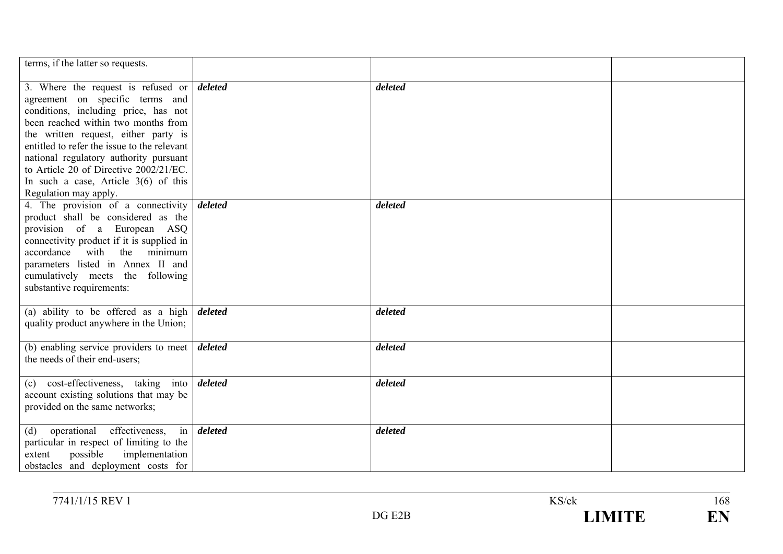| terms, if the latter so requests.                                                                                                                                                                                                                                                                                                                                                                                   |         |         |  |
|---------------------------------------------------------------------------------------------------------------------------------------------------------------------------------------------------------------------------------------------------------------------------------------------------------------------------------------------------------------------------------------------------------------------|---------|---------|--|
| 3. Where the request is refused or $\delta$ deleted<br>agreement on specific terms and<br>conditions, including price, has not<br>been reached within two months from<br>the written request, either party is<br>entitled to refer the issue to the relevant<br>national regulatory authority pursuant<br>to Article 20 of Directive 2002/21/EC.<br>In such a case, Article $3(6)$ of this<br>Regulation may apply. |         | deleted |  |
| 4. The provision of a connectivity<br>product shall be considered as the<br>provision of a European ASQ<br>connectivity product if it is supplied in<br>accordance with<br>the minimum<br>parameters listed in Annex II and<br>cumulatively meets the following<br>substantive requirements:                                                                                                                        | deleted | deleted |  |
| (a) ability to be offered as a high<br>quality product anywhere in the Union;                                                                                                                                                                                                                                                                                                                                       | deleted | deleted |  |
| (b) enabling service providers to meet<br>the needs of their end-users;                                                                                                                                                                                                                                                                                                                                             | deleted | deleted |  |
| (c) cost-effectiveness, taking<br>into<br>account existing solutions that may be<br>provided on the same networks;                                                                                                                                                                                                                                                                                                  | deleted | deleted |  |
| operational effectiveness,<br>in<br>(d)<br>particular in respect of limiting to the<br>possible<br>implementation<br>extent<br>obstacles and deployment costs for                                                                                                                                                                                                                                                   | deleted | deleted |  |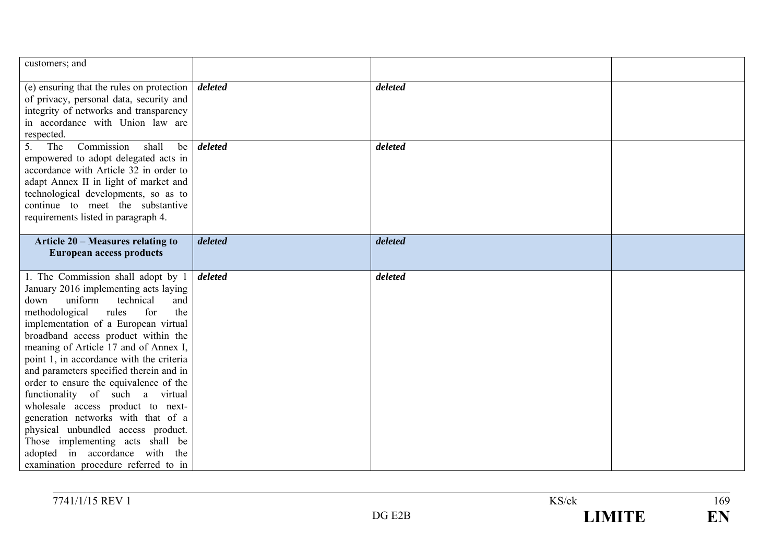| customers; and                                                                                                                                                                                                                                                                                                                                                                                                                                                                                                                                                                                                                                 |         |         |  |
|------------------------------------------------------------------------------------------------------------------------------------------------------------------------------------------------------------------------------------------------------------------------------------------------------------------------------------------------------------------------------------------------------------------------------------------------------------------------------------------------------------------------------------------------------------------------------------------------------------------------------------------------|---------|---------|--|
| (e) ensuring that the rules on protection<br>of privacy, personal data, security and<br>integrity of networks and transparency<br>in accordance with Union law are<br>respected.                                                                                                                                                                                                                                                                                                                                                                                                                                                               | deleted | deleted |  |
| Commission<br>shall<br>The<br>be<br>5.<br>empowered to adopt delegated acts in<br>accordance with Article 32 in order to<br>adapt Annex II in light of market and<br>technological developments, so as to<br>continue to meet the substantive<br>requirements listed in paragraph 4.                                                                                                                                                                                                                                                                                                                                                           | deleted | deleted |  |
| <b>Article 20 - Measures relating to</b><br><b>European access products</b>                                                                                                                                                                                                                                                                                                                                                                                                                                                                                                                                                                    | deleted | deleted |  |
| 1. The Commission shall adopt by 1<br>January 2016 implementing acts laying<br>uniform<br>technical<br>down<br>and<br>methodological<br>rules<br>for<br>the<br>implementation of a European virtual<br>broadband access product within the<br>meaning of Article 17 and of Annex I,<br>point 1, in accordance with the criteria<br>and parameters specified therein and in<br>order to ensure the equivalence of the<br>functionality of such a virtual<br>wholesale access product to next-<br>generation networks with that of a<br>physical unbundled access product.<br>Those implementing acts shall be<br>adopted in accordance with the | deleted | deleted |  |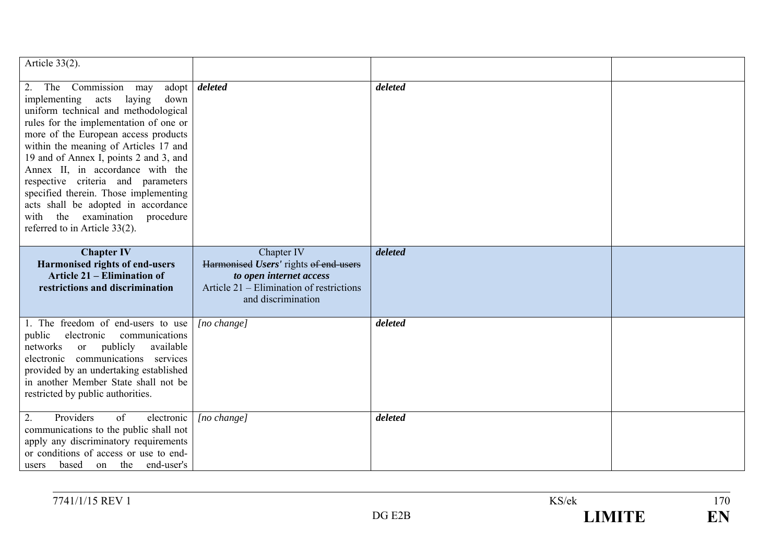| Article $33(2)$ .                                                                                                                                                                                                                                                                                                                                                                                                                                                                                            |                                                                                                                                                  |         |  |
|--------------------------------------------------------------------------------------------------------------------------------------------------------------------------------------------------------------------------------------------------------------------------------------------------------------------------------------------------------------------------------------------------------------------------------------------------------------------------------------------------------------|--------------------------------------------------------------------------------------------------------------------------------------------------|---------|--|
| 2.<br>The Commission may<br>implementing<br>laying<br>acts<br>down<br>uniform technical and methodological<br>rules for the implementation of one or<br>more of the European access products<br>within the meaning of Articles 17 and<br>19 and of Annex I, points 2 and 3, and<br>Annex II, in accordance with the<br>respective criteria and parameters<br>specified therein. Those implementing<br>acts shall be adopted in accordance<br>with the examination procedure<br>referred to in Article 33(2). | adopt <i>deleted</i>                                                                                                                             | deleted |  |
| <b>Chapter IV</b><br>Harmonised rights of end-users<br><b>Article 21 – Elimination of</b><br>restrictions and discrimination                                                                                                                                                                                                                                                                                                                                                                                 | Chapter IV<br>Harmonised Users' rights of end-users<br>to open internet access<br>Article 21 – Elimination of restrictions<br>and discrimination | deleted |  |
| 1. The freedom of end-users to use<br>electronic<br>communications<br>public<br>or publicly<br>available<br>networks<br>communications services<br>electronic<br>provided by an undertaking established<br>in another Member State shall not be<br>restricted by public authorities.                                                                                                                                                                                                                         | $[no \space change]$                                                                                                                             | deleted |  |
| 2.<br>Providers<br>of<br>electronic<br>communications to the public shall not<br>apply any discriminatory requirements<br>or conditions of access or use to end-<br>based<br>on the end-user's<br>users                                                                                                                                                                                                                                                                                                      | [no change]                                                                                                                                      | deleted |  |

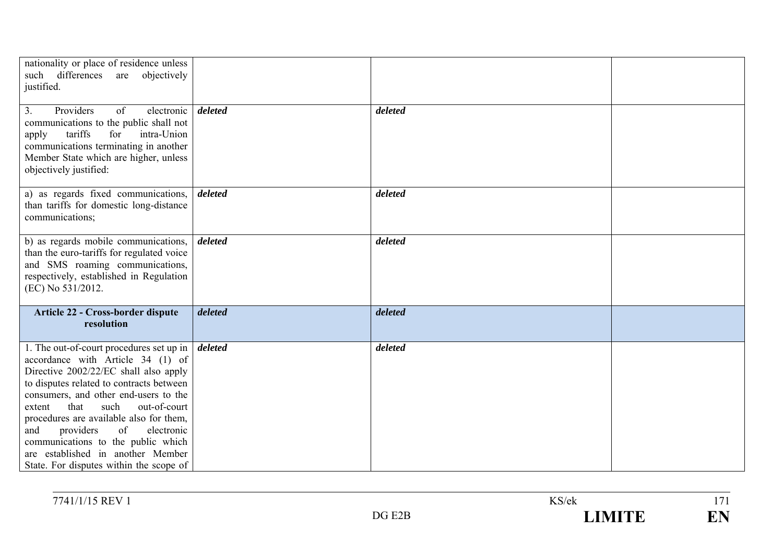| nationality or place of residence unless<br>such differences are objectively<br>justified.                                                                                                                                                                                                                                                                                                                                                                     |         |         |  |
|----------------------------------------------------------------------------------------------------------------------------------------------------------------------------------------------------------------------------------------------------------------------------------------------------------------------------------------------------------------------------------------------------------------------------------------------------------------|---------|---------|--|
| Providers<br>of<br>electronic<br>3.<br>communications to the public shall not<br>tariffs<br>for<br>intra-Union<br>apply<br>communications terminating in another<br>Member State which are higher, unless<br>objectively justified:                                                                                                                                                                                                                            | deleted | deleted |  |
| a) as regards fixed communications,<br>than tariffs for domestic long-distance<br>communications;                                                                                                                                                                                                                                                                                                                                                              | deleted | deleted |  |
| b) as regards mobile communications,<br>than the euro-tariffs for regulated voice<br>and SMS roaming communications,<br>respectively, established in Regulation<br>(EC) No 531/2012.                                                                                                                                                                                                                                                                           | deleted | deleted |  |
| Article 22 - Cross-border dispute<br>resolution                                                                                                                                                                                                                                                                                                                                                                                                                | deleted | deleted |  |
| 1. The out-of-court procedures set up in<br>accordance with Article 34 (1) of<br>Directive 2002/22/EC shall also apply<br>to disputes related to contracts between<br>consumers, and other end-users to the<br>that<br>such<br>out-of-court<br>extent<br>procedures are available also for them,<br>electronic<br>providers<br>of<br>and<br>communications to the public which<br>are established in another Member<br>State. For disputes within the scope of | deleted | deleted |  |

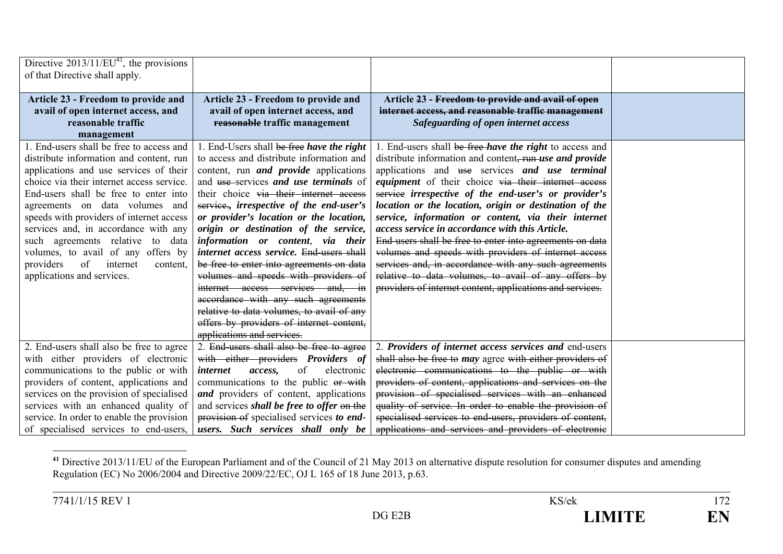| Directive $2013/11/EU^{41}$ , the provisions<br>of that Directive shall apply.      |                                                                                      |                                                                                                                    |  |
|-------------------------------------------------------------------------------------|--------------------------------------------------------------------------------------|--------------------------------------------------------------------------------------------------------------------|--|
|                                                                                     |                                                                                      |                                                                                                                    |  |
| Article 23 - Freedom to provide and<br>avail of open internet access, and           | Article 23 - Freedom to provide and<br>avail of open internet access, and            | Article 23 - Freedom to provide and avail of open<br>internet access, and reasonable traffic management            |  |
| reasonable traffic<br>management                                                    | reasonable traffic management                                                        | Safeguarding of open internet access                                                                               |  |
| 1. End-users shall be free to access and                                            | 1. End-Users shall be free have the right                                            | 1. End-users shall be free have the right to access and                                                            |  |
| distribute information and content, run                                             | to access and distribute information and                                             | distribute information and content, run use and provide                                                            |  |
| applications and use services of their<br>choice via their internet access service. | content, run <i>and provide</i> applications                                         | applications and use services and use terminal                                                                     |  |
| End-users shall be free to enter into                                               | and use services and use terminals of<br>their choice via their internet access      | <i>equipment</i> of their choice via their internet access<br>service irrespective of the end-user's or provider's |  |
| agreements on data volumes and                                                      | service., irrespective of the end-user's                                             | location or the location, origin or destination of the                                                             |  |
| speeds with providers of internet access                                            | or provider's location or the location,                                              | service, information or content, via their internet                                                                |  |
| services and, in accordance with any                                                | origin or destination of the service,                                                | access service in accordance with this Article.                                                                    |  |
| such agreements relative to data                                                    | information or content, via their                                                    | End-users shall be free to enter into agreements on data                                                           |  |
| volumes, to avail of any offers by<br>of internet<br>providers                      | internet access service. End-users shall<br>be free to enter into agreements on data | volumes and speeds with providers of internet access<br>services and, in accordance with any such agreements       |  |
| content.<br>applications and services.                                              | volumes and speeds with providers of                                                 | relative to data volumes, to avail of any offers by                                                                |  |
|                                                                                     | internet access services and, in                                                     | providers of internet content, applications and services.                                                          |  |
|                                                                                     | accordance with any such agreements                                                  |                                                                                                                    |  |
|                                                                                     | relative to data volumes, to avail of any                                            |                                                                                                                    |  |
|                                                                                     | offers by providers of internet content,                                             |                                                                                                                    |  |
|                                                                                     | applications and services.                                                           |                                                                                                                    |  |
| 2. End-users shall also be free to agree                                            | 2. End-users shall also be free to agree                                             | 2. Providers of internet access services and end-users                                                             |  |
| with either providers of electronic<br>communications to the public or with         | with either providers Providers of<br>of<br>electronic<br><i>internet</i><br>access, | shall also be free to may agree with either providers of<br>electronic communications to the public or with        |  |
| providers of content, applications and                                              | communications to the public or with                                                 | providers of content, applications and services on the                                                             |  |
| services on the provision of specialised                                            | and providers of content, applications                                               | provision of specialised services with an enhanced                                                                 |  |
| services with an enhanced quality of                                                | and services <i>shall be free to offer</i> on the                                    | quality of service. In order to enable the provision of                                                            |  |
| service. In order to enable the provision                                           | provision of specialised services to end-                                            | specialised services to end-users, providers of content,                                                           |  |
| of specialised services to end-users,                                               | users. Such services shall only be                                                   | applications and services and providers of electronic                                                              |  |

<sup>&</sup>lt;sup>41</sup> Directive 2013/11/EU of the European Parliament and of the Council of 21 May 2013 on alternative dispute resolution for consumer disputes and amending Regulation (EC) No 2006/2004 and Directive 2009/22/EC, OJ L 165 of 18 June 2013, p.63.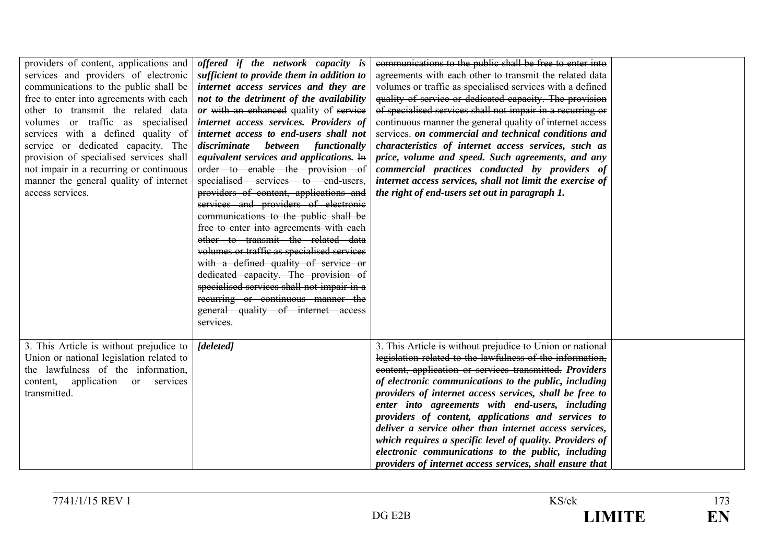| providers of content, applications and<br>services and providers of electronic<br>communications to the public shall be<br>free to enter into agreements with each<br>other to transmit the related data<br>volumes or traffic as specialised<br>services with a defined quality of<br>service or dedicated capacity. The<br>provision of specialised services shall<br>not impair in a recurring or continuous<br>manner the general quality of internet<br>access services. | offered if the network capacity is<br>sufficient to provide them in addition to<br>internet access services and they are<br>not to the detriment of the availability<br>or with an enhanced quality of service<br>internet access services. Providers of<br>internet access to end-users shall not<br>between functionally<br>discriminate<br>equivalent services and applications. $\overline{H}$<br>order to enable the provision of<br>specialised services to end-users,<br>providers of content, applications and<br>services and providers of electronic<br>communications to the public shall be<br>free to enter into agreements with each<br>other to transmit the related data<br>volumes or traffic as specialised services<br>with a defined quality of service or<br>dedicated capacity. The provision of<br>specialised services shall not impair in a<br>recurring or continuous manner the<br>general quality of internet access<br>services. | communications to the public shall be free to enter into<br>agreements with each other to transmit the related data<br>volumes or traffic as specialised services with a defined<br>quality of service or dedicated capacity. The provision<br>of specialised services shall not impair in a recurring or<br>continuous manner the general quality of internet access<br>services, on commercial and technical conditions and<br>characteristics of internet access services, such as<br>price, volume and speed. Such agreements, and any<br>commercial practices conducted by providers of<br>internet access services, shall not limit the exercise of<br>the right of end-users set out in paragraph 1. |  |
|-------------------------------------------------------------------------------------------------------------------------------------------------------------------------------------------------------------------------------------------------------------------------------------------------------------------------------------------------------------------------------------------------------------------------------------------------------------------------------|---------------------------------------------------------------------------------------------------------------------------------------------------------------------------------------------------------------------------------------------------------------------------------------------------------------------------------------------------------------------------------------------------------------------------------------------------------------------------------------------------------------------------------------------------------------------------------------------------------------------------------------------------------------------------------------------------------------------------------------------------------------------------------------------------------------------------------------------------------------------------------------------------------------------------------------------------------------|-------------------------------------------------------------------------------------------------------------------------------------------------------------------------------------------------------------------------------------------------------------------------------------------------------------------------------------------------------------------------------------------------------------------------------------------------------------------------------------------------------------------------------------------------------------------------------------------------------------------------------------------------------------------------------------------------------------|--|
| 3. This Article is without prejudice to<br>Union or national legislation related to<br>the lawfulness of the information,<br>content, application or services<br>transmitted.                                                                                                                                                                                                                                                                                                 | [deleted]                                                                                                                                                                                                                                                                                                                                                                                                                                                                                                                                                                                                                                                                                                                                                                                                                                                                                                                                                     | 3. This Article is without prejudice to Union or national<br>legislation related to the lawfulness of the information,<br>content, application or services transmitted. Providers<br>of electronic communications to the public, including<br>providers of internet access services, shall be free to<br>enter into agreements with end-users, including<br>providers of content, applications and services to<br>deliver a service other than internet access services,<br>which requires a specific level of quality. Providers of<br>electronic communications to the public, including<br>providers of internet access services, shall ensure that                                                      |  |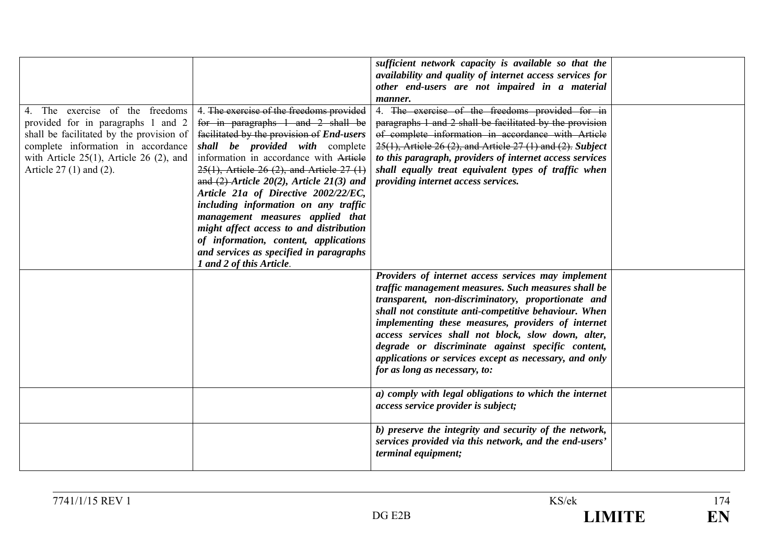|                                                                                                                                                                                                                                      |                                                                                                                                                                                                                                                                                                                                                                                                                                                                                                                                                                                        | sufficient network capacity is available so that the<br>availability and quality of internet access services for<br>other end-users are not impaired in a material<br>manner.                                                                                                                                                                                                                                                                                                         |  |
|--------------------------------------------------------------------------------------------------------------------------------------------------------------------------------------------------------------------------------------|----------------------------------------------------------------------------------------------------------------------------------------------------------------------------------------------------------------------------------------------------------------------------------------------------------------------------------------------------------------------------------------------------------------------------------------------------------------------------------------------------------------------------------------------------------------------------------------|---------------------------------------------------------------------------------------------------------------------------------------------------------------------------------------------------------------------------------------------------------------------------------------------------------------------------------------------------------------------------------------------------------------------------------------------------------------------------------------|--|
| 4. The exercise of the freedoms<br>provided for in paragraphs 1 and 2<br>shall be facilitated by the provision of<br>complete information in accordance<br>with Article $25(1)$ , Article 26 (2), and<br>Article $27(1)$ and $(2)$ . | 4. The exercise of the freedoms provided<br>for in paragraphs 1 and 2 shall be<br>facilitated by the provision of End-users<br>shall be provided with complete<br>information in accordance with Article<br>$25(1)$ , Article 26 (2), and Article 27 (1)<br>and $(2)$ -Article 20(2), Article 21(3) and<br>Article 21a of Directive 2002/22/EC,<br>including information on any traffic<br>management measures applied that<br>might affect access to and distribution<br>of information, content, applications<br>and services as specified in paragraphs<br>1 and 2 of this Article. | 4. The exercise of the freedoms provided for in<br>paragraphs 1 and 2 shall be facilitated by the provision<br>of complete information in accordance with Article<br>$25(1)$ , Article 26 (2), and Article 27 (1) and (2). Subject<br>to this paragraph, providers of internet access services<br>shall equally treat equivalent types of traffic when<br>providing internet access services.                                                                                         |  |
|                                                                                                                                                                                                                                      |                                                                                                                                                                                                                                                                                                                                                                                                                                                                                                                                                                                        | Providers of internet access services may implement<br>traffic management measures. Such measures shall be<br>transparent, non-discriminatory, proportionate and<br>shall not constitute anti-competitive behaviour. When<br>implementing these measures, providers of internet<br>access services shall not block, slow down, alter,<br>degrade or discriminate against specific content,<br>applications or services except as necessary, and only<br>for as long as necessary, to: |  |
|                                                                                                                                                                                                                                      |                                                                                                                                                                                                                                                                                                                                                                                                                                                                                                                                                                                        | a) comply with legal obligations to which the internet<br>access service provider is subject;                                                                                                                                                                                                                                                                                                                                                                                         |  |
|                                                                                                                                                                                                                                      |                                                                                                                                                                                                                                                                                                                                                                                                                                                                                                                                                                                        | b) preserve the integrity and security of the network,<br>services provided via this network, and the end-users'<br>terminal equipment;                                                                                                                                                                                                                                                                                                                                               |  |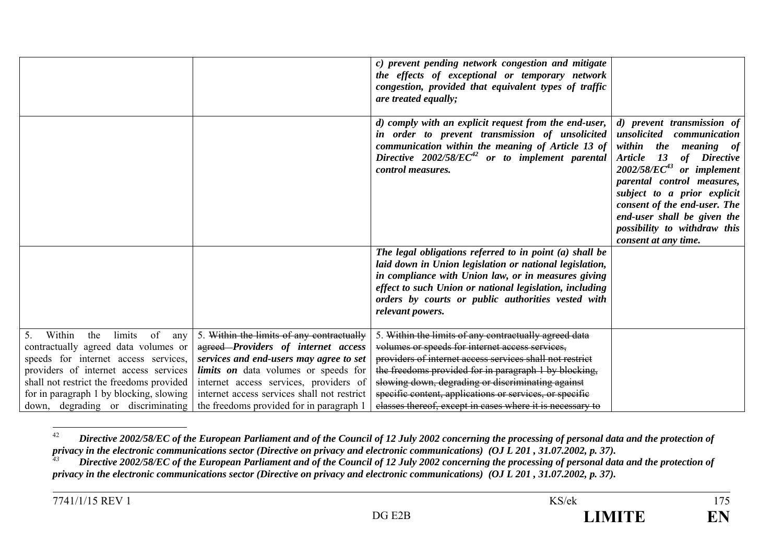|                                                                                                                                                                                                                                                                                                             |                                                                                                                                                                                                                                                                                                                 | c) prevent pending network congestion and mitigate<br>the effects of exceptional or temporary network<br>congestion, provided that equivalent types of traffic<br>are treated equally;                                                                                                                                                                                                                     |                                                                                                                                                                                                                                                                                                                                                          |
|-------------------------------------------------------------------------------------------------------------------------------------------------------------------------------------------------------------------------------------------------------------------------------------------------------------|-----------------------------------------------------------------------------------------------------------------------------------------------------------------------------------------------------------------------------------------------------------------------------------------------------------------|------------------------------------------------------------------------------------------------------------------------------------------------------------------------------------------------------------------------------------------------------------------------------------------------------------------------------------------------------------------------------------------------------------|----------------------------------------------------------------------------------------------------------------------------------------------------------------------------------------------------------------------------------------------------------------------------------------------------------------------------------------------------------|
|                                                                                                                                                                                                                                                                                                             |                                                                                                                                                                                                                                                                                                                 | d) comply with an explicit request from the end-user,<br>in order to prevent transmission of unsolicited<br>communication within the meaning of Article 13 of<br>Directive $2002/58/EC^{42}$ or to implement parental<br><i>control measures.</i>                                                                                                                                                          | d) prevent transmission of<br>unsolicited communication<br>within the<br><i>meaning of</i><br><b>Article</b><br>13<br>of Directive<br>$2002/58/EC^{43}$ or implement<br>parental control measures,<br>subject to a prior explicit<br>consent of the end-user. The<br>end-user shall be given the<br>possibility to withdraw this<br>consent at any time. |
|                                                                                                                                                                                                                                                                                                             |                                                                                                                                                                                                                                                                                                                 | The legal obligations referred to in point $(a)$ shall be<br>laid down in Union legislation or national legislation,<br>in compliance with Union law, or in measures giving<br>effect to such Union or national legislation, including<br>orders by courts or public authorities vested with<br>relevant powers.                                                                                           |                                                                                                                                                                                                                                                                                                                                                          |
| Within<br>the<br>of<br>5 <sub>1</sub><br>limits<br>any<br>contractually agreed data volumes or<br>speeds for internet access services,<br>providers of internet access services<br>shall not restrict the freedoms provided<br>for in paragraph 1 by blocking, slowing<br>down, degrading or discriminating | 5. Within the limits of any contractually<br>agreed-Providers of internet access<br>services and end-users may agree to set<br><i>limits on</i> data volumes or speeds for<br>internet access services, providers of<br>internet access services shall not restrict<br>the freedoms provided for in paragraph 1 | 5. Within the limits of any contractually agreed data<br>volumes or speeds for internet access services,<br>providers of internet access services shall not restrict<br>the freedoms provided for in paragraph 1 by blocking,<br>slowing down, degrading or discriminating against<br>specific content, applications or services, or specific<br>classes thereof, except in cases where it is necessary to |                                                                                                                                                                                                                                                                                                                                                          |

<sup>42</sup> *Directive 2002/58/EC of the European Parliament and of the Council of 12 July 2002 concerning the processing of personal data and the protection of privacy in the electronic communications sector (Directive on privacy and electronic communications) (OJ L 201 , 31.07.2002, p. 37).*

<sup>&</sup>lt;sup>43</sup> Directive 2002/58/EC of the European Parliament and of the Council of 12 July 2002 concerning the processing of personal data and the protection of *privacy in the electronic communications sector (Directive on privacy and electronic communications) (OJ L 201 , 31.07.2002, p. 37).*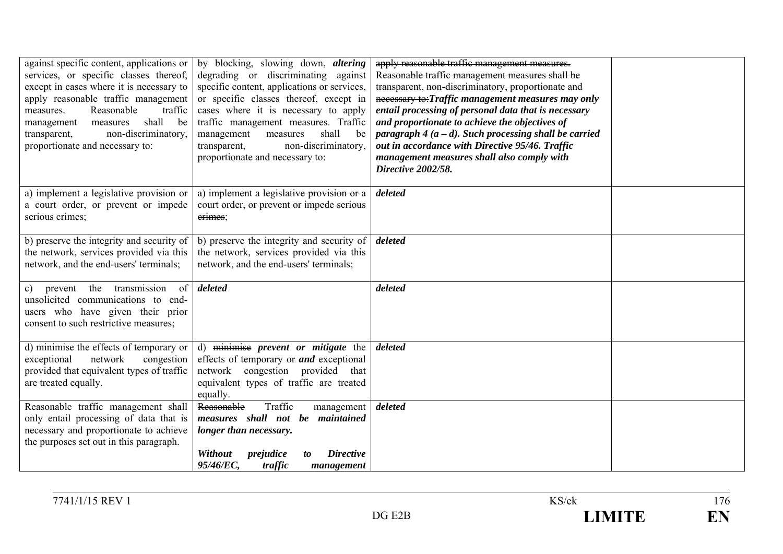| against specific content, applications or<br>services, or specific classes thereof,<br>except in cases where it is necessary to<br>apply reasonable traffic management<br>Reasonable<br>traffic<br>measures.<br>shall<br>be<br>management<br>measures<br>non-discriminatory,<br>transparent,<br>proportionate and necessary to: | by blocking, slowing down, <i>altering</i><br>degrading or discriminating against<br>specific content, applications or services,<br>or specific classes thereof, except in<br>cases where it is necessary to apply<br>traffic management measures. Traffic<br>shall<br>management<br>measures<br>be<br>non-discriminatory,<br>transparent,<br>proportionate and necessary to: | apply reasonable traffic management measures.<br>Reasonable traffic management measures shall be<br>transparent, non-discriminatory, proportionate and<br>necessary to: Traffic management measures may only<br>entail processing of personal data that is necessary<br>and proportionate to achieve the objectives of<br>paragraph $4(a-d)$ . Such processing shall be carried<br>out in accordance with Directive 95/46. Traffic<br>management measures shall also comply with<br>Directive 2002/58. |  |
|---------------------------------------------------------------------------------------------------------------------------------------------------------------------------------------------------------------------------------------------------------------------------------------------------------------------------------|-------------------------------------------------------------------------------------------------------------------------------------------------------------------------------------------------------------------------------------------------------------------------------------------------------------------------------------------------------------------------------|--------------------------------------------------------------------------------------------------------------------------------------------------------------------------------------------------------------------------------------------------------------------------------------------------------------------------------------------------------------------------------------------------------------------------------------------------------------------------------------------------------|--|
| a) implement a legislative provision or<br>a court order, or prevent or impede<br>serious crimes;                                                                                                                                                                                                                               | a) implement a legislative provision or a<br>court order <del>, or prevent or impede serious</del><br>erimes;                                                                                                                                                                                                                                                                 | deleted                                                                                                                                                                                                                                                                                                                                                                                                                                                                                                |  |
| b) preserve the integrity and security of<br>the network, services provided via this<br>network, and the end-users' terminals;                                                                                                                                                                                                  | b) preserve the integrity and security of<br>the network, services provided via this<br>network, and the end-users' terminals;                                                                                                                                                                                                                                                | deleted                                                                                                                                                                                                                                                                                                                                                                                                                                                                                                |  |
| the transmission<br>of<br>$\mathbf{c})$<br>prevent<br>unsolicited communications to end-<br>users who have given their prior<br>consent to such restrictive measures;                                                                                                                                                           | deleted                                                                                                                                                                                                                                                                                                                                                                       | deleted                                                                                                                                                                                                                                                                                                                                                                                                                                                                                                |  |
| d) minimise the effects of temporary or<br>network<br>exceptional<br>congestion<br>provided that equivalent types of traffic<br>are treated equally.                                                                                                                                                                            | d) minimise prevent or mitigate the<br>effects of temporary or and exceptional<br>network congestion provided that<br>equivalent types of traffic are treated<br>equally.                                                                                                                                                                                                     | deleted                                                                                                                                                                                                                                                                                                                                                                                                                                                                                                |  |
| Reasonable traffic management shall<br>only entail processing of data that is<br>necessary and proportionate to achieve<br>the purposes set out in this paragraph.                                                                                                                                                              | Traffic<br>Reasonable<br>management<br>measures shall not be maintained<br>longer than necessary.<br><b>Directive</b><br>Without<br>prejudice<br>to<br>95/46/EC,<br>traffic<br>management                                                                                                                                                                                     | deleted                                                                                                                                                                                                                                                                                                                                                                                                                                                                                                |  |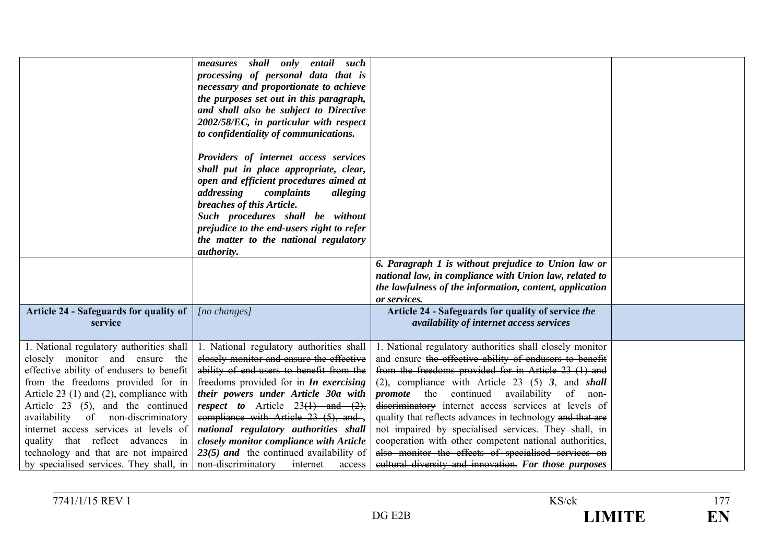|                                                                                                                                                                                                                                                                                                                                                                                                                                                        | measures shall only entail such<br>processing of personal data that is<br>necessary and proportionate to achieve<br>the purposes set out in this paragraph,<br>and shall also be subject to Directive<br>2002/58/EC, in particular with respect<br>to confidentiality of communications.<br>Providers of internet access services<br>shall put in place appropriate, clear,<br>open and efficient procedures aimed at<br>addressing<br>complaints<br>alleging<br>breaches of this Article.<br>Such procedures shall be without<br>prejudice to the end-users right to refer<br>the matter to the national regulatory<br><i>authority.</i> | 6. Paragraph 1 is without prejudice to Union law or                                                                                                                                                                                                                                                                                                                                                                                                                                                                                                                                                                                                                |  |
|--------------------------------------------------------------------------------------------------------------------------------------------------------------------------------------------------------------------------------------------------------------------------------------------------------------------------------------------------------------------------------------------------------------------------------------------------------|-------------------------------------------------------------------------------------------------------------------------------------------------------------------------------------------------------------------------------------------------------------------------------------------------------------------------------------------------------------------------------------------------------------------------------------------------------------------------------------------------------------------------------------------------------------------------------------------------------------------------------------------|--------------------------------------------------------------------------------------------------------------------------------------------------------------------------------------------------------------------------------------------------------------------------------------------------------------------------------------------------------------------------------------------------------------------------------------------------------------------------------------------------------------------------------------------------------------------------------------------------------------------------------------------------------------------|--|
|                                                                                                                                                                                                                                                                                                                                                                                                                                                        |                                                                                                                                                                                                                                                                                                                                                                                                                                                                                                                                                                                                                                           | national law, in compliance with Union law, related to<br>the lawfulness of the information, content, application<br>or services.                                                                                                                                                                                                                                                                                                                                                                                                                                                                                                                                  |  |
| Article 24 - Safeguards for quality of<br>service                                                                                                                                                                                                                                                                                                                                                                                                      | [no changes]                                                                                                                                                                                                                                                                                                                                                                                                                                                                                                                                                                                                                              | Article 24 - Safeguards for quality of service the<br>availability of internet access services                                                                                                                                                                                                                                                                                                                                                                                                                                                                                                                                                                     |  |
| 1. National regulatory authorities shall<br>closely monitor and ensure<br>the<br>effective ability of endusers to benefit<br>from the freedoms provided for in<br>Article $23$ (1) and (2), compliance with<br>Article 23 (5), and the continued<br>availability of non-discriminatory<br>internet access services at levels of<br>quality that reflect advances in<br>technology and that are not impaired<br>by specialised services. They shall, in | 1. National regulatory authorities shall<br>closely monitor and ensure the effective<br>ability of end-users to benefit from the<br>freedoms provided for in-In exercising<br>their powers under Article 30a with<br><i>respect to</i> Article $23(1)$ and $(2)$ ,<br>compliance with Article 23 (5), and -,<br>national regulatory authorities shall<br>closely monitor compliance with Article<br>$23(5)$ and the continued availability of<br>non-discriminatory<br>internet<br>access                                                                                                                                                 | 1. National regulatory authorities shall closely monitor<br>and ensure the effective ability of endusers to benefit<br>from the freedoms provided for in Article 23 (1) and<br>$\frac{2}{2}$ , compliance with Article $\frac{23}{5}$ (5) 3, and shall<br><i>promote</i> the continued availability of non-<br>discriminatory internet access services at levels of<br>quality that reflects advances in technology and that are<br>not impaired by specialised services. They shall, in<br>cooperation with other competent national authorities,<br>also monitor the effects of specialised services on<br>eultural diversity and innovation. For those purposes |  |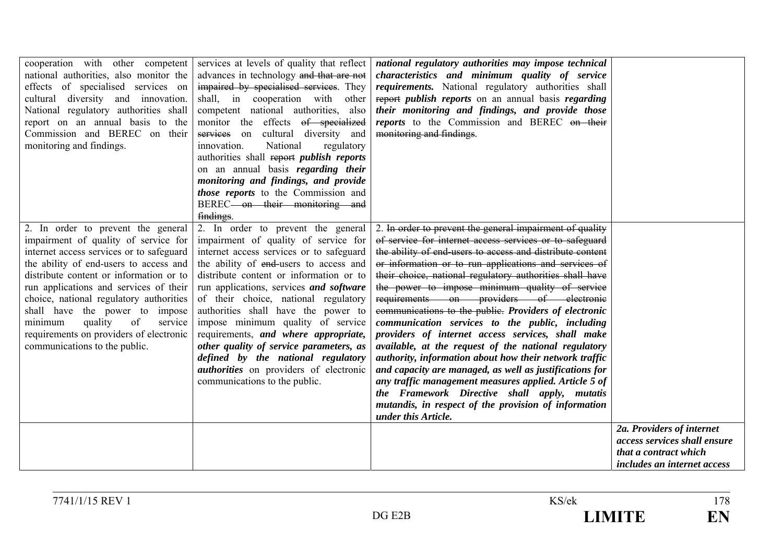| cooperation with other competent<br>national authorities, also monitor the<br>effects of specialised services on<br>cultural diversity and innovation.<br>National regulatory authorities shall<br>report on an annual basis to the<br>Commission and BEREC on their<br>monitoring and findings.                                                                                                                                                      | services at levels of quality that reflect<br>advances in technology and that are not<br>impaired by specialised services. They<br>shall, in cooperation with other<br>competent national authorities, also<br>monitor the effects of specialized<br>cultural diversity and<br>services on<br>innovation.<br>National<br>regulatory<br>authorities shall report publish reports<br>on an annual basis regarding their<br>monitoring and findings, and provide<br>those reports to the Commission and<br>BEREC-on their monitoring and<br>findings.                                    | national regulatory authorities may impose technical<br>characteristics and minimum quality of service<br>requirements. National regulatory authorities shall<br>report <i>publish reports</i> on an annual basis <i>regarding</i><br>their monitoring and findings, and provide those<br>reports to the Commission and BEREC on their<br>monitoring and findings.                                                                                                                                                                                                                                                                                                                                                                                                                                                                                                                                                                       |                                                                                      |
|-------------------------------------------------------------------------------------------------------------------------------------------------------------------------------------------------------------------------------------------------------------------------------------------------------------------------------------------------------------------------------------------------------------------------------------------------------|---------------------------------------------------------------------------------------------------------------------------------------------------------------------------------------------------------------------------------------------------------------------------------------------------------------------------------------------------------------------------------------------------------------------------------------------------------------------------------------------------------------------------------------------------------------------------------------|------------------------------------------------------------------------------------------------------------------------------------------------------------------------------------------------------------------------------------------------------------------------------------------------------------------------------------------------------------------------------------------------------------------------------------------------------------------------------------------------------------------------------------------------------------------------------------------------------------------------------------------------------------------------------------------------------------------------------------------------------------------------------------------------------------------------------------------------------------------------------------------------------------------------------------------|--------------------------------------------------------------------------------------|
| 2. In order to prevent the general<br>impairment of quality of service for<br>internet access services or to safeguard<br>the ability of end-users to access and<br>distribute content or information or to<br>run applications and services of their<br>choice, national regulatory authorities<br>shall have the power to impose<br>minimum<br>quality<br>of<br>service<br>requirements on providers of electronic<br>communications to the public. | 2. In order to prevent the general<br>impairment of quality of service for<br>internet access services or to safeguard<br>the ability of end-users to access and<br>distribute content or information or to<br>run applications, services and software<br>of their choice, national regulatory<br>authorities shall have the power to<br>impose minimum quality of service<br>requirements, and where appropriate,<br>other quality of service parameters, as<br>defined by the national regulatory<br><i>authorities</i> on providers of electronic<br>communications to the public. | 2. In order to prevent the general impairment of quality<br>of service for internet access services or to safeguard<br>the ability of end-users to access and distribute content<br>or information or to run applications and services of<br>their choice, national regulatory authorities shall have<br>the power to impose minimum quality of service<br>requirements on providers of electronic<br>communications to the public. Providers of electronic<br>communication services to the public, including<br>providers of internet access services, shall make<br>available, at the request of the national regulatory<br>authority, information about how their network traffic<br>and capacity are managed, as well as justifications for<br>any traffic management measures applied. Article 5 of<br>the Framework Directive shall apply, mutatis<br>mutandis, in respect of the provision of information<br>under this Article. | 2a. Providers of internet                                                            |
|                                                                                                                                                                                                                                                                                                                                                                                                                                                       |                                                                                                                                                                                                                                                                                                                                                                                                                                                                                                                                                                                       |                                                                                                                                                                                                                                                                                                                                                                                                                                                                                                                                                                                                                                                                                                                                                                                                                                                                                                                                          | access services shall ensure<br>that a contract which<br>includes an internet access |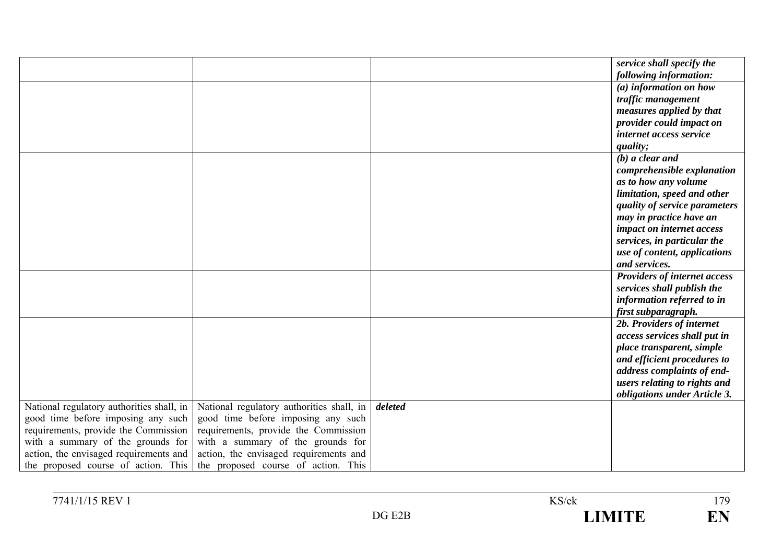|                                           |                                           |         | service shall specify the           |
|-------------------------------------------|-------------------------------------------|---------|-------------------------------------|
|                                           |                                           |         | following information:              |
|                                           |                                           |         | (a) information on how              |
|                                           |                                           |         | traffic management                  |
|                                           |                                           |         | measures applied by that            |
|                                           |                                           |         | provider could impact on            |
|                                           |                                           |         | internet access service             |
|                                           |                                           |         | quality;                            |
|                                           |                                           |         | $(b)$ a clear and                   |
|                                           |                                           |         | comprehensible explanation          |
|                                           |                                           |         | as to how any volume                |
|                                           |                                           |         | limitation, speed and other         |
|                                           |                                           |         | quality of service parameters       |
|                                           |                                           |         | may in practice have an             |
|                                           |                                           |         | impact on internet access           |
|                                           |                                           |         | services, in particular the         |
|                                           |                                           |         | use of content, applications        |
|                                           |                                           |         | and services.                       |
|                                           |                                           |         | <b>Providers of internet access</b> |
|                                           |                                           |         | services shall publish the          |
|                                           |                                           |         | information referred to in          |
|                                           |                                           |         | first subparagraph.                 |
|                                           |                                           |         | 2b. Providers of internet           |
|                                           |                                           |         | access services shall put in        |
|                                           |                                           |         | place transparent, simple           |
|                                           |                                           |         | and efficient procedures to         |
|                                           |                                           |         | address complaints of end-          |
|                                           |                                           |         | users relating to rights and        |
|                                           |                                           |         | obligations under Article 3.        |
| National regulatory authorities shall, in | National regulatory authorities shall, in | deleted |                                     |
| good time before imposing any such        | good time before imposing any such        |         |                                     |
| requirements, provide the Commission      | requirements, provide the Commission      |         |                                     |
| with a summary of the grounds for         | with a summary of the grounds for         |         |                                     |
| action, the envisaged requirements and    | action, the envisaged requirements and    |         |                                     |
| the proposed course of action. This       | the proposed course of action. This       |         |                                     |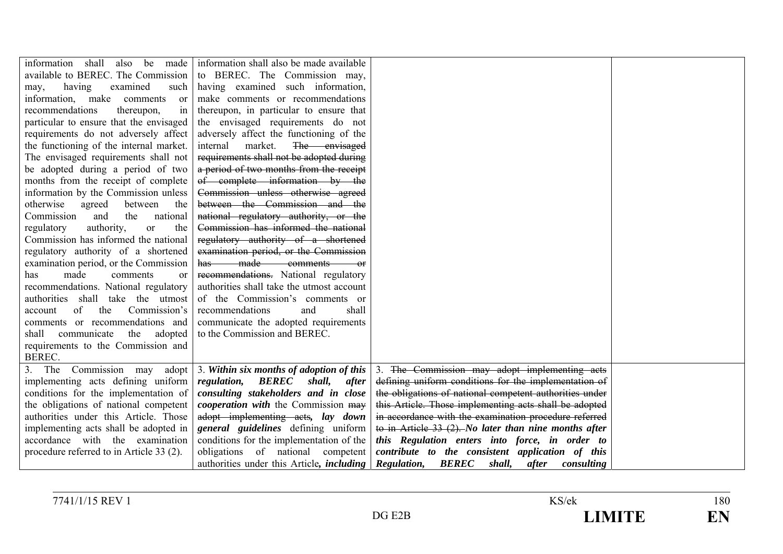| information<br>shall<br>be<br>also<br>made   | information shall also be made available         |                                                           |  |
|----------------------------------------------|--------------------------------------------------|-----------------------------------------------------------|--|
| available to BEREC. The Commission           | to BEREC. The Commission may,                    |                                                           |  |
|                                              |                                                  |                                                           |  |
| having<br>examined<br>may,<br>such           | having examined such information,                |                                                           |  |
| information, make comments<br><sub>or</sub>  | make comments or recommendations                 |                                                           |  |
| recommendations<br>thereupon,<br>in          | thereupon, in particular to ensure that          |                                                           |  |
| particular to ensure that the envisaged      | the envisaged requirements do not                |                                                           |  |
| requirements do not adversely affect         | adversely affect the functioning of the          |                                                           |  |
| the functioning of the internal market.      | market.<br>The envisaged<br>internal             |                                                           |  |
| The envisaged requirements shall not         | requirements shall not be adopted during         |                                                           |  |
| be adopted during a period of two            | a period of two months from the receipt          |                                                           |  |
| months from the receipt of complete          | of complete information by the                   |                                                           |  |
| information by the Commission unless         | Commission unless otherwise agreed               |                                                           |  |
| otherwise<br>agreed<br>between<br>the        | between the Commission and the                   |                                                           |  |
| Commission<br>and<br>the<br>national         | national regulatory authority, or the            |                                                           |  |
| authority,<br>the<br>regulatory<br><b>or</b> | Commission has informed the national             |                                                           |  |
| Commission has informed the national         | regulatory authority of a shortened              |                                                           |  |
| regulatory authority of a shortened          | examination period, or the Commission            |                                                           |  |
| examination period, or the Commission        | has made comments<br>$-$ or                      |                                                           |  |
| made<br>has<br>comments<br><sub>or</sub>     | recommendations. National regulatory             |                                                           |  |
| recommendations. National regulatory         | authorities shall take the utmost account        |                                                           |  |
| authorities shall take the utmost            | of the Commission's comments or                  |                                                           |  |
| of<br>Commission's<br>the<br>account         | recommendations<br>and<br>shall                  |                                                           |  |
| comments or recommendations and              |                                                  |                                                           |  |
|                                              | communicate the adopted requirements             |                                                           |  |
| communicate<br>the<br>adopted<br>shall       | to the Commission and BEREC.                     |                                                           |  |
| requirements to the Commission and           |                                                  |                                                           |  |
| BEREC.                                       |                                                  |                                                           |  |
| The Commission<br>3.<br>adopt<br>may         | 3. Within six months of adoption of this         | 3. The Commission may adopt implementing acts             |  |
| implementing acts defining uniform           | regulation, BEREC<br>shall,<br>after             | defining uniform conditions for the implementation of     |  |
| conditions for the implementation of         | consulting stakeholders and in close             | the obligations of national competent authorities under   |  |
| the obligations of national competent        | <i>cooperation with the Commission may</i>       | this Article. Those implementing acts shall be adopted    |  |
| authorities under this Article. Those        | adopt implementing acts, lay down                | in accordance with the examination procedure referred     |  |
| implementing acts shall be adopted in        | general guidelines defining uniform              | to in Article $33(2)$ . No later than nine months after   |  |
| accordance with the examination              | conditions for the implementation of the         | this Regulation enters into force, in order to            |  |
| procedure referred to in Article 33 (2).     | obligations of national competent                | contribute to the consistent application of this          |  |
|                                              | authorities under this Article, <i>including</i> | <b>Regulation, BEREC</b><br>shall,<br>after<br>consulting |  |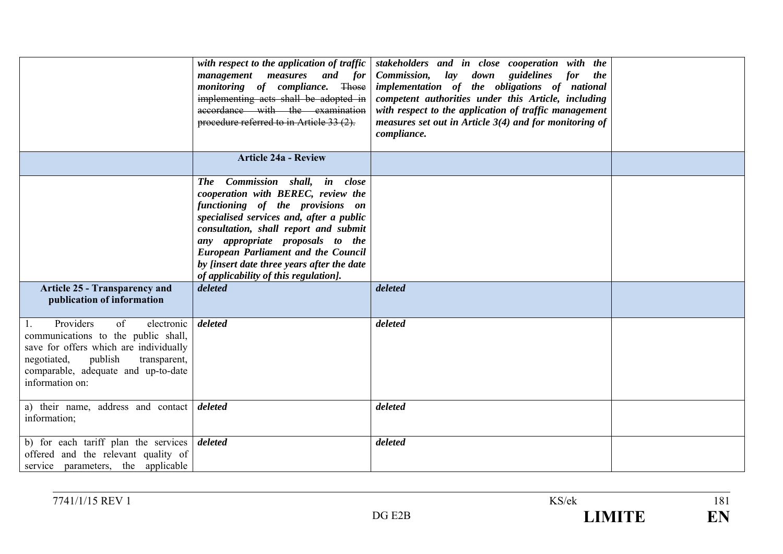|                                                                                                                                                                                                                          | with respect to the application of traffic<br>management measures and for<br>monitoring of compliance. Those<br>implementing acts shall be adopted in<br>accordance with the examination<br>procedure referred to in Article 33 (2).                                                                                                                                              | stakeholders and in close cooperation with the<br>Commission, lay down guidelines<br><i>for</i><br><i>the</i><br>implementation of the obligations of national<br>competent authorities under this Article, including<br>with respect to the application of traffic management<br>measures set out in Article $3(4)$ and for monitoring of<br>compliance. |  |
|--------------------------------------------------------------------------------------------------------------------------------------------------------------------------------------------------------------------------|-----------------------------------------------------------------------------------------------------------------------------------------------------------------------------------------------------------------------------------------------------------------------------------------------------------------------------------------------------------------------------------|-----------------------------------------------------------------------------------------------------------------------------------------------------------------------------------------------------------------------------------------------------------------------------------------------------------------------------------------------------------|--|
|                                                                                                                                                                                                                          | <b>Article 24a - Review</b>                                                                                                                                                                                                                                                                                                                                                       |                                                                                                                                                                                                                                                                                                                                                           |  |
| <b>Article 25 - Transparency and</b>                                                                                                                                                                                     | The Commission shall, in close<br>cooperation with BEREC, review the<br>functioning of the provisions on<br>specialised services and, after a public<br>consultation, shall report and submit<br>any appropriate proposals to the<br><b>European Parliament and the Council</b><br>by [insert date three years after the date<br>of applicability of this regulation].<br>deleted | deleted                                                                                                                                                                                                                                                                                                                                                   |  |
| publication of information                                                                                                                                                                                               |                                                                                                                                                                                                                                                                                                                                                                                   |                                                                                                                                                                                                                                                                                                                                                           |  |
| Providers<br>of<br>electronic<br>1.<br>communications to the public shall,<br>save for offers which are individually<br>publish<br>negotiated,<br>transparent,<br>comparable, adequate and up-to-date<br>information on: | deleted                                                                                                                                                                                                                                                                                                                                                                           | deleted                                                                                                                                                                                                                                                                                                                                                   |  |
| a) their name, address and contact<br>information;                                                                                                                                                                       | deleted                                                                                                                                                                                                                                                                                                                                                                           | deleted                                                                                                                                                                                                                                                                                                                                                   |  |
| b) for each tariff plan the services<br>offered and the relevant quality of<br>service parameters, the applicable                                                                                                        | deleted                                                                                                                                                                                                                                                                                                                                                                           | deleted                                                                                                                                                                                                                                                                                                                                                   |  |

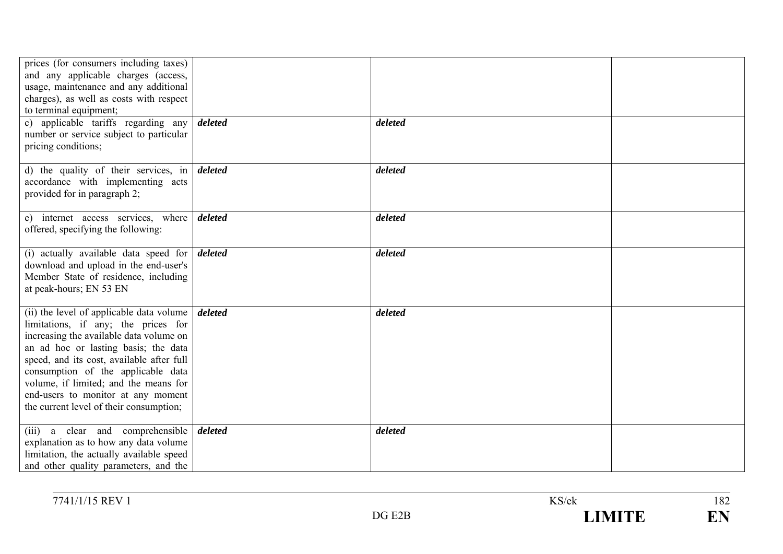| prices (for consumers including taxes)<br>and any applicable charges (access,<br>usage, maintenance and any additional<br>charges), as well as costs with respect                                                                                                                                                                                                               |         |         |  |
|---------------------------------------------------------------------------------------------------------------------------------------------------------------------------------------------------------------------------------------------------------------------------------------------------------------------------------------------------------------------------------|---------|---------|--|
| to terminal equipment;<br>c) applicable tariffs regarding any<br>number or service subject to particular<br>pricing conditions;                                                                                                                                                                                                                                                 | deleted | deleted |  |
| d) the quality of their services, in $\theta$ deleted<br>accordance with implementing acts<br>provided for in paragraph 2;                                                                                                                                                                                                                                                      |         | deleted |  |
| e) internet access services, where<br>offered, specifying the following:                                                                                                                                                                                                                                                                                                        | deleted | deleted |  |
| (i) actually available data speed for $\boldsymbol{delta}$<br>download and upload in the end-user's<br>Member State of residence, including<br>at peak-hours; EN 53 EN                                                                                                                                                                                                          |         | deleted |  |
| (ii) the level of applicable data volume<br>limitations, if any; the prices for<br>increasing the available data volume on<br>an ad hoc or lasting basis; the data<br>speed, and its cost, available after full<br>consumption of the applicable data<br>volume, if limited; and the means for<br>end-users to monitor at any moment<br>the current level of their consumption; | deleted | deleted |  |
| (iii) a clear and comprehensible<br>explanation as to how any data volume<br>limitation, the actually available speed<br>and other quality parameters, and the                                                                                                                                                                                                                  | deleted | deleted |  |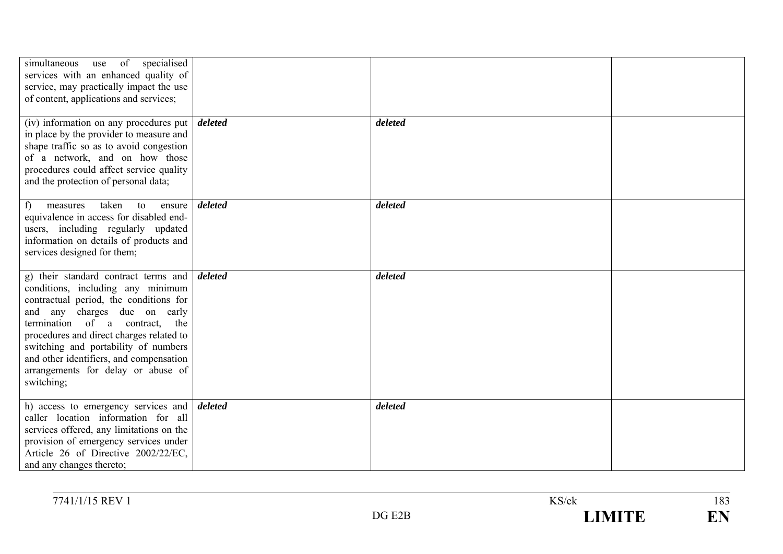| simultaneous use of specialised<br>services with an enhanced quality of<br>service, may practically impact the use<br>of content, applications and services;                                                                                                                                                                                                                            |         |         |  |
|-----------------------------------------------------------------------------------------------------------------------------------------------------------------------------------------------------------------------------------------------------------------------------------------------------------------------------------------------------------------------------------------|---------|---------|--|
| (iv) information on any procedures put<br>in place by the provider to measure and<br>shape traffic so as to avoid congestion<br>of a network, and on how those<br>procedures could affect service quality<br>and the protection of personal data;                                                                                                                                       | deleted | deleted |  |
| f<br>taken<br>to<br>measures<br>ensure<br>equivalence in access for disabled end-<br>users, including regularly updated<br>information on details of products and<br>services designed for them;                                                                                                                                                                                        | deleted | deleted |  |
| g) their standard contract terms and $\frac{d}{dt}$<br>conditions, including any minimum<br>contractual period, the conditions for<br>and any charges due on early<br>termination of a contract, the<br>procedures and direct charges related to<br>switching and portability of numbers<br>and other identifiers, and compensation<br>arrangements for delay or abuse of<br>switching; |         | deleted |  |
| h) access to emergency services and $\frac{d}{dt}$<br>caller location information for all<br>services offered, any limitations on the<br>provision of emergency services under<br>Article 26 of Directive 2002/22/EC,<br>and any changes thereto;                                                                                                                                       |         | deleted |  |

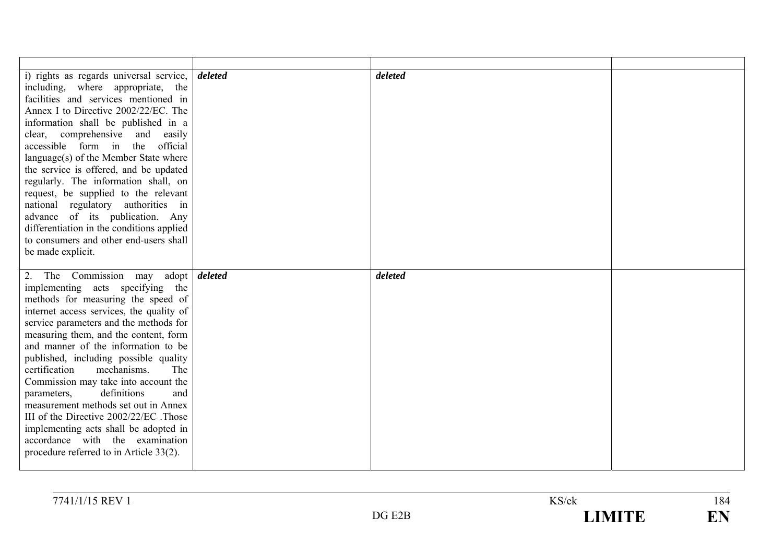| i) rights as regards universal service,    | deleted | deleted |  |
|--------------------------------------------|---------|---------|--|
| including, where appropriate, the          |         |         |  |
| facilities and services mentioned in       |         |         |  |
| Annex I to Directive 2002/22/EC. The       |         |         |  |
| information shall be published in a        |         |         |  |
| clear, comprehensive and<br>easily         |         |         |  |
| accessible form in<br>the<br>official      |         |         |  |
| language(s) of the Member State where      |         |         |  |
| the service is offered, and be updated     |         |         |  |
| regularly. The information shall, on       |         |         |  |
| request, be supplied to the relevant       |         |         |  |
| national regulatory authorities in         |         |         |  |
| advance of its publication. Any            |         |         |  |
| differentiation in the conditions applied  |         |         |  |
| to consumers and other end-users shall     |         |         |  |
| be made explicit.                          |         |         |  |
|                                            |         |         |  |
| 2. The Commission may adopt <i>deleted</i> |         | deleted |  |
| implementing acts specifying the           |         |         |  |
| methods for measuring the speed of         |         |         |  |
| internet access services, the quality of   |         |         |  |
|                                            |         |         |  |
| service parameters and the methods for     |         |         |  |
| measuring them, and the content, form      |         |         |  |
| and manner of the information to be        |         |         |  |
| published, including possible quality      |         |         |  |
| mechanisms.<br>The<br>certification        |         |         |  |
| Commission may take into account the       |         |         |  |
| definitions<br>parameters,<br>and          |         |         |  |
| measurement methods set out in Annex       |         |         |  |
| III of the Directive 2002/22/EC. Those     |         |         |  |
| implementing acts shall be adopted in      |         |         |  |
| accordance with the examination            |         |         |  |
| procedure referred to in Article 33(2).    |         |         |  |

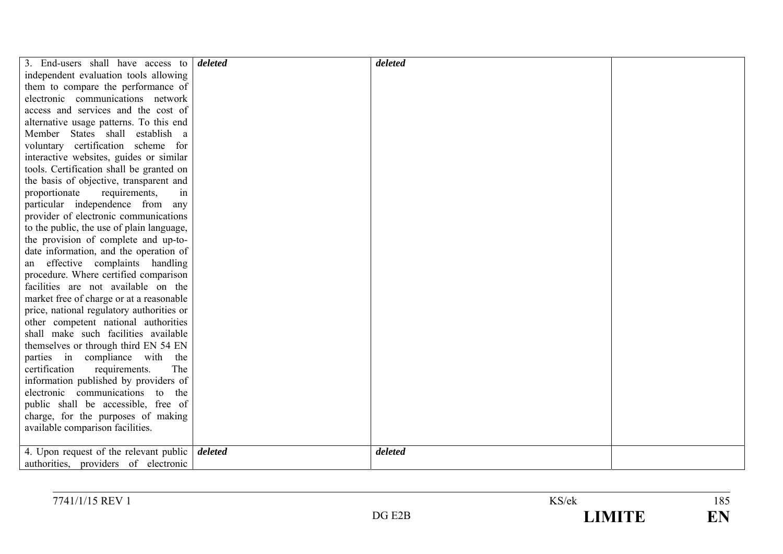| 3. End-users shall have access to         | deleted | deleted |  |
|-------------------------------------------|---------|---------|--|
| independent evaluation tools allowing     |         |         |  |
| them to compare the performance of        |         |         |  |
| electronic communications network         |         |         |  |
| access and services and the cost of       |         |         |  |
| alternative usage patterns. To this end   |         |         |  |
| Member States shall establish a           |         |         |  |
| voluntary certification scheme for        |         |         |  |
| interactive websites, guides or similar   |         |         |  |
| tools. Certification shall be granted on  |         |         |  |
| the basis of objective, transparent and   |         |         |  |
| proportionate<br>requirements,<br>in      |         |         |  |
| particular independence from<br>any       |         |         |  |
| provider of electronic communications     |         |         |  |
| to the public, the use of plain language, |         |         |  |
| the provision of complete and up-to-      |         |         |  |
| date information, and the operation of    |         |         |  |
| an effective complaints handling          |         |         |  |
| procedure. Where certified comparison     |         |         |  |
| facilities are not available on the       |         |         |  |
| market free of charge or at a reasonable  |         |         |  |
| price, national regulatory authorities or |         |         |  |
| other competent national authorities      |         |         |  |
| shall make such facilities available      |         |         |  |
| themselves or through third EN 54 EN      |         |         |  |
| parties in compliance with the            |         |         |  |
| certification<br>requirements.<br>The     |         |         |  |
| information published by providers of     |         |         |  |
| electronic communications to the          |         |         |  |
| public shall be accessible, free of       |         |         |  |
| charge, for the purposes of making        |         |         |  |
| available comparison facilities.          |         |         |  |
| 4. Upon request of the relevant public    | deleted | deleted |  |
| authorities, providers of electronic      |         |         |  |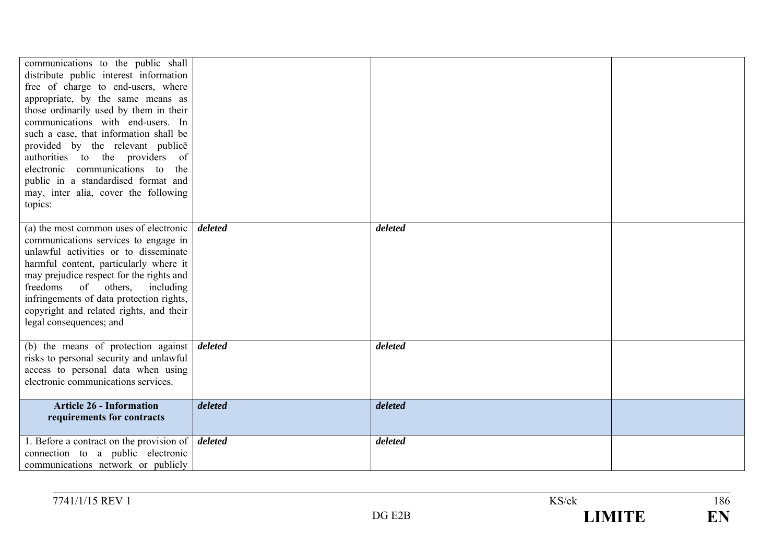| communications to the public shall<br>distribute public interest information<br>free of charge to end-users, where<br>appropriate, by the same means as<br>those ordinarily used by them in their<br>communications with end-users. In<br>such a case, that information shall be<br>provided by the relevant publice<br>authorities to the providers of<br>electronic communications to<br>the<br>public in a standardised format and<br>may, inter alia, cover the following<br>topics: |         |         |  |
|------------------------------------------------------------------------------------------------------------------------------------------------------------------------------------------------------------------------------------------------------------------------------------------------------------------------------------------------------------------------------------------------------------------------------------------------------------------------------------------|---------|---------|--|
| (a) the most common uses of electronic<br>communications services to engage in<br>unlawful activities or to disseminate<br>harmful content, particularly where it<br>may prejudice respect for the rights and<br>freedoms of others, including<br>infringements of data protection rights,<br>copyright and related rights, and their<br>legal consequences; and                                                                                                                         | deleted | deleted |  |
| (b) the means of protection against $\frac{d}{dt}$<br>risks to personal security and unlawful<br>access to personal data when using<br>electronic communications services.                                                                                                                                                                                                                                                                                                               |         | deleted |  |
| <b>Article 26 - Information</b><br>requirements for contracts                                                                                                                                                                                                                                                                                                                                                                                                                            | deleted | deleted |  |
| 1. Before a contract on the provision of $\vert$ <i>deleted</i><br>connection to a public electronic<br>communications network or publicly                                                                                                                                                                                                                                                                                                                                               |         | deleted |  |

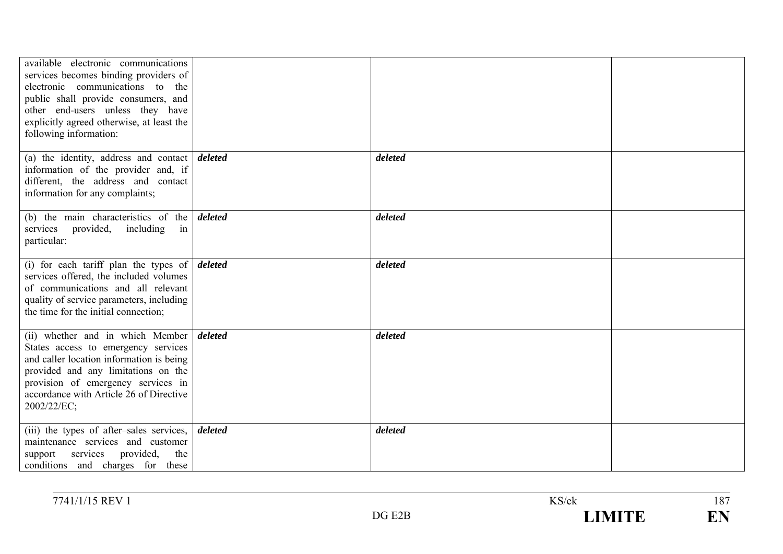| available electronic communications<br>services becomes binding providers of<br>electronic communications to the<br>public shall provide consumers, and<br>other end-users unless they have<br>explicitly agreed otherwise, at least the<br>following information: |         |         |  |
|--------------------------------------------------------------------------------------------------------------------------------------------------------------------------------------------------------------------------------------------------------------------|---------|---------|--|
| (a) the identity, address and contact $\boldsymbol{delta}$<br>information of the provider and, if<br>different, the address and contact<br>information for any complaints;                                                                                         |         | deleted |  |
| (b) the main characteristics of the $\theta$ deleted<br>services provided, including<br>in<br>particular:                                                                                                                                                          |         | deleted |  |
| (i) for each tariff plan the types of $\delta$<br>services offered, the included volumes<br>of communications and all relevant<br>quality of service parameters, including<br>the time for the initial connection;                                                 |         | deleted |  |
| (ii) whether and in which Member<br>States access to emergency services<br>and caller location information is being<br>provided and any limitations on the<br>provision of emergency services in<br>accordance with Article 26 of Directive<br>2002/22/EC;         | deleted | deleted |  |
| (iii) the types of after-sales services,<br>maintenance services and customer<br>services<br>provided,<br>the<br>support<br>conditions and charges for these                                                                                                       | deleted | deleted |  |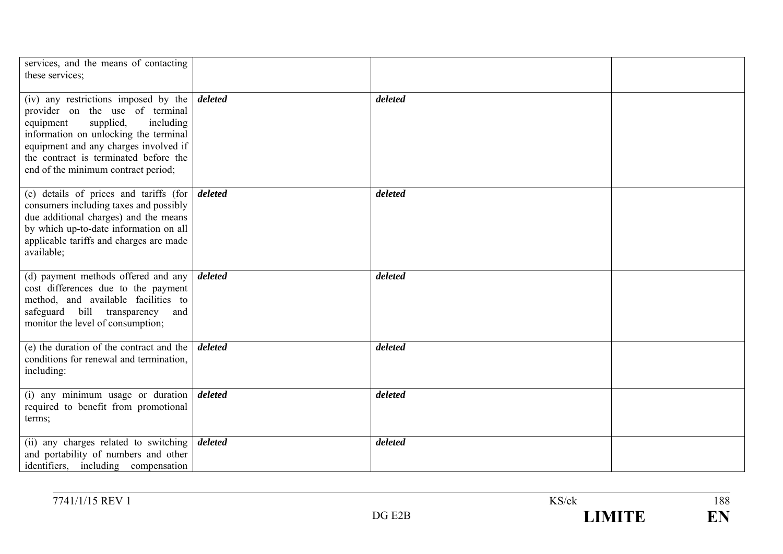| services, and the means of contacting<br>these services;                                                                                                                                                                                                                                         |         |         |  |
|--------------------------------------------------------------------------------------------------------------------------------------------------------------------------------------------------------------------------------------------------------------------------------------------------|---------|---------|--|
| (iv) any restrictions imposed by the $\vert$ deleted<br>provider on the use of terminal<br>supplied,<br>equipment<br>including<br>information on unlocking the terminal<br>equipment and any charges involved if<br>the contract is terminated before the<br>end of the minimum contract period; |         | deleted |  |
| (c) details of prices and tariffs (for $\vert$ deleted<br>consumers including taxes and possibly<br>due additional charges) and the means<br>by which up-to-date information on all<br>applicable tariffs and charges are made<br>available;                                                     |         | deleted |  |
| (d) payment methods offered and any $\vert$ <i>deleted</i><br>cost differences due to the payment<br>method, and available facilities to<br>safeguard bill transparency<br>and<br>monitor the level of consumption;                                                                              |         | deleted |  |
| (e) the duration of the contract and the<br>conditions for renewal and termination,<br>including:                                                                                                                                                                                                | deleted | deleted |  |
| (i) any minimum usage or duration $\vert$ deleted<br>required to benefit from promotional<br>terms;                                                                                                                                                                                              |         | deleted |  |
| (ii) any charges related to switching<br>and portability of numbers and other<br>identifiers, including compensation                                                                                                                                                                             | deleted | deleted |  |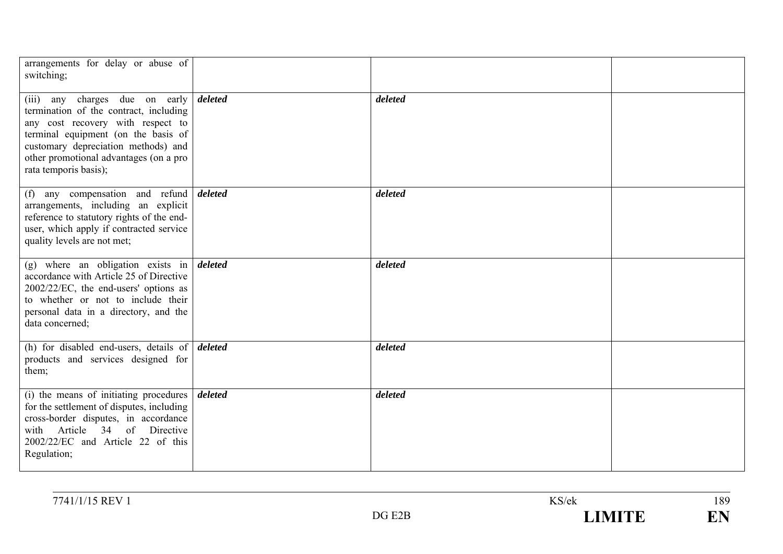| arrangements for delay or abuse of<br>switching;                                                                                                                                                                                                                    |         |         |  |
|---------------------------------------------------------------------------------------------------------------------------------------------------------------------------------------------------------------------------------------------------------------------|---------|---------|--|
| charges due on early<br>$(iii)$ any<br>termination of the contract, including<br>any cost recovery with respect to<br>terminal equipment (on the basis of<br>customary depreciation methods) and<br>other promotional advantages (on a pro<br>rata temporis basis); | deleted | deleted |  |
| (f) any compensation and refund<br>arrangements, including an explicit<br>reference to statutory rights of the end-<br>user, which apply if contracted service<br>quality levels are not met;                                                                       | deleted | deleted |  |
| (g) where an obligation exists in $\delta$ deleted<br>accordance with Article 25 of Directive<br>2002/22/EC, the end-users' options as<br>to whether or not to include their<br>personal data in a directory, and the<br>data concerned;                            |         | deleted |  |
| (h) for disabled end-users, details of $\delta$<br>products and services designed for<br>them;                                                                                                                                                                      |         | deleted |  |
| (i) the means of initiating procedures<br>for the settlement of disputes, including<br>cross-border disputes, in accordance<br>Article 34 of Directive<br>with<br>2002/22/EC and Article 22 of this<br>Regulation;                                                  | deleted | deleted |  |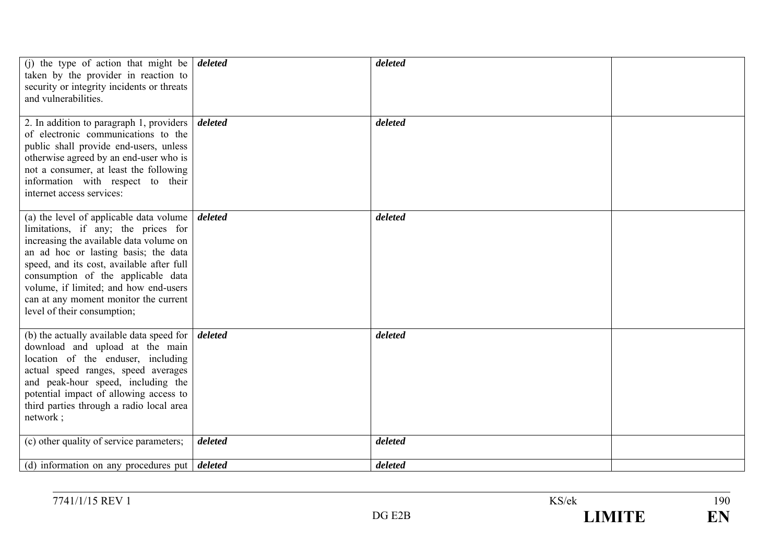| (i) the type of action that might be $\vert$ deleted<br>taken by the provider in reaction to<br>security or integrity incidents or threats<br>and vulnerabilities.                                                                                                                                                                                                                          |         | deleted |  |
|---------------------------------------------------------------------------------------------------------------------------------------------------------------------------------------------------------------------------------------------------------------------------------------------------------------------------------------------------------------------------------------------|---------|---------|--|
| 2. In addition to paragraph 1, providers $\vert$ <i>deleted</i><br>of electronic communications to the<br>public shall provide end-users, unless<br>otherwise agreed by an end-user who is<br>not a consumer, at least the following<br>information with respect to their<br>internet access services:                                                                                      |         | deleted |  |
| (a) the level of applicable data volume $\int$ <i>deleted</i><br>limitations, if any; the prices for<br>increasing the available data volume on<br>an ad hoc or lasting basis; the data<br>speed, and its cost, available after full<br>consumption of the applicable data<br>volume, if limited; and how end-users<br>can at any moment monitor the current<br>level of their consumption; |         | deleted |  |
| (b) the actually available data speed for $\vert$ <i>deleted</i><br>download and upload at the main<br>location of the enduser, including<br>actual speed ranges, speed averages<br>and peak-hour speed, including the<br>potential impact of allowing access to<br>third parties through a radio local area<br>network;                                                                    |         | deleted |  |
| (c) other quality of service parameters;                                                                                                                                                                                                                                                                                                                                                    | deleted | deleted |  |
| (d) information on any procedures put $\boldsymbol{delta}$                                                                                                                                                                                                                                                                                                                                  |         | deleted |  |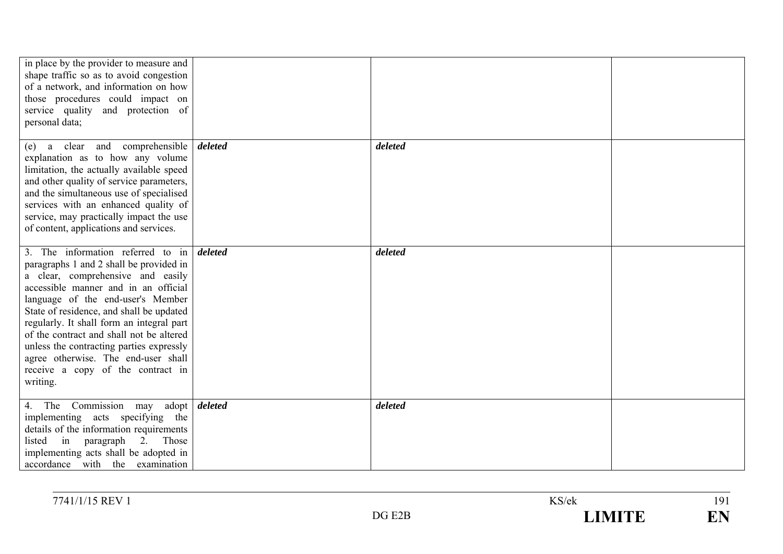| in place by the provider to measure and<br>shape traffic so as to avoid congestion<br>of a network, and information on how<br>those procedures could impact on<br>service quality and protection of<br>personal data;                                                                                                                                                                                                                                                   |         |         |  |
|-------------------------------------------------------------------------------------------------------------------------------------------------------------------------------------------------------------------------------------------------------------------------------------------------------------------------------------------------------------------------------------------------------------------------------------------------------------------------|---------|---------|--|
| and comprehensible<br>a clear<br>(e)<br>explanation as to how any volume<br>limitation, the actually available speed<br>and other quality of service parameters,<br>and the simultaneous use of specialised<br>services with an enhanced quality of<br>service, may practically impact the use<br>of content, applications and services.                                                                                                                                | deleted | deleted |  |
| 3. The information referred to in<br>paragraphs 1 and 2 shall be provided in<br>a clear, comprehensive and easily<br>accessible manner and in an official<br>language of the end-user's Member<br>State of residence, and shall be updated<br>regularly. It shall form an integral part<br>of the contract and shall not be altered<br>unless the contracting parties expressly<br>agree otherwise. The end-user shall<br>receive a copy of the contract in<br>writing. | deleted | deleted |  |
| The Commission may<br>adopt  <br>4.<br>implementing acts specifying the<br>details of the information requirements<br>in paragraph<br>listed<br>2. Those<br>implementing acts shall be adopted in<br>accordance with the examination                                                                                                                                                                                                                                    | deleted | deleted |  |

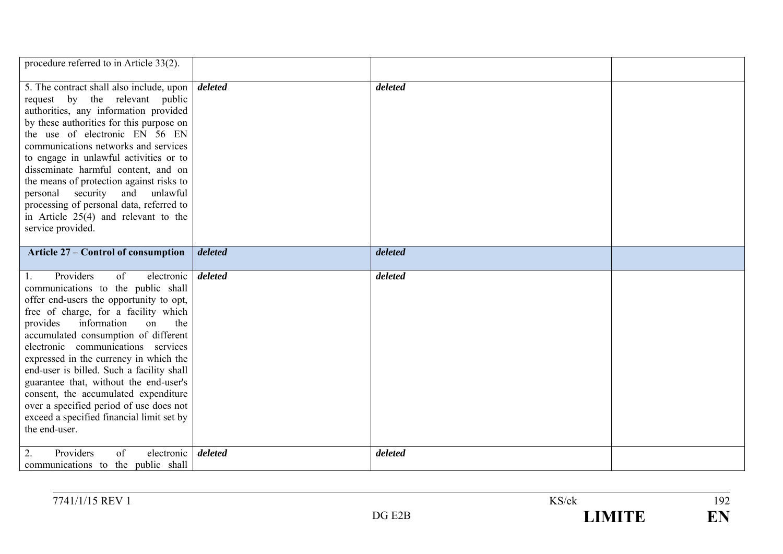| procedure referred to in Article 33(2).                                                                                                                                                                                                                                                                                                                                                                                                                                                                             |         |         |  |
|---------------------------------------------------------------------------------------------------------------------------------------------------------------------------------------------------------------------------------------------------------------------------------------------------------------------------------------------------------------------------------------------------------------------------------------------------------------------------------------------------------------------|---------|---------|--|
| 5. The contract shall also include, upon<br>request by the relevant public<br>authorities, any information provided<br>by these authorities for this purpose on<br>the use of electronic EN 56 EN<br>communications networks and services<br>to engage in unlawful activities or to<br>disseminate harmful content, and on<br>the means of protection against risks to<br>personal security and unlawful<br>processing of personal data, referred to<br>in Article $25(4)$ and relevant to the<br>service provided. | deleted | deleted |  |
| <b>Article 27 – Control of consumption</b>                                                                                                                                                                                                                                                                                                                                                                                                                                                                          | deleted | deleted |  |
| Providers<br>of<br>electronic<br>communications to the public shall<br>offer end-users the opportunity to opt,<br>free of charge, for a facility which<br>information<br>provides<br>on<br>the<br>accumulated consumption of different                                                                                                                                                                                                                                                                              | deleted | deleted |  |
| electronic communications services<br>expressed in the currency in which the<br>end-user is billed. Such a facility shall<br>guarantee that, without the end-user's<br>consent, the accumulated expenditure<br>over a specified period of use does not<br>exceed a specified financial limit set by<br>the end-user.                                                                                                                                                                                                |         |         |  |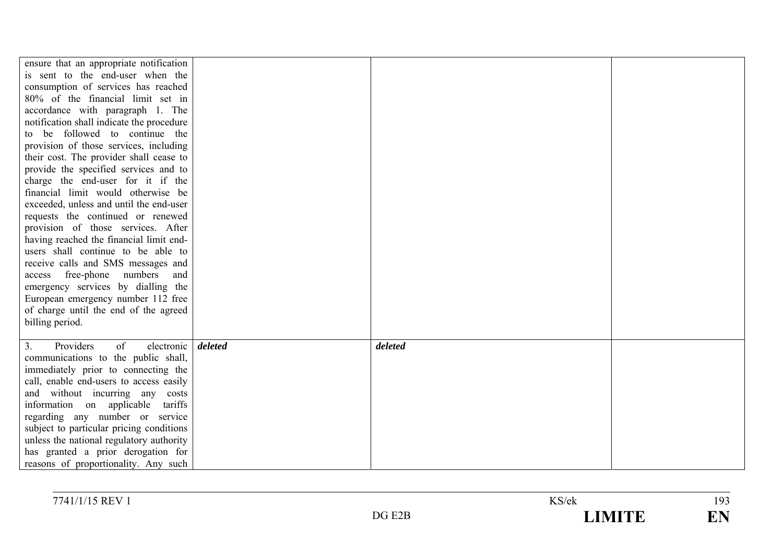| ensure that an appropriate notification            |         |  |
|----------------------------------------------------|---------|--|
| is sent to the end-user when the                   |         |  |
| consumption of services has reached                |         |  |
| 80% of the financial limit set in                  |         |  |
| accordance with paragraph 1. The                   |         |  |
| notification shall indicate the procedure          |         |  |
| to be followed to continue the                     |         |  |
| provision of those services, including             |         |  |
| their cost. The provider shall cease to            |         |  |
| provide the specified services and to              |         |  |
| charge the end-user for it if the                  |         |  |
| financial limit would otherwise be                 |         |  |
| exceeded, unless and until the end-user            |         |  |
| requests the continued or renewed                  |         |  |
| provision of those services. After                 |         |  |
| having reached the financial limit end-            |         |  |
| users shall continue to be able to                 |         |  |
| receive calls and SMS messages and                 |         |  |
| access free-phone numbers<br>and                   |         |  |
| emergency services by dialling the                 |         |  |
| European emergency number 112 free                 |         |  |
| of charge until the end of the agreed              |         |  |
| billing period.                                    |         |  |
|                                                    |         |  |
| Providers<br>of<br>3.<br>electronic <i>deleted</i> | deleted |  |
| communications to the public shall,                |         |  |
| immediately prior to connecting the                |         |  |
| call, enable end-users to access easily            |         |  |
| and without incurring any costs                    |         |  |
| information on applicable<br>tariffs               |         |  |
| regarding any number or service                    |         |  |
| subject to particular pricing conditions           |         |  |
| unless the national regulatory authority           |         |  |
| has granted a prior derogation for                 |         |  |
| reasons of proportionality. Any such               |         |  |
|                                                    |         |  |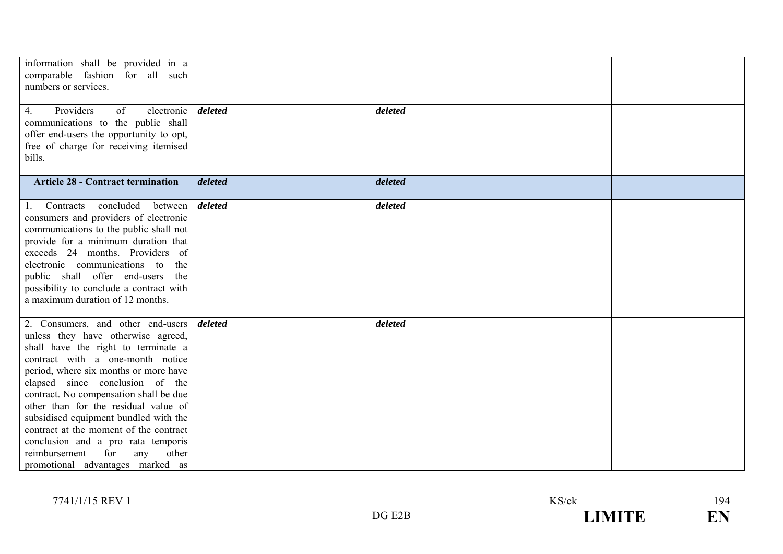| information shall be provided in a<br>comparable fashion for all such<br>numbers or services.<br>Providers<br>of<br>electronic  <br>4.<br>communications to the public shall<br>offer end-users the opportunity to opt,                                                                                                                                                                                                                                                                                               | deleted | deleted |  |
|-----------------------------------------------------------------------------------------------------------------------------------------------------------------------------------------------------------------------------------------------------------------------------------------------------------------------------------------------------------------------------------------------------------------------------------------------------------------------------------------------------------------------|---------|---------|--|
| free of charge for receiving itemised<br>bills.                                                                                                                                                                                                                                                                                                                                                                                                                                                                       |         |         |  |
| <b>Article 28 - Contract termination</b>                                                                                                                                                                                                                                                                                                                                                                                                                                                                              | deleted | deleted |  |
| 1. Contracts concluded<br>between  <br>consumers and providers of electronic<br>communications to the public shall not<br>provide for a minimum duration that<br>exceeds 24 months. Providers of<br>electronic communications to<br>the<br>public shall offer end-users<br>the<br>possibility to conclude a contract with<br>a maximum duration of 12 months.                                                                                                                                                         | deleted | deleted |  |
| 2. Consumers, and other end-users<br>unless they have otherwise agreed,<br>shall have the right to terminate a<br>contract with a one-month notice<br>period, where six months or more have<br>elapsed since conclusion of the<br>contract. No compensation shall be due<br>other than for the residual value of<br>subsidised equipment bundled with the<br>contract at the moment of the contract<br>conclusion and a pro rata temporis<br>reimbursement<br>for<br>any<br>other<br>promotional advantages marked as | deleted | deleted |  |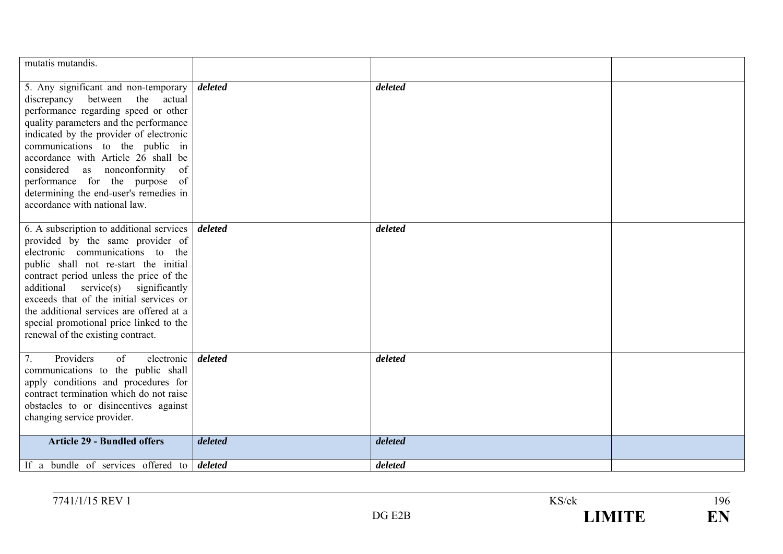| mutatis mutandis.                                                                                                                                                                                                                                                                                                                                                                                                                        |         |         |  |
|------------------------------------------------------------------------------------------------------------------------------------------------------------------------------------------------------------------------------------------------------------------------------------------------------------------------------------------------------------------------------------------------------------------------------------------|---------|---------|--|
| 5. Any significant and non-temporary<br>discrepancy between the<br>actual<br>performance regarding speed or other<br>quality parameters and the performance<br>indicated by the provider of electronic<br>communications to the public in<br>accordance with Article 26 shall be<br>as nonconformity<br>considered<br>of<br>performance for the purpose<br>of<br>determining the end-user's remedies in<br>accordance with national law. | deleted | deleted |  |
| 6. A subscription to additional services  <br>provided by the same provider of<br>electronic communications to the<br>public shall not re-start the initial<br>contract period unless the price of the<br>additional<br>$s$ ervice $(s)$ significantly<br>exceeds that of the initial services or<br>the additional services are offered at a<br>special promotional price linked to the<br>renewal of the existing contract.            | deleted | deleted |  |
| Providers<br>of<br>7.<br>electronic<br>communications to the public shall<br>apply conditions and procedures for<br>contract termination which do not raise<br>obstacles to or disincentives against<br>changing service provider.                                                                                                                                                                                                       | deleted | deleted |  |
| <b>Article 29 - Bundled offers</b>                                                                                                                                                                                                                                                                                                                                                                                                       | deleted | deleted |  |
| If a bundle of services offered to $\delta$                                                                                                                                                                                                                                                                                                                                                                                              |         | deleted |  |

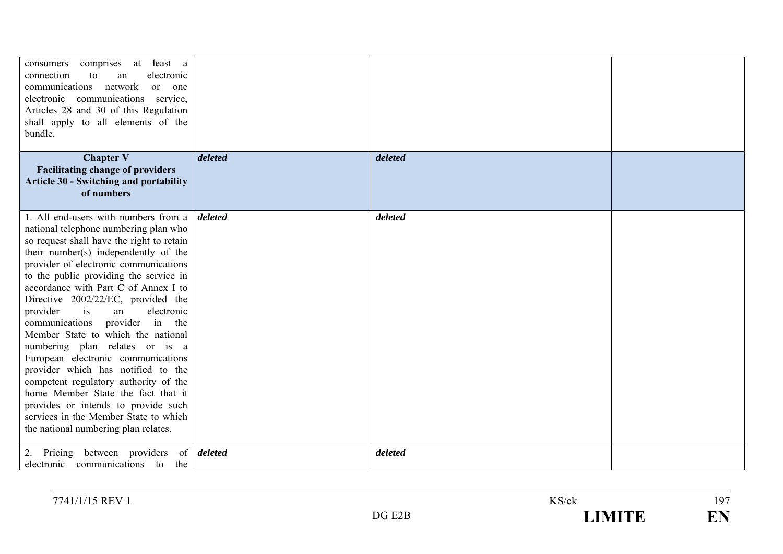| least a<br>consumers<br>comprises at<br>connection<br>to<br>electronic<br>an<br>communications<br>network<br>or one<br>electronic communications service,<br>Articles 28 and 30 of this Regulation<br>shall apply to all elements of the<br>bundle.                                                                                                                                                                                                                                                                                                                                                                                                                                                                                                                       |         |         |  |
|---------------------------------------------------------------------------------------------------------------------------------------------------------------------------------------------------------------------------------------------------------------------------------------------------------------------------------------------------------------------------------------------------------------------------------------------------------------------------------------------------------------------------------------------------------------------------------------------------------------------------------------------------------------------------------------------------------------------------------------------------------------------------|---------|---------|--|
| <b>Chapter V</b><br><b>Facilitating change of providers</b><br><b>Article 30 - Switching and portability</b><br>of numbers                                                                                                                                                                                                                                                                                                                                                                                                                                                                                                                                                                                                                                                | deleted | deleted |  |
| 1. All end-users with numbers from a<br>national telephone numbering plan who<br>so request shall have the right to retain<br>their number(s) independently of the<br>provider of electronic communications<br>to the public providing the service in<br>accordance with Part C of Annex I to<br>Directive 2002/22/EC, provided the<br>is<br>electronic<br>provider<br>an<br>provider in the<br>communications<br>Member State to which the national<br>numbering plan relates or is a<br>European electronic communications<br>provider which has notified to the<br>competent regulatory authority of the<br>home Member State the fact that it<br>provides or intends to provide such<br>services in the Member State to which<br>the national numbering plan relates. | deleted | deleted |  |
| Pricing between providers of <i>deleted</i><br>electronic communications to the                                                                                                                                                                                                                                                                                                                                                                                                                                                                                                                                                                                                                                                                                           |         | deleted |  |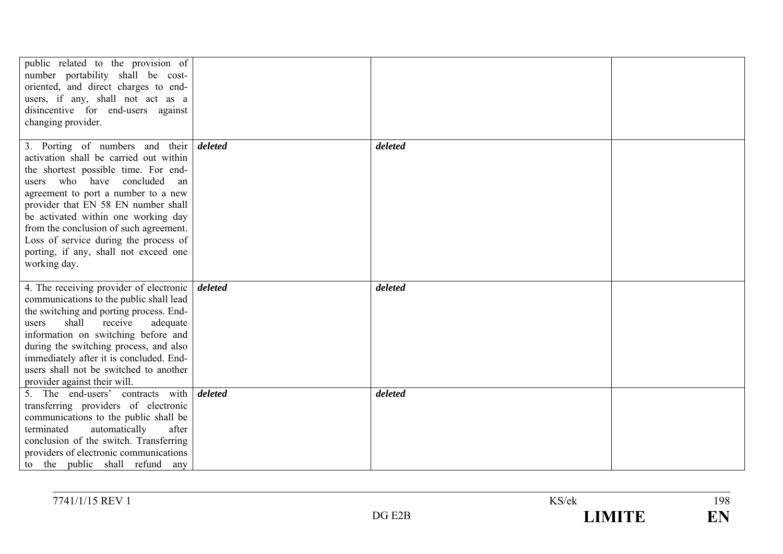| public related to the provision of<br>number portability shall be cost-<br>oriented, and direct charges to end-<br>users, if any, shall not act as a<br>disincentive for end-users against<br>changing provider.                                                                                                                                                                                                     |         |         |  |
|----------------------------------------------------------------------------------------------------------------------------------------------------------------------------------------------------------------------------------------------------------------------------------------------------------------------------------------------------------------------------------------------------------------------|---------|---------|--|
| 3. Porting of numbers and their<br>activation shall be carried out within<br>the shortest possible time. For end-<br>users who have concluded<br>an<br>agreement to port a number to a new<br>provider that EN 58 EN number shall<br>be activated within one working day<br>from the conclusion of such agreement.<br>Loss of service during the process of<br>porting, if any, shall not exceed one<br>working day. | deleted | deleted |  |
| 4. The receiving provider of electronic  <br>communications to the public shall lead<br>the switching and porting process. End-<br>shall<br>receive<br>adequate<br>users<br>information on switching before and<br>during the switching process, and also<br>immediately after it is concluded. End-<br>users shall not be switched to another<br>provider against their will.                                       | deleted | deleted |  |
| 5. The end-users' contracts with<br>transferring providers of electronic<br>communications to the public shall be<br>terminated<br>automatically<br>after<br>conclusion of the switch. Transferring<br>providers of electronic communications<br>to the public shall refund any                                                                                                                                      | deleted | deleted |  |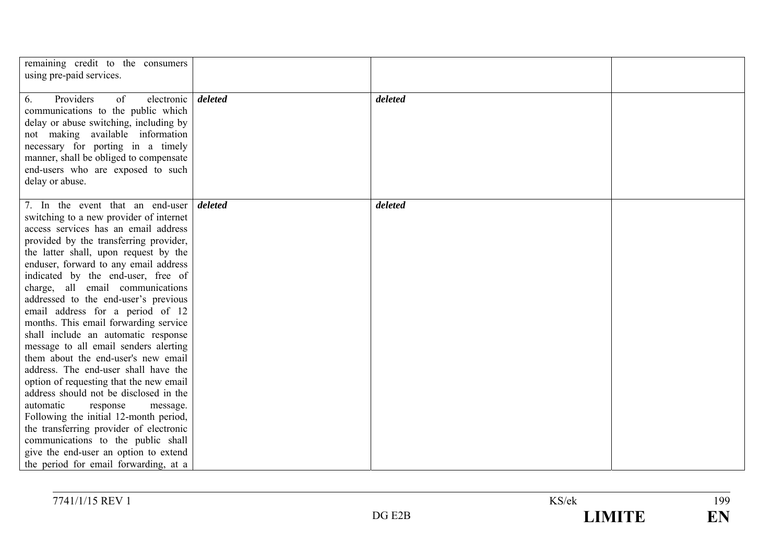| remaining credit to the consumers<br>using pre-paid services.                                                                                                                                                                                                                                                                                                                                                                                                                                                                                                                                                                                                                                                                                                                                                                                                                                                                                                       |         |         |  |
|---------------------------------------------------------------------------------------------------------------------------------------------------------------------------------------------------------------------------------------------------------------------------------------------------------------------------------------------------------------------------------------------------------------------------------------------------------------------------------------------------------------------------------------------------------------------------------------------------------------------------------------------------------------------------------------------------------------------------------------------------------------------------------------------------------------------------------------------------------------------------------------------------------------------------------------------------------------------|---------|---------|--|
| Providers<br>of<br>electronic<br>6.<br>communications to the public which<br>delay or abuse switching, including by<br>not making available information<br>necessary for porting in a timely<br>manner, shall be obliged to compensate<br>end-users who are exposed to such<br>delay or abuse.                                                                                                                                                                                                                                                                                                                                                                                                                                                                                                                                                                                                                                                                      | deleted | deleted |  |
| 7. In the event that an end-user <i>deleted</i><br>switching to a new provider of internet<br>access services has an email address<br>provided by the transferring provider,<br>the latter shall, upon request by the<br>enduser, forward to any email address<br>indicated by the end-user, free of<br>charge, all email communications<br>addressed to the end-user's previous<br>email address for a period of 12<br>months. This email forwarding service<br>shall include an automatic response<br>message to all email senders alerting<br>them about the end-user's new email<br>address. The end-user shall have the<br>option of requesting that the new email<br>address should not be disclosed in the<br>automatic<br>response<br>message.<br>Following the initial 12-month period,<br>the transferring provider of electronic<br>communications to the public shall<br>give the end-user an option to extend<br>the period for email forwarding, at a |         | deleted |  |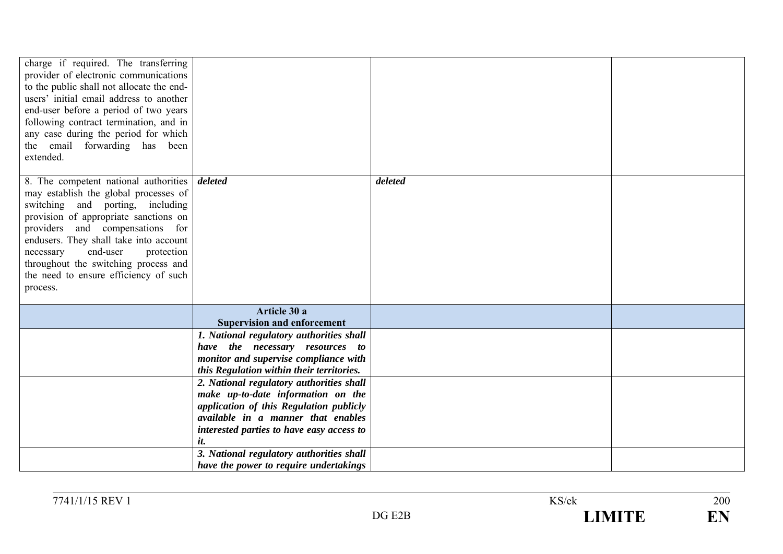| charge if required. The transferring<br>provider of electronic communications<br>to the public shall not allocate the end-<br>users' initial email address to another<br>end-user before a period of two years<br>following contract termination, and in<br>any case during the period for which<br>the email forwarding has been<br>extended.                                              |                                                                                                                                                                                                                     |         |  |
|---------------------------------------------------------------------------------------------------------------------------------------------------------------------------------------------------------------------------------------------------------------------------------------------------------------------------------------------------------------------------------------------|---------------------------------------------------------------------------------------------------------------------------------------------------------------------------------------------------------------------|---------|--|
| 8. The competent national authorities <i>deleted</i><br>may establish the global processes of<br>switching and porting, including<br>provision of appropriate sanctions on<br>providers and compensations for<br>endusers. They shall take into account<br>end-user<br>necessary<br>protection<br>throughout the switching process and<br>the need to ensure efficiency of such<br>process. |                                                                                                                                                                                                                     | deleted |  |
|                                                                                                                                                                                                                                                                                                                                                                                             | Article 30 a<br><b>Supervision and enforcement</b>                                                                                                                                                                  |         |  |
|                                                                                                                                                                                                                                                                                                                                                                                             | 1. National regulatory authorities shall<br>have the necessary resources to<br>monitor and supervise compliance with<br>this Regulation within their territories.                                                   |         |  |
|                                                                                                                                                                                                                                                                                                                                                                                             | 2. National regulatory authorities shall<br>make up-to-date information on the<br>application of this Regulation publicly<br>available in a manner that enables<br>interested parties to have easy access to<br>it. |         |  |
|                                                                                                                                                                                                                                                                                                                                                                                             | 3. National regulatory authorities shall<br>have the power to require undertakings                                                                                                                                  |         |  |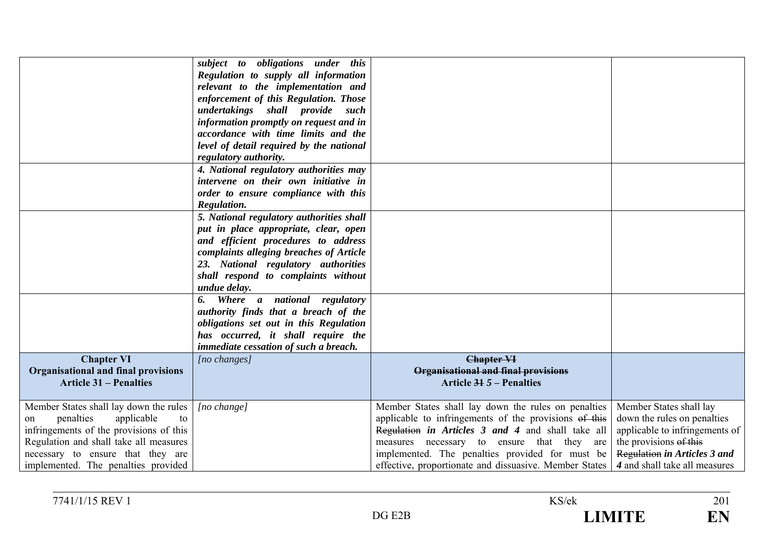| <b>Chapter VI</b><br><b>Organisational and final provisions</b><br><b>Article 31 – Penalties</b>                                                              | subject to obligations under this<br>Regulation to supply all information<br>relevant to the implementation and<br>enforcement of this Regulation. Those<br>undertakings shall provide such<br>information promptly on request and in<br>accordance with time limits and the<br>level of detail required by the national<br>regulatory authority.<br>4. National regulatory authorities may<br>intervene on their own initiative in<br>order to ensure compliance with this<br>Regulation.<br>5. National regulatory authorities shall<br>put in place appropriate, clear, open<br>and efficient procedures to address<br>complaints alleging breaches of Article<br>23. National regulatory authorities<br>shall respond to complaints without<br>undue delay.<br>6. Where a national regulatory<br>authority finds that a breach of the<br>obligations set out in this Regulation<br>has occurred, it shall require the<br>immediate cessation of such a breach.<br>[no changes] | <b>Chapter VI</b><br>Organisational and final provisions<br>Article $315$ – Penalties                                                                                                                        |                                                                                                                           |
|---------------------------------------------------------------------------------------------------------------------------------------------------------------|------------------------------------------------------------------------------------------------------------------------------------------------------------------------------------------------------------------------------------------------------------------------------------------------------------------------------------------------------------------------------------------------------------------------------------------------------------------------------------------------------------------------------------------------------------------------------------------------------------------------------------------------------------------------------------------------------------------------------------------------------------------------------------------------------------------------------------------------------------------------------------------------------------------------------------------------------------------------------------|--------------------------------------------------------------------------------------------------------------------------------------------------------------------------------------------------------------|---------------------------------------------------------------------------------------------------------------------------|
| Member States shall lay down the rules<br>penalties<br>applicable<br>to<br>on                                                                                 | [no change]                                                                                                                                                                                                                                                                                                                                                                                                                                                                                                                                                                                                                                                                                                                                                                                                                                                                                                                                                                        | Member States shall lay down the rules on penalties<br>applicable to infringements of the provisions of this                                                                                                 | Member States shall lay<br>down the rules on penalties                                                                    |
| infringements of the provisions of this<br>Regulation and shall take all measures<br>necessary to ensure that they are<br>implemented. The penalties provided |                                                                                                                                                                                                                                                                                                                                                                                                                                                                                                                                                                                                                                                                                                                                                                                                                                                                                                                                                                                    | Regulation in Articles 3 and 4 and shall take all<br>measures necessary to ensure that they are<br>implemented. The penalties provided for must be<br>effective, proportionate and dissuasive. Member States | applicable to infringements of<br>the provisions of this<br>Regulation in Articles 3 and<br>4 and shall take all measures |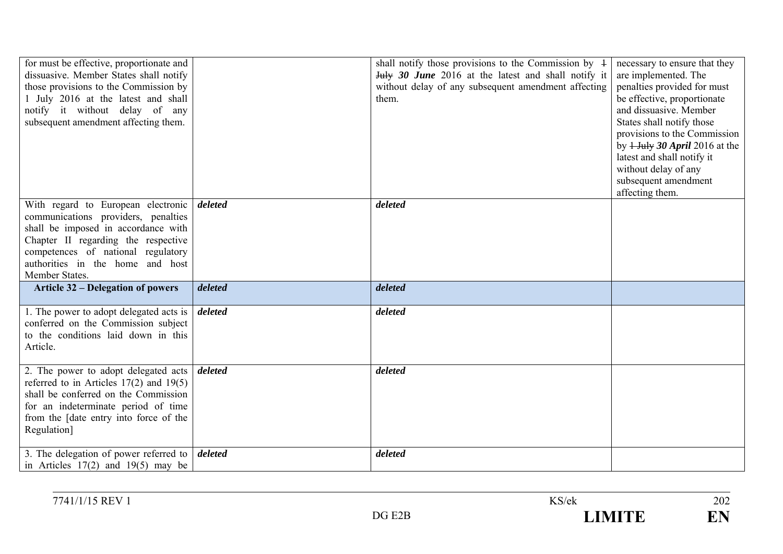| for must be effective, proportionate and<br>dissuasive. Member States shall notify<br>those provisions to the Commission by<br>1 July 2016 at the latest and shall<br>notify it without delay of any<br>subsequent amendment affecting them.        |         | shall notify those provisions to the Commission by $\pm$<br>July 30 June 2016 at the latest and shall notify it<br>without delay of any subsequent amendment affecting<br>them. | necessary to ensure that they<br>are implemented. The<br>penalties provided for must<br>be effective, proportionate<br>and dissuasive. Member<br>States shall notify those<br>provisions to the Commission<br>by $1$ -July 30 April 2016 at the<br>latest and shall notify it<br>without delay of any<br>subsequent amendment<br>affecting them. |
|-----------------------------------------------------------------------------------------------------------------------------------------------------------------------------------------------------------------------------------------------------|---------|---------------------------------------------------------------------------------------------------------------------------------------------------------------------------------|--------------------------------------------------------------------------------------------------------------------------------------------------------------------------------------------------------------------------------------------------------------------------------------------------------------------------------------------------|
| With regard to European electronic<br>communications providers, penalties<br>shall be imposed in accordance with<br>Chapter II regarding the respective<br>competences of national regulatory<br>authorities in the home and host<br>Member States. | deleted | deleted                                                                                                                                                                         |                                                                                                                                                                                                                                                                                                                                                  |
| <b>Article 32 – Delegation of powers</b>                                                                                                                                                                                                            | deleted | deleted                                                                                                                                                                         |                                                                                                                                                                                                                                                                                                                                                  |
| 1. The power to adopt delegated acts is<br>conferred on the Commission subject<br>to the conditions laid down in this<br>Article.                                                                                                                   | deleted | deleted                                                                                                                                                                         |                                                                                                                                                                                                                                                                                                                                                  |
| 2. The power to adopt delegated acts<br>referred to in Articles $17(2)$ and $19(5)$<br>shall be conferred on the Commission<br>for an indeterminate period of time<br>from the [date entry into force of the<br>Regulation]                         | deleted | deleted                                                                                                                                                                         |                                                                                                                                                                                                                                                                                                                                                  |
| 3. The delegation of power referred to<br>in Articles $17(2)$ and $19(5)$ may be                                                                                                                                                                    | deleted | deleted                                                                                                                                                                         |                                                                                                                                                                                                                                                                                                                                                  |

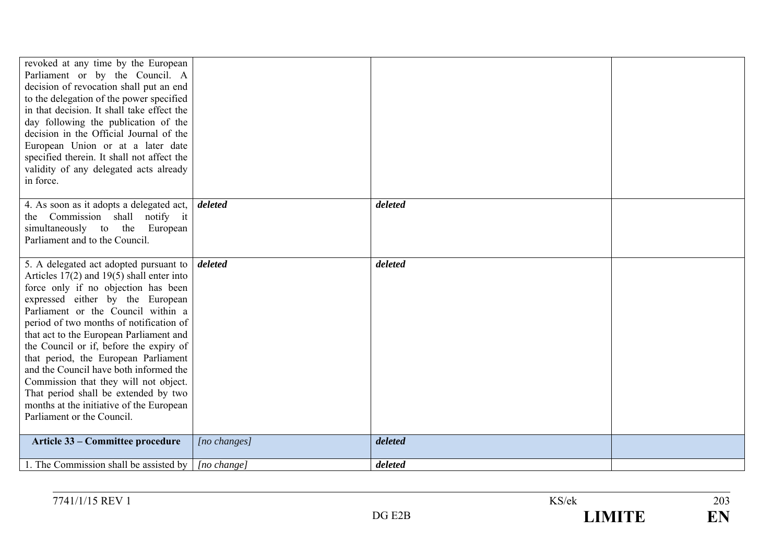| revoked at any time by the European<br>Parliament or by the Council. A<br>decision of revocation shall put an end<br>to the delegation of the power specified<br>in that decision. It shall take effect the<br>day following the publication of the<br>decision in the Official Journal of the<br>European Union or at a later date<br>specified therein. It shall not affect the<br>validity of any delegated acts already<br>in force.                                                                                                                                               |              |         |  |
|----------------------------------------------------------------------------------------------------------------------------------------------------------------------------------------------------------------------------------------------------------------------------------------------------------------------------------------------------------------------------------------------------------------------------------------------------------------------------------------------------------------------------------------------------------------------------------------|--------------|---------|--|
|                                                                                                                                                                                                                                                                                                                                                                                                                                                                                                                                                                                        |              |         |  |
| 4. As soon as it adopts a delegated act,<br>the Commission shall notify it<br>simultaneously to the European<br>Parliament and to the Council.                                                                                                                                                                                                                                                                                                                                                                                                                                         | deleted      | deleted |  |
| 5. A delegated act adopted pursuant to<br>Articles $17(2)$ and $19(5)$ shall enter into<br>force only if no objection has been<br>expressed either by the European<br>Parliament or the Council within a<br>period of two months of notification of<br>that act to the European Parliament and<br>the Council or if, before the expiry of<br>that period, the European Parliament<br>and the Council have both informed the<br>Commission that they will not object.<br>That period shall be extended by two<br>months at the initiative of the European<br>Parliament or the Council. | deleted      | deleted |  |
| Article 33 – Committee procedure                                                                                                                                                                                                                                                                                                                                                                                                                                                                                                                                                       | [no changes] | deleted |  |
| 1. The Commission shall be assisted by                                                                                                                                                                                                                                                                                                                                                                                                                                                                                                                                                 | [no change]  | deleted |  |
|                                                                                                                                                                                                                                                                                                                                                                                                                                                                                                                                                                                        |              |         |  |

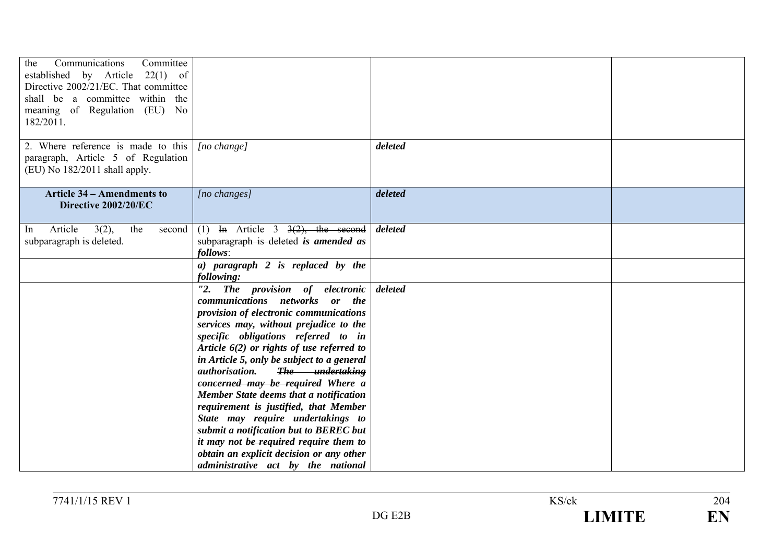| the<br>Communications<br>Committee<br>established by Article 22(1) of<br>Directive 2002/21/EC. That committee<br>shall be a committee within the<br>meaning of Regulation (EU) No<br>182/2011. |                                                                                                                                                                                                                                                                                                                                                                                                                                                                                                                                                                                                                                                                          |         |  |
|------------------------------------------------------------------------------------------------------------------------------------------------------------------------------------------------|--------------------------------------------------------------------------------------------------------------------------------------------------------------------------------------------------------------------------------------------------------------------------------------------------------------------------------------------------------------------------------------------------------------------------------------------------------------------------------------------------------------------------------------------------------------------------------------------------------------------------------------------------------------------------|---------|--|
| 2. Where reference is made to this<br>paragraph, Article 5 of Regulation<br>(EU) No 182/2011 shall apply.                                                                                      | $[no \ change]$                                                                                                                                                                                                                                                                                                                                                                                                                                                                                                                                                                                                                                                          | deleted |  |
| <b>Article 34 - Amendments to</b><br>Directive 2002/20/EC                                                                                                                                      | [no changes]                                                                                                                                                                                                                                                                                                                                                                                                                                                                                                                                                                                                                                                             | deleted |  |
| Article<br>3(2),<br>the<br>second  <br>In<br>subparagraph is deleted.                                                                                                                          | (1) In Article 3 $3(2)$ , the second<br>subparagraph is deleted is amended as<br>follows:                                                                                                                                                                                                                                                                                                                                                                                                                                                                                                                                                                                | deleted |  |
|                                                                                                                                                                                                | $a)$ paragraph 2 is replaced by the<br>following:                                                                                                                                                                                                                                                                                                                                                                                                                                                                                                                                                                                                                        |         |  |
|                                                                                                                                                                                                | "2. The provision of electronic<br>communications networks or the<br>provision of electronic communications<br>services may, without prejudice to the<br>specific obligations referred to in<br>Article $6(2)$ or rights of use referred to<br>in Article 5, only be subject to a general<br><i>authorisation.</i><br>The undertaking<br>concerned may be required Where a<br>Member State deems that a notification<br>requirement is justified, that Member<br>State may require undertakings to<br>submit a notification but to BEREC but<br>it may not be required require them to<br>obtain an explicit decision or any other<br>administrative act by the national | deleted |  |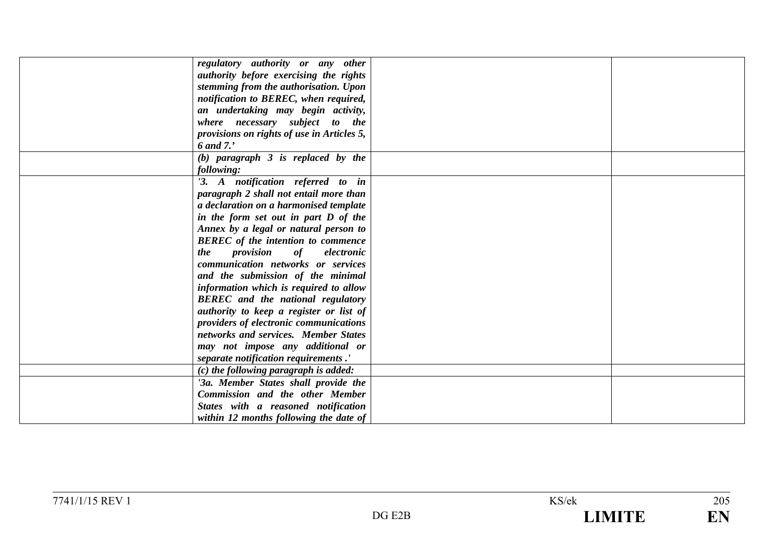| regulatory authority or any other          |  |
|--------------------------------------------|--|
| authority before exercising the rights     |  |
| stemming from the authorisation. Upon      |  |
| notification to BEREC, when required,      |  |
|                                            |  |
| an undertaking may begin activity,         |  |
| where necessary subject to the             |  |
| provisions on rights of use in Articles 5, |  |
| 6 and 7.'                                  |  |
| $(b)$ paragraph $3$ is replaced by the     |  |
| following:                                 |  |
| '3. A notification referred to in          |  |
| paragraph 2 shall not entail more than     |  |
| a declaration on a harmonised template     |  |
| in the form set out in part D of the       |  |
| Annex by a legal or natural person to      |  |
| <b>BEREC</b> of the intention to commence  |  |
| provision<br>of<br>the<br>electronic       |  |
| communication networks or services         |  |
| and the submission of the minimal          |  |
| information which is required to allow     |  |
| <b>BEREC</b> and the national regulatory   |  |
| authority to keep a register or list of    |  |
| providers of electronic communications     |  |
| networks and services. Member States       |  |
| may not impose any additional or           |  |
| separate notification requirements.'       |  |
| $(c)$ the following paragraph is added:    |  |
| '3a. Member States shall provide the       |  |
| <b>Commission and the other Member</b>     |  |
|                                            |  |
| States with a reasoned notification        |  |
| within 12 months following the date of     |  |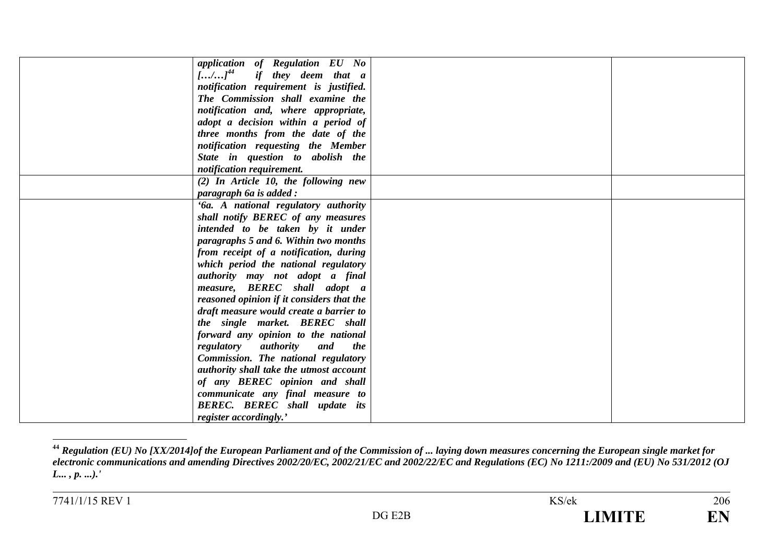| application of Regulation EU No                       |  |
|-------------------------------------------------------|--|
| $\left[\ldots/\ldots\right]^{44}$ if they deem that a |  |
| notification requirement is justified.                |  |
| The Commission shall examine the                      |  |
| notification and, where appropriate,                  |  |
| adopt a decision within a period of                   |  |
| three months from the date of the                     |  |
| notification requesting the Member                    |  |
| State in question to abolish the                      |  |
| notification requirement.                             |  |
| $(2)$ In Article 10, the following new                |  |
| <i>paragraph 6a is added :</i>                        |  |
| '6a. A national regulatory authority                  |  |
| shall notify BEREC of any measures                    |  |
| intended to be taken by it under                      |  |
| paragraphs 5 and 6. Within two months                 |  |
| from receipt of a notification, during                |  |
| which period the national regulatory                  |  |
| authority may not adopt a final                       |  |
| measure, BEREC shall adopt a                          |  |
| reasoned opinion if it considers that the             |  |
| draft measure would create a barrier to               |  |
| the single market. BEREC shall                        |  |
| forward any opinion to the national                   |  |
| regulatory authority<br>and the                       |  |
| Commission. The national regulatory                   |  |
| authority shall take the utmost account               |  |
| of any BEREC opinion and shall                        |  |
| communicate any final measure to                      |  |
| <b>BEREC.</b> BEREC shall update its                  |  |
| register accordingly.'                                |  |

**<sup>44</sup>** *Regulation (EU) No [XX/2014]of the European Parliament and of the Commission of ... laying down measures concerning the European single market for electronic communications and amending Directives 2002/20/EC, 2002/21/EC and 2002/22/EC and Regulations (EC) No 1211:/2009 and (EU) No 531/2012 (OJ L... , p. ...).'*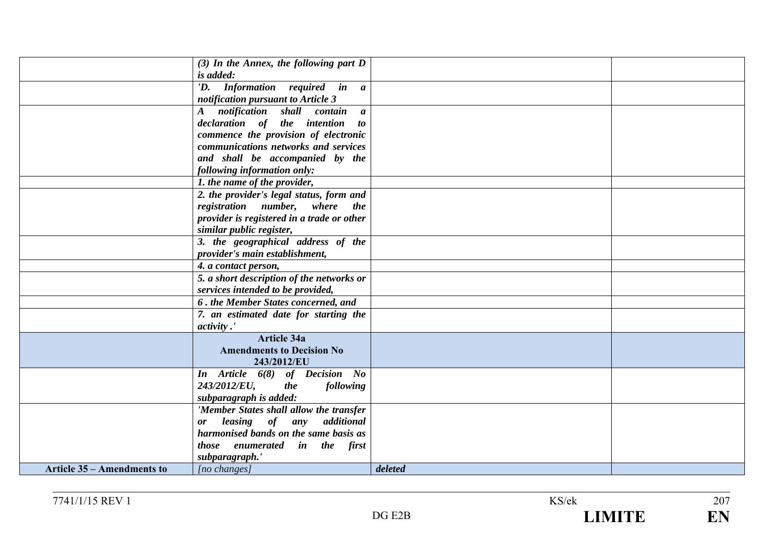|                                   | $(3)$ In the Annex, the following part D   |         |  |
|-----------------------------------|--------------------------------------------|---------|--|
|                                   | is added:                                  |         |  |
|                                   | 'D. Information required in a              |         |  |
|                                   | notification pursuant to Article 3         |         |  |
|                                   | notification shall contain a<br>$\bm{A}$   |         |  |
|                                   | declaration of the intention to            |         |  |
|                                   | commence the provision of electronic       |         |  |
|                                   | communications networks and services       |         |  |
|                                   | and shall be accompanied by the            |         |  |
|                                   |                                            |         |  |
|                                   | following information only:                |         |  |
|                                   | 1. the name of the provider,               |         |  |
|                                   | 2. the provider's legal status, form and   |         |  |
|                                   | registration number, where the             |         |  |
|                                   | provider is registered in a trade or other |         |  |
|                                   | similar public register,                   |         |  |
|                                   | 3. the geographical address of the         |         |  |
|                                   | provider's main establishment,             |         |  |
|                                   | 4. a contact person,                       |         |  |
|                                   | 5. a short description of the networks or  |         |  |
|                                   | services intended to be provided,          |         |  |
|                                   | 6. the Member States concerned, and        |         |  |
|                                   | 7. an estimated date for starting the      |         |  |
|                                   | <i>activity</i> .'                         |         |  |
|                                   | <b>Article 34a</b>                         |         |  |
|                                   | <b>Amendments to Decision No</b>           |         |  |
|                                   | 243/2012/EU                                |         |  |
|                                   | In Article 6(8) of Decision No             |         |  |
|                                   | 243/2012/EU,<br>following<br><i>the</i>    |         |  |
|                                   | subparagraph is added:                     |         |  |
|                                   | 'Member States shall allow the transfer    |         |  |
|                                   | leasing of any additional<br><b>or</b>     |         |  |
|                                   | harmonised bands on the same basis as      |         |  |
|                                   | those enumerated in the first              |         |  |
|                                   | subparagraph.'                             |         |  |
| <b>Article 35 – Amendments to</b> | [no changes]                               | deleted |  |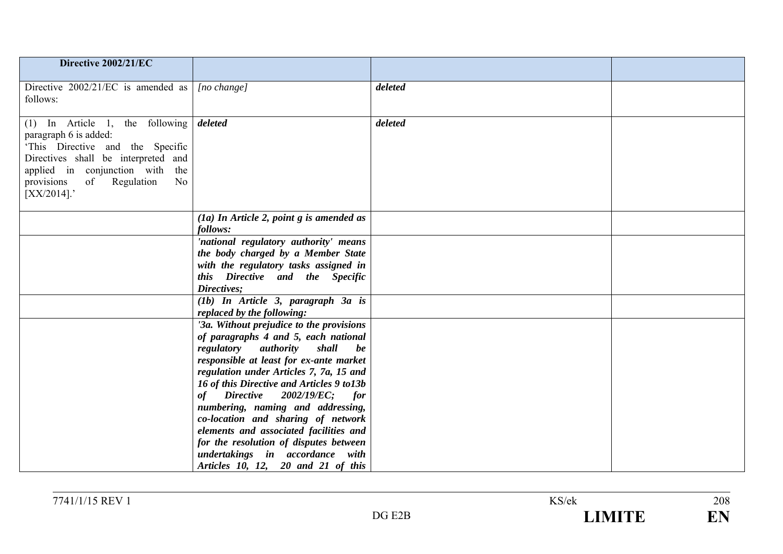| Directive 2002/21/EC                                                                                                                                                                                                                       |                                                                                                                                                                                                                                                            |         |  |
|--------------------------------------------------------------------------------------------------------------------------------------------------------------------------------------------------------------------------------------------|------------------------------------------------------------------------------------------------------------------------------------------------------------------------------------------------------------------------------------------------------------|---------|--|
| Directive $2002/21/EC$ is amended as $ [no \space change]$<br>follows:                                                                                                                                                                     |                                                                                                                                                                                                                                                            | deleted |  |
| (1) In Article 1, the following $\delta$ deleted<br>paragraph 6 is added:<br>'This Directive and the Specific<br>Directives shall be interpreted and<br>applied in conjunction with the<br>provisions of Regulation<br>No<br>$[XX/2014]$ . |                                                                                                                                                                                                                                                            | deleted |  |
|                                                                                                                                                                                                                                            | $(a)$ In Article 2, point g is amended as<br>follows:                                                                                                                                                                                                      |         |  |
|                                                                                                                                                                                                                                            | 'national regulatory authority' means<br>the body charged by a Member State<br>with the regulatory tasks assigned in<br>this Directive and the Specific<br>Directives;                                                                                     |         |  |
|                                                                                                                                                                                                                                            | $(1b)$ In Article 3, paragraph 3a is<br>replaced by the following:                                                                                                                                                                                         |         |  |
|                                                                                                                                                                                                                                            | '3a. Without prejudice to the provisions<br>of paragraphs 4 and 5, each national<br>regulatory authority<br>shall<br>be<br>responsible at least for ex-ante market<br>regulation under Articles 7, 7a, 15 and<br>16 of this Directive and Articles 9 to13b |         |  |
|                                                                                                                                                                                                                                            | $\text{Directive}$ 2002/19/EC;<br>of<br><i>for</i><br>numbering, naming and addressing,<br>co-location and sharing of network<br>elements and associated facilities and                                                                                    |         |  |
|                                                                                                                                                                                                                                            | for the resolution of disputes between<br>undertakings in accordance with<br>Articles 10, 12, 20 and 21 of this                                                                                                                                            |         |  |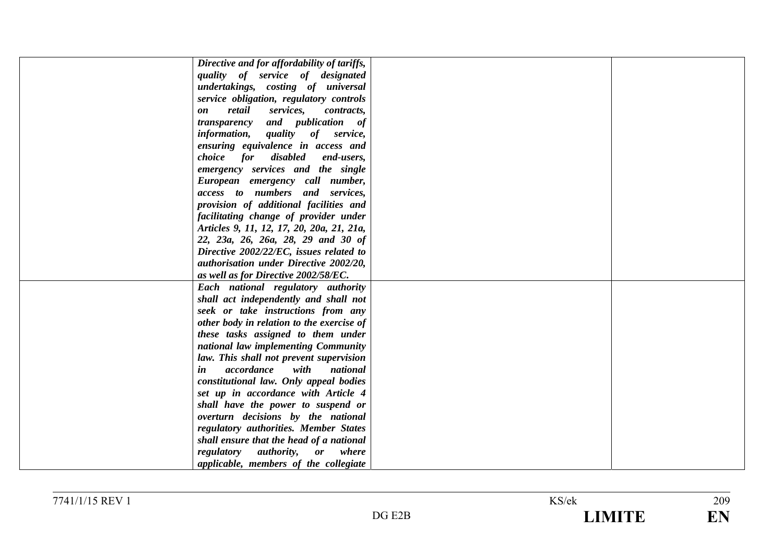| Directive and for affordability of tariffs,        |  |
|----------------------------------------------------|--|
| quality of service of designated                   |  |
| undertakings, costing of universal                 |  |
| service obligation, regulatory controls            |  |
| retail<br>services,<br>contracts,<br>on            |  |
| transparency and publication of                    |  |
| <i>information</i> , <i>quality</i><br>of service, |  |
| ensuring equivalence in access and                 |  |
| choice for disabled<br>end-users,                  |  |
| emergency services and the single                  |  |
| European emergency call number,                    |  |
| access to numbers and services,                    |  |
| provision of additional facilities and             |  |
| facilitating change of provider under              |  |
| Articles 9, 11, 12, 17, 20, 20a, 21, 21a,          |  |
| 22, 23a, 26, 26a, 28, 29 and 30 of                 |  |
| Directive 2002/22/EC, issues related to            |  |
| authorisation under Directive 2002/20,             |  |
| as well as for Directive 2002/58/EC.               |  |
| Each national regulatory authority                 |  |
| shall act independently and shall not              |  |
| seek or take instructions from any                 |  |
| other body in relation to the exercise of          |  |
| these tasks assigned to them under                 |  |
| national law implementing Community                |  |
| law. This shall not prevent supervision            |  |
| accordance<br>with<br>national<br>in               |  |
| constitutional law. Only appeal bodies             |  |
| set up in accordance with Article 4                |  |
| shall have the power to suspend or                 |  |
| overturn decisions by the national                 |  |
| regulatory authorities. Member States              |  |
| shall ensure that the head of a national           |  |
| regulatory<br>authority,<br>where<br>or            |  |
| applicable, members of the collegiate              |  |
|                                                    |  |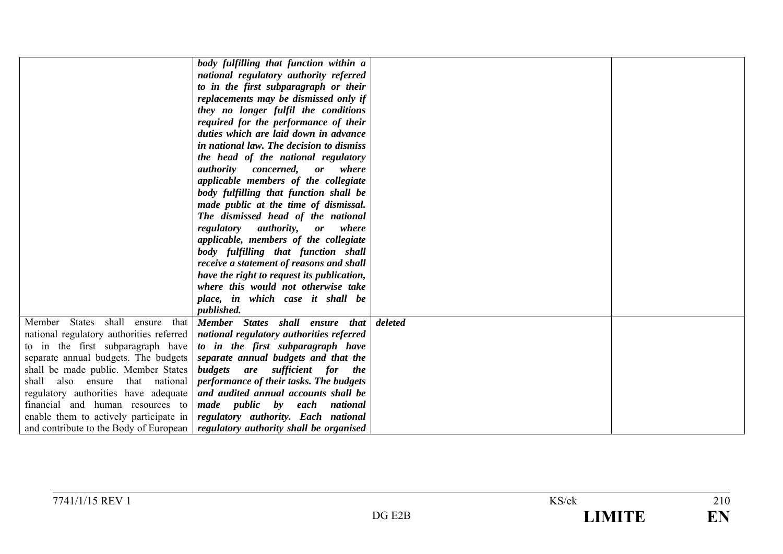|                                          | body fulfilling that function within a                                           |         |  |
|------------------------------------------|----------------------------------------------------------------------------------|---------|--|
|                                          | national regulatory authority referred                                           |         |  |
|                                          | to in the first subparagraph or their                                            |         |  |
|                                          | replacements may be dismissed only if                                            |         |  |
|                                          | they no longer fulfil the conditions                                             |         |  |
|                                          | required for the performance of their                                            |         |  |
|                                          | duties which are laid down in advance                                            |         |  |
|                                          | in national law. The decision to dismiss                                         |         |  |
|                                          | the head of the national regulatory                                              |         |  |
|                                          | <i>authority concerned,</i><br><b>or</b><br>where                                |         |  |
|                                          | applicable members of the collegiate                                             |         |  |
|                                          | body fulfilling that function shall be                                           |         |  |
|                                          | made public at the time of dismissal.                                            |         |  |
|                                          | The dismissed head of the national                                               |         |  |
|                                          | <i>authority,</i><br>regulatory<br>where<br>or                                   |         |  |
|                                          | applicable, members of the collegiate                                            |         |  |
|                                          | body fulfilling that function shall                                              |         |  |
|                                          | receive a statement of reasons and shall                                         |         |  |
|                                          | have the right to request its publication,                                       |         |  |
|                                          | where this would not otherwise take                                              |         |  |
|                                          | place, in which case it shall be                                                 |         |  |
|                                          | published.                                                                       |         |  |
| Member States<br>shall<br>that<br>ensure | Member States shall ensure that                                                  | deleted |  |
| national regulatory authorities referred | national regulatory authorities referred                                         |         |  |
| to in the first subparagraph have        | to in the first subparagraph have                                                |         |  |
| separate annual budgets. The budgets     | separate annual budgets and that the                                             |         |  |
| shall be made public. Member States      | budgets are sufficient for the                                                   |         |  |
| shall<br>also ensure that national       | performance of their tasks. The budgets                                          |         |  |
| regulatory authorities have adequate     | and audited annual accounts shall be                                             |         |  |
| financial and human resources to         | made public by each national                                                     |         |  |
| enable them to actively participate in   | regulatory authority. Each national                                              |         |  |
|                                          | and contribute to the Body of European   regulatory authority shall be organised |         |  |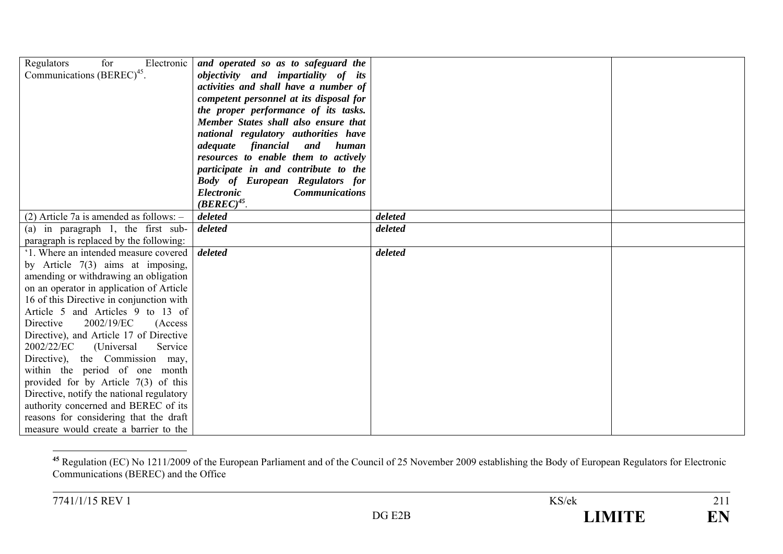| Regulators<br>for<br>Electronic<br>Communications (BEREC) <sup>45</sup> . | and operated so as to safeguard the<br>objectivity and impartiality of its<br>activities and shall have a number of<br>competent personnel at its disposal for<br>the proper performance of its tasks.<br>Member States shall also ensure that<br>national regulatory authorities have<br>adequate financial<br>and<br>human<br>resources to enable them to actively<br>participate in and contribute to the<br><b>Body of European Regulators for</b><br><b>Electronic</b><br><b>Communications</b><br>$(BEREC)^{45}$ . |         |  |
|---------------------------------------------------------------------------|--------------------------------------------------------------------------------------------------------------------------------------------------------------------------------------------------------------------------------------------------------------------------------------------------------------------------------------------------------------------------------------------------------------------------------------------------------------------------------------------------------------------------|---------|--|
| $(2)$ Article 7a is amended as follows: $-$                               | deleted                                                                                                                                                                                                                                                                                                                                                                                                                                                                                                                  | deleted |  |
| (a) in paragraph 1, the first sub-                                        | deleted                                                                                                                                                                                                                                                                                                                                                                                                                                                                                                                  | deleted |  |
| paragraph is replaced by the following:                                   |                                                                                                                                                                                                                                                                                                                                                                                                                                                                                                                          |         |  |
| '1. Where an intended measure covered                                     | deleted                                                                                                                                                                                                                                                                                                                                                                                                                                                                                                                  | deleted |  |
| by Article $7(3)$ aims at imposing,                                       |                                                                                                                                                                                                                                                                                                                                                                                                                                                                                                                          |         |  |
| amending or withdrawing an obligation                                     |                                                                                                                                                                                                                                                                                                                                                                                                                                                                                                                          |         |  |
| on an operator in application of Article                                  |                                                                                                                                                                                                                                                                                                                                                                                                                                                                                                                          |         |  |
| 16 of this Directive in conjunction with                                  |                                                                                                                                                                                                                                                                                                                                                                                                                                                                                                                          |         |  |
| Article 5 and Articles 9 to 13 of                                         |                                                                                                                                                                                                                                                                                                                                                                                                                                                                                                                          |         |  |
| 2002/19/EC<br>Directive<br>(Access)                                       |                                                                                                                                                                                                                                                                                                                                                                                                                                                                                                                          |         |  |
| Directive), and Article 17 of Directive                                   |                                                                                                                                                                                                                                                                                                                                                                                                                                                                                                                          |         |  |
| 2002/22/EC<br>Service<br>(Universal)                                      |                                                                                                                                                                                                                                                                                                                                                                                                                                                                                                                          |         |  |
| Directive), the Commission may,                                           |                                                                                                                                                                                                                                                                                                                                                                                                                                                                                                                          |         |  |
| within the period of one month                                            |                                                                                                                                                                                                                                                                                                                                                                                                                                                                                                                          |         |  |
| provided for by Article $7(3)$ of this                                    |                                                                                                                                                                                                                                                                                                                                                                                                                                                                                                                          |         |  |
| Directive, notify the national regulatory                                 |                                                                                                                                                                                                                                                                                                                                                                                                                                                                                                                          |         |  |
| authority concerned and BEREC of its                                      |                                                                                                                                                                                                                                                                                                                                                                                                                                                                                                                          |         |  |
| reasons for considering that the draft                                    |                                                                                                                                                                                                                                                                                                                                                                                                                                                                                                                          |         |  |
| measure would create a barrier to the                                     |                                                                                                                                                                                                                                                                                                                                                                                                                                                                                                                          |         |  |

<sup>&</sup>lt;sup>45</sup> Regulation (EC) No 1211/2009 of the European Parliament and of the Council of 25 November 2009 establishing the Body of European Regulators for Electronic Communications (BEREC) and the Office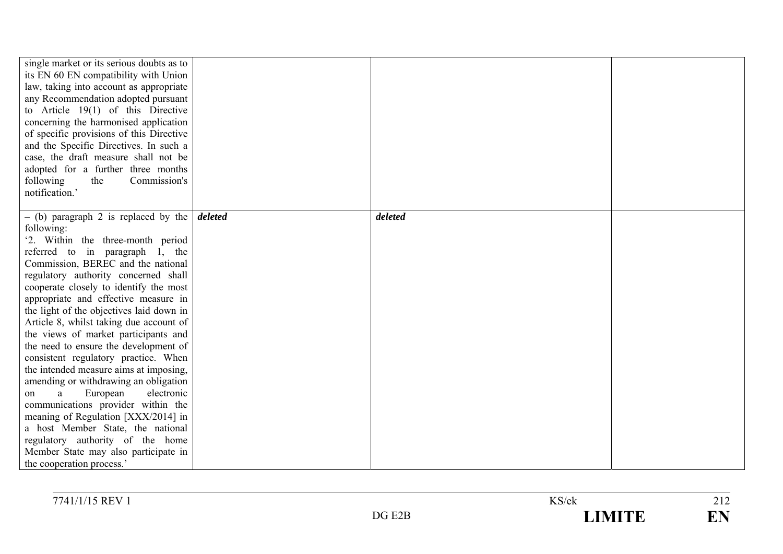| single market or its serious doubts as to<br>its EN 60 EN compatibility with Union<br>law, taking into account as appropriate<br>any Recommendation adopted pursuant<br>to Article $19(1)$ of this Directive<br>concerning the harmonised application<br>of specific provisions of this Directive<br>and the Specific Directives. In such a<br>case, the draft measure shall not be<br>adopted for a further three months<br>following<br>the<br>Commission's<br>notification.'                                                                                                                                                                                                                                                                                                                                                                                              |         |  |
|------------------------------------------------------------------------------------------------------------------------------------------------------------------------------------------------------------------------------------------------------------------------------------------------------------------------------------------------------------------------------------------------------------------------------------------------------------------------------------------------------------------------------------------------------------------------------------------------------------------------------------------------------------------------------------------------------------------------------------------------------------------------------------------------------------------------------------------------------------------------------|---------|--|
| - (b) paragraph 2 is replaced by the <i>deleted</i><br>following:<br>'2. Within the three-month period<br>referred to in paragraph 1, the<br>Commission, BEREC and the national<br>regulatory authority concerned shall<br>cooperate closely to identify the most<br>appropriate and effective measure in<br>the light of the objectives laid down in<br>Article 8, whilst taking due account of<br>the views of market participants and<br>the need to ensure the development of<br>consistent regulatory practice. When<br>the intended measure aims at imposing,<br>amending or withdrawing an obligation<br>electronic<br>European<br>a<br>on<br>communications provider within the<br>meaning of Regulation [XXX/2014] in<br>a host Member State, the national<br>regulatory authority of the home<br>Member State may also participate in<br>the cooperation process.' | deleted |  |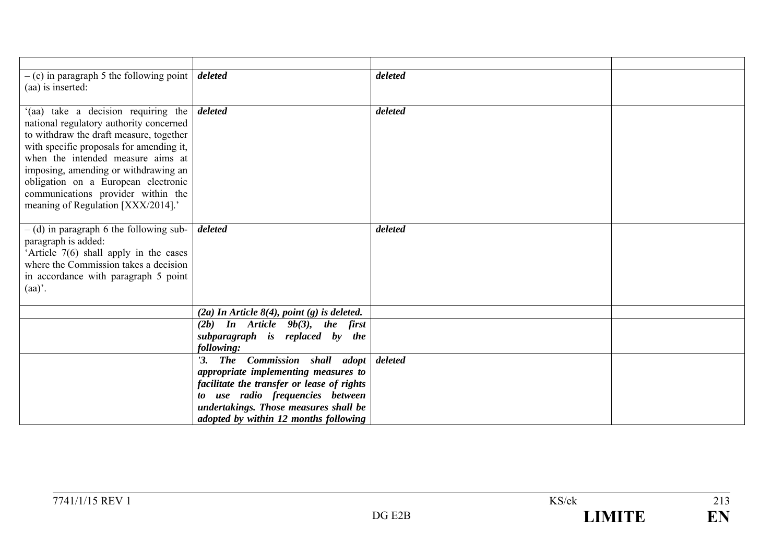| $-$ (c) in paragraph 5 the following point $\frac{d}{dt}$<br>(aa) is inserted:                                                                                                                                                                                                                                                                                                       |                                                                                                                                                                                                   | deleted |  |
|--------------------------------------------------------------------------------------------------------------------------------------------------------------------------------------------------------------------------------------------------------------------------------------------------------------------------------------------------------------------------------------|---------------------------------------------------------------------------------------------------------------------------------------------------------------------------------------------------|---------|--|
| '(aa) take a decision requiring the <i>deleted</i><br>national regulatory authority concerned<br>to withdraw the draft measure, together<br>with specific proposals for amending it,<br>when the intended measure aims at<br>imposing, amending or withdrawing an<br>obligation on a European electronic<br>communications provider within the<br>meaning of Regulation [XXX/2014].' |                                                                                                                                                                                                   | deleted |  |
| $-$ (d) in paragraph 6 the following sub-<br>paragraph is added:<br>'Article 7(6) shall apply in the cases<br>where the Commission takes a decision<br>in accordance with paragraph 5 point<br>$(aa)$ .                                                                                                                                                                              | deleted                                                                                                                                                                                           | deleted |  |
|                                                                                                                                                                                                                                                                                                                                                                                      | $(2a)$ In Article 8(4), point (g) is deleted.                                                                                                                                                     |         |  |
|                                                                                                                                                                                                                                                                                                                                                                                      | $(2b)$ In Article $9b(3)$ , the first                                                                                                                                                             |         |  |
|                                                                                                                                                                                                                                                                                                                                                                                      | subparagraph is replaced by the<br>following:                                                                                                                                                     |         |  |
|                                                                                                                                                                                                                                                                                                                                                                                      | '3. The Commission shall adopt<br>appropriate implementing measures to<br>facilitate the transfer or lease of rights<br>to use radio frequencies between<br>undertakings. Those measures shall be | deleted |  |
|                                                                                                                                                                                                                                                                                                                                                                                      | adopted by within 12 months following                                                                                                                                                             |         |  |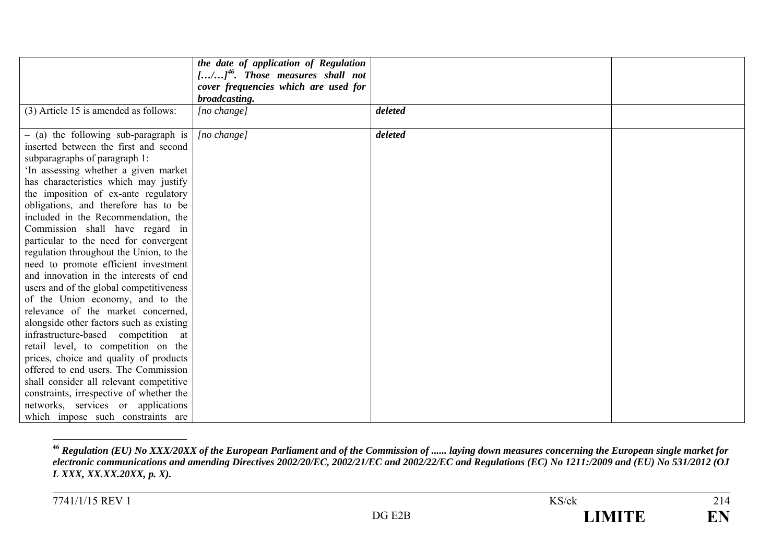|                                          | the date of application of Regulation |         |  |
|------------------------------------------|---------------------------------------|---------|--|
|                                          | $[/]^{46}$ . Those measures shall not |         |  |
|                                          | cover frequencies which are used for  |         |  |
|                                          | broadcasting.                         |         |  |
| (3) Article 15 is amended as follows:    | [no change]                           | deleted |  |
|                                          |                                       |         |  |
| $-$ (a) the following sub-paragraph is   | [no change]                           | deleted |  |
| inserted between the first and second    |                                       |         |  |
| subparagraphs of paragraph 1:            |                                       |         |  |
| 'In assessing whether a given market     |                                       |         |  |
| has characteristics which may justify    |                                       |         |  |
| the imposition of ex-ante regulatory     |                                       |         |  |
| obligations, and therefore has to be     |                                       |         |  |
| included in the Recommendation, the      |                                       |         |  |
| Commission shall have regard in          |                                       |         |  |
| particular to the need for convergent    |                                       |         |  |
| regulation throughout the Union, to the  |                                       |         |  |
| need to promote efficient investment     |                                       |         |  |
| and innovation in the interests of end   |                                       |         |  |
| users and of the global competitiveness  |                                       |         |  |
| of the Union economy, and to the         |                                       |         |  |
| relevance of the market concerned,       |                                       |         |  |
| alongside other factors such as existing |                                       |         |  |
| infrastructure-based competition at      |                                       |         |  |
| retail level, to competition on the      |                                       |         |  |
| prices, choice and quality of products   |                                       |         |  |
| offered to end users. The Commission     |                                       |         |  |
| shall consider all relevant competitive  |                                       |         |  |
| constraints, irrespective of whether the |                                       |         |  |
| networks, services or applications       |                                       |         |  |
| which impose such constraints are        |                                       |         |  |

**<sup>46</sup>** *Regulation (EU) No XXX/20XX of the European Parliament and of the Commission of ...... laying down measures concerning the European single market for electronic communications and amending Directives 2002/20/EC, 2002/21/EC and 2002/22/EC and Regulations (EC) No 1211:/2009 and (EU) No 531/2012 (OJ L XXX, XX.XX.20XX, p. X).*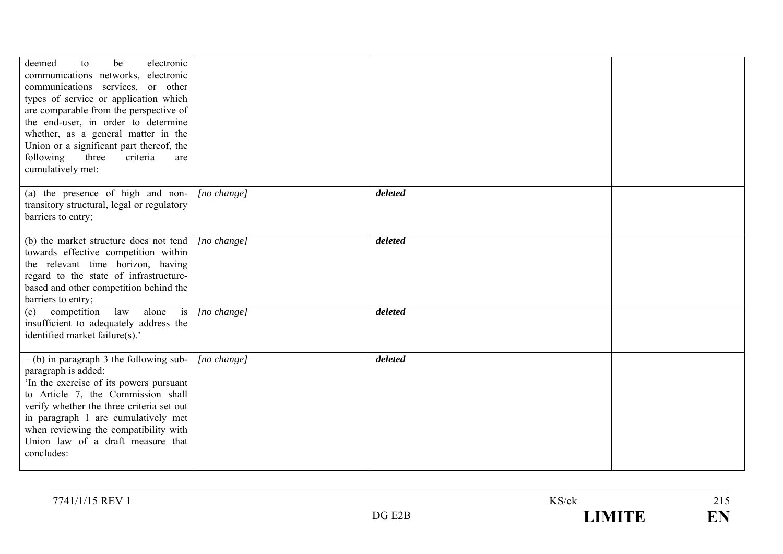| deemed<br>electronic<br>be<br>to<br>communications networks, electronic<br>communications services, or other<br>types of service or application which<br>are comparable from the perspective of<br>the end-user, in order to determine<br>whether, as a general matter in the<br>Union or a significant part thereof, the<br>following<br>three<br>criteria<br>are<br>cumulatively met: |                      |         |  |
|-----------------------------------------------------------------------------------------------------------------------------------------------------------------------------------------------------------------------------------------------------------------------------------------------------------------------------------------------------------------------------------------|----------------------|---------|--|
| (a) the presence of high and non-<br>transitory structural, legal or regulatory<br>barriers to entry;                                                                                                                                                                                                                                                                                   | $[no \space change]$ | deleted |  |
| (b) the market structure does not tend<br>towards effective competition within<br>the relevant time horizon, having<br>regard to the state of infrastructure-<br>based and other competition behind the<br>barriers to entry;                                                                                                                                                           | [no change]          | deleted |  |
| law<br>alone<br>is<br>competition<br>(c)<br>insufficient to adequately address the<br>identified market failure(s).'                                                                                                                                                                                                                                                                    | [no change]          | deleted |  |
| $-$ (b) in paragraph 3 the following sub-<br>paragraph is added:<br>In the exercise of its powers pursuant<br>to Article 7, the Commission shall<br>verify whether the three criteria set out<br>in paragraph 1 are cumulatively met<br>when reviewing the compatibility with<br>Union law of a draft measure that<br>concludes:                                                        | [no change]          | deleted |  |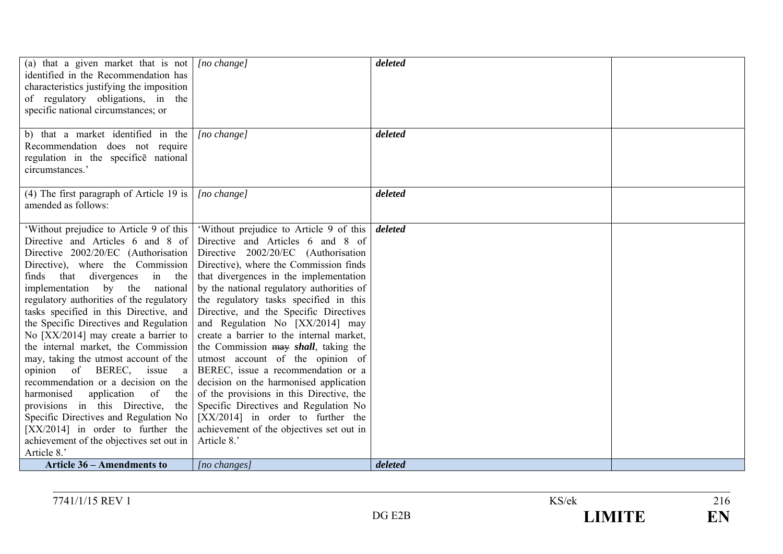| (4) The first paragraph of Article 19 is<br>deleted<br>$[no \space change]$<br>amended as follows:<br>'Without prejudice to Article 9 of this<br>'Without prejudice to Article 9 of this<br>deleted<br>Directive and Articles 6 and 8 of<br>Directive and Articles 6 and 8 of<br>Directive 2002/20/EC (Authorisation<br>Directive 2002/20/EC (Authorisation<br>Directive), where the Commission finds<br>Directive), where the Commission<br>that divergences in the implementation<br>that divergences<br>finds<br>in the<br>by the national regulatory authorities of<br>implementation by the<br>national<br>regulatory authorities of the regulatory<br>the regulatory tasks specified in this<br>tasks specified in this Directive, and<br>Directive, and the Specific Directives<br>and Regulation No [XX/2014] may<br>the Specific Directives and Regulation<br>create a barrier to the internal market,<br>No [XX/2014] may create a barrier to<br>the internal market, the Commission<br>the Commission may shall, taking the<br>may, taking the utmost account of the<br>utmost account of the opinion of<br>BEREC, issue a recommendation or a<br>opinion of BEREC, issue a<br>recommendation or a decision on the<br>decision on the harmonised application<br>of the provisions in this Directive, the<br>harmonised<br>application<br>of<br>the<br>provisions in this Directive, the<br>Specific Directives and Regulation No<br>$[XX/2014]$ in order to further the<br>Specific Directives and Regulation No<br>$[XX/2014]$ in order to further the<br>achievement of the objectives set out in<br>achievement of the objectives set out in<br>Article 8.'<br>Article 8.' | (a) that a given market that is not $ $ [no change]<br>identified in the Recommendation has<br>characteristics justifying the imposition<br>of regulatory obligations, in the<br>specific national circumstances; or<br>b) that a market identified in the<br>Recommendation does not require<br>regulation in the specifice national<br>circumstances.' | $[no \space change]$ | deleted<br>deleted |  |
|------------------------------------------------------------------------------------------------------------------------------------------------------------------------------------------------------------------------------------------------------------------------------------------------------------------------------------------------------------------------------------------------------------------------------------------------------------------------------------------------------------------------------------------------------------------------------------------------------------------------------------------------------------------------------------------------------------------------------------------------------------------------------------------------------------------------------------------------------------------------------------------------------------------------------------------------------------------------------------------------------------------------------------------------------------------------------------------------------------------------------------------------------------------------------------------------------------------------------------------------------------------------------------------------------------------------------------------------------------------------------------------------------------------------------------------------------------------------------------------------------------------------------------------------------------------------------------------------------------------------------------------------------------------------------------------|----------------------------------------------------------------------------------------------------------------------------------------------------------------------------------------------------------------------------------------------------------------------------------------------------------------------------------------------------------|----------------------|--------------------|--|
|                                                                                                                                                                                                                                                                                                                                                                                                                                                                                                                                                                                                                                                                                                                                                                                                                                                                                                                                                                                                                                                                                                                                                                                                                                                                                                                                                                                                                                                                                                                                                                                                                                                                                          |                                                                                                                                                                                                                                                                                                                                                          |                      |                    |  |
| deleted<br><b>Article 36 – Amendments to</b><br>$[no \; changes]$                                                                                                                                                                                                                                                                                                                                                                                                                                                                                                                                                                                                                                                                                                                                                                                                                                                                                                                                                                                                                                                                                                                                                                                                                                                                                                                                                                                                                                                                                                                                                                                                                        |                                                                                                                                                                                                                                                                                                                                                          |                      |                    |  |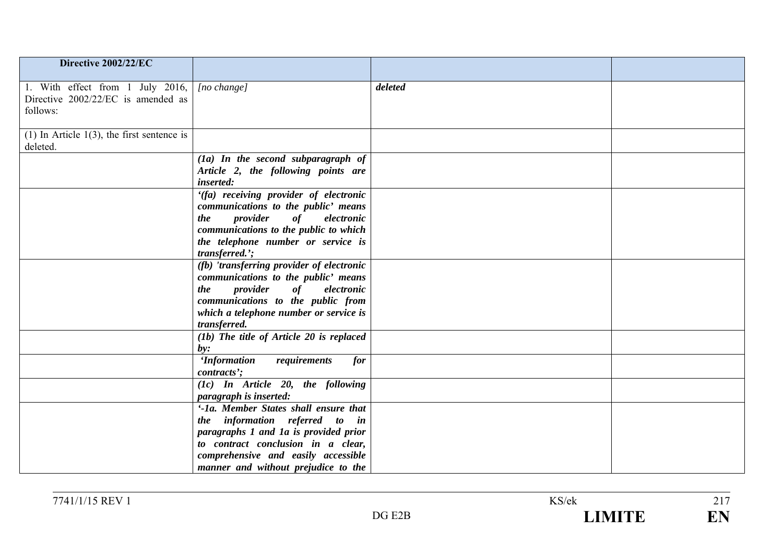| Directive 2002/22/EC                                                               |                                                                                                                                           |         |  |
|------------------------------------------------------------------------------------|-------------------------------------------------------------------------------------------------------------------------------------------|---------|--|
| 1. With effect from 1 July 2016,<br>Directive 2002/22/EC is amended as<br>follows: | $[no \space change]$                                                                                                                      | deleted |  |
| (1) In Article $1(3)$ , the first sentence is<br>deleted.                          |                                                                                                                                           |         |  |
|                                                                                    | $(1a)$ In the second subparagraph of<br>Article 2, the following points are<br>inserted:                                                  |         |  |
|                                                                                    | $\sqrt{\frac{f(a)}{f(a)}}$ receiving provider of electronic<br>communications to the public' means<br>provider<br>of<br>the<br>electronic |         |  |
|                                                                                    | communications to the public to which<br>the telephone number or service is<br>transferred.';                                             |         |  |
|                                                                                    | (fb) 'transferring provider of electronic<br>communications to the public' means<br>provider<br>electronic<br>of<br>the                   |         |  |
|                                                                                    | communications to the public from<br>which a telephone number or service is<br>transferred.                                               |         |  |
|                                                                                    | $(1b)$ The title of Article 20 is replaced<br>by:                                                                                         |         |  |
|                                                                                    | <i><b>Information</b></i><br>requirements<br>for<br>contracts';                                                                           |         |  |
|                                                                                    | (1c) In Article 20, the following<br>paragraph is inserted:                                                                               |         |  |
|                                                                                    | '-1a. Member States shall ensure that<br>the information referred to in                                                                   |         |  |
|                                                                                    | paragraphs 1 and 1a is provided prior<br>to contract conclusion in a clear,<br>comprehensive and easily accessible                        |         |  |
|                                                                                    | manner and without prejudice to the                                                                                                       |         |  |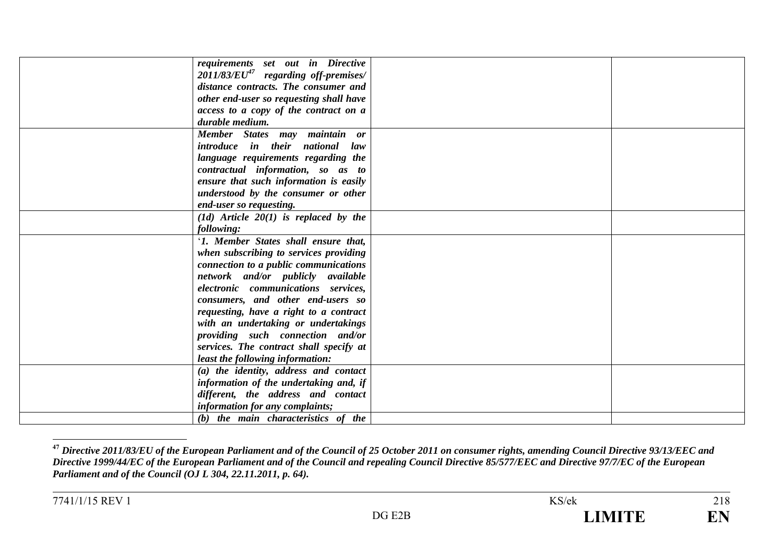| requirements set out in Directive         |  |
|-------------------------------------------|--|
| $2011/83/EU47$ regarding off-premises/    |  |
| distance contracts. The consumer and      |  |
| other end-user so requesting shall have   |  |
| access to a copy of the contract on a     |  |
| durable medium.                           |  |
| Member States may maintain or             |  |
| introduce in their national law           |  |
| language requirements regarding the       |  |
| contractual information, so as to         |  |
| ensure that such information is easily    |  |
| understood by the consumer or other       |  |
| end-user so requesting.                   |  |
| $(1d)$ Article $20(1)$ is replaced by the |  |
| following:                                |  |
| '1. Member States shall ensure that,      |  |
| when subscribing to services providing    |  |
| connection to a public communications     |  |
| network and/or publicly available         |  |
| electronic communications services,       |  |
| consumers, and other end-users so         |  |
| requesting, have a right to a contract    |  |
| with an undertaking or undertakings       |  |
| providing such connection and/or          |  |
| services. The contract shall specify at   |  |
| least the following information:          |  |
| (a) the identity, address and contact     |  |
| information of the undertaking and, if    |  |
| different, the address and contact        |  |
| information for any complaints;           |  |
| (b) the main characteristics of the       |  |

**<sup>47</sup>** *Directive 2011/83/EU of the European Parliament and of the Council of 25 October 2011 on consumer rights, amending Council Directive 93/13/EEC and Directive 1999/44/EC of the European Parliament and of the Council and repealing Council Directive 85/577/EEC and Directive 97/7/EC of the European Parliament and of the Council (OJ L 304, 22.11.2011, p. 64).*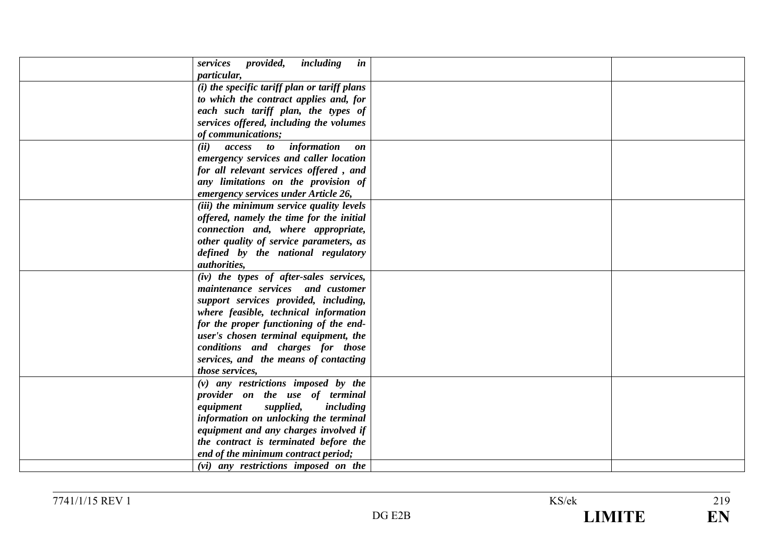| including<br>services<br>provided,<br>in     |  |
|----------------------------------------------|--|
| particular,                                  |  |
| (i) the specific tariff plan or tariff plans |  |
| to which the contract applies and, for       |  |
| each such tariff plan, the types of          |  |
| services offered, including the volumes      |  |
| of communications;                           |  |
| access to information<br>(ii)<br>on          |  |
| emergency services and caller location       |  |
| for all relevant services offered, and       |  |
| any limitations on the provision of          |  |
| emergency services under Article 26,         |  |
| (iii) the minimum service quality levels     |  |
| offered, namely the time for the initial     |  |
| connection and, where appropriate,           |  |
| other quality of service parameters, as      |  |
| defined by the national regulatory           |  |
| <i>authorities,</i>                          |  |
| (iv) the types of after-sales services,      |  |
| maintenance services and customer            |  |
| support services provided, including,        |  |
| where feasible, technical information        |  |
| for the proper functioning of the end-       |  |
| user's chosen terminal equipment, the        |  |
| conditions and charges for those             |  |
| services, and the means of contacting        |  |
| those services,                              |  |
| $(v)$ any restrictions imposed by the        |  |
| provider on the use of terminal              |  |
| supplied,<br>equipment<br>including          |  |
| information on unlocking the terminal        |  |
| equipment and any charges involved if        |  |
| the contract is terminated before the        |  |
| end of the minimum contract period;          |  |
| (vi) any restrictions imposed on the         |  |
|                                              |  |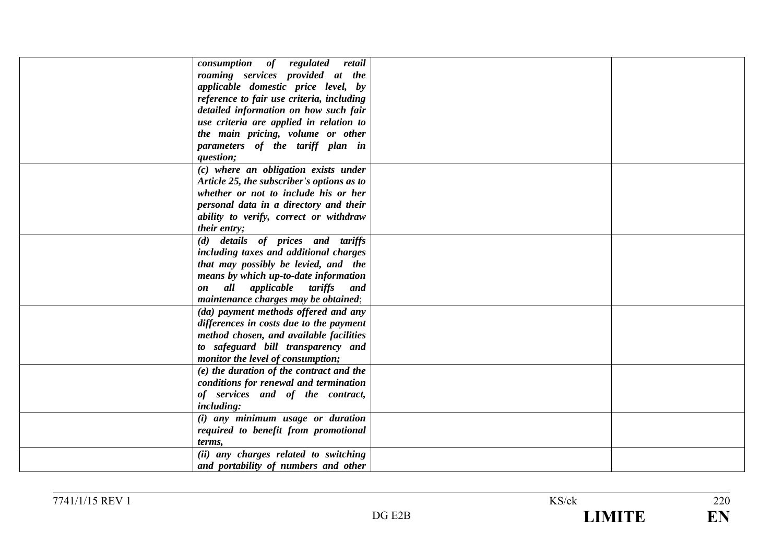| consumption of regulated<br>retail         |  |
|--------------------------------------------|--|
|                                            |  |
| roaming services provided at the           |  |
| applicable domestic price level, by        |  |
| reference to fair use criteria, including  |  |
| detailed information on how such fair      |  |
| use criteria are applied in relation to    |  |
| the main pricing, volume or other          |  |
| parameters of the tariff plan in           |  |
| question;                                  |  |
| (c) where an obligation exists under       |  |
| Article 25, the subscriber's options as to |  |
| whether or not to include his or her       |  |
| personal data in a directory and their     |  |
| ability to verify, correct or withdraw     |  |
| their entry;                               |  |
| (d) details of prices and tariffs          |  |
| including taxes and additional charges     |  |
| that may possibly be levied, and the       |  |
| means by which up-to-date information      |  |
| all applicable tariffs<br>and<br>on        |  |
| maintenance charges may be obtained;       |  |
|                                            |  |
| (da) payment methods offered and any       |  |
| differences in costs due to the payment    |  |
| method chosen, and available facilities    |  |
| to safeguard bill transparency and         |  |
| monitor the level of consumption;          |  |
| (e) the duration of the contract and the   |  |
| conditions for renewal and termination     |  |
| of services and of the contract,           |  |
| including:                                 |  |
| (i) any minimum usage or duration          |  |
| required to benefit from promotional       |  |
| terms,                                     |  |
| (ii) any charges related to switching      |  |
| and portability of numbers and other       |  |
|                                            |  |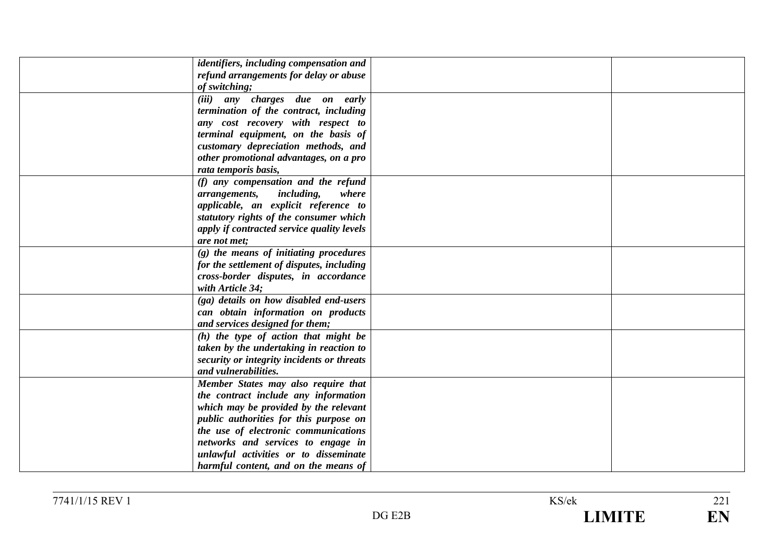| identifiers, including compensation and     |  |
|---------------------------------------------|--|
| refund arrangements for delay or abuse      |  |
| of switching;                               |  |
| (iii) any charges due on early              |  |
| termination of the contract, including      |  |
| any cost recovery with respect to           |  |
| terminal equipment, on the basis of         |  |
| customary depreciation methods, and         |  |
| other promotional advantages, on a pro      |  |
| rata temporis basis,                        |  |
| (f) any compensation and the refund         |  |
| <i>including,</i><br>where<br>arrangements, |  |
|                                             |  |
| applicable, an explicit reference to        |  |
| statutory rights of the consumer which      |  |
| apply if contracted service quality levels  |  |
| are not met;                                |  |
| $(g)$ the means of initiating procedures    |  |
| for the settlement of disputes, including   |  |
| cross-border disputes, in accordance        |  |
| with Article 34;                            |  |
| (ga) details on how disabled end-users      |  |
| can obtain information on products          |  |
| and services designed for them;             |  |
| $(h)$ the type of action that might be      |  |
| taken by the undertaking in reaction to     |  |
| security or integrity incidents or threats  |  |
| and vulnerabilities.                        |  |
| Member States may also require that         |  |
| the contract include any information        |  |
| which may be provided by the relevant       |  |
| public authorities for this purpose on      |  |
| the use of electronic communications        |  |
|                                             |  |
| networks and services to engage in          |  |
| unlawful activities or to disseminate       |  |
| harmful content, and on the means of        |  |

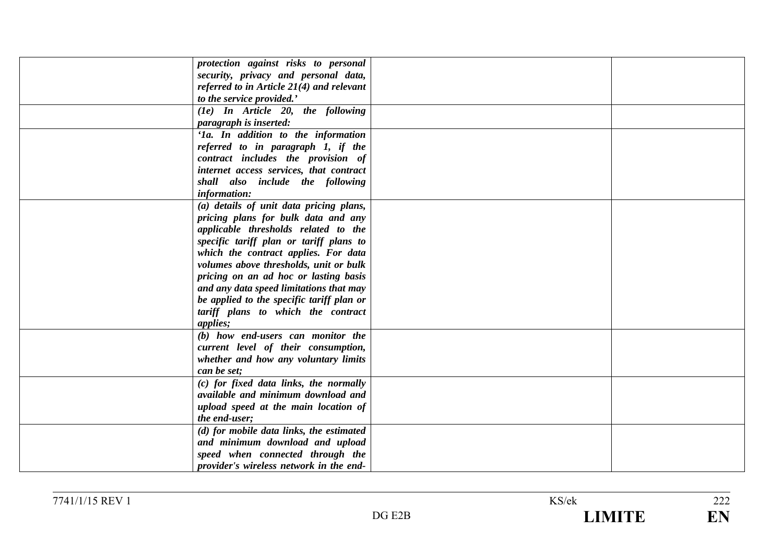| protection against risks to personal        |  |
|---------------------------------------------|--|
| security, privacy and personal data,        |  |
| referred to in Article $21(4)$ and relevant |  |
| to the service provided.'                   |  |
| $(1e)$ In Article 20, the following         |  |
| paragraph is inserted:                      |  |
| 'Ia. In addition to the information         |  |
| referred to in paragraph 1, if the          |  |
| contract includes the provision of          |  |
| internet access services, that contract     |  |
| shall also include the following            |  |
| information:                                |  |
| (a) details of unit data pricing plans,     |  |
| pricing plans for bulk data and any         |  |
| applicable thresholds related to the        |  |
| specific tariff plan or tariff plans to     |  |
| which the contract applies. For data        |  |
| volumes above thresholds, unit or bulk      |  |
| pricing on an ad hoc or lasting basis       |  |
| and any data speed limitations that may     |  |
| be applied to the specific tariff plan or   |  |
| tariff plans to which the contract          |  |
| applies;                                    |  |
| (b) how end-users can monitor the           |  |
| current level of their consumption,         |  |
| whether and how any voluntary limits        |  |
| can be set;                                 |  |
| (c) for fixed data links, the normally      |  |
| available and minimum download and          |  |
| upload speed at the main location of        |  |
| the end-user;                               |  |
| (d) for mobile data links, the estimated    |  |
| and minimum download and upload             |  |
| speed when connected through the            |  |
| provider's wireless network in the end-     |  |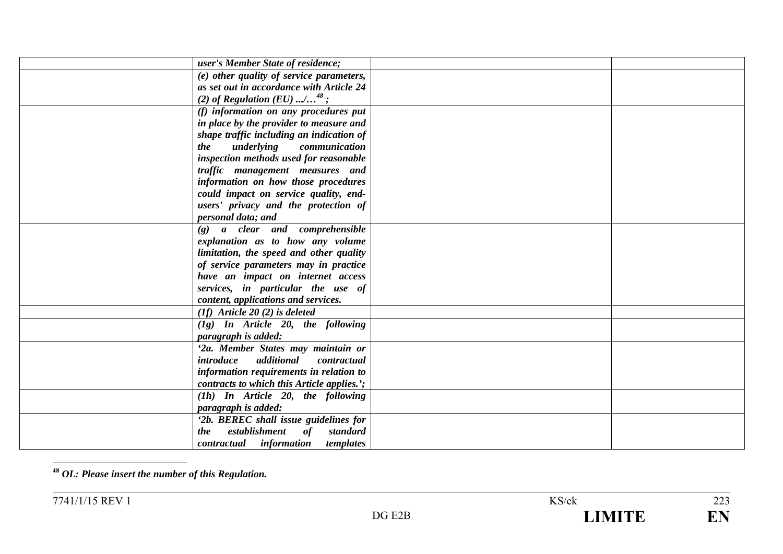| user's Member State of residence;             |  |
|-----------------------------------------------|--|
| (e) other quality of service parameters,      |  |
| as set out in accordance with Article 24      |  |
| (2) of Regulation (EU) / <sup>48</sup> ;      |  |
| (f) information on any procedures put         |  |
| in place by the provider to measure and       |  |
| shape traffic including an indication of      |  |
| underlying<br>communication<br><i>the</i>     |  |
| inspection methods used for reasonable        |  |
| traffic management measures and               |  |
| information on how those procedures           |  |
| could impact on service quality, end-         |  |
| users' privacy and the protection of          |  |
| personal data; and                            |  |
| $(g)$ a clear and comprehensible              |  |
| explanation as to how any volume              |  |
| limitation, the speed and other quality       |  |
| of service parameters may in practice         |  |
| have an impact on internet access             |  |
| services, in particular the use of            |  |
| content, applications and services.           |  |
| $(1f)$ Article 20 $(2)$ is deleted            |  |
| $(1g)$ In Article 20, the following           |  |
| paragraph is added:                           |  |
| '2a. Member States may maintain or            |  |
| additional<br>introduce<br>contractual        |  |
| information requirements in relation to       |  |
| contracts to which this Article applies.';    |  |
| $(1h)$ In Article 20, the following           |  |
| paragraph is added:                           |  |
| '2b. BEREC shall issue guidelines for         |  |
| establishment<br><i>of</i><br>standard<br>the |  |
| contractual information<br>templates          |  |

**<sup>48</sup>** *OL: Please insert the number of this Regulation.*

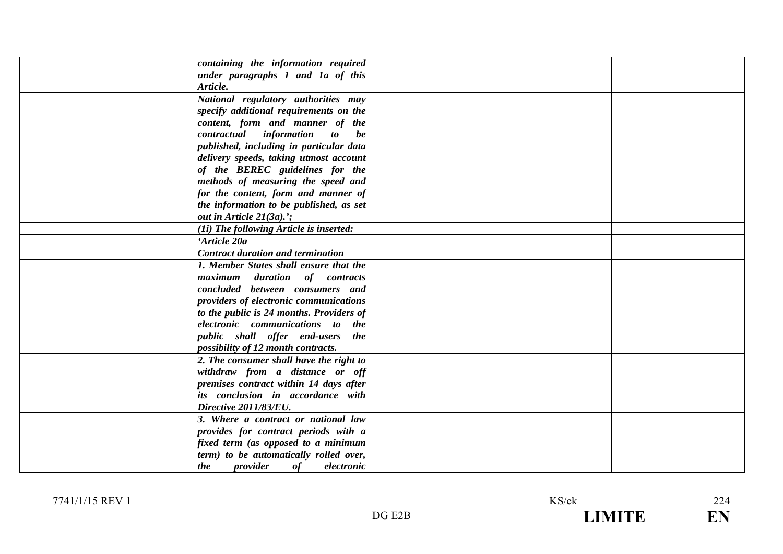| containing the information required      |  |
|------------------------------------------|--|
| under paragraphs 1 and 1a of this        |  |
| Article.                                 |  |
| National regulatory authorities may      |  |
| specify additional requirements on the   |  |
| content, form and manner of the          |  |
| contractual information to<br>be         |  |
| published, including in particular data  |  |
| delivery speeds, taking utmost account   |  |
| of the BEREC guidelines for the          |  |
| methods of measuring the speed and       |  |
| for the content, form and manner of      |  |
| the information to be published, as set  |  |
| out in Article $21(3a)$ ;                |  |
| (1i) The following Article is inserted:  |  |
| 'Article 20a                             |  |
| <b>Contract duration and termination</b> |  |
| 1. Member States shall ensure that the   |  |
| maximum duration of contracts            |  |
| concluded between consumers and          |  |
| providers of electronic communications   |  |
| to the public is 24 months. Providers of |  |
| electronic communications to the         |  |
| public shall offer end-users the         |  |
| possibility of 12 month contracts.       |  |
| 2. The consumer shall have the right to  |  |
| withdraw from a distance or off          |  |
| premises contract within 14 days after   |  |
| its conclusion in accordance with        |  |
| Directive 2011/83/EU.                    |  |
| 3. Where a contract or national law      |  |
| provides for contract periods with a     |  |
| fixed term (as opposed to a minimum      |  |
| term) to be automatically rolled over,   |  |
| provider<br>of<br>the<br>electronic      |  |

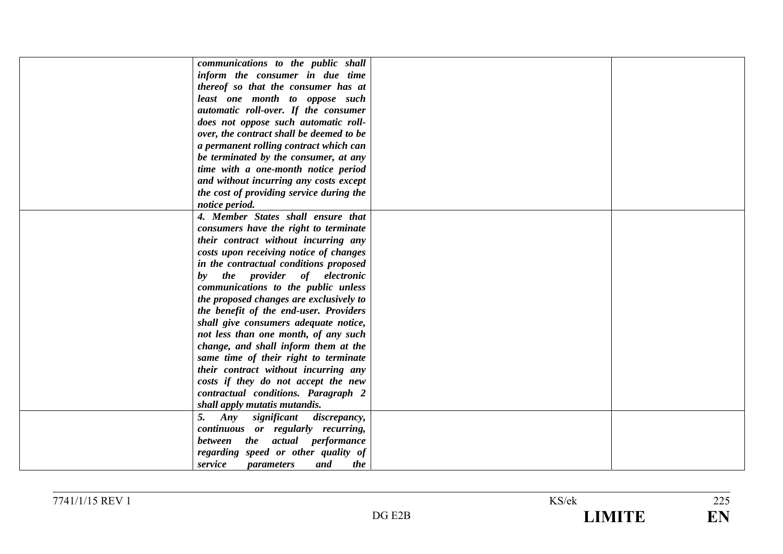| communications to the public shall         |  |
|--------------------------------------------|--|
| inform the consumer in due time            |  |
| thereof so that the consumer has at        |  |
| least one month to oppose such             |  |
| automatic roll-over. If the consumer       |  |
| does not oppose such automatic roll-       |  |
| over, the contract shall be deemed to be   |  |
| a permanent rolling contract which can     |  |
| be terminated by the consumer, at any      |  |
| time with a one-month notice period        |  |
| and without incurring any costs except     |  |
| the cost of providing service during the   |  |
| notice period.                             |  |
| 4. Member States shall ensure that         |  |
| consumers have the right to terminate      |  |
| their contract without incurring any       |  |
| costs upon receiving notice of changes     |  |
| in the contractual conditions proposed     |  |
| the provider of electronic<br>$\bm{b}$     |  |
| communications to the public unless        |  |
| the proposed changes are exclusively to    |  |
| the benefit of the end-user. Providers     |  |
| shall give consumers adequate notice,      |  |
| not less than one month, of any such       |  |
| change, and shall inform them at the       |  |
| same time of their right to terminate      |  |
| their contract without incurring any       |  |
| costs if they do not accept the new        |  |
| contractual conditions. Paragraph 2        |  |
| shall apply mutatis mutandis.              |  |
| Any<br>significant<br>5.<br>discrepancy,   |  |
| continuous or regularly recurring,         |  |
| between the actual performance             |  |
| regarding speed or other quality of        |  |
| service<br>and<br><i>parameters</i><br>the |  |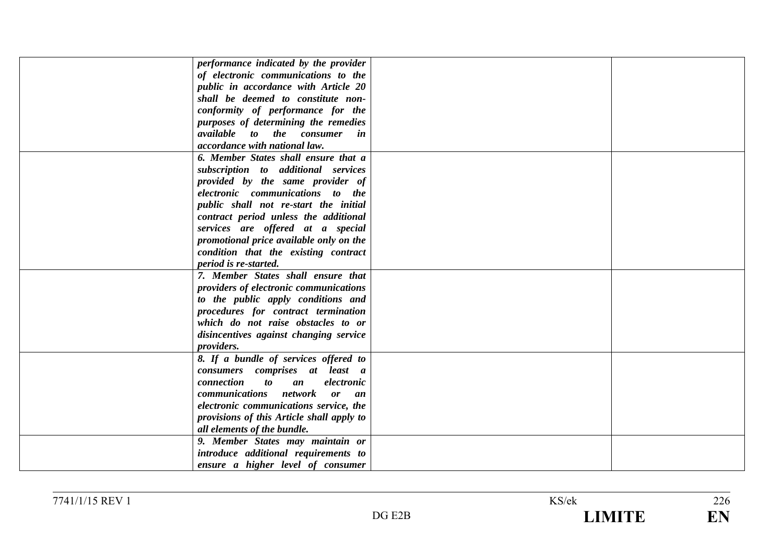| performance indicated by the provider               |  |
|-----------------------------------------------------|--|
|                                                     |  |
| of electronic communications to the                 |  |
| public in accordance with Article 20                |  |
| shall be deemed to constitute non-                  |  |
| conformity of performance for the                   |  |
| purposes of determining the remedies                |  |
| <i>available</i> to the consumer in                 |  |
| accordance with national law.                       |  |
| 6. Member States shall ensure that a                |  |
| subscription to additional services                 |  |
| provided by the same provider of                    |  |
| electronic communications to the                    |  |
| public shall not re-start the initial               |  |
| contract period unless the additional               |  |
| services are offered at a special                   |  |
| promotional price available only on the             |  |
| condition that the existing contract                |  |
| period is re-started.                               |  |
| 7. Member States shall ensure that                  |  |
| providers of electronic communications              |  |
| to the public apply conditions and                  |  |
| procedures for contract termination                 |  |
| which do not raise obstacles to or                  |  |
| disincentives against changing service              |  |
| providers.                                          |  |
| 8. If a bundle of services offered to               |  |
| consumers comprises at least a                      |  |
| connection<br>$\boldsymbol{to}$<br>electronic<br>an |  |
| communications network or an                        |  |
| electronic communications service, the              |  |
| provisions of this Article shall apply to           |  |
| all elements of the bundle.                         |  |
| 9. Member States may maintain or                    |  |
|                                                     |  |
| introduce additional requirements to                |  |
| ensure a higher level of consumer                   |  |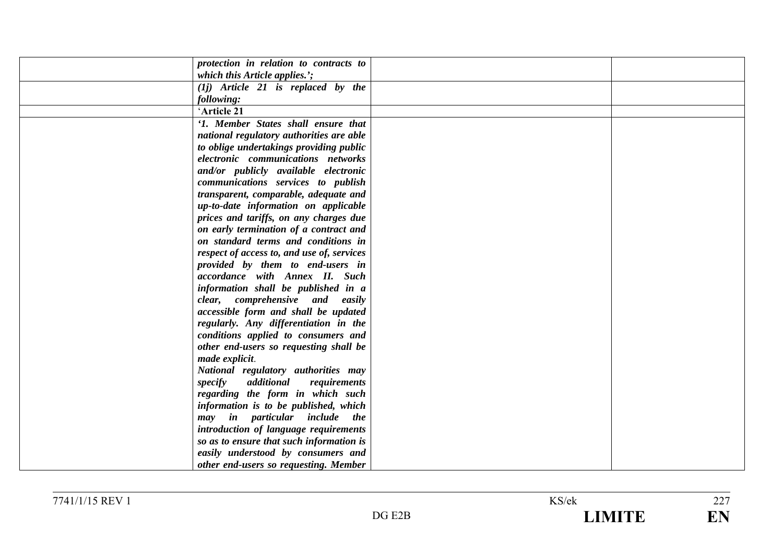| protection in relation to contracts to     |  |
|--------------------------------------------|--|
| which this Article applies.';              |  |
| $(1j)$ Article 21 is replaced by the       |  |
| following:                                 |  |
| 'Article 21                                |  |
| '1. Member States shall ensure that        |  |
| national regulatory authorities are able   |  |
| to oblige undertakings providing public    |  |
| electronic communications networks         |  |
| and/or publicly available electronic       |  |
| communications services to publish         |  |
| transparent, comparable, adequate and      |  |
| up-to-date information on applicable       |  |
| prices and tariffs, on any charges due     |  |
| on early termination of a contract and     |  |
| on standard terms and conditions in        |  |
| respect of access to, and use of, services |  |
| provided by them to end-users in           |  |
| accordance with Annex II. Such             |  |
| information shall be published in a        |  |
| clear, comprehensive and easily            |  |
| accessible form and shall be updated       |  |
| regularly. Any differentiation in the      |  |
| conditions applied to consumers and        |  |
| other end-users so requesting shall be     |  |
| made explicit.                             |  |
| National regulatory authorities may        |  |
| specify<br>additional<br>requirements      |  |
| regarding the form in which such           |  |
| information is to be published, which      |  |
| may in particular include the              |  |
| introduction of language requirements      |  |
| so as to ensure that such information is   |  |
| easily understood by consumers and         |  |
| other end-users so requesting. Member      |  |
|                                            |  |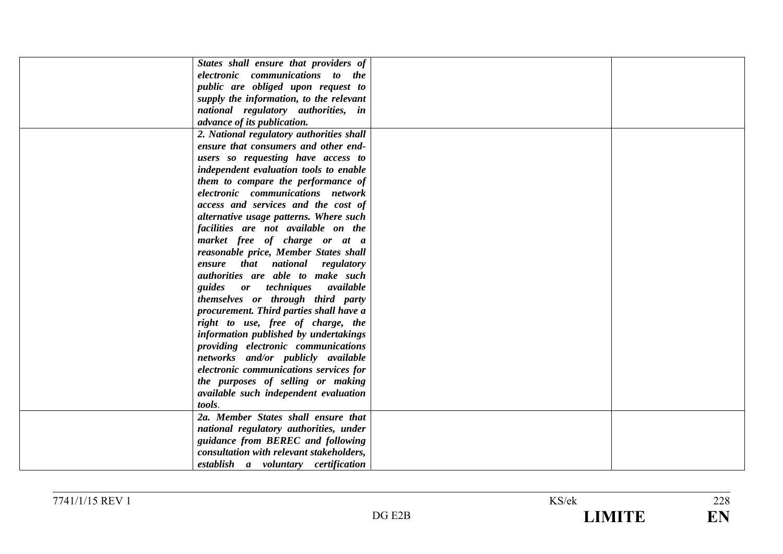| States shall ensure that providers of    |  |
|------------------------------------------|--|
| electronic communications to the         |  |
| public are obliged upon request to       |  |
| supply the information, to the relevant  |  |
| national regulatory authorities, in      |  |
| advance of its publication.              |  |
| 2. National regulatory authorities shall |  |
| ensure that consumers and other end-     |  |
| users so requesting have access to       |  |
| independent evaluation tools to enable   |  |
| them to compare the performance of       |  |
| electronic communications network        |  |
| access and services and the cost of      |  |
| alternative usage patterns. Where such   |  |
| facilities are not available on the      |  |
| market free of charge or at a            |  |
| reasonable price, Member States shall    |  |
| ensure that national regulatory          |  |
| authorities are able to make such        |  |
| guides or techniques available           |  |
| themselves or through third party        |  |
| procurement. Third parties shall have a  |  |
| right to use, free of charge, the        |  |
| information published by undertakings    |  |
| providing electronic communications      |  |
| networks and/or publicly available       |  |
| electronic communications services for   |  |
| the purposes of selling or making        |  |
| available such independent evaluation    |  |
| tools.                                   |  |
| 2a. Member States shall ensure that      |  |
| national regulatory authorities, under   |  |
| guidance from BEREC and following        |  |
| consultation with relevant stakeholders, |  |
| establish a voluntary certification      |  |
|                                          |  |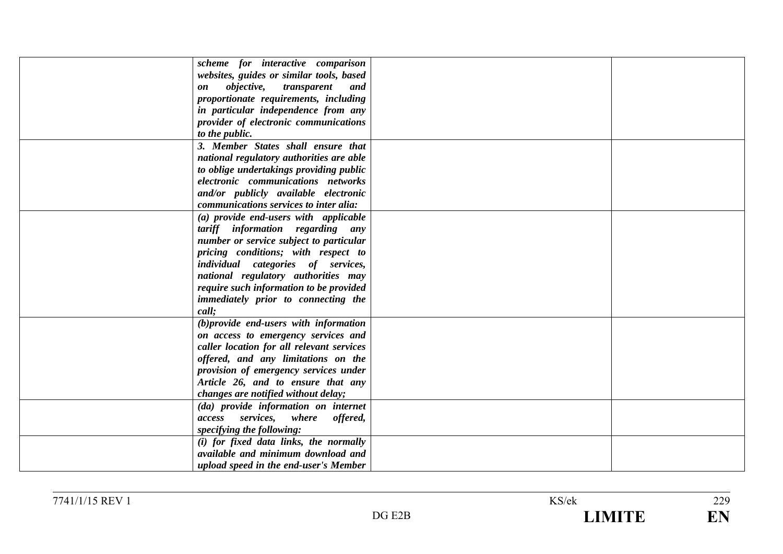| scheme for interactive comparison             |  |
|-----------------------------------------------|--|
| websites, guides or similar tools, based      |  |
| <i>objective,</i><br>transparent<br>and<br>on |  |
| proportionate requirements, including         |  |
| in particular independence from any           |  |
| provider of electronic communications         |  |
| to the public.                                |  |
| 3. Member States shall ensure that            |  |
| national regulatory authorities are able      |  |
| to oblige undertakings providing public       |  |
| electronic communications networks            |  |
| and/or publicly available electronic          |  |
| communications services to inter alia:        |  |
| (a) provide end-users with applicable         |  |
| tariff information regarding any              |  |
| number or service subject to particular       |  |
| pricing conditions; with respect to           |  |
| individual categories of services,            |  |
| national regulatory authorities may           |  |
| require such information to be provided       |  |
| immediately prior to connecting the           |  |
| call;                                         |  |
| (b) provide end-users with information        |  |
| on access to emergency services and           |  |
| caller location for all relevant services     |  |
| offered, and any limitations on the           |  |
| provision of emergency services under         |  |
| Article 26, and to ensure that any            |  |
|                                               |  |
| changes are notified without delay;           |  |
| (da) provide information on internet          |  |
| access services, where offered,               |  |
| specifying the following:                     |  |
| (i) for fixed data links, the normally        |  |
| available and minimum download and            |  |
| upload speed in the end-user's Member         |  |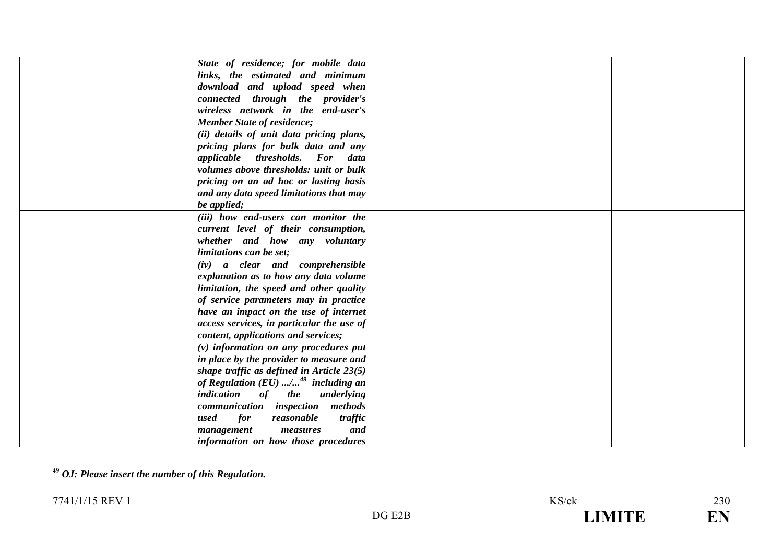| State of residence; for mobile data               |  |
|---------------------------------------------------|--|
| links, the estimated and minimum                  |  |
| download and upload speed when                    |  |
| connected through the provider's                  |  |
| wireless network in the end-user's                |  |
| <b>Member State of residence;</b>                 |  |
| (ii) details of unit data pricing plans,          |  |
| pricing plans for bulk data and any               |  |
| applicable thresholds. For data                   |  |
| volumes above thresholds: unit or bulk            |  |
| pricing on an ad hoc or lasting basis             |  |
| and any data speed limitations that may           |  |
| be applied;                                       |  |
| (iii) how end-users can monitor the               |  |
| current level of their consumption,               |  |
| whether and how any voluntary                     |  |
| limitations can be set;                           |  |
| (iv) a clear and comprehensible                   |  |
| explanation as to how any data volume             |  |
| limitation, the speed and other quality           |  |
| of service parameters may in practice             |  |
| have an impact on the use of internet             |  |
| access services, in particular the use of         |  |
| content, applications and services;               |  |
| $(v)$ information on any procedures put           |  |
| in place by the provider to measure and           |  |
| shape traffic as defined in Article $23(5)$       |  |
| of Regulation $(EU)$ / <sup>49</sup> including an |  |
| indication<br>of the<br>underlying                |  |
| communication inspection methods                  |  |
| for<br>used<br>reasonable<br>traffic              |  |
| and<br>management<br>measures                     |  |
| information on how those procedures               |  |
|                                                   |  |

**<sup>49</sup>** *OJ: Please insert the number of this Regulation.*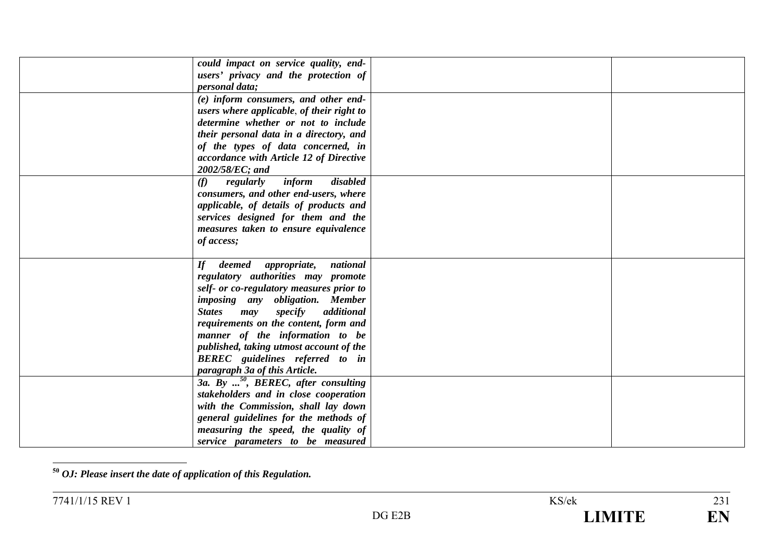| could impact on service quality, end-     |                                                                                                                                                                                                                                                                                                                                                                                                                                                                                                                                                                            |  |
|-------------------------------------------|----------------------------------------------------------------------------------------------------------------------------------------------------------------------------------------------------------------------------------------------------------------------------------------------------------------------------------------------------------------------------------------------------------------------------------------------------------------------------------------------------------------------------------------------------------------------------|--|
|                                           |                                                                                                                                                                                                                                                                                                                                                                                                                                                                                                                                                                            |  |
|                                           |                                                                                                                                                                                                                                                                                                                                                                                                                                                                                                                                                                            |  |
| (e) inform consumers, and other end-      |                                                                                                                                                                                                                                                                                                                                                                                                                                                                                                                                                                            |  |
| users where applicable, of their right to |                                                                                                                                                                                                                                                                                                                                                                                                                                                                                                                                                                            |  |
| determine whether or not to include       |                                                                                                                                                                                                                                                                                                                                                                                                                                                                                                                                                                            |  |
| their personal data in a directory, and   |                                                                                                                                                                                                                                                                                                                                                                                                                                                                                                                                                                            |  |
| of the types of data concerned, in        |                                                                                                                                                                                                                                                                                                                                                                                                                                                                                                                                                                            |  |
| accordance with Article 12 of Directive   |                                                                                                                                                                                                                                                                                                                                                                                                                                                                                                                                                                            |  |
| 2002/58/EC; and                           |                                                                                                                                                                                                                                                                                                                                                                                                                                                                                                                                                                            |  |
| disabled<br>inform<br>(f)<br>regularly    |                                                                                                                                                                                                                                                                                                                                                                                                                                                                                                                                                                            |  |
| consumers, and other end-users, where     |                                                                                                                                                                                                                                                                                                                                                                                                                                                                                                                                                                            |  |
|                                           |                                                                                                                                                                                                                                                                                                                                                                                                                                                                                                                                                                            |  |
|                                           |                                                                                                                                                                                                                                                                                                                                                                                                                                                                                                                                                                            |  |
| measures taken to ensure equivalence      |                                                                                                                                                                                                                                                                                                                                                                                                                                                                                                                                                                            |  |
| of access;                                |                                                                                                                                                                                                                                                                                                                                                                                                                                                                                                                                                                            |  |
|                                           |                                                                                                                                                                                                                                                                                                                                                                                                                                                                                                                                                                            |  |
| national<br>$\boldsymbol{H}$              |                                                                                                                                                                                                                                                                                                                                                                                                                                                                                                                                                                            |  |
|                                           |                                                                                                                                                                                                                                                                                                                                                                                                                                                                                                                                                                            |  |
|                                           |                                                                                                                                                                                                                                                                                                                                                                                                                                                                                                                                                                            |  |
|                                           |                                                                                                                                                                                                                                                                                                                                                                                                                                                                                                                                                                            |  |
| <b>States</b>                             |                                                                                                                                                                                                                                                                                                                                                                                                                                                                                                                                                                            |  |
|                                           |                                                                                                                                                                                                                                                                                                                                                                                                                                                                                                                                                                            |  |
|                                           |                                                                                                                                                                                                                                                                                                                                                                                                                                                                                                                                                                            |  |
|                                           |                                                                                                                                                                                                                                                                                                                                                                                                                                                                                                                                                                            |  |
|                                           |                                                                                                                                                                                                                                                                                                                                                                                                                                                                                                                                                                            |  |
| paragraph 3a of this Article.             |                                                                                                                                                                                                                                                                                                                                                                                                                                                                                                                                                                            |  |
|                                           |                                                                                                                                                                                                                                                                                                                                                                                                                                                                                                                                                                            |  |
| stakeholders and in close cooperation     |                                                                                                                                                                                                                                                                                                                                                                                                                                                                                                                                                                            |  |
|                                           |                                                                                                                                                                                                                                                                                                                                                                                                                                                                                                                                                                            |  |
| general guidelines for the methods of     |                                                                                                                                                                                                                                                                                                                                                                                                                                                                                                                                                                            |  |
| measuring the speed, the quality of       |                                                                                                                                                                                                                                                                                                                                                                                                                                                                                                                                                                            |  |
| service parameters to be measured         |                                                                                                                                                                                                                                                                                                                                                                                                                                                                                                                                                                            |  |
|                                           | users' privacy and the protection of<br><i>personal data;</i><br>applicable, of details of products and<br>services designed for them and the<br>deemed appropriate,<br>regulatory authorities may promote<br>self- or co-regulatory measures prior to<br>imposing any obligation. Member<br>specify additional<br>may<br>requirements on the content, form and<br>manner of the information to be<br>published, taking utmost account of the<br><b>BEREC</b> guidelines referred to in<br>3a. By $^{50}$ , BEREC, after consulting<br>with the Commission, shall lay down |  |

**<sup>50</sup>** *OJ: Please insert the date of application of this Regulation.*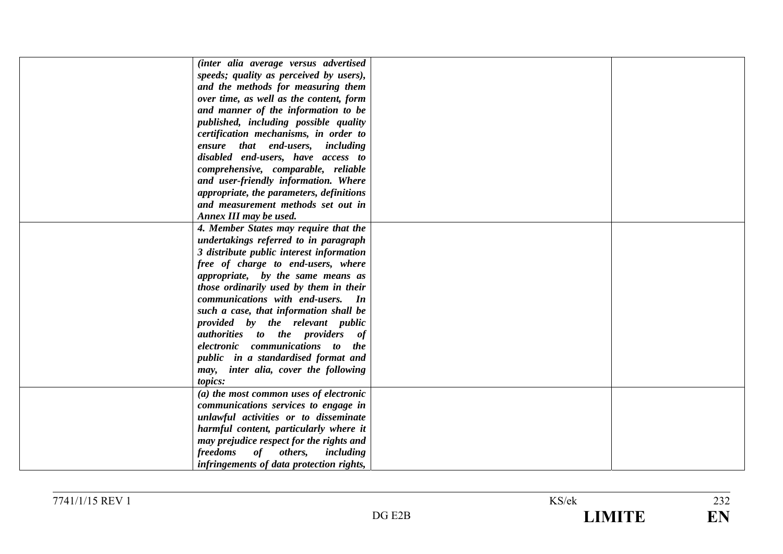| (inter alia average versus advertised      |  |
|--------------------------------------------|--|
| speeds; quality as perceived by users),    |  |
| and the methods for measuring them         |  |
| over time, as well as the content, form    |  |
| and manner of the information to be        |  |
| published, including possible quality      |  |
| certification mechanisms, in order to      |  |
| ensure that end-users, including           |  |
| disabled end-users, have access to         |  |
| comprehensive, comparable, reliable        |  |
| and user-friendly information. Where       |  |
| appropriate, the parameters, definitions   |  |
| and measurement methods set out in         |  |
| Annex III may be used.                     |  |
| 4. Member States may require that the      |  |
| undertakings referred to in paragraph      |  |
| 3 distribute public interest information   |  |
| free of charge to end-users, where         |  |
| appropriate, by the same means as          |  |
| those ordinarily used by them in their     |  |
| communications with end-users. In          |  |
| such a case, that information shall be     |  |
| provided by the relevant public            |  |
| <i>authorities to the providers of</i>     |  |
| electronic communications to<br><i>the</i> |  |
| public in a standardised format and        |  |
| may, inter alia, cover the following       |  |
| topics:                                    |  |
| (a) the most common uses of electronic     |  |
| communications services to engage in       |  |
| unlawful activities or to disseminate      |  |
| harmful content, particularly where it     |  |
| may prejudice respect for the rights and   |  |
| freedoms<br>of others, including           |  |
| infringements of data protection rights,   |  |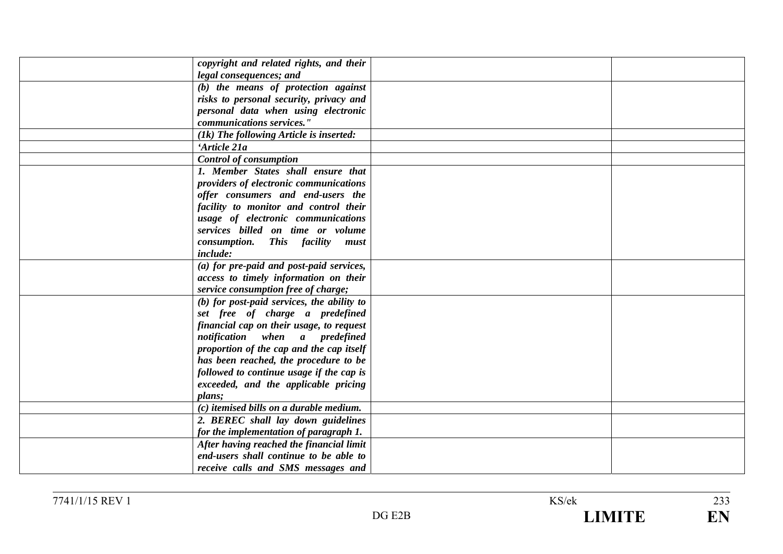| copyright and related rights, and their    |  |
|--------------------------------------------|--|
| legal consequences; and                    |  |
| (b) the means of protection against        |  |
| risks to personal security, privacy and    |  |
| personal data when using electronic        |  |
| communications services."                  |  |
| (1k) The following Article is inserted:    |  |
| 'Article 21a                               |  |
| <b>Control of consumption</b>              |  |
| 1. Member States shall ensure that         |  |
| providers of electronic communications     |  |
| offer consumers and end-users the          |  |
| facility to monitor and control their      |  |
| usage of electronic communications         |  |
| services billed on time or volume          |  |
| <i>consumption.</i><br>This facility must  |  |
| <i>include:</i>                            |  |
| (a) for pre-paid and post-paid services,   |  |
| access to timely information on their      |  |
| service consumption free of charge;        |  |
| (b) for post-paid services, the ability to |  |
| set free of charge a predefined            |  |
| financial cap on their usage, to request   |  |
| notification when a predefined             |  |
| proportion of the cap and the cap itself   |  |
| has been reached, the procedure to be      |  |
| followed to continue usage if the cap is   |  |
| exceeded, and the applicable pricing       |  |
| plans;                                     |  |
| (c) itemised bills on a durable medium.    |  |
| 2. BEREC shall lay down guidelines         |  |
| for the implementation of paragraph 1.     |  |
| After having reached the financial limit   |  |
| end-users shall continue to be able to     |  |
| receive calls and SMS messages and         |  |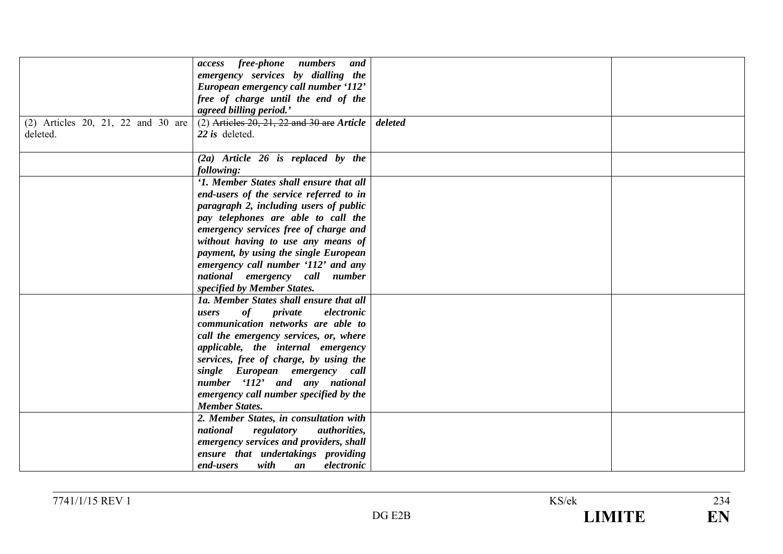|                                    | access free-phone numbers and                 |         |  |
|------------------------------------|-----------------------------------------------|---------|--|
|                                    |                                               |         |  |
|                                    | emergency services by dialling the            |         |  |
|                                    | European emergency call number '112'          |         |  |
|                                    | free of charge until the end of the           |         |  |
|                                    | agreed billing period.'                       |         |  |
| (2) Articles 20, 21, 22 and 30 are | $(2)$ Articles 20, 21, 22 and 30 are Article  | deleted |  |
| deleted.                           | 22 is deleted.                                |         |  |
|                                    |                                               |         |  |
|                                    | $(2a)$ Article 26 is replaced by the          |         |  |
|                                    | following:                                    |         |  |
|                                    | '1. Member States shall ensure that all       |         |  |
|                                    | end-users of the service referred to in       |         |  |
|                                    | paragraph 2, including users of public        |         |  |
|                                    | pay telephones are able to call the           |         |  |
|                                    | emergency services free of charge and         |         |  |
|                                    | without having to use any means of            |         |  |
|                                    | payment, by using the single European         |         |  |
|                                    | emergency call number '112' and any           |         |  |
|                                    | national emergency call number                |         |  |
|                                    | specified by Member States.                   |         |  |
|                                    | 1a. Member States shall ensure that all       |         |  |
|                                    | of<br>private<br>electronic<br>users          |         |  |
|                                    | communication networks are able to            |         |  |
|                                    | call the emergency services, or, where        |         |  |
|                                    | applicable, the internal emergency            |         |  |
|                                    | services, free of charge, by using the        |         |  |
|                                    | single European emergency call                |         |  |
|                                    | number '112' and any national                 |         |  |
|                                    | emergency call number specified by the        |         |  |
|                                    | <b>Member States.</b>                         |         |  |
|                                    | 2. Member States, in consultation with        |         |  |
|                                    | national<br>regulatory<br><i>authorities,</i> |         |  |
|                                    |                                               |         |  |
|                                    | emergency services and providers, shall       |         |  |
|                                    | ensure that undertakings providing            |         |  |
|                                    | with<br>electronic<br>end-users<br>an         |         |  |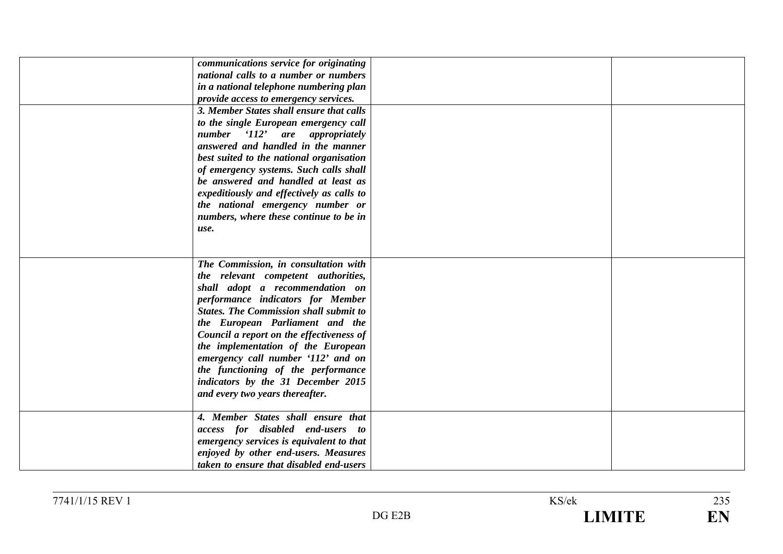| communications service for originating<br>national calls to a number or numbers<br>in a national telephone numbering plan<br>provide access to emergency services.<br>3. Member States shall ensure that calls<br>to the single European emergency call<br>number '112' are appropriately<br>answered and handled in the manner<br>best suited to the national organisation<br>of emergency systems. Such calls shall<br>be answered and handled at least as<br>expeditiously and effectively as calls to<br>the national emergency number or<br>numbers, where these continue to be in<br>use. |  |
|-------------------------------------------------------------------------------------------------------------------------------------------------------------------------------------------------------------------------------------------------------------------------------------------------------------------------------------------------------------------------------------------------------------------------------------------------------------------------------------------------------------------------------------------------------------------------------------------------|--|
| The Commission, in consultation with<br>the relevant competent authorities,<br>shall adopt a recommendation on<br>performance indicators for Member<br><b>States. The Commission shall submit to</b><br>the European Parliament and the<br>Council a report on the effectiveness of<br>the implementation of the European<br>emergency call number '112' and on<br>the functioning of the performance<br>indicators by the 31 December 2015<br>and every two years thereafter.                                                                                                                  |  |
| 4. Member States shall ensure that<br>access for disabled end-users to<br>emergency services is equivalent to that<br>enjoyed by other end-users. Measures<br>taken to ensure that disabled end-users                                                                                                                                                                                                                                                                                                                                                                                           |  |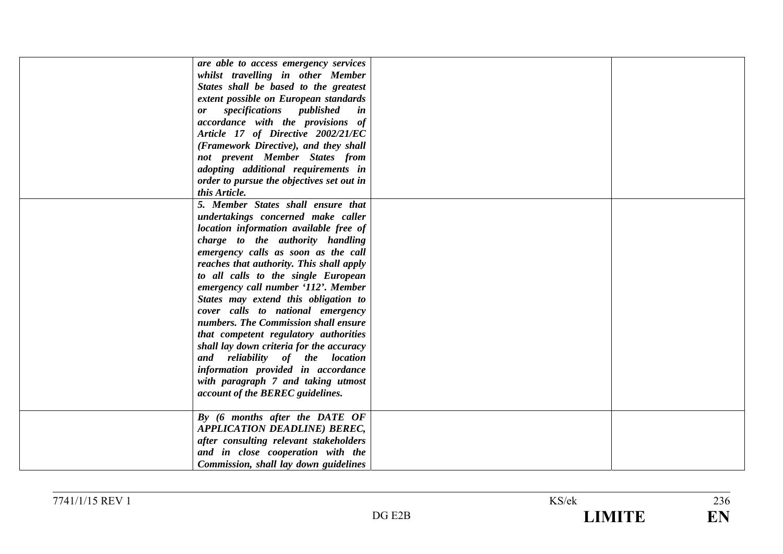| are able to access emergency services       |  |
|---------------------------------------------|--|
| whilst travelling in other Member           |  |
| States shall be based to the greatest       |  |
| extent possible on European standards       |  |
| specifications published<br>in<br><b>or</b> |  |
| accordance with the provisions of           |  |
| Article 17 of Directive 2002/21/EC          |  |
| (Framework Directive), and they shall       |  |
| not prevent Member States from              |  |
| adopting additional requirements in         |  |
| order to pursue the objectives set out in   |  |
| this Article.                               |  |
| 5. Member States shall ensure that          |  |
| undertakings concerned make caller          |  |
| location information available free of      |  |
| charge to the authority handling            |  |
| emergency calls as soon as the call         |  |
| reaches that authority. This shall apply    |  |
|                                             |  |
| to all calls to the single European         |  |
| emergency call number '112'. Member         |  |
| States may extend this obligation to        |  |
| cover calls to national emergency           |  |
| numbers. The Commission shall ensure        |  |
| that competent regulatory authorities       |  |
| shall lay down criteria for the accuracy    |  |
| and reliability of the location             |  |
| information provided in accordance          |  |
| with paragraph 7 and taking utmost          |  |
| account of the BEREC guidelines.            |  |
|                                             |  |
| By (6 months after the DATE OF              |  |
| <b>APPLICATION DEADLINE) BEREC,</b>         |  |
| after consulting relevant stakeholders      |  |
| and in close cooperation with the           |  |
| Commission, shall lay down guidelines       |  |
|                                             |  |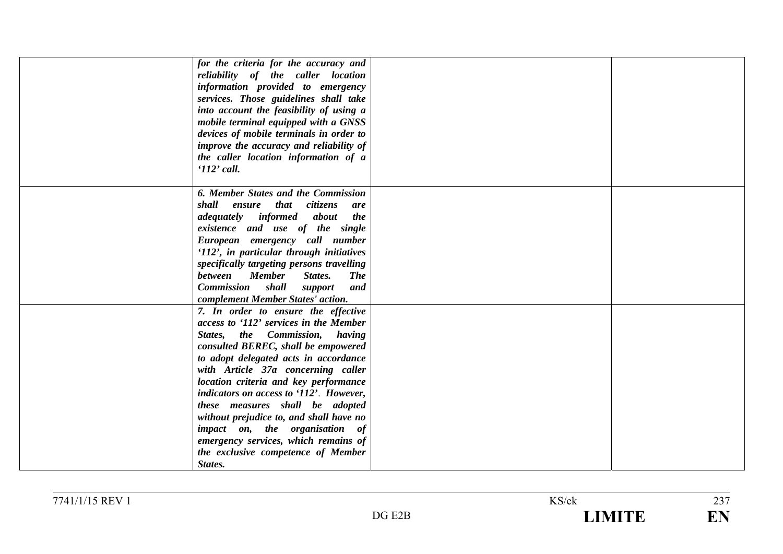| for the criteria for the accuracy and<br>reliability of the caller location<br>information provided to emergency<br>services. Those guidelines shall take<br>into account the feasibility of using a<br>mobile terminal equipped with a GNSS<br>devices of mobile terminals in order to<br>improve the accuracy and reliability of<br>the caller location information of a<br>$112$ ' call.                                                                                                                                        |  |
|------------------------------------------------------------------------------------------------------------------------------------------------------------------------------------------------------------------------------------------------------------------------------------------------------------------------------------------------------------------------------------------------------------------------------------------------------------------------------------------------------------------------------------|--|
| 6. Member States and the Commission                                                                                                                                                                                                                                                                                                                                                                                                                                                                                                |  |
| shall ensure that citizens<br>are<br><i>adequately informed</i><br>about<br>the<br>existence and use of the single<br>European emergency call number<br>'112', in particular through initiatives<br>specifically targeting persons travelling                                                                                                                                                                                                                                                                                      |  |
| between Member<br>States.<br><b>The</b><br><b>Commission</b> shall support<br>and<br>complement Member States' action.                                                                                                                                                                                                                                                                                                                                                                                                             |  |
| 7. In order to ensure the effective<br>access to '112' services in the Member<br>States, the Commission, having<br>consulted BEREC, shall be empowered<br>to adopt delegated acts in accordance<br>with Article 37a concerning caller<br>location criteria and key performance<br>indicators on access to '112'. However,<br>these measures shall be adopted<br>without prejudice to, and shall have no<br>impact on, the organisation of<br>emergency services, which remains of<br>the exclusive competence of Member<br>States. |  |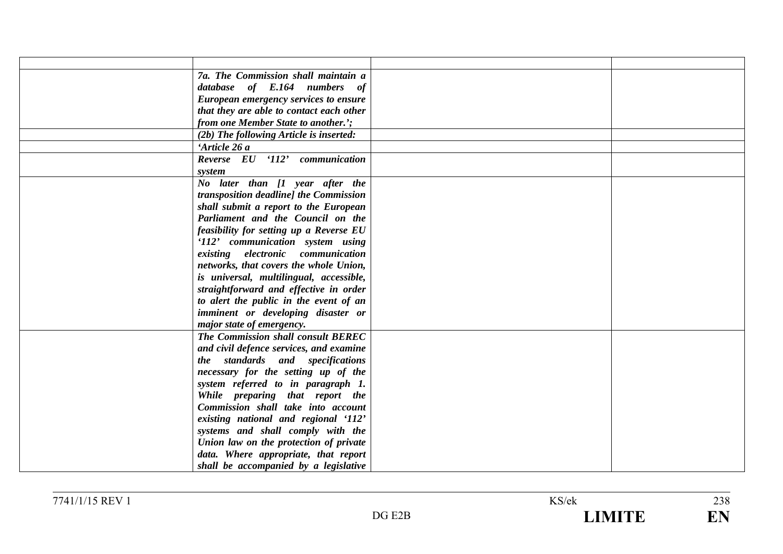| 7a. The Commission shall maintain a                                   |  |
|-----------------------------------------------------------------------|--|
| database of E.164 numbers of                                          |  |
| European emergency services to ensure                                 |  |
| that they are able to contact each other                              |  |
| from one Member State to another.';                                   |  |
| (2b) The following Article is inserted:                               |  |
| 'Article 26 a                                                         |  |
| Reverse EU '112'<br>communication                                     |  |
| system                                                                |  |
| No later than [1 year after the                                       |  |
| transposition deadline] the Commission                                |  |
| shall submit a report to the European                                 |  |
| Parliament and the Council on the                                     |  |
| feasibility for setting up a Reverse EU                               |  |
| '112' communication system using                                      |  |
| existing electronic communication                                     |  |
| networks, that covers the whole Union,                                |  |
| is universal, multilingual, accessible,                               |  |
| straightforward and effective in order                                |  |
| to alert the public in the event of an                                |  |
| imminent or developing disaster or                                    |  |
| major state of emergency.                                             |  |
| The Commission shall consult BEREC                                    |  |
| and civil defence services, and examine                               |  |
| the standards and specifications                                      |  |
| necessary for the setting up of the                                   |  |
| system referred to in paragraph 1.                                    |  |
| While preparing that report the<br>Commission shall take into account |  |
| existing national and regional '112'                                  |  |
| systems and shall comply with the                                     |  |
| Union law on the protection of private                                |  |
| data. Where appropriate, that report                                  |  |
| shall be accompanied by a legislative                                 |  |
|                                                                       |  |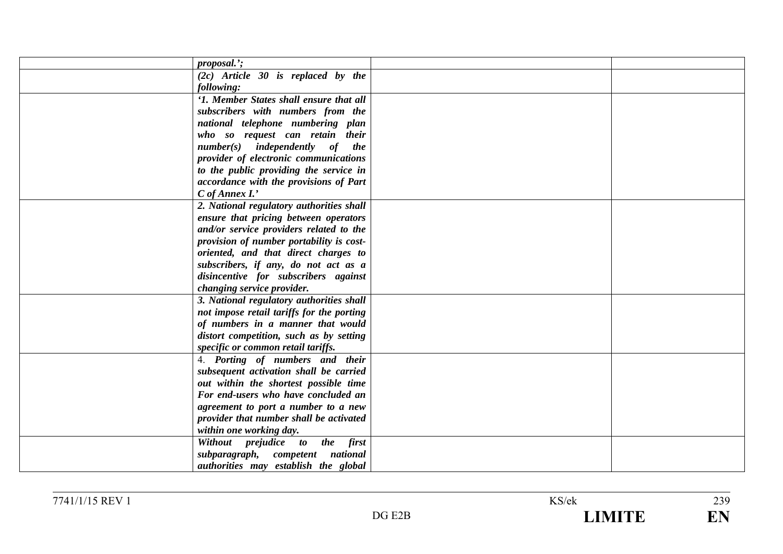| proposal.';                               |  |
|-------------------------------------------|--|
|                                           |  |
| $(2c)$ Article 30 is replaced by the      |  |
| following:                                |  |
| '1. Member States shall ensure that all   |  |
| subscribers with numbers from the         |  |
| national telephone numbering plan         |  |
| who so request can retain their           |  |
| $number(s)$ independently of the          |  |
| provider of electronic communications     |  |
| to the public providing the service in    |  |
| accordance with the provisions of Part    |  |
| $C$ of Annex $I$ .'                       |  |
| 2. National regulatory authorities shall  |  |
| ensure that pricing between operators     |  |
| and/or service providers related to the   |  |
| provision of number portability is cost-  |  |
| oriented, and that direct charges to      |  |
| subscribers, if any, do not act as a      |  |
| disincentive for subscribers against      |  |
| changing service provider.                |  |
| 3. National regulatory authorities shall  |  |
| not impose retail tariffs for the porting |  |
| of numbers in a manner that would         |  |
| distort competition, such as by setting   |  |
| specific or common retail tariffs.        |  |
| 4. Porting of numbers and their           |  |
| subsequent activation shall be carried    |  |
| out within the shortest possible time     |  |
| For end-users who have concluded an       |  |
| agreement to port a number to a new       |  |
| provider that number shall be activated   |  |
|                                           |  |
| within one working day.                   |  |
| Without prejudice to the first            |  |
| subparagraph, competent national          |  |
| authorities may establish the global      |  |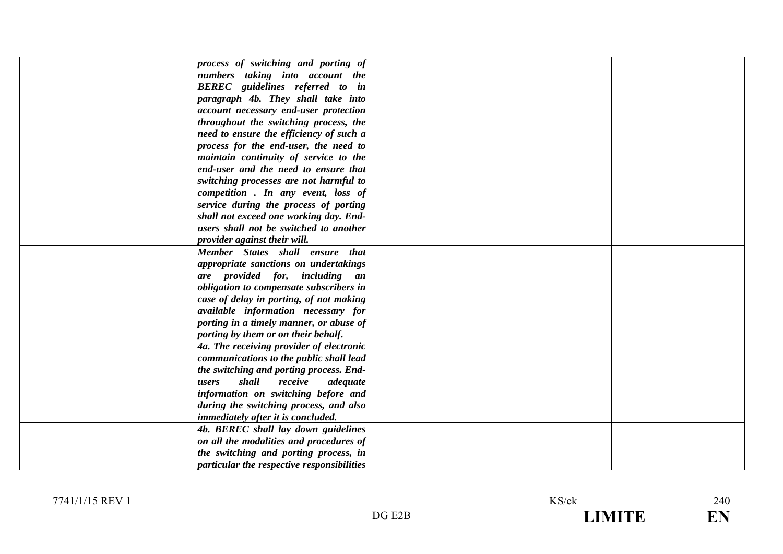| process of switching and porting of        |  |
|--------------------------------------------|--|
| numbers taking into account the            |  |
| <b>BEREC</b> guidelines referred to in     |  |
| paragraph 4b. They shall take into         |  |
| account necessary end-user protection      |  |
| throughout the switching process, the      |  |
| need to ensure the efficiency of such a    |  |
| process for the end-user, the need to      |  |
| maintain continuity of service to the      |  |
| end-user and the need to ensure that       |  |
| switching processes are not harmful to     |  |
| competition. In any event, loss of         |  |
| service during the process of porting      |  |
| shall not exceed one working day. End-     |  |
| users shall not be switched to another     |  |
| provider against their will.               |  |
| Member States shall ensure that            |  |
| appropriate sanctions on undertakings      |  |
| are provided for, including an             |  |
| obligation to compensate subscribers in    |  |
| case of delay in porting, of not making    |  |
| available information necessary for        |  |
| porting in a timely manner, or abuse of    |  |
| porting by them or on their behalf.        |  |
| 4a. The receiving provider of electronic   |  |
| communications to the public shall lead    |  |
| the switching and porting process. End-    |  |
| shall<br>receive<br>adequate<br>users      |  |
| information on switching before and        |  |
| during the switching process, and also     |  |
| <i>immediately after it is concluded.</i>  |  |
| 4b. BEREC shall lay down guidelines        |  |
| on all the modalities and procedures of    |  |
| the switching and porting process, in      |  |
| particular the respective responsibilities |  |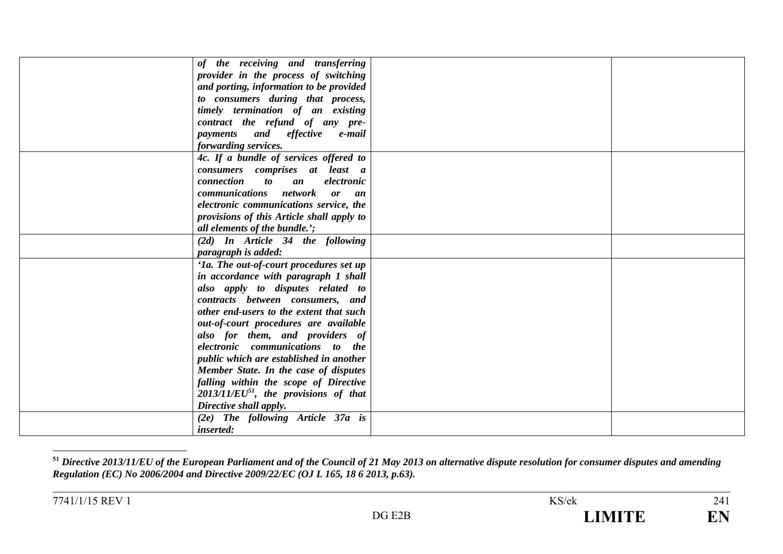| of the receiving and transferring                   |  |
|-----------------------------------------------------|--|
| provider in the process of switching                |  |
| and porting, information to be provided             |  |
| to consumers during that process,                   |  |
| timely termination of an existing                   |  |
| contract the refund of any pre-                     |  |
| payments and effective e-mail                       |  |
| forwarding services.                                |  |
| 4c. If a bundle of services offered to              |  |
| consumers comprises at least a                      |  |
| connection<br>$\boldsymbol{to}$<br>electronic<br>an |  |
| communications network or an                        |  |
| electronic communications service, the              |  |
| provisions of this Article shall apply to           |  |
| all elements of the bundle.';                       |  |
| (2d) In Article 34 the following                    |  |
| paragraph is added:                                 |  |
| '1a. The out-of-court procedures set up             |  |
| in accordance with paragraph 1 shall                |  |
| also apply to disputes related to                   |  |
| contracts between consumers, and                    |  |
| other end-users to the extent that such             |  |
| out-of-court procedures are available               |  |
| also for them, and providers of                     |  |
| electronic communications to the                    |  |
| public which are established in another             |  |
| Member State. In the case of disputes               |  |
| falling within the scope of Directive               |  |
| $2013/11/EU^{51}$ , the provisions of that          |  |
| Directive shall apply.                              |  |
| (2e) The following Article 37a is                   |  |
| <i>inserted:</i>                                    |  |

**<sup>51</sup>** *Directive 2013/11/EU of the European Parliament and of the Council of 21 May 2013 on alternative dispute resolution for consumer disputes and amending Regulation (EC) No 2006/2004 and Directive 2009/22/EC (OJ L 165, 18 6 2013, p.63).*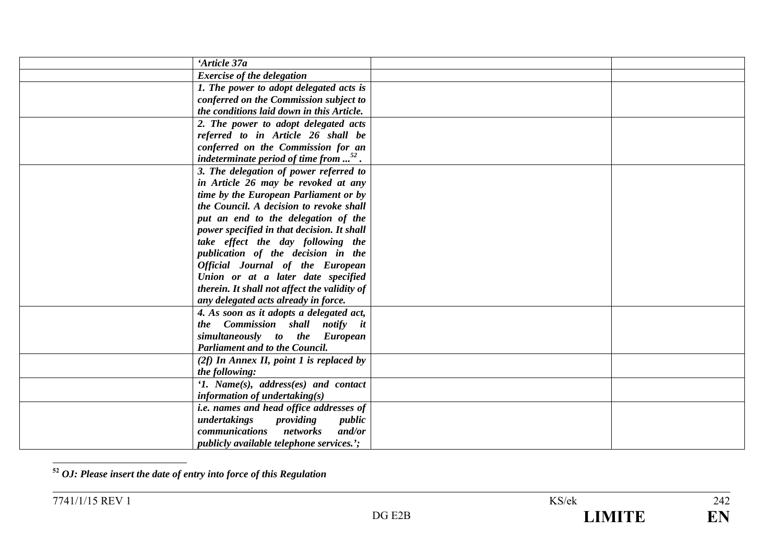| 'Article 37a                                               |  |
|------------------------------------------------------------|--|
| <b>Exercise of the delegation</b>                          |  |
| 1. The power to adopt delegated acts is                    |  |
| conferred on the Commission subject to                     |  |
| the conditions laid down in this Article.                  |  |
| 2. The power to adopt delegated acts                       |  |
| referred to in Article 26 shall be                         |  |
| conferred on the Commission for an                         |  |
| indeterminate period of time from $\ldots$ <sup>52</sup> . |  |
| 3. The delegation of power referred to                     |  |
| in Article 26 may be revoked at any                        |  |
| time by the European Parliament or by                      |  |
| the Council. A decision to revoke shall                    |  |
| put an end to the delegation of the                        |  |
| power specified in that decision. It shall                 |  |
| take effect the day following the                          |  |
| publication of the decision in the                         |  |
| Official Journal of the European                           |  |
| Union or at a later date specified                         |  |
| therein. It shall not affect the validity of               |  |
| any delegated acts already in force.                       |  |
| 4. As soon as it adopts a delegated act,                   |  |
| the Commission shall notify it                             |  |
| simultaneously to the European                             |  |
| <b>Parliament and to the Council.</b>                      |  |
| $(2f)$ In Annex II, point 1 is replaced by                 |  |
| the following:                                             |  |
| '1. Name $(s)$ , address $(es)$ and contact                |  |
| information of undertaking $(s)$                           |  |
| <i>i.e. names and head office addresses of</i>             |  |
| undertakings<br>providing<br>public                        |  |
| communications<br>and/or<br>networks                       |  |
| <i>publicly available telephone services.</i> ;            |  |

**<sup>52</sup>** *OJ: Please insert the date of entry into force of this Regulation*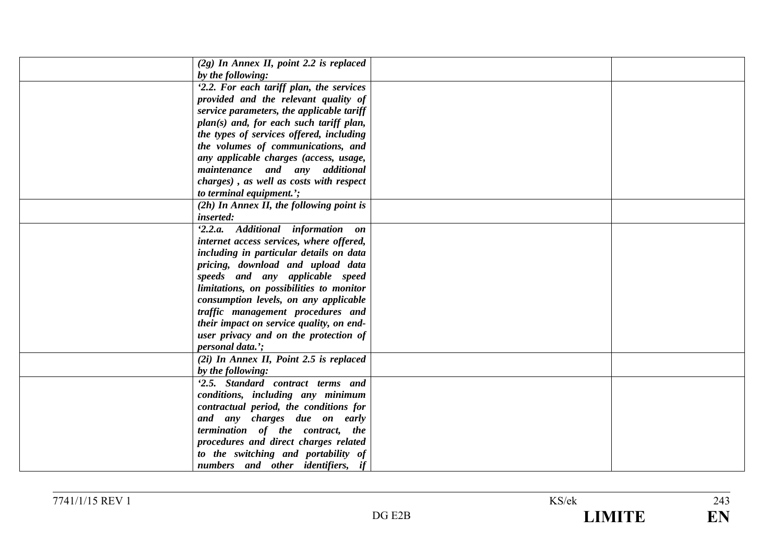| $(2g)$ In Annex II, point 2.2 is replaced |  |
|-------------------------------------------|--|
| by the following:                         |  |
| '2.2. For each tariff plan, the services  |  |
| provided and the relevant quality of      |  |
| service parameters, the applicable tariff |  |
| plan(s) and, for each such tariff plan,   |  |
| the types of services offered, including  |  |
| the volumes of communications, and        |  |
| any applicable charges (access, usage,    |  |
| maintenance and any additional            |  |
| charges), as well as costs with respect   |  |
| to terminal equipment.';                  |  |
| (2h) In Annex II, the following point is  |  |
| <i>inserted:</i>                          |  |
| '2.2.a. Additional information on         |  |
| internet access services, where offered,  |  |
| including in particular details on data   |  |
| pricing, download and upload data         |  |
| speeds and any applicable speed           |  |
| limitations, on possibilities to monitor  |  |
| consumption levels, on any applicable     |  |
| traffic management procedures and         |  |
| their impact on service quality, on end-  |  |
| user privacy and on the protection of     |  |
| <i>personal data.</i> ';                  |  |
| $(2i)$ In Annex II, Point 2.5 is replaced |  |
| by the following:                         |  |
| '2.5. Standard contract terms and         |  |
| conditions, including any minimum         |  |
| contractual period, the conditions for    |  |
| and any charges due on early              |  |
| termination of the contract, the          |  |
| procedures and direct charges related     |  |
| to the switching and portability of       |  |
| numbers and other identifiers, if         |  |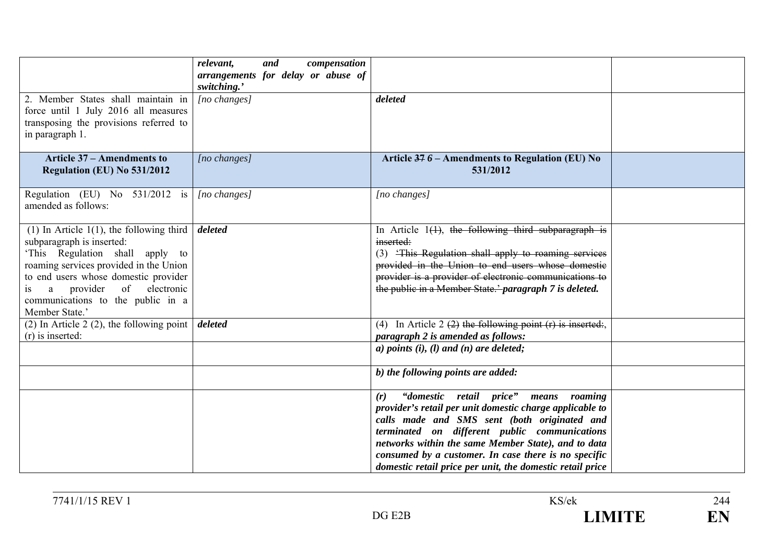|                                                                                                                                                                                                                                                                                        | compensation<br>relevant,<br>and<br>arrangements for delay or abuse of<br>switching.' |                                                                                                                                                                                                                                                                                                                                                                                       |
|----------------------------------------------------------------------------------------------------------------------------------------------------------------------------------------------------------------------------------------------------------------------------------------|---------------------------------------------------------------------------------------|---------------------------------------------------------------------------------------------------------------------------------------------------------------------------------------------------------------------------------------------------------------------------------------------------------------------------------------------------------------------------------------|
| 2. Member States shall maintain in<br>force until 1 July 2016 all measures<br>transposing the provisions referred to<br>in paragraph 1.                                                                                                                                                | $[no\ changes]$                                                                       | deleted                                                                                                                                                                                                                                                                                                                                                                               |
| <b>Article 37 – Amendments to</b><br>Regulation (EU) No 531/2012                                                                                                                                                                                                                       | [no changes]                                                                          | Article 376 - Amendments to Regulation (EU) No<br>531/2012                                                                                                                                                                                                                                                                                                                            |
| Regulation (EU) No $531/2012$ is<br>amended as follows:                                                                                                                                                                                                                                | $[no\ changes]$                                                                       | [no changes]                                                                                                                                                                                                                                                                                                                                                                          |
| (1) In Article $1(1)$ , the following third<br>subparagraph is inserted:<br>'This Regulation shall apply to<br>roaming services provided in the Union<br>to end users whose domestic provider<br>a provider of electronic<br>is<br>communications to the public in a<br>Member State.' | deleted                                                                               | In Article $1(1)$ , the following third subparagraph is<br>inserted:<br>(3) 'This Regulation shall apply to roaming services<br>provided in the Union to end users whose domestic<br>provider is a provider of electronic communications to<br>the public in a Member State.' paragraph 7 is deleted.                                                                                 |
| (2) In Article 2 (2), the following point $\vert$<br>$(r)$ is inserted:                                                                                                                                                                                                                | deleted                                                                               | (4) In Article 2 $(2)$ the following point $(r)$ is inserted:<br>paragraph 2 is amended as follows:<br>a) points $(i)$ , $(l)$ and $(n)$ are deleted;                                                                                                                                                                                                                                 |
|                                                                                                                                                                                                                                                                                        |                                                                                       | b) the following points are added:                                                                                                                                                                                                                                                                                                                                                    |
|                                                                                                                                                                                                                                                                                        |                                                                                       | "domestic retail price" means roaming<br>(r)<br>provider's retail per unit domestic charge applicable to<br>calls made and SMS sent (both originated and<br>terminated on different public communications<br>networks within the same Member State), and to data<br>consumed by a customer. In case there is no specific<br>domestic retail price per unit, the domestic retail price |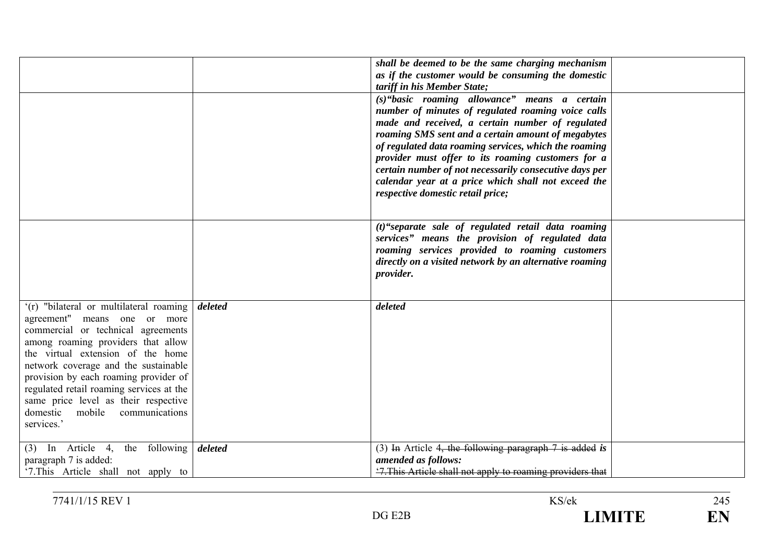|                                                                                                                                                                                                                                                                                                                                                                                                               |         | shall be deemed to be the same charging mechanism<br>as if the customer would be consuming the domestic<br>tariff in his Member State;<br>(s)"basic roaming allowance" means a certain                                                                                                                                                                                                                                            |  |
|---------------------------------------------------------------------------------------------------------------------------------------------------------------------------------------------------------------------------------------------------------------------------------------------------------------------------------------------------------------------------------------------------------------|---------|-----------------------------------------------------------------------------------------------------------------------------------------------------------------------------------------------------------------------------------------------------------------------------------------------------------------------------------------------------------------------------------------------------------------------------------|--|
|                                                                                                                                                                                                                                                                                                                                                                                                               |         | number of minutes of regulated roaming voice calls<br>made and received, a certain number of regulated<br>roaming SMS sent and a certain amount of megabytes<br>of regulated data roaming services, which the roaming<br>provider must offer to its roaming customers for a<br>certain number of not necessarily consecutive days per<br>calendar year at a price which shall not exceed the<br>respective domestic retail price; |  |
|                                                                                                                                                                                                                                                                                                                                                                                                               |         | $(t)$ "separate sale of regulated retail data roaming<br>services" means the provision of regulated data<br>roaming services provided to roaming customers<br>directly on a visited network by an alternative roaming<br>provider.                                                                                                                                                                                                |  |
| '(r) "bilateral or multilateral roaming<br>agreement" means one or more<br>commercial or technical agreements<br>among roaming providers that allow<br>the virtual extension of the home<br>network coverage and the sustainable<br>provision by each roaming provider of<br>regulated retail roaming services at the<br>same price level as their respective<br>domestic mobile communications<br>services.' | deleted | deleted                                                                                                                                                                                                                                                                                                                                                                                                                           |  |
| (3) In Article 4, the following $\delta$ deleted<br>paragraph 7 is added:<br>'7. This Article shall not apply to                                                                                                                                                                                                                                                                                              |         | (3) In Article 4, the following paragraph $7$ is added is<br>amended as follows:<br>'7. This Article shall not apply to roaming providers that                                                                                                                                                                                                                                                                                    |  |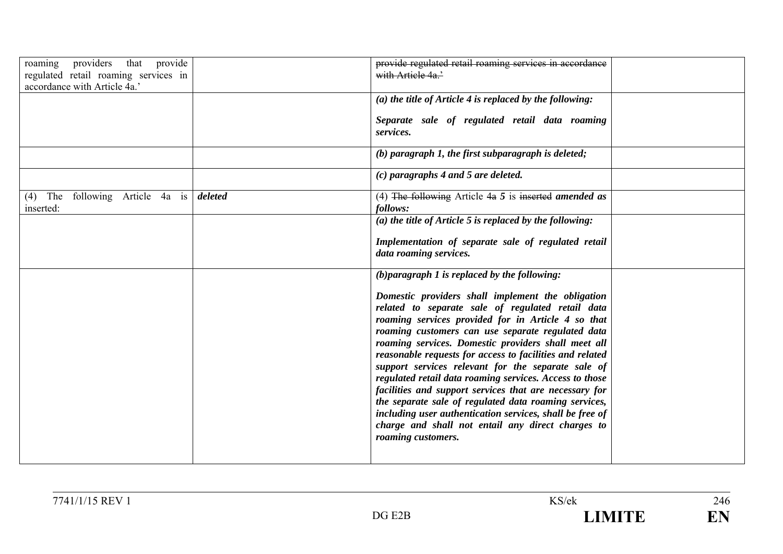| roaming providers that provide<br>regulated retail roaming services in<br>accordance with Article 4a.' |         | provide regulated retail roaming services in accordance<br>with Article 4a.'                                                                                                                                                                                                                                                                                                                                                                                                                                                                                                                                                                                                                                    |
|--------------------------------------------------------------------------------------------------------|---------|-----------------------------------------------------------------------------------------------------------------------------------------------------------------------------------------------------------------------------------------------------------------------------------------------------------------------------------------------------------------------------------------------------------------------------------------------------------------------------------------------------------------------------------------------------------------------------------------------------------------------------------------------------------------------------------------------------------------|
|                                                                                                        |         | (a) the title of Article 4 is replaced by the following:<br>Separate sale of regulated retail data roaming<br>services.                                                                                                                                                                                                                                                                                                                                                                                                                                                                                                                                                                                         |
|                                                                                                        |         | $(b)$ paragraph 1, the first subparagraph is deleted;                                                                                                                                                                                                                                                                                                                                                                                                                                                                                                                                                                                                                                                           |
|                                                                                                        |         | $(c)$ paragraphs 4 and 5 are deleted.                                                                                                                                                                                                                                                                                                                                                                                                                                                                                                                                                                                                                                                                           |
| (4) The following Article 4a is<br>inserted:                                                           | deleted | (4) The following Article $4a\ 5$ is inserted amended as<br>follows:                                                                                                                                                                                                                                                                                                                                                                                                                                                                                                                                                                                                                                            |
|                                                                                                        |         | (a) the title of Article 5 is replaced by the following:                                                                                                                                                                                                                                                                                                                                                                                                                                                                                                                                                                                                                                                        |
|                                                                                                        |         | Implementation of separate sale of regulated retail<br>data roaming services.                                                                                                                                                                                                                                                                                                                                                                                                                                                                                                                                                                                                                                   |
|                                                                                                        |         | $(b)$ paragraph 1 is replaced by the following:                                                                                                                                                                                                                                                                                                                                                                                                                                                                                                                                                                                                                                                                 |
|                                                                                                        |         | Domestic providers shall implement the obligation<br>related to separate sale of regulated retail data<br>roaming services provided for in Article 4 so that<br>roaming customers can use separate regulated data<br>roaming services. Domestic providers shall meet all<br>reasonable requests for access to facilities and related<br>support services relevant for the separate sale of<br>regulated retail data roaming services. Access to those<br>facilities and support services that are necessary for<br>the separate sale of regulated data roaming services,<br>including user authentication services, shall be free of<br>charge and shall not entail any direct charges to<br>roaming customers. |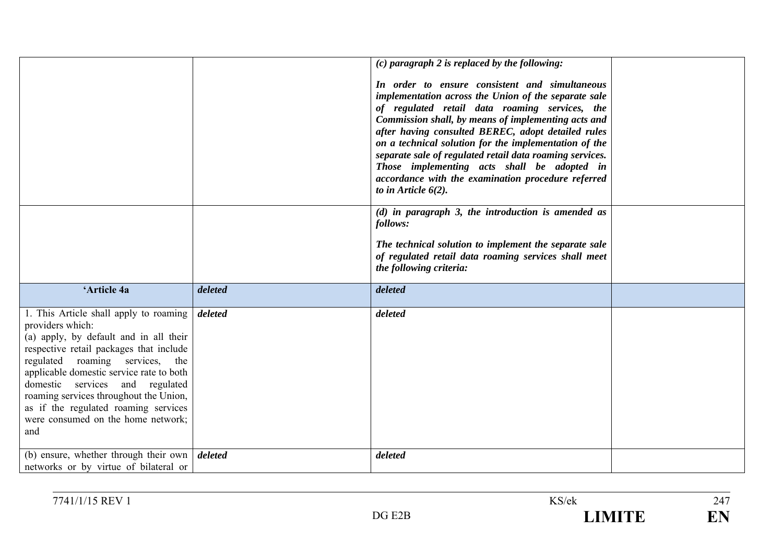|                                                                                                                                                                                                                                                                                                                                                                                                     |         | $(c)$ paragraph 2 is replaced by the following:<br>In order to ensure consistent and simultaneous<br>implementation across the Union of the separate sale<br>of regulated retail data roaming services, the<br>Commission shall, by means of implementing acts and<br>after having consulted BEREC, adopt detailed rules<br>on a technical solution for the implementation of the<br>separate sale of regulated retail data roaming services.<br>Those implementing acts shall be adopted in<br>accordance with the examination procedure referred<br>to in Article $6(2)$ . |  |
|-----------------------------------------------------------------------------------------------------------------------------------------------------------------------------------------------------------------------------------------------------------------------------------------------------------------------------------------------------------------------------------------------------|---------|------------------------------------------------------------------------------------------------------------------------------------------------------------------------------------------------------------------------------------------------------------------------------------------------------------------------------------------------------------------------------------------------------------------------------------------------------------------------------------------------------------------------------------------------------------------------------|--|
|                                                                                                                                                                                                                                                                                                                                                                                                     |         | $(d)$ in paragraph 3, the introduction is amended as<br>follows:<br>The technical solution to implement the separate sale<br>of regulated retail data roaming services shall meet<br>the following criteria:                                                                                                                                                                                                                                                                                                                                                                 |  |
| 'Article 4a                                                                                                                                                                                                                                                                                                                                                                                         | deleted | deleted                                                                                                                                                                                                                                                                                                                                                                                                                                                                                                                                                                      |  |
| 1. This Article shall apply to roaming<br>providers which:<br>(a) apply, by default and in all their<br>respective retail packages that include<br>regulated<br>roaming services, the<br>applicable domestic service rate to both<br>domestic services and regulated<br>roaming services throughout the Union,<br>as if the regulated roaming services<br>were consumed on the home network;<br>and | deleted | deleted                                                                                                                                                                                                                                                                                                                                                                                                                                                                                                                                                                      |  |
| (b) ensure, whether through their own $\vert$ deleted<br>networks or by virtue of bilateral or                                                                                                                                                                                                                                                                                                      |         | deleted                                                                                                                                                                                                                                                                                                                                                                                                                                                                                                                                                                      |  |

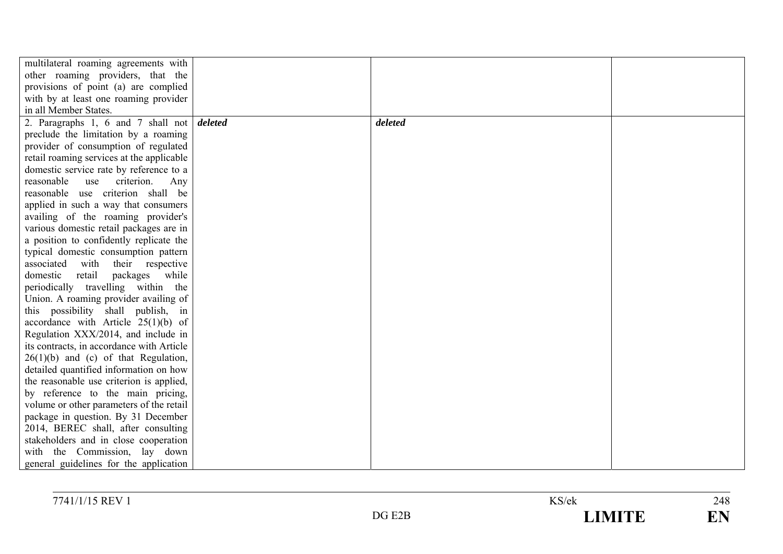| multilateral roaming agreements with                |         |  |
|-----------------------------------------------------|---------|--|
| other roaming providers, that the                   |         |  |
| provisions of point (a) are complied                |         |  |
| with by at least one roaming provider               |         |  |
| in all Member States.                               |         |  |
| 2. Paragraphs 1, 6 and 7 shall not $\delta$ deleted | deleted |  |
| preclude the limitation by a roaming                |         |  |
| provider of consumption of regulated                |         |  |
| retail roaming services at the applicable           |         |  |
| domestic service rate by reference to a             |         |  |
| reasonable<br>criterion.<br>use<br>Any              |         |  |
| reasonable use criterion shall be                   |         |  |
| applied in such a way that consumers                |         |  |
| availing of the roaming provider's                  |         |  |
| various domestic retail packages are in             |         |  |
| a position to confidently replicate the             |         |  |
| typical domestic consumption pattern                |         |  |
| associated with their respective                    |         |  |
| domestic retail packages while                      |         |  |
| periodically travelling within the                  |         |  |
| Union. A roaming provider availing of               |         |  |
| this possibility shall publish, in                  |         |  |
| accordance with Article $25(1)(b)$ of               |         |  |
| Regulation XXX/2014, and include in                 |         |  |
| its contracts, in accordance with Article           |         |  |
| $26(1)(b)$ and (c) of that Regulation,              |         |  |
| detailed quantified information on how              |         |  |
| the reasonable use criterion is applied,            |         |  |
| by reference to the main pricing,                   |         |  |
| volume or other parameters of the retail            |         |  |
| package in question. By 31 December                 |         |  |
| 2014, BEREC shall, after consulting                 |         |  |
| stakeholders and in close cooperation               |         |  |
| with the Commission, lay down                       |         |  |
| general guidelines for the application              |         |  |

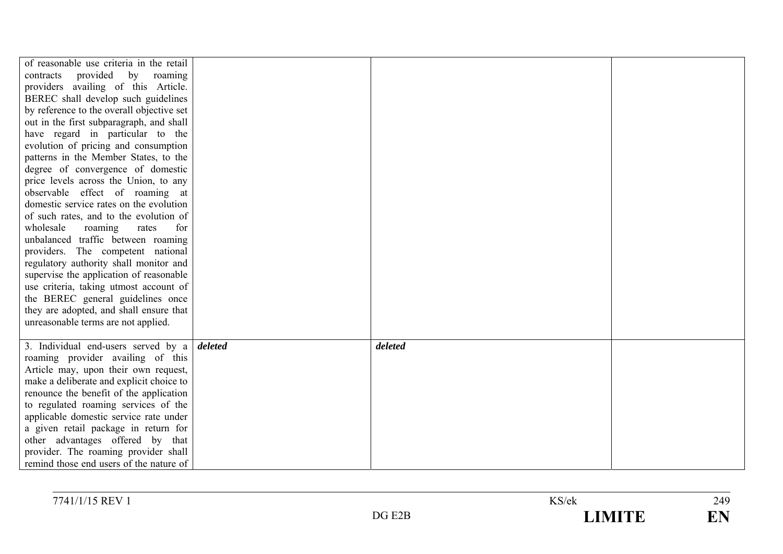| of reasonable use criteria in the retail<br>contracts<br>provided by roaming<br>providers availing of this Article.<br>BEREC shall develop such guidelines<br>by reference to the overall objective set<br>out in the first subparagraph, and shall<br>have regard in particular to the<br>evolution of pricing and consumption<br>patterns in the Member States, to the<br>degree of convergence of domestic<br>price levels across the Union, to any<br>observable effect of roaming at<br>domestic service rates on the evolution<br>of such rates, and to the evolution of<br>wholesale<br>for<br>roaming<br>rates<br>unbalanced traffic between roaming |         |  |
|--------------------------------------------------------------------------------------------------------------------------------------------------------------------------------------------------------------------------------------------------------------------------------------------------------------------------------------------------------------------------------------------------------------------------------------------------------------------------------------------------------------------------------------------------------------------------------------------------------------------------------------------------------------|---------|--|
| providers. The competent national<br>regulatory authority shall monitor and                                                                                                                                                                                                                                                                                                                                                                                                                                                                                                                                                                                  |         |  |
| supervise the application of reasonable<br>use criteria, taking utmost account of                                                                                                                                                                                                                                                                                                                                                                                                                                                                                                                                                                            |         |  |
| the BEREC general guidelines once<br>they are adopted, and shall ensure that                                                                                                                                                                                                                                                                                                                                                                                                                                                                                                                                                                                 |         |  |
| unreasonable terms are not applied.                                                                                                                                                                                                                                                                                                                                                                                                                                                                                                                                                                                                                          |         |  |
| 3. Individual end-users served by a $\theta$ deleted                                                                                                                                                                                                                                                                                                                                                                                                                                                                                                                                                                                                         | deleted |  |
| roaming provider availing of this<br>Article may, upon their own request,                                                                                                                                                                                                                                                                                                                                                                                                                                                                                                                                                                                    |         |  |
| make a deliberate and explicit choice to                                                                                                                                                                                                                                                                                                                                                                                                                                                                                                                                                                                                                     |         |  |
| renounce the benefit of the application                                                                                                                                                                                                                                                                                                                                                                                                                                                                                                                                                                                                                      |         |  |
| to regulated roaming services of the<br>applicable domestic service rate under                                                                                                                                                                                                                                                                                                                                                                                                                                                                                                                                                                               |         |  |
| a given retail package in return for                                                                                                                                                                                                                                                                                                                                                                                                                                                                                                                                                                                                                         |         |  |
| other advantages offered by that                                                                                                                                                                                                                                                                                                                                                                                                                                                                                                                                                                                                                             |         |  |
| provider. The roaming provider shall                                                                                                                                                                                                                                                                                                                                                                                                                                                                                                                                                                                                                         |         |  |
| remind those end users of the nature of                                                                                                                                                                                                                                                                                                                                                                                                                                                                                                                                                                                                                      |         |  |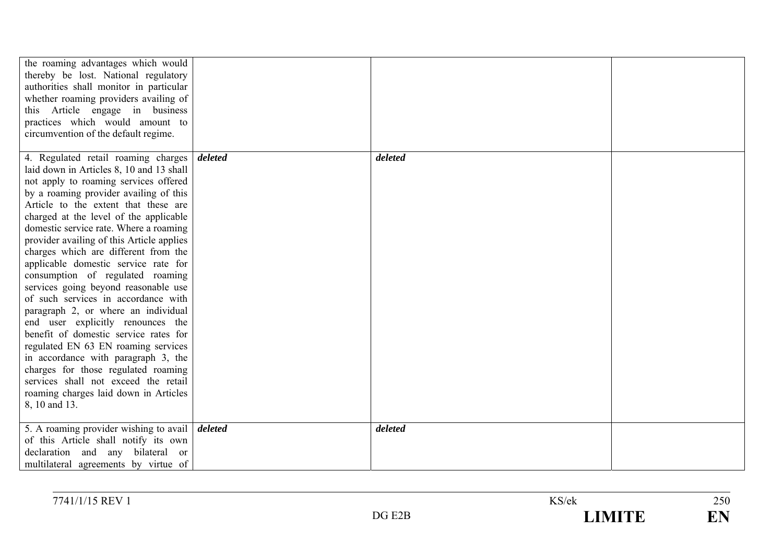| the roaming advantages which would<br>thereby be lost. National regulatory<br>authorities shall monitor in particular<br>whether roaming providers availing of<br>this Article engage in business<br>practices which would amount to<br>circumvention of the default regime.                                                                                                                                                                                                                                                                                                                                                                                                                                                                                                                                                                                                               |         |         |  |
|--------------------------------------------------------------------------------------------------------------------------------------------------------------------------------------------------------------------------------------------------------------------------------------------------------------------------------------------------------------------------------------------------------------------------------------------------------------------------------------------------------------------------------------------------------------------------------------------------------------------------------------------------------------------------------------------------------------------------------------------------------------------------------------------------------------------------------------------------------------------------------------------|---------|---------|--|
| 4. Regulated retail roaming charges<br>laid down in Articles 8, 10 and 13 shall<br>not apply to roaming services offered<br>by a roaming provider availing of this<br>Article to the extent that these are<br>charged at the level of the applicable<br>domestic service rate. Where a roaming<br>provider availing of this Article applies<br>charges which are different from the<br>applicable domestic service rate for<br>consumption of regulated roaming<br>services going beyond reasonable use<br>of such services in accordance with<br>paragraph 2, or where an individual<br>end user explicitly renounces the<br>benefit of domestic service rates for<br>regulated EN 63 EN roaming services<br>in accordance with paragraph 3, the<br>charges for those regulated roaming<br>services shall not exceed the retail<br>roaming charges laid down in Articles<br>8, 10 and 13. | deleted | deleted |  |
| 5. A roaming provider wishing to avail $\vert$ <i>deleted</i><br>of this Article shall notify its own<br>declaration and any bilateral or<br>multilateral agreements by virtue of                                                                                                                                                                                                                                                                                                                                                                                                                                                                                                                                                                                                                                                                                                          |         | deleted |  |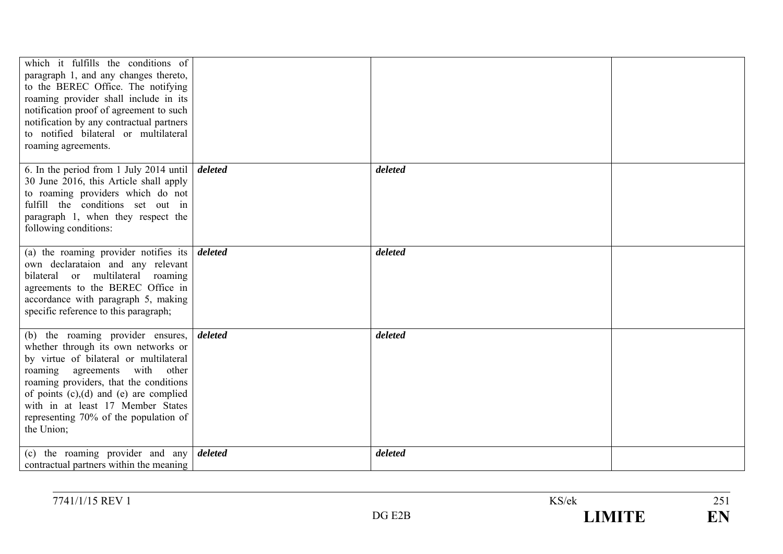| which it fulfills the conditions of<br>paragraph 1, and any changes thereto,<br>to the BEREC Office. The notifying<br>roaming provider shall include in its<br>notification proof of agreement to such<br>notification by any contractual partners<br>to notified bilateral or multilateral<br>roaming agreements.                             |         |         |  |
|------------------------------------------------------------------------------------------------------------------------------------------------------------------------------------------------------------------------------------------------------------------------------------------------------------------------------------------------|---------|---------|--|
| 6. In the period from 1 July 2014 until<br>30 June 2016, this Article shall apply<br>to roaming providers which do not<br>fulfill the conditions set out in<br>paragraph 1, when they respect the<br>following conditions:                                                                                                                     | deleted | deleted |  |
| (a) the roaming provider notifies its $\boldsymbol{delta}$<br>own declarataion and any relevant<br>bilateral or multilateral<br>roaming<br>agreements to the BEREC Office in<br>accordance with paragraph 5, making<br>specific reference to this paragraph;                                                                                   |         | deleted |  |
| (b) the roaming provider ensures,<br>whether through its own networks or<br>by virtue of bilateral or multilateral<br>roaming agreements with<br>other<br>roaming providers, that the conditions<br>of points $(c)$ , $(d)$ and $(e)$ are complied<br>with in at least 17 Member States<br>representing 70% of the population of<br>the Union; | deleted | deleted |  |
| (c) the roaming provider and any $\delta$ deleted<br>contractual partners within the meaning                                                                                                                                                                                                                                                   |         | deleted |  |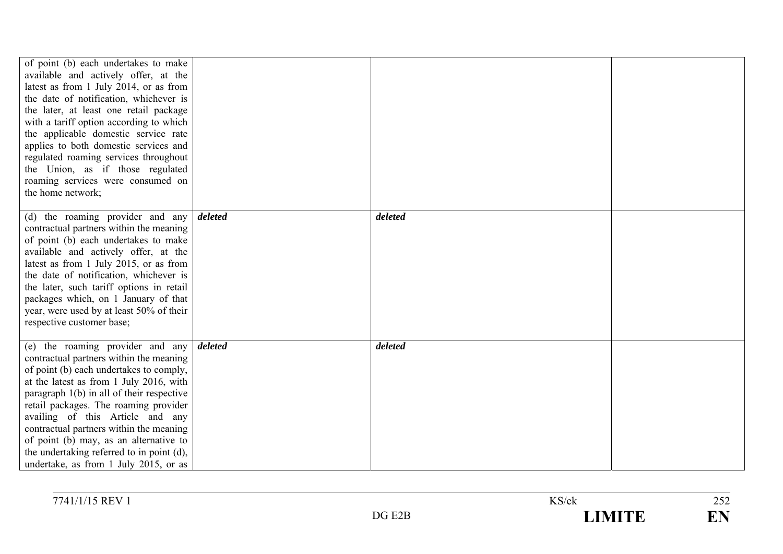| of point (b) each undertakes to make<br>available and actively offer, at the<br>latest as from 1 July 2014, or as from<br>the date of notification, whichever is<br>the later, at least one retail package<br>with a tariff option according to which<br>the applicable domestic service rate<br>applies to both domestic services and<br>regulated roaming services throughout<br>the Union, as if those regulated<br>roaming services were consumed on<br>the home network; |         |         |  |
|-------------------------------------------------------------------------------------------------------------------------------------------------------------------------------------------------------------------------------------------------------------------------------------------------------------------------------------------------------------------------------------------------------------------------------------------------------------------------------|---------|---------|--|
| (d) the roaming provider and any<br>contractual partners within the meaning<br>of point (b) each undertakes to make<br>available and actively offer, at the<br>latest as from 1 July 2015, or as from<br>the date of notification, whichever is<br>the later, such tariff options in retail<br>packages which, on 1 January of that<br>year, were used by at least 50% of their<br>respective customer base;                                                                  | deleted | deleted |  |
| (e) the roaming provider and any<br>contractual partners within the meaning<br>of point (b) each undertakes to comply,<br>at the latest as from 1 July 2016, with<br>paragraph $1(b)$ in all of their respective<br>retail packages. The roaming provider<br>availing of this Article and any<br>contractual partners within the meaning<br>of point (b) may, as an alternative to<br>the undertaking referred to in point (d),<br>undertake, as from 1 July 2015, or as      | deleted | deleted |  |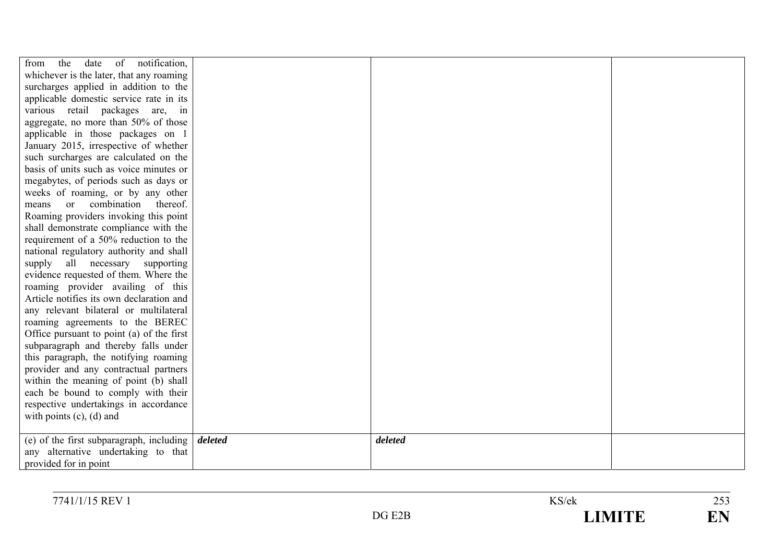| of notification,<br>from<br>the<br>date                         |         |  |
|-----------------------------------------------------------------|---------|--|
| whichever is the later, that any roaming                        |         |  |
| surcharges applied in addition to the                           |         |  |
| applicable domestic service rate in its                         |         |  |
| various retail packages are, in                                 |         |  |
| aggregate, no more than 50% of those                            |         |  |
| applicable in those packages on 1                               |         |  |
| January 2015, irrespective of whether                           |         |  |
| such surcharges are calculated on the                           |         |  |
| basis of units such as voice minutes or                         |         |  |
| megabytes, of periods such as days or                           |         |  |
| weeks of roaming, or by any other                               |         |  |
| or combination thereof.<br>means                                |         |  |
| Roaming providers invoking this point                           |         |  |
| shall demonstrate compliance with the                           |         |  |
| requirement of a 50% reduction to the                           |         |  |
| national regulatory authority and shall                         |         |  |
| supply all necessary supporting                                 |         |  |
| evidence requested of them. Where the                           |         |  |
| roaming provider availing of this                               |         |  |
| Article notifies its own declaration and                        |         |  |
| any relevant bilateral or multilateral                          |         |  |
| roaming agreements to the BEREC                                 |         |  |
| Office pursuant to point (a) of the first                       |         |  |
| subparagraph and thereby falls under                            |         |  |
| this paragraph, the notifying roaming                           |         |  |
| provider and any contractual partners                           |         |  |
| within the meaning of point (b) shall                           |         |  |
| each be bound to comply with their                              |         |  |
| respective undertakings in accordance                           |         |  |
| with points $(c)$ , $(d)$ and                                   |         |  |
|                                                                 |         |  |
| (e) of the first subparagraph, including $\frac{d}{dt}$ deleted | deleted |  |
| any alternative undertaking to that                             |         |  |
| provided for in point                                           |         |  |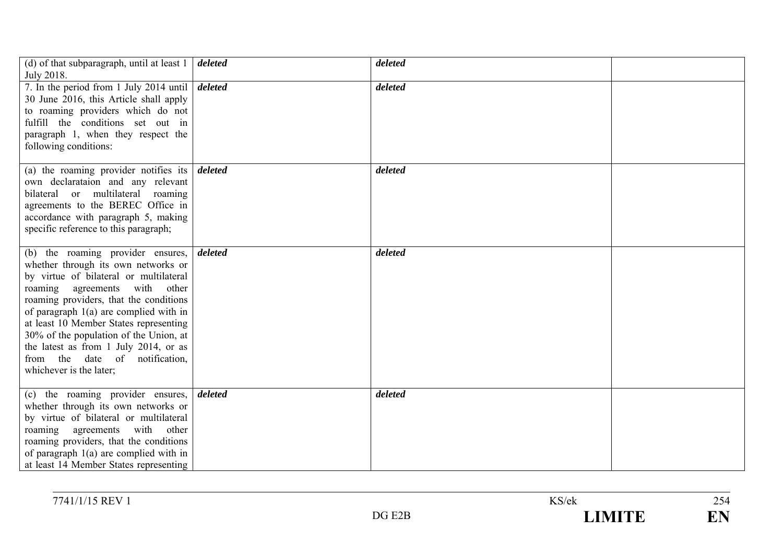| (d) of that subparagraph, until at least 1<br>July 2018.                                                                                                                                                                                                                                                                                                                                                                               | deleted | deleted |  |
|----------------------------------------------------------------------------------------------------------------------------------------------------------------------------------------------------------------------------------------------------------------------------------------------------------------------------------------------------------------------------------------------------------------------------------------|---------|---------|--|
| 7. In the period from 1 July 2014 until<br>30 June 2016, this Article shall apply<br>to roaming providers which do not<br>fulfill the conditions set out in<br>paragraph 1, when they respect the<br>following conditions:                                                                                                                                                                                                             | deleted | deleted |  |
| (a) the roaming provider notifies its $\boldsymbol{delta}$<br>own declarataion and any relevant<br>bilateral or multilateral roaming<br>agreements to the BEREC Office in<br>accordance with paragraph 5, making<br>specific reference to this paragraph;                                                                                                                                                                              |         | deleted |  |
| (b) the roaming provider ensures,<br>whether through its own networks or<br>by virtue of bilateral or multilateral<br>roaming agreements with other<br>roaming providers, that the conditions<br>of paragraph $1(a)$ are complied with in<br>at least 10 Member States representing<br>30% of the population of the Union, at<br>the latest as from 1 July 2014, or as<br>from the<br>date of notification,<br>whichever is the later; | deleted | deleted |  |
| (c) the roaming provider ensures,<br>whether through its own networks or<br>by virtue of bilateral or multilateral<br>with other<br>roaming<br>agreements<br>roaming providers, that the conditions<br>of paragraph $1(a)$ are complied with in<br>at least 14 Member States representing                                                                                                                                              | deleted | deleted |  |

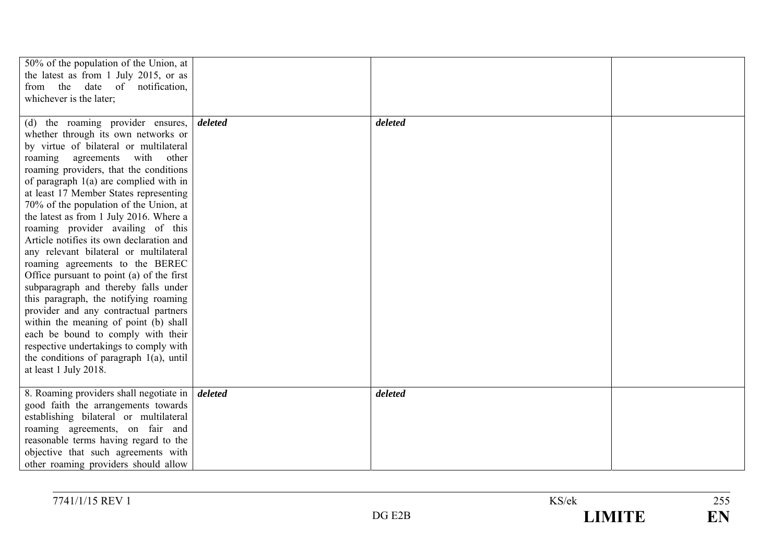| 50% of the population of the Union, at                 |         |         |  |
|--------------------------------------------------------|---------|---------|--|
| the latest as from 1 July 2015, or as                  |         |         |  |
| from the date of notification,                         |         |         |  |
| whichever is the later;                                |         |         |  |
|                                                        |         |         |  |
| (d) the roaming provider ensures,                      | deleted | deleted |  |
| whether through its own networks or                    |         |         |  |
| by virtue of bilateral or multilateral                 |         |         |  |
| with other<br>roaming agreements                       |         |         |  |
| roaming providers, that the conditions                 |         |         |  |
| of paragraph $1(a)$ are complied with in               |         |         |  |
| at least 17 Member States representing                 |         |         |  |
| 70% of the population of the Union, at                 |         |         |  |
| the latest as from 1 July 2016. Where a                |         |         |  |
| roaming provider availing of this                      |         |         |  |
| Article notifies its own declaration and               |         |         |  |
| any relevant bilateral or multilateral                 |         |         |  |
| roaming agreements to the BEREC                        |         |         |  |
| Office pursuant to point (a) of the first              |         |         |  |
| subparagraph and thereby falls under                   |         |         |  |
| this paragraph, the notifying roaming                  |         |         |  |
| provider and any contractual partners                  |         |         |  |
| within the meaning of point (b) shall                  |         |         |  |
| each be bound to comply with their                     |         |         |  |
| respective undertakings to comply with                 |         |         |  |
| the conditions of paragraph $1(a)$ , until             |         |         |  |
| at least 1 July 2018.                                  |         |         |  |
|                                                        |         |         |  |
| 8. Roaming providers shall negotiate in <i>deleted</i> |         | deleted |  |
| good faith the arrangements towards                    |         |         |  |
| establishing bilateral or multilateral                 |         |         |  |
| roaming agreements, on fair and                        |         |         |  |
| reasonable terms having regard to the                  |         |         |  |
| objective that such agreements with                    |         |         |  |
| other roaming providers should allow                   |         |         |  |

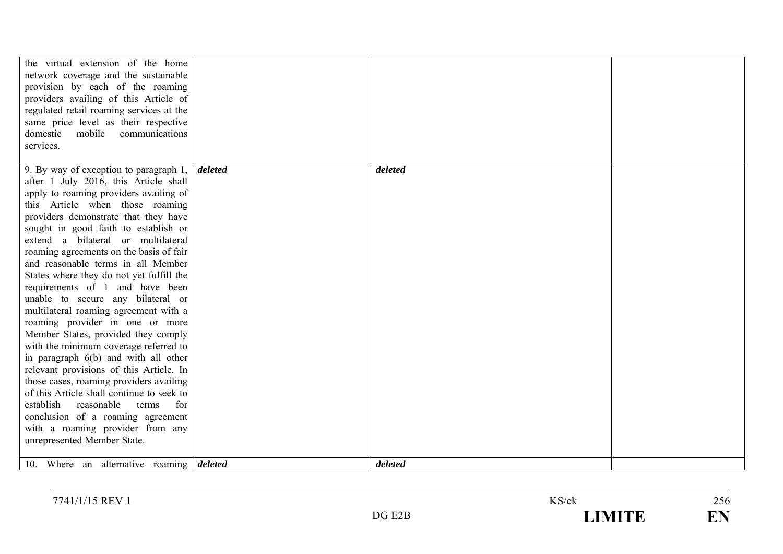| the virtual extension of the home                                             |         |         |  |
|-------------------------------------------------------------------------------|---------|---------|--|
| network coverage and the sustainable                                          |         |         |  |
| provision by each of the roaming                                              |         |         |  |
| providers availing of this Article of                                         |         |         |  |
| regulated retail roaming services at the                                      |         |         |  |
| same price level as their respective                                          |         |         |  |
| domestic<br>mobile<br>communications                                          |         |         |  |
| services.                                                                     |         |         |  |
|                                                                               |         |         |  |
| 9. By way of exception to paragraph 1,                                        | deleted | deleted |  |
| after 1 July 2016, this Article shall                                         |         |         |  |
| apply to roaming providers availing of                                        |         |         |  |
| this Article when those roaming                                               |         |         |  |
| providers demonstrate that they have                                          |         |         |  |
| sought in good faith to establish or<br>extend a bilateral or multilateral    |         |         |  |
|                                                                               |         |         |  |
| roaming agreements on the basis of fair<br>and reasonable terms in all Member |         |         |  |
|                                                                               |         |         |  |
| States where they do not yet fulfill the                                      |         |         |  |
| requirements of 1 and have been                                               |         |         |  |
| unable to secure any bilateral or                                             |         |         |  |
| multilateral roaming agreement with a                                         |         |         |  |
| roaming provider in one or more                                               |         |         |  |
| Member States, provided they comply<br>with the minimum coverage referred to  |         |         |  |
| in paragraph 6(b) and with all other                                          |         |         |  |
| relevant provisions of this Article. In                                       |         |         |  |
| those cases, roaming providers availing                                       |         |         |  |
| of this Article shall continue to seek to                                     |         |         |  |
| establish<br>reasonable terms<br>for                                          |         |         |  |
| conclusion of a roaming agreement                                             |         |         |  |
| with a roaming provider from any                                              |         |         |  |
| unrepresented Member State.                                                   |         |         |  |
|                                                                               |         |         |  |
| 10. Where an alternative roaming deleted                                      |         | deleted |  |

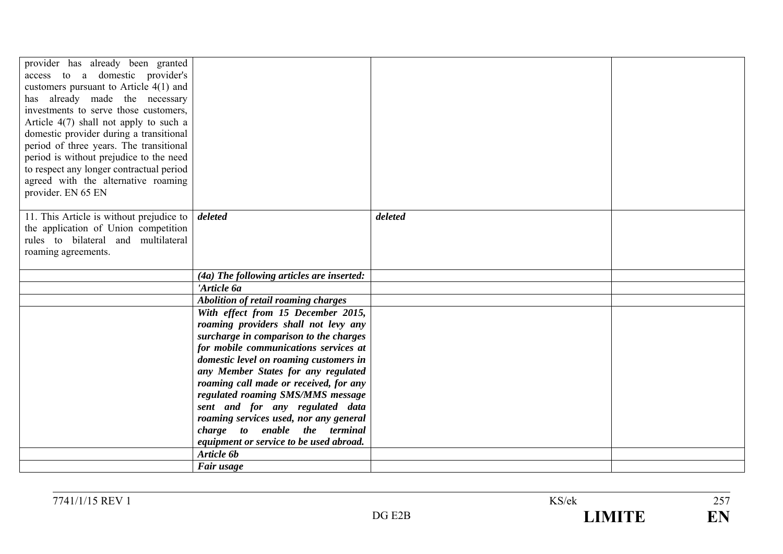| provider has already been granted<br>access to a domestic provider's<br>customers pursuant to Article $4(1)$ and<br>has already made the necessary<br>investments to serve those customers,<br>Article $4(7)$ shall not apply to such a<br>domestic provider during a transitional<br>period of three years. The transitional<br>period is without prejudice to the need<br>to respect any longer contractual period |                                                                             |         |  |
|----------------------------------------------------------------------------------------------------------------------------------------------------------------------------------------------------------------------------------------------------------------------------------------------------------------------------------------------------------------------------------------------------------------------|-----------------------------------------------------------------------------|---------|--|
| agreed with the alternative roaming                                                                                                                                                                                                                                                                                                                                                                                  |                                                                             |         |  |
| provider. EN 65 EN                                                                                                                                                                                                                                                                                                                                                                                                   |                                                                             |         |  |
| 11. This Article is without prejudice to<br>the application of Union competition<br>rules to bilateral and multilateral<br>roaming agreements.                                                                                                                                                                                                                                                                       | deleted                                                                     | deleted |  |
|                                                                                                                                                                                                                                                                                                                                                                                                                      | (4a) The following articles are inserted:                                   |         |  |
|                                                                                                                                                                                                                                                                                                                                                                                                                      | 'Article 6a                                                                 |         |  |
|                                                                                                                                                                                                                                                                                                                                                                                                                      | <b>Abolition of retail roaming charges</b>                                  |         |  |
|                                                                                                                                                                                                                                                                                                                                                                                                                      | With effect from 15 December 2015,                                          |         |  |
|                                                                                                                                                                                                                                                                                                                                                                                                                      | roaming providers shall not levy any                                        |         |  |
|                                                                                                                                                                                                                                                                                                                                                                                                                      | surcharge in comparison to the charges                                      |         |  |
|                                                                                                                                                                                                                                                                                                                                                                                                                      | for mobile communications services at                                       |         |  |
|                                                                                                                                                                                                                                                                                                                                                                                                                      | domestic level on roaming customers in                                      |         |  |
|                                                                                                                                                                                                                                                                                                                                                                                                                      | any Member States for any regulated                                         |         |  |
|                                                                                                                                                                                                                                                                                                                                                                                                                      | roaming call made or received, for any<br>regulated roaming SMS/MMS message |         |  |
|                                                                                                                                                                                                                                                                                                                                                                                                                      | sent and for any regulated data                                             |         |  |
|                                                                                                                                                                                                                                                                                                                                                                                                                      | roaming services used, nor any general                                      |         |  |
|                                                                                                                                                                                                                                                                                                                                                                                                                      | charge to enable the terminal                                               |         |  |
|                                                                                                                                                                                                                                                                                                                                                                                                                      | equipment or service to be used abroad.                                     |         |  |
|                                                                                                                                                                                                                                                                                                                                                                                                                      | Article 6b                                                                  |         |  |
|                                                                                                                                                                                                                                                                                                                                                                                                                      | Fair usage                                                                  |         |  |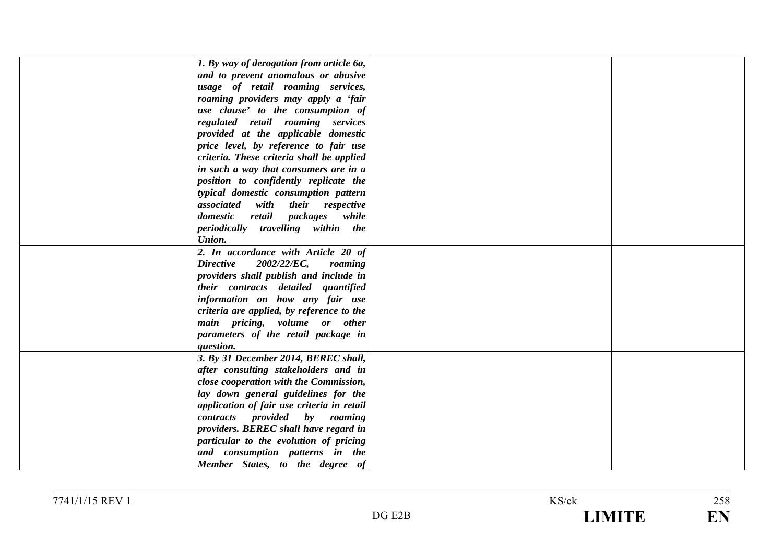| 1. By way of derogation from article 6a,   |  |
|--------------------------------------------|--|
| and to prevent anomalous or abusive        |  |
| usage of retail roaming services,          |  |
| roaming providers may apply a 'fair        |  |
| use clause' to the consumption of          |  |
| regulated retail roaming services          |  |
| provided at the applicable domestic        |  |
| price level, by reference to fair use      |  |
| criteria. These criteria shall be applied  |  |
| in such a way that consumers are in a      |  |
| position to confidently replicate the      |  |
| typical domestic consumption pattern       |  |
| associated with their respective           |  |
| domestic retail packages while             |  |
| periodically travelling within the         |  |
| Union.                                     |  |
| 2. In accordance with Article 20 of        |  |
| <b>Directive</b><br>2002/22/EC,<br>roaming |  |
| providers shall publish and include in     |  |
| their contracts detailed quantified        |  |
| information on how any fair use            |  |
| criteria are applied, by reference to the  |  |
| main pricing, volume or other              |  |
| parameters of the retail package in        |  |
| question.                                  |  |
| 3. By 31 December 2014, BEREC shall,       |  |
| after consulting stakeholders and in       |  |
| close cooperation with the Commission,     |  |
| lay down general guidelines for the        |  |
| application of fair use criteria in retail |  |
| contracts provided by roaming              |  |
| providers. BEREC shall have regard in      |  |
| particular to the evolution of pricing     |  |
| and consumption patterns in the            |  |
| Member States, to the degree of            |  |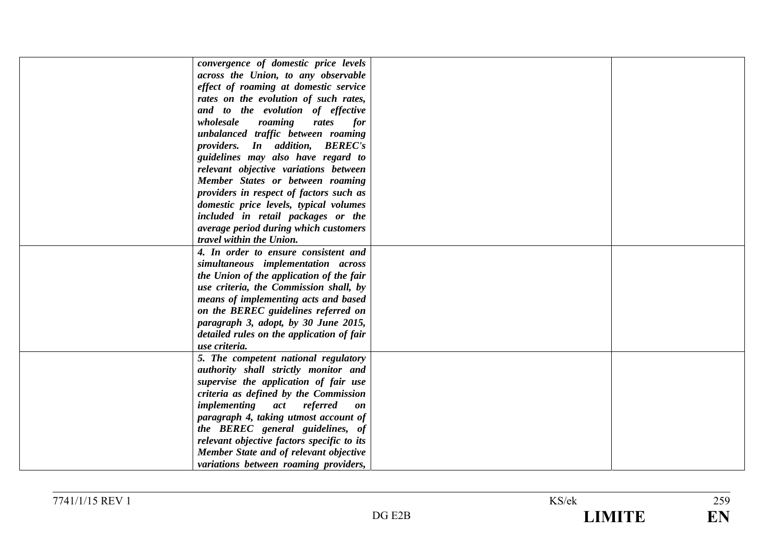| convergence of domestic price levels       |  |
|--------------------------------------------|--|
| across the Union, to any observable        |  |
| effect of roaming at domestic service      |  |
| rates on the evolution of such rates,      |  |
| and to the evolution of effective          |  |
| wholesale<br>roaming<br>rates<br>for       |  |
| unbalanced traffic between roaming         |  |
| providers. In addition, BEREC's            |  |
| guidelines may also have regard to         |  |
| relevant objective variations between      |  |
| Member States or between roaming           |  |
| providers in respect of factors such as    |  |
| domestic price levels, typical volumes     |  |
| included in retail packages or the         |  |
| average period during which customers      |  |
| travel within the Union.                   |  |
| 4. In order to ensure consistent and       |  |
| simultaneous implementation across         |  |
| the Union of the application of the fair   |  |
| use criteria, the Commission shall, by     |  |
|                                            |  |
| means of implementing acts and based       |  |
| on the BEREC guidelines referred on        |  |
| paragraph 3, adopt, by 30 June 2015,       |  |
| detailed rules on the application of fair  |  |
| use criteria.                              |  |
| 5. The competent national regulatory       |  |
| authority shall strictly monitor and       |  |
| supervise the application of fair use      |  |
| criteria as defined by the Commission      |  |
| implementing act referred<br>on            |  |
| paragraph 4, taking utmost account of      |  |
| the BEREC general guidelines, of           |  |
| relevant objective factors specific to its |  |
| Member State and of relevant objective     |  |
| variations between roaming providers,      |  |

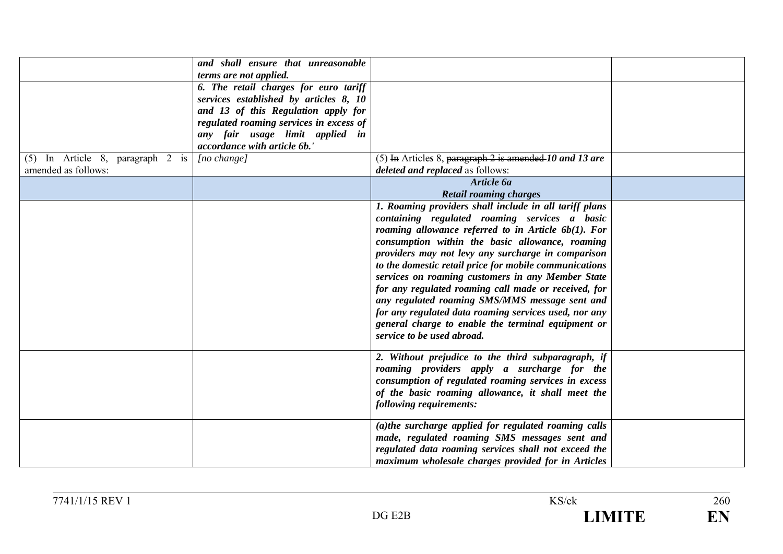|                                    | and shall ensure that unreasonable<br>terms are not applied. |                                                         |  |
|------------------------------------|--------------------------------------------------------------|---------------------------------------------------------|--|
|                                    |                                                              |                                                         |  |
|                                    | 6. The retail charges for euro tariff                        |                                                         |  |
|                                    | services established by articles 8, 10                       |                                                         |  |
|                                    | and 13 of this Regulation apply for                          |                                                         |  |
|                                    | regulated roaming services in excess of                      |                                                         |  |
|                                    | any fair usage limit applied in                              |                                                         |  |
|                                    | accordance with article 6b.'                                 |                                                         |  |
| $(5)$ In Article 8, paragraph 2 is | $[no \space change]$                                         | (5) In Articles 8, paragraph 2 is amended 10 and 13 are |  |
| amended as follows:                |                                                              | deleted and replaced as follows:                        |  |
|                                    |                                                              | Article 6a                                              |  |
|                                    |                                                              | <b>Retail roaming charges</b>                           |  |
|                                    |                                                              | 1. Roaming providers shall include in all tariff plans  |  |
|                                    |                                                              | containing regulated roaming services a basic           |  |
|                                    |                                                              | roaming allowance referred to in Article $6b(1)$ . For  |  |
|                                    |                                                              | consumption within the basic allowance, roaming         |  |
|                                    |                                                              | providers may not levy any surcharge in comparison      |  |
|                                    |                                                              | to the domestic retail price for mobile communications  |  |
|                                    |                                                              | services on roaming customers in any Member State       |  |
|                                    |                                                              | for any regulated roaming call made or received, for    |  |
|                                    |                                                              |                                                         |  |
|                                    |                                                              | any regulated roaming SMS/MMS message sent and          |  |
|                                    |                                                              | for any regulated data roaming services used, nor any   |  |
|                                    |                                                              | general charge to enable the terminal equipment or      |  |
|                                    |                                                              | service to be used abroad.                              |  |
|                                    |                                                              |                                                         |  |
|                                    |                                                              | 2. Without prejudice to the third subparagraph, if      |  |
|                                    |                                                              | roaming providers apply a surcharge for the             |  |
|                                    |                                                              | consumption of regulated roaming services in excess     |  |
|                                    |                                                              | of the basic roaming allowance, it shall meet the       |  |
|                                    |                                                              | following requirements:                                 |  |
|                                    |                                                              |                                                         |  |
|                                    |                                                              | (a)the surcharge applied for regulated roaming calls    |  |
|                                    |                                                              | made, regulated roaming SMS messages sent and           |  |
|                                    |                                                              | regulated data roaming services shall not exceed the    |  |
|                                    |                                                              | maximum wholesale charges provided for in Articles      |  |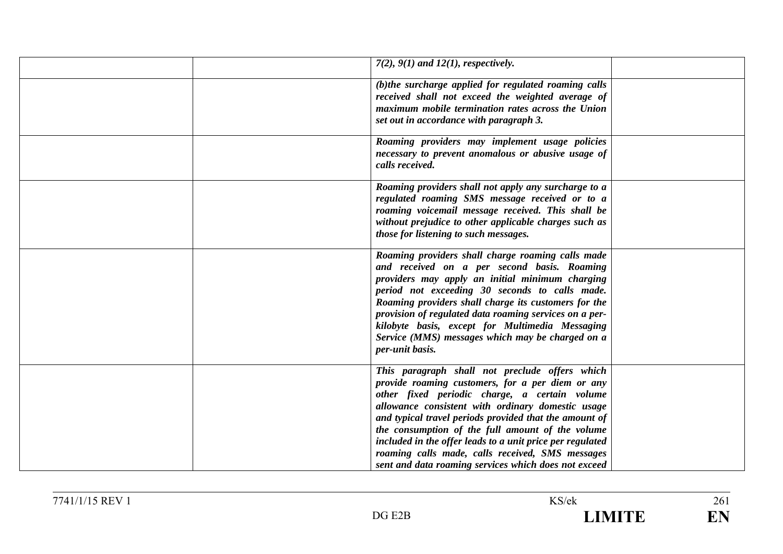| $7(2)$ , $9(1)$ and $12(1)$ , respectively.                                                                                                                                                                                                                                                                                                                                                                                                                                                     |
|-------------------------------------------------------------------------------------------------------------------------------------------------------------------------------------------------------------------------------------------------------------------------------------------------------------------------------------------------------------------------------------------------------------------------------------------------------------------------------------------------|
| (b)the surcharge applied for regulated roaming calls<br>received shall not exceed the weighted average of<br>maximum mobile termination rates across the Union<br>set out in accordance with paragraph 3.                                                                                                                                                                                                                                                                                       |
| Roaming providers may implement usage policies<br>necessary to prevent anomalous or abusive usage of<br>calls received.                                                                                                                                                                                                                                                                                                                                                                         |
| Roaming providers shall not apply any surcharge to a<br>regulated roaming SMS message received or to a<br>roaming voicemail message received. This shall be<br>without prejudice to other applicable charges such as<br>those for listening to such messages.                                                                                                                                                                                                                                   |
| Roaming providers shall charge roaming calls made<br>and received on a per second basis. Roaming<br>providers may apply an initial minimum charging<br>period not exceeding 30 seconds to calls made.<br>Roaming providers shall charge its customers for the<br>provision of regulated data roaming services on a per-<br>kilobyte basis, except for Multimedia Messaging<br>Service (MMS) messages which may be charged on a<br>per-unit basis.                                               |
| This paragraph shall not preclude offers which<br>provide roaming customers, for a per diem or any<br>other fixed periodic charge, a certain volume<br>allowance consistent with ordinary domestic usage<br>and typical travel periods provided that the amount of<br>the consumption of the full amount of the volume<br>included in the offer leads to a unit price per regulated<br>roaming calls made, calls received, SMS messages<br>sent and data roaming services which does not exceed |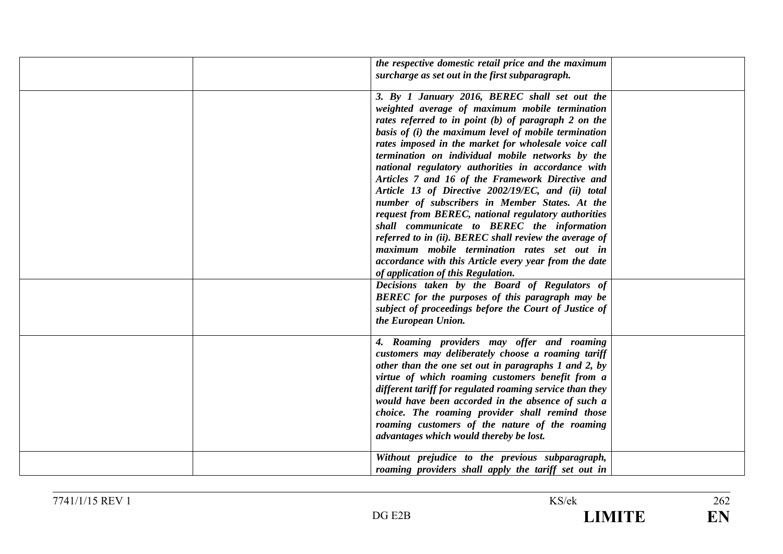| the respective domestic retail price and the maximum<br>surcharge as set out in the first subparagraph.                                                                                                                                                                                                                                                                                                                                                                                                                                                                                                                                                                                                                                                                                                                                                    |
|------------------------------------------------------------------------------------------------------------------------------------------------------------------------------------------------------------------------------------------------------------------------------------------------------------------------------------------------------------------------------------------------------------------------------------------------------------------------------------------------------------------------------------------------------------------------------------------------------------------------------------------------------------------------------------------------------------------------------------------------------------------------------------------------------------------------------------------------------------|
| 3. By 1 January 2016, BEREC shall set out the<br>weighted average of maximum mobile termination<br>rates referred to in point (b) of paragraph 2 on the<br>basis of (i) the maximum level of mobile termination<br>rates imposed in the market for wholesale voice call<br>termination on individual mobile networks by the<br>national regulatory authorities in accordance with<br>Articles 7 and 16 of the Framework Directive and<br>Article 13 of Directive 2002/19/EC, and (ii) total<br>number of subscribers in Member States. At the<br>request from BEREC, national regulatory authorities<br>shall communicate to BEREC the information<br>referred to in (ii). BEREC shall review the average of<br>maximum mobile termination rates set out in<br>accordance with this Article every year from the date<br>of application of this Regulation. |
| Decisions taken by the Board of Regulators of<br>BEREC for the purposes of this paragraph may be<br>subject of proceedings before the Court of Justice of<br>the European Union.                                                                                                                                                                                                                                                                                                                                                                                                                                                                                                                                                                                                                                                                           |
| 4. Roaming providers may offer and roaming<br>customers may deliberately choose a roaming tariff<br>other than the one set out in paragraphs 1 and 2, by<br>virtue of which roaming customers benefit from a<br>different tariff for regulated roaming service than they<br>would have been accorded in the absence of such a<br>choice. The roaming provider shall remind those<br>roaming customers of the nature of the roaming<br>advantages which would thereby be lost.                                                                                                                                                                                                                                                                                                                                                                              |
| Without prejudice to the previous subparagraph,<br>roaming providers shall apply the tariff set out in                                                                                                                                                                                                                                                                                                                                                                                                                                                                                                                                                                                                                                                                                                                                                     |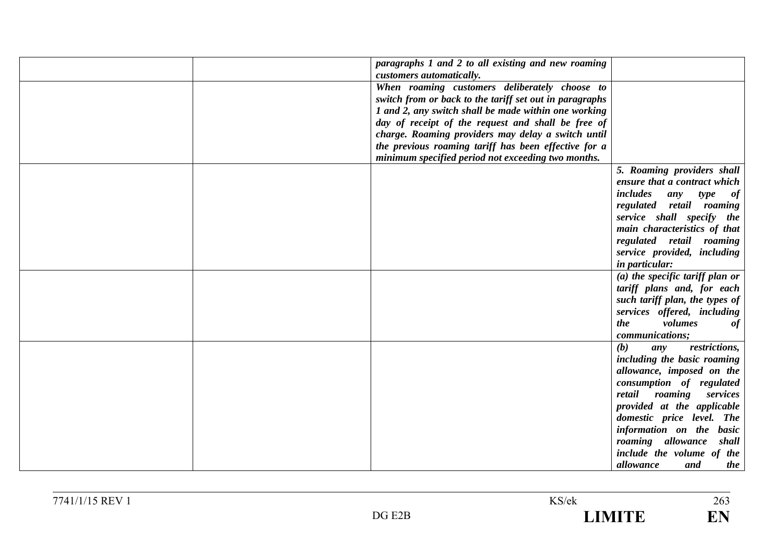| paragraphs 1 and 2 to all existing and new roaming      |                                   |
|---------------------------------------------------------|-----------------------------------|
| customers automatically.                                |                                   |
| When roaming customers deliberately choose to           |                                   |
| switch from or back to the tariff set out in paragraphs |                                   |
| 1 and 2, any switch shall be made within one working    |                                   |
| day of receipt of the request and shall be free of      |                                   |
| charge. Roaming providers may delay a switch until      |                                   |
| the previous roaming tariff has been effective for a    |                                   |
| minimum specified period not exceeding two months.      |                                   |
|                                                         |                                   |
|                                                         | 5. Roaming providers shall        |
|                                                         | ensure that a contract which      |
|                                                         | includes<br>any<br>type<br>of     |
|                                                         | regulated retail roaming          |
|                                                         | service shall specify the         |
|                                                         | main characteristics of that      |
|                                                         | regulated retail roaming          |
|                                                         | service provided, including       |
|                                                         | <i>in particular:</i>             |
|                                                         | $(a)$ the specific tariff plan or |
|                                                         | tariff plans and, for each        |
|                                                         | such tariff plan, the types of    |
|                                                         | services offered, including       |
|                                                         | volumes<br>the<br>of              |
|                                                         | communications;                   |
|                                                         | (b)<br>restrictions,              |
|                                                         | any                               |
|                                                         | including the basic roaming       |
|                                                         | allowance, imposed on the         |
|                                                         | consumption of regulated          |
|                                                         | retail roaming<br>services        |
|                                                         | provided at the applicable        |
|                                                         | domestic price level. The         |
|                                                         | information on the basic          |
|                                                         | roaming allowance shall           |
|                                                         | include the volume of the         |
|                                                         | allowance<br>and<br>the           |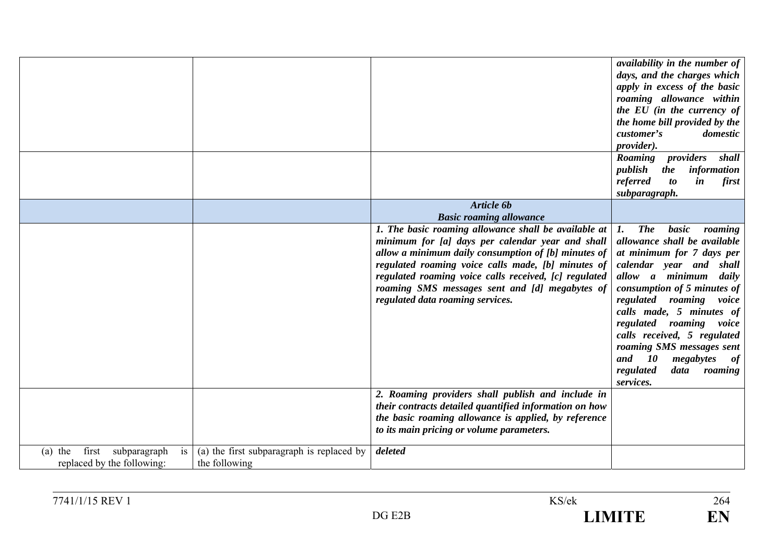|                                                                                                                                      | availability in the number of<br>days, and the charges which<br>apply in excess of the basic<br>roaming allowance within<br>the EU (in the currency of<br>the home bill provided by the<br>customer's<br>domestic<br><i>provider</i> ).<br>Roaming providers shall<br>publish<br>information<br>the                                                                                                                                                                                                                                                                                                                                                                                                                                                                                               |
|--------------------------------------------------------------------------------------------------------------------------------------|---------------------------------------------------------------------------------------------------------------------------------------------------------------------------------------------------------------------------------------------------------------------------------------------------------------------------------------------------------------------------------------------------------------------------------------------------------------------------------------------------------------------------------------------------------------------------------------------------------------------------------------------------------------------------------------------------------------------------------------------------------------------------------------------------|
|                                                                                                                                      | referred<br><i>to</i><br>$\boldsymbol{i}$ n<br>first<br>subparagraph.                                                                                                                                                                                                                                                                                                                                                                                                                                                                                                                                                                                                                                                                                                                             |
|                                                                                                                                      | Article 6b<br><b>Basic roaming allowance</b>                                                                                                                                                                                                                                                                                                                                                                                                                                                                                                                                                                                                                                                                                                                                                      |
|                                                                                                                                      | 1. The basic roaming allowance shall be available at<br><b>The</b><br>basic<br>roaming<br>1.<br>minimum for [a] days per calendar year and shall<br>allowance shall be available<br>allow a minimum daily consumption of [b] minutes of<br>at minimum for 7 days per<br>regulated roaming voice calls made, [b] minutes of<br>calendar year and shall<br>regulated roaming voice calls received, [c] regulated<br>allow a minimum daily<br>roaming SMS messages sent and [d] megabytes of<br>consumption of 5 minutes of<br>regulated data roaming services.<br>regulated roaming voice<br>calls made, 5 minutes of<br>regulated<br>roaming voice<br>calls received, 5 regulated<br>roaming SMS messages sent<br>and<br><i>10</i><br>megabytes<br>of<br>regulated<br>data<br>roaming<br>services. |
|                                                                                                                                      | 2. Roaming providers shall publish and include in<br>their contracts detailed quantified information on how<br>the basic roaming allowance is applied, by reference<br>to its main pricing or volume parameters.                                                                                                                                                                                                                                                                                                                                                                                                                                                                                                                                                                                  |
| (a) the first subparagraph is replaced by<br>first<br>subparagraph<br>$(a)$ the<br>is<br>replaced by the following:<br>the following | deleted                                                                                                                                                                                                                                                                                                                                                                                                                                                                                                                                                                                                                                                                                                                                                                                           |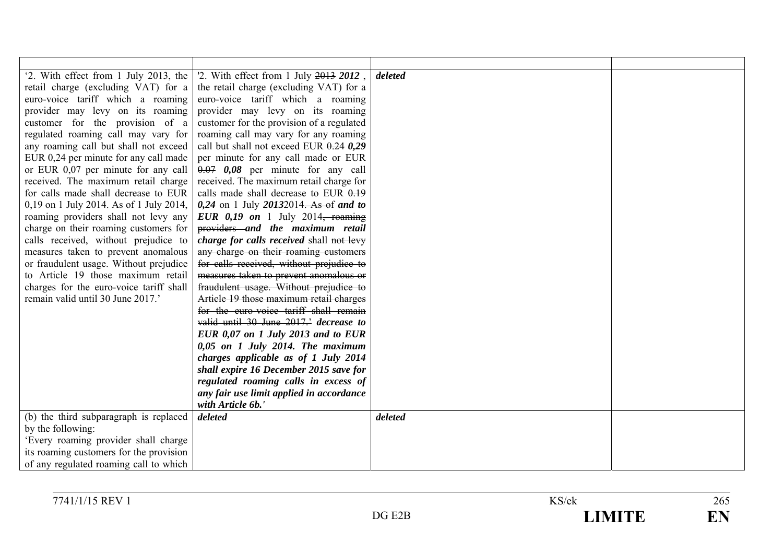| '2. With effect from 1 July 2013, the   | '2. With effect from 1 July 2013 2012,    | deleted |  |
|-----------------------------------------|-------------------------------------------|---------|--|
| retail charge (excluding VAT) for a     | the retail charge (excluding VAT) for a   |         |  |
| euro-voice tariff which a roaming       | euro-voice tariff which a roaming         |         |  |
| provider may levy on its roaming        | provider may levy on its roaming          |         |  |
| customer for the provision of a         | customer for the provision of a regulated |         |  |
| regulated roaming call may vary for     | roaming call may vary for any roaming     |         |  |
| any roaming call but shall not exceed   | call but shall not exceed EUR $0.24$ 0.29 |         |  |
| EUR 0,24 per minute for any call made   | per minute for any call made or EUR       |         |  |
| or EUR 0,07 per minute for any call     | $0.07$ 0,08 per minute for any call       |         |  |
| received. The maximum retail charge     | received. The maximum retail charge for   |         |  |
| for calls made shall decrease to EUR    | calls made shall decrease to EUR 0.19     |         |  |
| 0,19 on 1 July 2014. As of 1 July 2014, | $0,24$ on 1 July 20132014. As of and to   |         |  |
| roaming providers shall not levy any    | EUR $0,19$ on 1 July 2014, roaming        |         |  |
| charge on their roaming customers for   | providers and the maximum retail          |         |  |
| calls received, without prejudice to    | charge for calls received shall not levy  |         |  |
| measures taken to prevent anomalous     | any charge on their roaming customers     |         |  |
| or fraudulent usage. Without prejudice  | for calls received, without prejudice to  |         |  |
| to Article 19 those maximum retail      | measures taken to prevent anomalous or    |         |  |
| charges for the euro-voice tariff shall | fraudulent usage. Without prejudice to    |         |  |
| remain valid until 30 June 2017.'       | Article 19 those maximum retail charges   |         |  |
|                                         | for the euro-voice tariff shall remain    |         |  |
|                                         | valid until 30 June 2017.' decrease to    |         |  |
|                                         | EUR 0,07 on 1 July 2013 and to EUR        |         |  |
|                                         | $0,05$ on 1 July 2014. The maximum        |         |  |
|                                         | charges applicable as of 1 July 2014      |         |  |
|                                         | shall expire 16 December 2015 save for    |         |  |
|                                         | regulated roaming calls in excess of      |         |  |
|                                         | any fair use limit applied in accordance  |         |  |
|                                         | with Article 6b.'                         |         |  |
| (b) the third subparagraph is replaced  | deleted                                   | deleted |  |
| by the following:                       |                                           |         |  |
| 'Every roaming provider shall charge    |                                           |         |  |
| its roaming customers for the provision |                                           |         |  |
| of any regulated roaming call to which  |                                           |         |  |

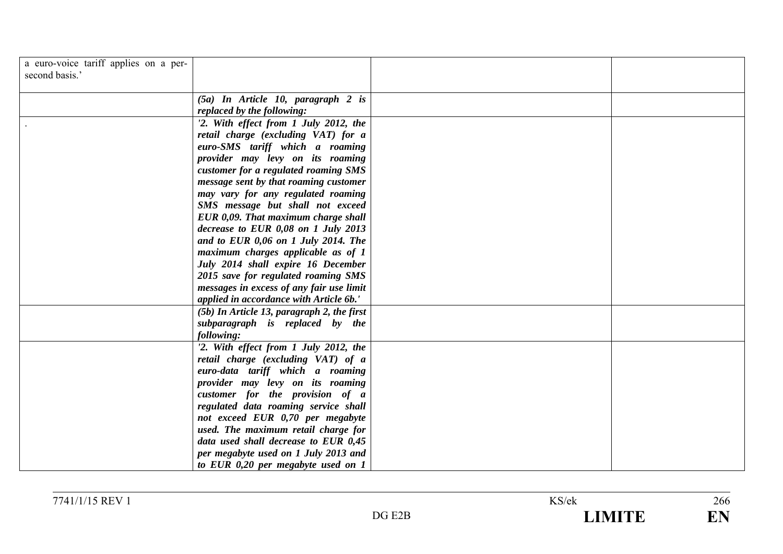| a euro-voice tariff applies on a per-<br>second basis.' |                                                                                                                     |  |
|---------------------------------------------------------|---------------------------------------------------------------------------------------------------------------------|--|
|                                                         | $(5a)$ In Article 10, paragraph 2 is<br>replaced by the following:                                                  |  |
|                                                         | '2. With effect from 1 July 2012, the<br>retail charge (excluding VAT) for a<br>euro-SMS tariff which a roaming     |  |
|                                                         | provider may levy on its roaming<br>customer for a regulated roaming SMS<br>message sent by that roaming customer   |  |
|                                                         | may vary for any regulated roaming<br>SMS message but shall not exceed                                              |  |
|                                                         | EUR 0,09. That maximum charge shall<br>decrease to EUR $0.08$ on 1 July 2013<br>and to EUR 0,06 on 1 July 2014. The |  |
|                                                         | maximum charges applicable as of 1<br>July 2014 shall expire 16 December<br>2015 save for regulated roaming SMS     |  |
|                                                         | messages in excess of any fair use limit<br>applied in accordance with Article 6b.'                                 |  |
|                                                         | (5b) In Article 13, paragraph 2, the first<br>subparagraph is replaced by the<br>following:                         |  |
|                                                         | '2. With effect from 1 July 2012, the<br>retail charge (excluding VAT) of a<br>euro-data tariff which a roaming     |  |
|                                                         | provider may levy on its roaming<br>customer for the provision of a                                                 |  |
|                                                         | regulated data roaming service shall<br>not exceed EUR 0,70 per megabyte<br>used. The maximum retail charge for     |  |
|                                                         | data used shall decrease to EUR 0,45<br>per megabyte used on 1 July 2013 and<br>to EUR 0,20 per megabyte used on 1  |  |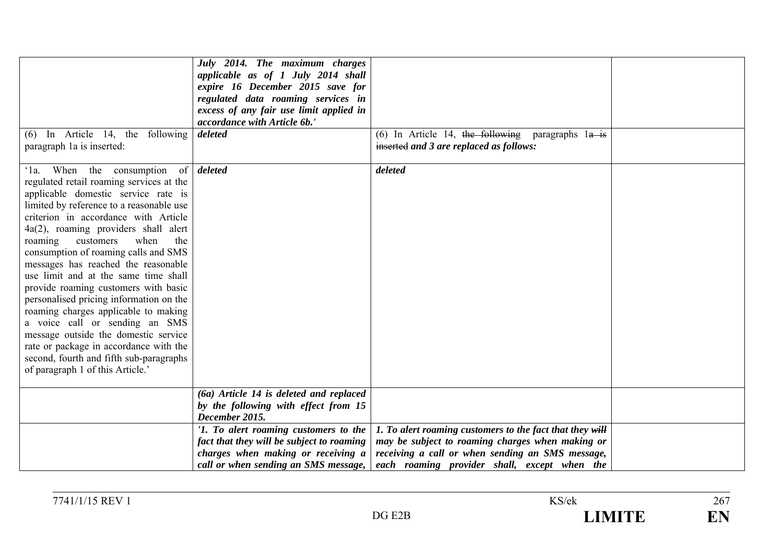|                                                                                                                                                                                                                                                                                                                                                                                                                                                                                                                                                                                                                                                                                                                                                  | July 2014. The maximum charges<br>applicable as of 1 July 2014 shall<br>expire 16 December 2015 save for<br>regulated data roaming services in<br>excess of any fair use limit applied in<br>accordance with Article 6b.' |                                                                                                                                                                                                                  |  |
|--------------------------------------------------------------------------------------------------------------------------------------------------------------------------------------------------------------------------------------------------------------------------------------------------------------------------------------------------------------------------------------------------------------------------------------------------------------------------------------------------------------------------------------------------------------------------------------------------------------------------------------------------------------------------------------------------------------------------------------------------|---------------------------------------------------------------------------------------------------------------------------------------------------------------------------------------------------------------------------|------------------------------------------------------------------------------------------------------------------------------------------------------------------------------------------------------------------|--|
| $(6)$ In Article 14, the following<br>paragraph 1a is inserted:                                                                                                                                                                                                                                                                                                                                                                                                                                                                                                                                                                                                                                                                                  | deleted                                                                                                                                                                                                                   | (6) In Article 14, the following paragraphs $1a$ is<br>inserted and 3 are replaced as follows:                                                                                                                   |  |
| When the consumption<br>$\Omega$ .<br>regulated retail roaming services at the<br>applicable domestic service rate is<br>limited by reference to a reasonable use<br>criterion in accordance with Article<br>$4a(2)$ , roaming providers shall alert<br>customers<br>when<br>roaming<br>the<br>consumption of roaming calls and SMS<br>messages has reached the reasonable<br>use limit and at the same time shall<br>provide roaming customers with basic<br>personalised pricing information on the<br>roaming charges applicable to making<br>a voice call or sending an SMS<br>message outside the domestic service<br>rate or package in accordance with the<br>second, fourth and fifth sub-paragraphs<br>of paragraph 1 of this Article.' | of <i>deleted</i>                                                                                                                                                                                                         | deleted                                                                                                                                                                                                          |  |
|                                                                                                                                                                                                                                                                                                                                                                                                                                                                                                                                                                                                                                                                                                                                                  | (6a) Article 14 is deleted and replaced<br>by the following with effect from 15<br>December 2015.                                                                                                                         |                                                                                                                                                                                                                  |  |
|                                                                                                                                                                                                                                                                                                                                                                                                                                                                                                                                                                                                                                                                                                                                                  | '1. To alert roaming customers to the<br>fact that they will be subject to roaming<br>charges when making or receiving a<br>call or when sending an SMS message,                                                          | 1. To alert roaming customers to the fact that they will<br>may be subject to roaming charges when making or<br>receiving a call or when sending an SMS message,<br>each roaming provider shall, except when the |  |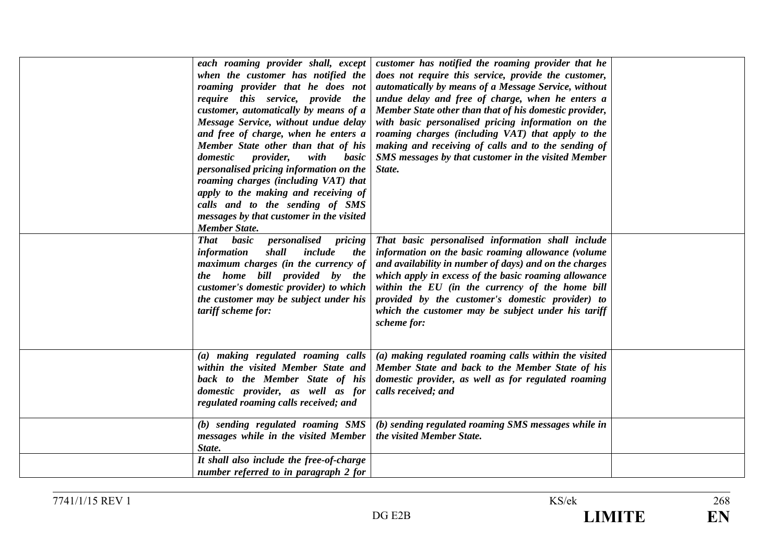| each roaming provider shall, except<br>when the customer has notified the<br>roaming provider that he does not<br>require this service, provide the<br>customer, automatically by means of a<br>Message Service, without undue delay<br>and free of charge, when he enters a<br>Member State other than that of his<br><i>provider,</i><br>domestic<br>with<br>basic<br>personalised pricing information on the<br>roaming charges (including VAT) that<br>apply to the making and receiving of<br>calls and to the sending of SMS<br>messages by that customer in the visited<br><b>Member State.</b> | customer has notified the roaming provider that he<br>does not require this service, provide the customer,<br>automatically by means of a Message Service, without<br>undue delay and free of charge, when he enters a<br>Member State other than that of his domestic provider,<br>with basic personalised pricing information on the<br>roaming charges (including VAT) that apply to the<br>making and receiving of calls and to the sending of<br>SMS messages by that customer in the visited Member<br>State. |  |
|--------------------------------------------------------------------------------------------------------------------------------------------------------------------------------------------------------------------------------------------------------------------------------------------------------------------------------------------------------------------------------------------------------------------------------------------------------------------------------------------------------------------------------------------------------------------------------------------------------|---------------------------------------------------------------------------------------------------------------------------------------------------------------------------------------------------------------------------------------------------------------------------------------------------------------------------------------------------------------------------------------------------------------------------------------------------------------------------------------------------------------------|--|
| basic<br><b>That</b><br><i>personalised pricing</i><br>shall<br>include<br>information<br><i>the</i><br>maximum charges (in the currency of<br>the home bill provided by the<br>customer's domestic provider) to which<br>the customer may be subject under his<br>tariff scheme for:                                                                                                                                                                                                                                                                                                                  | That basic personalised information shall include<br>information on the basic roaming allowance (volume<br>and availability in number of days) and on the charges<br>which apply in excess of the basic roaming allowance<br>within the EU (in the currency of the home bill<br>provided by the customer's domestic provider) to<br>which the customer may be subject under his tariff<br>scheme for:                                                                                                               |  |
| (a) making regulated roaming calls<br>within the visited Member State and<br>back to the Member State of his<br>domestic provider, as well as for<br>regulated roaming calls received; and                                                                                                                                                                                                                                                                                                                                                                                                             | (a) making regulated roaming calls within the visited<br>Member State and back to the Member State of his<br>domestic provider, as well as for regulated roaming<br>calls received; and                                                                                                                                                                                                                                                                                                                             |  |
| (b) sending regulated roaming SMS<br>messages while in the visited Member<br>State.<br>It shall also include the free-of-charge                                                                                                                                                                                                                                                                                                                                                                                                                                                                        | (b) sending regulated roaming SMS messages while in<br>the visited Member State.                                                                                                                                                                                                                                                                                                                                                                                                                                    |  |
| number referred to in paragraph 2 for                                                                                                                                                                                                                                                                                                                                                                                                                                                                                                                                                                  |                                                                                                                                                                                                                                                                                                                                                                                                                                                                                                                     |  |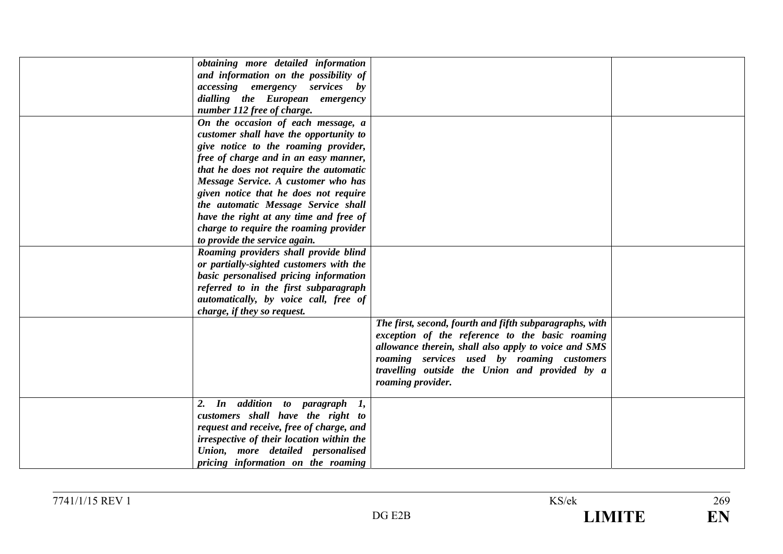| obtaining more detailed information       |                                                         |  |
|-------------------------------------------|---------------------------------------------------------|--|
| and information on the possibility of     |                                                         |  |
| <i>accessing emergency services</i> by    |                                                         |  |
| dialling the European emergency           |                                                         |  |
| number 112 free of charge.                |                                                         |  |
| On the occasion of each message, a        |                                                         |  |
| customer shall have the opportunity to    |                                                         |  |
| give notice to the roaming provider,      |                                                         |  |
| free of charge and in an easy manner,     |                                                         |  |
| that he does not require the automatic    |                                                         |  |
| Message Service. A customer who has       |                                                         |  |
| given notice that he does not require     |                                                         |  |
| the automatic Message Service shall       |                                                         |  |
| have the right at any time and free of    |                                                         |  |
| charge to require the roaming provider    |                                                         |  |
| to provide the service again.             |                                                         |  |
| Roaming providers shall provide blind     |                                                         |  |
| or partially-sighted customers with the   |                                                         |  |
| basic personalised pricing information    |                                                         |  |
| referred to in the first subparagraph     |                                                         |  |
| automatically, by voice call, free of     |                                                         |  |
| charge, if they so request.               |                                                         |  |
|                                           | The first, second, fourth and fifth subparagraphs, with |  |
|                                           | exception of the reference to the basic roaming         |  |
|                                           | allowance therein, shall also apply to voice and SMS    |  |
|                                           | roaming services used by roaming customers              |  |
|                                           | travelling outside the Union and provided by a          |  |
|                                           | roaming provider.                                       |  |
| 2. In addition to paragraph 1,            |                                                         |  |
| customers shall have the right to         |                                                         |  |
| request and receive, free of charge, and  |                                                         |  |
| irrespective of their location within the |                                                         |  |
| Union, more detailed personalised         |                                                         |  |
| pricing information on the roaming        |                                                         |  |
|                                           |                                                         |  |

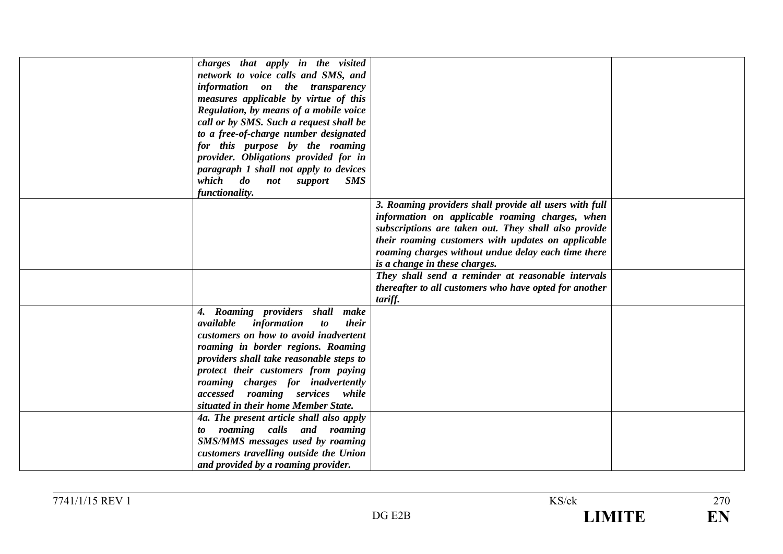| charges that apply in the visited                                              |                                                        |  |
|--------------------------------------------------------------------------------|--------------------------------------------------------|--|
|                                                                                |                                                        |  |
| network to voice calls and SMS, and                                            |                                                        |  |
| information on the transparency                                                |                                                        |  |
| measures applicable by virtue of this                                          |                                                        |  |
| Regulation, by means of a mobile voice                                         |                                                        |  |
| call or by SMS. Such a request shall be                                        |                                                        |  |
| to a free-of-charge number designated                                          |                                                        |  |
| for this purpose by the roaming                                                |                                                        |  |
| provider. Obligations provided for in                                          |                                                        |  |
| paragraph 1 shall not apply to devices                                         |                                                        |  |
| which<br>$\boldsymbol{d}\boldsymbol{o}$<br><i>not</i><br><b>SMS</b><br>support |                                                        |  |
| functionality.                                                                 |                                                        |  |
|                                                                                | 3. Roaming providers shall provide all users with full |  |
|                                                                                | information on applicable roaming charges, when        |  |
|                                                                                | subscriptions are taken out. They shall also provide   |  |
|                                                                                | their roaming customers with updates on applicable     |  |
|                                                                                | roaming charges without undue delay each time there    |  |
|                                                                                | is a change in these charges.                          |  |
|                                                                                |                                                        |  |
|                                                                                | They shall send a reminder at reasonable intervals     |  |
|                                                                                | thereafter to all customers who have opted for another |  |
|                                                                                | tariff.                                                |  |
| Roaming providers shall make<br>4.                                             |                                                        |  |
| available<br>information<br>their<br>$\boldsymbol{to}$                         |                                                        |  |
| customers on how to avoid inadvertent                                          |                                                        |  |
| roaming in border regions. Roaming                                             |                                                        |  |
| providers shall take reasonable steps to                                       |                                                        |  |
| protect their customers from paying                                            |                                                        |  |
| roaming charges for inadvertently                                              |                                                        |  |
| accessed roaming services while                                                |                                                        |  |
| situated in their home Member State.                                           |                                                        |  |
| 4a. The present article shall also apply                                       |                                                        |  |
| to roaming calls and roaming                                                   |                                                        |  |
| SMS/MMS messages used by roaming                                               |                                                        |  |
| customers travelling outside the Union                                         |                                                        |  |
| and provided by a roaming provider.                                            |                                                        |  |
|                                                                                |                                                        |  |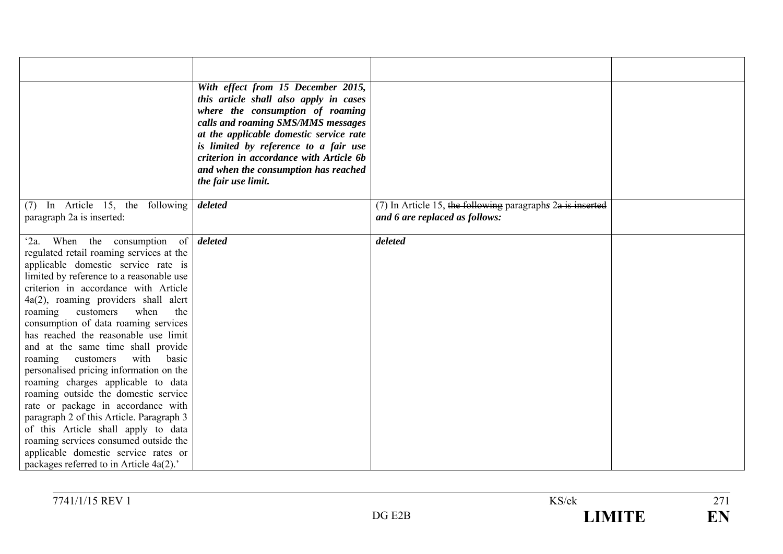|                                                                                                                                                                                                                                                                                                                                                                                                                                                                                                                                                                                                                                                                                                                                                                                                                                                     | With effect from 15 December 2015,<br>this article shall also apply in cases<br>where the consumption of roaming<br>calls and roaming SMS/MMS messages<br>at the applicable domestic service rate<br>is limited by reference to a fair use<br>criterion in accordance with Article 6b<br>and when the consumption has reached<br>the fair use limit. |                                                                                                  |  |
|-----------------------------------------------------------------------------------------------------------------------------------------------------------------------------------------------------------------------------------------------------------------------------------------------------------------------------------------------------------------------------------------------------------------------------------------------------------------------------------------------------------------------------------------------------------------------------------------------------------------------------------------------------------------------------------------------------------------------------------------------------------------------------------------------------------------------------------------------------|------------------------------------------------------------------------------------------------------------------------------------------------------------------------------------------------------------------------------------------------------------------------------------------------------------------------------------------------------|--------------------------------------------------------------------------------------------------|--|
| (7) In Article 15, the following<br>paragraph 2a is inserted:                                                                                                                                                                                                                                                                                                                                                                                                                                                                                                                                                                                                                                                                                                                                                                                       | deleted                                                                                                                                                                                                                                                                                                                                              | $(7)$ In Article 15, the following paragraphs $2a$ is inserted<br>and 6 are replaced as follows: |  |
| When the consumption of <i>deleted</i><br>$2a$ .<br>regulated retail roaming services at the<br>applicable domestic service rate is<br>limited by reference to a reasonable use<br>criterion in accordance with Article<br>4a(2), roaming providers shall alert<br>customers<br>when<br>the<br>roaming<br>consumption of data roaming services<br>has reached the reasonable use limit<br>and at the same time shall provide<br>with<br>basic<br>customers<br>roaming<br>personalised pricing information on the<br>roaming charges applicable to data<br>roaming outside the domestic service<br>rate or package in accordance with<br>paragraph 2 of this Article. Paragraph 3<br>of this Article shall apply to data<br>roaming services consumed outside the<br>applicable domestic service rates or<br>packages referred to in Article 4a(2).' |                                                                                                                                                                                                                                                                                                                                                      | deleted                                                                                          |  |

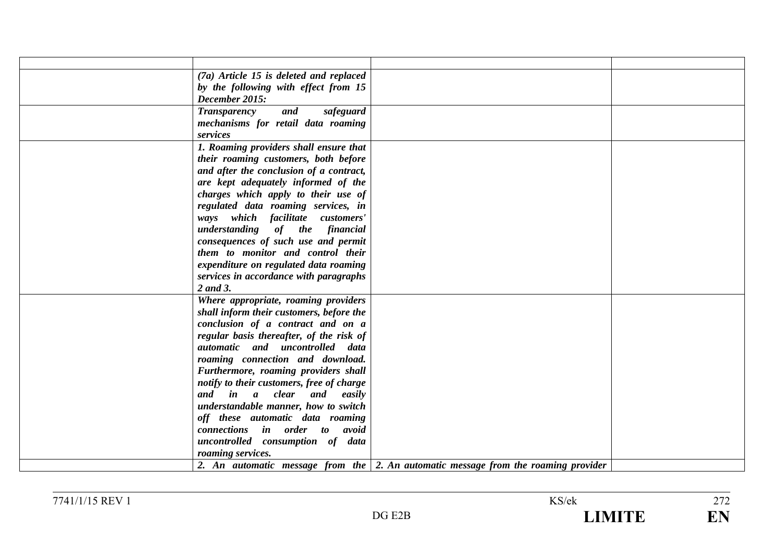| $(7a)$ Article 15 is deleted and replaced |                                                                                            |  |
|-------------------------------------------|--------------------------------------------------------------------------------------------|--|
| by the following with effect from 15      |                                                                                            |  |
| December 2015:                            |                                                                                            |  |
| <b>Transparency</b><br>and<br>safeguard   |                                                                                            |  |
| mechanisms for retail data roaming        |                                                                                            |  |
| services                                  |                                                                                            |  |
| 1. Roaming providers shall ensure that    |                                                                                            |  |
| their roaming customers, both before      |                                                                                            |  |
| and after the conclusion of a contract,   |                                                                                            |  |
| are kept adequately informed of the       |                                                                                            |  |
| charges which apply to their use of       |                                                                                            |  |
| regulated data roaming services, in       |                                                                                            |  |
| ways which facilitate customers'          |                                                                                            |  |
| understanding of the financial            |                                                                                            |  |
| consequences of such use and permit       |                                                                                            |  |
| them to monitor and control their         |                                                                                            |  |
| expenditure on regulated data roaming     |                                                                                            |  |
| services in accordance with paragraphs    |                                                                                            |  |
| 2 and 3.                                  |                                                                                            |  |
| Where appropriate, roaming providers      |                                                                                            |  |
| shall inform their customers, before the  |                                                                                            |  |
| conclusion of a contract and on a         |                                                                                            |  |
| regular basis thereafter, of the risk of  |                                                                                            |  |
| automatic and uncontrolled data           |                                                                                            |  |
| roaming connection and download.          |                                                                                            |  |
| Furthermore, roaming providers shall      |                                                                                            |  |
| notify to their customers, free of charge |                                                                                            |  |
| and in a clear and easily                 |                                                                                            |  |
| understandable manner, how to switch      |                                                                                            |  |
| off these automatic data roaming          |                                                                                            |  |
| connections in order to avoid             |                                                                                            |  |
| uncontrolled consumption of data          |                                                                                            |  |
| roaming services.                         |                                                                                            |  |
|                                           | 2. An automatic message from the $\vert$ 2. An automatic message from the roaming provider |  |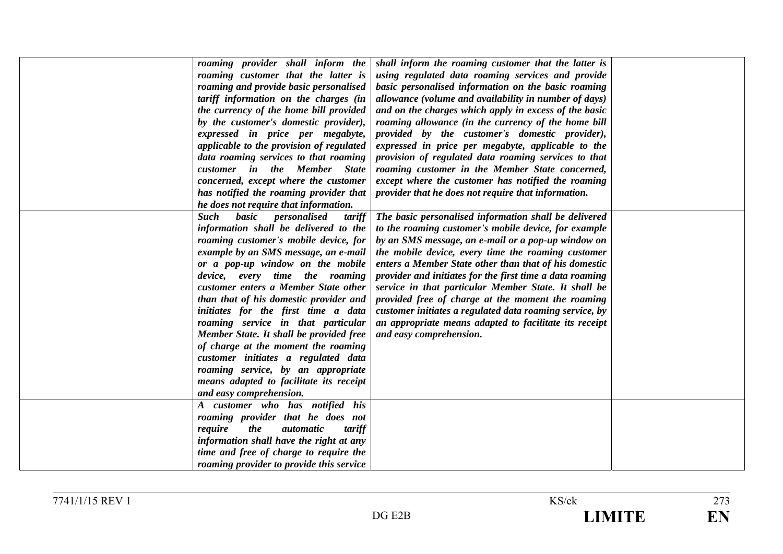| roaming provider shall inform the<br>roaming customer that the latter is<br>roaming and provide basic personalised<br>tariff information on the charges (in<br>the currency of the home bill provided<br>by the customer's domestic provider),<br>expressed in price per megabyte,<br>applicable to the provision of regulated<br>data roaming services to that roaming<br>customer in the Member State<br>concerned, except where the customer<br>has notified the roaming provider that                                                                                                                          | shall inform the roaming customer that the latter is<br>using regulated data roaming services and provide<br>basic personalised information on the basic roaming<br>allowance (volume and availability in number of days)<br>and on the charges which apply in excess of the basic<br>roaming allowance (in the currency of the home bill<br>provided by the customer's domestic provider),<br>expressed in price per megabyte, applicable to the<br>provision of regulated data roaming services to that<br>roaming customer in the Member State concerned,<br>except where the customer has notified the roaming<br>provider that he does not require that information. |  |
|--------------------------------------------------------------------------------------------------------------------------------------------------------------------------------------------------------------------------------------------------------------------------------------------------------------------------------------------------------------------------------------------------------------------------------------------------------------------------------------------------------------------------------------------------------------------------------------------------------------------|---------------------------------------------------------------------------------------------------------------------------------------------------------------------------------------------------------------------------------------------------------------------------------------------------------------------------------------------------------------------------------------------------------------------------------------------------------------------------------------------------------------------------------------------------------------------------------------------------------------------------------------------------------------------------|--|
| he does not require that information.<br><b>Such</b><br>basic personalised<br>tariff<br>information shall be delivered to the<br>roaming customer's mobile device, for<br>example by an SMS message, an e-mail<br>or a pop-up window on the mobile<br>device, every time the roaming<br>customer enters a Member State other<br>than that of his domestic provider and<br>initiates for the first time a data<br>roaming service in that particular<br>Member State. It shall be provided free<br>of charge at the moment the roaming<br>customer initiates a regulated data<br>roaming service, by an appropriate | The basic personalised information shall be delivered<br>to the roaming customer's mobile device, for example<br>by an SMS message, an e-mail or a pop-up window on<br>the mobile device, every time the roaming customer<br>enters a Member State other than that of his domestic<br>provider and initiates for the first time a data roaming<br>service in that particular Member State. It shall be<br>provided free of charge at the moment the roaming<br>customer initiates a regulated data roaming service, by<br>an appropriate means adapted to facilitate its receipt<br>and easy comprehension.                                                               |  |
| means adapted to facilitate its receipt<br>and easy comprehension.<br>A customer who has notified his<br>roaming provider that he does not<br>the<br><i>automatic</i><br>tariff<br>require<br>information shall have the right at any<br>time and free of charge to require the<br>roaming provider to provide this service                                                                                                                                                                                                                                                                                        |                                                                                                                                                                                                                                                                                                                                                                                                                                                                                                                                                                                                                                                                           |  |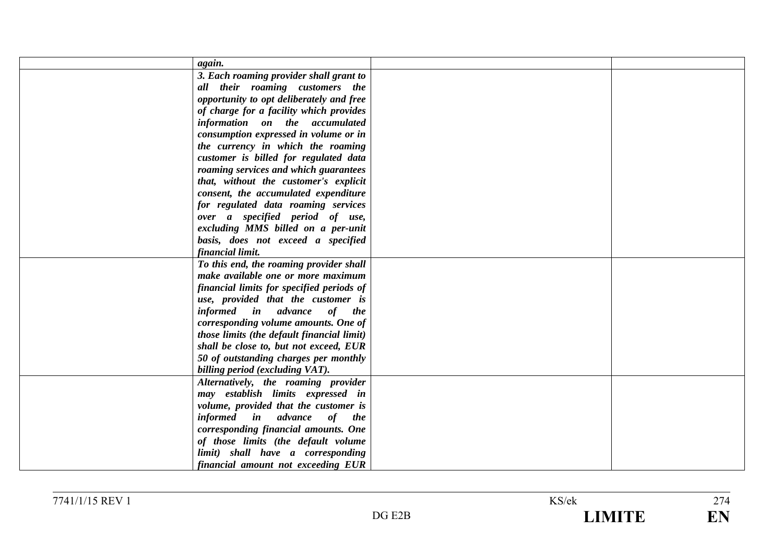| again.                                     |  |
|--------------------------------------------|--|
| 3. Each roaming provider shall grant to    |  |
| all their roaming customers the            |  |
| opportunity to opt deliberately and free   |  |
| of charge for a facility which provides    |  |
| information on the accumulated             |  |
| consumption expressed in volume or in      |  |
| the currency in which the roaming          |  |
| customer is billed for regulated data      |  |
| roaming services and which guarantees      |  |
| that, without the customer's explicit      |  |
| consent, the accumulated expenditure       |  |
| for regulated data roaming services        |  |
| over a specified period of use,            |  |
| excluding MMS billed on a per-unit         |  |
| basis, does not exceed a specified         |  |
| financial limit.                           |  |
| To this end, the roaming provider shall    |  |
| make available one or more maximum         |  |
| financial limits for specified periods of  |  |
| use, provided that the customer is         |  |
| informed in advance of the                 |  |
| corresponding volume amounts. One of       |  |
| those limits (the default financial limit) |  |
| shall be close to, but not exceed, EUR     |  |
| 50 of outstanding charges per monthly      |  |
| billing period (excluding VAT).            |  |
| Alternatively, the roaming provider        |  |
| may establish limits expressed in          |  |
| volume, provided that the customer is      |  |
| informed in advance of the                 |  |
| corresponding financial amounts. One       |  |
| of those limits (the default volume        |  |
| limit) shall have a corresponding          |  |
| financial amount not exceeding EUR         |  |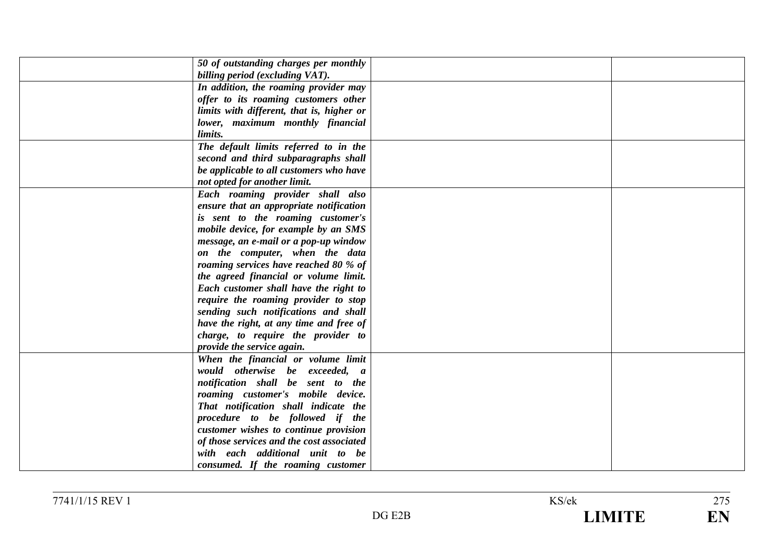| 50 of outstanding charges per monthly<br>billing period (excluding VAT). |  |
|--------------------------------------------------------------------------|--|
|                                                                          |  |
| In addition, the roaming provider may                                    |  |
| offer to its roaming customers other                                     |  |
| limits with different, that is, higher or                                |  |
| lower, maximum monthly financial                                         |  |
| limits.                                                                  |  |
| The default limits referred to in the                                    |  |
| second and third subparagraphs shall                                     |  |
| be applicable to all customers who have                                  |  |
| not opted for another limit.                                             |  |
| Each roaming provider shall also                                         |  |
| ensure that an appropriate notification                                  |  |
| is sent to the roaming customer's                                        |  |
| mobile device, for example by an SMS                                     |  |
| message, an e-mail or a pop-up window                                    |  |
| on the computer, when the data                                           |  |
| roaming services have reached 80 % of                                    |  |
| the agreed financial or volume limit.                                    |  |
| Each customer shall have the right to                                    |  |
| require the roaming provider to stop                                     |  |
| sending such notifications and shall                                     |  |
| have the right, at any time and free of                                  |  |
| charge, to require the provider to                                       |  |
| provide the service again.                                               |  |
| When the financial or volume limit                                       |  |
| would otherwise be exceeded, a                                           |  |
| notification shall be sent to the                                        |  |
| roaming customer's mobile device.                                        |  |
| That notification shall indicate the                                     |  |
| procedure to be followed if the                                          |  |
| customer wishes to continue provision                                    |  |
| of those services and the cost associated                                |  |
| with each additional unit to be                                          |  |
| consumed. If the roaming customer                                        |  |
|                                                                          |  |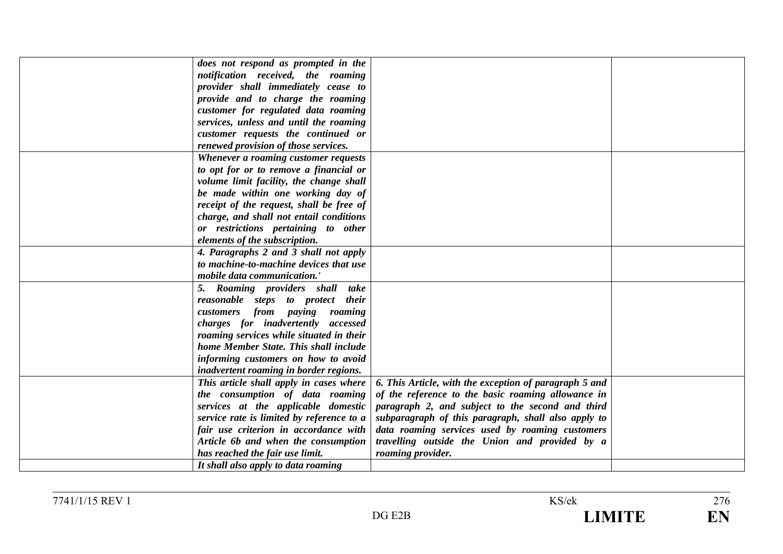| does not respond as prompted in the       |                                                        |  |
|-------------------------------------------|--------------------------------------------------------|--|
| notification received, the roaming        |                                                        |  |
| provider shall immediately cease to       |                                                        |  |
| provide and to charge the roaming         |                                                        |  |
| customer for regulated data roaming       |                                                        |  |
| services, unless and until the roaming    |                                                        |  |
| customer requests the continued or        |                                                        |  |
| renewed provision of those services.      |                                                        |  |
| Whenever a roaming customer requests      |                                                        |  |
| to opt for or to remove a financial or    |                                                        |  |
| volume limit facility, the change shall   |                                                        |  |
| be made within one working day of         |                                                        |  |
| receipt of the request, shall be free of  |                                                        |  |
| charge, and shall not entail conditions   |                                                        |  |
| or restrictions pertaining to other       |                                                        |  |
| elements of the subscription.             |                                                        |  |
| 4. Paragraphs 2 and 3 shall not apply     |                                                        |  |
| to machine-to-machine devices that use    |                                                        |  |
| mobile data communication.'               |                                                        |  |
| 5. Roaming providers shall take           |                                                        |  |
| reasonable steps to protect their         |                                                        |  |
| customers from paying roaming             |                                                        |  |
| charges for inadvertently accessed        |                                                        |  |
| roaming services while situated in their  |                                                        |  |
| home Member State. This shall include     |                                                        |  |
| informing customers on how to avoid       |                                                        |  |
| inadvertent roaming in border regions.    |                                                        |  |
| This article shall apply in cases where   | 6. This Article, with the exception of paragraph 5 and |  |
| the consumption of data roaming           | of the reference to the basic roaming allowance in     |  |
| services at the applicable domestic       | paragraph 2, and subject to the second and third       |  |
| service rate is limited by reference to a | subparagraph of this paragraph, shall also apply to    |  |
| fair use criterion in accordance with     | data roaming services used by roaming customers        |  |
| Article 6b and when the consumption       | travelling outside the Union and provided by a         |  |
| has reached the fair use limit.           | roaming provider.                                      |  |
| It shall also apply to data roaming       |                                                        |  |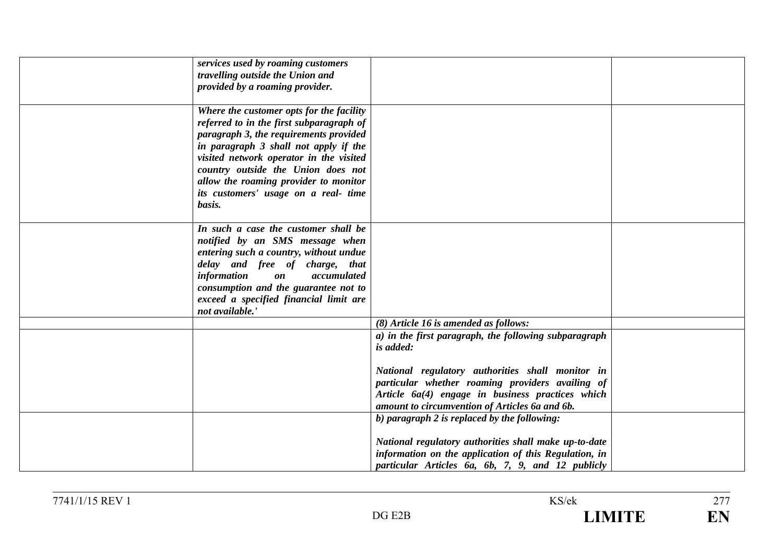| services used by roaming customers<br>travelling outside the Union and<br>provided by a roaming provider.                                                                                                                                                                                                                                           |                                                                                                                                                                                                            |  |
|-----------------------------------------------------------------------------------------------------------------------------------------------------------------------------------------------------------------------------------------------------------------------------------------------------------------------------------------------------|------------------------------------------------------------------------------------------------------------------------------------------------------------------------------------------------------------|--|
| Where the customer opts for the facility<br>referred to in the first subparagraph of<br>paragraph 3, the requirements provided<br>in paragraph 3 shall not apply if the<br>visited network operator in the visited<br>country outside the Union does not<br>allow the roaming provider to monitor<br>its customers' usage on a real- time<br>basis. |                                                                                                                                                                                                            |  |
| In such a case the customer shall be<br>notified by an SMS message when<br>entering such a country, without undue<br>delay and free of charge, that<br>information<br>$\mathbf{0}\mathbf{n}$<br>accumulated<br>consumption and the guarantee not to<br>exceed a specified financial limit are<br>not available.                                     |                                                                                                                                                                                                            |  |
|                                                                                                                                                                                                                                                                                                                                                     | (8) Article 16 is amended as follows:                                                                                                                                                                      |  |
|                                                                                                                                                                                                                                                                                                                                                     | a) in the first paragraph, the following subparagraph<br>is added:                                                                                                                                         |  |
|                                                                                                                                                                                                                                                                                                                                                     | National regulatory authorities shall monitor in<br>particular whether roaming providers availing of<br>Article 6a(4) engage in business practices which<br>amount to circumvention of Articles 6a and 6b. |  |
|                                                                                                                                                                                                                                                                                                                                                     | b) paragraph 2 is replaced by the following:                                                                                                                                                               |  |
|                                                                                                                                                                                                                                                                                                                                                     | National regulatory authorities shall make up-to-date<br>information on the application of this Regulation, in<br>particular Articles 6a, 6b, 7, 9, and 12 publicly                                        |  |

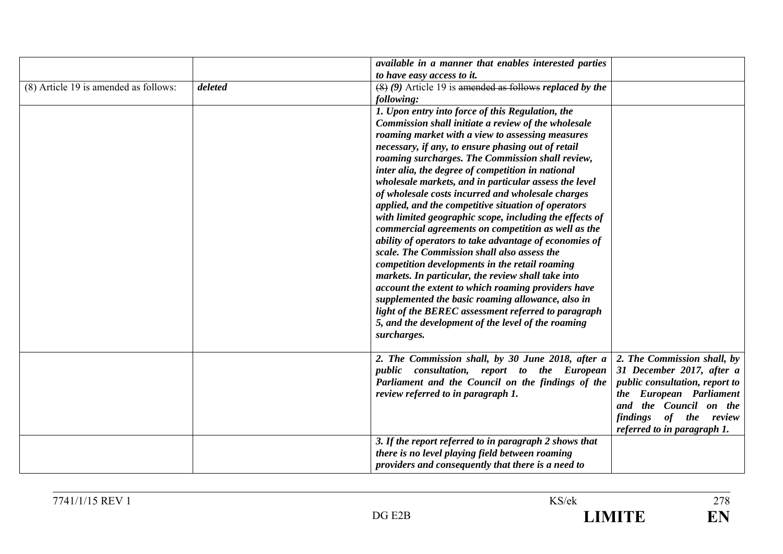|                                       |         | available in a manner that enables interested parties                         |                                       |
|---------------------------------------|---------|-------------------------------------------------------------------------------|---------------------------------------|
|                                       |         | to have easy access to it.                                                    |                                       |
| (8) Article 19 is amended as follows: | deleted | $(8)$ (9) Article 19 is amended as follows replaced by the                    |                                       |
|                                       |         | following:                                                                    |                                       |
|                                       |         | 1. Upon entry into force of this Regulation, the                              |                                       |
|                                       |         | Commission shall initiate a review of the wholesale                           |                                       |
|                                       |         | roaming market with a view to assessing measures                              |                                       |
|                                       |         | necessary, if any, to ensure phasing out of retail                            |                                       |
|                                       |         | roaming surcharges. The Commission shall review,                              |                                       |
|                                       |         | inter alia, the degree of competition in national                             |                                       |
|                                       |         | wholesale markets, and in particular assess the level                         |                                       |
|                                       |         | of wholesale costs incurred and wholesale charges                             |                                       |
|                                       |         | applied, and the competitive situation of operators                           |                                       |
|                                       |         | with limited geographic scope, including the effects of                       |                                       |
|                                       |         | commercial agreements on competition as well as the                           |                                       |
|                                       |         | ability of operators to take advantage of economies of                        |                                       |
|                                       |         | scale. The Commission shall also assess the                                   |                                       |
|                                       |         | competition developments in the retail roaming                                |                                       |
|                                       |         | markets. In particular, the review shall take into                            |                                       |
|                                       |         | account the extent to which roaming providers have                            |                                       |
|                                       |         | supplemented the basic roaming allowance, also in                             |                                       |
|                                       |         | light of the BEREC assessment referred to paragraph                           |                                       |
|                                       |         | 5, and the development of the level of the roaming                            |                                       |
|                                       |         |                                                                               |                                       |
|                                       |         | surcharges.                                                                   |                                       |
|                                       |         | 2. The Commission shall, by 30 June 2018, after a 2. The Commission shall, by |                                       |
|                                       |         | public consultation, report to the European                                   | 31 December 2017, after a             |
|                                       |         |                                                                               |                                       |
|                                       |         | Parliament and the Council on the findings of the                             | <i>public consultation, report to</i> |
|                                       |         | review referred to in paragraph 1.                                            | the European Parliament               |
|                                       |         |                                                                               | and the Council on the                |
|                                       |         |                                                                               | findings of the review                |
|                                       |         |                                                                               | referred to in paragraph 1.           |
|                                       |         | 3. If the report referred to in paragraph 2 shows that                        |                                       |
|                                       |         | there is no level playing field between roaming                               |                                       |
|                                       |         | providers and consequently that there is a need to                            |                                       |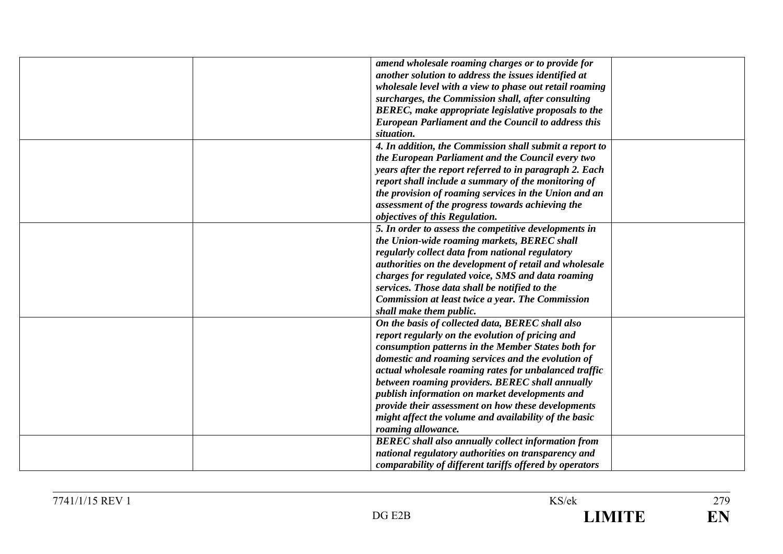| amend wholesale roaming charges or to provide for          |
|------------------------------------------------------------|
| another solution to address the issues identified at       |
| wholesale level with a view to phase out retail roaming    |
| surcharges, the Commission shall, after consulting         |
| BEREC, make appropriate legislative proposals to the       |
| <b>European Parliament and the Council to address this</b> |
| situation.                                                 |
| 4. In addition, the Commission shall submit a report to    |
| the European Parliament and the Council every two          |
| years after the report referred to in paragraph 2. Each    |
| report shall include a summary of the monitoring of        |
| the provision of roaming services in the Union and an      |
| assessment of the progress towards achieving the           |
| objectives of this Regulation.                             |
| 5. In order to assess the competitive developments in      |
| the Union-wide roaming markets, BEREC shall                |
| regularly collect data from national regulatory            |
| authorities on the development of retail and wholesale     |
| charges for regulated voice, SMS and data roaming          |
| services. Those data shall be notified to the              |
| <b>Commission at least twice a year. The Commission</b>    |
| shall make them public.                                    |
| On the basis of collected data, BEREC shall also           |
| report regularly on the evolution of pricing and           |
| consumption patterns in the Member States both for         |
|                                                            |
| domestic and roaming services and the evolution of         |
| actual wholesale roaming rates for unbalanced traffic      |
| between roaming providers. BEREC shall annually            |
| publish information on market developments and             |
| provide their assessment on how these developments         |
| might affect the volume and availability of the basic      |
| roaming allowance.                                         |
| <b>BEREC</b> shall also annually collect information from  |
| national regulatory authorities on transparency and        |
| comparability of different tariffs offered by operators    |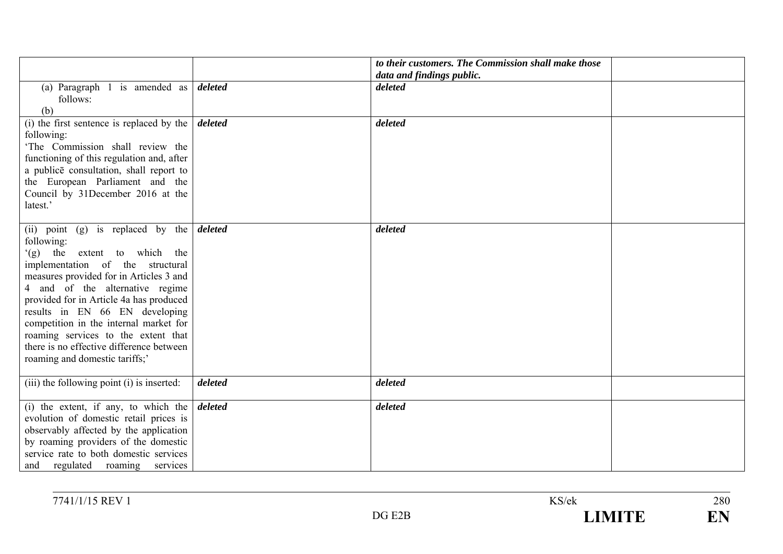|                                                     |         | to their customers. The Commission shall make those |  |
|-----------------------------------------------------|---------|-----------------------------------------------------|--|
|                                                     |         | data and findings public.                           |  |
| (a) Paragraph 1 is amended as                       | deleted | deleted                                             |  |
| follows:                                            |         |                                                     |  |
| (b)                                                 |         |                                                     |  |
| (i) the first sentence is replaced by the $\vert$   | deleted | deleted                                             |  |
| following:                                          |         |                                                     |  |
| 'The Commission shall review the                    |         |                                                     |  |
| functioning of this regulation and, after           |         |                                                     |  |
| a publice consultation, shall report to             |         |                                                     |  |
| the European Parliament and the                     |         |                                                     |  |
| Council by 31December 2016 at the                   |         |                                                     |  |
| latest.'                                            |         |                                                     |  |
|                                                     |         |                                                     |  |
| (ii) point (g) is replaced by the $\frac{d}{delta}$ |         | deleted                                             |  |
| following:                                          |         |                                                     |  |
| (g) the extent to which the                         |         |                                                     |  |
| implementation of the structural                    |         |                                                     |  |
| measures provided for in Articles 3 and             |         |                                                     |  |
| 4 and of the alternative regime                     |         |                                                     |  |
| provided for in Article 4a has produced             |         |                                                     |  |
| results in EN 66 EN developing                      |         |                                                     |  |
| competition in the internal market for              |         |                                                     |  |
| roaming services to the extent that                 |         |                                                     |  |
| there is no effective difference between            |         |                                                     |  |
| roaming and domestic tariffs;'                      |         |                                                     |  |
|                                                     |         |                                                     |  |
| (iii) the following point (i) is inserted:          | deleted | deleted                                             |  |
|                                                     |         |                                                     |  |
| (i) the extent, if any, to which the                | deleted | deleted                                             |  |
| evolution of domestic retail prices is              |         |                                                     |  |
| observably affected by the application              |         |                                                     |  |
| by roaming providers of the domestic                |         |                                                     |  |
| service rate to both domestic services              |         |                                                     |  |
| and regulated roaming services                      |         |                                                     |  |

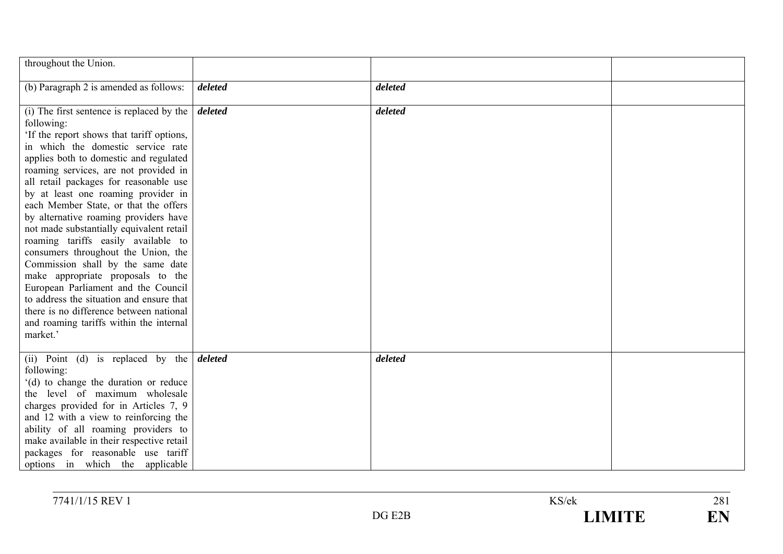| throughout the Union.                                                                                                                                                                                                                                                                                                                                                                                                                                                                                                                                                                                                                                                                                                                                                                                           |         |         |  |
|-----------------------------------------------------------------------------------------------------------------------------------------------------------------------------------------------------------------------------------------------------------------------------------------------------------------------------------------------------------------------------------------------------------------------------------------------------------------------------------------------------------------------------------------------------------------------------------------------------------------------------------------------------------------------------------------------------------------------------------------------------------------------------------------------------------------|---------|---------|--|
| (b) Paragraph 2 is amended as follows:                                                                                                                                                                                                                                                                                                                                                                                                                                                                                                                                                                                                                                                                                                                                                                          | deleted | deleted |  |
| (i) The first sentence is replaced by the $\int$ <i>deleted</i><br>following:<br>'If the report shows that tariff options,<br>in which the domestic service rate<br>applies both to domestic and regulated<br>roaming services, are not provided in<br>all retail packages for reasonable use<br>by at least one roaming provider in<br>each Member State, or that the offers<br>by alternative roaming providers have<br>not made substantially equivalent retail<br>roaming tariffs easily available to<br>consumers throughout the Union, the<br>Commission shall by the same date<br>make appropriate proposals to the<br>European Parliament and the Council<br>to address the situation and ensure that<br>there is no difference between national<br>and roaming tariffs within the internal<br>market.' |         | deleted |  |
| (ii) Point (d) is replaced by the $\delta$ deleted<br>following:<br>'(d) to change the duration or reduce<br>the level of maximum wholesale<br>charges provided for in Articles 7, 9<br>and 12 with a view to reinforcing the<br>ability of all roaming providers to<br>make available in their respective retail<br>packages for reasonable use tariff<br>options in which the applicable                                                                                                                                                                                                                                                                                                                                                                                                                      |         | deleted |  |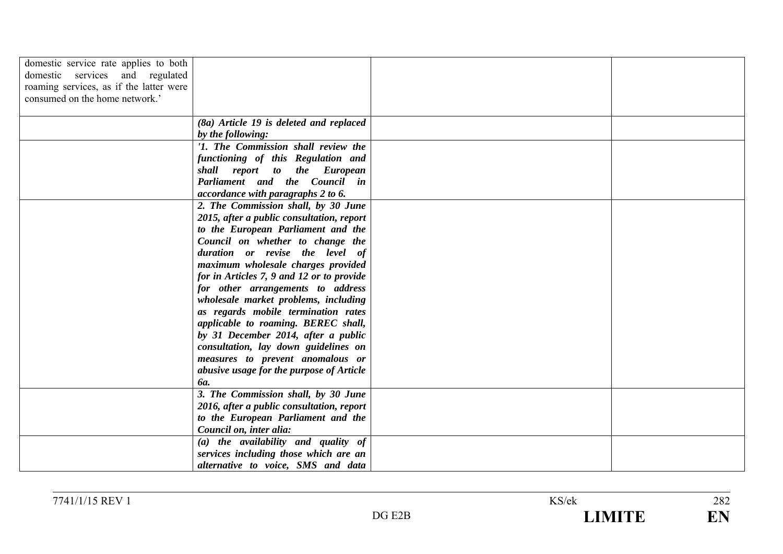| domestic service rate applies to both   |                                           |  |
|-----------------------------------------|-------------------------------------------|--|
| domestic services and regulated         |                                           |  |
| roaming services, as if the latter were |                                           |  |
| consumed on the home network.'          |                                           |  |
|                                         |                                           |  |
|                                         | $(8a)$ Article 19 is deleted and replaced |  |
|                                         |                                           |  |
|                                         | by the following:                         |  |
|                                         | '1. The Commission shall review the       |  |
|                                         | functioning of this Regulation and        |  |
|                                         | shall report to the European              |  |
|                                         | Parliament and the Council in             |  |
|                                         | accordance with paragraphs 2 to 6.        |  |
|                                         | 2. The Commission shall, by 30 June       |  |
|                                         | 2015, after a public consultation, report |  |
|                                         | to the European Parliament and the        |  |
|                                         | Council on whether to change the          |  |
|                                         | duration or revise the level of           |  |
|                                         | maximum wholesale charges provided        |  |
|                                         | for in Articles 7, 9 and 12 or to provide |  |
|                                         | for other arrangements to address         |  |
|                                         | wholesale market problems, including      |  |
|                                         | as regards mobile termination rates       |  |
|                                         | applicable to roaming. BEREC shall,       |  |
|                                         | by 31 December 2014, after a public       |  |
|                                         | consultation, lay down guidelines on      |  |
|                                         | measures to prevent anomalous or          |  |
|                                         | abusive usage for the purpose of Article  |  |
|                                         | <b>ба.</b>                                |  |
|                                         | 3. The Commission shall, by 30 June       |  |
|                                         | 2016, after a public consultation, report |  |
|                                         | to the European Parliament and the        |  |
|                                         | Council on, inter alia:                   |  |
|                                         | $(a)$ the availability and quality of     |  |
|                                         | services including those which are an     |  |
|                                         | alternative to voice, SMS and data        |  |
|                                         |                                           |  |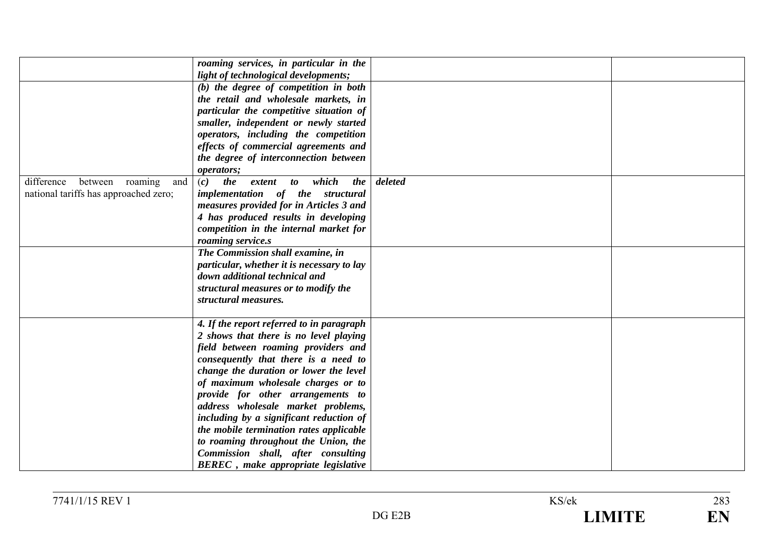|                                         | roaming services, in particular in the            |         |  |
|-----------------------------------------|---------------------------------------------------|---------|--|
|                                         | light of technological developments;              |         |  |
|                                         | (b) the degree of competition in both             |         |  |
|                                         | the retail and wholesale markets, in              |         |  |
|                                         | particular the competitive situation of           |         |  |
|                                         | smaller, independent or newly started             |         |  |
|                                         | operators, including the competition              |         |  |
|                                         | effects of commercial agreements and              |         |  |
|                                         | the degree of interconnection between             |         |  |
|                                         | operators;                                        |         |  |
| difference<br>between<br>roaming<br>and | which<br>the<br>(c)<br><i>the</i><br>extent<br>to | deleted |  |
| national tariffs has approached zero;   | implementation of the structural                  |         |  |
|                                         | measures provided for in Articles 3 and           |         |  |
|                                         | 4 has produced results in developing              |         |  |
|                                         | competition in the internal market for            |         |  |
|                                         | roaming service.s                                 |         |  |
|                                         | The Commission shall examine, in                  |         |  |
|                                         | particular, whether it is necessary to lay        |         |  |
|                                         | down additional technical and                     |         |  |
|                                         | structural measures or to modify the              |         |  |
|                                         | structural measures.                              |         |  |
|                                         |                                                   |         |  |
|                                         | 4. If the report referred to in paragraph         |         |  |
|                                         | 2 shows that there is no level playing            |         |  |
|                                         | field between roaming providers and               |         |  |
|                                         | consequently that there is a need to              |         |  |
|                                         | change the duration or lower the level            |         |  |
|                                         | of maximum wholesale charges or to                |         |  |
|                                         | provide for other arrangements to                 |         |  |
|                                         | address wholesale market problems,                |         |  |
|                                         | including by a significant reduction of           |         |  |
|                                         | the mobile termination rates applicable           |         |  |
|                                         | to roaming throughout the Union, the              |         |  |
|                                         | Commission shall, after consulting                |         |  |
|                                         | <b>BEREC</b> , make appropriate legislative       |         |  |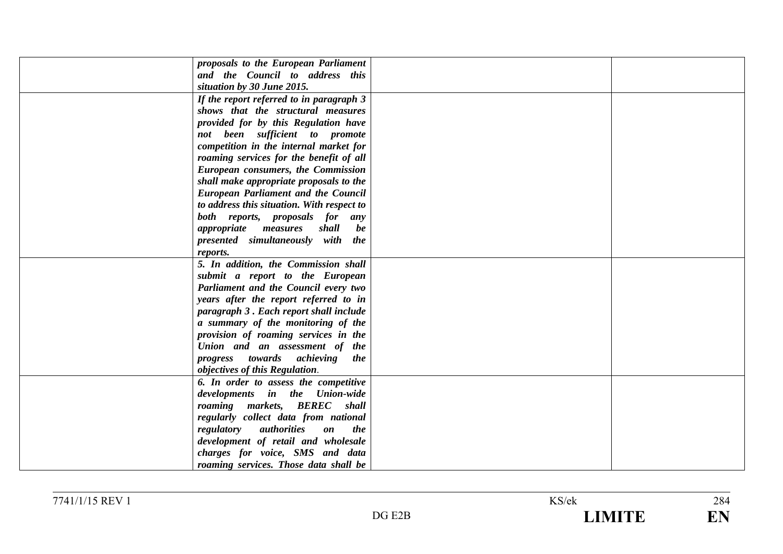| proposals to the European Parliament                              |  |
|-------------------------------------------------------------------|--|
| and the Council to address this                                   |  |
| situation by 30 June 2015.                                        |  |
| If the report referred to in paragraph 3                          |  |
| shows that the structural measures                                |  |
| provided for by this Regulation have                              |  |
| not been sufficient to promote                                    |  |
| competition in the internal market for                            |  |
| roaming services for the benefit of all                           |  |
| European consumers, the Commission                                |  |
| shall make appropriate proposals to the                           |  |
| <b>European Parliament and the Council</b>                        |  |
| to address this situation. With respect to                        |  |
| both reports, proposals for<br>any                                |  |
| shall<br><i>appropriate</i> measures<br>be                        |  |
| presented simultaneously with the                                 |  |
| reports.                                                          |  |
| 5. In addition, the Commission shall                              |  |
| submit a report to the European                                   |  |
| Parliament and the Council every two                              |  |
| years after the report referred to in                             |  |
| paragraph 3. Each report shall include                            |  |
| a summary of the monitoring of the                                |  |
| provision of roaming services in the                              |  |
| Union and an assessment of the                                    |  |
| progress towards achieving the                                    |  |
| objectives of this Regulation.                                    |  |
| 6. In order to assess the competitive                             |  |
| developments in the Union-wide                                    |  |
| roaming markets, BEREC shall                                      |  |
| regularly collect data from national                              |  |
| regulatory<br>authorities<br><i>the</i><br>$\mathbf{0}\mathbf{n}$ |  |
| development of retail and wholesale                               |  |
| charges for voice, SMS and data                                   |  |
| roaming services. Those data shall be                             |  |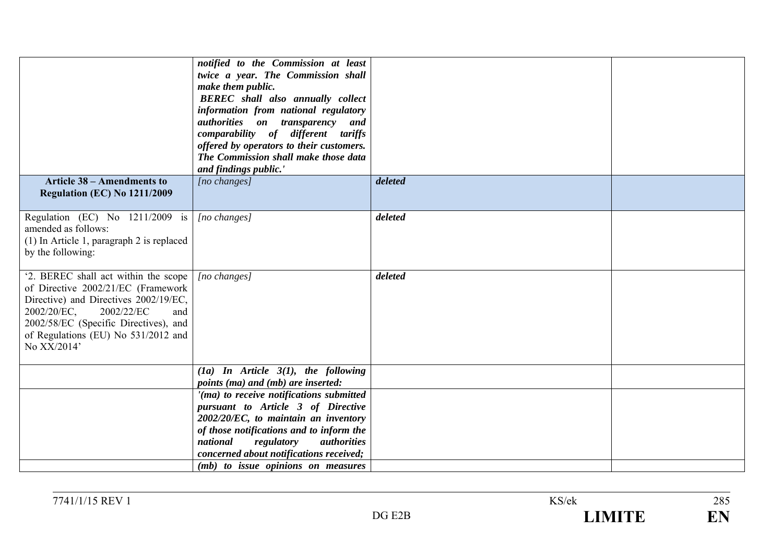| <b>Article 38 – Amendments to</b>                                                                                                                                                                                                                      | notified to the Commission at least<br>twice a year. The Commission shall<br>make them public.<br><b>BEREC</b> shall also annually collect<br>information from national regulatory<br>authorities on transparency and<br>comparability of different tariffs<br>offered by operators to their customers.<br>The Commission shall make those data<br>and findings public.'<br>[no changes] | deleted |  |
|--------------------------------------------------------------------------------------------------------------------------------------------------------------------------------------------------------------------------------------------------------|------------------------------------------------------------------------------------------------------------------------------------------------------------------------------------------------------------------------------------------------------------------------------------------------------------------------------------------------------------------------------------------|---------|--|
| Regulation (EC) No 1211/2009                                                                                                                                                                                                                           |                                                                                                                                                                                                                                                                                                                                                                                          |         |  |
| Regulation (EC) No 1211/2009 is<br>amended as follows:<br>$(1)$ In Article 1, paragraph 2 is replaced<br>by the following:                                                                                                                             | $[no\ changes]$                                                                                                                                                                                                                                                                                                                                                                          | deleted |  |
| '2. BEREC shall act within the scope<br>of Directive 2002/21/EC (Framework<br>Directive) and Directives 2002/19/EC,<br>2002/22/EC<br>2002/20/EC,<br>and<br>2002/58/EC (Specific Directives), and<br>of Regulations (EU) No 531/2012 and<br>No XX/2014' | $[no\ changes]$                                                                                                                                                                                                                                                                                                                                                                          | deleted |  |
|                                                                                                                                                                                                                                                        | $(1a)$ In Article 3(1), the following<br>points (ma) and (mb) are inserted:                                                                                                                                                                                                                                                                                                              |         |  |
|                                                                                                                                                                                                                                                        | '(ma) to receive notifications submitted<br>pursuant to Article 3 of Directive<br>2002/20/EC, to maintain an inventory<br>of those notifications and to inform the<br>national<br>regulatory<br><i>authorities</i><br>concerned about notifications received;<br>( <i>mb</i> ) to issue opinions on measures                                                                             |         |  |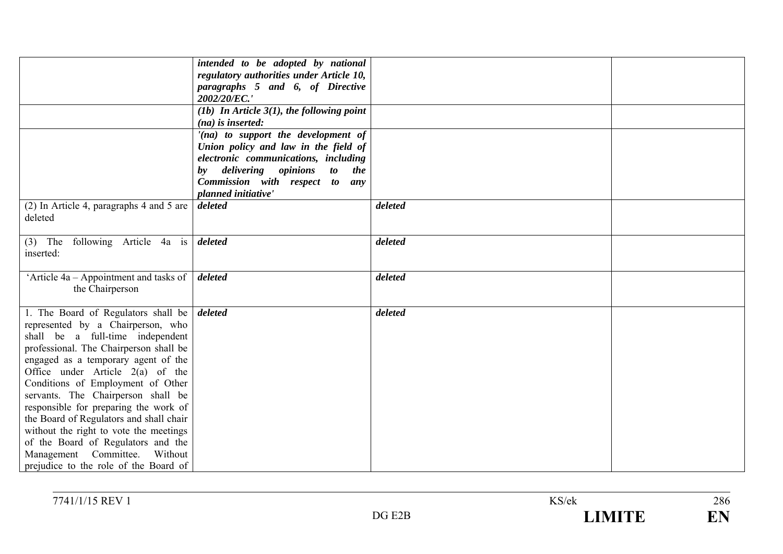|                                                               | intended to be adopted by national                        |         |  |
|---------------------------------------------------------------|-----------------------------------------------------------|---------|--|
|                                                               | regulatory authorities under Article 10,                  |         |  |
|                                                               | paragraphs 5 and 6, of Directive                          |         |  |
|                                                               | 2002/20/EC.'                                              |         |  |
|                                                               | (1b) In Article $3(1)$ , the following point              |         |  |
|                                                               | $(na)$ is inserted:                                       |         |  |
|                                                               | $'(na)$ to support the development of                     |         |  |
|                                                               | Union policy and law in the field of                      |         |  |
|                                                               | electronic communications, including                      |         |  |
|                                                               | delivering opinions<br><i>to</i><br>the<br>$\mathbf{b}$ y |         |  |
|                                                               | Commission with respect to<br>any                         |         |  |
|                                                               | planned initiative'                                       |         |  |
| (2) In Article 4, paragraphs 4 and 5 are                      | deleted                                                   | deleted |  |
| deleted                                                       |                                                           |         |  |
|                                                               |                                                           |         |  |
| (3) The following Article 4a is $\delta$ deleted              |                                                           | deleted |  |
| inserted:                                                     |                                                           |         |  |
|                                                               |                                                           |         |  |
| 'Article 4a – Appointment and tasks of $\vert$ <i>deleted</i> |                                                           | deleted |  |
| the Chairperson                                               |                                                           |         |  |
|                                                               |                                                           |         |  |
| 1. The Board of Regulators shall be $\frac{d}{dt}$            |                                                           | deleted |  |
| represented by a Chairperson, who                             |                                                           |         |  |
| shall be a full-time independent                              |                                                           |         |  |
| professional. The Chairperson shall be                        |                                                           |         |  |
| engaged as a temporary agent of the                           |                                                           |         |  |
| Office under Article $2(a)$ of the                            |                                                           |         |  |
| Conditions of Employment of Other                             |                                                           |         |  |
| servants. The Chairperson shall be                            |                                                           |         |  |
| responsible for preparing the work of                         |                                                           |         |  |
|                                                               |                                                           |         |  |
| the Board of Regulators and shall chair                       |                                                           |         |  |
| without the right to vote the meetings                        |                                                           |         |  |
| of the Board of Regulators and the                            |                                                           |         |  |
| Management Committee.<br>Without                              |                                                           |         |  |
| prejudice to the role of the Board of                         |                                                           |         |  |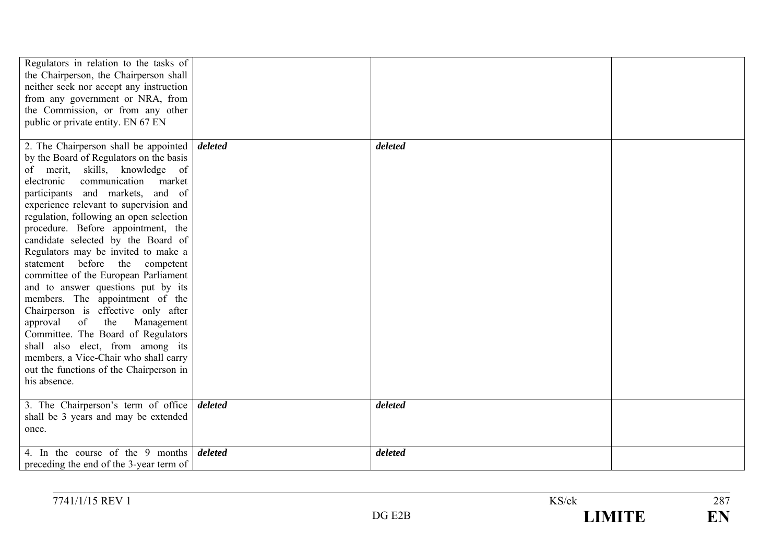| Regulators in relation to the tasks of<br>the Chairperson, the Chairperson shall<br>neither seek nor accept any instruction<br>from any government or NRA, from<br>the Commission, or from any other<br>public or private entity. EN 67 EN                                                                                                                                                                                                                                                                                                                                                                                                                                                                                                                                                                                                    |         |         |  |
|-----------------------------------------------------------------------------------------------------------------------------------------------------------------------------------------------------------------------------------------------------------------------------------------------------------------------------------------------------------------------------------------------------------------------------------------------------------------------------------------------------------------------------------------------------------------------------------------------------------------------------------------------------------------------------------------------------------------------------------------------------------------------------------------------------------------------------------------------|---------|---------|--|
| 2. The Chairperson shall be appointed $\frac{d}{dt}$ deleted<br>by the Board of Regulators on the basis<br>of merit, skills, knowledge of<br>communication<br>electronic<br>market<br>participants and markets, and of<br>experience relevant to supervision and<br>regulation, following an open selection<br>procedure. Before appointment, the<br>candidate selected by the Board of<br>Regulators may be invited to make a<br>statement before the competent<br>committee of the European Parliament<br>and to answer questions put by its<br>members. The appointment of the<br>Chairperson is effective only after<br>approval<br>of<br>the<br>Management<br>Committee. The Board of Regulators<br>shall also elect, from among its<br>members, a Vice-Chair who shall carry<br>out the functions of the Chairperson in<br>his absence. |         | deleted |  |
| 3. The Chairperson's term of office deleted<br>shall be 3 years and may be extended<br>once.                                                                                                                                                                                                                                                                                                                                                                                                                                                                                                                                                                                                                                                                                                                                                  |         | deleted |  |
| 4. In the course of the 9 months<br>preceding the end of the 3-year term of                                                                                                                                                                                                                                                                                                                                                                                                                                                                                                                                                                                                                                                                                                                                                                   | deleted | deleted |  |

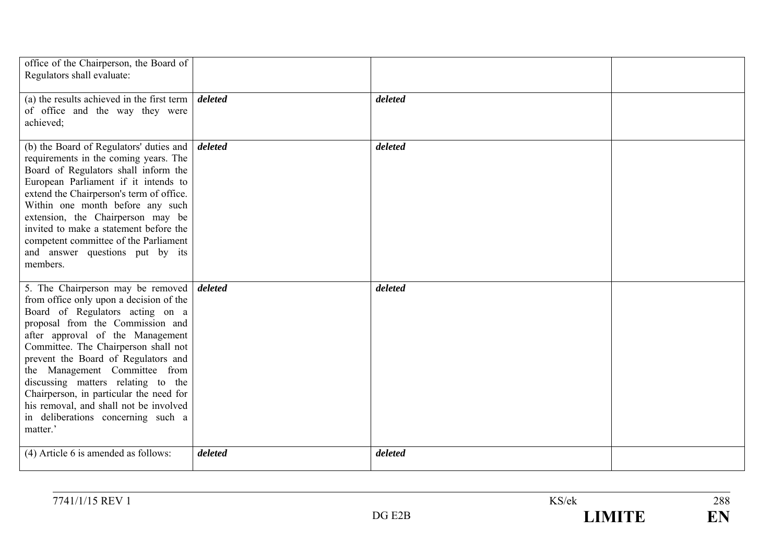| office of the Chairperson, the Board of<br>Regulators shall evaluate:                                                                                                                                                                                                                                                                                                                                                                                                                        |         |         |  |
|----------------------------------------------------------------------------------------------------------------------------------------------------------------------------------------------------------------------------------------------------------------------------------------------------------------------------------------------------------------------------------------------------------------------------------------------------------------------------------------------|---------|---------|--|
| (a) the results achieved in the first term $\vert$ <i>deleted</i><br>of office and the way they were<br>achieved;                                                                                                                                                                                                                                                                                                                                                                            |         | deleted |  |
| (b) the Board of Regulators' duties and $\int$ <i>deleted</i><br>requirements in the coming years. The<br>Board of Regulators shall inform the<br>European Parliament if it intends to<br>extend the Chairperson's term of office.<br>Within one month before any such<br>extension, the Chairperson may be<br>invited to make a statement before the<br>competent committee of the Parliament<br>and answer questions put by its<br>members.                                                |         | deleted |  |
| 5. The Chairperson may be removed deleted<br>from office only upon a decision of the<br>Board of Regulators acting on a<br>proposal from the Commission and<br>after approval of the Management<br>Committee. The Chairperson shall not<br>prevent the Board of Regulators and<br>the Management Committee from<br>discussing matters relating to the<br>Chairperson, in particular the need for<br>his removal, and shall not be involved<br>in deliberations concerning such a<br>matter.' |         | deleted |  |
| (4) Article 6 is amended as follows:                                                                                                                                                                                                                                                                                                                                                                                                                                                         | deleted | deleted |  |

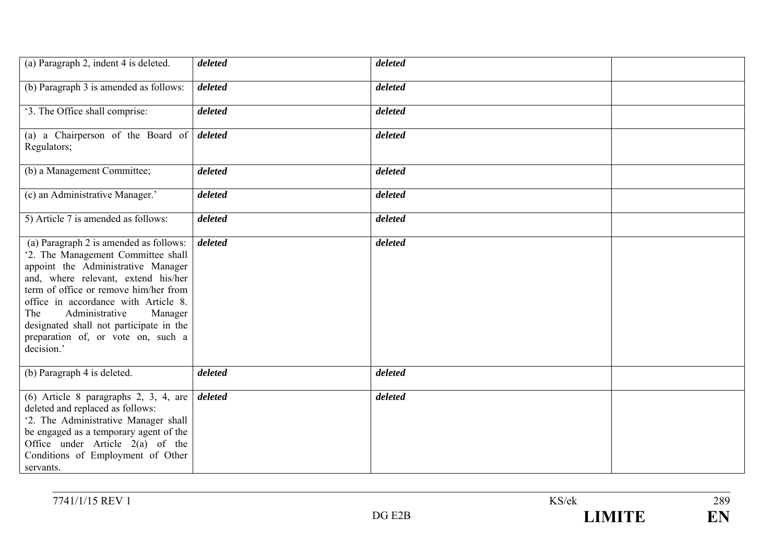| (a) Paragraph 2, indent 4 is deleted.                                                                                                                                                                                                                                                                                                                                         | deleted | deleted |  |
|-------------------------------------------------------------------------------------------------------------------------------------------------------------------------------------------------------------------------------------------------------------------------------------------------------------------------------------------------------------------------------|---------|---------|--|
| (b) Paragraph 3 is amended as follows:                                                                                                                                                                                                                                                                                                                                        | deleted | deleted |  |
| '3. The Office shall comprise:                                                                                                                                                                                                                                                                                                                                                | deleted | deleted |  |
| (a) a Chairperson of the Board of<br>Regulators;                                                                                                                                                                                                                                                                                                                              | deleted | deleted |  |
| (b) a Management Committee;                                                                                                                                                                                                                                                                                                                                                   | deleted | deleted |  |
| (c) an Administrative Manager.'                                                                                                                                                                                                                                                                                                                                               | deleted | deleted |  |
| 5) Article 7 is amended as follows:                                                                                                                                                                                                                                                                                                                                           | deleted | deleted |  |
| (a) Paragraph 2 is amended as follows:<br>'2. The Management Committee shall<br>appoint the Administrative Manager<br>and, where relevant, extend his/her<br>term of office or remove him/her from<br>office in accordance with Article 8.<br>Administrative<br>The<br>Manager<br>designated shall not participate in the<br>preparation of, or vote on, such a<br>decision.' | deleted | deleted |  |
| (b) Paragraph 4 is deleted.                                                                                                                                                                                                                                                                                                                                                   | deleted | deleted |  |
| $(6)$ Article 8 paragraphs 2, 3, 4, are<br>deleted and replaced as follows:<br>'2. The Administrative Manager shall<br>be engaged as a temporary agent of the<br>Office under Article 2(a) of the<br>Conditions of Employment of Other<br>servants.                                                                                                                           | deleted | deleted |  |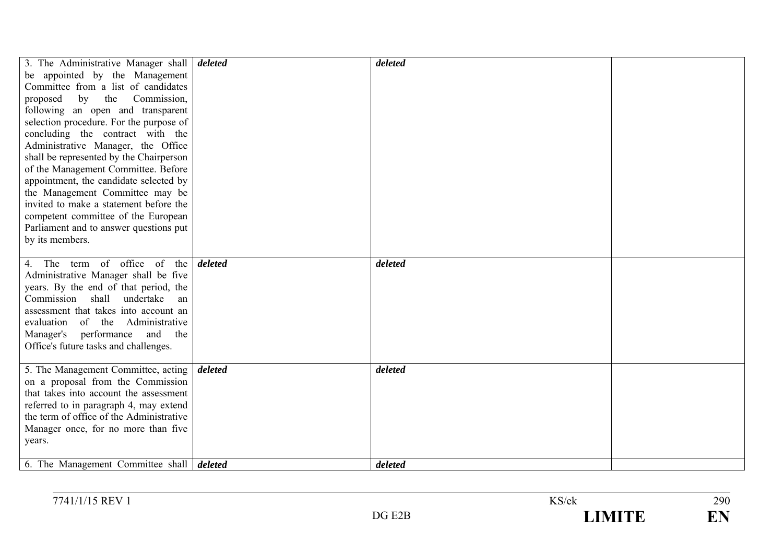| 3. The Administrative Manager shall <i>deleted</i> |         | deleted |  |
|----------------------------------------------------|---------|---------|--|
| be appointed by the Management                     |         |         |  |
| Committee from a list of candidates                |         |         |  |
| by the<br>Commission,<br>proposed                  |         |         |  |
| following an open and transparent                  |         |         |  |
|                                                    |         |         |  |
| selection procedure. For the purpose of            |         |         |  |
| concluding the contract with the                   |         |         |  |
| Administrative Manager, the Office                 |         |         |  |
| shall be represented by the Chairperson            |         |         |  |
| of the Management Committee. Before                |         |         |  |
| appointment, the candidate selected by             |         |         |  |
| the Management Committee may be                    |         |         |  |
| invited to make a statement before the             |         |         |  |
| competent committee of the European                |         |         |  |
| Parliament and to answer questions put             |         |         |  |
| by its members.                                    |         |         |  |
|                                                    |         |         |  |
| 4. The term of office of the                       | deleted | deleted |  |
| Administrative Manager shall be five               |         |         |  |
| years. By the end of that period, the              |         |         |  |
| Commission shall undertake<br>an                   |         |         |  |
| assessment that takes into account an              |         |         |  |
| evaluation of the Administrative                   |         |         |  |
| and the<br>Manager's performance                   |         |         |  |
| Office's future tasks and challenges.              |         |         |  |
|                                                    |         |         |  |
| 5. The Management Committee, acting                | deleted | deleted |  |
| on a proposal from the Commission                  |         |         |  |
| that takes into account the assessment             |         |         |  |
| referred to in paragraph 4, may extend             |         |         |  |
| the term of office of the Administrative           |         |         |  |
| Manager once, for no more than five                |         |         |  |
| years.                                             |         |         |  |
|                                                    |         |         |  |
| 6. The Management Committee shall <i>deleted</i>   |         | deleted |  |

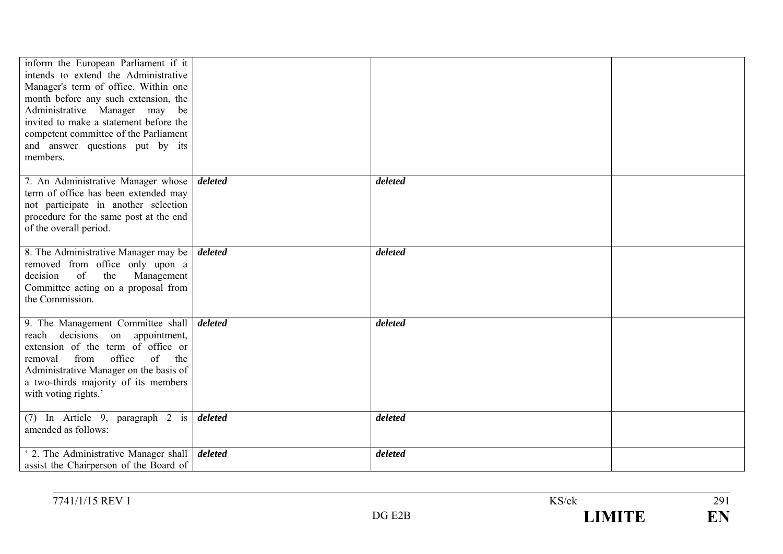| inform the European Parliament if it<br>intends to extend the Administrative<br>Manager's term of office. Within one<br>month before any such extension, the<br>Administrative Manager may be<br>invited to make a statement before the<br>competent committee of the Parliament<br>and answer questions put by its<br>members. |         |         |  |
|---------------------------------------------------------------------------------------------------------------------------------------------------------------------------------------------------------------------------------------------------------------------------------------------------------------------------------|---------|---------|--|
| 7. An Administrative Manager whose<br>term of office has been extended may<br>not participate in another selection<br>procedure for the same post at the end<br>of the overall period.                                                                                                                                          | deleted | deleted |  |
| 8. The Administrative Manager may be<br>removed from office only upon a<br>of<br>the<br>Management<br>decision<br>Committee acting on a proposal from<br>the Commission.                                                                                                                                                        | deleted | deleted |  |
| 9. The Management Committee shall<br>reach decisions on appointment,<br>extension of the term of office or<br>office<br>of<br>from<br>the<br>removal<br>Administrative Manager on the basis of<br>a two-thirds majority of its members<br>with voting rights.'                                                                  | deleted | deleted |  |
| (7) In Article 9, paragraph 2 is deleted<br>amended as follows:                                                                                                                                                                                                                                                                 |         | deleted |  |
| 2. The Administrative Manager shall<br>assist the Chairperson of the Board of                                                                                                                                                                                                                                                   | deleted | deleted |  |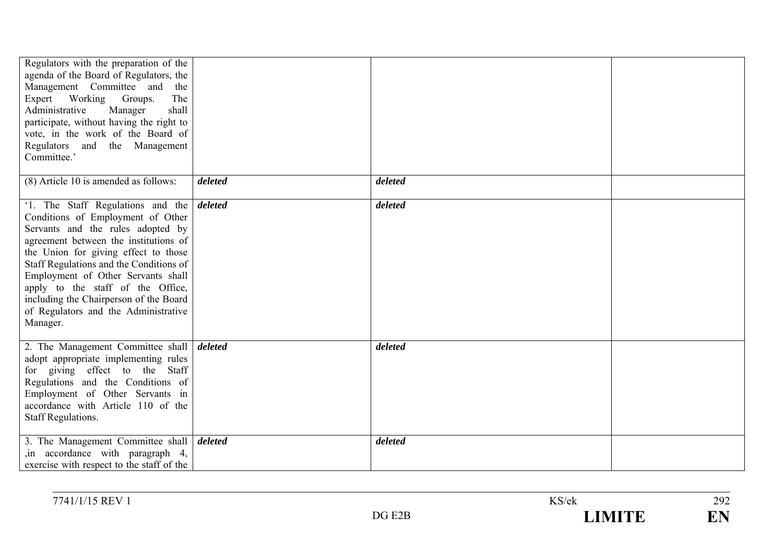| Regulators with the preparation of the<br>agenda of the Board of Regulators, the<br>Management Committee and the<br>Expert Working Groups.<br>The<br>Administrative<br>Manager<br>shall<br>participate, without having the right to<br>vote, in the work of the Board of<br>Regulators and the Management<br>Committee.'                                                                                                        |         |         |  |
|---------------------------------------------------------------------------------------------------------------------------------------------------------------------------------------------------------------------------------------------------------------------------------------------------------------------------------------------------------------------------------------------------------------------------------|---------|---------|--|
| (8) Article 10 is amended as follows:                                                                                                                                                                                                                                                                                                                                                                                           | deleted | deleted |  |
| '1. The Staff Regulations and the <i>deleted</i><br>Conditions of Employment of Other<br>Servants and the rules adopted by<br>agreement between the institutions of<br>the Union for giving effect to those<br>Staff Regulations and the Conditions of<br>Employment of Other Servants shall<br>apply to the staff of the Office,<br>including the Chairperson of the Board<br>of Regulators and the Administrative<br>Manager. |         | deleted |  |
| 2. The Management Committee shall <i>deleted</i><br>adopt appropriate implementing rules<br>for giving effect to the Staff<br>Regulations and the Conditions of<br>Employment of Other Servants in<br>accordance with Article 110 of the<br><b>Staff Regulations.</b>                                                                                                                                                           |         | deleted |  |
| 3. The Management Committee shall <i>deleted</i><br>in accordance with paragraph 4,<br>exercise with respect to the staff of the                                                                                                                                                                                                                                                                                                |         | deleted |  |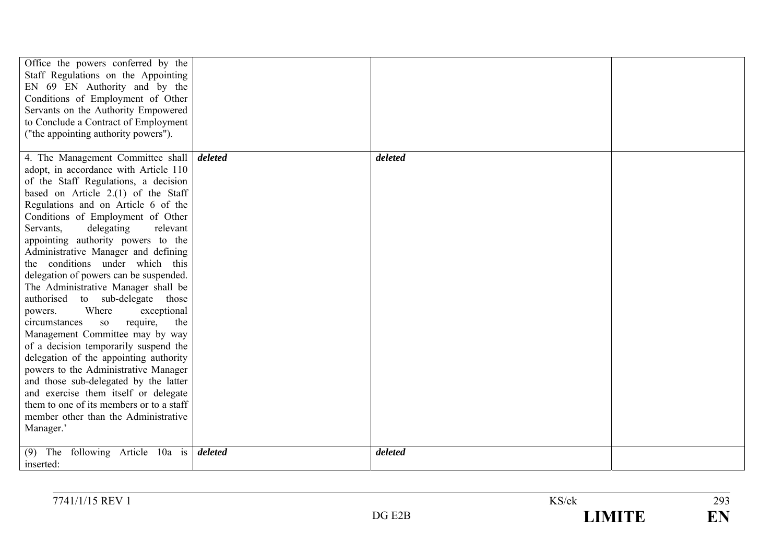| Office the powers conferred by the<br>Staff Regulations on the Appointing<br>EN 69 EN Authority and by the<br>Conditions of Employment of Other<br>Servants on the Authority Empowered<br>to Conclude a Contract of Employment<br>("the appointing authority powers"). |         |         |  |
|------------------------------------------------------------------------------------------------------------------------------------------------------------------------------------------------------------------------------------------------------------------------|---------|---------|--|
| 4. The Management Committee shall <i>deleted</i><br>adopt, in accordance with Article 110                                                                                                                                                                              |         | deleted |  |
| of the Staff Regulations, a decision                                                                                                                                                                                                                                   |         |         |  |
| based on Article $2.(1)$ of the Staff                                                                                                                                                                                                                                  |         |         |  |
| Regulations and on Article 6 of the                                                                                                                                                                                                                                    |         |         |  |
| Conditions of Employment of Other                                                                                                                                                                                                                                      |         |         |  |
| Servants,<br>delegating<br>relevant                                                                                                                                                                                                                                    |         |         |  |
| appointing authority powers to the<br>Administrative Manager and defining                                                                                                                                                                                              |         |         |  |
| the conditions under which this                                                                                                                                                                                                                                        |         |         |  |
| delegation of powers can be suspended.                                                                                                                                                                                                                                 |         |         |  |
| The Administrative Manager shall be                                                                                                                                                                                                                                    |         |         |  |
| authorised to sub-delegate those                                                                                                                                                                                                                                       |         |         |  |
| Where<br>exceptional<br>powers.                                                                                                                                                                                                                                        |         |         |  |
| require,<br>the<br>circumstances<br>SO <sub>1</sub><br>Management Committee may by way                                                                                                                                                                                 |         |         |  |
| of a decision temporarily suspend the                                                                                                                                                                                                                                  |         |         |  |
| delegation of the appointing authority                                                                                                                                                                                                                                 |         |         |  |
| powers to the Administrative Manager                                                                                                                                                                                                                                   |         |         |  |
| and those sub-delegated by the latter                                                                                                                                                                                                                                  |         |         |  |
| and exercise them itself or delegate                                                                                                                                                                                                                                   |         |         |  |
| them to one of its members or to a staff                                                                                                                                                                                                                               |         |         |  |
| member other than the Administrative<br>Manager.'                                                                                                                                                                                                                      |         |         |  |
|                                                                                                                                                                                                                                                                        |         |         |  |
| $(9)$ The following Article 10a is<br>inserted:                                                                                                                                                                                                                        | deleted | deleted |  |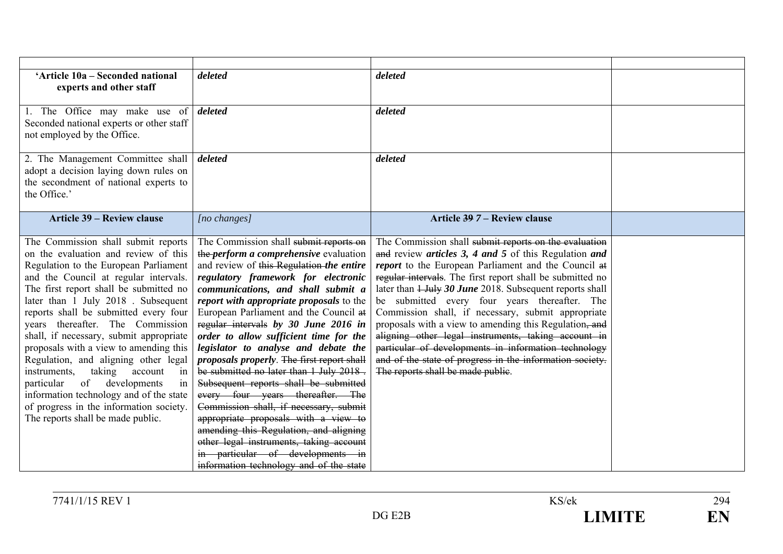| 'Article 10a - Seconded national<br>experts and other staff                                                                                                                                                                                                                                                                                                                                                                                                                                                                                                                                                                                                             | deleted                                                                                                                                                                                                                                                                                                                                                                                                                                                                                                                                                                                                                                                                                                                                                                                                                                                      | deleted                                                                                                                                                                                                                                                                                                                                                                                                                                                                                                                                                                                                                                                                          |  |
|-------------------------------------------------------------------------------------------------------------------------------------------------------------------------------------------------------------------------------------------------------------------------------------------------------------------------------------------------------------------------------------------------------------------------------------------------------------------------------------------------------------------------------------------------------------------------------------------------------------------------------------------------------------------------|--------------------------------------------------------------------------------------------------------------------------------------------------------------------------------------------------------------------------------------------------------------------------------------------------------------------------------------------------------------------------------------------------------------------------------------------------------------------------------------------------------------------------------------------------------------------------------------------------------------------------------------------------------------------------------------------------------------------------------------------------------------------------------------------------------------------------------------------------------------|----------------------------------------------------------------------------------------------------------------------------------------------------------------------------------------------------------------------------------------------------------------------------------------------------------------------------------------------------------------------------------------------------------------------------------------------------------------------------------------------------------------------------------------------------------------------------------------------------------------------------------------------------------------------------------|--|
| 1. The Office may make use of<br>Seconded national experts or other staff<br>not employed by the Office.                                                                                                                                                                                                                                                                                                                                                                                                                                                                                                                                                                | deleted                                                                                                                                                                                                                                                                                                                                                                                                                                                                                                                                                                                                                                                                                                                                                                                                                                                      | deleted                                                                                                                                                                                                                                                                                                                                                                                                                                                                                                                                                                                                                                                                          |  |
| 2. The Management Committee shall<br>adopt a decision laying down rules on<br>the secondment of national experts to<br>the Office.'                                                                                                                                                                                                                                                                                                                                                                                                                                                                                                                                     | deleted                                                                                                                                                                                                                                                                                                                                                                                                                                                                                                                                                                                                                                                                                                                                                                                                                                                      | deleted                                                                                                                                                                                                                                                                                                                                                                                                                                                                                                                                                                                                                                                                          |  |
| <b>Article 39 – Review clause</b>                                                                                                                                                                                                                                                                                                                                                                                                                                                                                                                                                                                                                                       | $[no \; changes]$                                                                                                                                                                                                                                                                                                                                                                                                                                                                                                                                                                                                                                                                                                                                                                                                                                            | Article 39 7 - Review clause                                                                                                                                                                                                                                                                                                                                                                                                                                                                                                                                                                                                                                                     |  |
| The Commission shall submit reports<br>on the evaluation and review of this<br>Regulation to the European Parliament<br>and the Council at regular intervals.<br>The first report shall be submitted no<br>later than 1 July 2018. Subsequent<br>reports shall be submitted every four<br>years thereafter. The Commission<br>shall, if necessary, submit appropriate<br>proposals with a view to amending this<br>Regulation, and aligning other legal<br>taking<br>instruments,<br>account<br>in<br>developments<br>of<br>particular<br>in<br>information technology and of the state<br>of progress in the information society.<br>The reports shall be made public. | The Commission shall submit reports on<br>the <i>perform a comprehensive</i> evaluation<br>and review of this Regulation the entire<br>regulatory framework for electronic<br>communications, and shall submit a<br>report with appropriate proposals to the<br>European Parliament and the Council at<br>regular intervals by 30 June 2016 in<br>order to allow sufficient time for the<br>legislator to analyse and debate the<br>proposals properly. The first report shall<br>be submitted no later than 1 July 2018.<br>Subsequent reports shall be submitted<br>every four years thereafter. The<br>Commission shall, if necessary, submit<br>appropriate proposals with a view to<br>amending this Regulation, and aligning<br>other legal instruments, taking account<br>in particular of developments in<br>information technology and of the state | The Commission shall submit reports on the evaluation<br>and review articles 3, 4 and 5 of this Regulation and<br>report to the European Parliament and the Council at<br>regular intervals. The first report shall be submitted no<br>later than 1 July 30 June 2018. Subsequent reports shall<br>be submitted every four years thereafter. The<br>Commission shall, if necessary, submit appropriate<br>proposals with a view to amending this Regulation, and<br>aligning other legal instruments, taking account in<br>particular of developments in information technology<br>and of the state of progress in the information society.<br>The reports shall be made public. |  |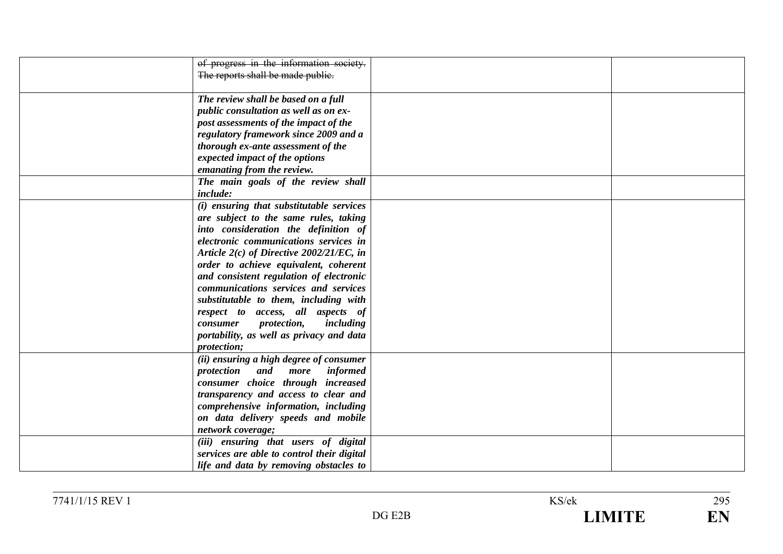| of progress in the information society.     |  |
|---------------------------------------------|--|
| The reports shall be made public.           |  |
|                                             |  |
| The review shall be based on a full         |  |
| public consultation as well as on ex-       |  |
| post assessments of the impact of the       |  |
| regulatory framework since 2009 and a       |  |
| thorough ex-ante assessment of the          |  |
|                                             |  |
| expected impact of the options              |  |
| emanating from the review.                  |  |
| The main goals of the review shall          |  |
| include:                                    |  |
| (i) ensuring that substitutable services    |  |
| are subject to the same rules, taking       |  |
| into consideration the definition of        |  |
| electronic communications services in       |  |
| Article $2(c)$ of Directive 2002/21/EC, in  |  |
|                                             |  |
| order to achieve equivalent, coherent       |  |
| and consistent regulation of electronic     |  |
| communications services and services        |  |
| substitutable to them, including with       |  |
| respect to access, all aspects of           |  |
| <i>protection,</i><br>including<br>consumer |  |
| portability, as well as privacy and data    |  |
| protection;                                 |  |
| (ii) ensuring a high degree of consumer     |  |
| protection and<br>informed<br>more          |  |
|                                             |  |
| consumer choice through increased           |  |
| transparency and access to clear and        |  |
| comprehensive information, including        |  |
| on data delivery speeds and mobile          |  |
| network coverage;                           |  |
| (iii) ensuring that users of digital        |  |
| services are able to control their digital  |  |
| life and data by removing obstacles to      |  |
|                                             |  |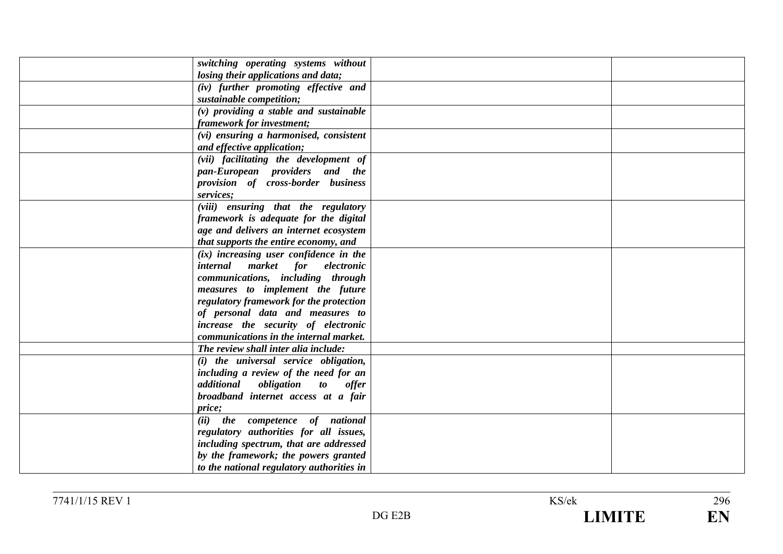| switching operating systems without       |  |
|-------------------------------------------|--|
| losing their applications and data;       |  |
| (iv) further promoting effective and      |  |
| sustainable competition;                  |  |
| $(v)$ providing a stable and sustainable  |  |
| framework for investment;                 |  |
| (vi) ensuring a harmonised, consistent    |  |
| and effective application;                |  |
| (vii) facilitating the development of     |  |
| pan-European providers and the            |  |
| provision of cross-border business        |  |
| services;                                 |  |
| (viii) ensuring that the regulatory       |  |
| framework is adequate for the digital     |  |
| age and delivers an internet ecosystem    |  |
| that supports the entire economy, and     |  |
| $(ix)$ increasing user confidence in the  |  |
| internal market for electronic            |  |
| communications, including through         |  |
| measures to implement the future          |  |
| regulatory framework for the protection   |  |
| of personal data and measures to          |  |
| increase the security of electronic       |  |
| communications in the internal market.    |  |
| The review shall inter alia include:      |  |
| (i) the universal service obligation,     |  |
| including a review of the need for an     |  |
| additional obligation to offer            |  |
| broadband internet access at a fair       |  |
| price;                                    |  |
| (ii) the competence of national           |  |
| regulatory authorities for all issues,    |  |
| including spectrum, that are addressed    |  |
| by the framework; the powers granted      |  |
| to the national regulatory authorities in |  |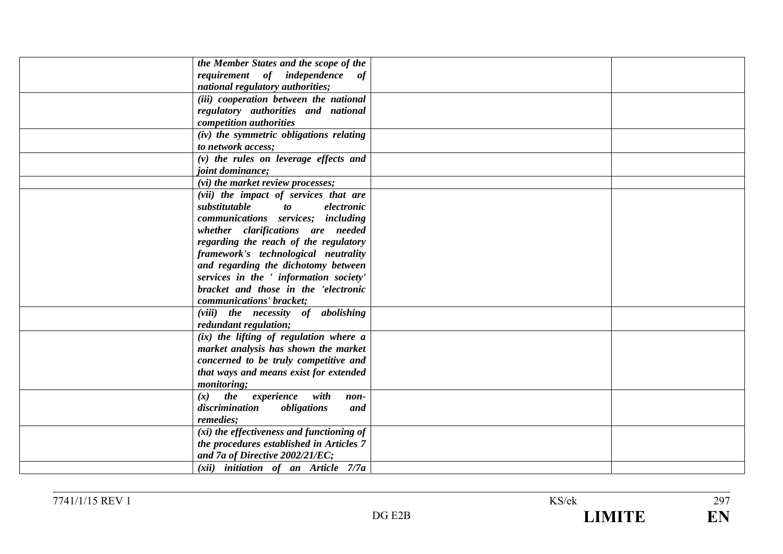| the Member States and the scope of the                             |  |
|--------------------------------------------------------------------|--|
| requirement of independence of<br>national regulatory authorities; |  |
|                                                                    |  |
| (iii) cooperation between the national                             |  |
| regulatory authorities and national                                |  |
| competition authorities                                            |  |
| (iv) the symmetric obligations relating                            |  |
| to network access;                                                 |  |
| $(v)$ the rules on leverage effects and                            |  |
| <i>joint dominance;</i>                                            |  |
| (vi) the market review processes;                                  |  |
| (vii) the impact of services that are                              |  |
| substitutable<br>$\boldsymbol{\mathit{to}}$<br>electronic          |  |
| communications services; including                                 |  |
| whether clarifications are needed                                  |  |
| regarding the reach of the regulatory                              |  |
| framework's technological neutrality                               |  |
| and regarding the dichotomy between                                |  |
| services in the ' information society'                             |  |
| bracket and those in the 'electronic                               |  |
| communications' bracket;                                           |  |
| (viii) the necessity of abolishing                                 |  |
| redundant regulation;                                              |  |
| (ix) the lifting of regulation where a                             |  |
| market analysis has shown the market                               |  |
| concerned to be truly competitive and                              |  |
| that ways and means exist for extended                             |  |
| <i>monitoring</i> ;                                                |  |
| $(x)$ the experience with<br>$non-$                                |  |
| discrimination<br>obligations<br>and                               |  |
| remedies;                                                          |  |
| (xi) the effectiveness and functioning of                          |  |
| the procedures established in Articles 7                           |  |
| and 7a of Directive 2002/21/EC;                                    |  |
| (xii) initiation of an Article 7/7a                                |  |
|                                                                    |  |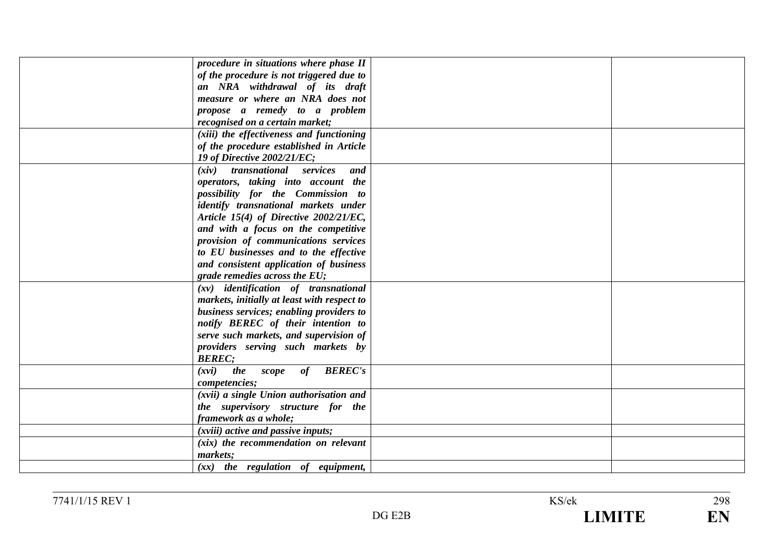| procedure in situations where phase II        |  |
|-----------------------------------------------|--|
| of the procedure is not triggered due to      |  |
| an NRA withdrawal of its draft                |  |
| measure or where an NRA does not              |  |
| propose a remedy to a problem                 |  |
| recognised on a certain market;               |  |
| (xiii) the effectiveness and functioning      |  |
| of the procedure established in Article       |  |
| 19 of Directive 2002/21/EC;                   |  |
| (xiv) transnational services<br>and           |  |
| operators, taking into account the            |  |
| possibility for the Commission to             |  |
| identify transnational markets under          |  |
| Article 15(4) of Directive 2002/21/EC,        |  |
| and with a focus on the competitive           |  |
| provision of communications services          |  |
| to EU businesses and to the effective         |  |
| and consistent application of business        |  |
| grade remedies across the EU;                 |  |
| $(xv)$ identification of transnational        |  |
| markets, initially at least with respect to   |  |
| business services; enabling providers to      |  |
| notify BEREC of their intention to            |  |
| serve such markets, and supervision of        |  |
| providers serving such markets by             |  |
| <b>BEREC:</b>                                 |  |
| <b>BEREC's</b><br>the<br>of<br>scope<br>(xvi) |  |
| competencies;                                 |  |
| (xvii) a single Union authorisation and       |  |
| the supervisory structure for the             |  |
| framework as a whole;                         |  |
| (xviii) active and passive inputs;            |  |
| $(xix)$ the recommendation on relevant        |  |
| markets;                                      |  |
| $(xx)$ the regulation of equipment,           |  |
|                                               |  |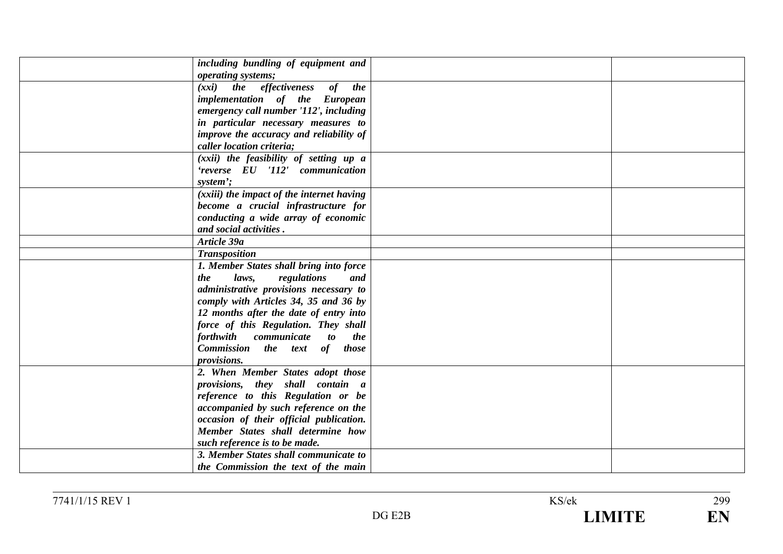| including bundling of equipment and              |  |
|--------------------------------------------------|--|
| operating systems;                               |  |
| (xxi) the effectiveness of the                   |  |
| implementation of the European                   |  |
| emergency call number '112', including           |  |
| in particular necessary measures to              |  |
| improve the accuracy and reliability of          |  |
| caller location criteria;                        |  |
| (xxii) the feasibility of setting up a           |  |
| 'reverse EU '112' communication                  |  |
| system';                                         |  |
| (xxiii) the impact of the internet having        |  |
| become a crucial infrastructure for              |  |
| conducting a wide array of economic              |  |
| and social activities.                           |  |
| Article 39a                                      |  |
| <b>Transposition</b>                             |  |
| 1. Member States shall bring into force          |  |
| the<br>laws,<br>regulations<br>and               |  |
| administrative provisions necessary to           |  |
| comply with Articles 34, 35 and 36 by            |  |
| 12 months after the date of entry into           |  |
| force of this Regulation. They shall             |  |
| communicate to<br><i>forthwith</i><br><i>the</i> |  |
| Commission the text of those                     |  |
| <i>provisions.</i>                               |  |
| 2. When Member States adopt those                |  |
| provisions, they shall contain a                 |  |
| reference to this Regulation or be               |  |
| accompanied by such reference on the             |  |
| occasion of their official publication.          |  |
| Member States shall determine how                |  |
| such reference is to be made.                    |  |
| 3. Member States shall communicate to            |  |
| the Commission the text of the main              |  |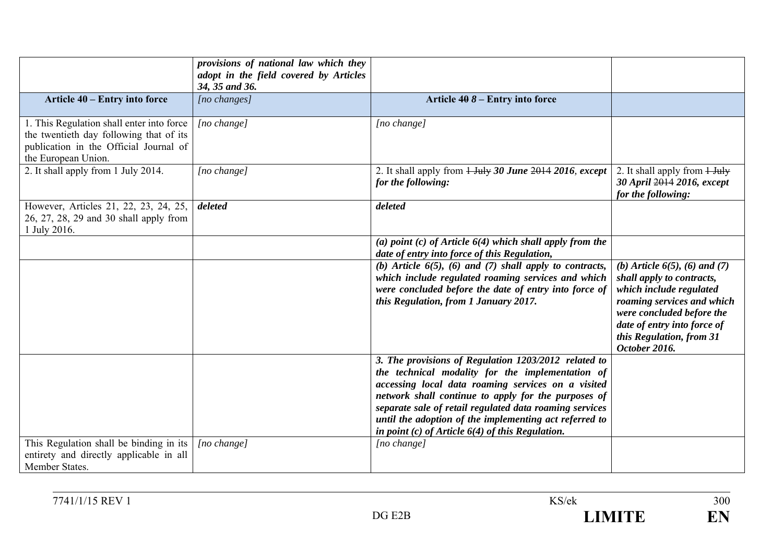|                                                                                                                                                       | provisions of national law which they<br>adopt in the field covered by Articles<br>34, 35 and 36. |                                                                                                                                                                                                                                                                                                                                                                                                    |                                                                                                                                                                                                                                     |
|-------------------------------------------------------------------------------------------------------------------------------------------------------|---------------------------------------------------------------------------------------------------|----------------------------------------------------------------------------------------------------------------------------------------------------------------------------------------------------------------------------------------------------------------------------------------------------------------------------------------------------------------------------------------------------|-------------------------------------------------------------------------------------------------------------------------------------------------------------------------------------------------------------------------------------|
| Article 40 – Entry into force                                                                                                                         | $[no \; changes]$                                                                                 | Article $408 -$ Entry into force                                                                                                                                                                                                                                                                                                                                                                   |                                                                                                                                                                                                                                     |
| 1. This Regulation shall enter into force<br>the twentieth day following that of its<br>publication in the Official Journal of<br>the European Union. | [no change]                                                                                       | [no change]                                                                                                                                                                                                                                                                                                                                                                                        |                                                                                                                                                                                                                                     |
| 2. It shall apply from 1 July 2014.                                                                                                                   | [no change]                                                                                       | for the following:                                                                                                                                                                                                                                                                                                                                                                                 | 2. It shall apply from $\frac{1 \text{ July}}{2}$<br>30 April 2014 2016, except<br>for the following:                                                                                                                               |
| However, Articles 21, 22, 23, 24, 25,<br>26, 27, 28, 29 and 30 shall apply from<br>1 July 2016.                                                       | deleted                                                                                           | deleted                                                                                                                                                                                                                                                                                                                                                                                            |                                                                                                                                                                                                                                     |
|                                                                                                                                                       |                                                                                                   | (a) point (c) of Article $6(4)$ which shall apply from the<br>date of entry into force of this Regulation,                                                                                                                                                                                                                                                                                         |                                                                                                                                                                                                                                     |
|                                                                                                                                                       |                                                                                                   | (b) Article $6(5)$ , (6) and (7) shall apply to contracts,<br>which include regulated roaming services and which<br>were concluded before the date of entry into force of<br>this Regulation, from 1 January 2017.                                                                                                                                                                                 | (b) Article $6(5)$ , $(6)$ and $(7)$<br>shall apply to contracts,<br>which include regulated<br>roaming services and which<br>were concluded before the<br>date of entry into force of<br>this Regulation, from 31<br>October 2016. |
|                                                                                                                                                       |                                                                                                   | 3. The provisions of Regulation 1203/2012 related to<br>the technical modality for the implementation of<br>accessing local data roaming services on a visited<br>network shall continue to apply for the purposes of<br>separate sale of retail regulated data roaming services<br>until the adoption of the implementing act referred to<br>in point $(c)$ of Article $6(4)$ of this Regulation. |                                                                                                                                                                                                                                     |
| This Regulation shall be binding in its<br>entirety and directly applicable in all<br>Member States.                                                  | [no change]                                                                                       | $[no \space change]$                                                                                                                                                                                                                                                                                                                                                                               |                                                                                                                                                                                                                                     |

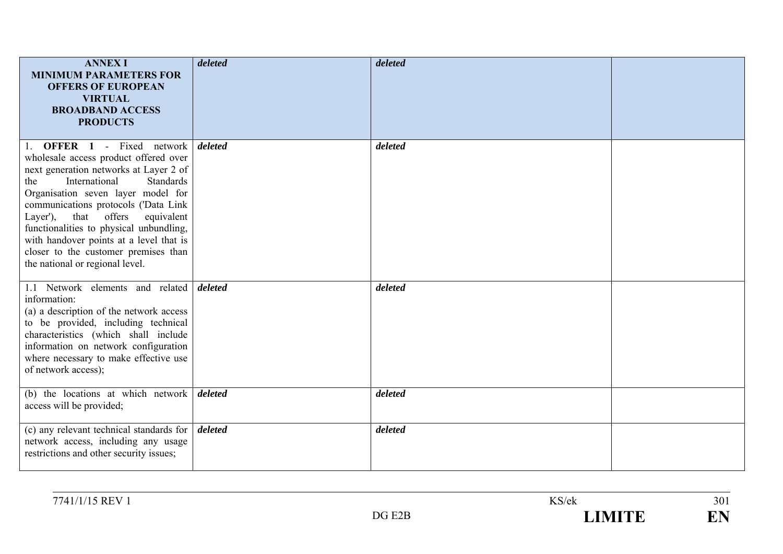| <b>ANNEX I</b><br><b>MINIMUM PARAMETERS FOR</b><br><b>OFFERS OF EUROPEAN</b><br><b>VIRTUAL</b><br><b>BROADBAND ACCESS</b><br><b>PRODUCTS</b>                                                                                                                                                                                                                                                                                                      | deleted | deleted |  |
|---------------------------------------------------------------------------------------------------------------------------------------------------------------------------------------------------------------------------------------------------------------------------------------------------------------------------------------------------------------------------------------------------------------------------------------------------|---------|---------|--|
| 1. <b>OFFER 1</b> - Fixed network<br>wholesale access product offered over<br>next generation networks at Layer 2 of<br>International<br>Standards<br>the<br>Organisation seven layer model for<br>communications protocols ('Data Link<br>that offers<br>equivalent<br>Layer'),<br>functionalities to physical unbundling,<br>with handover points at a level that is<br>closer to the customer premises than<br>the national or regional level. | deleted | deleted |  |
| 1.1 Network elements and related<br>information:<br>(a) a description of the network access<br>to be provided, including technical<br>characteristics (which shall include<br>information on network configuration<br>where necessary to make effective use<br>of network access);                                                                                                                                                                | deleted | deleted |  |
| (b) the locations at which network<br>access will be provided;                                                                                                                                                                                                                                                                                                                                                                                    | deleted | deleted |  |
| (c) any relevant technical standards for<br>network access, including any usage<br>restrictions and other security issues;                                                                                                                                                                                                                                                                                                                        | deleted | deleted |  |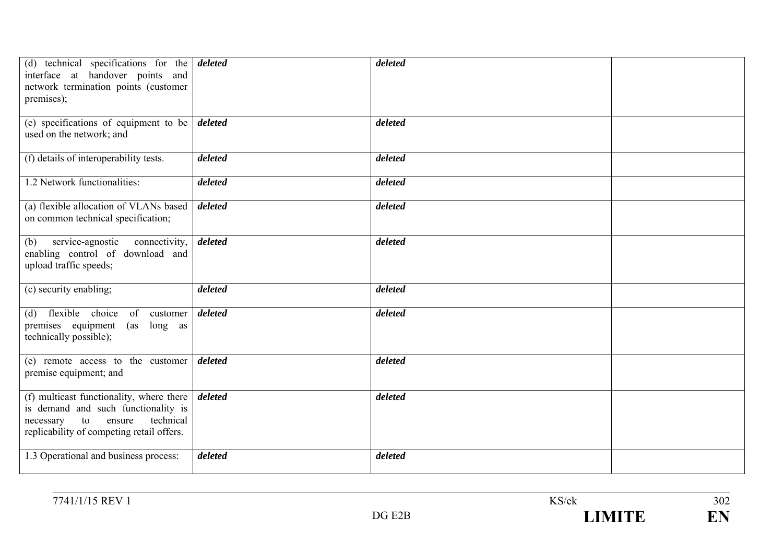| (d) technical specifications for the $\theta$ deleted<br>interface at handover points and<br>network termination points (customer<br>premises);                        |         | deleted |  |
|------------------------------------------------------------------------------------------------------------------------------------------------------------------------|---------|---------|--|
| (e) specifications of equipment to be<br>used on the network; and                                                                                                      | deleted | deleted |  |
| (f) details of interoperability tests.                                                                                                                                 | deleted | deleted |  |
| 1.2 Network functionalities:                                                                                                                                           | deleted | deleted |  |
| (a) flexible allocation of VLANs based<br>on common technical specification;                                                                                           | deleted | deleted |  |
| service-agnostic<br>connectivity,<br>(b)<br>enabling control of download and<br>upload traffic speeds;                                                                 | deleted | deleted |  |
| (c) security enabling;                                                                                                                                                 | deleted | deleted |  |
| flexible choice<br>of<br>customer<br>(d)<br>premises equipment<br>(as<br>long as<br>technically possible);                                                             | deleted | deleted |  |
| (e) remote access to the customer<br>premise equipment; and                                                                                                            | deleted | deleted |  |
| (f) multicast functionality, where there<br>is demand and such functionality is<br>technical<br>to<br>ensure<br>necessary<br>replicability of competing retail offers. | deleted | deleted |  |
| 1.3 Operational and business process:                                                                                                                                  | deleted | deleted |  |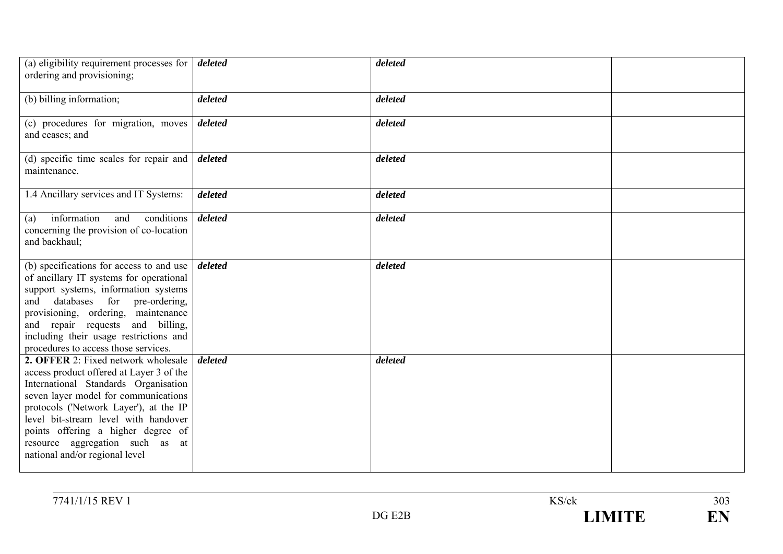| (a) eligibility requirement processes for<br>ordering and provisioning;                                                                                                                                                                                                                                                                                             | deleted              | deleted |  |
|---------------------------------------------------------------------------------------------------------------------------------------------------------------------------------------------------------------------------------------------------------------------------------------------------------------------------------------------------------------------|----------------------|---------|--|
| (b) billing information;                                                                                                                                                                                                                                                                                                                                            | deleted              | deleted |  |
| (c) procedures for migration, moves<br>and ceases; and                                                                                                                                                                                                                                                                                                              | deleted              | deleted |  |
| (d) specific time scales for repair and<br>maintenance.                                                                                                                                                                                                                                                                                                             | deleted              | deleted |  |
| 1.4 Ancillary services and IT Systems:                                                                                                                                                                                                                                                                                                                              | deleted              | deleted |  |
| information<br>and<br>conditions<br>(a)<br>concerning the provision of co-location<br>and backhaul;                                                                                                                                                                                                                                                                 | $\overline{deleted}$ | deleted |  |
| (b) specifications for access to and use<br>of ancillary IT systems for operational<br>support systems, information systems<br>databases for pre-ordering,<br>and<br>provisioning, ordering, maintenance<br>and repair requests and billing,<br>including their usage restrictions and<br>procedures to access those services.                                      | deleted              | deleted |  |
| <b>2. OFFER 2:</b> Fixed network wholesale<br>access product offered at Layer 3 of the<br>International Standards Organisation<br>seven layer model for communications<br>protocols ('Network Layer'), at the IP<br>level bit-stream level with handover<br>points offering a higher degree of<br>resource aggregation such as at<br>national and/or regional level | deleted              | deleted |  |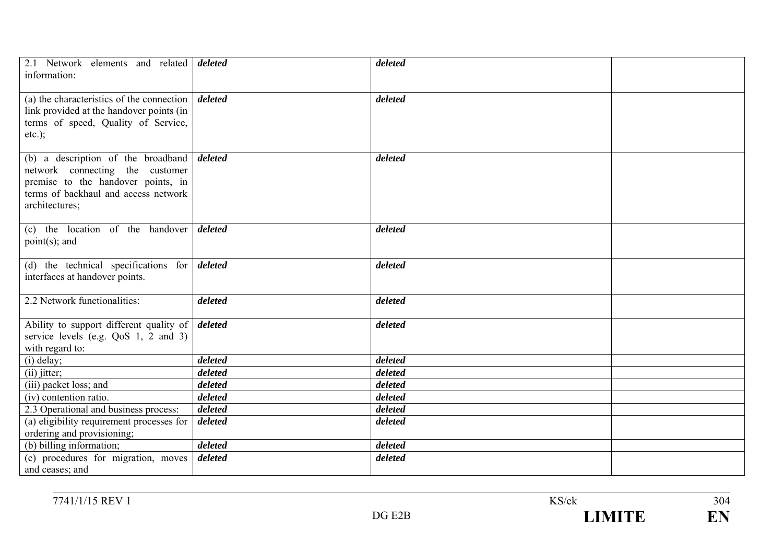| 2.1 Network elements and related <i>deleted</i><br>information:                                                                                                                        |         | deleted |  |
|----------------------------------------------------------------------------------------------------------------------------------------------------------------------------------------|---------|---------|--|
| (a) the characteristics of the connection $\vert$ <i>deleted</i><br>link provided at the handover points (in<br>terms of speed, Quality of Service,<br>$etc.$ );                       |         | deleted |  |
| (b) a description of the broadband $\theta$ deleted<br>network connecting the customer<br>premise to the handover points, in<br>terms of backhaul and access network<br>architectures; |         | deleted |  |
| (c) the location of the handover deleted<br>$point(s)$ ; and                                                                                                                           |         | deleted |  |
| (d) the technical specifications for $\frac{d}{delta}$<br>interfaces at handover points.                                                                                               |         | deleted |  |
| 2.2 Network functionalities:                                                                                                                                                           | deleted | deleted |  |
| Ability to support different quality of <i>deleted</i><br>service levels (e.g. $QoS$ 1, 2 and 3)<br>with regard to:                                                                    |         | deleted |  |
| $(i)$ delay;                                                                                                                                                                           | deleted | deleted |  |
| $(ii)$ jitter;                                                                                                                                                                         | deleted | deleted |  |
| (iii) packet loss; and                                                                                                                                                                 | deleted | deleted |  |
| (iv) contention ratio.                                                                                                                                                                 | deleted | deleted |  |
| 2.3 Operational and business process:                                                                                                                                                  | deleted | deleted |  |
| (a) eligibility requirement processes for                                                                                                                                              | deleted | deleted |  |
| ordering and provisioning;                                                                                                                                                             |         |         |  |
| (b) billing information;                                                                                                                                                               | deleted | deleted |  |
| (c) procedures for migration, moves<br>and ceases; and                                                                                                                                 | deleted | deleted |  |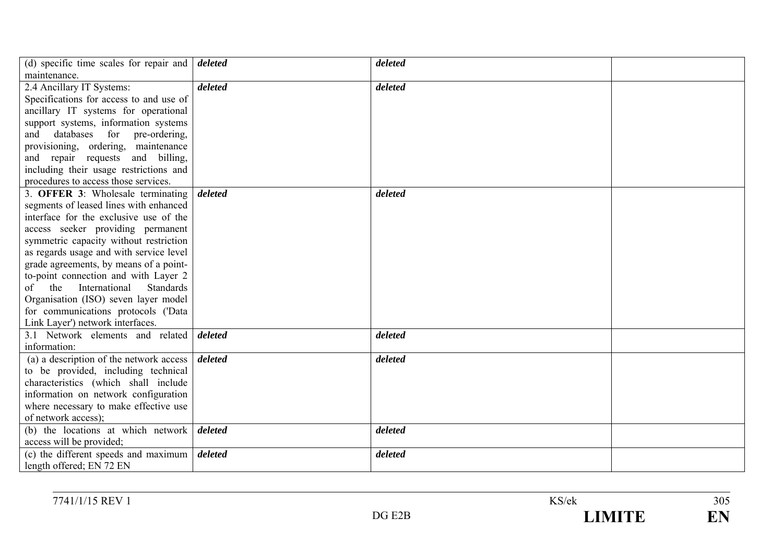| (d) specific time scales for repair and        | deleted | deleted |  |
|------------------------------------------------|---------|---------|--|
| maintenance.                                   |         |         |  |
| 2.4 Ancillary IT Systems:                      | deleted | deleted |  |
| Specifications for access to and use of        |         |         |  |
| ancillary IT systems for operational           |         |         |  |
| support systems, information systems           |         |         |  |
| databases<br>for<br>pre-ordering,<br>and       |         |         |  |
| provisioning, ordering, maintenance            |         |         |  |
| and repair requests<br>and billing,            |         |         |  |
| including their usage restrictions and         |         |         |  |
| procedures to access those services.           |         |         |  |
| 3. <b>OFFER 3:</b> Wholesale terminating       | deleted | deleted |  |
| segments of leased lines with enhanced         |         |         |  |
| interface for the exclusive use of the         |         |         |  |
| access seeker providing permanent              |         |         |  |
| symmetric capacity without restriction         |         |         |  |
| as regards usage and with service level        |         |         |  |
| grade agreements, by means of a point-         |         |         |  |
| to-point connection and with Layer 2           |         |         |  |
| International<br><b>Standards</b><br>the<br>of |         |         |  |
| Organisation (ISO) seven layer model           |         |         |  |
| for communications protocols ('Data            |         |         |  |
| Link Layer') network interfaces.               |         |         |  |
| 3.1 Network elements and related               | deleted | deleted |  |
| information:                                   |         |         |  |
| (a) a description of the network access        | deleted | deleted |  |
| to be provided, including technical            |         |         |  |
| characteristics (which shall include           |         |         |  |
| information on network configuration           |         |         |  |
| where necessary to make effective use          |         |         |  |
| of network access);                            |         |         |  |
| (b) the locations at which network             | deleted | deleted |  |
| access will be provided;                       |         |         |  |
| (c) the different speeds and maximum           | deleted | deleted |  |
| length offered; EN 72 EN                       |         |         |  |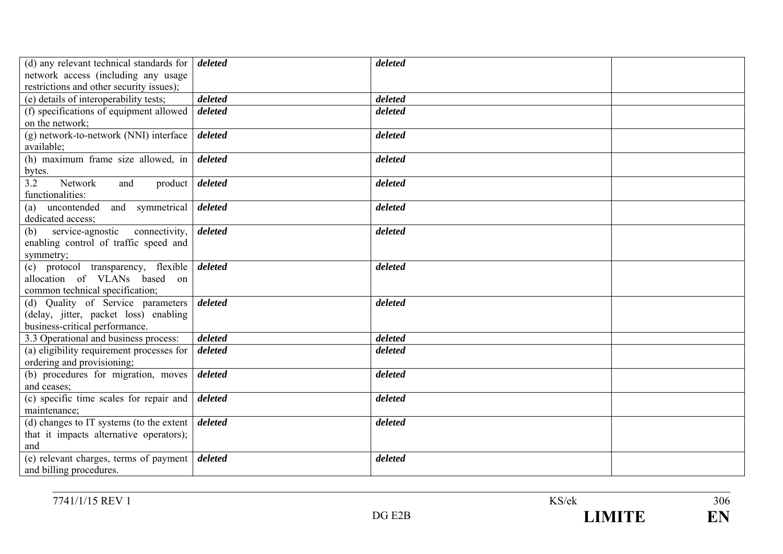| (d) any relevant technical standards for $\vert$ <i>deleted</i> |         | deleted |  |
|-----------------------------------------------------------------|---------|---------|--|
| network access (including any usage                             |         |         |  |
| restrictions and other security issues);                        |         |         |  |
| (e) details of interoperability tests;                          | deleted | deleted |  |
| (f) specifications of equipment allowed                         | deleted | deleted |  |
| on the network:                                                 |         |         |  |
| (g) network-to-network (NNI) interface                          | deleted | deleted |  |
| available;                                                      |         |         |  |
| (h) maximum frame size allowed, in $\vert$ deleted              |         | deleted |  |
| bytes.                                                          |         |         |  |
| 3.2<br>Network<br>and<br>product $\vert$ deleted                |         | deleted |  |
| functionalities:                                                |         |         |  |
| uncontended and symmetrical<br>(a)                              | deleted | deleted |  |
| dedicated access;                                               |         |         |  |
| service-agnostic<br>connectivity,<br>(b)                        | deleted | deleted |  |
| enabling control of traffic speed and                           |         |         |  |
| symmetry;                                                       |         |         |  |
| protocol transparency, flexible<br>(c)                          | deleted | deleted |  |
| allocation of VLANs based on                                    |         |         |  |
| common technical specification;                                 |         |         |  |
| (d) Quality of Service parameters                               | deleted | deleted |  |
| (delay, jitter, packet loss) enabling                           |         |         |  |
| business-critical performance.                                  |         |         |  |
| 3.3 Operational and business process:                           | deleted | deleted |  |
| (a) eligibility requirement processes for                       | deleted | deleted |  |
| ordering and provisioning;                                      |         |         |  |
| (b) procedures for migration, moves                             | deleted | deleted |  |
| and ceases;                                                     |         |         |  |
| (c) specific time scales for repair and                         | deleted | deleted |  |
| maintenance;                                                    |         |         |  |
| (d) changes to IT systems (to the extent                        | deleted | deleted |  |
| that it impacts alternative operators);                         |         |         |  |
| and                                                             |         |         |  |
| (e) relevant charges, terms of payment                          | deleted | deleted |  |
| and billing procedures.                                         |         |         |  |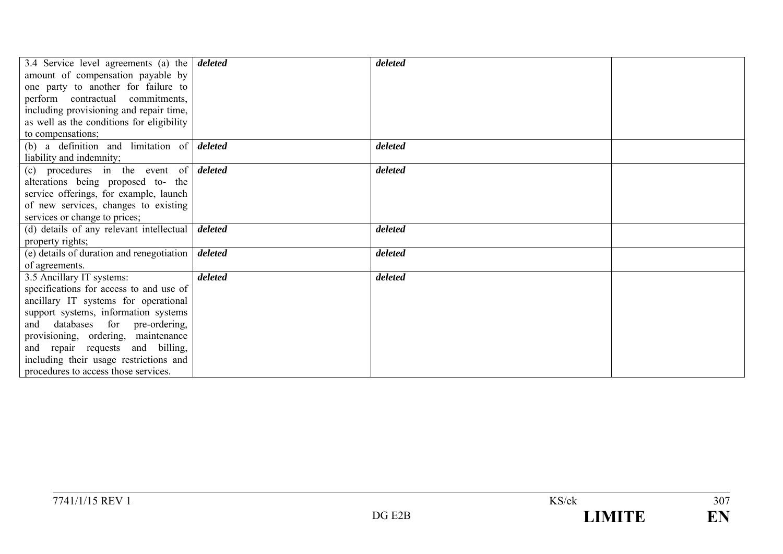| 3.4 Service level agreements (a) the $\frac{d}{dt}$             |         | deleted |  |
|-----------------------------------------------------------------|---------|---------|--|
| amount of compensation payable by                               |         |         |  |
| one party to another for failure to                             |         |         |  |
| perform contractual commitments,                                |         |         |  |
| including provisioning and repair time,                         |         |         |  |
| as well as the conditions for eligibility                       |         |         |  |
| to compensations;                                               |         |         |  |
| (b) a definition and limitation of $\delta$                     |         | deleted |  |
| liability and indemnity;                                        |         |         |  |
| (c) procedures in the event of $\delta$                         |         | deleted |  |
| alterations being proposed to- the                              |         |         |  |
| service offerings, for example, launch                          |         |         |  |
| of new services, changes to existing                            |         |         |  |
| services or change to prices;                                   |         |         |  |
|                                                                 |         |         |  |
| (d) details of any relevant intellectual $\vert$ <i>deleted</i> |         | deleted |  |
| property rights;                                                |         |         |  |
| (e) details of duration and renegotiation                       | deleted | deleted |  |
| of agreements.                                                  |         |         |  |
| 3.5 Ancillary IT systems:                                       | deleted | deleted |  |
| specifications for access to and use of                         |         |         |  |
| ancillary IT systems for operational                            |         |         |  |
| support systems, information systems                            |         |         |  |
| and databases for pre-ordering,                                 |         |         |  |
| provisioning, ordering, maintenance                             |         |         |  |
| and repair requests and billing,                                |         |         |  |
| including their usage restrictions and                          |         |         |  |
| procedures to access those services.                            |         |         |  |